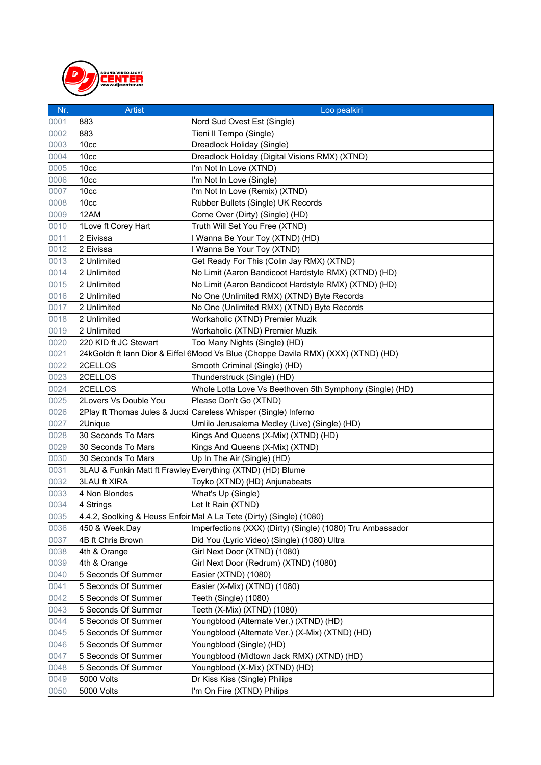

| Nr.  | <b>Artist</b>         | Loo pealkiri                                                                       |
|------|-----------------------|------------------------------------------------------------------------------------|
| 0001 | 883                   | Nord Sud Ovest Est (Single)                                                        |
| 0002 | 883                   | Tieni Il Tempo (Single)                                                            |
| 0003 | 10 <sub>cc</sub>      | Dreadlock Holiday (Single)                                                         |
| 0004 | 10 <sub>cc</sub>      | Dreadlock Holiday (Digital Visions RMX) (XTND)                                     |
| 0005 | 10 <sub>cc</sub>      | I'm Not In Love (XTND)                                                             |
| 0006 | 10 <sub>cc</sub>      | I'm Not In Love (Single)                                                           |
| 0007 | 10 <sub>cc</sub>      | I'm Not In Love (Remix) (XTND)                                                     |
| 0008 | 10 <sub>cc</sub>      | Rubber Bullets (Single) UK Records                                                 |
| 0009 | 12AM                  | Come Over (Dirty) (Single) (HD)                                                    |
| 0010 | 1 Love ft Corey Hart  | Truth Will Set You Free (XTND)                                                     |
| 0011 | 2 Eivissa             | I Wanna Be Your Toy (XTND) (HD)                                                    |
| 0012 | 2 Eivissa             | I Wanna Be Your Toy (XTND)                                                         |
| 0013 | 2 Unlimited           | Get Ready For This (Colin Jay RMX) (XTND)                                          |
| 0014 | 2 Unlimited           | No Limit (Aaron Bandicoot Hardstyle RMX) (XTND) (HD)                               |
| 0015 | 2 Unlimited           | No Limit (Aaron Bandicoot Hardstyle RMX) (XTND) (HD)                               |
| 0016 | 2 Unlimited           | No One (Unlimited RMX) (XTND) Byte Records                                         |
| 0017 | 2 Unlimited           | No One (Unlimited RMX) (XTND) Byte Records                                         |
| 0018 | 2 Unlimited           | Workaholic (XTND) Premier Muzik                                                    |
| 0019 | 2 Unlimited           | Workaholic (XTND) Premier Muzik                                                    |
| 0020 | 220 KID ft JC Stewart | Too Many Nights (Single) (HD)                                                      |
| 0021 |                       | 24kGoldn ft Iann Dior & Eiffel 6Mood Vs Blue (Choppe Davila RMX) (XXX) (XTND) (HD) |
| 0022 | 2CELLOS               | Smooth Criminal (Single) (HD)                                                      |
| 0023 | 2CELLOS               | Thunderstruck (Single) (HD)                                                        |
| 0024 | 2CELLOS               | Whole Lotta Love Vs Beethoven 5th Symphony (Single) (HD)                           |
| 0025 | 2Lovers Vs Double You | Please Don't Go (XTND)                                                             |
| 0026 |                       | 2Play ft Thomas Jules & Jucxi Careless Whisper (Single) Inferno                    |
| 0027 | 2Unique               | Umlilo Jerusalema Medley (Live) (Single) (HD)                                      |
| 0028 | 30 Seconds To Mars    | Kings And Queens (X-Mix) (XTND) (HD)                                               |
| 0029 | 30 Seconds To Mars    | Kings And Queens (X-Mix) (XTND)                                                    |
| 0030 | 30 Seconds To Mars    | Up In The Air (Single) (HD)                                                        |
| 0031 |                       | 3LAU & Funkin Matt ft Frawley Everything (XTND) (HD) Blume                         |
| 0032 | <b>3LAU ft XIRA</b>   | Toyko (XTND) (HD) Anjunabeats                                                      |
| 0033 | 4 Non Blondes         | What's Up (Single)                                                                 |
| 0034 | 4 Strings             | Let It Rain (XTND)                                                                 |
| 0035 |                       | 4.4.2, Soolking & Heuss EnfoirMal A La Tete (Dirty) (Single) (1080)                |
| 0036 | 450 & Week.Day        | Imperfections (XXX) (Dirty) (Single) (1080) Tru Ambassador                         |
| 0037 | 4B ft Chris Brown     | Did You (Lyric Video) (Single) (1080) Ultra                                        |
| 0038 | 4th & Orange          | Girl Next Door (XTND) (1080)                                                       |
| 0039 | 4th & Orange          | Girl Next Door (Redrum) (XTND) (1080)                                              |
| 0040 | 5 Seconds Of Summer   | Easier (XTND) (1080)                                                               |
| 0041 | 5 Seconds Of Summer   | Easier (X-Mix) (XTND) (1080)                                                       |
| 0042 | 5 Seconds Of Summer   | Teeth (Single) (1080)                                                              |
| 0043 | 5 Seconds Of Summer   | Teeth (X-Mix) (XTND) (1080)                                                        |
| 0044 | 5 Seconds Of Summer   | Youngblood (Alternate Ver.) (XTND) (HD)                                            |
| 0045 | 5 Seconds Of Summer   | Youngblood (Alternate Ver.) (X-Mix) (XTND) (HD)                                    |
| 0046 | 5 Seconds Of Summer   | Youngblood (Single) (HD)                                                           |
| 0047 | 5 Seconds Of Summer   | Youngblood (Midtown Jack RMX) (XTND) (HD)                                          |
| 0048 | 5 Seconds Of Summer   | Youngblood (X-Mix) (XTND) (HD)                                                     |
| 0049 | 5000 Volts            | Dr Kiss Kiss (Single) Philips                                                      |
| 0050 | 5000 Volts            | I'm On Fire (XTND) Philips                                                         |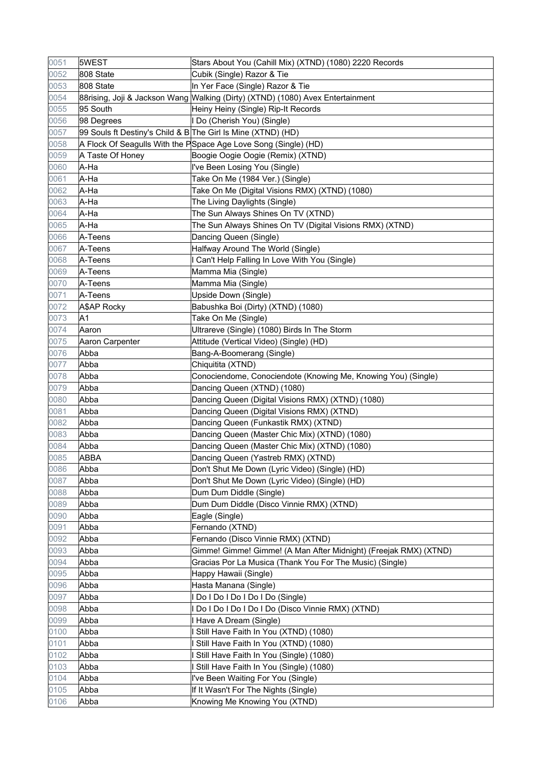| 0051 | 5WEST                                                        | Stars About You (Cahill Mix) (XTND) (1080) 2220 Records                        |
|------|--------------------------------------------------------------|--------------------------------------------------------------------------------|
| 0052 | 808 State                                                    | Cubik (Single) Razor & Tie                                                     |
| 0053 | 808 State                                                    | In Yer Face (Single) Razor & Tie                                               |
| 0054 |                                                              | 88rising, Joji & Jackson Wang Walking (Dirty) (XTND) (1080) Avex Entertainment |
| 0055 | 95 South                                                     | Heiny Heiny (Single) Rip-It Records                                            |
| 0056 | 98 Degrees                                                   | I Do (Cherish You) (Single)                                                    |
| 0057 | 99 Souls ft Destiny's Child & B The Girl Is Mine (XTND) (HD) |                                                                                |
| 0058 |                                                              | A Flock Of Seagulls With the PSpace Age Love Song (Single) (HD)                |
| 0059 | A Taste Of Honey                                             | Boogie Oogie Oogie (Remix) (XTND)                                              |
| 0060 | A-Ha                                                         | I've Been Losing You (Single)                                                  |
| 0061 | A-Ha                                                         | Take On Me (1984 Ver.) (Single)                                                |
| 0062 | A-Ha                                                         | Take On Me (Digital Visions RMX) (XTND) (1080)                                 |
| 0063 | A-Ha                                                         | The Living Daylights (Single)                                                  |
| 0064 | A-Ha                                                         | The Sun Always Shines On TV (XTND)                                             |
| 0065 | A-Ha                                                         | The Sun Always Shines On TV (Digital Visions RMX) (XTND)                       |
| 0066 | A-Teens                                                      | Dancing Queen (Single)                                                         |
| 0067 | A-Teens                                                      | Halfway Around The World (Single)                                              |
| 0068 | A-Teens                                                      | I Can't Help Falling In Love With You (Single)                                 |
| 0069 | A-Teens                                                      | Mamma Mia (Single)                                                             |
| 0070 | A-Teens                                                      | Mamma Mia (Single)                                                             |
| 0071 | A-Teens                                                      | Upside Down (Single)                                                           |
| 0072 | A\$AP Rocky                                                  | Babushka Boi (Dirty) (XTND) (1080)                                             |
| 0073 | A1                                                           | Take On Me (Single)                                                            |
| 0074 | Aaron                                                        | Ultrareve (Single) (1080) Birds In The Storm                                   |
| 0075 | Aaron Carpenter                                              | Attitude (Vertical Video) (Single) (HD)                                        |
| 0076 | Abba                                                         | Bang-A-Boomerang (Single)                                                      |
| 0077 | Abba                                                         | Chiquitita (XTND)                                                              |
| 0078 | Abba                                                         | Conociendome, Conociendote (Knowing Me, Knowing You) (Single)                  |
| 0079 | Abba                                                         | Dancing Queen (XTND) (1080)                                                    |
| 0080 | Abba                                                         | Dancing Queen (Digital Visions RMX) (XTND) (1080)                              |
| 0081 | Abba                                                         | Dancing Queen (Digital Visions RMX) (XTND)                                     |
| 0082 | Abba                                                         | Dancing Queen (Funkastik RMX) (XTND)                                           |
| 0083 | Abba                                                         | Dancing Queen (Master Chic Mix) (XTND) (1080)                                  |
| 0084 | Abba                                                         | Dancing Queen (Master Chic Mix) (XTND) (1080)                                  |
| 0085 | ABBA                                                         | Dancing Queen (Yastreb RMX) (XTND)                                             |
| 0086 | Abba                                                         | Don't Shut Me Down (Lyric Video) (Single) (HD)                                 |
| 0087 | Abba                                                         | Don't Shut Me Down (Lyric Video) (Single) (HD)                                 |
| 0088 | Abba                                                         | Dum Dum Diddle (Single)                                                        |
| 0089 | Abba                                                         | Dum Dum Diddle (Disco Vinnie RMX) (XTND)                                       |
| 0090 | Abba                                                         | Eagle (Single)                                                                 |
| 0091 | Abba                                                         | Fernando (XTND)                                                                |
| 0092 | Abba                                                         | Fernando (Disco Vinnie RMX) (XTND)                                             |
| 0093 | Abba                                                         | Gimme! Gimme! Gimme! (A Man After Midnight) (Freejak RMX) (XTND)               |
| 0094 | Abba                                                         | Gracias Por La Musica (Thank You For The Music) (Single)                       |
| 0095 | Abba                                                         | Happy Hawaii (Single)                                                          |
| 0096 | Abba                                                         | Hasta Manana (Single)                                                          |
| 0097 | Abba                                                         | I Do I Do I Do I Do I Do (Single)                                              |
| 0098 | Abba                                                         | Do I Do I Do I Do I Do (Disco Vinnie RMX) (XTND)                               |
| 0099 | Abba                                                         | Have A Dream (Single)                                                          |
| 0100 | Abba                                                         | Still Have Faith In You (XTND) (1080)                                          |
| 0101 | Abba                                                         | Still Have Faith In You (XTND) (1080)                                          |
| 0102 | Abba                                                         | Still Have Faith In You (Single) (1080)                                        |
| 0103 | Abba                                                         | Still Have Faith In You (Single) (1080)                                        |
| 0104 | Abba                                                         | I've Been Waiting For You (Single)                                             |
| 0105 | Abba                                                         | If It Wasn't For The Nights (Single)                                           |
| 0106 | Abba                                                         | Knowing Me Knowing You (XTND)                                                  |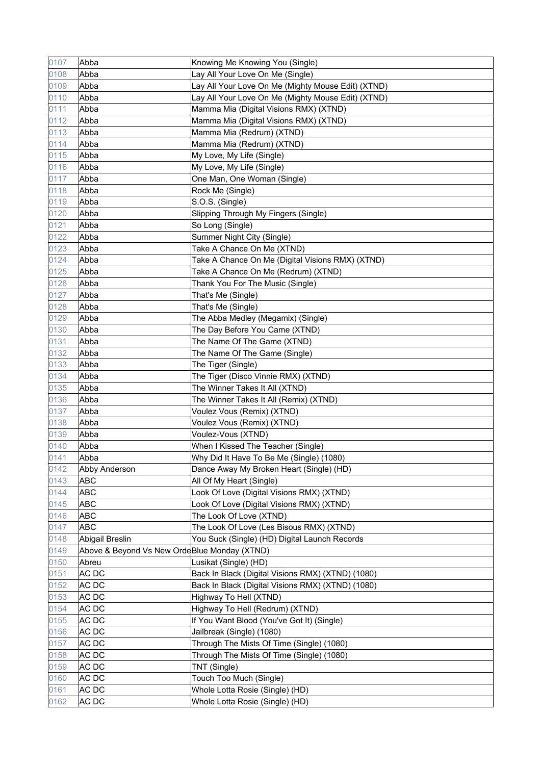| 0107 | Abba                                         | Knowing Me Knowing You (Single)                    |
|------|----------------------------------------------|----------------------------------------------------|
| 0108 | Abba                                         | Lay All Your Love On Me (Single)                   |
| 0109 | Abba                                         | Lay All Your Love On Me (Mighty Mouse Edit) (XTND) |
| 0110 | Abba                                         | Lay All Your Love On Me (Mighty Mouse Edit) (XTND) |
| 0111 | Abba                                         | Mamma Mia (Digital Visions RMX) (XTND)             |
| 0112 | Abba                                         | Mamma Mia (Digital Visions RMX) (XTND)             |
| 0113 | Abba                                         | Mamma Mia (Redrum) (XTND)                          |
| 0114 | Abba                                         | Mamma Mia (Redrum) (XTND)                          |
| 0115 | Abba                                         | My Love, My Life (Single)                          |
| 0116 | Abba                                         | My Love, My Life (Single)                          |
| 0117 | Abba                                         | One Man, One Woman (Single)                        |
| 0118 | Abba                                         | Rock Me (Single)                                   |
| 0119 | Abba                                         | S.O.S. (Single)                                    |
| 0120 | Abba                                         | Slipping Through My Fingers (Single)               |
| 0121 | Abba                                         | So Long (Single)                                   |
| 0122 | Abba                                         | Summer Night City (Single)                         |
| 0123 | Abba                                         | Take A Chance On Me (XTND)                         |
| 0124 | Abba                                         | Take A Chance On Me (Digital Visions RMX) (XTND)   |
| 0125 | Abba                                         | Take A Chance On Me (Redrum) (XTND)                |
| 0126 | Abba                                         | Thank You For The Music (Single)                   |
| 0127 | Abba                                         | That's Me (Single)                                 |
| 0128 | Abba                                         | That's Me (Single)                                 |
| 0129 | Abba                                         | The Abba Medley (Megamix) (Single)                 |
| 0130 | Abba                                         | The Day Before You Came (XTND)                     |
| 0131 | Abba                                         | The Name Of The Game (XTND)                        |
| 0132 | Abba                                         | The Name Of The Game (Single)                      |
| 0133 | Abba                                         | The Tiger (Single)                                 |
| 0134 | Abba                                         | The Tiger (Disco Vinnie RMX) (XTND)                |
| 0135 | Abba                                         | The Winner Takes It All (XTND)                     |
| 0136 | Abba                                         | The Winner Takes It All (Remix) (XTND)             |
| 0137 | Abba                                         | Voulez Vous (Remix) (XTND)                         |
| 0138 | Abba                                         | Voulez Vous (Remix) (XTND)                         |
| 0139 | Abba                                         | Voulez-Vous (XTND)                                 |
| 0140 | Abba                                         | When I Kissed The Teacher (Single)                 |
| 0141 | Abba                                         | Why Did It Have To Be Me (Single) (1080)           |
| 0142 | <b>Abby Anderson</b>                         | Dance Away My Broken Heart (Single) (HD)           |
| 0143 | <b>ABC</b>                                   | All Of My Heart (Single)                           |
| 0144 | <b>ABC</b>                                   | Look Of Love (Digital Visions RMX) (XTND)          |
| 0145 | <b>ABC</b>                                   | Look Of Love (Digital Visions RMX) (XTND)          |
| 0146 | ABC                                          | The Look Of Love (XTND)                            |
| 0147 | <b>ABC</b>                                   | The Look Of Love (Les Bisous RMX) (XTND)           |
| 0148 | Abigail Breslin                              | You Suck (Single) (HD) Digital Launch Records      |
| 0149 | Above & Beyond Vs New OrdeBlue Monday (XTND) |                                                    |
| 0150 | Abreu                                        | Lusikat (Single) (HD)                              |
| 0151 | AC DC                                        | Back In Black (Digital Visions RMX) (XTND) (1080)  |
| 0152 | AC DC                                        | Back In Black (Digital Visions RMX) (XTND) (1080)  |
| 0153 | AC DC                                        | Highway To Hell (XTND)                             |
| 0154 | AC DC                                        | Highway To Hell (Redrum) (XTND)                    |
| 0155 | AC DC                                        | If You Want Blood (You've Got It) (Single)         |
| 0156 | AC DC                                        | Jailbreak (Single) (1080)                          |
| 0157 | AC DC                                        | Through The Mists Of Time (Single) (1080)          |
| 0158 | AC DC                                        | Through The Mists Of Time (Single) (1080)          |
| 0159 | AC DC                                        | TNT (Single)                                       |
| 0160 | <b>ACDC</b>                                  | Touch Too Much (Single)                            |
| 0161 | AC DC                                        | Whole Lotta Rosie (Single) (HD)                    |
| 0162 | AC DC                                        | Whole Lotta Rosie (Single) (HD)                    |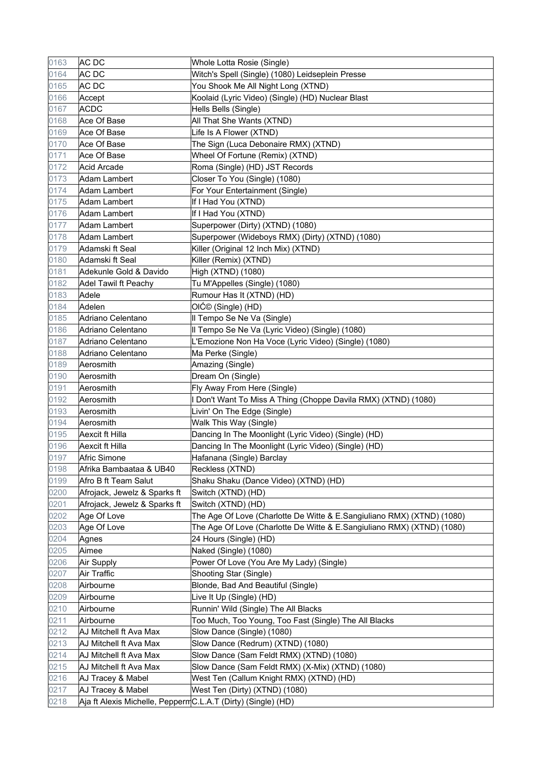| 0163 | AC DC                                                        | Whole Lotta Rosie (Single)                                             |
|------|--------------------------------------------------------------|------------------------------------------------------------------------|
| 0164 | AC DC                                                        | Witch's Spell (Single) (1080) Leidseplein Presse                       |
| 0165 | AC DC                                                        | You Shook Me All Night Long (XTND)                                     |
| 0166 | Accept                                                       | Koolaid (Lyric Video) (Single) (HD) Nuclear Blast                      |
| 0167 | <b>ACDC</b>                                                  | Hells Bells (Single)                                                   |
| 0168 | Ace Of Base                                                  | All That She Wants (XTND)                                              |
| 0169 | Ace Of Base                                                  | Life Is A Flower (XTND)                                                |
| 0170 | Ace Of Base                                                  | The Sign (Luca Debonaire RMX) (XTND)                                   |
| 0171 | Ace Of Base                                                  | Wheel Of Fortune (Remix) (XTND)                                        |
| 0172 | <b>Acid Arcade</b>                                           | Roma (Single) (HD) JST Records                                         |
| 0173 | Adam Lambert                                                 | Closer To You (Single) (1080)                                          |
| 0174 | Adam Lambert                                                 | For Your Entertainment (Single)                                        |
| 0175 | <b>Adam Lambert</b>                                          | If I Had You (XTND)                                                    |
| 0176 | Adam Lambert                                                 | If I Had You (XTND)                                                    |
| 0177 | <b>Adam Lambert</b>                                          | Superpower (Dirty) (XTND) (1080)                                       |
| 0178 | Adam Lambert                                                 | Superpower (Wideboys RMX) (Dirty) (XTND) (1080)                        |
| 0179 | Adamski ft Seal                                              | Killer (Original 12 Inch Mix) (XTND)                                   |
| 0180 | Adamski ft Seal                                              | Killer (Remix) (XTND)                                                  |
| 0181 | Adekunle Gold & Davido                                       | High (XTND) (1080)                                                     |
| 0182 | Adel Tawil ft Peachy                                         | Tu M'Appelles (Single) (1080)                                          |
| 0183 | Adele                                                        | Rumour Has It (XTND) (HD)                                              |
| 0184 | Adelen                                                       | OIĆ© (Single) (HD)                                                     |
| 0185 | Adriano Celentano                                            | Il Tempo Se Ne Va (Single)                                             |
| 0186 | Adriano Celentano                                            | Il Tempo Se Ne Va (Lyric Video) (Single) (1080)                        |
| 0187 | Adriano Celentano                                            | L'Emozione Non Ha Voce (Lyric Video) (Single) (1080)                   |
| 0188 | Adriano Celentano                                            | Ma Perke (Single)                                                      |
| 0189 | Aerosmith                                                    | Amazing (Single)                                                       |
| 0190 | Aerosmith                                                    | Dream On (Single)                                                      |
| 0191 | Aerosmith                                                    | Fly Away From Here (Single)                                            |
| 0192 | Aerosmith                                                    | I Don't Want To Miss A Thing (Choppe Davila RMX) (XTND) (1080)         |
| 0193 | Aerosmith                                                    | Livin' On The Edge (Single)                                            |
| 0194 | Aerosmith                                                    | Walk This Way (Single)                                                 |
| 0195 | Aexcit ft Hilla                                              | Dancing In The Moonlight (Lyric Video) (Single) (HD)                   |
| 0196 | Aexcit ft Hilla                                              | Dancing In The Moonlight (Lyric Video) (Single) (HD)                   |
| 0197 | <b>Afric Simone</b>                                          | Hafanana (Single) Barclay                                              |
| 0198 | Afrika Bambaataa & UB40                                      | Reckless (XTND)                                                        |
| 0199 | Afro B ft Team Salut                                         | Shaku Shaku (Dance Video) (XTND) (HD)                                  |
| 0200 | Afrojack, Jewelz & Sparks ft                                 | Switch (XTND) (HD)                                                     |
| 0201 | Afrojack, Jewelz & Sparks ft                                 | Switch (XTND) (HD)                                                     |
| 0202 | Age Of Love                                                  | The Age Of Love (Charlotte De Witte & E.Sangiuliano RMX) (XTND) (1080) |
| 0203 | Age Of Love                                                  | The Age Of Love (Charlotte De Witte & E.Sangiuliano RMX) (XTND) (1080) |
| 0204 | Agnes                                                        | 24 Hours (Single) (HD)                                                 |
| 0205 | Aimee                                                        | Naked (Single) (1080)                                                  |
| 0206 | Air Supply                                                   | Power Of Love (You Are My Lady) (Single)                               |
| 0207 | Air Traffic                                                  | Shooting Star (Single)                                                 |
| 0208 | Airbourne                                                    | Blonde, Bad And Beautiful (Single)                                     |
| 0209 | Airbourne                                                    | Live It Up (Single) (HD)                                               |
| 0210 | Airbourne                                                    | Runnin' Wild (Single) The All Blacks                                   |
| 0211 | Airbourne                                                    | Too Much, Too Young, Too Fast (Single) The All Blacks                  |
| 0212 | AJ Mitchell ft Ava Max                                       | Slow Dance (Single) (1080)                                             |
| 0213 | AJ Mitchell ft Ava Max                                       | Slow Dance (Redrum) (XTND) (1080)                                      |
| 0214 | AJ Mitchell ft Ava Max                                       | Slow Dance (Sam Feldt RMX) (XTND) (1080)                               |
| 0215 | AJ Mitchell ft Ava Max                                       | Slow Dance (Sam Feldt RMX) (X-Mix) (XTND) (1080)                       |
| 0216 | AJ Tracey & Mabel                                            | West Ten (Callum Knight RMX) (XTND) (HD)                               |
| 0217 | AJ Tracey & Mabel                                            | West Ten (Dirty) (XTND) (1080)                                         |
| 0218 | Aja ft Alexis Michelle, PeppermC.L.A.T (Dirty) (Single) (HD) |                                                                        |
|      |                                                              |                                                                        |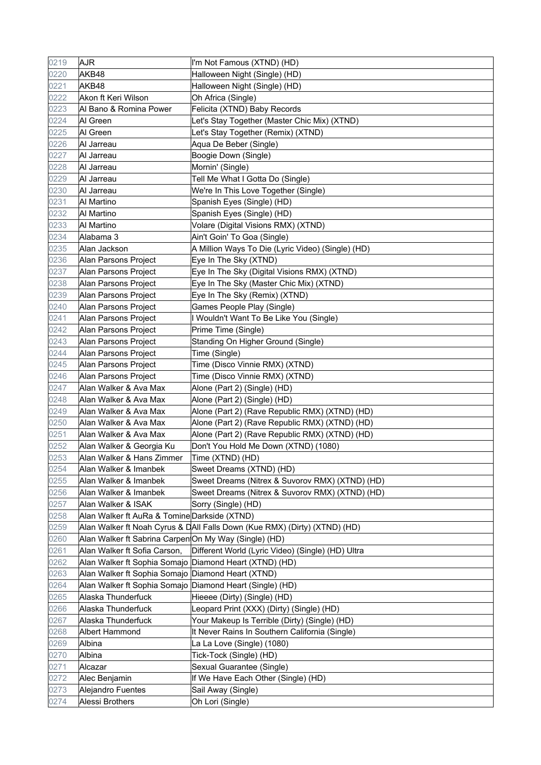| 0219 | <b>AJR</b>                                               | I'm Not Famous (XTND) (HD)                                                |
|------|----------------------------------------------------------|---------------------------------------------------------------------------|
| 0220 | AKB48                                                    | Halloween Night (Single) (HD)                                             |
| 0221 | AKB48                                                    | Halloween Night (Single) (HD)                                             |
| 0222 | Akon ft Keri Wilson                                      | Oh Africa (Single)                                                        |
| 0223 | Al Bano & Romina Power                                   | Felicita (XTND) Baby Records                                              |
| 0224 | Al Green                                                 | Let's Stay Together (Master Chic Mix) (XTND)                              |
| 0225 | Al Green                                                 | Let's Stay Together (Remix) (XTND)                                        |
| 0226 | Al Jarreau                                               | Aqua De Beber (Single)                                                    |
| 0227 | Al Jarreau                                               | Boogie Down (Single)                                                      |
| 0228 | Al Jarreau                                               | Mornin' (Single)                                                          |
| 0229 | Al Jarreau                                               | Tell Me What I Gotta Do (Single)                                          |
| 0230 | Al Jarreau                                               | We're In This Love Together (Single)                                      |
| 0231 | Al Martino                                               | Spanish Eyes (Single) (HD)                                                |
| 0232 | Al Martino                                               | Spanish Eyes (Single) (HD)                                                |
| 0233 | Al Martino                                               | Volare (Digital Visions RMX) (XTND)                                       |
| 0234 | Alabama 3                                                | Ain't Goin' To Goa (Single)                                               |
| 0235 | Alan Jackson                                             | A Million Ways To Die (Lyric Video) (Single) (HD)                         |
| 0236 | Alan Parsons Project                                     | Eye In The Sky (XTND)                                                     |
| 0237 | Alan Parsons Project                                     | Eye In The Sky (Digital Visions RMX) (XTND)                               |
| 0238 | Alan Parsons Project                                     | Eye In The Sky (Master Chic Mix) (XTND)                                   |
| 0239 | Alan Parsons Project                                     | Eye In The Sky (Remix) (XTND)                                             |
| 0240 | Alan Parsons Project                                     | Games People Play (Single)                                                |
| 0241 | Alan Parsons Project                                     | I Wouldn't Want To Be Like You (Single)                                   |
| 0242 | Alan Parsons Project                                     | Prime Time (Single)                                                       |
| 0243 | Alan Parsons Project                                     | Standing On Higher Ground (Single)                                        |
| 0244 | Alan Parsons Project                                     | Time (Single)                                                             |
| 0245 | Alan Parsons Project                                     | Time (Disco Vinnie RMX) (XTND)                                            |
| 0246 | Alan Parsons Project                                     | Time (Disco Vinnie RMX) (XTND)                                            |
| 0247 | Alan Walker & Ava Max                                    | Alone (Part 2) (Single) (HD)                                              |
| 0248 | Alan Walker & Ava Max                                    | Alone (Part 2) (Single) (HD)                                              |
| 0249 | Alan Walker & Ava Max                                    | Alone (Part 2) (Rave Republic RMX) (XTND) (HD)                            |
| 0250 | Alan Walker & Ava Max                                    | Alone (Part 2) (Rave Republic RMX) (XTND) (HD)                            |
| 0251 | Alan Walker & Ava Max                                    | Alone (Part 2) (Rave Republic RMX) (XTND) (HD)                            |
| 0252 | Alan Walker & Georgia Ku                                 | Don't You Hold Me Down (XTND) (1080)                                      |
| 0253 | Alan Walker & Hans Zimmer                                | Time (XTND) (HD)                                                          |
| 0254 | Alan Walker & Imanbek                                    | Sweet Dreams (XTND) (HD)                                                  |
| 0255 | Alan Walker & Imanbek                                    | Sweet Dreams (Nitrex & Suvorov RMX) (XTND) (HD)                           |
| 0256 | Alan Walker & Imanbek                                    | Sweet Dreams (Nitrex & Suvorov RMX) (XTND) (HD)                           |
| 0257 | Alan Walker & ISAK                                       | Sorry (Single) (HD)                                                       |
| 0258 | Alan Walker ft AuRa & Tomine Darkside (XTND)             |                                                                           |
| 0259 |                                                          | Alan Walker ft Noah Cyrus & DAII Falls Down (Kue RMX) (Dirty) (XTND) (HD) |
| 0260 | Alan Walker ft Sabrina Carpen On My Way (Single) (HD)    |                                                                           |
| 0261 | Alan Walker ft Sofia Carson,                             | Different World (Lyric Video) (Single) (HD) Ultra                         |
| 0262 | Alan Walker ft Sophia Somajo Diamond Heart (XTND) (HD)   |                                                                           |
| 0263 | Alan Walker ft Sophia Somajo Diamond Heart (XTND)        |                                                                           |
| 0264 | Alan Walker ft Sophia Somajo Diamond Heart (Single) (HD) |                                                                           |
| 0265 | Alaska Thunderfuck                                       | Hieeee (Dirty) (Single) (HD)                                              |
| 0266 | Alaska Thunderfuck                                       | Leopard Print (XXX) (Dirty) (Single) (HD)                                 |
| 0267 | Alaska Thunderfuck                                       | Your Makeup Is Terrible (Dirty) (Single) (HD)                             |
| 0268 | Albert Hammond                                           | It Never Rains In Southern California (Single)                            |
| 0269 | Albina                                                   | La La Love (Single) (1080)                                                |
| 0270 | Albina                                                   | Tick-Tock (Single) (HD)                                                   |
| 0271 | Alcazar                                                  | Sexual Guarantee (Single)                                                 |
| 0272 | Alec Benjamin                                            | If We Have Each Other (Single) (HD)                                       |
| 0273 | Alejandro Fuentes                                        | Sail Away (Single)                                                        |
| 0274 | Alessi Brothers                                          | Oh Lori (Single)                                                          |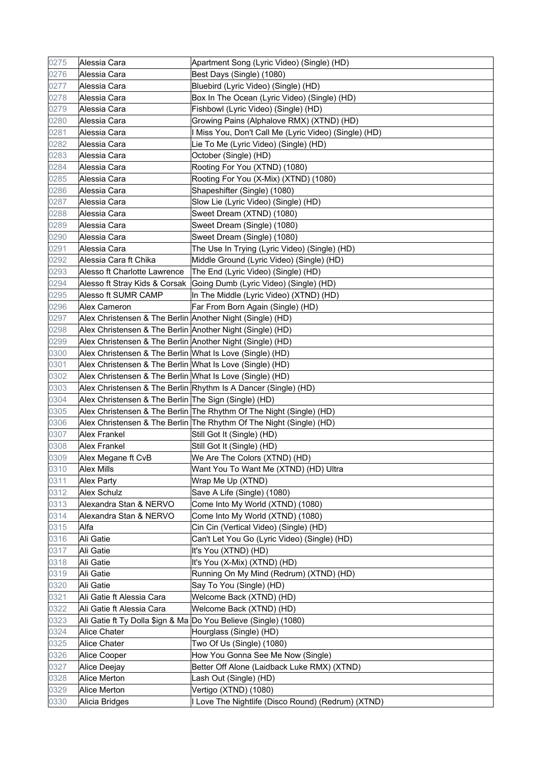| 0275 | Alessia Cara                                              | Apartment Song (Lyric Video) (Single) (HD)                           |
|------|-----------------------------------------------------------|----------------------------------------------------------------------|
| 0276 | Alessia Cara                                              | Best Days (Single) (1080)                                            |
| 0277 | Alessia Cara                                              | Bluebird (Lyric Video) (Single) (HD)                                 |
| 0278 | Alessia Cara                                              | Box In The Ocean (Lyric Video) (Single) (HD)                         |
| 0279 | Alessia Cara                                              | Fishbowl (Lyric Video) (Single) (HD)                                 |
| 0280 | Alessia Cara                                              | Growing Pains (Alphalove RMX) (XTND) (HD)                            |
| 0281 | Alessia Cara                                              | I Miss You, Don't Call Me (Lyric Video) (Single) (HD)                |
| 0282 | Alessia Cara                                              | Lie To Me (Lyric Video) (Single) (HD)                                |
| 0283 | Alessia Cara                                              | October (Single) (HD)                                                |
| 0284 | Alessia Cara                                              | Rooting For You (XTND) (1080)                                        |
| 0285 | Alessia Cara                                              | Rooting For You (X-Mix) (XTND) (1080)                                |
| 0286 | Alessia Cara                                              | Shapeshifter (Single) (1080)                                         |
| 0287 | Alessia Cara                                              | Slow Lie (Lyric Video) (Single) (HD)                                 |
| 0288 | Alessia Cara                                              | Sweet Dream (XTND) (1080)                                            |
| 0289 | Alessia Cara                                              | Sweet Dream (Single) (1080)                                          |
| 0290 | Alessia Cara                                              | Sweet Dream (Single) (1080)                                          |
| 0291 | Alessia Cara                                              | The Use In Trying (Lyric Video) (Single) (HD)                        |
| 0292 | Alessia Cara ft Chika                                     | Middle Ground (Lyric Video) (Single) (HD)                            |
| 0293 | Alesso ft Charlotte Lawrence                              | The End (Lyric Video) (Single) (HD)                                  |
| 0294 |                                                           | Alesso ft Stray Kids & Corsak Going Dumb (Lyric Video) (Single) (HD) |
| 0295 | Alesso ft SUMR CAMP                                       | In The Middle (Lyric Video) (XTND) (HD)                              |
| 0296 | Alex Cameron                                              | Far From Born Again (Single) (HD)                                    |
| 0297 | Alex Christensen & The Berlin Another Night (Single) (HD) |                                                                      |
| 0298 | Alex Christensen & The Berlin Another Night (Single) (HD) |                                                                      |
| 0299 | Alex Christensen & The Berlin Another Night (Single) (HD) |                                                                      |
| 0300 | Alex Christensen & The Berlin What Is Love (Single) (HD)  |                                                                      |
| 0301 | Alex Christensen & The Berlin What Is Love (Single) (HD)  |                                                                      |
| 0302 | Alex Christensen & The Berlin What Is Love (Single) (HD)  |                                                                      |
| 0303 |                                                           | Alex Christensen & The Berlin Rhythm Is A Dancer (Single) (HD)       |
| 0304 | Alex Christensen & The Berlin The Sign (Single) (HD)      |                                                                      |
| 0305 |                                                           | Alex Christensen & The Berlin The Rhythm Of The Night (Single) (HD)  |
| 0306 |                                                           | Alex Christensen & The Berlin The Rhythm Of The Night (Single) (HD)  |
| 0307 | <b>Alex Frankel</b>                                       | Still Got It (Single) (HD)                                           |
| 0308 | <b>Alex Frankel</b>                                       | Still Got It (Single) (HD)                                           |
| 0309 | Alex Megane ft CvB                                        | We Are The Colors (XTND) (HD)                                        |
| 0310 | <b>Alex Mills</b>                                         | Want You To Want Me (XTND) (HD) Ultra                                |
| 0311 | <b>Alex Party</b>                                         | Wrap Me Up (XTND)                                                    |
| 0312 | <b>Alex Schulz</b>                                        | Save A Life (Single) (1080)                                          |
| 0313 | Alexandra Stan & NERVO                                    | Come Into My World (XTND) (1080)                                     |
| 0314 | Alexandra Stan & NERVO                                    | Come Into My World (XTND) (1080)                                     |
| 0315 | Alfa                                                      | Cin Cin (Vertical Video) (Single) (HD)                               |
| 0316 | Ali Gatie                                                 | Can't Let You Go (Lyric Video) (Single) (HD)                         |
| 0317 | Ali Gatie                                                 | It's You (XTND) (HD)                                                 |
| 0318 | Ali Gatie                                                 | It's You (X-Mix) (XTND) (HD)                                         |
| 0319 | Ali Gatie                                                 | Running On My Mind (Redrum) (XTND) (HD)                              |
| 0320 | Ali Gatie                                                 | Say To You (Single) (HD)                                             |
| 0321 | Ali Gatie ft Alessia Cara                                 | Welcome Back (XTND) (HD)                                             |
| 0322 | Ali Gatie ft Alessia Cara                                 | Welcome Back (XTND) (HD)                                             |
| 0323 |                                                           | Ali Gatie ft Ty Dolla \$ign & Ma Do You Believe (Single) (1080)      |
| 0324 | Alice Chater                                              | Hourglass (Single) (HD)                                              |
| 0325 |                                                           | Two Of Us (Single) (1080)                                            |
| 0326 | <b>Alice Chater</b>                                       | How You Gonna See Me Now (Single)                                    |
| 0327 | Alice Cooper                                              | Better Off Alone (Laidback Luke RMX) (XTND)                          |
| 0328 | Alice Deejay<br>Alice Merton                              | Lash Out (Single) (HD)                                               |
|      |                                                           |                                                                      |
| 0329 | Alice Merton                                              | Vertigo (XTND) (1080)                                                |
| 0330 | Alicia Bridges                                            | I Love The Nightlife (Disco Round) (Redrum) (XTND)                   |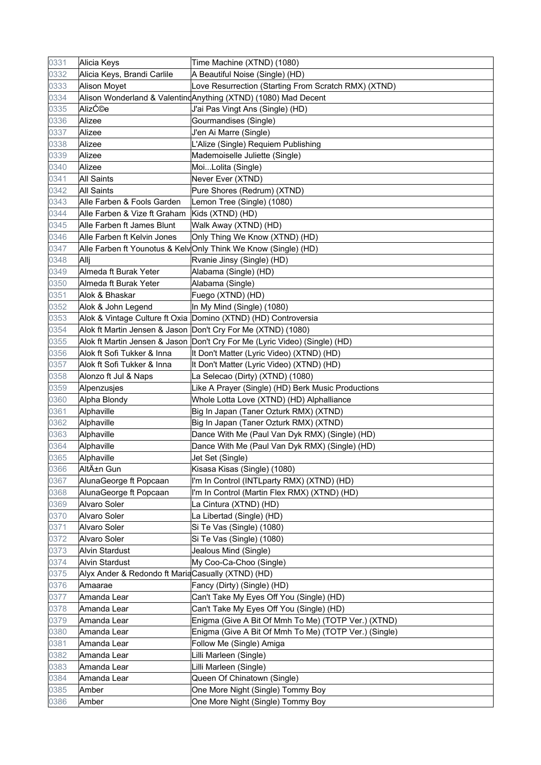| 0331 | Alicia Keys                                       | Time Machine (XTND) (1080)                                                 |
|------|---------------------------------------------------|----------------------------------------------------------------------------|
| 0332 | Alicia Keys, Brandi Carlile                       | A Beautiful Noise (Single) (HD)                                            |
| 0333 | <b>Alison Moyet</b>                               | Love Resurrection (Starting From Scratch RMX) (XTND)                       |
| 0334 |                                                   | Alison Wonderland & ValentindAnything (XTND) (1080) Mad Decent             |
| 0335 | AlizƩe                                            | J'ai Pas Vingt Ans (Single) (HD)                                           |
| 0336 | Alizee                                            | Gourmandises (Single)                                                      |
| 0337 | Alizee                                            | J'en Ai Marre (Single)                                                     |
| 0338 | Alizee                                            | L'Alize (Single) Requiem Publishing                                        |
| 0339 | Alizee                                            | Mademoiselle Juliette (Single)                                             |
| 0340 | Alizee                                            | MoiLolita (Single)                                                         |
| 0341 | <b>All Saints</b>                                 | Never Ever (XTND)                                                          |
| 0342 | <b>All Saints</b>                                 | Pure Shores (Redrum) (XTND)                                                |
| 0343 | Alle Farben & Fools Garden                        | Lemon Tree (Single) (1080)                                                 |
| 0344 | Alle Farben & Vize ft Graham                      | Kids (XTND) (HD)                                                           |
| 0345 | Alle Farben ft James Blunt                        | Walk Away (XTND) (HD)                                                      |
| 0346 | Alle Farben ft Kelvin Jones                       | Only Thing We Know (XTND) (HD)                                             |
| 0347 |                                                   | Alle Farben ft Younotus & KelvOnly Think We Know (Single) (HD)             |
| 0348 | Allj                                              | Rvanie Jinsy (Single) (HD)                                                 |
| 0349 | Almeda ft Burak Yeter                             | Alabama (Single) (HD)                                                      |
| 0350 | Almeda ft Burak Yeter                             | Alabama (Single)                                                           |
| 0351 | Alok & Bhaskar                                    | Fuego (XTND) (HD)                                                          |
| 0352 | Alok & John Legend                                | In My Mind (Single) (1080)                                                 |
| 0353 |                                                   | Alok & Vintage Culture ft Oxia Domino (XTND) (HD) Controversia             |
| 0354 |                                                   | Alok ft Martin Jensen & Jason Don't Cry For Me (XTND) (1080)               |
| 0355 |                                                   | Alok ft Martin Jensen & Jason Don't Cry For Me (Lyric Video) (Single) (HD) |
| 0356 | Alok ft Sofi Tukker & Inna                        | It Don't Matter (Lyric Video) (XTND) (HD)                                  |
| 0357 | Alok ft Sofi Tukker & Inna                        | It Don't Matter (Lyric Video) (XTND) (HD)                                  |
| 0358 | Alonzo ft Jul & Naps                              | La Selecao (Dirty) (XTND) (1080)                                           |
| 0359 | Alpenzusjes                                       | Like A Prayer (Single) (HD) Berk Music Productions                         |
| 0360 | Alpha Blondy                                      | Whole Lotta Love (XTND) (HD) Alphalliance                                  |
| 0361 | Alphaville                                        | Big In Japan (Taner Ozturk RMX) (XTND)                                     |
| 0362 | Alphaville                                        | Big In Japan (Taner Ozturk RMX) (XTND)                                     |
| 0363 | Alphaville                                        | Dance With Me (Paul Van Dyk RMX) (Single) (HD)                             |
| 0364 | Alphaville                                        | Dance With Me (Paul Van Dyk RMX) (Single) (HD)                             |
| 0365 | Alphaville                                        | Jet Set (Single)                                                           |
| 0366 | Altın Gun                                         | Kisasa Kisas (Single) (1080)                                               |
| 0367 | AlunaGeorge ft Popcaan                            | I'm In Control (INTLparty RMX) (XTND) (HD)                                 |
| 0368 | AlunaGeorge ft Popcaan                            | I'm In Control (Martin Flex RMX) (XTND) (HD)                               |
| 0369 | Alvaro Soler                                      | La Cintura (XTND) (HD)                                                     |
| 0370 | <b>Alvaro Soler</b>                               | La Libertad (Single) (HD)                                                  |
| 0371 | <b>Alvaro Soler</b>                               | Si Te Vas (Single) (1080)                                                  |
| 0372 | <b>Alvaro Soler</b>                               | Si Te Vas (Single) (1080)                                                  |
| 0373 | <b>Alvin Stardust</b>                             | Jealous Mind (Single)                                                      |
| 0374 | <b>Alvin Stardust</b>                             | My Coo-Ca-Choo (Single)                                                    |
| 0375 | Alyx Ander & Redondo ft MariaCasually (XTND) (HD) |                                                                            |
| 0376 | Amaarae                                           | Fancy (Dirty) (Single) (HD)                                                |
| 0377 | Amanda Lear                                       | Can't Take My Eyes Off You (Single) (HD)                                   |
| 0378 | Amanda Lear                                       | Can't Take My Eyes Off You (Single) (HD)                                   |
| 0379 | Amanda Lear                                       | Enigma (Give A Bit Of Mmh To Me) (TOTP Ver.) (XTND)                        |
| 0380 | Amanda Lear                                       | Enigma (Give A Bit Of Mmh To Me) (TOTP Ver.) (Single)                      |
| 0381 | Amanda Lear                                       | Follow Me (Single) Amiga                                                   |
| 0382 | Amanda Lear                                       | Lilli Marleen (Single)                                                     |
| 0383 | Amanda Lear                                       | Lilli Marleen (Single)                                                     |
| 0384 | Amanda Lear                                       | Queen Of Chinatown (Single)                                                |
| 0385 | Amber                                             | One More Night (Single) Tommy Boy                                          |
| 0386 | Amber                                             | One More Night (Single) Tommy Boy                                          |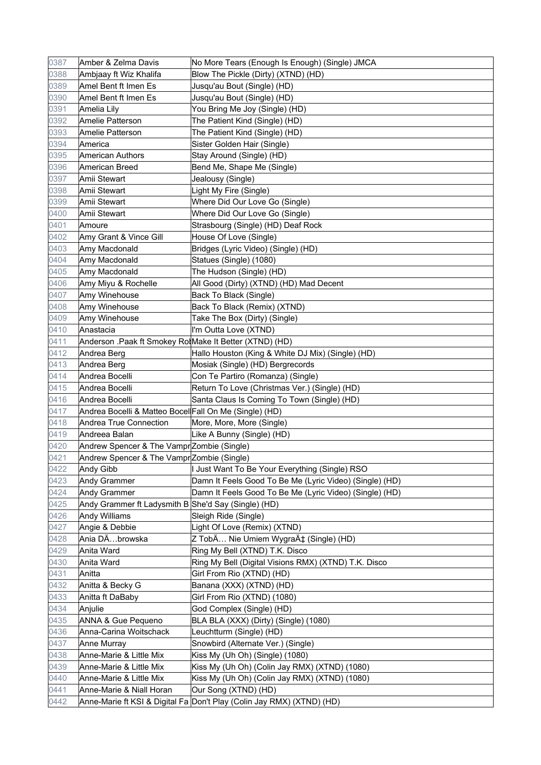| 0387 | Amber & Zelma Davis                                    | No More Tears (Enough Is Enough) (Single) JMCA                        |
|------|--------------------------------------------------------|-----------------------------------------------------------------------|
| 0388 | Ambjaay ft Wiz Khalifa                                 | Blow The Pickle (Dirty) (XTND) (HD)                                   |
| 0389 | Amel Bent ft Imen Es                                   | Jusqu'au Bout (Single) (HD)                                           |
| 0390 | Amel Bent ft Imen Es                                   | Jusqu'au Bout (Single) (HD)                                           |
| 0391 | Amelia Lily                                            | You Bring Me Joy (Single) (HD)                                        |
| 0392 | Amelie Patterson                                       | The Patient Kind (Single) (HD)                                        |
| 0393 | Amelie Patterson                                       | The Patient Kind (Single) (HD)                                        |
| 0394 | America                                                | Sister Golden Hair (Single)                                           |
| 0395 | American Authors                                       | Stay Around (Single) (HD)                                             |
| 0396 | American Breed                                         | Bend Me, Shape Me (Single)                                            |
| 0397 | Amii Stewart                                           | Jealousy (Single)                                                     |
| 0398 | Amii Stewart                                           | Light My Fire (Single)                                                |
| 0399 | Amii Stewart                                           | Where Did Our Love Go (Single)                                        |
| 0400 | Amii Stewart                                           | Where Did Our Love Go (Single)                                        |
| 0401 | Amoure                                                 | Strasbourg (Single) (HD) Deaf Rock                                    |
| 0402 | Amy Grant & Vince Gill                                 | House Of Love (Single)                                                |
| 0403 | Amy Macdonald                                          | Bridges (Lyric Video) (Single) (HD)                                   |
| 0404 | Amy Macdonald                                          | Statues (Single) (1080)                                               |
| 0405 | Amy Macdonald                                          | The Hudson (Single) (HD)                                              |
| 0406 | Amy Miyu & Rochelle                                    | All Good (Dirty) (XTND) (HD) Mad Decent                               |
| 0407 | Amy Winehouse                                          | Back To Black (Single)                                                |
| 0408 | Amy Winehouse                                          | Back To Black (Remix) (XTND)                                          |
| 0409 | Amy Winehouse                                          | Take The Box (Dirty) (Single)                                         |
| 0410 | Anastacia                                              | I'm Outta Love (XTND)                                                 |
| 0411 | Anderson .Paak ft Smokey RoMake It Better (XTND) (HD)  |                                                                       |
| 0412 | Andrea Berg                                            | Hallo Houston (King & White DJ Mix) (Single) (HD)                     |
| 0413 | Andrea Berg                                            | Mosiak (Single) (HD) Bergrecords                                      |
| 0414 | Andrea Bocelli                                         | Con Te Partiro (Romanza) (Single)                                     |
| 0415 | Andrea Bocelli                                         | Return To Love (Christmas Ver.) (Single) (HD)                         |
| 0416 | Andrea Bocelli                                         | Santa Claus Is Coming To Town (Single) (HD)                           |
| 0417 | Andrea Bocelli & Matteo Bocel Fall On Me (Single) (HD) |                                                                       |
| 0418 | Andrea True Connection                                 | More, More, More (Single)                                             |
| 0419 | Andreea Balan                                          | Like A Bunny (Single) (HD)                                            |
| 0420 | Andrew Spencer & The Vampr Zombie (Single)             |                                                                       |
| 0421 | Andrew Spencer & The Vampr Zombie (Single)             |                                                                       |
| 0422 | <b>Andy Gibb</b>                                       | I Just Want To Be Your Everything (Single) RSO                        |
| 0423 | <b>Andy Grammer</b>                                    | Damn It Feels Good To Be Me (Lyric Video) (Single) (HD)               |
| 0424 | <b>Andy Grammer</b>                                    | Damn It Feels Good To Be Me (Lyric Video) (Single) (HD)               |
| 0425 | Andy Grammer ft Ladysmith B She'd Say (Single) (HD)    |                                                                       |
| 0426 | <b>Andy Williams</b>                                   | Sleigh Ride (Single)                                                  |
| 0427 | Angie & Debbie                                         | Light Of Love (Remix) (XTND)                                          |
| 0428 | Ania DÄbrowska                                         | Z TobÄ Nie Umiem Wygrać (Single) (HD)                                 |
| 0429 | Anita Ward                                             | Ring My Bell (XTND) T.K. Disco                                        |
| 0430 | Anita Ward                                             | Ring My Bell (Digital Visions RMX) (XTND) T.K. Disco                  |
| 0431 | Anitta                                                 | Girl From Rio (XTND) (HD)                                             |
| 0432 | Anitta & Becky G                                       | Banana (XXX) (XTND) (HD)                                              |
| 0433 | Anitta ft DaBaby                                       | Girl From Rio (XTND) (1080)                                           |
| 0434 | Anjulie                                                | God Complex (Single) (HD)                                             |
| 0435 | <b>ANNA &amp; Gue Pequeno</b>                          | BLA BLA (XXX) (Dirty) (Single) (1080)                                 |
| 0436 | Anna-Carina Woitschack                                 | Leuchtturm (Single) (HD)                                              |
| 0437 | Anne Murray                                            | Snowbird (Alternate Ver.) (Single)                                    |
| 0438 | Anne-Marie & Little Mix                                | Kiss My (Uh Oh) (Single) (1080)                                       |
| 0439 | Anne-Marie & Little Mix                                | Kiss My (Uh Oh) (Colin Jay RMX) (XTND) (1080)                         |
| 0440 | Anne-Marie & Little Mix                                | Kiss My (Uh Oh) (Colin Jay RMX) (XTND) (1080)                         |
| 0441 | Anne-Marie & Niall Horan                               | Our Song (XTND) (HD)                                                  |
| 0442 |                                                        | Anne-Marie ft KSI & Digital Fa Don't Play (Colin Jay RMX) (XTND) (HD) |
|      |                                                        |                                                                       |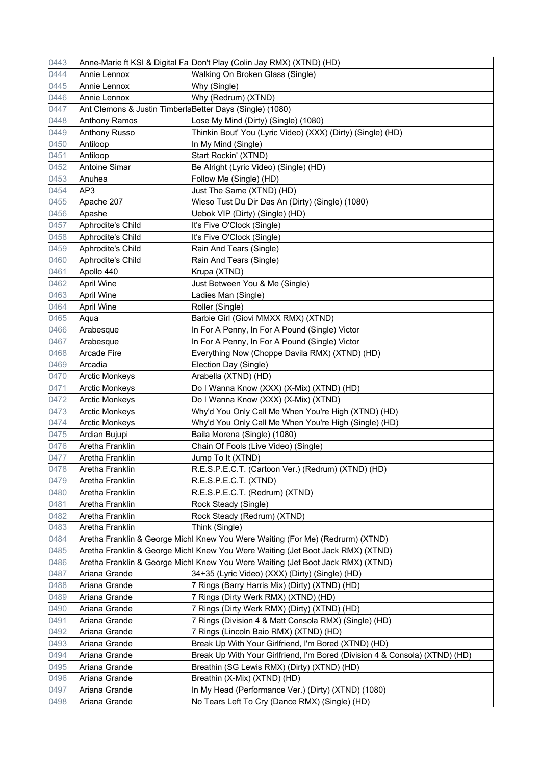| 0443 |                                                          | Anne-Marie ft KSI & Digital Fa Don't Play (Colin Jay RMX) (XTND) (HD)           |
|------|----------------------------------------------------------|---------------------------------------------------------------------------------|
| 0444 | Annie Lennox                                             | Walking On Broken Glass (Single)                                                |
| 0445 | Annie Lennox                                             | Why (Single)                                                                    |
| 0446 | Annie Lennox                                             | Why (Redrum) (XTND)                                                             |
| 0447 | Ant Clemons & Justin TimberlaBetter Days (Single) (1080) |                                                                                 |
| 0448 | <b>Anthony Ramos</b>                                     | Lose My Mind (Dirty) (Single) (1080)                                            |
| 0449 | <b>Anthony Russo</b>                                     | Thinkin Bout' You (Lyric Video) (XXX) (Dirty) (Single) (HD)                     |
| 0450 | Antiloop                                                 | In My Mind (Single)                                                             |
| 0451 | Antiloop                                                 | Start Rockin' (XTND)                                                            |
| 0452 | <b>Antoine Simar</b>                                     | Be Alright (Lyric Video) (Single) (HD)                                          |
| 0453 | Anuhea                                                   | Follow Me (Single) (HD)                                                         |
| 0454 | AP3                                                      | Just The Same (XTND) (HD)                                                       |
| 0455 | Apache 207                                               | Wieso Tust Du Dir Das An (Dirty) (Single) (1080)                                |
| 0456 | Apashe                                                   | Uebok VIP (Dirty) (Single) (HD)                                                 |
| 0457 | Aphrodite's Child                                        | It's Five O'Clock (Single)                                                      |
| 0458 | Aphrodite's Child                                        | It's Five O'Clock (Single)                                                      |
| 0459 | Aphrodite's Child                                        | Rain And Tears (Single)                                                         |
| 0460 | Aphrodite's Child                                        | Rain And Tears (Single)                                                         |
| 0461 | Apollo 440                                               | Krupa (XTND)                                                                    |
| 0462 | <b>April Wine</b>                                        | Just Between You & Me (Single)                                                  |
| 0463 | <b>April Wine</b>                                        | Ladies Man (Single)                                                             |
| 0464 | <b>April Wine</b>                                        | Roller (Single)                                                                 |
| 0465 | Aqua                                                     | Barbie Girl (Giovi MMXX RMX) (XTND)                                             |
| 0466 | Arabesque                                                | In For A Penny, In For A Pound (Single) Victor                                  |
| 0467 | Arabesque                                                | In For A Penny, In For A Pound (Single) Victor                                  |
| 0468 | <b>Arcade Fire</b>                                       | Everything Now (Choppe Davila RMX) (XTND) (HD)                                  |
| 0469 | Arcadia                                                  | Election Day (Single)                                                           |
| 0470 | <b>Arctic Monkeys</b>                                    | Arabella (XTND) (HD)                                                            |
| 0471 | <b>Arctic Monkeys</b>                                    | Do I Wanna Know (XXX) (X-Mix) (XTND) (HD)                                       |
| 0472 | <b>Arctic Monkeys</b>                                    | Do I Wanna Know (XXX) (X-Mix) (XTND)                                            |
| 0473 | <b>Arctic Monkeys</b>                                    | Why'd You Only Call Me When You're High (XTND) (HD)                             |
| 0474 | <b>Arctic Monkeys</b>                                    | Why'd You Only Call Me When You're High (Single) (HD)                           |
| 0475 | Ardian Bujupi                                            | Baila Morena (Single) (1080)                                                    |
| 0476 | Aretha Franklin                                          | Chain Of Fools (Live Video) (Single)                                            |
| 0477 | Aretha Franklin                                          | Jump To It (XTND)                                                               |
| 0478 | Aretha Franklin                                          | R.E.S.P.E.C.T. (Cartoon Ver.) (Redrum) (XTND) (HD)                              |
| 0479 | Aretha Franklin                                          | R.E.S.P.E.C.T. (XTND)                                                           |
| 0480 | Aretha Franklin                                          | R.E.S.P.E.C.T. (Redrum) (XTND)                                                  |
| 0481 | Aretha Franklin                                          | Rock Steady (Single)                                                            |
| 0482 | Aretha Franklin                                          | Rock Steady (Redrum) (XTND)                                                     |
| 0483 | Aretha Franklin                                          | Think (Single)                                                                  |
| 0484 |                                                          | Aretha Franklin & George Michl Knew You Were Waiting (For Me) (Redrurm) (XTND)  |
| 0485 |                                                          | Aretha Franklin & George Michl Knew You Were Waiting (Jet Boot Jack RMX) (XTND) |
| 0486 |                                                          | Aretha Franklin & George Michl Knew You Were Waiting (Jet Boot Jack RMX) (XTND) |
| 0487 | Ariana Grande                                            | 34+35 (Lyric Video) (XXX) (Dirty) (Single) (HD)                                 |
| 0488 | Ariana Grande                                            | 7 Rings (Barry Harris Mix) (Dirty) (XTND) (HD)                                  |
| 0489 | Ariana Grande                                            | 7 Rings (Dirty Werk RMX) (XTND) (HD)                                            |
| 0490 | Ariana Grande                                            | 7 Rings (Dirty Werk RMX) (Dirty) (XTND) (HD)                                    |
| 0491 | Ariana Grande                                            | 7 Rings (Division 4 & Matt Consola RMX) (Single) (HD)                           |
| 0492 | Ariana Grande                                            | 7 Rings (Lincoln Baio RMX) (XTND) (HD)                                          |
| 0493 | Ariana Grande                                            | Break Up With Your Girlfriend, I'm Bored (XTND) (HD)                            |
| 0494 | Ariana Grande                                            | Break Up With Your Girlfriend, I'm Bored (Division 4 & Consola) (XTND) (HD)     |
| 0495 | Ariana Grande                                            | Breathin (SG Lewis RMX) (Dirty) (XTND) (HD)                                     |
| 0496 | Ariana Grande                                            | Breathin (X-Mix) (XTND) (HD)                                                    |
| 0497 | Ariana Grande                                            | In My Head (Performance Ver.) (Dirty) (XTND) (1080)                             |
| 0498 | Ariana Grande                                            | No Tears Left To Cry (Dance RMX) (Single) (HD)                                  |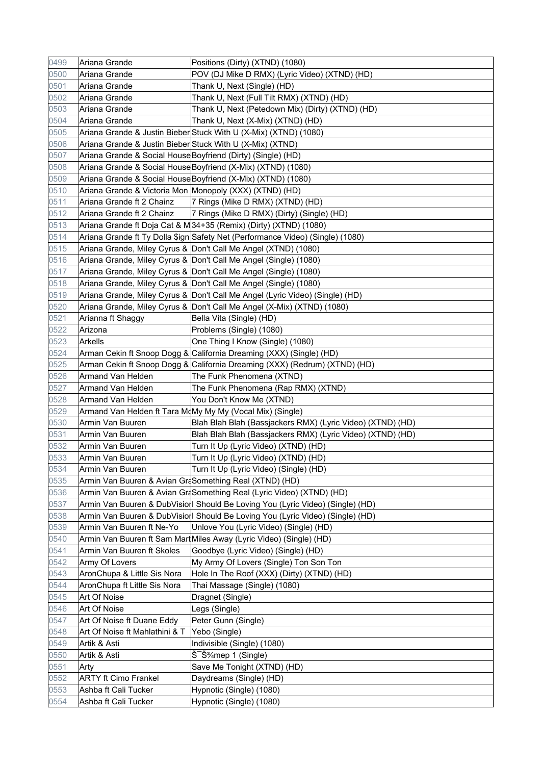| 0499         | Ariana Grande                                                | Positions (Dirty) (XTND) (1080)                                                |
|--------------|--------------------------------------------------------------|--------------------------------------------------------------------------------|
| 0500         | Ariana Grande                                                | POV (DJ Mike D RMX) (Lyric Video) (XTND) (HD)                                  |
| 0501         | Ariana Grande                                                | Thank U, Next (Single) (HD)                                                    |
| 0502         | Ariana Grande                                                | Thank U, Next (Full Tilt RMX) (XTND) (HD)                                      |
| 0503         | Ariana Grande                                                | Thank U, Next (Petedown Mix) (Dirty) (XTND) (HD)                               |
| 0504         | Ariana Grande                                                | Thank U, Next (X-Mix) (XTND) (HD)                                              |
| 0505         |                                                              | Ariana Grande & Justin Bieber Stuck With U (X-Mix) (XTND) (1080)               |
| 0506         | Ariana Grande & Justin Bieber Stuck With U (X-Mix) (XTND)    |                                                                                |
| 0507         | Ariana Grande & Social House Boyfriend (Dirty) (Single) (HD) |                                                                                |
| 0508         |                                                              | Ariana Grande & Social House Boyfriend (X-Mix) (XTND) (1080)                   |
| 0509         |                                                              | Ariana Grande & Social House Boyfriend (X-Mix) (XTND) (1080)                   |
| 0510         | Ariana Grande & Victoria Mon Monopoly (XXX) (XTND) (HD)      |                                                                                |
| 0511         | Ariana Grande ft 2 Chainz                                    | 7 Rings (Mike D RMX) (XTND) (HD)                                               |
| 0512         | Ariana Grande ft 2 Chainz                                    | 7 Rings (Mike D RMX) (Dirty) (Single) (HD)                                     |
| 0513         |                                                              | Ariana Grande ft Doja Cat & M 34+35 (Remix) (Dirty) (XTND) (1080)              |
| 0514         |                                                              | Ariana Grande ft Ty Dolla \$ign Safety Net (Performance Video) (Single) (1080) |
| 0515         |                                                              | Ariana Grande, Miley Cyrus & Don't Call Me Angel (XTND) (1080)                 |
| 0516         |                                                              | Ariana Grande, Miley Cyrus & Don't Call Me Angel (Single) (1080)               |
| 0517         |                                                              | Ariana Grande, Miley Cyrus & Don't Call Me Angel (Single) (1080)               |
| 0518         |                                                              | Ariana Grande, Miley Cyrus & Don't Call Me Angel (Single) (1080)               |
| 0519         |                                                              | Ariana Grande, Miley Cyrus & Don't Call Me Angel (Lyric Video) (Single) (HD)   |
| 0520         |                                                              | Ariana Grande, Miley Cyrus & Don't Call Me Angel (X-Mix) (XTND) (1080)         |
| 0521         | Arianna ft Shaggy                                            | Bella Vita (Single) (HD)                                                       |
| 0522         | Arizona                                                      | Problems (Single) (1080)                                                       |
| 0523         | Arkells                                                      | One Thing I Know (Single) (1080)                                               |
| 0524         |                                                              | Arman Cekin ft Snoop Dogg & California Dreaming (XXX) (Single) (HD)            |
| 0525         |                                                              | Arman Cekin ft Snoop Dogg & California Dreaming (XXX) (Redrum) (XTND) (HD)     |
| 0526         | Armand Van Helden                                            | The Funk Phenomena (XTND)                                                      |
| 0527         | Armand Van Helden                                            | The Funk Phenomena (Rap RMX) (XTND)                                            |
| 0528         | Armand Van Helden                                            | You Don't Know Me (XTND)                                                       |
|              |                                                              |                                                                                |
| 0529         | Armand Van Helden ft Tara MoMy My My (Vocal Mix) (Single)    |                                                                                |
| 0530         | Armin Van Buuren                                             | Blah Blah Blah (Bassjackers RMX) (Lyric Video) (XTND) (HD)                     |
| 0531         | Armin Van Buuren                                             | Blah Blah Blah (Bassjackers RMX) (Lyric Video) (XTND) (HD)                     |
| 0532         | Armin Van Buuren                                             | Turn It Up (Lyric Video) (XTND) (HD)                                           |
| 0533         | Armin Van Buuren                                             | Turn It Up (Lyric Video) (XTND) (HD)                                           |
| 0534         | Armin Van Buuren                                             | Turn It Up (Lyric Video) (Single) (HD)                                         |
| 0535         | Armin Van Buuren & Avian GraSomething Real (XTND) (HD)       |                                                                                |
| 0536         |                                                              | Armin Van Buuren & Avian GraSomething Real (Lyric Video) (XTND) (HD)           |
| 0537         |                                                              | Armin Van Buuren & DubVisio I Should Be Loving You (Lyric Video) (Single) (HD) |
| 0538         |                                                              | Armin Van Buuren & DubVision Should Be Loving You (Lyric Video) (Single) (HD)  |
| 0539         | Armin Van Buuren ft Ne-Yo                                    | Unlove You (Lyric Video) (Single) (HD)                                         |
| 0540         |                                                              | Armin Van Buuren ft Sam MartMiles Away (Lyric Video) (Single) (HD)             |
| 0541         | Armin Van Buuren ft Skoles                                   | Goodbye (Lyric Video) (Single) (HD)                                            |
| 0542         | Army Of Lovers                                               | My Army Of Lovers (Single) Ton Son Ton                                         |
| 0543         | AronChupa & Little Sis Nora                                  | Hole In The Roof (XXX) (Dirty) (XTND) (HD)                                     |
| 0544         | AronChupa ft Little Sis Nora                                 | Thai Massage (Single) (1080)                                                   |
| 0545         | Art Of Noise                                                 | Dragnet (Single)                                                               |
| 0546         | Art Of Noise                                                 | Legs (Single)                                                                  |
| 0547         | Art Of Noise ft Duane Eddy                                   | Peter Gunn (Single)                                                            |
| 0548         | Art Of Noise ft Mahlathini & T                               | Yebo (Single)                                                                  |
| 0549         | Artik & Asti                                                 | Indivisible (Single) (1080)                                                    |
| 0550         | Artik & Asti                                                 | Š Š <sup>2</sup> / <sub>4</sub> mep 1 (Single)                                 |
| 0551         | Arty                                                         | Save Me Tonight (XTND) (HD)                                                    |
| 0552         | <b>ARTY ft Cimo Frankel</b>                                  | Daydreams (Single) (HD)                                                        |
| 0553<br>0554 | Ashba ft Cali Tucker<br>Ashba ft Cali Tucker                 | Hypnotic (Single) (1080)<br>Hypnotic (Single) (1080)                           |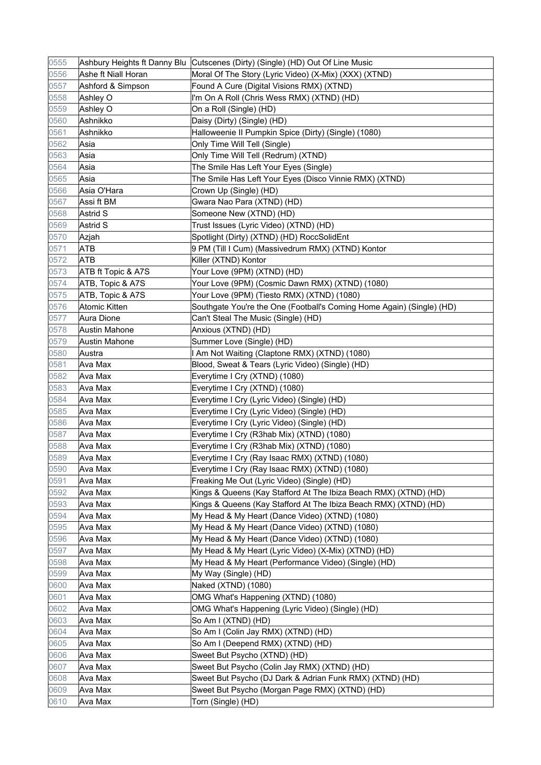| 0555 |                     | Ashbury Heights ft Danny Blu   Cutscenes (Dirty) (Single) (HD) Out Of Line Music |
|------|---------------------|----------------------------------------------------------------------------------|
| 0556 | Ashe ft Niall Horan | Moral Of The Story (Lyric Video) (X-Mix) (XXX) (XTND)                            |
| 0557 | Ashford & Simpson   | Found A Cure (Digital Visions RMX) (XTND)                                        |
| 0558 | Ashley O            | I'm On A Roll (Chris Wess RMX) (XTND) (HD)                                       |
| 0559 | Ashley O            | On a Roll (Single) (HD)                                                          |
| 0560 | Ashnikko            | Daisy (Dirty) (Single) (HD)                                                      |
| 0561 | Ashnikko            | Halloweenie II Pumpkin Spice (Dirty) (Single) (1080)                             |
| 0562 | Asia                | Only Time Will Tell (Single)                                                     |
| 0563 | Asia                | Only Time Will Tell (Redrum) (XTND)                                              |
| 0564 | Asia                | The Smile Has Left Your Eyes (Single)                                            |
| 0565 | Asia                | The Smile Has Left Your Eyes (Disco Vinnie RMX) (XTND)                           |
| 0566 | Asia O'Hara         | Crown Up (Single) (HD)                                                           |
| 0567 | Assi ft BM          | Gwara Nao Para (XTND) (HD)                                                       |
| 0568 | Astrid S            | Someone New (XTND) (HD)                                                          |
| 0569 | Astrid S            | Trust Issues (Lyric Video) (XTND) (HD)                                           |
| 0570 | Azjah               | Spotlight (Dirty) (XTND) (HD) RoccSolidEnt                                       |
| 0571 | ATB                 | 9 PM (Till I Cum) (Massivedrum RMX) (XTND) Kontor                                |
| 0572 | ATB                 | Killer (XTND) Kontor                                                             |
| 0573 | ATB ft Topic & A7S  | Your Love (9PM) (XTND) (HD)                                                      |
| 0574 | ATB, Topic & A7S    | Your Love (9PM) (Cosmic Dawn RMX) (XTND) (1080)                                  |
| 0575 | ATB, Topic & A7S    | Your Love (9PM) (Tiesto RMX) (XTND) (1080)                                       |
| 0576 | Atomic Kitten       | Southgate You're the One (Football's Coming Home Again) (Single) (HD)            |
| 0577 | Aura Dione          | Can't Steal The Music (Single) (HD)                                              |
| 0578 | Austin Mahone       | Anxious (XTND) (HD)                                                              |
| 0579 | Austin Mahone       | Summer Love (Single) (HD)                                                        |
| 0580 | Austra              | I Am Not Waiting (Claptone RMX) (XTND) (1080)                                    |
| 0581 | Ava Max             | Blood, Sweat & Tears (Lyric Video) (Single) (HD)                                 |
| 0582 | Ava Max             | Everytime I Cry (XTND) (1080)                                                    |
| 0583 | Ava Max             | Everytime I Cry (XTND) (1080)                                                    |
| 0584 | Ava Max             | Everytime I Cry (Lyric Video) (Single) (HD)                                      |
| 0585 | Ava Max             | Everytime I Cry (Lyric Video) (Single) (HD)                                      |
| 0586 | Ava Max             | Everytime I Cry (Lyric Video) (Single) (HD)                                      |
| 0587 | Ava Max             | Everytime I Cry (R3hab Mix) (XTND) (1080)                                        |
| 0588 | Ava Max             | Everytime I Cry (R3hab Mix) (XTND) (1080)                                        |
| 0589 | Ava Max             | Everytime I Cry (Ray Isaac RMX) (XTND) (1080)                                    |
| 0590 | Ava Max             | Everytime I Cry (Ray Isaac RMX) (XTND) (1080)                                    |
| 0591 | Ava Max             | Freaking Me Out (Lyric Video) (Single) (HD)                                      |
| 0592 | Ava Max             | Kings & Queens (Kay Stafford At The Ibiza Beach RMX) (XTND) (HD)                 |
| 0593 | Ava Max             | Kings & Queens (Kay Stafford At The Ibiza Beach RMX) (XTND) (HD)                 |
| 0594 | Ava Max             | My Head & My Heart (Dance Video) (XTND) (1080)                                   |
| 0595 | Ava Max             | My Head & My Heart (Dance Video) (XTND) (1080)                                   |
| 0596 | Ava Max             | My Head & My Heart (Dance Video) (XTND) (1080)                                   |
| 0597 | Ava Max             | My Head & My Heart (Lyric Video) (X-Mix) (XTND) (HD)                             |
| 0598 | Ava Max             | My Head & My Heart (Performance Video) (Single) (HD)                             |
| 0599 | Ava Max             | My Way (Single) (HD)                                                             |
| 0600 | Ava Max             | Naked (XTND) (1080)                                                              |
| 0601 | Ava Max             | OMG What's Happening (XTND) (1080)                                               |
| 0602 | Ava Max             | OMG What's Happening (Lyric Video) (Single) (HD)                                 |
| 0603 | Ava Max             | So Am I (XTND) (HD)                                                              |
| 0604 | Ava Max             | So Am I (Colin Jay RMX) (XTND) (HD)                                              |
| 0605 | Ava Max             | So Am I (Deepend RMX) (XTND) (HD)                                                |
| 0606 | Ava Max             | Sweet But Psycho (XTND) (HD)                                                     |
| 0607 | Ava Max             | Sweet But Psycho (Colin Jay RMX) (XTND) (HD)                                     |
| 0608 | Ava Max             | Sweet But Psycho (DJ Dark & Adrian Funk RMX) (XTND) (HD)                         |
| 0609 | Ava Max             | Sweet But Psycho (Morgan Page RMX) (XTND) (HD)                                   |
| 0610 | Ava Max             | Torn (Single) (HD)                                                               |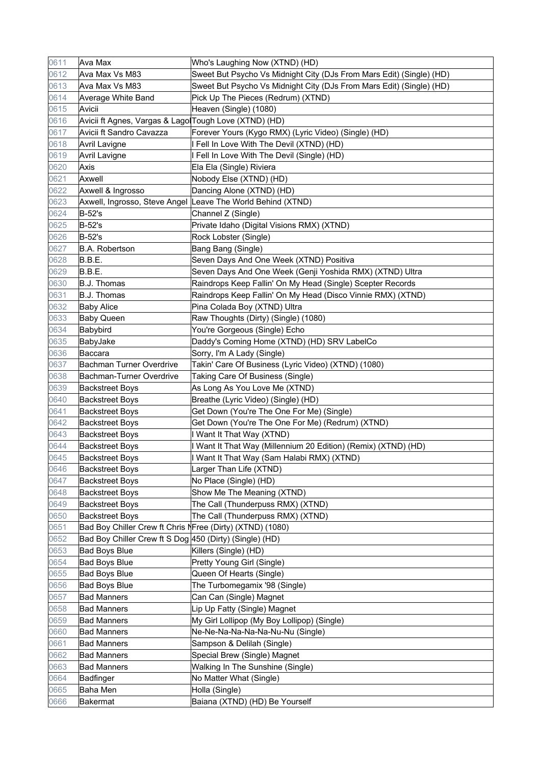| 0611 | Ava Max                                                   | Who's Laughing Now (XTND) (HD)                                       |
|------|-----------------------------------------------------------|----------------------------------------------------------------------|
| 0612 | Ava Max Vs M83                                            | Sweet But Psycho Vs Midnight City (DJs From Mars Edit) (Single) (HD) |
| 0613 | Ava Max Vs M83                                            | Sweet But Psycho Vs Midnight City (DJs From Mars Edit) (Single) (HD) |
| 0614 | Average White Band                                        | Pick Up The Pieces (Redrum) (XTND)                                   |
| 0615 | Avicii                                                    | Heaven (Single) (1080)                                               |
| 0616 | Avicii ft Agnes, Vargas & LagolTough Love (XTND) (HD)     |                                                                      |
| 0617 | Avicii ft Sandro Cavazza                                  | Forever Yours (Kygo RMX) (Lyric Video) (Single) (HD)                 |
| 0618 | Avril Lavigne                                             | I Fell In Love With The Devil (XTND) (HD)                            |
| 0619 | Avril Lavigne                                             | I Fell In Love With The Devil (Single) (HD)                          |
| 0620 | Axis                                                      | Ela Ela (Single) Riviera                                             |
| 0621 | Axwell                                                    | Nobody Else (XTND) (HD)                                              |
| 0622 | Axwell & Ingrosso                                         | Dancing Alone (XTND) (HD)                                            |
| 0623 |                                                           | Axwell, Ingrosso, Steve Angel Leave The World Behind (XTND)          |
| 0624 | <b>B-52's</b>                                             | Channel Z (Single)                                                   |
| 0625 | B-52's                                                    | Private Idaho (Digital Visions RMX) (XTND)                           |
| 0626 | <b>B-52's</b>                                             | Rock Lobster (Single)                                                |
| 0627 | <b>B.A. Robertson</b>                                     | Bang Bang (Single)                                                   |
| 0628 | B.B.E.                                                    | Seven Days And One Week (XTND) Positiva                              |
| 0629 | B.B.E.                                                    | Seven Days And One Week (Genji Yoshida RMX) (XTND) Ultra             |
| 0630 | <b>B.J. Thomas</b>                                        | Raindrops Keep Fallin' On My Head (Single) Scepter Records           |
| 0631 | <b>B.J. Thomas</b>                                        | Raindrops Keep Fallin' On My Head (Disco Vinnie RMX) (XTND)          |
| 0632 | <b>Baby Alice</b>                                         | Pina Colada Boy (XTND) Ultra                                         |
| 0633 | <b>Baby Queen</b>                                         | Raw Thoughts (Dirty) (Single) (1080)                                 |
| 0634 | Babybird                                                  | You're Gorgeous (Single) Echo                                        |
| 0635 | BabyJake                                                  | Daddy's Coming Home (XTND) (HD) SRV LabelCo                          |
| 0636 | Baccara                                                   | Sorry, I'm A Lady (Single)                                           |
| 0637 | Bachman Turner Overdrive                                  | Takin' Care Of Business (Lyric Video) (XTND) (1080)                  |
| 0638 | Bachman-Turner Overdrive                                  | Taking Care Of Business (Single)                                     |
| 0639 | <b>Backstreet Boys</b>                                    | As Long As You Love Me (XTND)                                        |
| 0640 | <b>Backstreet Boys</b>                                    | Breathe (Lyric Video) (Single) (HD)                                  |
| 0641 | <b>Backstreet Boys</b>                                    | Get Down (You're The One For Me) (Single)                            |
| 0642 | <b>Backstreet Boys</b>                                    | Get Down (You're The One For Me) (Redrum) (XTND)                     |
| 0643 | <b>Backstreet Boys</b>                                    | I Want It That Way (XTND)                                            |
| 0644 | <b>Backstreet Boys</b>                                    | I Want It That Way (Millennium 20 Edition) (Remix) (XTND) (HD)       |
| 0645 | <b>Backstreet Boys</b>                                    | I Want It That Way (Sam Halabi RMX) (XTND)                           |
| 0646 | <b>Backstreet Boys</b>                                    | Larger Than Life (XTND)                                              |
| 0647 | <b>Backstreet Boys</b>                                    | No Place (Single) (HD)                                               |
| 0648 | <b>Backstreet Boys</b>                                    | Show Me The Meaning (XTND)                                           |
| 0649 | <b>Backstreet Boys</b>                                    | The Call (Thunderpuss RMX) (XTND)                                    |
| 0650 | <b>Backstreet Boys</b>                                    | The Call (Thunderpuss RMX) (XTND)                                    |
| 0651 | Bad Boy Chiller Crew ft Chris NFree (Dirty) (XTND) (1080) |                                                                      |
| 0652 | Bad Boy Chiller Crew ft S Dog 450 (Dirty) (Single) (HD)   |                                                                      |
| 0653 | <b>Bad Boys Blue</b>                                      | Killers (Single) (HD)                                                |
| 0654 | <b>Bad Boys Blue</b>                                      | Pretty Young Girl (Single)                                           |
| 0655 | <b>Bad Boys Blue</b>                                      | Queen Of Hearts (Single)                                             |
| 0656 | <b>Bad Boys Blue</b>                                      | The Turbomegamix '98 (Single)                                        |
| 0657 | <b>Bad Manners</b>                                        | Can Can (Single) Magnet                                              |
| 0658 | <b>Bad Manners</b>                                        | Lip Up Fatty (Single) Magnet                                         |
| 0659 | <b>Bad Manners</b>                                        | My Girl Lollipop (My Boy Lollipop) (Single)                          |
| 0660 | <b>Bad Manners</b>                                        | Ne-Ne-Na-Na-Na-Na-Nu-Nu (Single)                                     |
| 0661 | <b>Bad Manners</b>                                        | Sampson & Delilah (Single)                                           |
| 0662 | <b>Bad Manners</b>                                        | Special Brew (Single) Magnet                                         |
| 0663 | <b>Bad Manners</b>                                        | Walking In The Sunshine (Single)                                     |
| 0664 | <b>Badfinger</b>                                          | No Matter What (Single)                                              |
| 0665 | Baha Men                                                  | Holla (Single)                                                       |
| 0666 |                                                           | Baiana (XTND) (HD) Be Yourself                                       |
|      | Bakermat                                                  |                                                                      |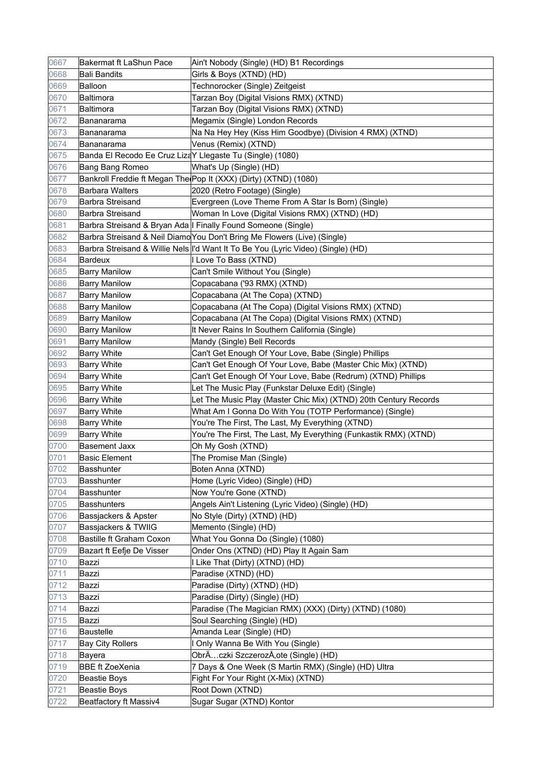| 0667 | Bakermat ft LaShun Pace                                   | Ain't Nobody (Single) (HD) B1 Recordings                                           |
|------|-----------------------------------------------------------|------------------------------------------------------------------------------------|
| 0668 | <b>Bali Bandits</b>                                       | Girls & Boys (XTND) (HD)                                                           |
| 0669 | Balloon                                                   | Technorocker (Single) Zeitgeist                                                    |
| 0670 | Baltimora                                                 | Tarzan Boy (Digital Visions RMX) (XTND)                                            |
| 0671 | Baltimora                                                 | Tarzan Boy (Digital Visions RMX) (XTND)                                            |
| 0672 | Bananarama                                                | Megamix (Single) London Records                                                    |
| 0673 | Bananarama                                                | Na Na Hey Hey (Kiss Him Goodbye) (Division 4 RMX) (XTND)                           |
| 0674 | Bananarama                                                | Venus (Remix) (XTND)                                                               |
| 0675 | Banda El Recodo Ee Cruz LizaY Llegaste Tu (Single) (1080) |                                                                                    |
| 0676 | Bang Bang Romeo                                           | What's Up (Single) (HD)                                                            |
| 0677 |                                                           | Bankroll Freddie ft Megan The Pop It (XXX) (Dirty) (XTND) (1080)                   |
| 0678 | <b>Barbara Walters</b>                                    | 2020 (Retro Footage) (Single)                                                      |
| 0679 | <b>Barbra Streisand</b>                                   | Evergreen (Love Theme From A Star Is Born) (Single)                                |
| 0680 | <b>Barbra Streisand</b>                                   | Woman In Love (Digital Visions RMX) (XTND) (HD)                                    |
| 0681 |                                                           | Barbra Streisand & Bryan Ada   Finally Found Someone (Single)                      |
| 0682 |                                                           | Barbra Streisand & Neil Diamo You Don't Bring Me Flowers (Live) (Single)           |
| 0683 |                                                           | Barbra Streisand & Willie Nels   I'd Want It To Be You (Lyric Video) (Single) (HD) |
| 0684 | <b>Bardeux</b>                                            | I Love To Bass (XTND)                                                              |
| 0685 | <b>Barry Manilow</b>                                      | Can't Smile Without You (Single)                                                   |
| 0686 | <b>Barry Manilow</b>                                      | Copacabana ('93 RMX) (XTND)                                                        |
| 0687 | <b>Barry Manilow</b>                                      | Copacabana (At The Copa) (XTND)                                                    |
| 0688 | <b>Barry Manilow</b>                                      | Copacabana (At The Copa) (Digital Visions RMX) (XTND)                              |
| 0689 | <b>Barry Manilow</b>                                      | Copacabana (At The Copa) (Digital Visions RMX) (XTND)                              |
| 0690 | <b>Barry Manilow</b>                                      | It Never Rains In Southern California (Single)                                     |
| 0691 | <b>Barry Manilow</b>                                      | Mandy (Single) Bell Records                                                        |
| 0692 | <b>Barry White</b>                                        | Can't Get Enough Of Your Love, Babe (Single) Phillips                              |
| 0693 | <b>Barry White</b>                                        | Can't Get Enough Of Your Love, Babe (Master Chic Mix) (XTND)                       |
| 0694 | <b>Barry White</b>                                        | Can't Get Enough Of Your Love, Babe (Redrum) (XTND) Phillips                       |
| 0695 | <b>Barry White</b>                                        | Let The Music Play (Funkstar Deluxe Edit) (Single)                                 |
| 0696 | Barry White                                               | Let The Music Play (Master Chic Mix) (XTND) 20th Century Records                   |
| 0697 | <b>Barry White</b>                                        | What Am I Gonna Do With You (TOTP Performance) (Single)                            |
| 0698 | <b>Barry White</b>                                        | You're The First, The Last, My Everything (XTND)                                   |
| 0699 | <b>Barry White</b>                                        | You're The First, The Last, My Everything (Funkastik RMX) (XTND)                   |
| 0700 | <b>Basement Jaxx</b>                                      | Oh My Gosh (XTND)                                                                  |
| 0701 | <b>Basic Element</b>                                      | The Promise Man (Single)                                                           |
| 0702 | Basshunter                                                | Boten Anna (XTND)                                                                  |
| 0703 | <b>Basshunter</b>                                         | Home (Lyric Video) (Single) (HD)                                                   |
| 0704 | <b>Basshunter</b>                                         | Now You're Gone (XTND)                                                             |
| 0705 | <b>Basshunters</b>                                        | Angels Ain't Listening (Lyric Video) (Single) (HD)                                 |
| 0706 | Bassjackers & Apster                                      | No Style (Dirty) (XTND) (HD)                                                       |
| 0707 | Bassjackers & TWIIG                                       | Memento (Single) (HD)                                                              |
| 0708 | <b>Bastille ft Graham Coxon</b>                           | What You Gonna Do (Single) (1080)                                                  |
| 0709 | Bazart ft Eefje De Visser                                 | Onder Ons (XTND) (HD) Play It Again Sam                                            |
| 0710 | Bazzi                                                     | I Like That (Dirty) (XTND) (HD)                                                    |
| 0711 | Bazzi                                                     | Paradise (XTND) (HD)                                                               |
| 0712 | Bazzi                                                     | Paradise (Dirty) (XTND) (HD)                                                       |
| 0713 | Bazzi                                                     | Paradise (Dirty) (Single) (HD)                                                     |
| 0714 | Bazzi                                                     | Paradise (The Magician RMX) (XXX) (Dirty) (XTND) (1080)                            |
| 0715 | Bazzi                                                     | Soul Searching (Single) (HD)                                                       |
| 0716 | <b>Baustelle</b>                                          | Amanda Lear (Single) (HD)                                                          |
| 0717 | <b>Bay City Rollers</b>                                   | I Only Wanna Be With You (Single)                                                  |
| 0718 | Bayera                                                    | ObrÄczki SzczerozÅ,ote (Single) (HD)                                               |
| 0719 | <b>BBE ft ZoeXenia</b>                                    | 7 Days & One Week (S Martin RMX) (Single) (HD) Ultra                               |
| 0720 | <b>Beastie Boys</b>                                       | Fight For Your Right (X-Mix) (XTND)                                                |
| 0721 | <b>Beastie Boys</b>                                       | Root Down (XTND)                                                                   |
| 0722 | Beatfactory ft Massiv4                                    | Sugar Sugar (XTND) Kontor                                                          |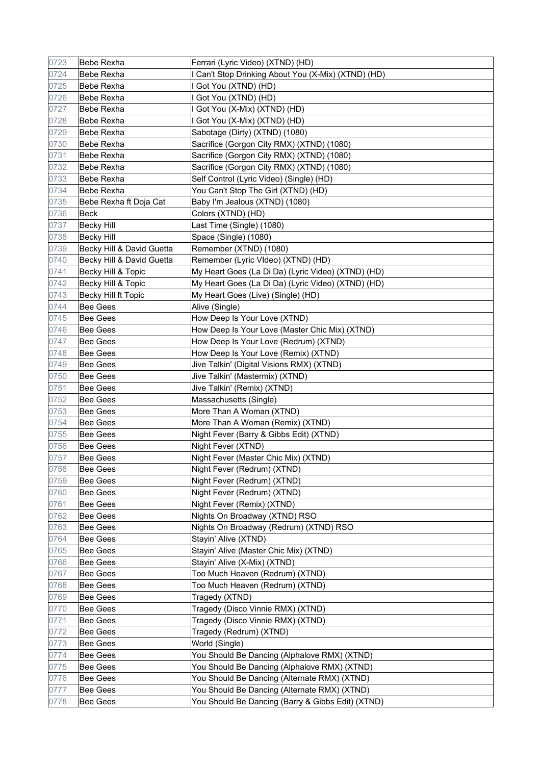| 0723 | Bebe Rexha                | Ferrari (Lyric Video) (XTND) (HD)                   |
|------|---------------------------|-----------------------------------------------------|
| 0724 | Bebe Rexha                | I Can't Stop Drinking About You (X-Mix) (XTND) (HD) |
| 0725 | Bebe Rexha                | I Got You (XTND) (HD)                               |
| 0726 | Bebe Rexha                | Got You (XTND) (HD)                                 |
| 0727 | Bebe Rexha                | I Got You (X-Mix) (XTND) (HD)                       |
| 0728 | Bebe Rexha                | I Got You (X-Mix) (XTND) (HD)                       |
| 0729 | Bebe Rexha                | Sabotage (Dirty) (XTND) (1080)                      |
| 0730 | Bebe Rexha                | Sacrifice (Gorgon City RMX) (XTND) (1080)           |
| 0731 | <b>Bebe Rexha</b>         | Sacrifice (Gorgon City RMX) (XTND) (1080)           |
| 0732 | Bebe Rexha                | Sacrifice (Gorgon City RMX) (XTND) (1080)           |
| 0733 | Bebe Rexha                | Self Control (Lyric Video) (Single) (HD)            |
| 0734 | Bebe Rexha                | You Can't Stop The Girl (XTND) (HD)                 |
| 0735 | Bebe Rexha ft Doja Cat    | Baby I'm Jealous (XTND) (1080)                      |
| 0736 | Beck                      | Colors (XTND) (HD)                                  |
| 0737 | <b>Becky Hill</b>         | Last Time (Single) (1080)                           |
| 0738 | <b>Becky Hill</b>         | Space (Single) (1080)                               |
| 0739 | Becky Hill & David Guetta | Remember (XTND) (1080)                              |
| 0740 | Becky Hill & David Guetta | Remember (Lyric VIdeo) (XTND) (HD)                  |
| 0741 | Becky Hill & Topic        | My Heart Goes (La Di Da) (Lyric Video) (XTND) (HD)  |
| 0742 | Becky Hill & Topic        | My Heart Goes (La Di Da) (Lyric Video) (XTND) (HD)  |
| 0743 | Becky Hill ft Topic       | My Heart Goes (Live) (Single) (HD)                  |
| 0744 | Bee Gees                  | Alive (Single)                                      |
| 0745 | Bee Gees                  | How Deep Is Your Love (XTND)                        |
| 0746 | Bee Gees                  | How Deep Is Your Love (Master Chic Mix) (XTND)      |
| 0747 | Bee Gees                  | How Deep Is Your Love (Redrum) (XTND)               |
| 0748 | <b>Bee Gees</b>           | How Deep Is Your Love (Remix) (XTND)                |
| 0749 | <b>Bee Gees</b>           | Jive Talkin' (Digital Visions RMX) (XTND)           |
| 0750 | <b>Bee Gees</b>           | Jive Talkin' (Mastermix) (XTND)                     |
| 0751 | <b>Bee Gees</b>           | Jive Talkin' (Remix) (XTND)                         |
| 0752 | Bee Gees                  | Massachusetts (Single)                              |
| 0753 | Bee Gees                  | More Than A Woman (XTND)                            |
| 0754 | Bee Gees                  | More Than A Woman (Remix) (XTND)                    |
| 0755 | Bee Gees                  | Night Fever (Barry & Gibbs Edit) (XTND)             |
| 0756 | <b>Bee Gees</b>           | Night Fever (XTND)                                  |
| 0757 | Bee Gees                  | Night Fever (Master Chic Mix) (XTND)                |
| 0758 | Bee Gees                  | Night Fever (Redrum) (XTND)                         |
| 0759 | <b>Bee Gees</b>           | Night Fever (Redrum) (XTND)                         |
| 0760 | Bee Gees                  | Night Fever (Redrum) (XTND)                         |
| 0761 | <b>Bee Gees</b>           | Night Fever (Remix) (XTND)                          |
| 0762 | Bee Gees                  | Nights On Broadway (XTND) RSO                       |
| 0763 | Bee Gees                  | Nights On Broadway (Redrum) (XTND) RSO              |
| 0764 | Bee Gees                  | Stayin' Alive (XTND)                                |
| 0765 | Bee Gees                  | Stayin' Alive (Master Chic Mix) (XTND)              |
| 0766 | Bee Gees                  | Stayin' Alive (X-Mix) (XTND)                        |
| 0767 | <b>Bee Gees</b>           | Too Much Heaven (Redrum) (XTND)                     |
| 0768 | Bee Gees                  | Too Much Heaven (Redrum) (XTND)                     |
| 0769 | Bee Gees                  | Tragedy (XTND)                                      |
| 0770 | Bee Gees                  | Tragedy (Disco Vinnie RMX) (XTND)                   |
| 0771 | Bee Gees                  | Tragedy (Disco Vinnie RMX) (XTND)                   |
| 0772 | Bee Gees                  | Tragedy (Redrum) (XTND)                             |
| 0773 | Bee Gees                  | World (Single)                                      |
| 0774 | Bee Gees                  | You Should Be Dancing (Alphalove RMX) (XTND)        |
| 0775 | Bee Gees                  | You Should Be Dancing (Alphalove RMX) (XTND)        |
| 0776 | Bee Gees                  | You Should Be Dancing (Alternate RMX) (XTND)        |
| 0777 | Bee Gees                  | You Should Be Dancing (Alternate RMX) (XTND)        |
| 0778 | <b>Bee Gees</b>           | You Should Be Dancing (Barry & Gibbs Edit) (XTND)   |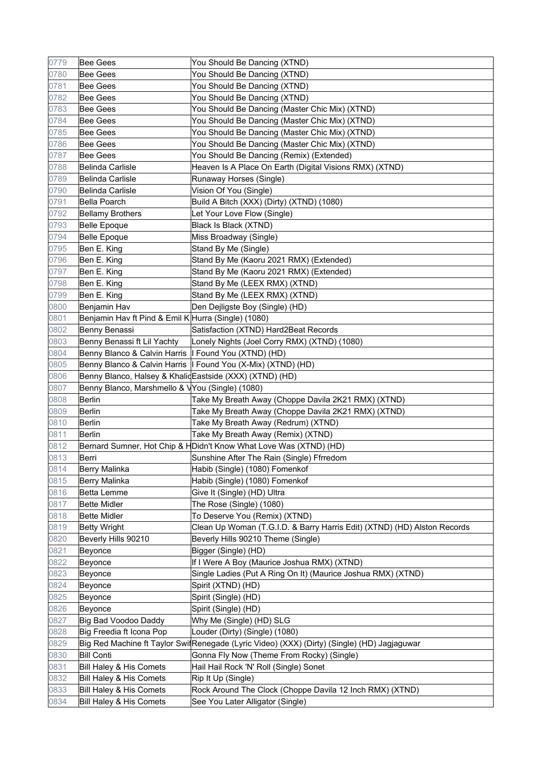| 0779 | Bee Gees                                                | You Should Be Dancing (XTND)                                                                |
|------|---------------------------------------------------------|---------------------------------------------------------------------------------------------|
| 0780 | <b>Bee Gees</b>                                         | You Should Be Dancing (XTND)                                                                |
| 0781 | <b>Bee Gees</b>                                         | You Should Be Dancing (XTND)                                                                |
| 0782 | Bee Gees                                                | You Should Be Dancing (XTND)                                                                |
| 0783 | Bee Gees                                                | You Should Be Dancing (Master Chic Mix) (XTND)                                              |
| 0784 | Bee Gees                                                | You Should Be Dancing (Master Chic Mix) (XTND)                                              |
| 0785 | Bee Gees                                                | You Should Be Dancing (Master Chic Mix) (XTND)                                              |
| 0786 | <b>Bee Gees</b>                                         | You Should Be Dancing (Master Chic Mix) (XTND)                                              |
| 0787 | <b>Bee Gees</b>                                         | You Should Be Dancing (Remix) (Extended)                                                    |
| 0788 | Belinda Carlisle                                        | Heaven Is A Place On Earth (Digital Visions RMX) (XTND)                                     |
| 0789 | Belinda Carlisle                                        | Runaway Horses (Single)                                                                     |
| 0790 | Belinda Carlisle                                        | Vision Of You (Single)                                                                      |
| 0791 | Bella Poarch                                            | Build A Bitch (XXX) (Dirty) (XTND) (1080)                                                   |
| 0792 | <b>Bellamy Brothers</b>                                 | Let Your Love Flow (Single)                                                                 |
| 0793 | <b>Belle Epoque</b>                                     | Black Is Black (XTND)                                                                       |
| 0794 | <b>Belle Epoque</b>                                     | Miss Broadway (Single)                                                                      |
| 0795 | Ben E. King                                             | Stand By Me (Single)                                                                        |
| 0796 | Ben E. King                                             | Stand By Me (Kaoru 2021 RMX) (Extended)                                                     |
| 0797 | Ben E. King                                             | Stand By Me (Kaoru 2021 RMX) (Extended)                                                     |
| 0798 | Ben E. King                                             | Stand By Me (LEEX RMX) (XTND)                                                               |
| 0799 | Ben E. King                                             | Stand By Me (LEEX RMX) (XTND)                                                               |
| 0800 | Benjamin Hav                                            | Den Dejligste Boy (Single) (HD)                                                             |
| 0801 | Benjamin Hav ft Pind & Emil K Hurra (Single) (1080)     |                                                                                             |
| 0802 | Benny Benassi                                           | Satisfaction (XTND) Hard2Beat Records                                                       |
| 0803 | Benny Benassi ft Lil Yachty                             | Lonely Nights (Joel Corry RMX) (XTND) (1080)                                                |
| 0804 | Benny Blanco & Calvin Harris   Found You (XTND) (HD)    |                                                                                             |
| 0805 |                                                         | Benny Blanco & Calvin Harris   Found You (X-Mix) (XTND) (HD)                                |
| 0806 | Benny Blanco, Halsey & KhalidEastside (XXX) (XTND) (HD) |                                                                                             |
| 0807 | Benny Blanco, Marshmello & VYou (Single) (1080)         |                                                                                             |
| 0808 | <b>Berlin</b>                                           | Take My Breath Away (Choppe Davila 2K21 RMX) (XTND)                                         |
| 0809 | <b>Berlin</b>                                           | Take My Breath Away (Choppe Davila 2K21 RMX) (XTND)                                         |
| 0810 | Berlin                                                  | Take My Breath Away (Redrum) (XTND)                                                         |
| 0811 | Berlin                                                  | Take My Breath Away (Remix) (XTND)                                                          |
| 0812 |                                                         | Bernard Sumner, Hot Chip & HDidn't Know What Love Was (XTND) (HD)                           |
| 0813 | Berri                                                   | Sunshine After The Rain (Single) Ffrredom                                                   |
| 0814 | Berry Malinka                                           | Habib (Single) (1080) Fomenkof                                                              |
| 0815 | Berry Malinka                                           | Habib (Single) (1080) Fomenkof                                                              |
| 0816 | Betta Lemme                                             | Give It (Single) (HD) Ultra                                                                 |
| 0817 | Bette Midler                                            | The Rose (Single) (1080)                                                                    |
| 0818 | <b>Bette Midler</b>                                     | To Deserve You (Remix) (XTND)                                                               |
| 0819 | <b>Betty Wright</b>                                     | Clean Up Woman (T.G.I.D. & Barry Harris Edit) (XTND) (HD) Alston Records                    |
| 0820 | Beverly Hills 90210                                     | Beverly Hills 90210 Theme (Single)                                                          |
| 0821 | Beyonce                                                 | Bigger (Single) (HD)                                                                        |
| 0822 | Beyonce                                                 | If I Were A Boy (Maurice Joshua RMX) (XTND)                                                 |
| 0823 | Beyonce                                                 | Single Ladies (Put A Ring On It) (Maurice Joshua RMX) (XTND)                                |
| 0824 | Beyonce                                                 | Spirit (XTND) (HD)                                                                          |
| 0825 | Beyonce                                                 | Spirit (Single) (HD)                                                                        |
| 0826 | Beyonce                                                 | Spirit (Single) (HD)                                                                        |
| 0827 | Big Bad Voodoo Daddy                                    | Why Me (Single) (HD) SLG                                                                    |
| 0828 | Big Freedia ft Icona Pop                                | Louder (Dirty) (Single) (1080)                                                              |
| 0829 |                                                         | Big Red Machine ft Taylor SwitRenegade (Lyric Video) (XXX) (Dirty) (Single) (HD) Jagjaguwar |
| 0830 | <b>Bill Conti</b>                                       | Gonna Fly Now (Theme From Rocky) (Single)                                                   |
| 0831 | Bill Haley & His Comets                                 | Hail Hail Rock 'N' Roll (Single) Sonet                                                      |
| 0832 | Bill Haley & His Comets                                 | Rip It Up (Single)                                                                          |
| 0833 | Bill Haley & His Comets                                 | Rock Around The Clock (Choppe Davila 12 Inch RMX) (XTND)                                    |
| 0834 | Bill Haley & His Comets                                 | See You Later Alligator (Single)                                                            |
|      |                                                         |                                                                                             |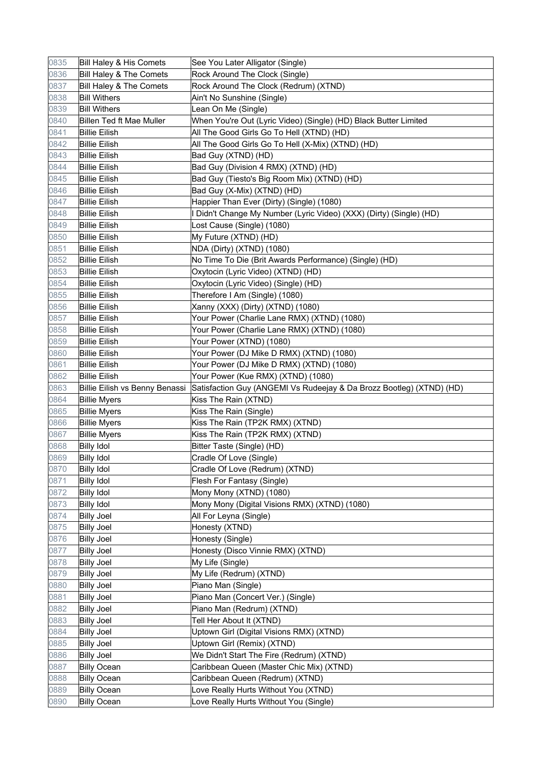| 0835         | Bill Haley & His Comets                  | See You Later Alligator (Single)                                               |
|--------------|------------------------------------------|--------------------------------------------------------------------------------|
| 0836         | Bill Haley & The Comets                  | Rock Around The Clock (Single)                                                 |
| 0837         | Bill Haley & The Comets                  | Rock Around The Clock (Redrum) (XTND)                                          |
| 0838         | <b>Bill Withers</b>                      | Ain't No Sunshine (Single)                                                     |
| 0839         | <b>Bill Withers</b>                      | Lean On Me (Single)                                                            |
| 0840         | <b>Billen Ted ft Mae Muller</b>          | When You're Out (Lyric Video) (Single) (HD) Black Butter Limited               |
| 0841         | <b>Billie Eilish</b>                     | All The Good Girls Go To Hell (XTND) (HD)                                      |
| 0842         | <b>Billie Eilish</b>                     | All The Good Girls Go To Hell (X-Mix) (XTND) (HD)                              |
| 0843         | <b>Billie Eilish</b>                     | Bad Guy (XTND) (HD)                                                            |
| 0844         | <b>Billie Eilish</b>                     | Bad Guy (Division 4 RMX) (XTND) (HD)                                           |
| 0845         | <b>Billie Eilish</b>                     | Bad Guy (Tiesto's Big Room Mix) (XTND) (HD)                                    |
| 0846         | <b>Billie Eilish</b>                     | Bad Guy (X-Mix) (XTND) (HD)                                                    |
| 0847         | <b>Billie Eilish</b>                     | Happier Than Ever (Dirty) (Single) (1080)                                      |
| 0848         | <b>Billie Eilish</b>                     | I Didn't Change My Number (Lyric Video) (XXX) (Dirty) (Single) (HD)            |
| 0849         | <b>Billie Eilish</b>                     | Lost Cause (Single) (1080)                                                     |
| 0850         | <b>Billie Eilish</b>                     | My Future (XTND) (HD)                                                          |
| 0851         | <b>Billie Eilish</b>                     | NDA (Dirty) (XTND) (1080)                                                      |
| 0852         | <b>Billie Eilish</b>                     | No Time To Die (Brit Awards Performance) (Single) (HD)                         |
| 0853         | <b>Billie Eilish</b>                     | Oxytocin (Lyric Video) (XTND) (HD)                                             |
| 0854         | <b>Billie Eilish</b>                     | Oxytocin (Lyric Video) (Single) (HD)                                           |
| 0855         | <b>Billie Eilish</b>                     | Therefore I Am (Single) (1080)                                                 |
| 0856         | Billie Eilish                            | Xanny (XXX) (Dirty) (XTND) (1080)                                              |
| 0857         | <b>Billie Eilish</b>                     | Your Power (Charlie Lane RMX) (XTND) (1080)                                    |
| 0858         | <b>Billie Eilish</b>                     | Your Power (Charlie Lane RMX) (XTND) (1080)                                    |
| 0859         | <b>Billie Eilish</b>                     | Your Power (XTND) (1080)                                                       |
| 0860         | <b>Billie Eilish</b>                     | Your Power (DJ Mike D RMX) (XTND) (1080)                                       |
| 0861         | <b>Billie Eilish</b>                     | Your Power (DJ Mike D RMX) (XTND) (1080)                                       |
| 0862         | <b>Billie Eilish</b>                     | Your Power (Kue RMX) (XTND) (1080)                                             |
|              |                                          |                                                                                |
|              |                                          |                                                                                |
| 0863         | Billie Eilish vs Benny Benassi           | Satisfaction Guy (ANGEMI Vs Rudeejay & Da Brozz Bootleg) (XTND) (HD)           |
| 0864         | <b>Billie Myers</b>                      | Kiss The Rain (XTND)                                                           |
| 0865         | <b>Billie Myers</b>                      | Kiss The Rain (Single)                                                         |
| 0866         | <b>Billie Myers</b>                      | Kiss The Rain (TP2K RMX) (XTND)                                                |
| 0867         | <b>Billie Myers</b>                      | Kiss The Rain (TP2K RMX) (XTND)                                                |
| 0868         | <b>Billy Idol</b>                        | Bitter Taste (Single) (HD)                                                     |
| 0869         | <b>Billy Idol</b>                        | Cradle Of Love (Single)                                                        |
| 0870         | <b>Billy Idol</b>                        | Cradle Of Love (Redrum) (XTND)                                                 |
| 0871         | <b>Billy Idol</b>                        | Flesh For Fantasy (Single)                                                     |
| 0872         | <b>Billy Idol</b>                        | Mony Mony (XTND) (1080)                                                        |
| 0873         | Billy Idol                               | Mony Mony (Digital Visions RMX) (XTND) (1080)                                  |
| 0874         | <b>Billy Joel</b>                        | All For Leyna (Single)                                                         |
| 0875         | <b>Billy Joel</b>                        | Honesty (XTND)                                                                 |
| 0876         | <b>Billy Joel</b>                        | Honesty (Single)                                                               |
| 0877         | <b>Billy Joel</b>                        | Honesty (Disco Vinnie RMX) (XTND)                                              |
| 0878         | <b>Billy Joel</b>                        | My Life (Single)                                                               |
| 0879         | <b>Billy Joel</b>                        | My Life (Redrum) (XTND)                                                        |
| 0880         | <b>Billy Joel</b>                        | Piano Man (Single)                                                             |
| 0881         | <b>Billy Joel</b>                        | Piano Man (Concert Ver.) (Single)                                              |
| 0882         | <b>Billy Joel</b>                        | Piano Man (Redrum) (XTND)                                                      |
| 0883         | <b>Billy Joel</b>                        | Tell Her About It (XTND)                                                       |
| 0884         | <b>Billy Joel</b>                        | Uptown Girl (Digital Visions RMX) (XTND)                                       |
| 0885         | <b>Billy Joel</b>                        | Uptown Girl (Remix) (XTND)                                                     |
| 0886         | <b>Billy Joel</b>                        | We Didn't Start The Fire (Redrum) (XTND)                                       |
| 0887         | <b>Billy Ocean</b>                       | Caribbean Queen (Master Chic Mix) (XTND)                                       |
| 0888         | <b>Billy Ocean</b>                       | Caribbean Queen (Redrum) (XTND)                                                |
| 0889<br>0890 | <b>Billy Ocean</b><br><b>Billy Ocean</b> | Love Really Hurts Without You (XTND)<br>Love Really Hurts Without You (Single) |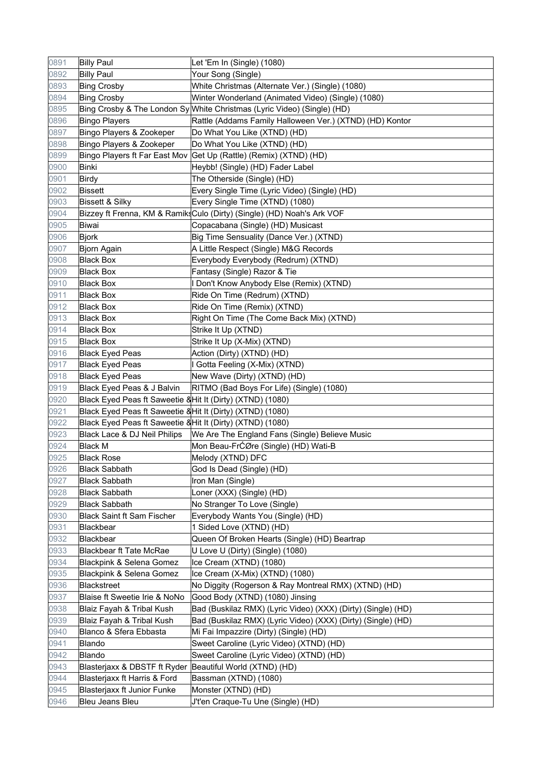| 0891 | <b>Billy Paul</b>                                          | Let 'Em In (Single) (1080)                                              |
|------|------------------------------------------------------------|-------------------------------------------------------------------------|
| 0892 | <b>Billy Paul</b>                                          | Your Song (Single)                                                      |
| 0893 | <b>Bing Crosby</b>                                         | White Christmas (Alternate Ver.) (Single) (1080)                        |
| 0894 | <b>Bing Crosby</b>                                         | Winter Wonderland (Animated Video) (Single) (1080)                      |
| 0895 |                                                            | Bing Crosby & The London Sy White Christmas (Lyric Video) (Single) (HD) |
| 0896 | <b>Bingo Players</b>                                       | Rattle (Addams Family Halloween Ver.) (XTND) (HD) Kontor                |
| 0897 | Bingo Players & Zookeper                                   | Do What You Like (XTND) (HD)                                            |
| 0898 | Bingo Players & Zookeper                                   | Do What You Like (XTND) (HD)                                            |
| 0899 |                                                            | Bingo Players ft Far East Mov Get Up (Rattle) (Remix) (XTND) (HD)       |
| 0900 | <b>Binki</b>                                               | Heybb! (Single) (HD) Fader Label                                        |
| 0901 | Birdy                                                      | The Otherside (Single) (HD)                                             |
| 0902 | <b>Bissett</b>                                             | Every Single Time (Lyric Video) (Single) (HD)                           |
| 0903 | <b>Bissett &amp; Silky</b>                                 | Every Single Time (XTND) (1080)                                         |
| 0904 |                                                            | Bizzey ft Frenna, KM & RamiksCulo (Dirty) (Single) (HD) Noah's Ark VOF  |
| 0905 | Biwai                                                      | Copacabana (Single) (HD) Musicast                                       |
| 0906 | <b>Bjork</b>                                               | Big Time Sensuality (Dance Ver.) (XTND)                                 |
| 0907 | Bjorn Again                                                | A Little Respect (Single) M&G Records                                   |
| 0908 | <b>Black Box</b>                                           | Everybody Everybody (Redrum) (XTND)                                     |
| 0909 | <b>Black Box</b>                                           | Fantasy (Single) Razor & Tie                                            |
| 0910 | Black Box                                                  | I Don't Know Anybody Else (Remix) (XTND)                                |
| 0911 | Black Box                                                  | Ride On Time (Redrum) (XTND)                                            |
| 0912 | Black Box                                                  | Ride On Time (Remix) (XTND)                                             |
| 0913 | <b>Black Box</b>                                           | Right On Time (The Come Back Mix) (XTND)                                |
| 0914 | <b>Black Box</b>                                           | Strike It Up (XTND)                                                     |
| 0915 | <b>Black Box</b>                                           | Strike It Up (X-Mix) (XTND)                                             |
| 0916 | <b>Black Eyed Peas</b>                                     | Action (Dirty) (XTND) (HD)                                              |
| 0917 | <b>Black Eyed Peas</b>                                     | I Gotta Feeling (X-Mix) (XTND)                                          |
| 0918 | <b>Black Eyed Peas</b>                                     | New Wave (Dirty) (XTND) (HD)                                            |
| 0919 | Black Eyed Peas & J Balvin                                 | RITMO (Bad Boys For Life) (Single) (1080)                               |
| 0920 | Black Eyed Peas ft Saweetie & Hit It (Dirty) (XTND) (1080) |                                                                         |
| 0921 | Black Eyed Peas ft Saweetie & Hit It (Dirty) (XTND) (1080) |                                                                         |
| 0922 | Black Eyed Peas ft Saweetie & Hit It (Dirty) (XTND) (1080) |                                                                         |
| 0923 | Black Lace & DJ Neil Philips                               | We Are The England Fans (Single) Believe Music                          |
| 0924 | <b>Black M</b>                                             | Mon Beau-FrĆØre (Single) (HD) Wati-B                                    |
| 0925 | <b>Black Rose</b>                                          | Melody (XTND) DFC                                                       |
| 0926 | <b>Black Sabbath</b>                                       | God Is Dead (Single) (HD)                                               |
| 0927 | <b>Black Sabbath</b>                                       | Iron Man (Single)                                                       |
| 0928 | <b>Black Sabbath</b>                                       | Loner (XXX) (Single) (HD)                                               |
| 0929 | <b>Black Sabbath</b>                                       | No Stranger To Love (Single)                                            |
| 0930 | <b>Black Saint ft Sam Fischer</b>                          | Everybody Wants You (Single) (HD)                                       |
| 0931 | Blackbear                                                  | 1 Sided Love (XTND) (HD)                                                |
| 0932 | Blackbear                                                  | Queen Of Broken Hearts (Single) (HD) Beartrap                           |
| 0933 | <b>Blackbear ft Tate McRae</b>                             | U Love U (Dirty) (Single) (1080)                                        |
| 0934 | Blackpink & Selena Gomez                                   | Ice Cream (XTND) (1080)                                                 |
| 0935 | Blackpink & Selena Gomez                                   | Ice Cream (X-Mix) (XTND) (1080)                                         |
| 0936 | <b>Blackstreet</b>                                         | No Diggity (Rogerson & Ray Montreal RMX) (XTND) (HD)                    |
| 0937 | Blaise ft Sweetie Irie & NoNo                              | Good Body (XTND) (1080) Jinsing                                         |
| 0938 | Blaiz Fayah & Tribal Kush                                  | Bad (Buskilaz RMX) (Lyric Video) (XXX) (Dirty) (Single) (HD)            |
| 0939 | Blaiz Fayah & Tribal Kush                                  | Bad (Buskilaz RMX) (Lyric Video) (XXX) (Dirty) (Single) (HD)            |
| 0940 | Blanco & Sfera Ebbasta                                     | Mi Fai Impazzire (Dirty) (Single) (HD)                                  |
| 0941 | Blando                                                     | Sweet Caroline (Lyric Video) (XTND) (HD)                                |
| 0942 | Blando                                                     | Sweet Caroline (Lyric Video) (XTND) (HD)                                |
| 0943 | Blasterjaxx & DBSTF ft Ryder                               | Beautiful World (XTND) (HD)                                             |
| 0944 | Blasterjaxx ft Harris & Ford                               | Bassman (XTND) (1080)                                                   |
| 0945 | Blasterjaxx ft Junior Funke                                | Monster (XTND) (HD)                                                     |
| 0946 | Bleu Jeans Bleu                                            | J't'en Craque-Tu Une (Single) (HD)                                      |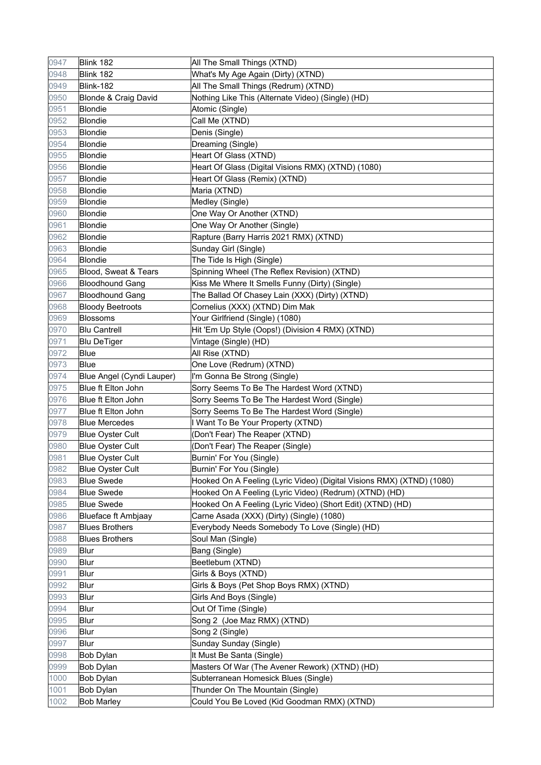| 0947 | Blink 182                 | All The Small Things (XTND)                                           |
|------|---------------------------|-----------------------------------------------------------------------|
| 0948 | Blink 182                 | What's My Age Again (Dirty) (XTND)                                    |
| 0949 | Blink-182                 | All The Small Things (Redrum) (XTND)                                  |
| 0950 | Blonde & Craig David      | Nothing Like This (Alternate Video) (Single) (HD)                     |
| 0951 | Blondie                   | Atomic (Single)                                                       |
| 0952 | Blondie                   | Call Me (XTND)                                                        |
| 0953 | Blondie                   | Denis (Single)                                                        |
| 0954 | <b>Blondie</b>            | Dreaming (Single)                                                     |
| 0955 | Blondie                   | Heart Of Glass (XTND)                                                 |
| 0956 | Blondie                   | Heart Of Glass (Digital Visions RMX) (XTND) (1080)                    |
| 0957 | Blondie                   | Heart Of Glass (Remix) (XTND)                                         |
| 0958 | Blondie                   | Maria (XTND)                                                          |
| 0959 | Blondie                   | Medley (Single)                                                       |
| 0960 | Blondie                   | One Way Or Another (XTND)                                             |
| 0961 | Blondie                   | One Way Or Another (Single)                                           |
| 0962 | <b>Blondie</b>            | Rapture (Barry Harris 2021 RMX) (XTND)                                |
| 0963 | Blondie                   | Sunday Girl (Single)                                                  |
| 0964 | Blondie                   | The Tide Is High (Single)                                             |
| 0965 | Blood, Sweat & Tears      | Spinning Wheel (The Reflex Revision) (XTND)                           |
| 0966 | <b>Bloodhound Gang</b>    | Kiss Me Where It Smells Funny (Dirty) (Single)                        |
| 0967 | <b>Bloodhound Gang</b>    | The Ballad Of Chasey Lain (XXX) (Dirty) (XTND)                        |
| 0968 | <b>Bloody Beetroots</b>   | Cornelius (XXX) (XTND) Dim Mak                                        |
| 0969 | <b>Blossoms</b>           | Your Girlfriend (Single) (1080)                                       |
| 0970 | <b>Blu Cantrell</b>       | Hit 'Em Up Style (Oops!) (Division 4 RMX) (XTND)                      |
| 0971 | <b>Blu DeTiger</b>        | Vintage (Single) (HD)                                                 |
| 0972 | Blue                      | All Rise (XTND)                                                       |
| 0973 | Blue                      | One Love (Redrum) (XTND)                                              |
| 0974 | Blue Angel (Cyndi Lauper) | I'm Gonna Be Strong (Single)                                          |
| 0975 | Blue ft Elton John        | Sorry Seems To Be The Hardest Word (XTND)                             |
| 0976 | Blue ft Elton John        | Sorry Seems To Be The Hardest Word (Single)                           |
| 0977 | Blue ft Elton John        | Sorry Seems To Be The Hardest Word (Single)                           |
| 0978 | <b>Blue Mercedes</b>      | I Want To Be Your Property (XTND)                                     |
| 0979 | <b>Blue Oyster Cult</b>   | (Don't Fear) The Reaper (XTND)                                        |
| 0980 | <b>Blue Oyster Cult</b>   | (Don't Fear) The Reaper (Single)                                      |
| 0981 | <b>Blue Oyster Cult</b>   | Burnin' For You (Single)                                              |
| 0982 | <b>Blue Oyster Cult</b>   | Burnin' For You (Single)                                              |
| 0983 | <b>Blue Swede</b>         | Hooked On A Feeling (Lyric Video) (Digital Visions RMX) (XTND) (1080) |
| 0984 | <b>Blue Swede</b>         | Hooked On A Feeling (Lyric Video) (Redrum) (XTND) (HD)                |
| 0985 | <b>Blue Swede</b>         | Hooked On A Feeling (Lyric Video) (Short Edit) (XTND) (HD)            |
| 0986 | Blueface ft Ambjaay       | Carne Asada (XXX) (Dirty) (Single) (1080)                             |
| 0987 | <b>Blues Brothers</b>     | Everybody Needs Somebody To Love (Single) (HD)                        |
| 0988 | <b>Blues Brothers</b>     | Soul Man (Single)                                                     |
| 0989 | Blur                      | Bang (Single)                                                         |
| 0990 | Blur                      | Beetlebum (XTND)                                                      |
| 0991 | Blur                      | Girls & Boys (XTND)                                                   |
| 0992 | Blur                      | Girls & Boys (Pet Shop Boys RMX) (XTND)                               |
| 0993 | <b>Blur</b>               | Girls And Boys (Single)                                               |
| 0994 | Blur                      | Out Of Time (Single)                                                  |
| 0995 | Blur                      | Song 2 (Joe Maz RMX) (XTND)                                           |
| 0996 | Blur                      | Song 2 (Single)                                                       |
| 0997 | Blur                      | Sunday Sunday (Single)                                                |
| 0998 | Bob Dylan                 | It Must Be Santa (Single)                                             |
| 0999 | Bob Dylan                 | Masters Of War (The Avener Rework) (XTND) (HD)                        |
| 1000 | <b>Bob Dylan</b>          | Subterranean Homesick Blues (Single)                                  |
| 1001 | Bob Dylan                 | Thunder On The Mountain (Single)                                      |
| 1002 | <b>Bob Marley</b>         | Could You Be Loved (Kid Goodman RMX) (XTND)                           |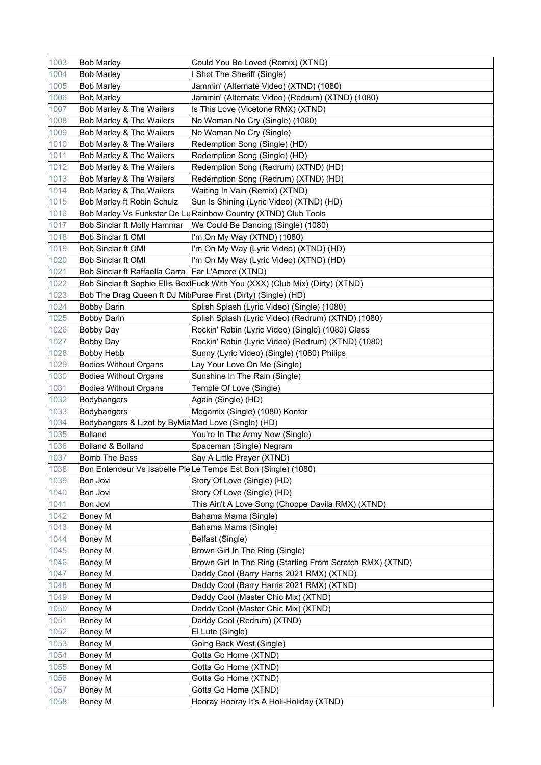| 1003 | <b>Bob Marley</b>                                   | Could You Be Loved (Remix) (XTND)                                             |
|------|-----------------------------------------------------|-------------------------------------------------------------------------------|
| 1004 | <b>Bob Marley</b>                                   | <b>Shot The Sheriff (Single)</b>                                              |
| 1005 | <b>Bob Marley</b>                                   | Jammin' (Alternate Video) (XTND) (1080)                                       |
| 1006 | <b>Bob Marley</b>                                   | Jammin' (Alternate Video) (Redrum) (XTND) (1080)                              |
| 1007 | Bob Marley & The Wailers                            | Is This Love (Vicetone RMX) (XTND)                                            |
| 1008 | Bob Marley & The Wailers                            | No Woman No Cry (Single) (1080)                                               |
| 1009 | Bob Marley & The Wailers                            | No Woman No Cry (Single)                                                      |
| 1010 | Bob Marley & The Wailers                            | Redemption Song (Single) (HD)                                                 |
| 1011 | Bob Marley & The Wailers                            | Redemption Song (Single) (HD)                                                 |
| 1012 | Bob Marley & The Wailers                            | Redemption Song (Redrum) (XTND) (HD)                                          |
| 1013 | Bob Marley & The Wailers                            | Redemption Song (Redrum) (XTND) (HD)                                          |
| 1014 | Bob Marley & The Wailers                            | Waiting In Vain (Remix) (XTND)                                                |
| 1015 | Bob Marley ft Robin Schulz                          | Sun Is Shining (Lyric Video) (XTND) (HD)                                      |
| 1016 |                                                     | Bob Marley Vs Funkstar De Lu Rainbow Country (XTND) Club Tools                |
| 1017 | Bob Sinclar ft Molly Hammar                         | We Could Be Dancing (Single) (1080)                                           |
| 1018 | Bob Sinclar ft OMI                                  | I'm On My Way (XTND) (1080)                                                   |
| 1019 | Bob Sinclar ft OMI                                  | I'm On My Way (Lyric Video) (XTND) (HD)                                       |
| 1020 | <b>Bob Sinclar ft OMI</b>                           | I'm On My Way (Lyric Video) (XTND) (HD)                                       |
| 1021 | Bob Sinclar ft Raffaella Carra   Far L'Amore (XTND) |                                                                               |
| 1022 |                                                     | Bob Sinclar ft Sophie Ellis Bex Fuck With You (XXX) (Club Mix) (Dirty) (XTND) |
| 1023 |                                                     | Bob The Drag Queen ft DJ Mit Purse First (Dirty) (Single) (HD)                |
| 1024 | <b>Bobby Darin</b>                                  | Splish Splash (Lyric Video) (Single) (1080)                                   |
| 1025 | <b>Bobby Darin</b>                                  | Splish Splash (Lyric Video) (Redrum) (XTND) (1080)                            |
| 1026 | <b>Bobby Day</b>                                    | Rockin' Robin (Lyric Video) (Single) (1080) Class                             |
| 1027 | <b>Bobby Day</b>                                    | Rockin' Robin (Lyric Video) (Redrum) (XTND) (1080)                            |
| 1028 | <b>Bobby Hebb</b>                                   | Sunny (Lyric Video) (Single) (1080) Philips                                   |
| 1029 | <b>Bodies Without Organs</b>                        | Lay Your Love On Me (Single)                                                  |
| 1030 | <b>Bodies Without Organs</b>                        | Sunshine In The Rain (Single)                                                 |
| 1031 | <b>Bodies Without Organs</b>                        | Temple Of Love (Single)                                                       |
| 1032 | Bodybangers                                         | Again (Single) (HD)                                                           |
| 1033 | <b>Bodybangers</b>                                  | Megamix (Single) (1080) Kontor                                                |
| 1034 | Bodybangers & Lizot by ByMiaMad Love (Single) (HD)  |                                                                               |
| 1035 | Bolland                                             | You're In The Army Now (Single)                                               |
| 1036 | Bolland & Bolland                                   | Spaceman (Single) Negram                                                      |
| 1037 | <b>Bomb The Bass</b>                                | Say A Little Prayer (XTND)                                                    |
| 1038 |                                                     | Bon Entendeur Vs Isabelle PieLe Temps Est Bon (Single) (1080)                 |
| 1039 | <b>Bon Jovi</b>                                     | Story Of Love (Single) (HD)                                                   |
| 1040 | Bon Jovi                                            | Story Of Love (Single) (HD)                                                   |
| 1041 | Bon Jovi                                            | This Ain't A Love Song (Choppe Davila RMX) (XTND)                             |
| 1042 | <b>Boney M</b>                                      | Bahama Mama (Single)                                                          |
| 1043 | <b>Boney M</b>                                      | Bahama Mama (Single)                                                          |
| 1044 | <b>Boney M</b>                                      | Belfast (Single)                                                              |
| 1045 | <b>Boney M</b>                                      | Brown Girl In The Ring (Single)                                               |
| 1046 | <b>Boney M</b>                                      | Brown Girl In The Ring (Starting From Scratch RMX) (XTND)                     |
| 1047 | <b>Boney M</b>                                      | Daddy Cool (Barry Harris 2021 RMX) (XTND)                                     |
| 1048 | Boney M                                             | Daddy Cool (Barry Harris 2021 RMX) (XTND)                                     |
| 1049 | <b>Boney M</b>                                      | Daddy Cool (Master Chic Mix) (XTND)                                           |
| 1050 | <b>Boney M</b>                                      | Daddy Cool (Master Chic Mix) (XTND)                                           |
| 1051 | <b>Boney M</b>                                      | Daddy Cool (Redrum) (XTND)                                                    |
| 1052 |                                                     |                                                                               |
|      |                                                     |                                                                               |
| 1053 | <b>Boney M</b>                                      | El Lute (Single)                                                              |
| 1054 | <b>Boney M</b>                                      | Going Back West (Single)                                                      |
| 1055 | <b>Boney M</b>                                      | Gotta Go Home (XTND)                                                          |
| 1056 | <b>Boney M</b>                                      | Gotta Go Home (XTND)                                                          |
| 1057 | <b>Boney M</b><br><b>Boney M</b>                    | Gotta Go Home (XTND)                                                          |
| 1058 | <b>Boney M</b>                                      | Gotta Go Home (XTND)<br>Hooray Hooray It's A Holi-Holiday (XTND)              |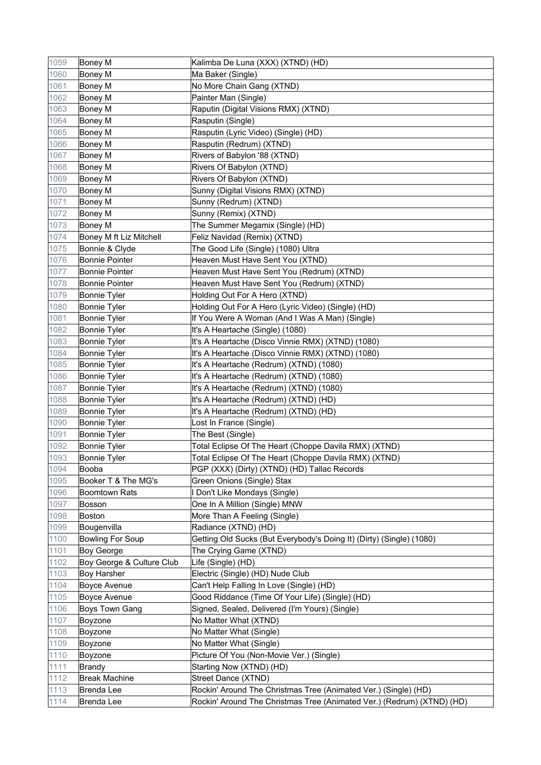| 1059 | Boney M                   | Kalimba De Luna (XXX) (XTND) (HD)                                      |
|------|---------------------------|------------------------------------------------------------------------|
| 1060 | <b>Boney M</b>            | Ma Baker (Single)                                                      |
| 1061 | <b>Boney M</b>            | No More Chain Gang (XTND)                                              |
| 1062 | Boney M                   | Painter Man (Single)                                                   |
| 1063 | <b>Boney M</b>            | Raputin (Digital Visions RMX) (XTND)                                   |
| 1064 | <b>Boney M</b>            | Rasputin (Single)                                                      |
| 1065 | <b>Boney M</b>            | Rasputin (Lyric Video) (Single) (HD)                                   |
| 1066 | Boney M                   | Rasputin (Redrum) (XTND)                                               |
| 1067 | Boney M                   | Rivers of Babylon '88 (XTND)                                           |
| 1068 | <b>Boney M</b>            | Rivers Of Babylon (XTND)                                               |
| 1069 | <b>Boney M</b>            | Rivers Of Babylon (XTND)                                               |
| 1070 | <b>Boney M</b>            | Sunny (Digital Visions RMX) (XTND)                                     |
| 1071 | <b>Boney M</b>            | Sunny (Redrum) (XTND)                                                  |
| 1072 | <b>Boney M</b>            | Sunny (Remix) (XTND)                                                   |
| 1073 | Boney M                   | The Summer Megamix (Single) (HD)                                       |
| 1074 | Boney M ft Liz Mitchell   | Feliz Navidad (Remix) (XTND)                                           |
| 1075 | Bonnie & Clyde            | The Good Life (Single) (1080) Ultra                                    |
| 1076 | <b>Bonnie Pointer</b>     | Heaven Must Have Sent You (XTND)                                       |
| 1077 | <b>Bonnie Pointer</b>     | Heaven Must Have Sent You (Redrum) (XTND)                              |
| 1078 | Bonnie Pointer            | Heaven Must Have Sent You (Redrum) (XTND)                              |
| 1079 | <b>Bonnie Tyler</b>       | Holding Out For A Hero (XTND)                                          |
| 1080 | <b>Bonnie Tyler</b>       | Holding Out For A Hero (Lyric Video) (Single) (HD)                     |
| 1081 | Bonnie Tyler              | If You Were A Woman (And I Was A Man) (Single)                         |
| 1082 | <b>Bonnie Tyler</b>       | It's A Heartache (Single) (1080)                                       |
| 1083 | Bonnie Tyler              | It's A Heartache (Disco Vinnie RMX) (XTND) (1080)                      |
| 1084 | <b>Bonnie Tyler</b>       | It's A Heartache (Disco Vinnie RMX) (XTND) (1080)                      |
| 1085 | <b>Bonnie Tyler</b>       | It's A Heartache (Redrum) (XTND) (1080)                                |
| 1086 | <b>Bonnie Tyler</b>       | It's A Heartache (Redrum) (XTND) (1080)                                |
| 1087 | <b>Bonnie Tyler</b>       | It's A Heartache (Redrum) (XTND) (1080)                                |
| 1088 | <b>Bonnie Tyler</b>       | It's A Heartache (Redrum) (XTND) (HD)                                  |
| 1089 | <b>Bonnie Tyler</b>       | It's A Heartache (Redrum) (XTND) (HD)                                  |
| 1090 | <b>Bonnie Tyler</b>       | Lost In France (Single)                                                |
| 1091 | Bonnie Tyler              | The Best (Single)                                                      |
| 1092 | Bonnie Tyler              | Total Eclipse Of The Heart (Choppe Davila RMX) (XTND)                  |
| 1093 | Bonnie Tyler              | Total Eclipse Of The Heart (Choppe Davila RMX) (XTND)                  |
| 1094 | Booba                     | PGP (XXX) (Dirty) (XTND) (HD) Tallac Records                           |
| 1095 | Booker T & The MG's       | Green Onions (Single) Stax                                             |
| 1096 | <b>Boomtown Rats</b>      | Don't Like Mondays (Single)                                            |
| 1097 | <b>Bosson</b>             | One In A Million (Single) MNW                                          |
| 1098 | Boston                    | More Than A Feeling (Single)                                           |
| 1099 | Bougenvilla               | Radiance (XTND) (HD)                                                   |
| 1100 | <b>Bowling For Soup</b>   | Getting Old Sucks (But Everybody's Doing It) (Dirty) (Single) (1080)   |
| 1101 | Boy George                | The Crying Game (XTND)                                                 |
| 1102 | Boy George & Culture Club | Life (Single) (HD)                                                     |
| 1103 | <b>Boy Harsher</b>        | Electric (Single) (HD) Nude Club                                       |
| 1104 | Boyce Avenue              | Can't Help Falling In Love (Single) (HD)                               |
| 1105 | Boyce Avenue              | Good Riddance (Time Of Your Life) (Single) (HD)                        |
| 1106 | <b>Boys Town Gang</b>     | Signed, Sealed, Delivered (I'm Yours) (Single)                         |
| 1107 | Boyzone                   | No Matter What (XTND)                                                  |
| 1108 | Boyzone                   | No Matter What (Single)                                                |
| 1109 | Boyzone                   | No Matter What (Single)                                                |
| 1110 | Boyzone                   | Picture Of You (Non-Movie Ver.) (Single)                               |
| 1111 | <b>Brandy</b>             | Starting Now (XTND) (HD)                                               |
| 1112 | <b>Break Machine</b>      | Street Dance (XTND)                                                    |
| 1113 | <b>Brenda Lee</b>         | Rockin' Around The Christmas Tree (Animated Ver.) (Single) (HD)        |
| 1114 | <b>Brenda Lee</b>         | Rockin' Around The Christmas Tree (Animated Ver.) (Redrum) (XTND) (HD) |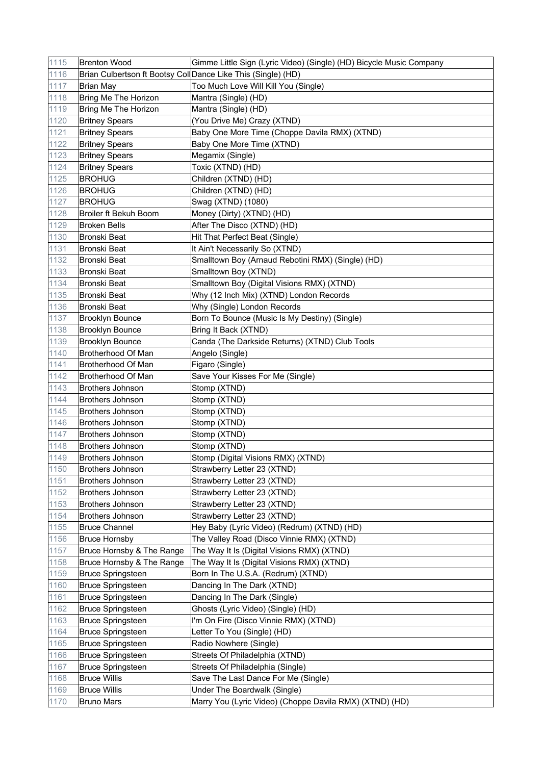| 1115 | <b>Brenton Wood</b>       | Gimme Little Sign (Lyric Video) (Single) (HD) Bicycle Music Company |
|------|---------------------------|---------------------------------------------------------------------|
| 1116 |                           | Brian Culbertson ft Bootsy CollDance Like This (Single) (HD)        |
| 1117 | <b>Brian May</b>          | Too Much Love Will Kill You (Single)                                |
| 1118 | Bring Me The Horizon      | Mantra (Single) (HD)                                                |
| 1119 | Bring Me The Horizon      | Mantra (Single) (HD)                                                |
| 1120 | <b>Britney Spears</b>     | (You Drive Me) Crazy (XTND)                                         |
| 1121 | <b>Britney Spears</b>     | Baby One More Time (Choppe Davila RMX) (XTND)                       |
| 1122 | <b>Britney Spears</b>     | Baby One More Time (XTND)                                           |
| 1123 | <b>Britney Spears</b>     | Megamix (Single)                                                    |
| 1124 | <b>Britney Spears</b>     | Toxic (XTND) (HD)                                                   |
| 1125 | <b>BROHUG</b>             | Children (XTND) (HD)                                                |
| 1126 | <b>BROHUG</b>             | Children (XTND) (HD)                                                |
| 1127 | <b>BROHUG</b>             | Swag (XTND) (1080)                                                  |
| 1128 | Broiler ft Bekuh Boom     | Money (Dirty) (XTND) (HD)                                           |
| 1129 | <b>Broken Bells</b>       | After The Disco (XTND) (HD)                                         |
| 1130 | <b>Bronski Beat</b>       | Hit That Perfect Beat (Single)                                      |
| 1131 | Bronski Beat              | It Ain't Necessarily So (XTND)                                      |
| 1132 | Bronski Beat              | Smalltown Boy (Arnaud Rebotini RMX) (Single) (HD)                   |
| 1133 | Bronski Beat              | Smalltown Boy (XTND)                                                |
| 1134 | Bronski Beat              | Smalltown Boy (Digital Visions RMX) (XTND)                          |
| 1135 | <b>Bronski Beat</b>       | Why (12 Inch Mix) (XTND) London Records                             |
| 1136 | Bronski Beat              | Why (Single) London Records                                         |
| 1137 | <b>Brooklyn Bounce</b>    | Born To Bounce (Music Is My Destiny) (Single)                       |
| 1138 | <b>Brooklyn Bounce</b>    | Bring It Back (XTND)                                                |
| 1139 | <b>Brooklyn Bounce</b>    | Canda (The Darkside Returns) (XTND) Club Tools                      |
| 1140 | Brotherhood Of Man        | Angelo (Single)                                                     |
| 1141 | Brotherhood Of Man        | Figaro (Single)                                                     |
| 1142 | Brotherhood Of Man        | Save Your Kisses For Me (Single)                                    |
| 1143 | <b>Brothers Johnson</b>   | Stomp (XTND)                                                        |
| 1144 | <b>Brothers Johnson</b>   | Stomp (XTND)                                                        |
| 1145 | <b>Brothers Johnson</b>   | Stomp (XTND)                                                        |
| 1146 | <b>Brothers Johnson</b>   | Stomp (XTND)                                                        |
| 1147 | <b>Brothers Johnson</b>   | Stomp (XTND)                                                        |
| 1148 | <b>Brothers Johnson</b>   | Stomp (XTND)                                                        |
| 1149 | <b>Brothers Johnson</b>   | Stomp (Digital Visions RMX) (XTND)                                  |
| 1150 | <b>Brothers Johnson</b>   | Strawberry Letter 23 (XTND)                                         |
| 1151 | <b>Brothers Johnson</b>   | Strawberry Letter 23 (XTND)                                         |
| 1152 | <b>Brothers Johnson</b>   | Strawberry Letter 23 (XTND)                                         |
| 1153 | <b>Brothers Johnson</b>   | Strawberry Letter 23 (XTND)                                         |
| 1154 | <b>Brothers Johnson</b>   | Strawberry Letter 23 (XTND)                                         |
| 1155 | <b>Bruce Channel</b>      | Hey Baby (Lyric Video) (Redrum) (XTND) (HD)                         |
| 1156 | <b>Bruce Hornsby</b>      | The Valley Road (Disco Vinnie RMX) (XTND)                           |
| 1157 | Bruce Hornsby & The Range | The Way It Is (Digital Visions RMX) (XTND)                          |
| 1158 | Bruce Hornsby & The Range | The Way It Is (Digital Visions RMX) (XTND)                          |
| 1159 | <b>Bruce Springsteen</b>  | Born In The U.S.A. (Redrum) (XTND)                                  |
| 1160 | <b>Bruce Springsteen</b>  | Dancing In The Dark (XTND)                                          |
| 1161 | <b>Bruce Springsteen</b>  | Dancing In The Dark (Single)                                        |
| 1162 | <b>Bruce Springsteen</b>  | Ghosts (Lyric Video) (Single) (HD)                                  |
| 1163 | <b>Bruce Springsteen</b>  | I'm On Fire (Disco Vinnie RMX) (XTND)                               |
| 1164 | <b>Bruce Springsteen</b>  | Letter To You (Single) (HD)                                         |
| 1165 | <b>Bruce Springsteen</b>  | Radio Nowhere (Single)                                              |
| 1166 | <b>Bruce Springsteen</b>  | Streets Of Philadelphia (XTND)                                      |
| 1167 | <b>Bruce Springsteen</b>  | Streets Of Philadelphia (Single)                                    |
| 1168 | <b>Bruce Willis</b>       | Save The Last Dance For Me (Single)                                 |
| 1169 | <b>Bruce Willis</b>       | Under The Boardwalk (Single)                                        |
| 1170 | <b>Bruno Mars</b>         | Marry You (Lyric Video) (Choppe Davila RMX) (XTND) (HD)             |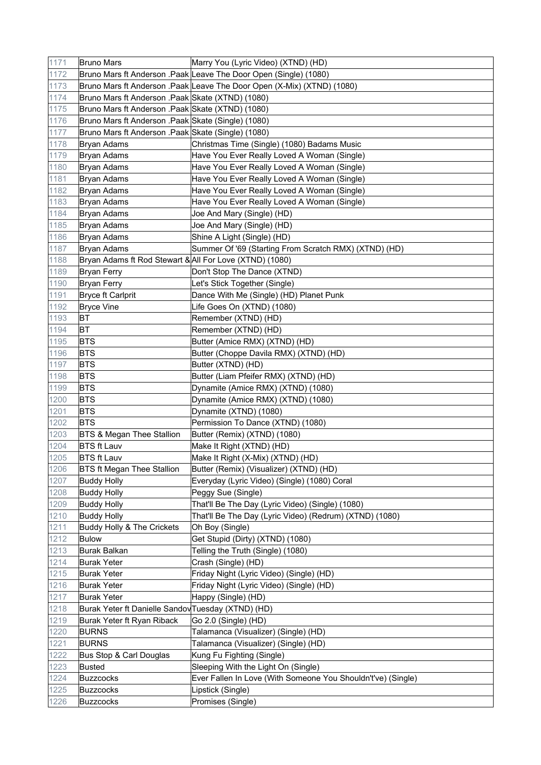| 1171 | <b>Bruno Mars</b>                                       | Marry You (Lyric Video) (XTND) (HD)                                    |
|------|---------------------------------------------------------|------------------------------------------------------------------------|
| 1172 |                                                         | Bruno Mars ft Anderson .Paak Leave The Door Open (Single) (1080)       |
| 1173 |                                                         | Bruno Mars ft Anderson .Paak Leave The Door Open (X-Mix) (XTND) (1080) |
| 1174 | Bruno Mars ft Anderson .Paak Skate (XTND) (1080)        |                                                                        |
| 1175 | Bruno Mars ft Anderson .Paak Skate (XTND) (1080)        |                                                                        |
| 1176 | Bruno Mars ft Anderson .Paak Skate (Single) (1080)      |                                                                        |
| 1177 | Bruno Mars ft Anderson .Paak Skate (Single) (1080)      |                                                                        |
| 1178 | <b>Bryan Adams</b>                                      | Christmas Time (Single) (1080) Badams Music                            |
| 1179 | <b>Bryan Adams</b>                                      | Have You Ever Really Loved A Woman (Single)                            |
| 1180 | <b>Bryan Adams</b>                                      | Have You Ever Really Loved A Woman (Single)                            |
| 1181 | Bryan Adams                                             | Have You Ever Really Loved A Woman (Single)                            |
| 1182 | Bryan Adams                                             | Have You Ever Really Loved A Woman (Single)                            |
| 1183 | Bryan Adams                                             | Have You Ever Really Loved A Woman (Single)                            |
| 1184 | <b>Bryan Adams</b>                                      | Joe And Mary (Single) (HD)                                             |
| 1185 | Bryan Adams                                             | Joe And Mary (Single) (HD)                                             |
| 1186 | <b>Bryan Adams</b>                                      | Shine A Light (Single) (HD)                                            |
| 1187 | <b>Bryan Adams</b>                                      | Summer Of '69 (Starting From Scratch RMX) (XTND) (HD)                  |
| 1188 | Bryan Adams ft Rod Stewart & All For Love (XTND) (1080) |                                                                        |
| 1189 | <b>Bryan Ferry</b>                                      | Don't Stop The Dance (XTND)                                            |
| 1190 |                                                         | Let's Stick Together (Single)                                          |
| 1191 | <b>Bryan Ferry</b><br>Bryce ft Carlprit                 |                                                                        |
| 1192 |                                                         | Dance With Me (Single) (HD) Planet Punk                                |
|      | <b>Bryce Vine</b><br><b>BT</b>                          | Life Goes On (XTND) (1080)                                             |
| 1193 | <b>BT</b>                                               | Remember (XTND) (HD)                                                   |
| 1194 |                                                         | Remember (XTND) (HD)                                                   |
| 1195 | <b>BTS</b>                                              | Butter (Amice RMX) (XTND) (HD)                                         |
| 1196 | <b>BTS</b>                                              | Butter (Choppe Davila RMX) (XTND) (HD)                                 |
| 1197 | <b>BTS</b>                                              | Butter (XTND) (HD)                                                     |
| 1198 | <b>BTS</b>                                              | Butter (Liam Pfeifer RMX) (XTND) (HD)                                  |
| 1199 | <b>BTS</b>                                              | Dynamite (Amice RMX) (XTND) (1080)                                     |
| 1200 | <b>BTS</b>                                              | Dynamite (Amice RMX) (XTND) (1080)                                     |
| 1201 | <b>BTS</b>                                              | Dynamite (XTND) (1080)                                                 |
| 1202 | <b>BTS</b>                                              | Permission To Dance (XTND) (1080)                                      |
| 1203 | <b>BTS &amp; Megan Thee Stallion</b>                    | Butter (Remix) (XTND) (1080)                                           |
| 1204 | <b>BTS ft Lauv</b>                                      | Make It Right (XTND) (HD)                                              |
| 1205 | <b>BTS ft Lauv</b>                                      | Make It Right (X-Mix) (XTND) (HD)                                      |
| 1206 | <b>BTS ft Megan Thee Stallion</b>                       | Butter (Remix) (Visualizer) (XTND) (HD)                                |
| 1207 | <b>Buddy Holly</b>                                      | Everyday (Lyric Video) (Single) (1080) Coral                           |
| 1208 | <b>Buddy Holly</b>                                      | Peggy Sue (Single)                                                     |
| 1209 | <b>Buddy Holly</b>                                      | That'll Be The Day (Lyric Video) (Single) (1080)                       |
| 1210 | <b>Buddy Holly</b>                                      | That'll Be The Day (Lyric Video) (Redrum) (XTND) (1080)                |
| 1211 | Buddy Holly & The Crickets                              | Oh Boy (Single)                                                        |
| 1212 | <b>Bulow</b>                                            | Get Stupid (Dirty) (XTND) (1080)                                       |
| 1213 | Burak Balkan                                            | Telling the Truth (Single) (1080)                                      |
| 1214 | <b>Burak Yeter</b>                                      | Crash (Single) (HD)                                                    |
| 1215 | Burak Yeter                                             | Friday Night (Lyric Video) (Single) (HD)                               |
| 1216 | <b>Burak Yeter</b>                                      | Friday Night (Lyric Video) (Single) (HD)                               |
| 1217 | <b>Burak Yeter</b>                                      | Happy (Single) (HD)                                                    |
| 1218 | Burak Yeter ft Danielle Sandov Tuesday (XTND) (HD)      |                                                                        |
| 1219 | Burak Yeter ft Ryan Riback                              | Go 2.0 (Single) (HD)                                                   |
| 1220 | <b>BURNS</b>                                            | Talamanca (Visualizer) (Single) (HD)                                   |
| 1221 | <b>BURNS</b>                                            | Talamanca (Visualizer) (Single) (HD)                                   |
| 1222 | Bus Stop & Carl Douglas                                 | Kung Fu Fighting (Single)                                              |
| 1223 | Busted                                                  | Sleeping With the Light On (Single)                                    |
| 1224 | Buzzcocks                                               | Ever Fallen In Love (With Someone You Shouldn't've) (Single)           |
| 1225 | Buzzcocks                                               | Lipstick (Single)                                                      |
| 1226 | Buzzcocks                                               | Promises (Single)                                                      |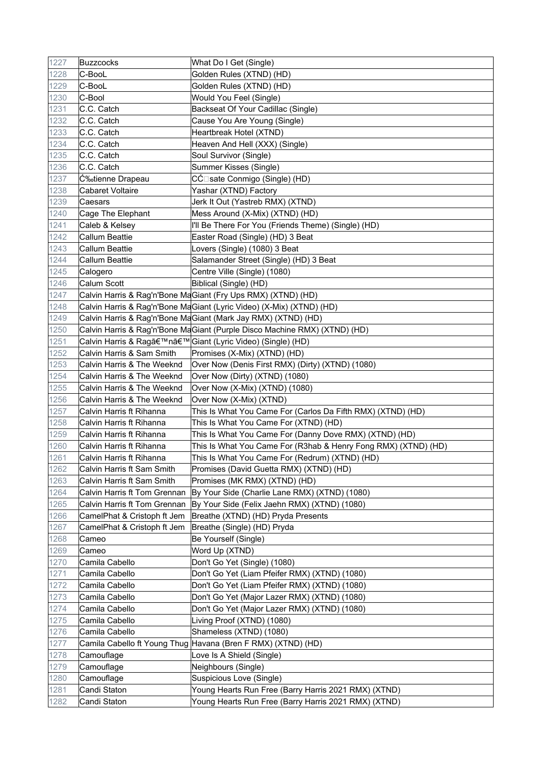| 1227 | Buzzcocks                    | What Do I Get (Single)                                                    |
|------|------------------------------|---------------------------------------------------------------------------|
| 1228 | C-BooL                       | Golden Rules (XTND) (HD)                                                  |
| 1229 | C-BooL                       | Golden Rules (XTND) (HD)                                                  |
| 1230 | C-Bool                       | Would You Feel (Single)                                                   |
| 1231 | C.C. Catch                   | Backseat Of Your Cadillac (Single)                                        |
| 1232 | C.C. Catch                   | Cause You Are Young (Single)                                              |
| 1233 | C.C. Catch                   | Heartbreak Hotel (XTND)                                                   |
| 1234 | C.C. Catch                   | Heaven And Hell (XXX) (Single)                                            |
| 1235 | C.C. Catch                   | Soul Survivor (Single)                                                    |
| 1236 | C.C. Catch                   | Summer Kisses (Single)                                                    |
| 1237 | Ɖtienne Drapeau              | CĆ⊡sate Conmigo (Single) (HD)                                             |
| 1238 | <b>Cabaret Voltaire</b>      | Yashar (XTND) Factory                                                     |
| 1239 | Caesars                      | Jerk It Out (Yastreb RMX) (XTND)                                          |
| 1240 | Cage The Elephant            | Mess Around (X-Mix) (XTND) (HD)                                           |
| 1241 | Caleb & Kelsey               | I'll Be There For You (Friends Theme) (Single) (HD)                       |
| 1242 | Callum Beattie               | Easter Road (Single) (HD) 3 Beat                                          |
| 1243 | Callum Beattie               | Lovers (Single) (1080) 3 Beat                                             |
| 1244 | <b>Callum Beattie</b>        | Salamander Street (Single) (HD) 3 Beat                                    |
| 1245 | Calogero                     | Centre Ville (Single) (1080)                                              |
| 1246 | Calum Scott                  | Biblical (Single) (HD)                                                    |
| 1247 |                              | Calvin Harris & Rag'n'Bone MaGiant (Fry Ups RMX) (XTND) (HD)              |
| 1248 |                              | Calvin Harris & Rag'n'Bone MaGiant (Lyric Video) (X-Mix) (XTND) (HD)      |
| 1249 |                              | Calvin Harris & Rag'n'Bone MaGiant (Mark Jay RMX) (XTND) (HD)             |
| 1250 |                              | Calvin Harris & Rag'n'Bone MaGiant (Purple Disco Machine RMX) (XTND) (HD) |
| 1251 |                              | Calvin Harris & Rag'n' Giant (Lyric Video) (Single) (HD)                  |
| 1252 | Calvin Harris & Sam Smith    | Promises (X-Mix) (XTND) (HD)                                              |
| 1253 | Calvin Harris & The Weeknd   | Over Now (Denis First RMX) (Dirty) (XTND) (1080)                          |
| 1254 | Calvin Harris & The Weeknd   | Over Now (Dirty) (XTND) (1080)                                            |
| 1255 | Calvin Harris & The Weeknd   | Over Now (X-Mix) (XTND) (1080)                                            |
| 1256 | Calvin Harris & The Weeknd   | Over Now (X-Mix) (XTND)                                                   |
| 1257 | Calvin Harris ft Rihanna     | This Is What You Came For (Carlos Da Fifth RMX) (XTND) (HD)               |
| 1258 | Calvin Harris ft Rihanna     | This Is What You Came For (XTND) (HD)                                     |
| 1259 | Calvin Harris ft Rihanna     | This Is What You Came For (Danny Dove RMX) (XTND) (HD)                    |
| 1260 | Calvin Harris ft Rihanna     | This Is What You Came For (R3hab & Henry Fong RMX) (XTND) (HD)            |
| 1261 | Calvin Harris ft Rihanna     | This Is What You Came For (Redrum) (XTND) (HD)                            |
| 1262 | Calvin Harris ft Sam Smith   | Promises (David Guetta RMX) (XTND) (HD)                                   |
| 1263 | Calvin Harris ft Sam Smith   | Promises (MK RMX) (XTND) (HD)                                             |
| 1264 | Calvin Harris ft Tom Grennan | By Your Side (Charlie Lane RMX) (XTND) (1080)                             |
| 1265 | Calvin Harris ft Tom Grennan | By Your Side (Felix Jaehn RMX) (XTND) (1080)                              |
| 1266 | CamelPhat & Cristoph ft Jem  | Breathe (XTND) (HD) Pryda Presents                                        |
| 1267 | CamelPhat & Cristoph ft Jem  | Breathe (Single) (HD) Pryda                                               |
| 1268 | Cameo                        | Be Yourself (Single)                                                      |
| 1269 | Cameo                        | Word Up (XTND)                                                            |
| 1270 | Camila Cabello               | Don't Go Yet (Single) (1080)                                              |
| 1271 | Camila Cabello               | Don't Go Yet (Liam Pfeifer RMX) (XTND) (1080)                             |
| 1272 | Camila Cabello               | Don't Go Yet (Liam Pfeifer RMX) (XTND) (1080)                             |
| 1273 | Camila Cabello               | Don't Go Yet (Major Lazer RMX) (XTND) (1080)                              |
| 1274 | Camila Cabello               | Don't Go Yet (Major Lazer RMX) (XTND) (1080)                              |
| 1275 | Camila Cabello               | Living Proof (XTND) (1080)                                                |
| 1276 | Camila Cabello               | Shameless (XTND) (1080)                                                   |
| 1277 |                              | Camila Cabello ft Young Thug Havana (Bren F RMX) (XTND) (HD)              |
| 1278 | Camouflage                   | Love Is A Shield (Single)                                                 |
| 1279 | Camouflage                   | Neighbours (Single)                                                       |
| 1280 | Camouflage                   | Suspicious Love (Single)                                                  |
| 1281 | Candi Staton                 | Young Hearts Run Free (Barry Harris 2021 RMX) (XTND)                      |
| 1282 | Candi Staton                 | Young Hearts Run Free (Barry Harris 2021 RMX) (XTND)                      |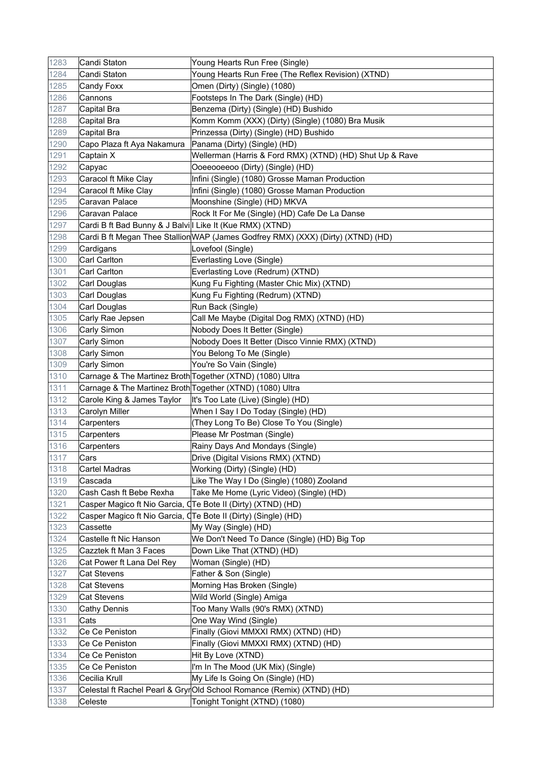| 1283 | Candi Staton                                              | Young Hearts Run Free (Single)                                                   |
|------|-----------------------------------------------------------|----------------------------------------------------------------------------------|
| 1284 | Candi Staton                                              | Young Hearts Run Free (The Reflex Revision) (XTND)                               |
| 1285 | Candy Foxx                                                | Omen (Dirty) (Single) (1080)                                                     |
| 1286 | Cannons                                                   | Footsteps In The Dark (Single) (HD)                                              |
| 1287 | Capital Bra                                               | Benzema (Dirty) (Single) (HD) Bushido                                            |
| 1288 | Capital Bra                                               | Komm Komm (XXX) (Dirty) (Single) (1080) Bra Musik                                |
| 1289 | Capital Bra                                               | Prinzessa (Dirty) (Single) (HD) Bushido                                          |
| 1290 | Capo Plaza ft Aya Nakamura                                | Panama (Dirty) (Single) (HD)                                                     |
| 1291 | Captain X                                                 | Wellerman (Harris & Ford RMX) (XTND) (HD) Shut Up & Rave                         |
| 1292 | Capyac                                                    | Ooeeooeeoo (Dirty) (Single) (HD)                                                 |
| 1293 | Caracol ft Mike Clay                                      | Infini (Single) (1080) Grosse Maman Production                                   |
| 1294 | Caracol ft Mike Clay                                      | Infini (Single) (1080) Grosse Maman Production                                   |
| 1295 | Caravan Palace                                            | Moonshine (Single) (HD) MKVA                                                     |
| 1296 | Caravan Palace                                            | Rock It For Me (Single) (HD) Cafe De La Danse                                    |
| 1297 | Cardi B ft Bad Bunny & J Balvill Like It (Kue RMX) (XTND) |                                                                                  |
| 1298 |                                                           | Cardi B ft Megan Thee Stallion WAP (James Godfrey RMX) (XXX) (Dirty) (XTND) (HD) |
| 1299 | Cardigans                                                 | Lovefool (Single)                                                                |
| 1300 | Carl Carlton                                              | Everlasting Love (Single)                                                        |
| 1301 | Carl Carlton                                              | Everlasting Love (Redrum) (XTND)                                                 |
| 1302 | Carl Douglas                                              | Kung Fu Fighting (Master Chic Mix) (XTND)                                        |
| 1303 | Carl Douglas                                              | Kung Fu Fighting (Redrum) (XTND)                                                 |
| 1304 | Carl Douglas                                              | Run Back (Single)                                                                |
| 1305 | Carly Rae Jepsen                                          | Call Me Maybe (Digital Dog RMX) (XTND) (HD)                                      |
| 1306 | Carly Simon                                               | Nobody Does It Better (Single)                                                   |
| 1307 | Carly Simon                                               | Nobody Does It Better (Disco Vinnie RMX) (XTND)                                  |
| 1308 | Carly Simon                                               | You Belong To Me (Single)                                                        |
| 1309 | Carly Simon                                               | You're So Vain (Single)                                                          |
| 1310 | Carnage & The Martinez Broth Together (XTND) (1080) Ultra |                                                                                  |
| 1311 | Carnage & The Martinez Broth Together (XTND) (1080) Ultra |                                                                                  |
| 1312 | Carole King & James Taylor                                | It's Too Late (Live) (Single) (HD)                                               |
| 1313 | Carolyn Miller                                            | When I Say I Do Today (Single) (HD)                                              |
| 1314 | Carpenters                                                | (They Long To Be) Close To You (Single)                                          |
| 1315 | Carpenters                                                | Please Mr Postman (Single)                                                       |
| 1316 | Carpenters                                                | Rainy Days And Mondays (Single)                                                  |
| 1317 | Cars                                                      | Drive (Digital Visions RMX) (XTND)                                               |
| 1318 | Cartel Madras                                             | Working (Dirty) (Single) (HD)                                                    |
| 1319 | Cascada                                                   | Like The Way I Do (Single) (1080) Zooland                                        |
| 1320 | Cash Cash ft Bebe Rexha                                   | Take Me Home (Lyric Video) (Single) (HD)                                         |
| 1321 |                                                           | Casper Magico ft Nio Garcia, QTe Bote II (Dirty) (XTND) (HD)                     |
| 1322 |                                                           | Casper Magico ft Nio Garcia, QTe Bote II (Dirty) (Single) (HD)                   |
| 1323 | Cassette                                                  | My Way (Single) (HD)                                                             |
| 1324 | Castelle ft Nic Hanson                                    | We Don't Need To Dance (Single) (HD) Big Top                                     |
| 1325 | Cazztek ft Man 3 Faces                                    | Down Like That (XTND) (HD)                                                       |
| 1326 | Cat Power ft Lana Del Rey                                 | Woman (Single) (HD)                                                              |
| 1327 | Cat Stevens                                               | Father & Son (Single)                                                            |
| 1328 | <b>Cat Stevens</b>                                        | Morning Has Broken (Single)                                                      |
| 1329 | Cat Stevens                                               | Wild World (Single) Amiga                                                        |
| 1330 | <b>Cathy Dennis</b>                                       | Too Many Walls (90's RMX) (XTND)                                                 |
| 1331 | Cats                                                      | One Way Wind (Single)                                                            |
| 1332 | Ce Ce Peniston                                            | Finally (Giovi MMXXI RMX) (XTND) (HD)                                            |
| 1333 | Ce Ce Peniston                                            | Finally (Giovi MMXXI RMX) (XTND) (HD)                                            |
| 1334 | Ce Ce Peniston                                            | Hit By Love (XTND)                                                               |
| 1335 | Ce Ce Peniston                                            | I'm In The Mood (UK Mix) (Single)                                                |
| 1336 | Cecilia Krull                                             | My Life Is Going On (Single) (HD)                                                |
| 1337 |                                                           | Celestal ft Rachel Pearl & GryrOld School Romance (Remix) (XTND) (HD)            |
| 1338 | Celeste                                                   | Tonight Tonight (XTND) (1080)                                                    |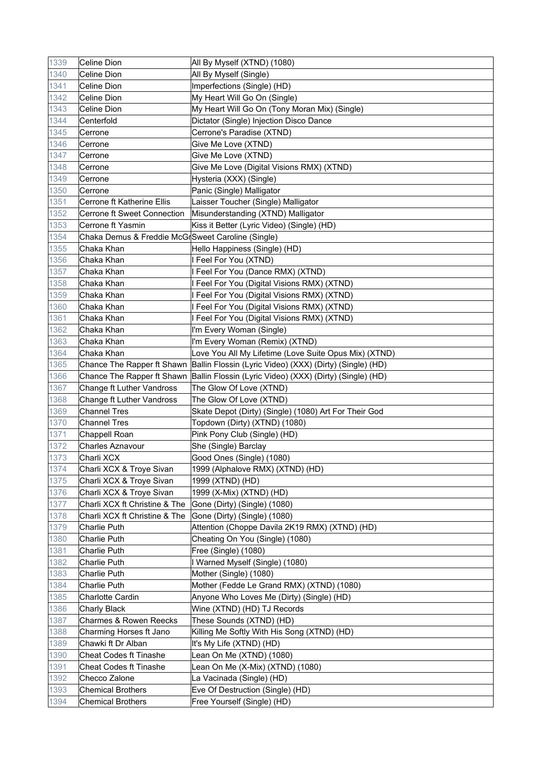| 1339 | Celine Dion                                       | All By Myself (XTND) (1080)                                                         |
|------|---------------------------------------------------|-------------------------------------------------------------------------------------|
| 1340 | Celine Dion                                       | All By Myself (Single)                                                              |
| 1341 | Celine Dion                                       | Imperfections (Single) (HD)                                                         |
| 1342 | Celine Dion                                       | My Heart Will Go On (Single)                                                        |
| 1343 | Celine Dion                                       | My Heart Will Go On (Tony Moran Mix) (Single)                                       |
| 1344 | Centerfold                                        | Dictator (Single) Injection Disco Dance                                             |
| 1345 | Cerrone                                           | Cerrone's Paradise (XTND)                                                           |
| 1346 | Cerrone                                           | Give Me Love (XTND)                                                                 |
| 1347 | Cerrone                                           | Give Me Love (XTND)                                                                 |
| 1348 | Cerrone                                           | Give Me Love (Digital Visions RMX) (XTND)                                           |
| 1349 | Cerrone                                           | Hysteria (XXX) (Single)                                                             |
| 1350 | Cerrone                                           | Panic (Single) Malligator                                                           |
| 1351 | Cerrone ft Katherine Ellis                        | Laisser Toucher (Single) Malligator                                                 |
| 1352 | Cerrone ft Sweet Connection                       | Misunderstanding (XTND) Malligator                                                  |
| 1353 | Cerrone ft Yasmin                                 | Kiss it Better (Lyric Video) (Single) (HD)                                          |
| 1354 | Chaka Demus & Freddie McGrSweet Caroline (Single) |                                                                                     |
| 1355 | Chaka Khan                                        | Hello Happiness (Single) (HD)                                                       |
| 1356 | Chaka Khan                                        | I Feel For You (XTND)                                                               |
| 1357 | Chaka Khan                                        | I Feel For You (Dance RMX) (XTND)                                                   |
| 1358 | Chaka Khan                                        | I Feel For You (Digital Visions RMX) (XTND)                                         |
| 1359 | Chaka Khan                                        | I Feel For You (Digital Visions RMX) (XTND)                                         |
| 1360 | Chaka Khan                                        | I Feel For You (Digital Visions RMX) (XTND)                                         |
| 1361 | Chaka Khan                                        | I Feel For You (Digital Visions RMX) (XTND)                                         |
| 1362 | Chaka Khan                                        | I'm Every Woman (Single)                                                            |
| 1363 | Chaka Khan                                        | I'm Every Woman (Remix) (XTND)                                                      |
| 1364 | Chaka Khan                                        | Love You All My Lifetime (Love Suite Opus Mix) (XTND)                               |
| 1365 |                                                   | Chance The Rapper ft Shawn Ballin Flossin (Lyric Video) (XXX) (Dirty) (Single) (HD) |
| 1366 |                                                   | Chance The Rapper ft Shawn Ballin Flossin (Lyric Video) (XXX) (Dirty) (Single) (HD) |
| 1367 | Change ft Luther Vandross                         | The Glow Of Love (XTND)                                                             |
| 1368 | Change ft Luther Vandross                         | The Glow Of Love (XTND)                                                             |
| 1369 | <b>Channel Tres</b>                               | Skate Depot (Dirty) (Single) (1080) Art For Their God                               |
| 1370 | <b>Channel Tres</b>                               | Topdown (Dirty) (XTND) (1080)                                                       |
| 1371 | Chappell Roan                                     | Pink Pony Club (Single) (HD)                                                        |
| 1372 | <b>Charles Aznavour</b>                           | She (Single) Barclay                                                                |
| 1373 | Charli XCX                                        | Good Ones (Single) (1080)                                                           |
| 1374 | Charli XCX & Troye Sivan                          | 1999 (Alphalove RMX) (XTND) (HD)                                                    |
| 1375 | Charli XCX & Troye Sivan                          | 1999 (XTND) (HD)                                                                    |
| 1376 | Charli XCX & Troye Sivan                          | 1999 (X-Mix) (XTND) (HD)                                                            |
| 1377 | Charli XCX ft Christine & The                     | Gone (Dirty) (Single) (1080)                                                        |
| 1378 | Charli XCX ft Christine & The                     | Gone (Dirty) (Single) (1080)                                                        |
| 1379 | Charlie Puth                                      | Attention (Choppe Davila 2K19 RMX) (XTND) (HD)                                      |
| 1380 | Charlie Puth                                      | Cheating On You (Single) (1080)                                                     |
| 1381 | Charlie Puth                                      | Free (Single) (1080)                                                                |
| 1382 | Charlie Puth                                      | I Warned Myself (Single) (1080)                                                     |
| 1383 | <b>Charlie Puth</b>                               | Mother (Single) (1080)                                                              |
| 1384 | Charlie Puth                                      | Mother (Fedde Le Grand RMX) (XTND) (1080)                                           |
| 1385 | Charlotte Cardin                                  | Anyone Who Loves Me (Dirty) (Single) (HD)                                           |
| 1386 | <b>Charly Black</b>                               | Wine (XTND) (HD) TJ Records                                                         |
| 1387 | Charmes & Rowen Reecks                            | These Sounds (XTND) (HD)                                                            |
| 1388 | Charming Horses ft Jano                           | Killing Me Softly With His Song (XTND) (HD)                                         |
| 1389 | Chawki ft Dr Alban                                | It's My Life (XTND) (HD)                                                            |
| 1390 | Cheat Codes ft Tinashe                            | Lean On Me (XTND) (1080)                                                            |
| 1391 | <b>Cheat Codes ft Tinashe</b>                     | Lean On Me (X-Mix) (XTND) (1080)                                                    |
| 1392 | Checco Zalone                                     | La Vacinada (Single) (HD)                                                           |
| 1393 | <b>Chemical Brothers</b>                          | Eve Of Destruction (Single) (HD)                                                    |
| 1394 | <b>Chemical Brothers</b>                          | Free Yourself (Single) (HD)                                                         |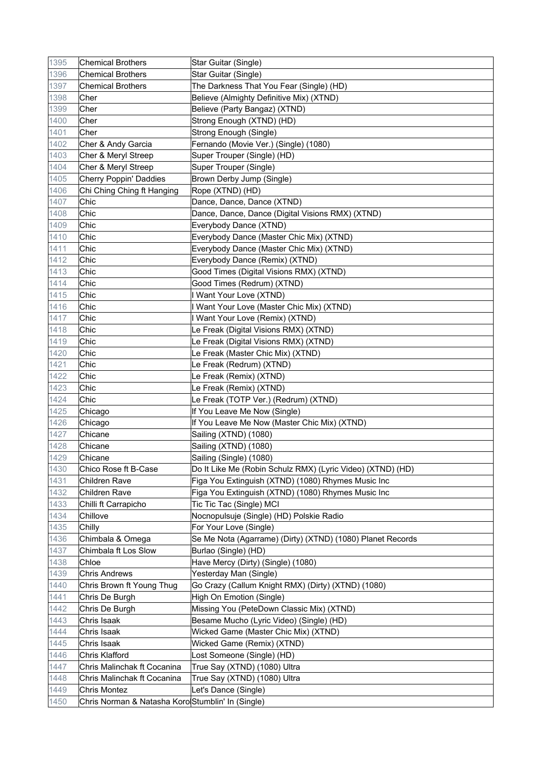| 1395 | <b>Chemical Brothers</b>                          | Star Guitar (Single)                                       |
|------|---------------------------------------------------|------------------------------------------------------------|
| 1396 | <b>Chemical Brothers</b>                          | Star Guitar (Single)                                       |
| 1397 | <b>Chemical Brothers</b>                          | The Darkness That You Fear (Single) (HD)                   |
| 1398 | Cher                                              | Believe (Almighty Definitive Mix) (XTND)                   |
| 1399 | Cher                                              | Believe (Party Bangaz) (XTND)                              |
| 1400 | Cher                                              | Strong Enough (XTND) (HD)                                  |
| 1401 | Cher                                              | Strong Enough (Single)                                     |
| 1402 | Cher & Andy Garcia                                | Fernando (Movie Ver.) (Single) (1080)                      |
| 1403 | Cher & Meryl Streep                               | Super Trouper (Single) (HD)                                |
| 1404 | Cher & Meryl Streep                               | Super Trouper (Single)                                     |
| 1405 | <b>Cherry Poppin' Daddies</b>                     | Brown Derby Jump (Single)                                  |
| 1406 | Chi Ching Ching ft Hanging                        | Rope (XTND) (HD)                                           |
| 1407 | Chic                                              | Dance, Dance, Dance (XTND)                                 |
| 1408 | Chic                                              | Dance, Dance, Dance (Digital Visions RMX) (XTND)           |
| 1409 | Chic                                              | Everybody Dance (XTND)                                     |
| 1410 | Chic                                              | Everybody Dance (Master Chic Mix) (XTND)                   |
| 1411 | Chic                                              | Everybody Dance (Master Chic Mix) (XTND)                   |
| 1412 | Chic                                              | Everybody Dance (Remix) (XTND)                             |
| 1413 | Chic                                              | Good Times (Digital Visions RMX) (XTND)                    |
| 1414 | Chic                                              | Good Times (Redrum) (XTND)                                 |
| 1415 | Chic                                              | I Want Your Love (XTND)                                    |
| 1416 | Chic                                              | I Want Your Love (Master Chic Mix) (XTND)                  |
| 1417 | Chic                                              | I Want Your Love (Remix) (XTND)                            |
| 1418 | Chic                                              | Le Freak (Digital Visions RMX) (XTND)                      |
| 1419 | Chic                                              | Le Freak (Digital Visions RMX) (XTND)                      |
| 1420 | Chic                                              | Le Freak (Master Chic Mix) (XTND)                          |
| 1421 | Chic                                              | Le Freak (Redrum) (XTND)                                   |
| 1422 | Chic                                              | Le Freak (Remix) (XTND)                                    |
| 1423 | Chic                                              | Le Freak (Remix) (XTND)                                    |
| 1424 | Chic                                              | Le Freak (TOTP Ver.) (Redrum) (XTND)                       |
| 1425 | Chicago                                           | If You Leave Me Now (Single)                               |
| 1426 | Chicago                                           | If You Leave Me Now (Master Chic Mix) (XTND)               |
| 1427 | Chicane                                           | Sailing (XTND) (1080)                                      |
| 1428 | Chicane                                           | Sailing (XTND) (1080)                                      |
| 1429 | Chicane                                           | Sailing (Single) (1080)                                    |
| 1430 | Chico Rose ft B-Case                              | Do It Like Me (Robin Schulz RMX) (Lyric Video) (XTND) (HD) |
| 1431 | Children Rave                                     | Figa You Extinguish (XTND) (1080) Rhymes Music Inc         |
| 1432 | Children Rave                                     | Figa You Extinguish (XTND) (1080) Rhymes Music Inc         |
| 1433 | Chilli ft Carrapicho                              | Tic Tic Tac (Single) MCI                                   |
| 1434 | Chillove                                          | Nocnopulsuje (Single) (HD) Polskie Radio                   |
| 1435 | Chilly                                            | For Your Love (Single)                                     |
| 1436 | Chimbala & Omega                                  | Se Me Nota (Agarrame) (Dirty) (XTND) (1080) Planet Records |
| 1437 | Chimbala ft Los Slow                              | Burlao (Single) (HD)                                       |
| 1438 | Chloe                                             | Have Mercy (Dirty) (Single) (1080)                         |
| 1439 | <b>Chris Andrews</b>                              | Yesterday Man (Single)                                     |
| 1440 | Chris Brown ft Young Thug                         | Go Crazy (Callum Knight RMX) (Dirty) (XTND) (1080)         |
| 1441 | Chris De Burgh                                    | High On Emotion (Single)                                   |
| 1442 | Chris De Burgh                                    | Missing You (PeteDown Classic Mix) (XTND)                  |
| 1443 | Chris Isaak                                       | Besame Mucho (Lyric Video) (Single) (HD)                   |
| 1444 | Chris Isaak                                       | Wicked Game (Master Chic Mix) (XTND)                       |
| 1445 | Chris Isaak                                       | Wicked Game (Remix) (XTND)                                 |
| 1446 | Chris Klafford                                    | Lost Someone (Single) (HD)                                 |
| 1447 | Chris Malinchak ft Cocanina                       | True Say (XTND) (1080) Ultra                               |
| 1448 | Chris Malinchak ft Cocanina                       | True Say (XTND) (1080) Ultra                               |
| 1449 | <b>Chris Montez</b>                               | Let's Dance (Single)                                       |
| 1450 | Chris Norman & Natasha Koro Stumblin' In (Single) |                                                            |
|      |                                                   |                                                            |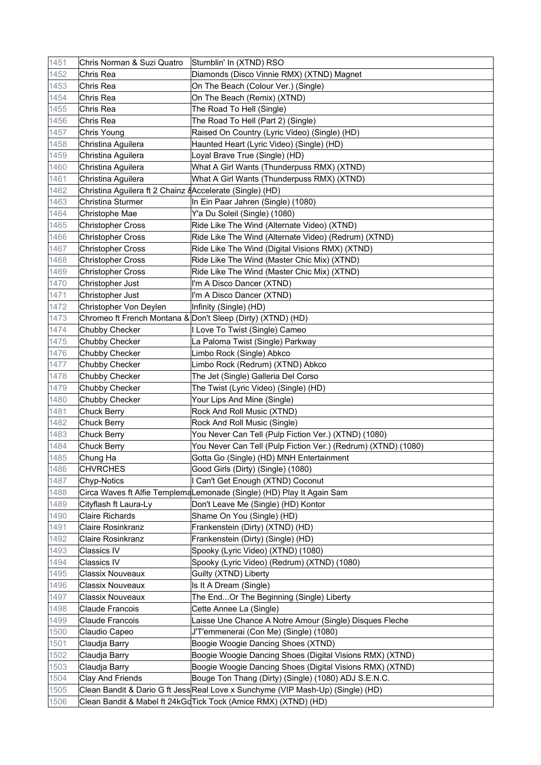| 1451         | Chris Norman & Suzi Quatro                                | Stumblin' In (XTND) RSO                                                                                                                 |
|--------------|-----------------------------------------------------------|-----------------------------------------------------------------------------------------------------------------------------------------|
| 1452         | Chris Rea                                                 | Diamonds (Disco Vinnie RMX) (XTND) Magnet                                                                                               |
| 1453         | Chris Rea                                                 | On The Beach (Colour Ver.) (Single)                                                                                                     |
| 1454         | Chris Rea                                                 | On The Beach (Remix) (XTND)                                                                                                             |
| 1455         | Chris Rea                                                 | The Road To Hell (Single)                                                                                                               |
| 1456         | Chris Rea                                                 | The Road To Hell (Part 2) (Single)                                                                                                      |
| 1457         | Chris Young                                               | Raised On Country (Lyric Video) (Single) (HD)                                                                                           |
| 1458         | Christina Aguilera                                        | Haunted Heart (Lyric Video) (Single) (HD)                                                                                               |
| 1459         | Christina Aguilera                                        | Loyal Brave True (Single) (HD)                                                                                                          |
| 1460         | Christina Aguilera                                        | What A Girl Wants (Thunderpuss RMX) (XTND)                                                                                              |
| 1461         | Christina Aguilera                                        | What A Girl Wants (Thunderpuss RMX) (XTND)                                                                                              |
| 1462         | Christina Aguilera ft 2 Chainz & Accelerate (Single) (HD) |                                                                                                                                         |
| 1463         | <b>Christina Sturmer</b>                                  | In Ein Paar Jahren (Single) (1080)                                                                                                      |
| 1464         | Christophe Mae                                            | Y'a Du Soleil (Single) (1080)                                                                                                           |
| 1465         | <b>Christopher Cross</b>                                  | Ride Like The Wind (Alternate Video) (XTND)                                                                                             |
| 1466         | <b>Christopher Cross</b>                                  | Ride Like The Wind (Alternate Video) (Redrum) (XTND)                                                                                    |
| 1467         | <b>Christopher Cross</b>                                  | Ride Like The Wind (Digital Visions RMX) (XTND)                                                                                         |
| 1468         | <b>Christopher Cross</b>                                  | Ride Like The Wind (Master Chic Mix) (XTND)                                                                                             |
| 1469         | <b>Christopher Cross</b>                                  | Ride Like The Wind (Master Chic Mix) (XTND)                                                                                             |
| 1470         | Christopher Just                                          | I'm A Disco Dancer (XTND)                                                                                                               |
| 1471         | Christopher Just                                          | I'm A Disco Dancer (XTND)                                                                                                               |
| 1472         | Christopher Von Deylen                                    | Infinity (Single) (HD)                                                                                                                  |
| 1473         |                                                           | Chromeo ft French Montana & Don't Sleep (Dirty) (XTND) (HD)                                                                             |
| 1474         | Chubby Checker                                            | I Love To Twist (Single) Cameo                                                                                                          |
| 1475         | Chubby Checker                                            | La Paloma Twist (Single) Parkway                                                                                                        |
| 1476         | Chubby Checker                                            | Limbo Rock (Single) Abkco                                                                                                               |
| 1477         | Chubby Checker                                            | Limbo Rock (Redrum) (XTND) Abkco                                                                                                        |
| 1478         | Chubby Checker                                            | The Jet (Single) Galleria Del Corso                                                                                                     |
| 1479         | Chubby Checker                                            | The Twist (Lyric Video) (Single) (HD)                                                                                                   |
| 1480         | Chubby Checker                                            | Your Lips And Mine (Single)                                                                                                             |
| 1481         | <b>Chuck Berry</b>                                        | Rock And Roll Music (XTND)                                                                                                              |
| 1482         | <b>Chuck Berry</b>                                        | Rock And Roll Music (Single)                                                                                                            |
| 1483         | <b>Chuck Berry</b>                                        | You Never Can Tell (Pulp Fiction Ver.) (XTND) (1080)                                                                                    |
| 1484         | <b>Chuck Berry</b>                                        | You Never Can Tell (Pulp Fiction Ver.) (Redrum) (XTND) (1080)                                                                           |
| 1485         | Chung Ha                                                  | Gotta Go (Single) (HD) MNH Entertainment                                                                                                |
| 1486         | <b>CHVRCHES</b>                                           | Good Girls (Dirty) (Single) (1080)                                                                                                      |
| 1487         | Chyp-Notics                                               | I Can't Get Enough (XTND) Coconut                                                                                                       |
| 1488         |                                                           | Circa Waves ft Alfie TemplemaLemonade (Single) (HD) Play It Again Sam                                                                   |
| 1489         | Cityflash ft Laura-Ly                                     | Don't Leave Me (Single) (HD) Kontor                                                                                                     |
| 1490         | <b>Claire Richards</b>                                    | Shame On You (Single) (HD)                                                                                                              |
| 1491         | Claire Rosinkranz                                         | Frankenstein (Dirty) (XTND) (HD)                                                                                                        |
| 1492         | Claire Rosinkranz                                         | Frankenstein (Dirty) (Single) (HD)                                                                                                      |
| 1493         | Classics IV                                               | Spooky (Lyric Video) (XTND) (1080)                                                                                                      |
| 1494         | Classics IV                                               | Spooky (Lyric Video) (Redrum) (XTND) (1080)                                                                                             |
| 1495         | <b>Classix Nouveaux</b>                                   | Guilty (XTND) Liberty                                                                                                                   |
| 1496         | Classix Nouveaux                                          | Is It A Dream (Single)                                                                                                                  |
| 1497         | Classix Nouveaux                                          | The EndOr The Beginning (Single) Liberty                                                                                                |
| 1498         | Claude Francois                                           | Cette Annee La (Single)                                                                                                                 |
| 1499         | Claude Francois                                           | Laisse Une Chance A Notre Amour (Single) Disques Fleche                                                                                 |
|              |                                                           |                                                                                                                                         |
| 1500         | Claudio Capeo                                             | J'T'emmenerai (Con Me) (Single) (1080)                                                                                                  |
| 1501         | Claudja Barry                                             | Boogie Woogie Dancing Shoes (XTND)                                                                                                      |
| 1502         | Claudja Barry                                             | Boogie Woogie Dancing Shoes (Digital Visions RMX) (XTND)                                                                                |
| 1503         | Claudja Barry                                             | Boogie Woogie Dancing Shoes (Digital Visions RMX) (XTND)                                                                                |
| 1504<br>1505 | <b>Clay And Friends</b>                                   | Bouge Ton Thang (Dirty) (Single) (1080) ADJ S.E.N.C.<br>Clean Bandit & Dario G ft Jess Real Love x Sunchyme (VIP Mash-Up) (Single) (HD) |
|              |                                                           |                                                                                                                                         |
| 1506         |                                                           | Clean Bandit & Mabel ft 24kGdTick Tock (Amice RMX) (XTND) (HD)                                                                          |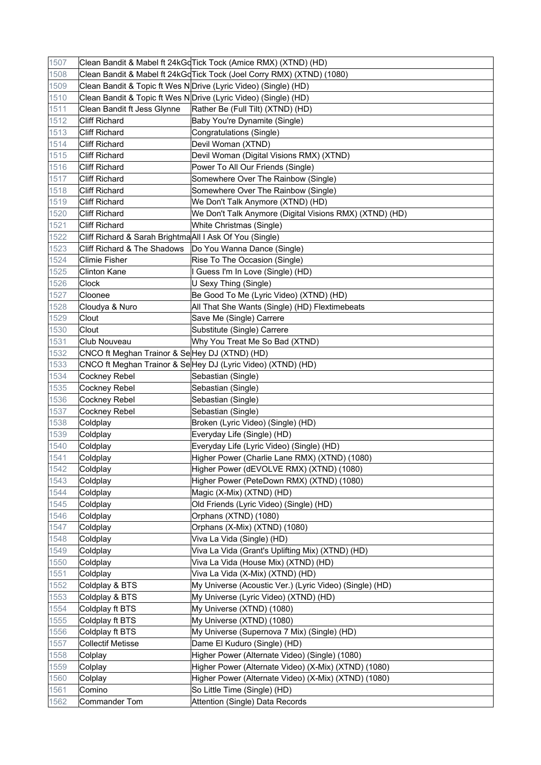| 1507 |                                                          | Clean Bandit & Mabel ft 24kGdTick Tock (Amice RMX) (XTND) (HD)         |
|------|----------------------------------------------------------|------------------------------------------------------------------------|
| 1508 |                                                          | Clean Bandit & Mabel ft 24kGd Tick Tock (Joel Corry RMX) (XTND) (1080) |
| 1509 |                                                          | Clean Bandit & Topic ft Wes NDrive (Lyric Video) (Single) (HD)         |
| 1510 |                                                          | Clean Bandit & Topic ft Wes NDrive (Lyric Video) (Single) (HD)         |
| 1511 | Clean Bandit ft Jess Glynne                              | Rather Be (Full Tilt) (XTND) (HD)                                      |
| 1512 | <b>Cliff Richard</b>                                     | Baby You're Dynamite (Single)                                          |
| 1513 | <b>Cliff Richard</b>                                     | Congratulations (Single)                                               |
| 1514 | <b>Cliff Richard</b>                                     | Devil Woman (XTND)                                                     |
| 1515 | <b>Cliff Richard</b>                                     | Devil Woman (Digital Visions RMX) (XTND)                               |
| 1516 | <b>Cliff Richard</b>                                     | Power To All Our Friends (Single)                                      |
| 1517 | <b>Cliff Richard</b>                                     | Somewhere Over The Rainbow (Single)                                    |
| 1518 | <b>Cliff Richard</b>                                     | Somewhere Over The Rainbow (Single)                                    |
| 1519 | <b>Cliff Richard</b>                                     | We Don't Talk Anymore (XTND) (HD)                                      |
| 1520 | <b>Cliff Richard</b>                                     | We Don't Talk Anymore (Digital Visions RMX) (XTND) (HD)                |
| 1521 | <b>Cliff Richard</b>                                     | White Christmas (Single)                                               |
| 1522 | Cliff Richard & Sarah Brightma All I Ask Of You (Single) |                                                                        |
| 1523 | Cliff Richard & The Shadows                              | Do You Wanna Dance (Single)                                            |
| 1524 | <b>Climie Fisher</b>                                     | Rise To The Occasion (Single)                                          |
| 1525 | <b>Clinton Kane</b>                                      | I Guess I'm In Love (Single) (HD)                                      |
| 1526 | Clock                                                    | U Sexy Thing (Single)                                                  |
| 1527 | Cloonee                                                  | Be Good To Me (Lyric Video) (XTND) (HD)                                |
| 1528 | Cloudya & Nuro                                           | All That She Wants (Single) (HD) Flextimebeats                         |
| 1529 | Clout                                                    | Save Me (Single) Carrere                                               |
| 1530 | Clout                                                    | Substitute (Single) Carrere                                            |
| 1531 | <b>Club Nouveau</b>                                      | Why You Treat Me So Bad (XTND)                                         |
| 1532 | CNCO ft Meghan Trainor & SeHey DJ (XTND) (HD)            |                                                                        |
| 1533 |                                                          | CNCO ft Meghan Trainor & Se Hey DJ (Lyric Video) (XTND) (HD)           |
| 1534 | Cockney Rebel                                            | Sebastian (Single)                                                     |
| 1535 | Cockney Rebel                                            | Sebastian (Single)                                                     |
| 1536 | Cockney Rebel                                            | Sebastian (Single)                                                     |
| 1537 | Cockney Rebel                                            | Sebastian (Single)                                                     |
| 1538 | Coldplay                                                 | Broken (Lyric Video) (Single) (HD)                                     |
| 1539 | Coldplay                                                 | Everyday Life (Single) (HD)                                            |
| 1540 | Coldplay                                                 | Everyday Life (Lyric Video) (Single) (HD)                              |
| 1541 | Coldplay                                                 | Higher Power (Charlie Lane RMX) (XTND) (1080)                          |
| 1542 | Coldplay                                                 | Higher Power (dEVOLVE RMX) (XTND) (1080)                               |
| 1543 | Coldplay                                                 | Higher Power (PeteDown RMX) (XTND) (1080)                              |
| 1544 | Coldplay                                                 | Magic (X-Mix) (XTND) (HD)                                              |
| 1545 | Coldplay                                                 | Old Friends (Lyric Video) (Single) (HD)                                |
| 1546 | Coldplay                                                 | Orphans (XTND) (1080)                                                  |
| 1547 | Coldplay                                                 | Orphans (X-Mix) (XTND) (1080)                                          |
| 1548 | Coldplay                                                 | Viva La Vida (Single) (HD)                                             |
| 1549 | Coldplay                                                 | Viva La Vida (Grant's Uplifting Mix) (XTND) (HD)                       |
| 1550 | Coldplay                                                 | Viva La Vida (House Mix) (XTND) (HD)                                   |
| 1551 | Coldplay                                                 | Viva La Vida (X-Mix) (XTND) (HD)                                       |
| 1552 | Coldplay & BTS                                           | My Universe (Acoustic Ver.) (Lyric Video) (Single) (HD)                |
| 1553 | Coldplay & BTS                                           | My Universe (Lyric Video) (XTND) (HD)                                  |
| 1554 | Coldplay ft BTS                                          | My Universe (XTND) (1080)                                              |
| 1555 | Coldplay ft BTS                                          | My Universe (XTND) (1080)                                              |
| 1556 | Coldplay ft BTS                                          | My Universe (Supernova 7 Mix) (Single) (HD)                            |
| 1557 | <b>Collectif Metisse</b>                                 | Dame El Kuduro (Single) (HD)                                           |
| 1558 | Colplay                                                  | Higher Power (Alternate Video) (Single) (1080)                         |
| 1559 | Colplay                                                  | Higher Power (Alternate Video) (X-Mix) (XTND) (1080)                   |
| 1560 | Colplay                                                  | Higher Power (Alternate Video) (X-Mix) (XTND) (1080)                   |
| 1561 | Comino                                                   | So Little Time (Single) (HD)                                           |
| 1562 | <b>Commander Tom</b>                                     | Attention (Single) Data Records                                        |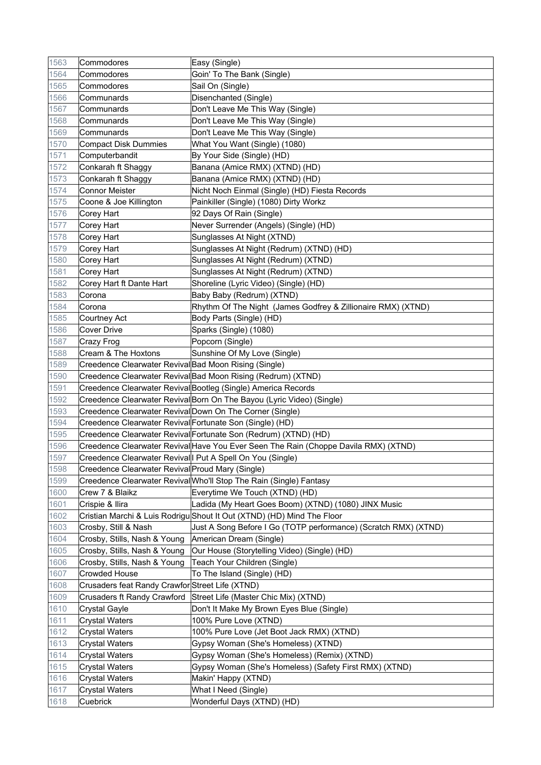| 1563 | Commodores                                                 | Easy (Single)                                                                       |
|------|------------------------------------------------------------|-------------------------------------------------------------------------------------|
| 1564 | Commodores                                                 | Goin' To The Bank (Single)                                                          |
| 1565 | Commodores                                                 | Sail On (Single)                                                                    |
| 1566 | Communards                                                 | Disenchanted (Single)                                                               |
| 1567 | Communards                                                 | Don't Leave Me This Way (Single)                                                    |
| 1568 | Communards                                                 | Don't Leave Me This Way (Single)                                                    |
| 1569 | Communards                                                 | Don't Leave Me This Way (Single)                                                    |
| 1570 | <b>Compact Disk Dummies</b>                                | What You Want (Single) (1080)                                                       |
| 1571 | Computerbandit                                             | By Your Side (Single) (HD)                                                          |
| 1572 | Conkarah ft Shaggy                                         | Banana (Amice RMX) (XTND) (HD)                                                      |
| 1573 | Conkarah ft Shaggy                                         | Banana (Amice RMX) (XTND) (HD)                                                      |
| 1574 | <b>Connor Meister</b>                                      | Nicht Noch Einmal (Single) (HD) Fiesta Records                                      |
| 1575 | Coone & Joe Killington                                     | Painkiller (Single) (1080) Dirty Workz                                              |
| 1576 | Corey Hart                                                 | 92 Days Of Rain (Single)                                                            |
| 1577 | Corey Hart                                                 | Never Surrender (Angels) (Single) (HD)                                              |
| 1578 | Corey Hart                                                 | Sunglasses At Night (XTND)                                                          |
| 1579 | Corey Hart                                                 | Sunglasses At Night (Redrum) (XTND) (HD)                                            |
| 1580 | Corey Hart                                                 | Sunglasses At Night (Redrum) (XTND)                                                 |
| 1581 | Corey Hart                                                 | Sunglasses At Night (Redrum) (XTND)                                                 |
| 1582 | Corey Hart ft Dante Hart                                   | Shoreline (Lyric Video) (Single) (HD)                                               |
| 1583 | Corona                                                     | Baby Baby (Redrum) (XTND)                                                           |
| 1584 | Corona                                                     | Rhythm Of The Night (James Godfrey & Zillionaire RMX) (XTND)                        |
| 1585 | Courtney Act                                               | Body Parts (Single) (HD)                                                            |
| 1586 | <b>Cover Drive</b>                                         | Sparks (Single) (1080)                                                              |
| 1587 | Crazy Frog                                                 | Popcorn (Single)                                                                    |
| 1588 | Cream & The Hoxtons                                        | Sunshine Of My Love (Single)                                                        |
| 1589 | Creedence Clearwater Revival Bad Moon Rising (Single)      |                                                                                     |
| 1590 |                                                            | Creedence Clearwater Revival Bad Moon Rising (Redrum) (XTND)                        |
| 1591 |                                                            | Creedence Clearwater Revival Bootleg (Single) America Records                       |
| 1592 |                                                            | Creedence Clearwater Revival Born On The Bayou (Lyric Video) (Single)               |
| 1593 | Creedence Clearwater Revival Down On The Corner (Single)   |                                                                                     |
| 1594 | Creedence Clearwater Revival Fortunate Son (Single) (HD)   |                                                                                     |
| 1595 |                                                            | Creedence Clearwater Revival Fortunate Son (Redrum) (XTND) (HD)                     |
| 1596 |                                                            | Creedence Clearwater Revival Have You Ever Seen The Rain (Choppe Davila RMX) (XTND) |
| 1597 | Creedence Clearwater Revival   Put A Spell On You (Single) |                                                                                     |
| 1598 | Creedence Clearwater Revival Proud Mary (Single)           |                                                                                     |
| 1599 |                                                            | Creedence Clearwater Revival Who'll Stop The Rain (Single) Fantasy                  |
| 1600 | Crew 7 & Blaikz                                            | Everytime We Touch (XTND) (HD)                                                      |
| 1601 | Crispie & Ilira                                            | Ladida (My Heart Goes Boom) (XTND) (1080) JINX Music                                |
| 1602 |                                                            | Cristian Marchi & Luis Rodrigu Shout It Out (XTND) (HD) Mind The Floor              |
| 1603 | Crosby, Still & Nash                                       | Just A Song Before I Go (TOTP performance) (Scratch RMX) (XTND)                     |
| 1604 | Crosby, Stills, Nash & Young                               | American Dream (Single)                                                             |
| 1605 | Crosby, Stills, Nash & Young                               | Our House (Storytelling Video) (Single) (HD)                                        |
| 1606 | Crosby, Stills, Nash & Young                               | Teach Your Children (Single)                                                        |
| 1607 | <b>Crowded House</b>                                       | To The Island (Single) (HD)                                                         |
| 1608 | Crusaders feat Randy Crawfor Street Life (XTND)            |                                                                                     |
| 1609 | Crusaders ft Randy Crawford                                | Street Life (Master Chic Mix) (XTND)                                                |
| 1610 | <b>Crystal Gayle</b>                                       | Don't It Make My Brown Eyes Blue (Single)                                           |
| 1611 | <b>Crystal Waters</b>                                      | 100% Pure Love (XTND)                                                               |
| 1612 | <b>Crystal Waters</b>                                      | 100% Pure Love (Jet Boot Jack RMX) (XTND)                                           |
| 1613 | <b>Crystal Waters</b>                                      | Gypsy Woman (She's Homeless) (XTND)                                                 |
| 1614 | <b>Crystal Waters</b>                                      | Gypsy Woman (She's Homeless) (Remix) (XTND)                                         |
| 1615 | <b>Crystal Waters</b>                                      | Gypsy Woman (She's Homeless) (Safety First RMX) (XTND)                              |
| 1616 | <b>Crystal Waters</b>                                      | Makin' Happy (XTND)                                                                 |
| 1617 | <b>Crystal Waters</b>                                      | What I Need (Single)                                                                |
| 1618 | Cuebrick                                                   | Wonderful Days (XTND) (HD)                                                          |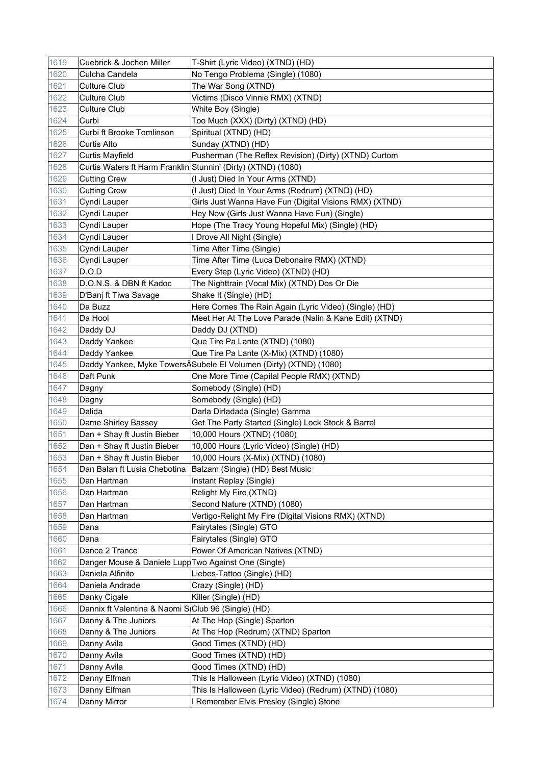| 1619 | Cuebrick & Jochen Miller                                      | T-Shirt (Lyric Video) (XTND) (HD)                                 |
|------|---------------------------------------------------------------|-------------------------------------------------------------------|
| 1620 | Culcha Candela                                                | No Tengo Problema (Single) (1080)                                 |
| 1621 | <b>Culture Club</b>                                           | The War Song (XTND)                                               |
| 1622 | <b>Culture Club</b>                                           | Victims (Disco Vinnie RMX) (XTND)                                 |
| 1623 | <b>Culture Club</b>                                           | White Boy (Single)                                                |
| 1624 | Curbi                                                         | Too Much (XXX) (Dirty) (XTND) (HD)                                |
| 1625 | Curbi ft Brooke Tomlinson                                     | Spiritual (XTND) (HD)                                             |
| 1626 | <b>Curtis Alto</b>                                            | Sunday (XTND) (HD)                                                |
| 1627 | <b>Curtis Mayfield</b>                                        | Pusherman (The Reflex Revision) (Dirty) (XTND) Curtom             |
| 1628 | Curtis Waters ft Harm Franklin Stunnin' (Dirty) (XTND) (1080) |                                                                   |
| 1629 | <b>Cutting Crew</b>                                           | (I Just) Died In Your Arms (XTND)                                 |
| 1630 | <b>Cutting Crew</b>                                           | (I Just) Died In Your Arms (Redrum) (XTND) (HD)                   |
| 1631 | Cyndi Lauper                                                  | Girls Just Wanna Have Fun (Digital Visions RMX) (XTND)            |
| 1632 | Cyndi Lauper                                                  | Hey Now (Girls Just Wanna Have Fun) (Single)                      |
| 1633 | Cyndi Lauper                                                  | Hope (The Tracy Young Hopeful Mix) (Single) (HD)                  |
| 1634 | Cyndi Lauper                                                  | I Drove All Night (Single)                                        |
| 1635 | Cyndi Lauper                                                  | Time After Time (Single)                                          |
| 1636 | Cyndi Lauper                                                  | Time After Time (Luca Debonaire RMX) (XTND)                       |
| 1637 | D.O.D                                                         | Every Step (Lyric Video) (XTND) (HD)                              |
| 1638 | D.O.N.S. & DBN ft Kadoc                                       | The Nighttrain (Vocal Mix) (XTND) Dos Or Die                      |
| 1639 | D'Banj ft Tiwa Savage                                         | Shake It (Single) (HD)                                            |
| 1640 | Da Buzz                                                       | Here Comes The Rain Again (Lyric Video) (Single) (HD)             |
| 1641 | Da Hool                                                       | Meet Her At The Love Parade (Nalin & Kane Edit) (XTND)            |
| 1642 | Daddy DJ                                                      | Daddy DJ (XTND)                                                   |
| 1643 | Daddy Yankee                                                  | Que Tire Pa Lante (XTND) (1080)                                   |
| 1644 | Daddy Yankee                                                  | Que Tire Pa Lante (X-Mix) (XTND) (1080)                           |
| 1645 |                                                               | Daddy Yankee, Myke TowersASubele El Volumen (Dirty) (XTND) (1080) |
| 1646 | Daft Punk                                                     | One More Time (Capital People RMX) (XTND)                         |
| 1647 | Dagny                                                         | Somebody (Single) (HD)                                            |
| 1648 | Dagny                                                         | Somebody (Single) (HD)                                            |
| 1649 | Dalida                                                        | Darla Dirladada (Single) Gamma                                    |
| 1650 | Dame Shirley Bassey                                           | Get The Party Started (Single) Lock Stock & Barrel                |
| 1651 | Dan + Shay ft Justin Bieber                                   | 10,000 Hours (XTND) (1080)                                        |
| 1652 | Dan + Shay ft Justin Bieber                                   | 10,000 Hours (Lyric Video) (Single) (HD)                          |
| 1653 | Dan + Shay ft Justin Bieber                                   | 10,000 Hours (X-Mix) (XTND) (1080)                                |
| 1654 |                                                               | Dan Balan ft Lusia Chebotina   Balzam (Single) (HD) Best Music    |
| 1655 | Dan Hartman                                                   | Instant Replay (Single)                                           |
| 1656 | Dan Hartman                                                   | Relight My Fire (XTND)                                            |
| 1657 | Dan Hartman                                                   | Second Nature (XTND) (1080)                                       |
| 1658 | Dan Hartman                                                   | Vertigo-Relight My Fire (Digital Visions RMX) (XTND)              |
| 1659 | Dana                                                          | Fairytales (Single) GTO                                           |
| 1660 | Dana                                                          | Fairytales (Single) GTO                                           |
| 1661 | Dance 2 Trance                                                | Power Of American Natives (XTND)                                  |
| 1662 | Danger Mouse & Daniele Lupp Two Against One (Single)          |                                                                   |
| 1663 | Daniela Alfinito                                              | Liebes-Tattoo (Single) (HD)                                       |
| 1664 | Daniela Andrade                                               | Crazy (Single) (HD)                                               |
| 1665 | Danky Cigale                                                  | Killer (Single) (HD)                                              |
| 1666 | Dannix ft Valentina & Naomi SiClub 96 (Single) (HD)           |                                                                   |
| 1667 | Danny & The Juniors                                           | At The Hop (Single) Sparton                                       |
| 1668 | Danny & The Juniors                                           | At The Hop (Redrum) (XTND) Sparton                                |
| 1669 | Danny Avila                                                   | Good Times (XTND) (HD)                                            |
| 1670 | Danny Avila                                                   | Good Times (XTND) (HD)                                            |
| 1671 | Danny Avila                                                   | Good Times (XTND) (HD)                                            |
| 1672 | Danny Elfman                                                  | This Is Halloween (Lyric Video) (XTND) (1080)                     |
| 1673 | Danny Elfman                                                  | This Is Halloween (Lyric Video) (Redrum) (XTND) (1080)            |
| 1674 | Danny Mirror                                                  | Remember Elvis Presley (Single) Stone                             |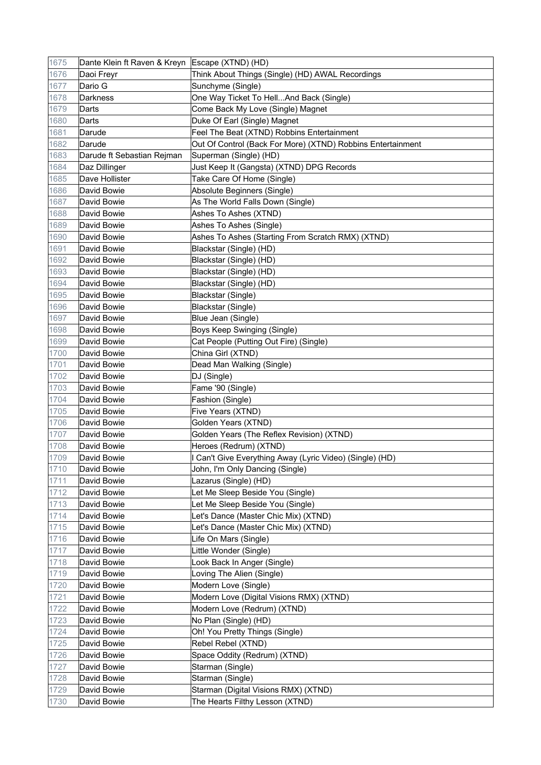| 1675 | Dante Klein ft Raven & Kreyn Escape (XTND) (HD) |                                                             |
|------|-------------------------------------------------|-------------------------------------------------------------|
| 1676 | Daoi Freyr                                      | Think About Things (Single) (HD) AWAL Recordings            |
| 1677 | Dario G                                         | Sunchyme (Single)                                           |
| 1678 | <b>Darkness</b>                                 | One Way Ticket To HellAnd Back (Single)                     |
| 1679 | Darts                                           | Come Back My Love (Single) Magnet                           |
| 1680 | Darts                                           | Duke Of Earl (Single) Magnet                                |
| 1681 | Darude                                          | Feel The Beat (XTND) Robbins Entertainment                  |
| 1682 | Darude                                          | Out Of Control (Back For More) (XTND) Robbins Entertainment |
| 1683 | Darude ft Sebastian Rejman                      | Superman (Single) (HD)                                      |
| 1684 | Daz Dillinger                                   | Just Keep It (Gangsta) (XTND) DPG Records                   |
| 1685 | Dave Hollister                                  | Take Care Of Home (Single)                                  |
| 1686 | David Bowie                                     | Absolute Beginners (Single)                                 |
| 1687 | David Bowie                                     | As The World Falls Down (Single)                            |
| 1688 | David Bowie                                     | Ashes To Ashes (XTND)                                       |
| 1689 | David Bowie                                     | Ashes To Ashes (Single)                                     |
| 1690 | David Bowie                                     | Ashes To Ashes (Starting From Scratch RMX) (XTND)           |
| 1691 | David Bowie                                     | Blackstar (Single) (HD)                                     |
| 1692 | David Bowie                                     | Blackstar (Single) (HD)                                     |
| 1693 | David Bowie                                     | Blackstar (Single) (HD)                                     |
| 1694 | David Bowie                                     | Blackstar (Single) (HD)                                     |
| 1695 | David Bowie                                     | Blackstar (Single)                                          |
| 1696 | David Bowie                                     | Blackstar (Single)                                          |
| 1697 | David Bowie                                     | Blue Jean (Single)                                          |
| 1698 | David Bowie                                     | Boys Keep Swinging (Single)                                 |
| 1699 | David Bowie                                     | Cat People (Putting Out Fire) (Single)                      |
| 1700 | David Bowie                                     | China Girl (XTND)                                           |
| 1701 | David Bowie                                     | Dead Man Walking (Single)                                   |
| 1702 | David Bowie                                     | DJ (Single)                                                 |
| 1703 | David Bowie                                     | Fame '90 (Single)                                           |
| 1704 | David Bowie                                     | Fashion (Single)                                            |
| 1705 | David Bowie                                     | Five Years (XTND)                                           |
| 1706 | David Bowie                                     | Golden Years (XTND)                                         |
| 1707 | David Bowie                                     | Golden Years (The Reflex Revision) (XTND)                   |
| 1708 | David Bowie                                     | Heroes (Redrum) (XTND)                                      |
| 1709 | David Bowie                                     | I Can't Give Everything Away (Lyric Video) (Single) (HD)    |
| 1710 | David Bowie                                     | John, I'm Only Dancing (Single)                             |
| 1711 | David Bowie                                     | Lazarus (Single) (HD)                                       |
| 1712 | David Bowie                                     | Let Me Sleep Beside You (Single)                            |
| 1713 | David Bowie                                     | Let Me Sleep Beside You (Single)                            |
| 1714 | David Bowie                                     | Let's Dance (Master Chic Mix) (XTND)                        |
| 1715 | David Bowie                                     | Let's Dance (Master Chic Mix) (XTND)                        |
| 1716 | David Bowie                                     | Life On Mars (Single)                                       |
| 1717 | David Bowie                                     | Little Wonder (Single)                                      |
| 1718 | David Bowie                                     | Look Back In Anger (Single)                                 |
| 1719 | David Bowie                                     | Loving The Alien (Single)                                   |
| 1720 | David Bowie                                     | Modern Love (Single)                                        |
| 1721 | David Bowie                                     | Modern Love (Digital Visions RMX) (XTND)                    |
| 1722 | David Bowie                                     | Modern Love (Redrum) (XTND)                                 |
| 1723 | David Bowie                                     | No Plan (Single) (HD)                                       |
| 1724 | David Bowie                                     | Oh! You Pretty Things (Single)                              |
| 1725 | David Bowie                                     | Rebel Rebel (XTND)                                          |
| 1726 | David Bowie                                     | Space Oddity (Redrum) (XTND)                                |
| 1727 | David Bowie                                     | Starman (Single)                                            |
| 1728 | David Bowie                                     | Starman (Single)                                            |
| 1729 | David Bowie                                     | Starman (Digital Visions RMX) (XTND)                        |
| 1730 | David Bowie                                     | The Hearts Filthy Lesson (XTND)                             |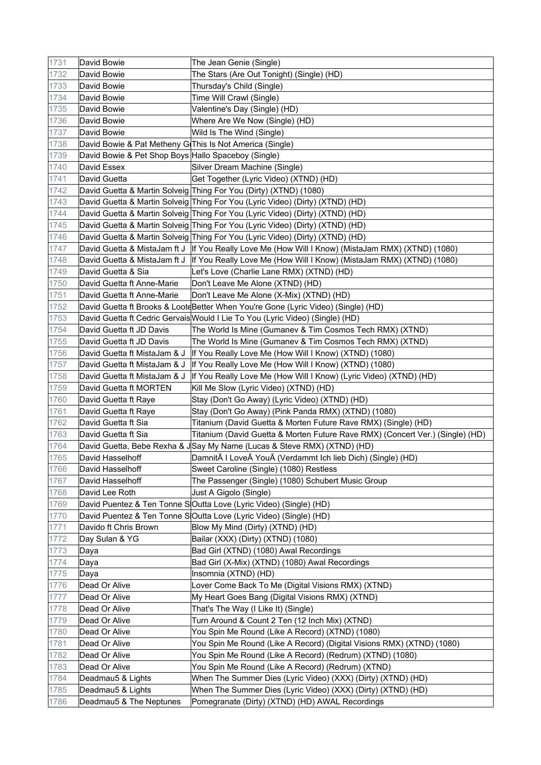| 1731 | David Bowie                                              | The Jean Genie (Single)                                                                             |
|------|----------------------------------------------------------|-----------------------------------------------------------------------------------------------------|
| 1732 | David Bowie                                              | The Stars (Are Out Tonight) (Single) (HD)                                                           |
| 1733 | David Bowie                                              | Thursday's Child (Single)                                                                           |
| 1734 | David Bowie                                              | Time Will Crawl (Single)                                                                            |
| 1735 | David Bowie                                              | Valentine's Day (Single) (HD)                                                                       |
| 1736 | David Bowie                                              | Where Are We Now (Single) (HD)                                                                      |
| 1737 | David Bowie                                              | Wild Is The Wind (Single)                                                                           |
| 1738 | David Bowie & Pat Metheny GiThis Is Not America (Single) |                                                                                                     |
| 1739 | David Bowie & Pet Shop Boys Hallo Spaceboy (Single)      |                                                                                                     |
| 1740 | David Essex                                              | Silver Dream Machine (Single)                                                                       |
| 1741 | David Guetta                                             | Get Together (Lyric Video) (XTND) (HD)                                                              |
| 1742 |                                                          | David Guetta & Martin Solveig Thing For You (Dirty) (XTND) (1080)                                   |
| 1743 |                                                          | David Guetta & Martin Solveig Thing For You (Lyric Video) (Dirty) (XTND) (HD)                       |
| 1744 |                                                          | David Guetta & Martin Solveig Thing For You (Lyric Video) (Dirty) (XTND) (HD)                       |
| 1745 |                                                          | David Guetta & Martin Solveig Thing For You (Lyric Video) (Dirty) (XTND) (HD)                       |
| 1746 |                                                          | David Guetta & Martin Solveig Thing For You (Lyric Video) (Dirty) (XTND) (HD)                       |
| 1747 |                                                          | David Guetta & MistaJam ft J   If You Really Love Me (How Will I Know) (MistaJam RMX) (XTND) (1080) |
| 1748 |                                                          | David Guetta & MistaJam ft J   If You Really Love Me (How Will I Know) (MistaJam RMX) (XTND) (1080) |
| 1749 | David Guetta & Sia                                       | Let's Love (Charlie Lane RMX) (XTND) (HD)                                                           |
| 1750 | David Guetta ft Anne-Marie                               | Don't Leave Me Alone (XTND) (HD)                                                                    |
| 1751 | David Guetta ft Anne-Marie                               | Don't Leave Me Alone (X-Mix) (XTND) (HD)                                                            |
| 1752 |                                                          | David Guetta ft Brooks & LooteBetter When You're Gone (Lyric Video) (Single) (HD)                   |
| 1753 |                                                          | David Guetta ft Cedric Gervais Would I Lie To You (Lyric Video) (Single) (HD)                       |
| 1754 | David Guetta ft JD Davis                                 | The World Is Mine (Gumanev & Tim Cosmos Tech RMX) (XTND)                                            |
| 1755 | David Guetta ft JD Davis                                 | The World Is Mine (Gumanev & Tim Cosmos Tech RMX) (XTND)                                            |
| 1756 | David Guetta ft MistaJam & J                             | If You Really Love Me (How Will I Know) (XTND) (1080)                                               |
| 1757 | David Guetta ft MistaJam & J                             | If You Really Love Me (How Will I Know) (XTND) (1080)                                               |
| 1758 | David Guetta ft MistaJam & J                             | If You Really Love Me (How Will I Know) (Lyric Video) (XTND) (HD)                                   |
| 1759 | David Guetta ft MORTEN                                   | Kill Me Slow (Lyric Video) (XTND) (HD)                                                              |
| 1760 | David Guetta ft Raye                                     | Stay (Don't Go Away) (Lyric Video) (XTND) (HD)                                                      |
| 1761 | David Guetta ft Raye                                     | Stay (Don't Go Away) (Pink Panda RMX) (XTND) (1080)                                                 |
| 1762 | David Guetta ft Sia                                      | Titanium (David Guetta & Morten Future Rave RMX) (Single) (HD)                                      |
| 1763 | David Guetta ft Sia                                      | Titanium (David Guetta & Morten Future Rave RMX) (Concert Ver.) (Single) (HD)                       |
| 1764 |                                                          | David Guetta, Bebe Rexha & JSay My Name (Lucas & Steve RMX) (XTND) (HD)                             |
| 1765 | David Hasselhoff                                         | DamnitĀ I LoveĀ YouĀ (Verdammt Ich lieb Dich) (Single) (HD)                                         |
| 1766 | David Hasselhoff                                         | Sweet Caroline (Single) (1080) Restless                                                             |
| 1767 | David Hasselhoff                                         | The Passenger (Single) (1080) Schubert Music Group                                                  |
| 1768 | David Lee Roth                                           | Just A Gigolo (Single)                                                                              |
| 1769 |                                                          | David Puentez & Ten Tonne SOutta Love (Lyric Video) (Single) (HD)                                   |
| 1770 |                                                          | David Puentez & Ten Tonne S Outta Love (Lyric Video) (Single) (HD)                                  |
| 1771 | Davido ft Chris Brown                                    | Blow My Mind (Dirty) (XTND) (HD)                                                                    |
| 1772 | Day Sulan & YG                                           | Bailar (XXX) (Dirty) (XTND) (1080)                                                                  |
| 1773 | Daya                                                     | Bad Girl (XTND) (1080) Awal Recordings                                                              |
| 1774 | Daya                                                     | Bad Girl (X-Mix) (XTND) (1080) Awal Recordings                                                      |
| 1775 | Daya                                                     | Insomnia (XTND) (HD)                                                                                |
| 1776 | Dead Or Alive                                            | Lover Come Back To Me (Digital Visions RMX) (XTND)                                                  |
| 1777 | Dead Or Alive                                            | My Heart Goes Bang (Digital Visions RMX) (XTND)                                                     |
| 1778 | Dead Or Alive                                            | That's The Way (I Like It) (Single)                                                                 |
| 1779 | Dead Or Alive                                            | Turn Around & Count 2 Ten (12 Inch Mix) (XTND)                                                      |
| 1780 | Dead Or Alive                                            | You Spin Me Round (Like A Record) (XTND) (1080)                                                     |
| 1781 | Dead Or Alive                                            | You Spin Me Round (Like A Record) (Digital Visions RMX) (XTND) (1080)                               |
| 1782 | Dead Or Alive                                            | You Spin Me Round (Like A Record) (Redrum) (XTND) (1080)                                            |
| 1783 | Dead Or Alive                                            | You Spin Me Round (Like A Record) (Redrum) (XTND)                                                   |
| 1784 | Deadmau5 & Lights                                        | When The Summer Dies (Lyric Video) (XXX) (Dirty) (XTND) (HD)                                        |
| 1785 | Deadmau5 & Lights                                        | When The Summer Dies (Lyric Video) (XXX) (Dirty) (XTND) (HD)                                        |
| 1786 | Deadmau5 & The Neptunes                                  | Pomegranate (Dirty) (XTND) (HD) AWAL Recordings                                                     |
|      |                                                          |                                                                                                     |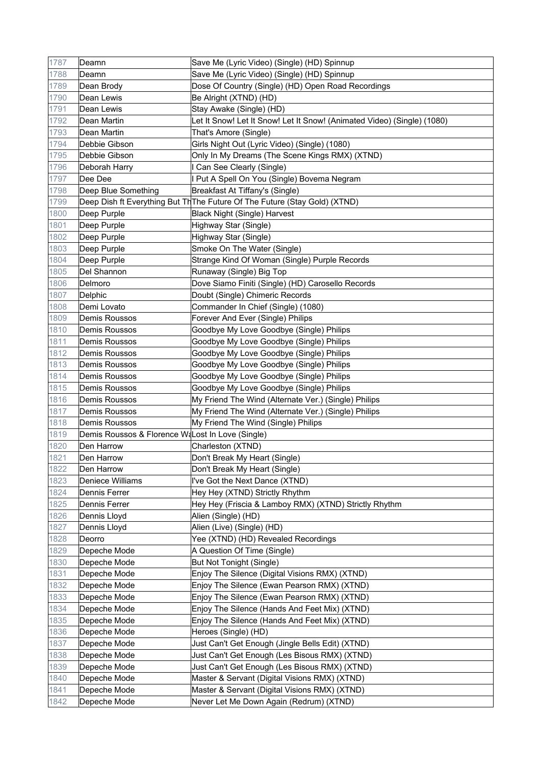| 1787 | Deamn                                            | Save Me (Lyric Video) (Single) (HD) Spinnup                                |
|------|--------------------------------------------------|----------------------------------------------------------------------------|
| 1788 | Deamn                                            | Save Me (Lyric Video) (Single) (HD) Spinnup                                |
| 1789 | Dean Brody                                       | Dose Of Country (Single) (HD) Open Road Recordings                         |
| 1790 | Dean Lewis                                       | Be Alright (XTND) (HD)                                                     |
| 1791 | Dean Lewis                                       | Stay Awake (Single) (HD)                                                   |
| 1792 | Dean Martin                                      | Let It Snow! Let It Snow! Let It Snow! (Animated Video) (Single) (1080)    |
| 1793 | Dean Martin                                      | That's Amore (Single)                                                      |
| 1794 | Debbie Gibson                                    | Girls Night Out (Lyric Video) (Single) (1080)                              |
| 1795 | Debbie Gibson                                    | Only In My Dreams (The Scene Kings RMX) (XTND)                             |
| 1796 | Deborah Harry                                    | I Can See Clearly (Single)                                                 |
| 1797 | Dee Dee                                          | I Put A Spell On You (Single) Bovema Negram                                |
| 1798 | Deep Blue Something                              | Breakfast At Tiffany's (Single)                                            |
| 1799 |                                                  | Deep Dish ft Everything But Th The Future Of The Future (Stay Gold) (XTND) |
| 1800 | Deep Purple                                      | <b>Black Night (Single) Harvest</b>                                        |
| 1801 | Deep Purple                                      | Highway Star (Single)                                                      |
| 1802 | Deep Purple                                      | Highway Star (Single)                                                      |
| 1803 | Deep Purple                                      | Smoke On The Water (Single)                                                |
| 1804 | Deep Purple                                      | Strange Kind Of Woman (Single) Purple Records                              |
| 1805 | Del Shannon                                      | Runaway (Single) Big Top                                                   |
| 1806 | Delmoro                                          | Dove Siamo Finiti (Single) (HD) Carosello Records                          |
| 1807 | Delphic                                          | Doubt (Single) Chimeric Records                                            |
| 1808 | Demi Lovato                                      | Commander In Chief (Single) (1080)                                         |
| 1809 | Demis Roussos                                    | Forever And Ever (Single) Philips                                          |
| 1810 | Demis Roussos                                    | Goodbye My Love Goodbye (Single) Philips                                   |
| 1811 | <b>Demis Roussos</b>                             | Goodbye My Love Goodbye (Single) Philips                                   |
| 1812 | Demis Roussos                                    | Goodbye My Love Goodbye (Single) Philips                                   |
| 1813 | <b>Demis Roussos</b>                             | Goodbye My Love Goodbye (Single) Philips                                   |
| 1814 | Demis Roussos                                    | Goodbye My Love Goodbye (Single) Philips                                   |
| 1815 | Demis Roussos                                    | Goodbye My Love Goodbye (Single) Philips                                   |
| 1816 | Demis Roussos                                    | My Friend The Wind (Alternate Ver.) (Single) Philips                       |
| 1817 | Demis Roussos                                    | My Friend The Wind (Alternate Ver.) (Single) Philips                       |
| 1818 | Demis Roussos                                    | My Friend The Wind (Single) Philips                                        |
| 1819 | Demis Roussos & Florence WaLost In Love (Single) |                                                                            |
| 1820 | Den Harrow                                       | Charleston (XTND)                                                          |
| 1821 | Den Harrow                                       | Don't Break My Heart (Single)                                              |
| 1822 | Den Harrow                                       | Don't Break My Heart (Single)                                              |
| 1823 | Deniece Williams                                 | I've Got the Next Dance (XTND)                                             |
| 1824 | Dennis Ferrer                                    | Hey Hey (XTND) Strictly Rhythm                                             |
| 1825 | Dennis Ferrer                                    | Hey Hey (Friscia & Lamboy RMX) (XTND) Strictly Rhythm                      |
| 1826 | Dennis Lloyd                                     | Alien (Single) (HD)                                                        |
| 1827 | Dennis Lloyd                                     | Alien (Live) (Single) (HD)                                                 |
| 1828 | Deorro                                           | Yee (XTND) (HD) Revealed Recordings                                        |
| 1829 | Depeche Mode                                     | A Question Of Time (Single)                                                |
| 1830 | Depeche Mode                                     | But Not Tonight (Single)                                                   |
| 1831 | Depeche Mode                                     | Enjoy The Silence (Digital Visions RMX) (XTND)                             |
| 1832 | Depeche Mode                                     | Enjoy The Silence (Ewan Pearson RMX) (XTND)                                |
| 1833 | Depeche Mode                                     | Enjoy The Silence (Ewan Pearson RMX) (XTND)                                |
| 1834 | Depeche Mode                                     | Enjoy The Silence (Hands And Feet Mix) (XTND)                              |
| 1835 | Depeche Mode                                     | Enjoy The Silence (Hands And Feet Mix) (XTND)                              |
| 1836 | Depeche Mode                                     | Heroes (Single) (HD)                                                       |
| 1837 | Depeche Mode                                     | Just Can't Get Enough (Jingle Bells Edit) (XTND)                           |
| 1838 | Depeche Mode                                     | Just Can't Get Enough (Les Bisous RMX) (XTND)                              |
| 1839 | Depeche Mode                                     | Just Can't Get Enough (Les Bisous RMX) (XTND)                              |
| 1840 | Depeche Mode                                     | Master & Servant (Digital Visions RMX) (XTND)                              |
| 1841 | Depeche Mode                                     | Master & Servant (Digital Visions RMX) (XTND)                              |
| 1842 | Depeche Mode                                     | Never Let Me Down Again (Redrum) (XTND)                                    |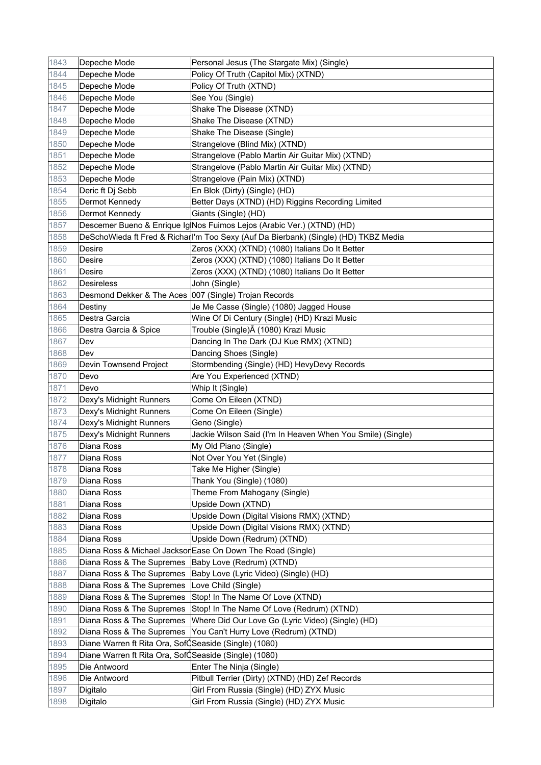| 1843 | Depeche Mode                                          | Personal Jesus (The Stargate Mix) (Single)                                           |
|------|-------------------------------------------------------|--------------------------------------------------------------------------------------|
| 1844 | Depeche Mode                                          | Policy Of Truth (Capitol Mix) (XTND)                                                 |
| 1845 | Depeche Mode                                          | Policy Of Truth (XTND)                                                               |
| 1846 | Depeche Mode                                          | See You (Single)                                                                     |
| 1847 | Depeche Mode                                          | Shake The Disease (XTND)                                                             |
| 1848 | Depeche Mode                                          | Shake The Disease (XTND)                                                             |
| 1849 | Depeche Mode                                          | Shake The Disease (Single)                                                           |
| 1850 | Depeche Mode                                          | Strangelove (Blind Mix) (XTND)                                                       |
| 1851 | Depeche Mode                                          | Strangelove (Pablo Martin Air Guitar Mix) (XTND)                                     |
| 1852 | Depeche Mode                                          | Strangelove (Pablo Martin Air Guitar Mix) (XTND)                                     |
| 1853 | Depeche Mode                                          | Strangelove (Pain Mix) (XTND)                                                        |
| 1854 | Deric ft Dj Sebb                                      | En Blok (Dirty) (Single) (HD)                                                        |
| 1855 | Dermot Kennedy                                        | Better Days (XTND) (HD) Riggins Recording Limited                                    |
| 1856 | Dermot Kennedy                                        | Giants (Single) (HD)                                                                 |
| 1857 |                                                       | Descemer Bueno & Enrique Ig Nos Fuimos Lejos (Arabic Ver.) (XTND) (HD)               |
| 1858 |                                                       | DeSchoWieda ft Fred & Richarll'm Too Sexy (Auf Da Bierbank) (Single) (HD) TKBZ Media |
| 1859 | Desire                                                | Zeros (XXX) (XTND) (1080) Italians Do It Better                                      |
| 1860 | <b>Desire</b>                                         | Zeros (XXX) (XTND) (1080) Italians Do It Better                                      |
| 1861 | Desire                                                | Zeros (XXX) (XTND) (1080) Italians Do It Better                                      |
| 1862 | <b>Desireless</b>                                     | John (Single)                                                                        |
| 1863 | Desmond Dekker & The Aces 007 (Single) Trojan Records |                                                                                      |
| 1864 | Destiny                                               | Je Me Casse (Single) (1080) Jagged House                                             |
| 1865 | Destra Garcia                                         | Wine Of Di Century (Single) (HD) Krazi Music                                         |
| 1866 | Destra Garcia & Spice                                 | Trouble (Single) Ā (1080) Krazi Music                                                |
| 1867 | Dev                                                   | Dancing In The Dark (DJ Kue RMX) (XTND)                                              |
| 1868 | Dev                                                   | Dancing Shoes (Single)                                                               |
| 1869 | Devin Townsend Project                                | Stormbending (Single) (HD) HevyDevy Records                                          |
| 1870 | Devo                                                  | Are You Experienced (XTND)                                                           |
| 1871 | Devo                                                  | Whip It (Single)                                                                     |
| 1872 | Dexy's Midnight Runners                               | Come On Eileen (XTND)                                                                |
| 1873 | Dexy's Midnight Runners                               | Come On Eileen (Single)                                                              |
| 1874 | Dexy's Midnight Runners                               | Geno (Single)                                                                        |
| 1875 | Dexy's Midnight Runners                               | Jackie Wilson Said (I'm In Heaven When You Smile) (Single)                           |
| 1876 | Diana Ross                                            | My Old Piano (Single)                                                                |
| 1877 | Diana Ross                                            | Not Over You Yet (Single)                                                            |
| 1878 | Diana Ross                                            | Take Me Higher (Single)                                                              |
| 1879 | Diana Ross                                            | Thank You (Single) (1080)                                                            |
| 1880 | Diana Ross                                            | Theme From Mahogany (Single)                                                         |
| 1881 | Diana Ross                                            | Upside Down (XTND)                                                                   |
| 1882 | Diana Ross                                            | Upside Down (Digital Visions RMX) (XTND)                                             |
| 1883 | Diana Ross                                            | Upside Down (Digital Visions RMX) (XTND)                                             |
| 1884 | Diana Ross                                            | Upside Down (Redrum) (XTND)                                                          |
| 1885 |                                                       | Diana Ross & Michael Jacksor Ease On Down The Road (Single)                          |
| 1886 | Diana Ross & The Supremes                             | Baby Love (Redrum) (XTND)                                                            |
| 1887 | Diana Ross & The Supremes                             | Baby Love (Lyric Video) (Single) (HD)                                                |
| 1888 | Diana Ross & The Supremes                             | Love Child (Single)                                                                  |
| 1889 | Diana Ross & The Supremes                             | Stop! In The Name Of Love (XTND)                                                     |
| 1890 | Diana Ross & The Supremes                             | Stop! In The Name Of Love (Redrum) (XTND)                                            |
| 1891 | Diana Ross & The Supremes                             | Where Did Our Love Go (Lyric Video) (Single) (HD)                                    |
| 1892 | Diana Ross & The Supremes                             | You Can't Hurry Love (Redrum) (XTND)                                                 |
| 1893 | Diane Warren ft Rita Ora, SofQSeaside (Single) (1080) |                                                                                      |
| 1894 | Diane Warren ft Rita Ora, SofÓSeaside (Single) (1080) |                                                                                      |
| 1895 | Die Antwoord                                          | Enter The Ninja (Single)                                                             |
| 1896 | Die Antwoord                                          | Pitbull Terrier (Dirty) (XTND) (HD) Zef Records                                      |
| 1897 | Digitalo                                              | Girl From Russia (Single) (HD) ZYX Music                                             |
| 1898 | Digitalo                                              | Girl From Russia (Single) (HD) ZYX Music                                             |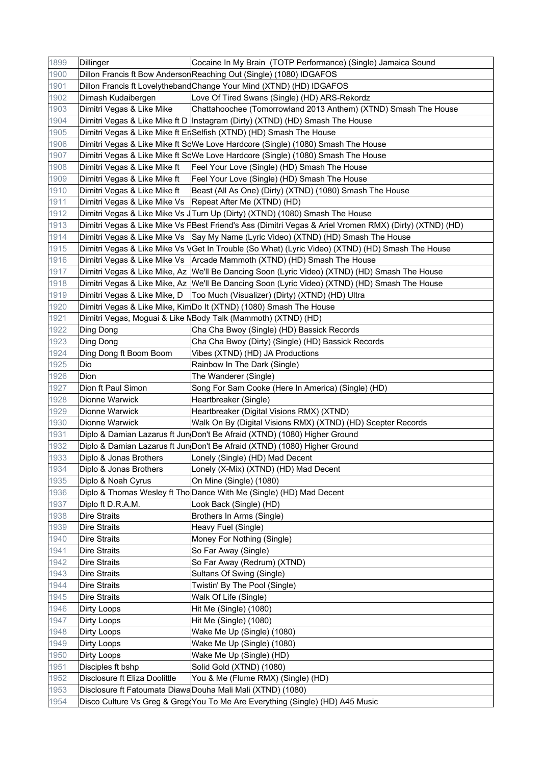| 1899         | Dillinger                                                  | Cocaine In My Brain (TOTP Performance) (Single) Jamaica Sound                                           |
|--------------|------------------------------------------------------------|---------------------------------------------------------------------------------------------------------|
| 1900         |                                                            | Dillon Francis ft Bow Anderson Reaching Out (Single) (1080) IDGAFOS                                     |
| 1901         |                                                            | Dillon Francis ft Lovelytheband Change Your Mind (XTND) (HD) IDGAFOS                                    |
| 1902         | Dimash Kudaibergen                                         | Love Of Tired Swans (Single) (HD) ARS-Rekordz                                                           |
| 1903         | Dimitri Vegas & Like Mike                                  | Chattahoochee (Tomorrowland 2013 Anthem) (XTND) Smash The House                                         |
| 1904         |                                                            | Dimitri Vegas & Like Mike ft D  Instagram (Dirty) (XTND) (HD) Smash The House                           |
| 1905         |                                                            | Dimitri Vegas & Like Mike ft Er Selfish (XTND) (HD) Smash The House                                     |
| 1906         |                                                            | Dimitri Vegas & Like Mike ft SqWe Love Hardcore (Single) (1080) Smash The House                         |
| 1907         |                                                            | Dimitri Vegas & Like Mike ft SqWe Love Hardcore (Single) (1080) Smash The House                         |
| 1908         | Dimitri Vegas & Like Mike ft                               | Feel Your Love (Single) (HD) Smash The House                                                            |
| 1909         | Dimitri Vegas & Like Mike ft                               | Feel Your Love (Single) (HD) Smash The House                                                            |
| 1910         | Dimitri Vegas & Like Mike ft                               | Beast (All As One) (Dirty) (XTND) (1080) Smash The House                                                |
| 1911         | Dimitri Vegas & Like Mike Vs   Repeat After Me (XTND) (HD) |                                                                                                         |
| 1912         |                                                            | Dimitri Vegas & Like Mike Vs J Turn Up (Dirty) (XTND) (1080) Smash The House                            |
| 1913         |                                                            | Dimitri Vegas & Like Mike Vs F Best Friend's Ass (Dimitri Vegas & Ariel Vromen RMX) (Dirty) (XTND) (HD) |
| 1914         |                                                            | Dimitri Vegas & Like Mike Vs Say My Name (Lyric Video) (XTND) (HD) Smash The House                      |
|              |                                                            |                                                                                                         |
| 1915         |                                                            | Dimitri Vegas & Like Mike Vs VGet In Trouble (So What) (Lyric Video) (XTND) (HD) Smash The House        |
| 1916         |                                                            | Dimitri Vegas & Like Mike Vs   Arcade Mammoth (XTND) (HD) Smash The House                               |
| 1917         |                                                            | Dimitri Vegas & Like Mike, Az  We'll Be Dancing Soon (Lyric Video) (XTND) (HD) Smash The House          |
| 1918         |                                                            | Dimitri Vegas & Like Mike, Az  We'll Be Dancing Soon (Lyric Video) (XTND) (HD) Smash The House          |
| 1919         | Dimitri Vegas & Like Mike, D                               | Too Much (Visualizer) (Dirty) (XTND) (HD) Ultra                                                         |
| 1920         |                                                            | Dimitri Vegas & Like Mike, KimDo It (XTND) (1080) Smash The House                                       |
| 1921         |                                                            | Dimitri Vegas, Moguai & Like NBody Talk (Mammoth) (XTND) (HD)                                           |
| 1922         | Ding Dong                                                  | Cha Cha Bwoy (Single) (HD) Bassick Records                                                              |
| 1923         | Ding Dong                                                  | Cha Cha Bwoy (Dirty) (Single) (HD) Bassick Records                                                      |
| 1924         | Ding Dong ft Boom Boom                                     | Vibes (XTND) (HD) JA Productions                                                                        |
| 1925         | Dio                                                        | Rainbow In The Dark (Single)                                                                            |
| 1926         | Dion                                                       | The Wanderer (Single)                                                                                   |
| 1927         | Dion ft Paul Simon                                         | Song For Sam Cooke (Here In America) (Single) (HD)                                                      |
| 1928         | Dionne Warwick                                             | Heartbreaker (Single)                                                                                   |
| 1929         | Dionne Warwick                                             | Heartbreaker (Digital Visions RMX) (XTND)                                                               |
| 1930         | Dionne Warwick                                             | Walk On By (Digital Visions RMX) (XTND) (HD) Scepter Records                                            |
| 1931         |                                                            | Diplo & Damian Lazarus ft Jun Don't Be Afraid (XTND) (1080) Higher Ground                               |
| 1932         |                                                            | Diplo & Damian Lazarus ft Jun Don't Be Afraid (XTND) (1080) Higher Ground                               |
| 1933         | Diplo & Jonas Brothers                                     | Lonely (Single) (HD) Mad Decent                                                                         |
| 1934         | Diplo & Jonas Brothers                                     | Lonely (X-Mix) (XTND) (HD) Mad Decent                                                                   |
| 1935         | Diplo & Noah Cyrus                                         | On Mine (Single) (1080)                                                                                 |
| 1936         |                                                            | Diplo & Thomas Wesley ft Tho Dance With Me (Single) (HD) Mad Decent                                     |
| 1937         | Diplo ft D.R.A.M.                                          | Look Back (Single) (HD)                                                                                 |
| 1938         | <b>Dire Straits</b>                                        | Brothers In Arms (Single)                                                                               |
| 1939<br>1940 | <b>Dire Straits</b><br><b>Dire Straits</b>                 | Heavy Fuel (Single)                                                                                     |
|              |                                                            | Money For Nothing (Single)                                                                              |
| 1941         | <b>Dire Straits</b>                                        | So Far Away (Single)                                                                                    |
| 1942         | <b>Dire Straits</b>                                        | So Far Away (Redrum) (XTND)                                                                             |
| 1943         | <b>Dire Straits</b>                                        | Sultans Of Swing (Single)                                                                               |
| 1944         | Dire Straits                                               | Twistin' By The Pool (Single)                                                                           |
| 1945         | <b>Dire Straits</b>                                        | Walk Of Life (Single)                                                                                   |
| 1946         | Dirty Loops                                                | Hit Me (Single) (1080)                                                                                  |
| 1947         | Dirty Loops                                                | Hit Me (Single) (1080)                                                                                  |
| 1948         | Dirty Loops                                                | Wake Me Up (Single) (1080)                                                                              |
| 1949         | Dirty Loops                                                | Wake Me Up (Single) (1080)                                                                              |
| 1950         | <b>Dirty Loops</b>                                         | Wake Me Up (Single) (HD)                                                                                |
| 1951         | Disciples ft bshp                                          | Solid Gold (XTND) (1080)                                                                                |
| 1952         | Disclosure ft Eliza Doolittle                              | You & Me (Flume RMX) (Single) (HD)                                                                      |
| 1953         |                                                            | Disclosure ft Fatoumata DiawaDouha Mali Mali (XTND) (1080)                                              |
| 1954         |                                                            | Disco Culture Vs Greg & Greg(You To Me Are Everything (Single) (HD) A45 Music                           |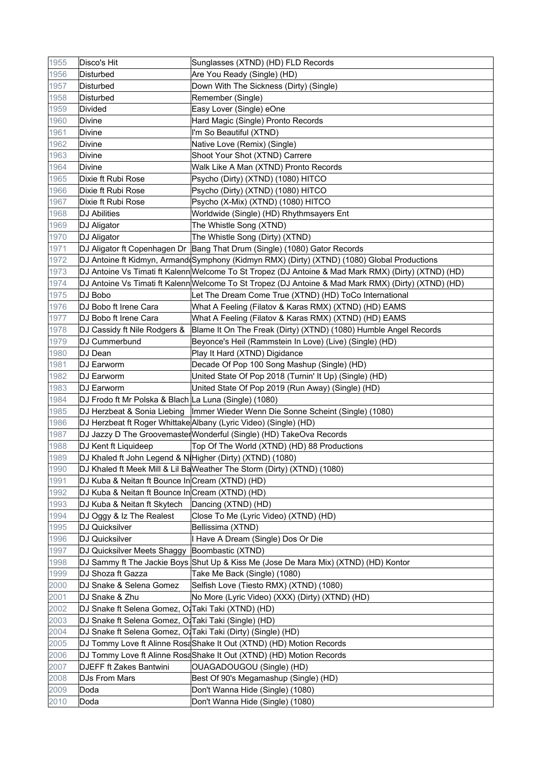| 1955 | Disco's Hit                                                      | Sunglasses (XTND) (HD) FLD Records                                                                  |
|------|------------------------------------------------------------------|-----------------------------------------------------------------------------------------------------|
| 1956 | <b>Disturbed</b>                                                 | Are You Ready (Single) (HD)                                                                         |
| 1957 | Disturbed                                                        | Down With The Sickness (Dirty) (Single)                                                             |
| 1958 | Disturbed                                                        | Remember (Single)                                                                                   |
| 1959 | <b>Divided</b>                                                   | Easy Lover (Single) eOne                                                                            |
| 1960 | <b>Divine</b>                                                    | Hard Magic (Single) Pronto Records                                                                  |
| 1961 | Divine                                                           | I'm So Beautiful (XTND)                                                                             |
| 1962 | Divine                                                           | Native Love (Remix) (Single)                                                                        |
| 1963 | Divine                                                           | Shoot Your Shot (XTND) Carrere                                                                      |
| 1964 | <b>Divine</b>                                                    | Walk Like A Man (XTND) Pronto Records                                                               |
| 1965 | Dixie ft Rubi Rose                                               | Psycho (Dirty) (XTND) (1080) HITCO                                                                  |
| 1966 | Dixie ft Rubi Rose                                               | Psycho (Dirty) (XTND) (1080) HITCO                                                                  |
| 1967 | Dixie ft Rubi Rose                                               | Psycho (X-Mix) (XTND) (1080) HITCO                                                                  |
| 1968 | <b>DJ Abilities</b>                                              | Worldwide (Single) (HD) Rhythmsayers Ent                                                            |
| 1969 | DJ Aligator                                                      | The Whistle Song (XTND)                                                                             |
| 1970 | DJ Aligator                                                      | The Whistle Song (Dirty) (XTND)                                                                     |
| 1971 |                                                                  | DJ Aligator ft Copenhagen Dr Bang That Drum (Single) (1080) Gator Records                           |
| 1972 |                                                                  | DJ Antoine ft Kidmyn, Armand(Symphony (Kidmyn RMX) (Dirty) (XTND) (1080) Global Productions         |
| 1973 |                                                                  | DJ Antoine Vs Timati ft Kalenn Welcome To St Tropez (DJ Antoine & Mad Mark RMX) (Dirty) (XTND) (HD) |
| 1974 |                                                                  | DJ Antoine Vs Timati ft Kalenn Welcome To St Tropez (DJ Antoine & Mad Mark RMX) (Dirty) (XTND) (HD) |
| 1975 | DJ Bobo                                                          | Let The Dream Come True (XTND) (HD) ToCo International                                              |
| 1976 | DJ Bobo ft Irene Cara                                            | What A Feeling (Filatov & Karas RMX) (XTND) (HD) EAMS                                               |
| 1977 | DJ Bobo ft Irene Cara                                            | What A Feeling (Filatov & Karas RMX) (XTND) (HD) EAMS                                               |
| 1978 | DJ Cassidy ft Nile Rodgers &                                     | Blame It On The Freak (Dirty) (XTND) (1080) Humble Angel Records                                    |
| 1979 | DJ Cummerbund                                                    | Beyonce's Heil (Rammstein In Love) (Live) (Single) (HD)                                             |
| 1980 | DJ Dean                                                          | Play It Hard (XTND) Digidance                                                                       |
| 1981 | DJ Earworm                                                       | Decade Of Pop 100 Song Mashup (Single) (HD)                                                         |
| 1982 | DJ Earworm                                                       | United State Of Pop 2018 (Turnin' It Up) (Single) (HD)                                              |
| 1983 | DJ Earworm                                                       | United State Of Pop 2019 (Run Away) (Single) (HD)                                                   |
| 1984 | DJ Frodo ft Mr Polska & Blach La Luna (Single) (1080)            |                                                                                                     |
| 1985 |                                                                  | DJ Herzbeat & Sonia Liebing   Immer Wieder Wenn Die Sonne Scheint (Single) (1080)                   |
| 1986 |                                                                  | DJ Herzbeat ft Roger Whittake Albany (Lyric Video) (Single) (HD)                                    |
| 1987 |                                                                  | DJ Jazzy D The Groovemaster Wonderful (Single) (HD) TakeOva Records                                 |
| 1988 | DJ Kent ft Liquideep                                             | Top Of The World (XTND) (HD) 88 Productions                                                         |
| 1989 | DJ Khaled ft John Legend & NiHigher (Dirty) (XTND) (1080)        |                                                                                                     |
| 1990 |                                                                  | DJ Khaled ft Meek Mill & Lil BaWeather The Storm (Dirty) (XTND) (1080)                              |
| 1991 | DJ Kuba & Neitan ft Bounce In Cream (XTND) (HD)                  |                                                                                                     |
| 1992 | DJ Kuba & Neitan ft Bounce In Cream (XTND) (HD)                  |                                                                                                     |
| 1993 | DJ Kuba & Neitan ft Skytech                                      | Dancing (XTND) (HD)                                                                                 |
| 1994 | DJ Oggy & Iz The Realest                                         | Close To Me (Lyric Video) (XTND) (HD)                                                               |
| 1995 | DJ Quicksilver                                                   | Bellissima (XTND)                                                                                   |
| 1996 | <b>DJ Quicksilver</b>                                            | I Have A Dream (Single) Dos Or Die                                                                  |
| 1997 | DJ Quicksilver Meets Shaggy                                      | Boombastic (XTND)                                                                                   |
| 1998 |                                                                  | DJ Sammy ft The Jackie Boys Shut Up & Kiss Me (Jose De Mara Mix) (XTND) (HD) Kontor                 |
| 1999 | DJ Shoza ft Gazza                                                | Take Me Back (Single) (1080)                                                                        |
| 2000 | DJ Snake & Selena Gomez                                          | Selfish Love (Tiesto RMX) (XTND) (1080)                                                             |
| 2001 | DJ Snake & Zhu                                                   | No More (Lyric Video) (XXX) (Dirty) (XTND) (HD)                                                     |
| 2002 | DJ Snake ft Selena Gomez, O <sup>1</sup> Taki Taki (XTND) (HD)   |                                                                                                     |
| 2003 | DJ Snake ft Selena Gomez, O <sup>1</sup> Taki Taki (Single) (HD) |                                                                                                     |
| 2004 | DJ Snake ft Selena Gomez, O Taki Taki (Dirty) (Single) (HD)      |                                                                                                     |
| 2005 |                                                                  | DJ Tommy Love ft Alinne RosaShake It Out (XTND) (HD) Motion Records                                 |
| 2006 |                                                                  | DJ Tommy Love ft Alinne RosaShake It Out (XTND) (HD) Motion Records                                 |
| 2007 | DJEFF ft Zakes Bantwini                                          | OUAGADOUGOU (Single) (HD)                                                                           |
| 2008 | DJs From Mars                                                    | Best Of 90's Megamashup (Single) (HD)                                                               |
| 2009 | Doda                                                             | Don't Wanna Hide (Single) (1080)                                                                    |
| 2010 | Doda                                                             | Don't Wanna Hide (Single) (1080)                                                                    |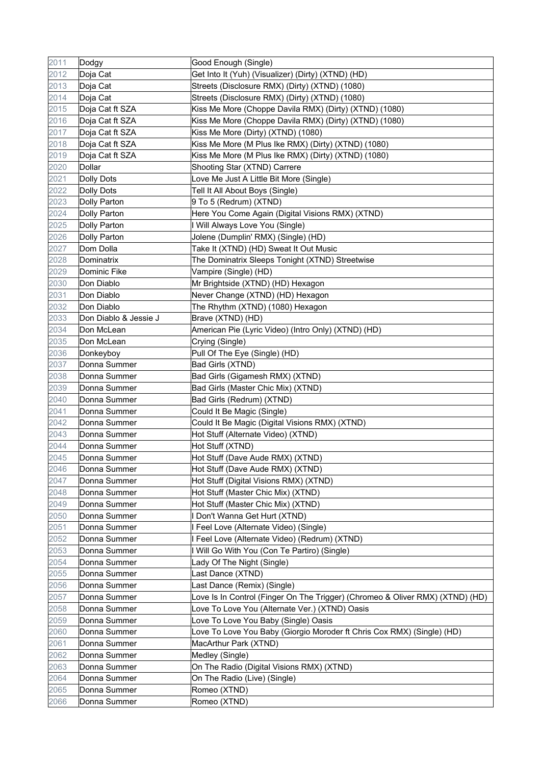| 2011 | Dodgy                 | Good Enough (Single)                                                          |
|------|-----------------------|-------------------------------------------------------------------------------|
| 2012 | Doja Cat              | Get Into It (Yuh) (Visualizer) (Dirty) (XTND) (HD)                            |
| 2013 | Doja Cat              | Streets (Disclosure RMX) (Dirty) (XTND) (1080)                                |
| 2014 | Doja Cat              | Streets (Disclosure RMX) (Dirty) (XTND) (1080)                                |
| 2015 | Doja Cat ft SZA       | Kiss Me More (Choppe Davila RMX) (Dirty) (XTND) (1080)                        |
| 2016 | Doja Cat ft SZA       | Kiss Me More (Choppe Davila RMX) (Dirty) (XTND) (1080)                        |
| 2017 | Doja Cat ft SZA       | Kiss Me More (Dirty) (XTND) (1080)                                            |
| 2018 | Doja Cat ft SZA       | Kiss Me More (M Plus Ike RMX) (Dirty) (XTND) (1080)                           |
| 2019 | Doja Cat ft SZA       | Kiss Me More (M Plus Ike RMX) (Dirty) (XTND) (1080)                           |
| 2020 | Dollar                | Shooting Star (XTND) Carrere                                                  |
| 2021 | <b>Dolly Dots</b>     | Love Me Just A Little Bit More (Single)                                       |
| 2022 | Dolly Dots            | Tell It All About Boys (Single)                                               |
| 2023 | Dolly Parton          | 9 To 5 (Redrum) (XTND)                                                        |
| 2024 | Dolly Parton          | Here You Come Again (Digital Visions RMX) (XTND)                              |
| 2025 | Dolly Parton          | I Will Always Love You (Single)                                               |
| 2026 | Dolly Parton          | Jolene (Dumplin' RMX) (Single) (HD)                                           |
| 2027 | Dom Dolla             | Take It (XTND) (HD) Sweat It Out Music                                        |
| 2028 | Dominatrix            | The Dominatrix Sleeps Tonight (XTND) Streetwise                               |
| 2029 | Dominic Fike          | Vampire (Single) (HD)                                                         |
| 2030 | Don Diablo            | Mr Brightside (XTND) (HD) Hexagon                                             |
| 2031 | Don Diablo            | Never Change (XTND) (HD) Hexagon                                              |
| 2032 | Don Diablo            | The Rhythm (XTND) (1080) Hexagon                                              |
| 2033 | Don Diablo & Jessie J | Brave (XTND) (HD)                                                             |
| 2034 | Don McLean            | American Pie (Lyric Video) (Intro Only) (XTND) (HD)                           |
| 2035 | Don McLean            | Crying (Single)                                                               |
| 2036 | Donkeyboy             | Pull Of The Eye (Single) (HD)                                                 |
| 2037 | Donna Summer          | Bad Girls (XTND)                                                              |
| 2038 | Donna Summer          | Bad Girls (Gigamesh RMX) (XTND)                                               |
| 2039 | Donna Summer          | Bad Girls (Master Chic Mix) (XTND)                                            |
| 2040 | Donna Summer          | Bad Girls (Redrum) (XTND)                                                     |
| 2041 | Donna Summer          | Could It Be Magic (Single)                                                    |
| 2042 | Donna Summer          | Could It Be Magic (Digital Visions RMX) (XTND)                                |
| 2043 | Donna Summer          | Hot Stuff (Alternate Video) (XTND)                                            |
| 2044 | Donna Summer          | Hot Stuff (XTND)                                                              |
| 2045 | Donna Summer          | Hot Stuff (Dave Aude RMX) (XTND)                                              |
| 2046 | Donna Summer          | Hot Stuff (Dave Aude RMX) (XTND)                                              |
| 2047 | Donna Summer          | Hot Stuff (Digital Visions RMX) (XTND)                                        |
| 2048 | Donna Summer          | Hot Stuff (Master Chic Mix) (XTND)                                            |
| 2049 | Donna Summer          | Hot Stuff (Master Chic Mix) (XTND)                                            |
| 2050 | Donna Summer          | I Don't Wanna Get Hurt (XTND)                                                 |
| 2051 | Donna Summer          | I Feel Love (Alternate Video) (Single)                                        |
| 2052 | Donna Summer          | I Feel Love (Alternate Video) (Redrum) (XTND)                                 |
| 2053 | Donna Summer          | I Will Go With You (Con Te Partiro) (Single)                                  |
| 2054 | Donna Summer          | Lady Of The Night (Single)                                                    |
| 2055 | Donna Summer          | Last Dance (XTND)                                                             |
| 2056 | Donna Summer          | Last Dance (Remix) (Single)                                                   |
| 2057 | Donna Summer          | Love Is In Control (Finger On The Trigger) (Chromeo & Oliver RMX) (XTND) (HD) |
| 2058 | Donna Summer          | Love To Love You (Alternate Ver.) (XTND) Oasis                                |
| 2059 | Donna Summer          | Love To Love You Baby (Single) Oasis                                          |
| 2060 | Donna Summer          | Love To Love You Baby (Giorgio Moroder ft Chris Cox RMX) (Single) (HD)        |
| 2061 | Donna Summer          | MacArthur Park (XTND)                                                         |
| 2062 | Donna Summer          | Medley (Single)                                                               |
| 2063 | Donna Summer          | On The Radio (Digital Visions RMX) (XTND)                                     |
| 2064 | Donna Summer          | On The Radio (Live) (Single)                                                  |
| 2065 | Donna Summer          | Romeo (XTND)                                                                  |
| 2066 | Donna Summer          | Romeo (XTND)                                                                  |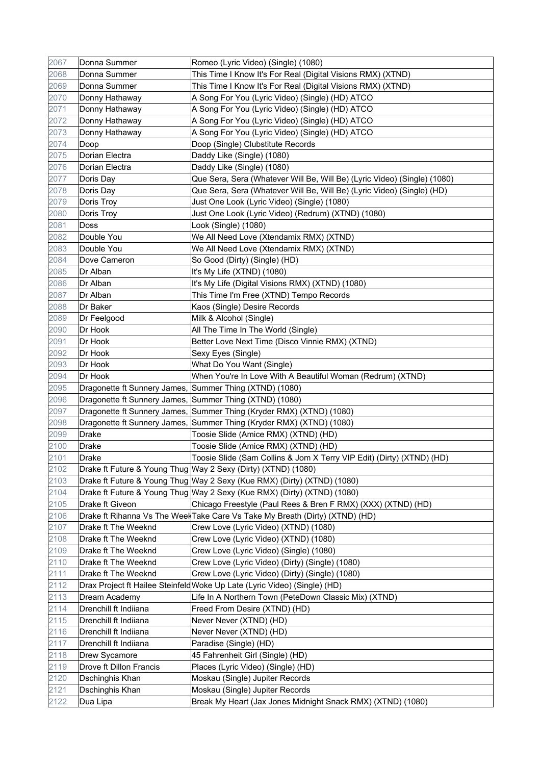| 2067 | Donna Summer                                            | Romeo (Lyric Video) (Single) (1080)                                          |
|------|---------------------------------------------------------|------------------------------------------------------------------------------|
| 2068 | Donna Summer                                            | This Time I Know It's For Real (Digital Visions RMX) (XTND)                  |
| 2069 | Donna Summer                                            | This Time I Know It's For Real (Digital Visions RMX) (XTND)                  |
| 2070 | Donny Hathaway                                          | A Song For You (Lyric Video) (Single) (HD) ATCO                              |
| 2071 | Donny Hathaway                                          | A Song For You (Lyric Video) (Single) (HD) ATCO                              |
| 2072 | Donny Hathaway                                          | A Song For You (Lyric Video) (Single) (HD) ATCO                              |
| 2073 | Donny Hathaway                                          | A Song For You (Lyric Video) (Single) (HD) ATCO                              |
| 2074 | Doop                                                    | Doop (Single) Clubstitute Records                                            |
| 2075 | Dorian Electra                                          | Daddy Like (Single) (1080)                                                   |
| 2076 | Dorian Electra                                          | Daddy Like (Single) (1080)                                                   |
| 2077 | Doris Day                                               | Que Sera, Sera (Whatever Will Be, Will Be) (Lyric Video) (Single) (1080)     |
| 2078 | Doris Day                                               | Que Sera, Sera (Whatever Will Be, Will Be) (Lyric Video) (Single) (HD)       |
| 2079 | Doris Troy                                              | Just One Look (Lyric Video) (Single) (1080)                                  |
| 2080 | Doris Troy                                              | Just One Look (Lyric Video) (Redrum) (XTND) (1080)                           |
| 2081 | Doss                                                    | Look (Single) (1080)                                                         |
| 2082 | Double You                                              | We All Need Love (Xtendamix RMX) (XTND)                                      |
| 2083 | Double You                                              | We All Need Love (Xtendamix RMX) (XTND)                                      |
| 2084 | Dove Cameron                                            | So Good (Dirty) (Single) (HD)                                                |
| 2085 | Dr Alban                                                | It's My Life (XTND) (1080)                                                   |
| 2086 | Dr Alban                                                | It's My Life (Digital Visions RMX) (XTND) (1080)                             |
| 2087 | Dr Alban                                                | This Time I'm Free (XTND) Tempo Records                                      |
| 2088 | Dr Baker                                                | Kaos (Single) Desire Records                                                 |
| 2089 | Dr Feelgood                                             | Milk & Alcohol (Single)                                                      |
| 2090 | Dr Hook                                                 | All The Time In The World (Single)                                           |
| 2091 | Dr Hook                                                 | Better Love Next Time (Disco Vinnie RMX) (XTND)                              |
| 2092 | Dr Hook                                                 | Sexy Eyes (Single)                                                           |
| 2093 | Dr Hook                                                 | What Do You Want (Single)                                                    |
| 2094 | Dr Hook                                                 | When You're In Love With A Beautiful Woman (Redrum) (XTND)                   |
| 2095 | Dragonette ft Sunnery James, Summer Thing (XTND) (1080) |                                                                              |
| 2096 | Dragonette ft Sunnery James, Summer Thing (XTND) (1080) |                                                                              |
| 2097 |                                                         | Dragonette ft Sunnery James, Summer Thing (Kryder RMX) (XTND) (1080)         |
| 2098 |                                                         | Dragonette ft Sunnery James, Summer Thing (Kryder RMX) (XTND) (1080)         |
| 2099 | Drake                                                   | Toosie Slide (Amice RMX) (XTND) (HD)                                         |
| 2100 | <b>Drake</b>                                            | Toosie Slide (Amice RMX) (XTND) (HD)                                         |
| 2101 | Drake                                                   | Toosie Slide (Sam Collins & Jom X Terry VIP Edit) (Dirty) (XTND) (HD)        |
| 2102 |                                                         | Drake ft Future & Young Thug Way 2 Sexy (Dirty) (XTND) (1080)                |
| 2103 |                                                         | Drake ft Future & Young Thug Way 2 Sexy (Kue RMX) (Dirty) (XTND) (1080)      |
| 2104 |                                                         | Drake ft Future & Young Thug Way 2 Sexy (Kue RMX) (Dirty) (XTND) (1080)      |
| 2105 | Drake ft Giveon                                         | Chicago Freestyle (Paul Rees & Bren F RMX) (XXX) (XTND) (HD)                 |
| 2106 |                                                         | Drake ft Rihanna Vs The Weel Take Care Vs Take My Breath (Dirty) (XTND) (HD) |
| 2107 | Drake ft The Weeknd                                     | Crew Love (Lyric Video) (XTND) (1080)                                        |
| 2108 | Drake ft The Weeknd                                     | Crew Love (Lyric Video) (XTND) (1080)                                        |
| 2109 | Drake ft The Weeknd                                     | Crew Love (Lyric Video) (Single) (1080)                                      |
| 2110 | Drake ft The Weeknd                                     | Crew Love (Lyric Video) (Dirty) (Single) (1080)                              |
| 2111 | Drake ft The Weeknd                                     | Crew Love (Lyric Video) (Dirty) (Single) (1080)                              |
| 2112 |                                                         | Drax Project ft Hailee Steinfeld Woke Up Late (Lyric Video) (Single) (HD)    |
| 2113 | Dream Academy                                           | Life In A Northern Town (PeteDown Classic Mix) (XTND)                        |
| 2114 | Drenchill ft Indiiana                                   | Freed From Desire (XTND) (HD)                                                |
| 2115 | Drenchill ft Indiiana                                   | Never Never (XTND) (HD)                                                      |
| 2116 | Drenchill ft Indiiana                                   | Never Never (XTND) (HD)                                                      |
| 2117 | Drenchill ft Indiiana                                   | Paradise (Single) (HD)                                                       |
| 2118 | <b>Drew Sycamore</b>                                    | 45 Fahrenheit Girl (Single) (HD)                                             |
| 2119 | Drove ft Dillon Francis                                 | Places (Lyric Video) (Single) (HD)                                           |
| 2120 | <b>Dschinghis Khan</b>                                  | Moskau (Single) Jupiter Records                                              |
| 2121 | Dschinghis Khan                                         | Moskau (Single) Jupiter Records                                              |
| 2122 | Dua Lipa                                                | Break My Heart (Jax Jones Midnight Snack RMX) (XTND) (1080)                  |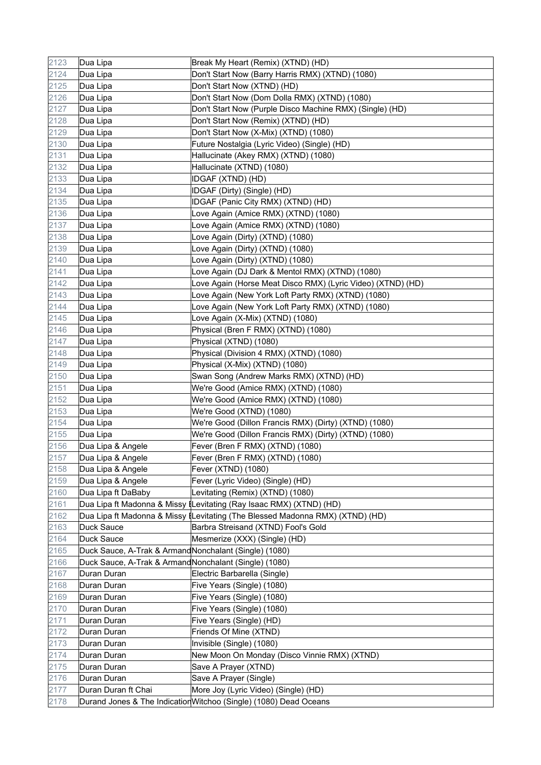| 2123 | Dua Lipa                                              | Break My Heart (Remix) (XTND) (HD)                                            |
|------|-------------------------------------------------------|-------------------------------------------------------------------------------|
| 2124 | Dua Lipa                                              | Don't Start Now (Barry Harris RMX) (XTND) (1080)                              |
| 2125 | Dua Lipa                                              | Don't Start Now (XTND) (HD)                                                   |
| 2126 | Dua Lipa                                              | Don't Start Now (Dom Dolla RMX) (XTND) (1080)                                 |
| 2127 | Dua Lipa                                              | Don't Start Now (Purple Disco Machine RMX) (Single) (HD)                      |
| 2128 | Dua Lipa                                              | Don't Start Now (Remix) (XTND) (HD)                                           |
| 2129 | Dua Lipa                                              | Don't Start Now (X-Mix) (XTND) (1080)                                         |
| 2130 | Dua Lipa                                              | Future Nostalgia (Lyric Video) (Single) (HD)                                  |
| 2131 | Dua Lipa                                              | Hallucinate (Akey RMX) (XTND) (1080)                                          |
| 2132 | Dua Lipa                                              | Hallucinate (XTND) (1080)                                                     |
| 2133 | Dua Lipa                                              | IDGAF (XTND) (HD)                                                             |
| 2134 | Dua Lipa                                              | IDGAF (Dirty) (Single) (HD)                                                   |
| 2135 | Dua Lipa                                              | IDGAF (Panic City RMX) (XTND) (HD)                                            |
| 2136 | Dua Lipa                                              | Love Again (Amice RMX) (XTND) (1080)                                          |
| 2137 | Dua Lipa                                              | Love Again (Amice RMX) (XTND) (1080)                                          |
| 2138 | Dua Lipa                                              | Love Again (Dirty) (XTND) (1080)                                              |
| 2139 | Dua Lipa                                              | Love Again (Dirty) (XTND) (1080)                                              |
| 2140 | Dua Lipa                                              | Love Again (Dirty) (XTND) (1080)                                              |
| 2141 | Dua Lipa                                              | Love Again (DJ Dark & Mentol RMX) (XTND) (1080)                               |
| 2142 | Dua Lipa                                              | Love Again (Horse Meat Disco RMX) (Lyric Video) (XTND) (HD)                   |
| 2143 | Dua Lipa                                              | Love Again (New York Loft Party RMX) (XTND) (1080)                            |
| 2144 | Dua Lipa                                              | Love Again (New York Loft Party RMX) (XTND) (1080)                            |
| 2145 | Dua Lipa                                              | Love Again (X-Mix) (XTND) (1080)                                              |
| 2146 | Dua Lipa                                              | Physical (Bren F RMX) (XTND) (1080)                                           |
| 2147 | Dua Lipa                                              | Physical (XTND) (1080)                                                        |
| 2148 | Dua Lipa                                              | Physical (Division 4 RMX) (XTND) (1080)                                       |
| 2149 | Dua Lipa                                              | Physical (X-Mix) (XTND) (1080)                                                |
| 2150 | Dua Lipa                                              | Swan Song (Andrew Marks RMX) (XTND) (HD)                                      |
| 2151 | Dua Lipa                                              | We're Good (Amice RMX) (XTND) (1080)                                          |
| 2152 | Dua Lipa                                              | We're Good (Amice RMX) (XTND) (1080)                                          |
| 2153 | Dua Lipa                                              | We're Good (XTND) (1080)                                                      |
| 2154 | Dua Lipa                                              | We're Good (Dillon Francis RMX) (Dirty) (XTND) (1080)                         |
| 2155 | Dua Lipa                                              | We're Good (Dillon Francis RMX) (Dirty) (XTND) (1080)                         |
| 2156 | Dua Lipa & Angele                                     | Fever (Bren F RMX) (XTND) (1080)                                              |
| 2157 | Dua Lipa & Angele                                     | Fever (Bren F RMX) (XTND) (1080)                                              |
| 2158 | Dua Lipa & Angele                                     | Fever (XTND) (1080)                                                           |
| 2159 | Dua Lipa & Angele                                     | Fever (Lyric Video) (Single) (HD)                                             |
| 2160 | Dua Lipa ft DaBaby                                    | Levitating (Remix) (XTND) (1080)                                              |
| 2161 |                                                       | Dua Lipa ft Madonna & Missy [Levitating (Ray Isaac RMX) (XTND) (HD)           |
| 2162 |                                                       | Dua Lipa ft Madonna & Missy (Levitating (The Blessed Madonna RMX) (XTND) (HD) |
| 2163 | Duck Sauce                                            | Barbra Streisand (XTND) Fool's Gold                                           |
| 2164 | Duck Sauce                                            | Mesmerize (XXX) (Single) (HD)                                                 |
| 2165 | Duck Sauce, A-Trak & ArmandNonchalant (Single) (1080) |                                                                               |
| 2166 | Duck Sauce, A-Trak & ArmandNonchalant (Single) (1080) |                                                                               |
| 2167 | Duran Duran                                           | Electric Barbarella (Single)                                                  |
| 2168 | Duran Duran                                           | Five Years (Single) (1080)                                                    |
| 2169 | Duran Duran                                           | Five Years (Single) (1080)                                                    |
| 2170 | Duran Duran                                           | Five Years (Single) (1080)                                                    |
| 2171 | Duran Duran                                           | Five Years (Single) (HD)                                                      |
| 2172 | Duran Duran                                           | Friends Of Mine (XTND)                                                        |
| 2173 | Duran Duran                                           | Invisible (Single) (1080)                                                     |
| 2174 | Duran Duran                                           | New Moon On Monday (Disco Vinnie RMX) (XTND)                                  |
| 2175 | Duran Duran                                           | Save A Prayer (XTND)                                                          |
| 2176 | Duran Duran                                           | Save A Prayer (Single)                                                        |
| 2177 | Duran Duran ft Chai                                   | More Joy (Lyric Video) (Single) (HD)                                          |
| 2178 |                                                       | Durand Jones & The Indication Witchoo (Single) (1080) Dead Oceans             |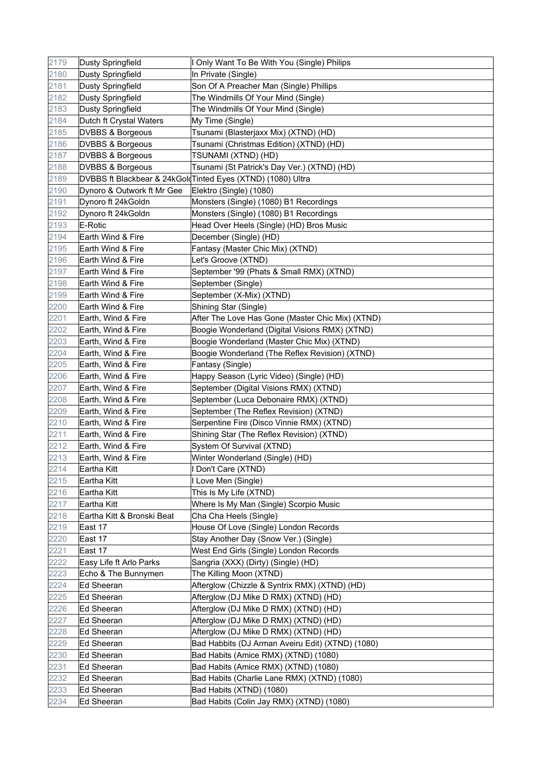| 2179 | <b>Dusty Springfield</b>    | I Only Want To Be With You (Single) Philips                 |
|------|-----------------------------|-------------------------------------------------------------|
| 2180 | <b>Dusty Springfield</b>    | In Private (Single)                                         |
| 2181 | <b>Dusty Springfield</b>    | Son Of A Preacher Man (Single) Phillips                     |
| 2182 | <b>Dusty Springfield</b>    | The Windmills Of Your Mind (Single)                         |
| 2183 | <b>Dusty Springfield</b>    | The Windmills Of Your Mind (Single)                         |
| 2184 | Dutch ft Crystal Waters     | My Time (Single)                                            |
| 2185 | DVBBS & Borgeous            | Tsunami (Blasterjaxx Mix) (XTND) (HD)                       |
| 2186 | <b>DVBBS &amp; Borgeous</b> | Tsunami (Christmas Edition) (XTND) (HD)                     |
| 2187 | <b>DVBBS &amp; Borgeous</b> | TSUNAMI (XTND) (HD)                                         |
| 2188 | <b>DVBBS &amp; Borgeous</b> | Tsunami (St Patrick's Day Ver.) (XTND) (HD)                 |
| 2189 |                             | DVBBS ft Blackbear & 24kGoldTinted Eyes (XTND) (1080) Ultra |
| 2190 | Dynoro & Outwork ft Mr Gee  | Elektro (Single) (1080)                                     |
| 2191 | Dynoro ft 24kGoldn          | Monsters (Single) (1080) B1 Recordings                      |
| 2192 | Dynoro ft 24kGoldn          | Monsters (Single) (1080) B1 Recordings                      |
| 2193 | E-Rotic                     | Head Over Heels (Single) (HD) Bros Music                    |
| 2194 | Earth Wind & Fire           | December (Single) (HD)                                      |
| 2195 | Earth Wind & Fire           | Fantasy (Master Chic Mix) (XTND)                            |
| 2196 | Earth Wind & Fire           | Let's Groove (XTND)                                         |
| 2197 | Earth Wind & Fire           | September '99 (Phats & Small RMX) (XTND)                    |
| 2198 | Earth Wind & Fire           | September (Single)                                          |
| 2199 | Earth Wind & Fire           | September (X-Mix) (XTND)                                    |
| 2200 | Earth Wind & Fire           | Shining Star (Single)                                       |
| 2201 | Earth, Wind & Fire          | After The Love Has Gone (Master Chic Mix) (XTND)            |
| 2202 | Earth, Wind & Fire          | Boogie Wonderland (Digital Visions RMX) (XTND)              |
| 2203 | Earth, Wind & Fire          | Boogie Wonderland (Master Chic Mix) (XTND)                  |
| 2204 | Earth, Wind & Fire          | Boogie Wonderland (The Reflex Revision) (XTND)              |
| 2205 | Earth, Wind & Fire          | Fantasy (Single)                                            |
| 2206 | Earth, Wind & Fire          | Happy Season (Lyric Video) (Single) (HD)                    |
| 2207 | Earth, Wind & Fire          | September (Digital Visions RMX) (XTND)                      |
| 2208 | Earth, Wind & Fire          | September (Luca Debonaire RMX) (XTND)                       |
| 2209 | Earth, Wind & Fire          | September (The Reflex Revision) (XTND)                      |
| 2210 | Earth, Wind & Fire          | Serpentine Fire (Disco Vinnie RMX) (XTND)                   |
| 2211 | Earth, Wind & Fire          | Shining Star (The Reflex Revision) (XTND)                   |
| 2212 | Earth, Wind & Fire          | System Of Survival (XTND)                                   |
| 2213 | Earth, Wind & Fire          | Winter Wonderland (Single) (HD)                             |
| 2214 | Eartha Kitt                 | I Don't Care (XTND)                                         |
| 2215 | Eartha Kitt                 | I Love Men (Single)                                         |
| 2216 | Eartha Kitt                 | This Is My Life (XTND)                                      |
| 2217 | Eartha Kitt                 | Where Is My Man (Single) Scorpio Music                      |
| 2218 | Eartha Kitt & Bronski Beat  | Cha Cha Heels (Single)                                      |
| 2219 | East 17                     | House Of Love (Single) London Records                       |
| 2220 | East 17                     | Stay Another Day (Snow Ver.) (Single)                       |
| 2221 | East 17                     | West End Girls (Single) London Records                      |
| 2222 | Easy Life ft Arlo Parks     | Sangria (XXX) (Dirty) (Single) (HD)                         |
| 2223 | Echo & The Bunnymen         | The Killing Moon (XTND)                                     |
| 2224 | Ed Sheeran                  | Afterglow (Chizzle & Syntrix RMX) (XTND) (HD)               |
| 2225 | Ed Sheeran                  | Afterglow (DJ Mike D RMX) (XTND) (HD)                       |
| 2226 | Ed Sheeran                  | Afterglow (DJ Mike D RMX) (XTND) (HD)                       |
| 2227 | Ed Sheeran                  | Afterglow (DJ Mike D RMX) (XTND) (HD)                       |
| 2228 | <b>Ed Sheeran</b>           | Afterglow (DJ Mike D RMX) (XTND) (HD)                       |
| 2229 | Ed Sheeran                  | Bad Habbits (DJ Arman Aveiru Edit) (XTND) (1080)            |
| 2230 | Ed Sheeran                  | Bad Habits (Amice RMX) (XTND) (1080)                        |
| 2231 | Ed Sheeran                  | Bad Habits (Amice RMX) (XTND) (1080)                        |
| 2232 | Ed Sheeran                  | Bad Habits (Charlie Lane RMX) (XTND) (1080)                 |
| 2233 | Ed Sheeran                  | Bad Habits (XTND) (1080)                                    |
| 2234 | <b>Ed Sheeran</b>           | Bad Habits (Colin Jay RMX) (XTND) (1080)                    |
|      |                             |                                                             |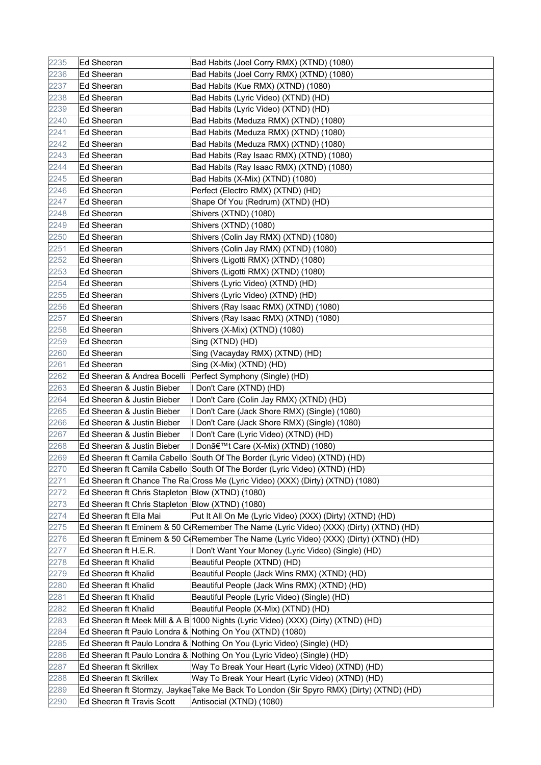| 2235 | Ed Sheeran                                       | Bad Habits (Joel Corry RMX) (XTND) (1080)                                                |
|------|--------------------------------------------------|------------------------------------------------------------------------------------------|
| 2236 | Ed Sheeran                                       | Bad Habits (Joel Corry RMX) (XTND) (1080)                                                |
| 2237 | Ed Sheeran                                       | Bad Habits (Kue RMX) (XTND) (1080)                                                       |
| 2238 | Ed Sheeran                                       | Bad Habits (Lyric Video) (XTND) (HD)                                                     |
| 2239 | Ed Sheeran                                       | Bad Habits (Lyric Video) (XTND) (HD)                                                     |
| 2240 | Ed Sheeran                                       | Bad Habits (Meduza RMX) (XTND) (1080)                                                    |
| 2241 | Ed Sheeran                                       | Bad Habits (Meduza RMX) (XTND) (1080)                                                    |
| 2242 | <b>Ed Sheeran</b>                                | Bad Habits (Meduza RMX) (XTND) (1080)                                                    |
| 2243 | Ed Sheeran                                       | Bad Habits (Ray Isaac RMX) (XTND) (1080)                                                 |
| 2244 | Ed Sheeran                                       | Bad Habits (Ray Isaac RMX) (XTND) (1080)                                                 |
| 2245 | Ed Sheeran                                       | Bad Habits (X-Mix) (XTND) (1080)                                                         |
| 2246 | Ed Sheeran                                       | Perfect (Electro RMX) (XTND) (HD)                                                        |
| 2247 | Ed Sheeran                                       | Shape Of You (Redrum) (XTND) (HD)                                                        |
| 2248 | Ed Sheeran                                       | Shivers (XTND) (1080)                                                                    |
| 2249 | Ed Sheeran                                       | Shivers (XTND) (1080)                                                                    |
| 2250 | <b>Ed Sheeran</b>                                | Shivers (Colin Jay RMX) (XTND) (1080)                                                    |
| 2251 | Ed Sheeran                                       | Shivers (Colin Jay RMX) (XTND) (1080)                                                    |
| 2252 | Ed Sheeran                                       | Shivers (Ligotti RMX) (XTND) (1080)                                                      |
| 2253 | Ed Sheeran                                       | Shivers (Ligotti RMX) (XTND) (1080)                                                      |
| 2254 | Ed Sheeran                                       | Shivers (Lyric Video) (XTND) (HD)                                                        |
| 2255 | Ed Sheeran                                       | Shivers (Lyric Video) (XTND) (HD)                                                        |
| 2256 | Ed Sheeran                                       | Shivers (Ray Isaac RMX) (XTND) (1080)                                                    |
| 2257 | <b>Ed Sheeran</b>                                | Shivers (Ray Isaac RMX) (XTND) (1080)                                                    |
| 2258 | <b>Ed Sheeran</b>                                | Shivers (X-Mix) (XTND) (1080)                                                            |
| 2259 | Ed Sheeran                                       | Sing (XTND) (HD)                                                                         |
| 2260 | Ed Sheeran                                       | Sing (Vacayday RMX) (XTND) (HD)                                                          |
| 2261 | Ed Sheeran                                       | Sing (X-Mix) (XTND) (HD)                                                                 |
| 2262 | Ed Sheeran & Andrea Bocelli                      | Perfect Symphony (Single) (HD)                                                           |
| 2263 | Ed Sheeran & Justin Bieber                       | I Don't Care (XTND) (HD)                                                                 |
| 2264 | Ed Sheeran & Justin Bieber                       | I Don't Care (Colin Jay RMX) (XTND) (HD)                                                 |
| 2265 | Ed Sheeran & Justin Bieber                       | I Don't Care (Jack Shore RMX) (Single) (1080)                                            |
| 2266 | Ed Sheeran & Justin Bieber                       | I Don't Care (Jack Shore RMX) (Single) (1080)                                            |
| 2267 | Ed Sheeran & Justin Bieber                       | I Don't Care (Lyric Video) (XTND) (HD)                                                   |
| 2268 | Ed Sheeran & Justin Bieber                       | I Don't Care (X-Mix) (XTND) (1080)                                                       |
| 2269 |                                                  | Ed Sheeran ft Camila Cabello South Of The Border (Lyric Video) (XTND) (HD)               |
| 2270 |                                                  | Ed Sheeran ft Camila Cabello South Of The Border (Lyric Video) (XTND) (HD)               |
| 2271 |                                                  | Ed Sheeran ft Chance The Ra Cross Me (Lyric Video) (XXX) (Dirty) (XTND) (1080)           |
| 2272 | Ed Sheeran ft Chris Stapleton Blow (XTND) (1080) |                                                                                          |
| 2273 | Ed Sheeran ft Chris Stapleton Blow (XTND) (1080) |                                                                                          |
| 2274 | Ed Sheeran ft Ella Mai                           | Put It All On Me (Lyric Video) (XXX) (Dirty) (XTND) (HD)                                 |
| 2275 |                                                  | Ed Sheeran ft Eminem & 50 C(Remember The Name (Lyric Video) (XXX) (Dirty) (XTND) (HD)    |
| 2276 |                                                  | Ed Sheeran ft Eminem & 50 C(Remember The Name (Lyric Video) (XXX) (Dirty) (XTND) (HD)    |
| 2277 | Ed Sheeran ft H.E.R.                             | I Don't Want Your Money (Lyric Video) (Single) (HD)                                      |
| 2278 | Ed Sheeran ft Khalid                             | Beautiful People (XTND) (HD)                                                             |
| 2279 | Ed Sheeran ft Khalid                             | Beautiful People (Jack Wins RMX) (XTND) (HD)                                             |
| 2280 | Ed Sheeran ft Khalid                             | Beautiful People (Jack Wins RMX) (XTND) (HD)                                             |
| 2281 | Ed Sheeran ft Khalid                             | Beautiful People (Lyric Video) (Single) (HD)                                             |
| 2282 | Ed Sheeran ft Khalid                             | Beautiful People (X-Mix) (XTND) (HD)                                                     |
| 2283 |                                                  | Ed Sheeran ft Meek Mill & A B 1000 Nights (Lyric Video) (XXX) (Dirty) (XTND) (HD)        |
| 2284 |                                                  | Ed Sheeran ft Paulo Londra & Nothing On You (XTND) (1080)                                |
| 2285 |                                                  | Ed Sheeran ft Paulo Londra & Nothing On You (Lyric Video) (Single) (HD)                  |
| 2286 |                                                  | Ed Sheeran ft Paulo Londra & Nothing On You (Lyric Video) (Single) (HD)                  |
| 2287 | Ed Sheeran ft Skrillex                           | Way To Break Your Heart (Lyric Video) (XTND) (HD)                                        |
| 2288 | Ed Sheeran ft Skrillex                           | Way To Break Your Heart (Lyric Video) (XTND) (HD)                                        |
| 2289 |                                                  | ∣Ed Sheeran ft Stormzy, Jaykaേ∏ake Me Back To London (Sir Spyro RMX) (Dirty) (XTND) (HD) |
| 2290 | Ed Sheeran ft Travis Scott                       | Antisocial (XTND) (1080)                                                                 |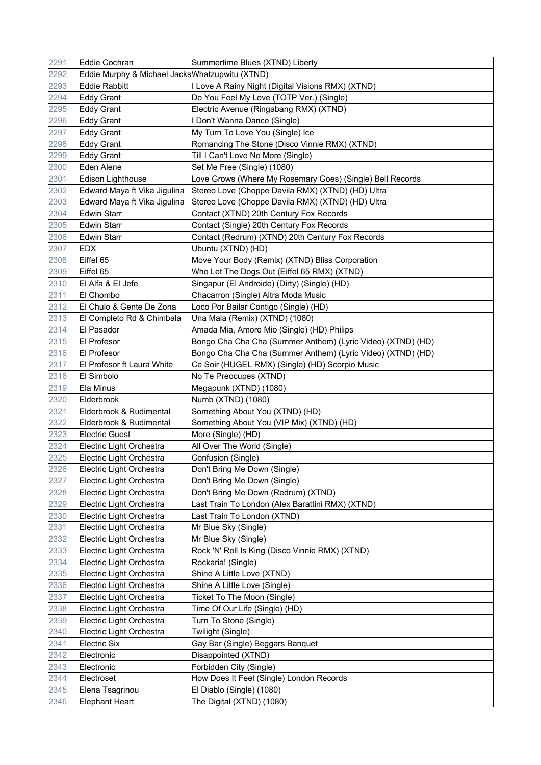| 2291 | Eddie Cochran                                   | Summertime Blues (XTND) Liberty                             |
|------|-------------------------------------------------|-------------------------------------------------------------|
| 2292 | Eddie Murphy & Michael Jacks Whatzupwitu (XTND) |                                                             |
| 2293 | Eddie Rabbitt                                   | I Love A Rainy Night (Digital Visions RMX) (XTND)           |
| 2294 | Eddy Grant                                      | Do You Feel My Love (TOTP Ver.) (Single)                    |
| 2295 | Eddy Grant                                      | Electric Avenue (Ringabang RMX) (XTND)                      |
| 2296 | Eddy Grant                                      | I Don't Wanna Dance (Single)                                |
| 2297 | <b>Eddy Grant</b>                               | My Turn To Love You (Single) Ice                            |
| 2298 | <b>Eddy Grant</b>                               | Romancing The Stone (Disco Vinnie RMX) (XTND)               |
| 2299 | <b>Eddy Grant</b>                               | Till I Can't Love No More (Single)                          |
| 2300 | Eden Alene                                      | Set Me Free (Single) (1080)                                 |
| 2301 | Edison Lighthouse                               | Love Grows (Where My Rosemary Goes) (Single) Bell Records   |
| 2302 | Edward Maya ft Vika Jigulina                    | Stereo Love (Choppe Davila RMX) (XTND) (HD) Ultra           |
| 2303 | Edward Maya ft Vika Jigulina                    | Stereo Love (Choppe Davila RMX) (XTND) (HD) Ultra           |
| 2304 | Edwin Starr                                     | Contact (XTND) 20th Century Fox Records                     |
| 2305 | <b>Edwin Starr</b>                              | Contact (Single) 20th Century Fox Records                   |
| 2306 | <b>Edwin Starr</b>                              | Contact (Redrum) (XTND) 20th Century Fox Records            |
| 2307 | EDX                                             | Ubuntu (XTND) (HD)                                          |
| 2308 | Eiffel 65                                       | Move Your Body (Remix) (XTND) Bliss Corporation             |
| 2309 | Eiffel 65                                       | Who Let The Dogs Out (Eiffel 65 RMX) (XTND)                 |
| 2310 | El Alfa & El Jefe                               | Singapur (El Androide) (Dirty) (Single) (HD)                |
| 2311 | El Chombo                                       | Chacarron (Single) Altra Moda Music                         |
| 2312 | El Chulo & Gente De Zona                        | Loco Por Bailar Contigo (Single) (HD)                       |
| 2313 | El Completo Rd & Chimbala                       | Una Mala (Remix) (XTND) (1080)                              |
| 2314 | El Pasador                                      | Amada Mia, Amore Mio (Single) (HD) Philips                  |
| 2315 | El Profesor                                     | Bongo Cha Cha Cha (Summer Anthem) (Lyric Video) (XTND) (HD) |
| 2316 | <b>El Profesor</b>                              | Bongo Cha Cha Cha (Summer Anthem) (Lyric Video) (XTND) (HD) |
| 2317 | El Profesor ft Laura White                      | Ce Soir (HUGEL RMX) (Single) (HD) Scorpio Music             |
| 2318 | El Simbolo                                      | No Te Preocupes (XTND)                                      |
| 2319 | Ela Minus                                       | Megapunk (XTND) (1080)                                      |
| 2320 | Elderbrook                                      | Numb (XTND) (1080)                                          |
| 2321 | Elderbrook & Rudimental                         | Something About You (XTND) (HD)                             |
| 2322 | Elderbrook & Rudimental                         | Something About You (VIP Mix) (XTND) (HD)                   |
| 2323 | Electric Guest                                  | More (Single) (HD)                                          |
| 2324 | Electric Light Orchestra                        | All Over The World (Single)                                 |
| 2325 | Electric Light Orchestra                        | Confusion (Single)                                          |
| 2326 | Electric Light Orchestra                        | Don't Bring Me Down (Single)                                |
| 2327 | Electric Light Orchestra                        | Don't Bring Me Down (Single)                                |
| 2328 | Electric Light Orchestra                        | Don't Bring Me Down (Redrum) (XTND)                         |
| 2329 | Electric Light Orchestra                        | Last Train To London (Alex Barattini RMX) (XTND)            |
| 2330 | Electric Light Orchestra                        | Last Train To London (XTND)                                 |
| 2331 | Electric Light Orchestra                        | Mr Blue Sky (Single)                                        |
| 2332 | Electric Light Orchestra                        | Mr Blue Sky (Single)                                        |
| 2333 | Electric Light Orchestra                        | Rock 'N' Roll Is King (Disco Vinnie RMX) (XTND)             |
| 2334 | Electric Light Orchestra                        | Rockaria! (Single)                                          |
| 2335 | Electric Light Orchestra                        | Shine A Little Love (XTND)                                  |
| 2336 | Electric Light Orchestra                        | Shine A Little Love (Single)                                |
| 2337 | Electric Light Orchestra                        | Ticket To The Moon (Single)                                 |
| 2338 | Electric Light Orchestra                        | Time Of Our Life (Single) (HD)                              |
| 2339 | Electric Light Orchestra                        | Turn To Stone (Single)                                      |
| 2340 | Electric Light Orchestra                        | Twilight (Single)                                           |
| 2341 | Electric Six                                    | Gay Bar (Single) Beggars Banquet                            |
| 2342 | Electronic                                      | Disappointed (XTND)                                         |
| 2343 | Electronic                                      | Forbidden City (Single)                                     |
| 2344 | Electroset                                      | How Does It Feel (Single) London Records                    |
| 2345 | Elena Tsagrinou                                 | El Diablo (Single) (1080)                                   |
| 2346 | Elephant Heart                                  | The Digital (XTND) (1080)                                   |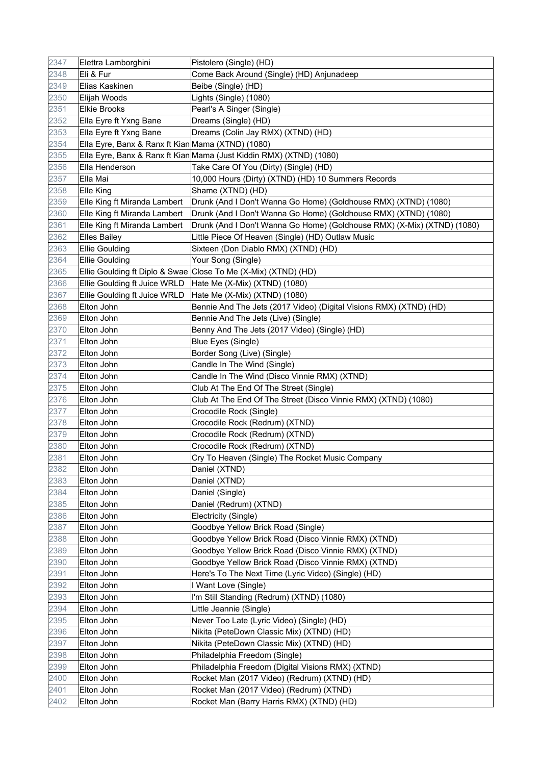| 2347 | Elettra Lamborghini                               | Pistolero (Single) (HD)                                                 |
|------|---------------------------------------------------|-------------------------------------------------------------------------|
| 2348 | Eli & Fur                                         | Come Back Around (Single) (HD) Anjunadeep                               |
| 2349 | Elias Kaskinen                                    | Beibe (Single) (HD)                                                     |
| 2350 | Elijah Woods                                      | Lights (Single) (1080)                                                  |
| 2351 | <b>Elkie Brooks</b>                               | Pearl's A Singer (Single)                                               |
| 2352 | Ella Eyre ft Yxng Bane                            | Dreams (Single) (HD)                                                    |
| 2353 | Ella Eyre ft Yxng Bane                            | Dreams (Colin Jay RMX) (XTND) (HD)                                      |
| 2354 | Ella Eyre, Banx & Ranx ft Kian Mama (XTND) (1080) |                                                                         |
| 2355 |                                                   | Ella Eyre, Banx & Ranx ft Kian Mama (Just Kiddin RMX) (XTND) (1080)     |
| 2356 | Ella Henderson                                    | Take Care Of You (Dirty) (Single) (HD)                                  |
| 2357 | Ella Mai                                          | 10,000 Hours (Dirty) (XTND) (HD) 10 Summers Records                     |
| 2358 | Elle King                                         | Shame (XTND) (HD)                                                       |
| 2359 | Elle King ft Miranda Lambert                      | Drunk (And I Don't Wanna Go Home) (Goldhouse RMX) (XTND) (1080)         |
| 2360 | Elle King ft Miranda Lambert                      | Drunk (And I Don't Wanna Go Home) (Goldhouse RMX) (XTND) (1080)         |
| 2361 | Elle King ft Miranda Lambert                      | Drunk (And I Don't Wanna Go Home) (Goldhouse RMX) (X-Mix) (XTND) (1080) |
| 2362 | <b>Elles Bailey</b>                               | Little Piece Of Heaven (Single) (HD) Outlaw Music                       |
| 2363 | <b>Ellie Goulding</b>                             | Sixteen (Don Diablo RMX) (XTND) (HD)                                    |
| 2364 | Ellie Goulding                                    | Your Song (Single)                                                      |
| 2365 |                                                   | Ellie Goulding ft Diplo & Swae Close To Me (X-Mix) (XTND) (HD)          |
| 2366 | Ellie Goulding ft Juice WRLD                      | Hate Me (X-Mix) (XTND) (1080)                                           |
| 2367 | Ellie Goulding ft Juice WRLD                      | Hate Me (X-Mix) (XTND) (1080)                                           |
| 2368 | Elton John                                        | Bennie And The Jets (2017 Video) (Digital Visions RMX) (XTND) (HD)      |
| 2369 | Elton John                                        | Bennie And The Jets (Live) (Single)                                     |
| 2370 | Elton John                                        | Benny And The Jets (2017 Video) (Single) (HD)                           |
| 2371 | Elton John                                        | Blue Eyes (Single)                                                      |
| 2372 | Elton John                                        | Border Song (Live) (Single)                                             |
| 2373 | Elton John                                        | Candle In The Wind (Single)                                             |
| 2374 | Elton John                                        | Candle In The Wind (Disco Vinnie RMX) (XTND)                            |
| 2375 | Elton John                                        | Club At The End Of The Street (Single)                                  |
| 2376 | Elton John                                        | Club At The End Of The Street (Disco Vinnie RMX) (XTND) (1080)          |
| 2377 | Elton John                                        | Crocodile Rock (Single)                                                 |
| 2378 | Elton John                                        | Crocodile Rock (Redrum) (XTND)                                          |
| 2379 | Elton John                                        | Crocodile Rock (Redrum) (XTND)                                          |
| 2380 | Elton John                                        | Crocodile Rock (Redrum) (XTND)                                          |
| 2381 | Elton John                                        | Cry To Heaven (Single) The Rocket Music Company                         |
| 2382 | Elton John                                        | Daniel (XTND)                                                           |
| 2383 | Elton John                                        | Daniel (XTND)                                                           |
| 2384 | Elton John                                        | Daniel (Single)                                                         |
| 2385 | Elton John                                        | Daniel (Redrum) (XTND)                                                  |
| 2386 | Elton John                                        | Electricity (Single)                                                    |
| 2387 | Elton John                                        | Goodbye Yellow Brick Road (Single)                                      |
| 2388 | Elton John                                        | Goodbye Yellow Brick Road (Disco Vinnie RMX) (XTND)                     |
| 2389 | Elton John                                        | Goodbye Yellow Brick Road (Disco Vinnie RMX) (XTND)                     |
| 2390 | Elton John                                        | Goodbye Yellow Brick Road (Disco Vinnie RMX) (XTND)                     |
| 2391 | Elton John                                        | Here's To The Next Time (Lyric Video) (Single) (HD)                     |
| 2392 | Elton John                                        | I Want Love (Single)                                                    |
| 2393 | Elton John                                        | I'm Still Standing (Redrum) (XTND) (1080)                               |
| 2394 | Elton John                                        | Little Jeannie (Single)                                                 |
| 2395 | Elton John                                        | Never Too Late (Lyric Video) (Single) (HD)                              |
| 2396 | Elton John                                        | Nikita (PeteDown Classic Mix) (XTND) (HD)                               |
| 2397 | Elton John                                        | Nikita (PeteDown Classic Mix) (XTND) (HD)                               |
| 2398 | Elton John                                        | Philadelphia Freedom (Single)                                           |
| 2399 | Elton John                                        | Philadelphia Freedom (Digital Visions RMX) (XTND)                       |
| 2400 | Elton John                                        | Rocket Man (2017 Video) (Redrum) (XTND) (HD)                            |
| 2401 | Elton John                                        | Rocket Man (2017 Video) (Redrum) (XTND)                                 |
| 2402 | Elton John                                        | Rocket Man (Barry Harris RMX) (XTND) (HD)                               |
|      |                                                   |                                                                         |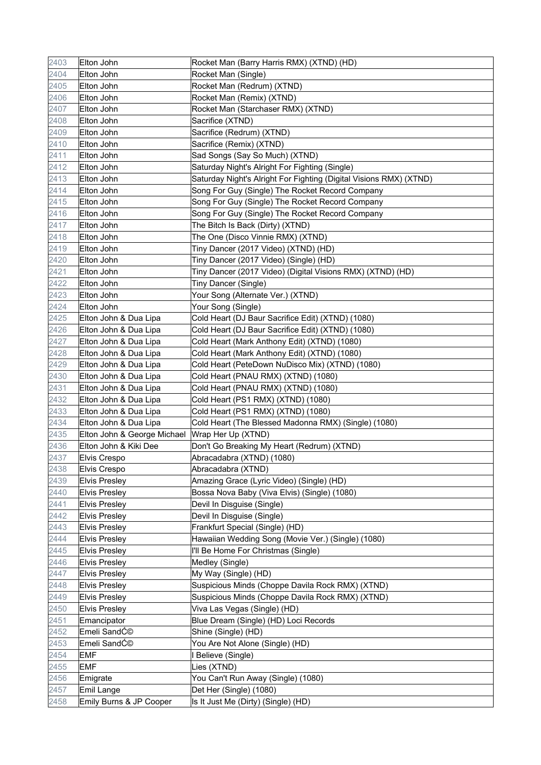| 2403 | Elton John                  | Rocket Man (Barry Harris RMX) (XTND) (HD)                          |
|------|-----------------------------|--------------------------------------------------------------------|
| 2404 | Elton John                  | Rocket Man (Single)                                                |
| 2405 | Elton John                  | Rocket Man (Redrum) (XTND)                                         |
| 2406 | Elton John                  | Rocket Man (Remix) (XTND)                                          |
| 2407 | Elton John                  | Rocket Man (Starchaser RMX) (XTND)                                 |
| 2408 | Elton John                  | Sacrifice (XTND)                                                   |
| 2409 | Elton John                  | Sacrifice (Redrum) (XTND)                                          |
| 2410 | Elton John                  | Sacrifice (Remix) (XTND)                                           |
| 2411 | Elton John                  | Sad Songs (Say So Much) (XTND)                                     |
| 2412 | Elton John                  | Saturday Night's Alright For Fighting (Single)                     |
| 2413 | Elton John                  | Saturday Night's Alright For Fighting (Digital Visions RMX) (XTND) |
| 2414 | Elton John                  | Song For Guy (Single) The Rocket Record Company                    |
| 2415 | Elton John                  | Song For Guy (Single) The Rocket Record Company                    |
| 2416 | Elton John                  | Song For Guy (Single) The Rocket Record Company                    |
| 2417 | Elton John                  | The Bitch Is Back (Dirty) (XTND)                                   |
| 2418 | Elton John                  | The One (Disco Vinnie RMX) (XTND)                                  |
| 2419 | Elton John                  | Tiny Dancer (2017 Video) (XTND) (HD)                               |
| 2420 | Elton John                  | Tiny Dancer (2017 Video) (Single) (HD)                             |
| 2421 | Elton John                  | Tiny Dancer (2017 Video) (Digital Visions RMX) (XTND) (HD)         |
| 2422 | Elton John                  | Tiny Dancer (Single)                                               |
| 2423 | Elton John                  | Your Song (Alternate Ver.) (XTND)                                  |
| 2424 | Elton John                  | Your Song (Single)                                                 |
| 2425 | Elton John & Dua Lipa       | Cold Heart (DJ Baur Sacrifice Edit) (XTND) (1080)                  |
| 2426 | Elton John & Dua Lipa       | Cold Heart (DJ Baur Sacrifice Edit) (XTND) (1080)                  |
| 2427 | Elton John & Dua Lipa       | Cold Heart (Mark Anthony Edit) (XTND) (1080)                       |
| 2428 | Elton John & Dua Lipa       | Cold Heart (Mark Anthony Edit) (XTND) (1080)                       |
| 2429 | Elton John & Dua Lipa       | Cold Heart (PeteDown NuDisco Mix) (XTND) (1080)                    |
| 2430 | Elton John & Dua Lipa       | Cold Heart (PNAU RMX) (XTND) (1080)                                |
| 2431 | Elton John & Dua Lipa       | Cold Heart (PNAU RMX) (XTND) (1080)                                |
| 2432 | Elton John & Dua Lipa       | Cold Heart (PS1 RMX) (XTND) (1080)                                 |
| 2433 | Elton John & Dua Lipa       | Cold Heart (PS1 RMX) (XTND) (1080)                                 |
| 2434 | Elton John & Dua Lipa       | Cold Heart (The Blessed Madonna RMX) (Single) (1080)               |
| 2435 | Elton John & George Michael | Wrap Her Up (XTND)                                                 |
| 2436 | Elton John & Kiki Dee       | Don't Go Breaking My Heart (Redrum) (XTND)                         |
| 2437 | <b>Elvis Crespo</b>         | Abracadabra (XTND) (1080)                                          |
| 2438 | Elvis Crespo                | Abracadabra (XTND)                                                 |
| 2439 | <b>Elvis Presley</b>        | Amazing Grace (Lyric Video) (Single) (HD)                          |
| 2440 | <b>Elvis Presley</b>        | Bossa Nova Baby (Viva Elvis) (Single) (1080)                       |
| 2441 | <b>Elvis Presley</b>        | Devil In Disguise (Single)                                         |
| 2442 | <b>Elvis Presley</b>        | Devil In Disguise (Single)                                         |
| 2443 | <b>Elvis Presley</b>        | Frankfurt Special (Single) (HD)                                    |
| 2444 | <b>Elvis Presley</b>        | Hawaiian Wedding Song (Movie Ver.) (Single) (1080)                 |
| 2445 | <b>Elvis Presley</b>        | I'll Be Home For Christmas (Single)                                |
| 2446 | <b>Elvis Presley</b>        | Medley (Single)                                                    |
| 2447 | <b>Elvis Presley</b>        | My Way (Single) (HD)                                               |
| 2448 | <b>Elvis Presley</b>        | Suspicious Minds (Choppe Davila Rock RMX) (XTND)                   |
| 2449 | <b>Elvis Presley</b>        | Suspicious Minds (Choppe Davila Rock RMX) (XTND)                   |
| 2450 | <b>Elvis Presley</b>        | Viva Las Vegas (Single) (HD)                                       |
| 2451 | Emancipator                 | Blue Dream (Single) (HD) Loci Records                              |
| 2452 | Emeli SandƩ                 | Shine (Single) (HD)                                                |
| 2453 | Emeli SandƩ                 | You Are Not Alone (Single) (HD)                                    |
| 2454 | <b>EMF</b>                  | I Believe (Single)                                                 |
| 2455 | <b>EMF</b>                  | Lies (XTND)                                                        |
| 2456 | Emigrate                    | You Can't Run Away (Single) (1080)                                 |
| 2457 | Emil Lange                  | Det Her (Single) (1080)                                            |
| 2458 | Emily Burns & JP Cooper     | Is It Just Me (Dirty) (Single) (HD)                                |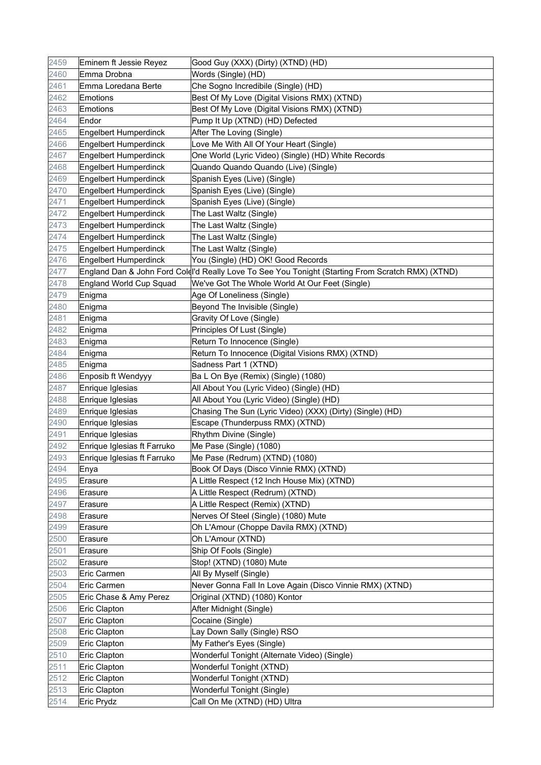| 2459 | Eminem ft Jessie Reyez         | Good Guy (XXX) (Dirty) (XTND) (HD)                                                                |
|------|--------------------------------|---------------------------------------------------------------------------------------------------|
| 2460 | Emma Drobna                    | Words (Single) (HD)                                                                               |
| 2461 | Emma Loredana Berte            | Che Sogno Incredibile (Single) (HD)                                                               |
| 2462 | Emotions                       | Best Of My Love (Digital Visions RMX) (XTND)                                                      |
| 2463 | Emotions                       | Best Of My Love (Digital Visions RMX) (XTND)                                                      |
| 2464 | Endor                          | Pump It Up (XTND) (HD) Defected                                                                   |
| 2465 | <b>Engelbert Humperdinck</b>   | After The Loving (Single)                                                                         |
| 2466 | <b>Engelbert Humperdinck</b>   | Love Me With All Of Your Heart (Single)                                                           |
| 2467 | <b>Engelbert Humperdinck</b>   | One World (Lyric Video) (Single) (HD) White Records                                               |
| 2468 | <b>Engelbert Humperdinck</b>   | Quando Quando Quando (Live) (Single)                                                              |
| 2469 | <b>Engelbert Humperdinck</b>   | Spanish Eyes (Live) (Single)                                                                      |
| 2470 | Engelbert Humperdinck          | Spanish Eyes (Live) (Single)                                                                      |
| 2471 | <b>Engelbert Humperdinck</b>   | Spanish Eyes (Live) (Single)                                                                      |
| 2472 | <b>Engelbert Humperdinck</b>   | The Last Waltz (Single)                                                                           |
| 2473 | Engelbert Humperdinck          | The Last Waltz (Single)                                                                           |
| 2474 | <b>Engelbert Humperdinck</b>   | The Last Waltz (Single)                                                                           |
| 2475 | <b>Engelbert Humperdinck</b>   | The Last Waltz (Single)                                                                           |
| 2476 | <b>Engelbert Humperdinck</b>   | You (Single) (HD) OK! Good Records                                                                |
| 2477 |                                | England Dan & John Ford Coldl'd Really Love To See You Tonight (Starting From Scratch RMX) (XTND) |
| 2478 | <b>England World Cup Squad</b> | We've Got The Whole World At Our Feet (Single)                                                    |
| 2479 | Enigma                         | Age Of Loneliness (Single)                                                                        |
| 2480 | Enigma                         | Beyond The Invisible (Single)                                                                     |
| 2481 | Enigma                         | Gravity Of Love (Single)                                                                          |
| 2482 | Enigma                         | Principles Of Lust (Single)                                                                       |
| 2483 | Enigma                         | Return To Innocence (Single)                                                                      |
| 2484 | Enigma                         | Return To Innocence (Digital Visions RMX) (XTND)                                                  |
| 2485 | Enigma                         | Sadness Part 1 (XTND)                                                                             |
| 2486 | Enposib ft Wendyyy             | Ba L On Bye (Remix) (Single) (1080)                                                               |
| 2487 | Enrique Iglesias               | All About You (Lyric Video) (Single) (HD)                                                         |
| 2488 | Enrique Iglesias               | All About You (Lyric Video) (Single) (HD)                                                         |
| 2489 | Enrique Iglesias               | Chasing The Sun (Lyric Video) (XXX) (Dirty) (Single) (HD)                                         |
| 2490 | Enrique Iglesias               | Escape (Thunderpuss RMX) (XTND)                                                                   |
| 2491 | Enrique Iglesias               | Rhythm Divine (Single)                                                                            |
| 2492 | Enrique Iglesias ft Farruko    | Me Pase (Single) (1080)                                                                           |
| 2493 | Enrique Iglesias ft Farruko    | Me Pase (Redrum) (XTND) (1080)                                                                    |
| 2494 | Enya                           | Book Of Days (Disco Vinnie RMX) (XTND)                                                            |
| 2495 | Erasure                        | A Little Respect (12 Inch House Mix) (XTND)                                                       |
| 2496 | Erasure                        | A Little Respect (Redrum) (XTND)                                                                  |
| 2497 | Erasure                        | A Little Respect (Remix) (XTND)                                                                   |
| 2498 | Erasure                        | Nerves Of Steel (Single) (1080) Mute                                                              |
| 2499 | Erasure                        | Oh L'Amour (Choppe Davila RMX) (XTND)                                                             |
| 2500 | Erasure                        | Oh L'Amour (XTND)                                                                                 |
| 2501 | Erasure                        | Ship Of Fools (Single)                                                                            |
| 2502 | Erasure                        | Stop! (XTND) (1080) Mute                                                                          |
| 2503 | Eric Carmen                    | All By Myself (Single)                                                                            |
| 2504 | <b>Eric Carmen</b>             | Never Gonna Fall In Love Again (Disco Vinnie RMX) (XTND)                                          |
| 2505 | Eric Chase & Amy Perez         | Original (XTND) (1080) Kontor                                                                     |
| 2506 | Eric Clapton                   | After Midnight (Single)                                                                           |
| 2507 | Eric Clapton                   | Cocaine (Single)                                                                                  |
| 2508 | Eric Clapton                   | Lay Down Sally (Single) RSO                                                                       |
| 2509 | Eric Clapton                   | My Father's Eyes (Single)                                                                         |
| 2510 | Eric Clapton                   | Wonderful Tonight (Alternate Video) (Single)                                                      |
| 2511 | Eric Clapton                   | Wonderful Tonight (XTND)                                                                          |
| 2512 | Eric Clapton                   | Wonderful Tonight (XTND)                                                                          |
| 2513 | Eric Clapton                   | Wonderful Tonight (Single)                                                                        |
| 2514 | Eric Prydz                     | Call On Me (XTND) (HD) Ultra                                                                      |
|      |                                |                                                                                                   |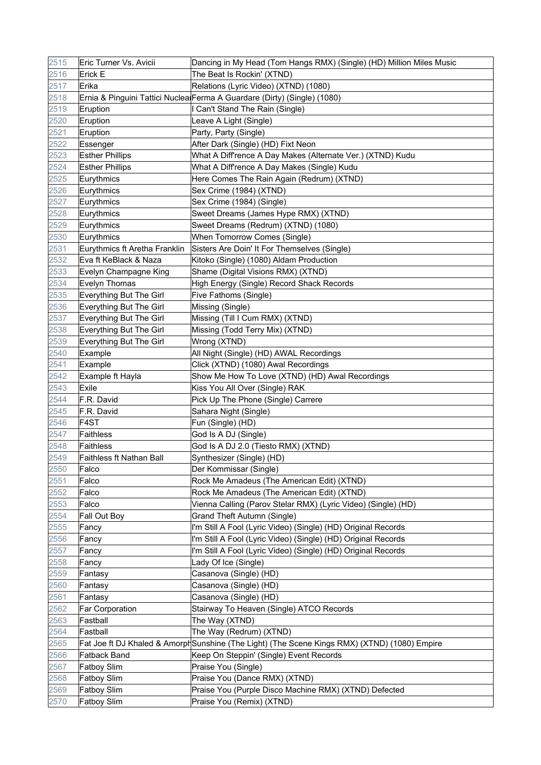| 2515 | Eric Turner Vs. Avicii        | Dancing in My Head (Tom Hangs RMX) (Single) (HD) Million Miles Music                          |
|------|-------------------------------|-----------------------------------------------------------------------------------------------|
| 2516 | Erick E                       | The Beat Is Rockin' (XTND)                                                                    |
| 2517 | Erika                         | Relations (Lyric Video) (XTND) (1080)                                                         |
| 2518 |                               | Ernia & Pinguini Tattici Nuclea Ferma A Guardare (Dirty) (Single) (1080)                      |
| 2519 | Eruption                      | I Can't Stand The Rain (Single)                                                               |
| 2520 | Eruption                      | Leave A Light (Single)                                                                        |
| 2521 | Eruption                      | Party, Party (Single)                                                                         |
| 2522 | Essenger                      | After Dark (Single) (HD) Fixt Neon                                                            |
| 2523 | <b>Esther Phillips</b>        | What A Diff'rence A Day Makes (Alternate Ver.) (XTND) Kudu                                    |
| 2524 | <b>Esther Phillips</b>        | What A Diff'rence A Day Makes (Single) Kudu                                                   |
| 2525 | Eurythmics                    | Here Comes The Rain Again (Redrum) (XTND)                                                     |
| 2526 | Eurythmics                    | Sex Crime (1984) (XTND)                                                                       |
| 2527 | Eurythmics                    | Sex Crime (1984) (Single)                                                                     |
| 2528 | Eurythmics                    | Sweet Dreams (James Hype RMX) (XTND)                                                          |
| 2529 | Eurythmics                    | Sweet Dreams (Redrum) (XTND) (1080)                                                           |
| 2530 | Eurythmics                    | When Tomorrow Comes (Single)                                                                  |
| 2531 | Eurythmics ft Aretha Franklin | Sisters Are Doin' It For Themselves (Single)                                                  |
| 2532 | Eva ft KeBlack & Naza         | Kitoko (Single) (1080) Aldam Production                                                       |
| 2533 | Evelyn Champagne King         | Shame (Digital Visions RMX) (XTND)                                                            |
| 2534 | Evelyn Thomas                 | High Energy (Single) Record Shack Records                                                     |
| 2535 | Everything But The Girl       | Five Fathoms (Single)                                                                         |
| 2536 | Everything But The Girl       | Missing (Single)                                                                              |
| 2537 | Everything But The Girl       | Missing (Till I Cum RMX) (XTND)                                                               |
| 2538 | Everything But The Girl       | Missing (Todd Terry Mix) (XTND)                                                               |
| 2539 | Everything But The Girl       | Wrong (XTND)                                                                                  |
| 2540 | Example                       | All Night (Single) (HD) AWAL Recordings                                                       |
| 2541 | Example                       | Click (XTND) (1080) Awal Recordings                                                           |
| 2542 | Example ft Hayla              | Show Me How To Love (XTND) (HD) Awal Recordings                                               |
| 2543 | Exile                         | Kiss You All Over (Single) RAK                                                                |
| 2544 | F.R. David                    | Pick Up The Phone (Single) Carrere                                                            |
| 2545 | F.R. David                    | Sahara Night (Single)                                                                         |
| 2546 | F <sub>4</sub> ST             | Fun (Single) (HD)                                                                             |
| 2547 | Faithless                     | God Is A DJ (Single)                                                                          |
| 2548 | Faithless                     | God Is A DJ 2.0 (Tiesto RMX) (XTND)                                                           |
| 2549 | Faithless ft Nathan Ball      | Synthesizer (Single) (HD)                                                                     |
| 2550 | Falco                         | Der Kommissar (Single)                                                                        |
| 2551 | Falco                         | Rock Me Amadeus (The American Edit) (XTND)                                                    |
| 2552 | Falco                         | Rock Me Amadeus (The American Edit) (XTND)                                                    |
| 2553 | Falco                         | Vienna Calling (Parov Stelar RMX) (Lyric Video) (Single) (HD)                                 |
| 2554 | Fall Out Boy                  | <b>Grand Theft Autumn (Single)</b>                                                            |
| 2555 | Fancy                         | I'm Still A Fool (Lyric Video) (Single) (HD) Original Records                                 |
| 2556 | Fancy                         | I'm Still A Fool (Lyric Video) (Single) (HD) Original Records                                 |
| 2557 | Fancy                         | I'm Still A Fool (Lyric Video) (Single) (HD) Original Records                                 |
| 2558 | Fancy                         | Lady Of Ice (Single)                                                                          |
| 2559 | Fantasy                       | Casanova (Single) (HD)                                                                        |
| 2560 | Fantasy                       | Casanova (Single) (HD)                                                                        |
| 2561 | Fantasy                       | Casanova (Single) (HD)                                                                        |
| 2562 | Far Corporation               | Stairway To Heaven (Single) ATCO Records                                                      |
| 2563 | Fastball                      | The Way (XTND)                                                                                |
| 2564 | Fastball                      | The Way (Redrum) (XTND)                                                                       |
| 2565 |                               | Fat Joe ft DJ Khaled & Amorph Sunshine (The Light) (The Scene Kings RMX) (XTND) (1080) Empire |
| 2566 | Fatback Band                  | Keep On Steppin' (Single) Event Records                                                       |
| 2567 | <b>Fatboy Slim</b>            | Praise You (Single)                                                                           |
| 2568 | Fatboy Slim                   | Praise You (Dance RMX) (XTND)                                                                 |
| 2569 | Fatboy Slim                   | Praise You (Purple Disco Machine RMX) (XTND) Defected                                         |
| 2570 | Fatboy Slim                   | Praise You (Remix) (XTND)                                                                     |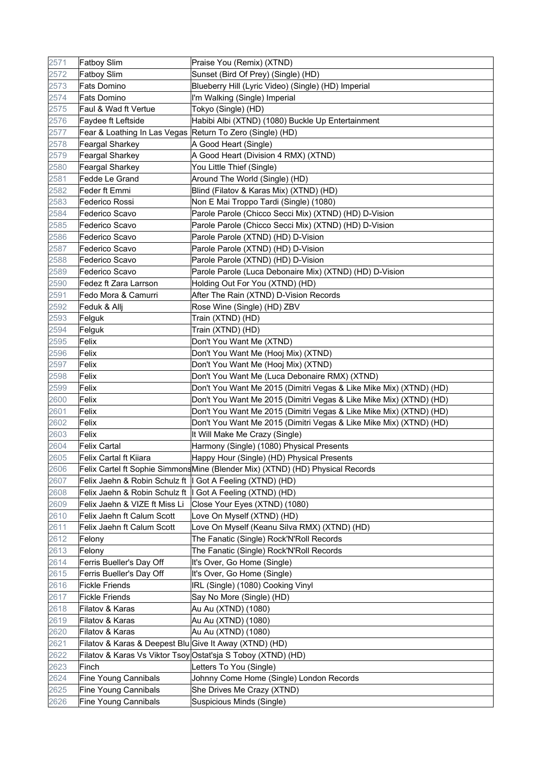| 2571 | <b>Fatboy Slim</b>                                        | Praise You (Remix) (XTND)                                                      |
|------|-----------------------------------------------------------|--------------------------------------------------------------------------------|
| 2572 | <b>Fatboy Slim</b>                                        | Sunset (Bird Of Prey) (Single) (HD)                                            |
| 2573 | Fats Domino                                               | Blueberry Hill (Lyric Video) (Single) (HD) Imperial                            |
| 2574 | Fats Domino                                               | I'm Walking (Single) Imperial                                                  |
| 2575 | Faul & Wad ft Vertue                                      | Tokyo (Single) (HD)                                                            |
| 2576 | Faydee ft Leftside                                        | Habibi Albi (XTND) (1080) Buckle Up Entertainment                              |
| 2577 | Fear & Loathing In Las Vegas Return To Zero (Single) (HD) |                                                                                |
| 2578 | <b>Feargal Sharkey</b>                                    | A Good Heart (Single)                                                          |
| 2579 | <b>Feargal Sharkey</b>                                    | A Good Heart (Division 4 RMX) (XTND)                                           |
| 2580 | <b>Feargal Sharkey</b>                                    | You Little Thief (Single)                                                      |
| 2581 | Fedde Le Grand                                            | Around The World (Single) (HD)                                                 |
| 2582 | Feder ft Emmi                                             | Blind (Filatov & Karas Mix) (XTND) (HD)                                        |
| 2583 | Federico Rossi                                            | Non E Mai Troppo Tardi (Single) (1080)                                         |
| 2584 | Federico Scavo                                            | Parole Parole (Chicco Secci Mix) (XTND) (HD) D-Vision                          |
| 2585 | Federico Scavo                                            | Parole Parole (Chicco Secci Mix) (XTND) (HD) D-Vision                          |
| 2586 | Federico Scavo                                            | Parole Parole (XTND) (HD) D-Vision                                             |
| 2587 | Federico Scavo                                            | Parole Parole (XTND) (HD) D-Vision                                             |
| 2588 | Federico Scavo                                            | Parole Parole (XTND) (HD) D-Vision                                             |
| 2589 | Federico Scavo                                            | Parole Parole (Luca Debonaire Mix) (XTND) (HD) D-Vision                        |
| 2590 | Fedez ft Zara Larrson                                     | Holding Out For You (XTND) (HD)                                                |
| 2591 | Fedo Mora & Camurri                                       | After The Rain (XTND) D-Vision Records                                         |
| 2592 | Feduk & Allj                                              | Rose Wine (Single) (HD) ZBV                                                    |
| 2593 | Felguk                                                    | Train (XTND) (HD)                                                              |
| 2594 | Felguk                                                    | Train (XTND) (HD)                                                              |
| 2595 | Felix                                                     | Don't You Want Me (XTND)                                                       |
| 2596 | Felix                                                     | Don't You Want Me (Hooj Mix) (XTND)                                            |
| 2597 | Felix                                                     | Don't You Want Me (Hooj Mix) (XTND)                                            |
| 2598 | Felix                                                     | Don't You Want Me (Luca Debonaire RMX) (XTND)                                  |
| 2599 | Felix                                                     | Don't You Want Me 2015 (Dimitri Vegas & Like Mike Mix) (XTND) (HD)             |
| 2600 | Felix                                                     | Don't You Want Me 2015 (Dimitri Vegas & Like Mike Mix) (XTND) (HD)             |
| 2601 | Felix                                                     | Don't You Want Me 2015 (Dimitri Vegas & Like Mike Mix) (XTND) (HD)             |
| 2602 | Felix                                                     | Don't You Want Me 2015 (Dimitri Vegas & Like Mike Mix) (XTND) (HD)             |
| 2603 | Felix                                                     | It Will Make Me Crazy (Single)                                                 |
| 2604 | Felix Cartal                                              | Harmony (Single) (1080) Physical Presents                                      |
| 2605 | Felix Cartal ft Kiiara                                    | Happy Hour (Single) (HD) Physical Presents                                     |
| 2606 |                                                           | Felix Cartel ft Sophie Simmons Mine (Blender Mix) (XTND) (HD) Physical Records |
| 2607 | Felix Jaehn & Robin Schulz ft   Got A Feeling (XTND) (HD) |                                                                                |
| 2608 | Felix Jaehn & Robin Schulz ft                             | I Got A Feeling (XTND) (HD)                                                    |
| 2609 | Felix Jaehn & VIZE ft Miss Li                             | Close Your Eyes (XTND) (1080)                                                  |
| 2610 | Felix Jaehn ft Calum Scott                                | Love On Myself (XTND) (HD)                                                     |
| 2611 | Felix Jaehn ft Calum Scott                                | Love On Myself (Keanu Silva RMX) (XTND) (HD)                                   |
| 2612 | Felony                                                    | The Fanatic (Single) Rock'N'Roll Records                                       |
| 2613 | Felony                                                    | The Fanatic (Single) Rock'N'Roll Records                                       |
| 2614 | Ferris Bueller's Day Off                                  | It's Over, Go Home (Single)                                                    |
| 2615 | Ferris Bueller's Day Off                                  | It's Over, Go Home (Single)                                                    |
| 2616 | <b>Fickle Friends</b>                                     | IRL (Single) (1080) Cooking Vinyl                                              |
| 2617 | <b>Fickle Friends</b>                                     | Say No More (Single) (HD)                                                      |
| 2618 | Filatov & Karas                                           | Au Au (XTND) (1080)                                                            |
| 2619 | Filatov & Karas                                           | Au Au (XTND) (1080)                                                            |
| 2620 | Filatov & Karas                                           | Au Au (XTND) (1080)                                                            |
| 2621 | Filatov & Karas & Deepest Blu Give It Away (XTND) (HD)    |                                                                                |
| 2622 |                                                           | Filatov & Karas Vs Viktor Tsoy Ostat'sja S Toboy (XTND) (HD)                   |
| 2623 | Finch                                                     | Letters To You (Single)                                                        |
| 2624 | <b>Fine Young Cannibals</b>                               | Johnny Come Home (Single) London Records                                       |
| 2625 | <b>Fine Young Cannibals</b>                               | She Drives Me Crazy (XTND)                                                     |
| 2626 | <b>Fine Young Cannibals</b>                               | Suspicious Minds (Single)                                                      |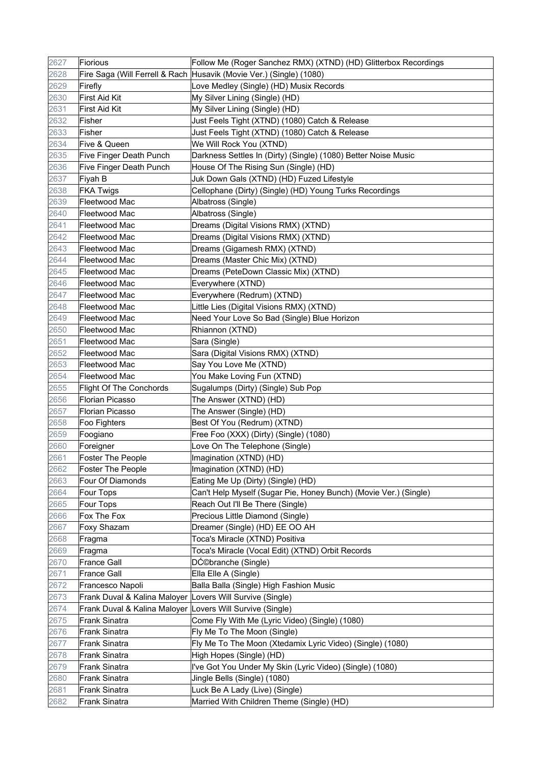| 2627 | Fiorious                                                  | Follow Me (Roger Sanchez RMX) (XTND) (HD) Glitterbox Recordings     |
|------|-----------------------------------------------------------|---------------------------------------------------------------------|
| 2628 |                                                           | Fire Saga (Will Ferrell & Rach Husavik (Movie Ver.) (Single) (1080) |
| 2629 | Firefly                                                   | Love Medley (Single) (HD) Musix Records                             |
| 2630 | <b>First Aid Kit</b>                                      | My Silver Lining (Single) (HD)                                      |
| 2631 | <b>First Aid Kit</b>                                      | My Silver Lining (Single) (HD)                                      |
| 2632 | Fisher                                                    | Just Feels Tight (XTND) (1080) Catch & Release                      |
| 2633 | Fisher                                                    | Just Feels Tight (XTND) (1080) Catch & Release                      |
| 2634 | Five & Queen                                              | We Will Rock You (XTND)                                             |
| 2635 | Five Finger Death Punch                                   | Darkness Settles In (Dirty) (Single) (1080) Better Noise Music      |
| 2636 | Five Finger Death Punch                                   | House Of The Rising Sun (Single) (HD)                               |
| 2637 | Fiyah B                                                   | Juk Down Gals (XTND) (HD) Fuzed Lifestyle                           |
| 2638 | <b>FKA Twigs</b>                                          | Cellophane (Dirty) (Single) (HD) Young Turks Recordings             |
| 2639 | Fleetwood Mac                                             | Albatross (Single)                                                  |
| 2640 | Fleetwood Mac                                             | Albatross (Single)                                                  |
| 2641 | Fleetwood Mac                                             | Dreams (Digital Visions RMX) (XTND)                                 |
| 2642 | Fleetwood Mac                                             | Dreams (Digital Visions RMX) (XTND)                                 |
| 2643 | Fleetwood Mac                                             | Dreams (Gigamesh RMX) (XTND)                                        |
| 2644 | Fleetwood Mac                                             | Dreams (Master Chic Mix) (XTND)                                     |
| 2645 | Fleetwood Mac                                             | Dreams (PeteDown Classic Mix) (XTND)                                |
| 2646 | Fleetwood Mac                                             | Everywhere (XTND)                                                   |
| 2647 | Fleetwood Mac                                             | Everywhere (Redrum) (XTND)                                          |
| 2648 | Fleetwood Mac                                             | Little Lies (Digital Visions RMX) (XTND)                            |
| 2649 | Fleetwood Mac                                             | Need Your Love So Bad (Single) Blue Horizon                         |
| 2650 | Fleetwood Mac                                             | Rhiannon (XTND)                                                     |
| 2651 | Fleetwood Mac                                             | Sara (Single)                                                       |
| 2652 | Fleetwood Mac                                             | Sara (Digital Visions RMX) (XTND)                                   |
| 2653 | Fleetwood Mac                                             | Say You Love Me (XTND)                                              |
| 2654 | Fleetwood Mac                                             | You Make Loving Fun (XTND)                                          |
| 2655 | <b>Flight Of The Conchords</b>                            | Sugalumps (Dirty) (Single) Sub Pop                                  |
| 2656 | <b>Florian Picasso</b>                                    | The Answer (XTND) (HD)                                              |
| 2657 | <b>Florian Picasso</b>                                    | The Answer (Single) (HD)                                            |
| 2658 | Foo Fighters                                              | Best Of You (Redrum) (XTND)                                         |
| 2659 | Foogiano                                                  | Free Foo (XXX) (Dirty) (Single) (1080)                              |
| 2660 | Foreigner                                                 | Love On The Telephone (Single)                                      |
| 2661 | <b>Foster The People</b>                                  | Imagination (XTND) (HD)                                             |
| 2662 | Foster The People                                         | Imagination (XTND) (HD)                                             |
| 2663 | Four Of Diamonds                                          | Eating Me Up (Dirty) (Single) (HD)                                  |
| 2664 | Four Tops                                                 | Can't Help Myself (Sugar Pie, Honey Bunch) (Movie Ver.) (Single)    |
| 2665 | Four Tops                                                 | Reach Out I'll Be There (Single)                                    |
| 2666 | Fox The Fox                                               | Precious Little Diamond (Single)                                    |
| 2667 | Foxy Shazam                                               | Dreamer (Single) (HD) EE OO AH                                      |
| 2668 | Fragma                                                    | Toca's Miracle (XTND) Positiva                                      |
| 2669 | Fragma                                                    | Toca's Miracle (Vocal Edit) (XTND) Orbit Records                    |
| 2670 | <b>France Gall</b>                                        | DƩbranche (Single)                                                  |
| 2671 | <b>France Gall</b>                                        | Ella Elle A (Single)                                                |
| 2672 | Francesco Napoli                                          | Balla Balla (Single) High Fashion Music                             |
| 2673 | Frank Duval & Kalina Maloyer Lovers Will Survive (Single) |                                                                     |
| 2674 | Frank Duval & Kalina Maloyer Lovers Will Survive (Single) |                                                                     |
| 2675 | Frank Sinatra                                             | Come Fly With Me (Lyric Video) (Single) (1080)                      |
| 2676 | Frank Sinatra                                             | Fly Me To The Moon (Single)                                         |
| 2677 | Frank Sinatra                                             | Fly Me To The Moon (Xtedamix Lyric Video) (Single) (1080)           |
| 2678 | <b>Frank Sinatra</b>                                      | High Hopes (Single) (HD)                                            |
| 2679 | <b>Frank Sinatra</b>                                      | I've Got You Under My Skin (Lyric Video) (Single) (1080)            |
| 2680 | <b>Frank Sinatra</b>                                      | Jingle Bells (Single) (1080)                                        |
| 2681 | Frank Sinatra                                             | Luck Be A Lady (Live) (Single)                                      |
| 2682 | <b>Frank Sinatra</b>                                      | Married With Children Theme (Single) (HD)                           |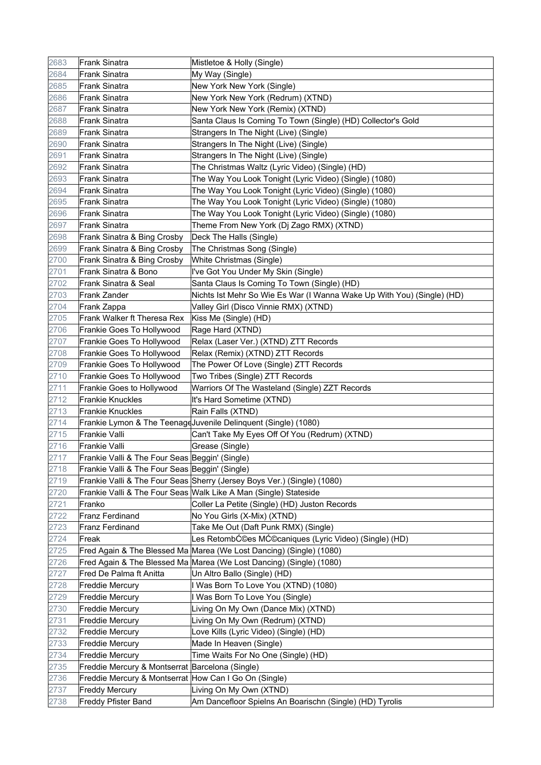| 2683 | <b>Frank Sinatra</b>                                  | Mistletoe & Holly (Single)                                              |
|------|-------------------------------------------------------|-------------------------------------------------------------------------|
| 2684 | <b>Frank Sinatra</b>                                  | My Way (Single)                                                         |
| 2685 | Frank Sinatra                                         | New York New York (Single)                                              |
| 2686 | <b>Frank Sinatra</b>                                  | New York New York (Redrum) (XTND)                                       |
| 2687 | <b>Frank Sinatra</b>                                  | New York New York (Remix) (XTND)                                        |
| 2688 | <b>Frank Sinatra</b>                                  | Santa Claus Is Coming To Town (Single) (HD) Collector's Gold            |
| 2689 | <b>Frank Sinatra</b>                                  | Strangers In The Night (Live) (Single)                                  |
| 2690 | <b>Frank Sinatra</b>                                  | Strangers In The Night (Live) (Single)                                  |
| 2691 | Frank Sinatra                                         | Strangers In The Night (Live) (Single)                                  |
| 2692 | <b>Frank Sinatra</b>                                  | The Christmas Waltz (Lyric Video) (Single) (HD)                         |
| 2693 | Frank Sinatra                                         | The Way You Look Tonight (Lyric Video) (Single) (1080)                  |
| 2694 | Frank Sinatra                                         | The Way You Look Tonight (Lyric Video) (Single) (1080)                  |
| 2695 | Frank Sinatra                                         | The Way You Look Tonight (Lyric Video) (Single) (1080)                  |
| 2696 | <b>Frank Sinatra</b>                                  | The Way You Look Tonight (Lyric Video) (Single) (1080)                  |
| 2697 | Frank Sinatra                                         | Theme From New York (Dj Zago RMX) (XTND)                                |
| 2698 | Frank Sinatra & Bing Crosby                           | Deck The Halls (Single)                                                 |
| 2699 | Frank Sinatra & Bing Crosby                           | The Christmas Song (Single)                                             |
| 2700 | Frank Sinatra & Bing Crosby                           | White Christmas (Single)                                                |
| 2701 | Frank Sinatra & Bono                                  | I've Got You Under My Skin (Single)                                     |
| 2702 | Frank Sinatra & Seal                                  | Santa Claus Is Coming To Town (Single) (HD)                             |
| 2703 | Frank Zander                                          | Nichts Ist Mehr So Wie Es War (I Wanna Wake Up With You) (Single) (HD)  |
| 2704 | Frank Zappa                                           | Valley Girl (Disco Vinnie RMX) (XTND)                                   |
| 2705 | Frank Walker ft Theresa Rex                           | Kiss Me (Single) (HD)                                                   |
| 2706 | Frankie Goes To Hollywood                             | Rage Hard (XTND)                                                        |
| 2707 | Frankie Goes To Hollywood                             | Relax (Laser Ver.) (XTND) ZTT Records                                   |
| 2708 | Frankie Goes To Hollywood                             | Relax (Remix) (XTND) ZTT Records                                        |
| 2709 | Frankie Goes To Hollywood                             | The Power Of Love (Single) ZTT Records                                  |
| 2710 | Frankie Goes To Hollywood                             | Two Tribes (Single) ZTT Records                                         |
| 2711 | Frankie Goes to Hollywood                             | Warriors Of The Wasteland (Single) ZZT Records                          |
| 2712 | <b>Frankie Knuckles</b>                               | It's Hard Sometime (XTND)                                               |
| 2713 | <b>Frankie Knuckles</b>                               | Rain Falls (XTND)                                                       |
| 2714 |                                                       | Frankie Lymon & The Teenage Juvenile Delinquent (Single) (1080)         |
| 2715 | Frankie Valli                                         | Can't Take My Eyes Off Of You (Redrum) (XTND)                           |
| 2716 | Frankie Valli                                         | Grease (Single)                                                         |
| 2717 | Frankie Valli & The Four Seas Beggin' (Single)        |                                                                         |
| 2718 | Frankie Valli & The Four Seas Beggin' (Single)        |                                                                         |
| 2719 |                                                       | Frankie Valli & The Four Seas Sherry (Jersey Boys Ver.) (Single) (1080) |
| 2720 |                                                       | Frankie Valli & The Four Seas Walk Like A Man (Single) Stateside        |
| 2721 | Franko                                                | Coller La Petite (Single) (HD) Juston Records                           |
| 2722 | <b>Franz Ferdinand</b>                                | No You Girls (X-Mix) (XTND)                                             |
| 2723 | Franz Ferdinand                                       | Take Me Out (Daft Punk RMX) (Single)                                    |
| 2724 | Freak                                                 | Les RetombƩes MƩcaniques (Lyric Video) (Single) (HD)                    |
| 2725 |                                                       | Fred Again & The Blessed Ma Marea (We Lost Dancing) (Single) (1080)     |
| 2726 |                                                       | Fred Again & The Blessed Ma Marea (We Lost Dancing) (Single) (1080)     |
| 2727 | Fred De Palma ft Anitta                               | Un Altro Ballo (Single) (HD)                                            |
| 2728 | <b>Freddie Mercury</b>                                | I Was Born To Love You (XTND) (1080)                                    |
| 2729 | <b>Freddie Mercury</b>                                | I Was Born To Love You (Single)                                         |
| 2730 | <b>Freddie Mercury</b>                                | Living On My Own (Dance Mix) (XTND)                                     |
| 2731 | <b>Freddie Mercury</b>                                | Living On My Own (Redrum) (XTND)                                        |
| 2732 | <b>Freddie Mercury</b>                                | Love Kills (Lyric Video) (Single) (HD)                                  |
| 2733 | <b>Freddie Mercury</b>                                | Made In Heaven (Single)                                                 |
| 2734 | <b>Freddie Mercury</b>                                | Time Waits For No One (Single) (HD)                                     |
| 2735 | Freddie Mercury & Montserrat Barcelona (Single)       |                                                                         |
| 2736 | Freddie Mercury & Montserrat How Can I Go On (Single) |                                                                         |
| 2737 | <b>Freddy Mercury</b>                                 | Living On My Own (XTND)                                                 |
| 2738 | <b>Freddy Pfister Band</b>                            | Am Dancefloor Spielns An Boarischn (Single) (HD) Tyrolis                |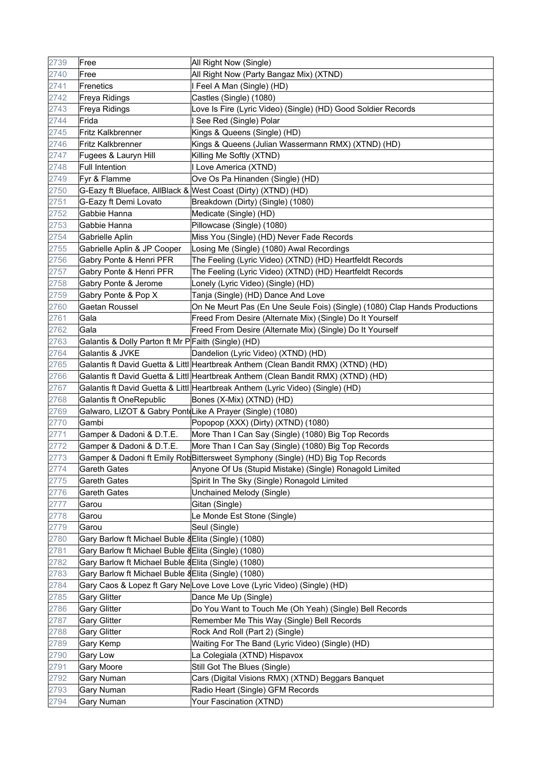| 2739 | Free                                                      | All Right Now (Single)                                                            |
|------|-----------------------------------------------------------|-----------------------------------------------------------------------------------|
| 2740 | Free                                                      | All Right Now (Party Bangaz Mix) (XTND)                                           |
| 2741 | Frenetics                                                 | I Feel A Man (Single) (HD)                                                        |
| 2742 | Freya Ridings                                             | Castles (Single) (1080)                                                           |
| 2743 | Freya Ridings                                             | Love Is Fire (Lyric Video) (Single) (HD) Good Soldier Records                     |
| 2744 | Frida                                                     | I See Red (Single) Polar                                                          |
| 2745 | <b>Fritz Kalkbrenner</b>                                  | Kings & Queens (Single) (HD)                                                      |
| 2746 | <b>Fritz Kalkbrenner</b>                                  | Kings & Queens (Julian Wassermann RMX) (XTND) (HD)                                |
| 2747 | Fugees & Lauryn Hill                                      | Killing Me Softly (XTND)                                                          |
| 2748 | <b>Full Intention</b>                                     | I Love America (XTND)                                                             |
| 2749 | Fyr & Flamme                                              | Ove Os Pa Hinanden (Single) (HD)                                                  |
| 2750 |                                                           | G-Eazy ft Blueface, AllBlack & West Coast (Dirty) (XTND) (HD)                     |
| 2751 | G-Eazy ft Demi Lovato                                     | Breakdown (Dirty) (Single) (1080)                                                 |
| 2752 | Gabbie Hanna                                              | Medicate (Single) (HD)                                                            |
| 2753 | Gabbie Hanna                                              | Pillowcase (Single) (1080)                                                        |
| 2754 | Gabrielle Aplin                                           | Miss You (Single) (HD) Never Fade Records                                         |
| 2755 | Gabrielle Aplin & JP Cooper                               | Losing Me (Single) (1080) Awal Recordings                                         |
| 2756 | Gabry Ponte & Henri PFR                                   | The Feeling (Lyric Video) (XTND) (HD) Heartfeldt Records                          |
| 2757 | Gabry Ponte & Henri PFR                                   | The Feeling (Lyric Video) (XTND) (HD) Heartfeldt Records                          |
| 2758 | Gabry Ponte & Jerome                                      | Lonely (Lyric Video) (Single) (HD)                                                |
| 2759 | Gabry Ponte & Pop X                                       | Tanja (Single) (HD) Dance And Love                                                |
| 2760 | Gaetan Roussel                                            | On Ne Meurt Pas (En Une Seule Fois) (Single) (1080) Clap Hands Productions        |
| 2761 | Gala                                                      | Freed From Desire (Alternate Mix) (Single) Do It Yourself                         |
| 2762 | Gala                                                      | Freed From Desire (Alternate Mix) (Single) Do It Yourself                         |
| 2763 | Galantis & Dolly Parton ft Mr P Faith (Single) (HD)       |                                                                                   |
| 2764 | Galantis & JVKE                                           | Dandelion (Lyric Video) (XTND) (HD)                                               |
| 2765 |                                                           | Galantis ft David Guetta & Littl Heartbreak Anthem (Clean Bandit RMX) (XTND) (HD) |
| 2766 |                                                           | Galantis ft David Guetta & Littl Heartbreak Anthem (Clean Bandit RMX) (XTND) (HD) |
| 2767 |                                                           | Galantis ft David Guetta & Littl Heartbreak Anthem (Lyric Video) (Single) (HD)    |
| 2768 | Galantis ft OneRepublic                                   | Bones (X-Mix) (XTND) (HD)                                                         |
| 2769 | Galwaro, LIZOT & Gabry Pont Like A Prayer (Single) (1080) |                                                                                   |
| 2770 | Gambi                                                     | Popopop (XXX) (Dirty) (XTND) (1080)                                               |
| 2771 | Gamper & Dadoni & D.T.E.                                  | More Than I Can Say (Single) (1080) Big Top Records                               |
| 2772 | Gamper & Dadoni & D.T.E.                                  | More Than I Can Say (Single) (1080) Big Top Records                               |
| 2773 |                                                           | Gamper & Dadoni ft Emily RobBittersweet Symphony (Single) (HD) Big Top Records    |
| 2774 | <b>Gareth Gates</b>                                       | Anyone Of Us (Stupid Mistake) (Single) Ronagold Limited                           |
| 2775 | <b>Gareth Gates</b>                                       | Spirit In The Sky (Single) Ronagold Limited                                       |
| 2776 | Gareth Gates                                              | Unchained Melody (Single)                                                         |
| 2777 | Garou                                                     | Gitan (Single)                                                                    |
| 2778 | Garou                                                     | Le Monde Est Stone (Single)                                                       |
| 2779 | Garou                                                     | Seul (Single)                                                                     |
| 2780 | Gary Barlow ft Michael Buble & Elita (Single) (1080)      |                                                                                   |
| 2781 | Gary Barlow ft Michael Buble & Elita (Single) (1080)      |                                                                                   |
| 2782 | Gary Barlow ft Michael Buble & Elita (Single) (1080)      |                                                                                   |
| 2783 | Gary Barlow ft Michael Buble & Elita (Single) (1080)      |                                                                                   |
| 2784 |                                                           | Gary Caos & Lopez ft Gary NeLove Love Love (Lyric Video) (Single) (HD)            |
| 2785 | <b>Gary Glitter</b>                                       | Dance Me Up (Single)                                                              |
| 2786 | <b>Gary Glitter</b>                                       | Do You Want to Touch Me (Oh Yeah) (Single) Bell Records                           |
| 2787 | <b>Gary Glitter</b>                                       | Remember Me This Way (Single) Bell Records                                        |
| 2788 | <b>Gary Glitter</b>                                       | Rock And Roll (Part 2) (Single)                                                   |
| 2789 | Gary Kemp                                                 | Waiting For The Band (Lyric Video) (Single) (HD)                                  |
| 2790 | <b>Gary Low</b>                                           | La Colegiala (XTND) Hispavox                                                      |
| 2791 | Gary Moore                                                | Still Got The Blues (Single)                                                      |
| 2792 | Gary Numan                                                | Cars (Digital Visions RMX) (XTND) Beggars Banquet                                 |
| 2793 | Gary Numan                                                | Radio Heart (Single) GFM Records                                                  |
| 2794 | Gary Numan                                                | Your Fascination (XTND)                                                           |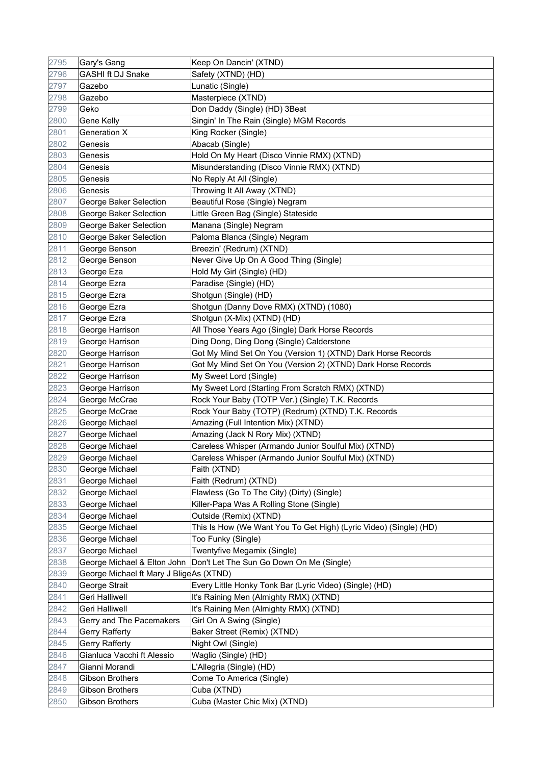| 2795 | Gary's Gang                             | Keep On Dancin' (XTND)                                            |
|------|-----------------------------------------|-------------------------------------------------------------------|
| 2796 | <b>GASHI ft DJ Snake</b>                | Safety (XTND) (HD)                                                |
| 2797 | Gazebo                                  | Lunatic (Single)                                                  |
| 2798 | Gazebo                                  | Masterpiece (XTND)                                                |
| 2799 | Geko                                    | Don Daddy (Single) (HD) 3Beat                                     |
| 2800 | <b>Gene Kelly</b>                       | Singin' In The Rain (Single) MGM Records                          |
| 2801 | <b>Generation X</b>                     | King Rocker (Single)                                              |
| 2802 | Genesis                                 | Abacab (Single)                                                   |
| 2803 | Genesis                                 | Hold On My Heart (Disco Vinnie RMX) (XTND)                        |
| 2804 | Genesis                                 | Misunderstanding (Disco Vinnie RMX) (XTND)                        |
| 2805 | Genesis                                 | No Reply At All (Single)                                          |
| 2806 | Genesis                                 | Throwing It All Away (XTND)                                       |
| 2807 | George Baker Selection                  | Beautiful Rose (Single) Negram                                    |
| 2808 | George Baker Selection                  | Little Green Bag (Single) Stateside                               |
| 2809 | George Baker Selection                  | Manana (Single) Negram                                            |
| 2810 | George Baker Selection                  | Paloma Blanca (Single) Negram                                     |
| 2811 | George Benson                           | Breezin' (Redrum) (XTND)                                          |
| 2812 | George Benson                           | Never Give Up On A Good Thing (Single)                            |
| 2813 | George Eza                              | Hold My Girl (Single) (HD)                                        |
| 2814 | George Ezra                             | Paradise (Single) (HD)                                            |
| 2815 | George Ezra                             | Shotgun (Single) (HD)                                             |
| 2816 | George Ezra                             | Shotgun (Danny Dove RMX) (XTND) (1080)                            |
| 2817 | George Ezra                             | Shotgun (X-Mix) (XTND) (HD)                                       |
| 2818 | George Harrison                         | All Those Years Ago (Single) Dark Horse Records                   |
| 2819 | George Harrison                         | Ding Dong, Ding Dong (Single) Calderstone                         |
| 2820 | George Harrison                         | Got My Mind Set On You (Version 1) (XTND) Dark Horse Records      |
| 2821 | George Harrison                         | Got My Mind Set On You (Version 2) (XTND) Dark Horse Records      |
| 2822 | George Harrison                         | My Sweet Lord (Single)                                            |
| 2823 | George Harrison                         | My Sweet Lord (Starting From Scratch RMX) (XTND)                  |
| 2824 | George McCrae                           | Rock Your Baby (TOTP Ver.) (Single) T.K. Records                  |
| 2825 | George McCrae                           | Rock Your Baby (TOTP) (Redrum) (XTND) T.K. Records                |
| 2826 | George Michael                          | Amazing (Full Intention Mix) (XTND)                               |
| 2827 | George Michael                          | Amazing (Jack N Rory Mix) (XTND)                                  |
| 2828 | George Michael                          | Careless Whisper (Armando Junior Soulful Mix) (XTND)              |
| 2829 | George Michael                          | Careless Whisper (Armando Junior Soulful Mix) (XTND)              |
| 2830 | George Michael                          | Faith (XTND)                                                      |
| 2831 | George Michael                          | Faith (Redrum) (XTND)                                             |
| 2832 | George Michael                          | Flawless (Go To The City) (Dirty) (Single)                        |
| 2833 | George Michael                          | Killer-Papa Was A Rolling Stone (Single)                          |
| 2834 | George Michael                          | Outside (Remix) (XTND)                                            |
| 2835 | George Michael                          | This Is How (We Want You To Get High) (Lyric Video) (Single) (HD) |
| 2836 | George Michael                          | Too Funky (Single)                                                |
| 2837 | George Michael                          | Twentyfive Megamix (Single)                                       |
| 2838 | George Michael & Elton John             | Don't Let The Sun Go Down On Me (Single)                          |
| 2839 | George Michael ft Mary J BligeAs (XTND) |                                                                   |
| 2840 | George Strait                           | Every Little Honky Tonk Bar (Lyric Video) (Single) (HD)           |
| 2841 | Geri Halliwell                          | It's Raining Men (Almighty RMX) (XTND)                            |
| 2842 | Geri Halliwell                          | It's Raining Men (Almighty RMX) (XTND)                            |
| 2843 | Gerry and The Pacemakers                | Girl On A Swing (Single)                                          |
| 2844 | Gerry Rafferty                          | Baker Street (Remix) (XTND)                                       |
| 2845 | <b>Gerry Rafferty</b>                   | Night Owl (Single)                                                |
| 2846 | Gianluca Vacchi ft Alessio              | Waglio (Single) (HD)                                              |
| 2847 | Gianni Morandi                          | L'Allegria (Single) (HD)                                          |
| 2848 | Gibson Brothers                         | Come To America (Single)                                          |
| 2849 | Gibson Brothers                         | Cuba (XTND)                                                       |
| 2850 | <b>Gibson Brothers</b>                  | Cuba (Master Chic Mix) (XTND)                                     |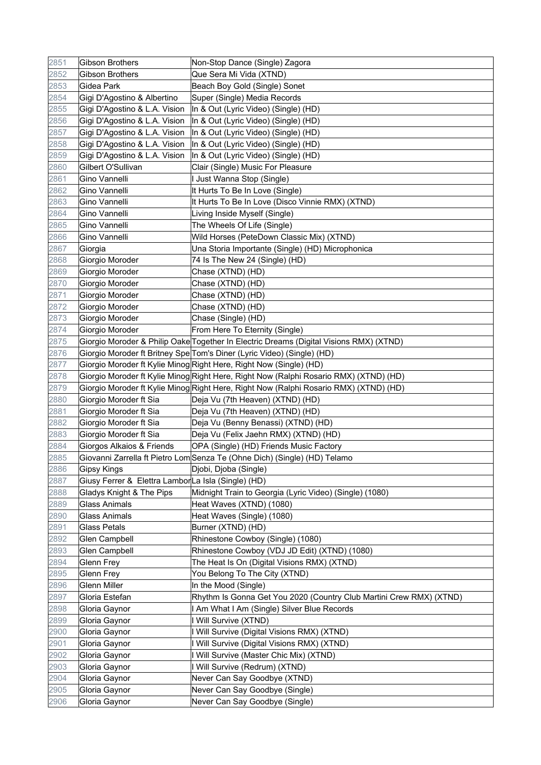| 2851 | <b>Gibson Brothers</b>                             | Non-Stop Dance (Single) Zagora                                                         |
|------|----------------------------------------------------|----------------------------------------------------------------------------------------|
| 2852 | <b>Gibson Brothers</b>                             | Que Sera Mi Vida (XTND)                                                                |
| 2853 | Gidea Park                                         | Beach Boy Gold (Single) Sonet                                                          |
| 2854 | Gigi D'Agostino & Albertino                        | Super (Single) Media Records                                                           |
| 2855 | Gigi D'Agostino & L.A. Vision                      | In & Out (Lyric Video) (Single) (HD)                                                   |
| 2856 | Gigi D'Agostino & L.A. Vision                      | In & Out (Lyric Video) (Single) (HD)                                                   |
| 2857 | Gigi D'Agostino & L.A. Vision                      | In & Out (Lyric Video) (Single) (HD)                                                   |
| 2858 | Gigi D'Agostino & L.A. Vision                      | In & Out (Lyric Video) (Single) (HD)                                                   |
| 2859 | Gigi D'Agostino & L.A. Vision                      | In & Out (Lyric Video) (Single) (HD)                                                   |
| 2860 | Gilbert O'Sullivan                                 | Clair (Single) Music For Pleasure                                                      |
| 2861 | Gino Vannelli                                      | I Just Wanna Stop (Single)                                                             |
| 2862 | Gino Vannelli                                      | It Hurts To Be In Love (Single)                                                        |
| 2863 | Gino Vannelli                                      | It Hurts To Be In Love (Disco Vinnie RMX) (XTND)                                       |
| 2864 | Gino Vannelli                                      | Living Inside Myself (Single)                                                          |
| 2865 | Gino Vannelli                                      | The Wheels Of Life (Single)                                                            |
| 2866 | Gino Vannelli                                      | Wild Horses (PeteDown Classic Mix) (XTND)                                              |
| 2867 | Giorgia                                            | Una Storia Importante (Single) (HD) Microphonica                                       |
| 2868 | Giorgio Moroder                                    | 74 Is The New 24 (Single) (HD)                                                         |
| 2869 | Giorgio Moroder                                    | Chase (XTND) (HD)                                                                      |
| 2870 | Giorgio Moroder                                    | Chase (XTND) (HD)                                                                      |
| 2871 | Giorgio Moroder                                    | Chase (XTND) (HD)                                                                      |
| 2872 | Giorgio Moroder                                    | Chase (XTND) (HD)                                                                      |
| 2873 | Giorgio Moroder                                    | Chase (Single) (HD)                                                                    |
| 2874 | Giorgio Moroder                                    | From Here To Eternity (Single)                                                         |
| 2875 |                                                    | Giorgio Moroder & Philip Oake Together In Electric Dreams (Digital Visions RMX) (XTND) |
| 2876 |                                                    | Giorgio Moroder ft Britney Spe Tom's Diner (Lyric Video) (Single) (HD)                 |
| 2877 |                                                    | Giorgio Moroder ft Kylie Minog Right Here, Right Now (Single) (HD)                     |
| 2878 |                                                    | Giorgio Moroder ft Kylie Minog Right Here, Right Now (Ralphi Rosario RMX) (XTND) (HD)  |
| 2879 |                                                    | Giorgio Moroder ft Kylie Minog Right Here, Right Now (Ralphi Rosario RMX) (XTND) (HD)  |
| 2880 | Giorgio Moroder ft Sia                             | Deja Vu (7th Heaven) (XTND) (HD)                                                       |
| 2881 | Giorgio Moroder ft Sia                             | Deja Vu (7th Heaven) (XTND) (HD)                                                       |
| 2882 | Giorgio Moroder ft Sia                             | Deja Vu (Benny Benassi) (XTND) (HD)                                                    |
| 2883 | Giorgio Moroder ft Sia                             | Deja Vu (Felix Jaehn RMX) (XTND) (HD)                                                  |
| 2884 | Giorgos Alkaios & Friends                          | OPA (Single) (HD) Friends Music Factory                                                |
| 2885 |                                                    | Giovanni Zarrella ft Pietro Lom Senza Te (Ohne Dich) (Single) (HD) Telamo              |
| 2886 | <b>Gipsy Kings</b>                                 | Djobi, Djoba (Single)                                                                  |
| 2887 | Giusy Ferrer & Elettra LamborLa Isla (Single) (HD) |                                                                                        |
| 2888 | Gladys Knight & The Pips                           | Midnight Train to Georgia (Lyric Video) (Single) (1080)                                |
| 2889 | <b>Glass Animals</b>                               | Heat Waves (XTND) (1080)                                                               |
| 2890 | <b>Glass Animals</b>                               | Heat Waves (Single) (1080)                                                             |
| 2891 | <b>Glass Petals</b>                                | Burner (XTND) (HD)                                                                     |
| 2892 | Glen Campbell                                      | Rhinestone Cowboy (Single) (1080)                                                      |
| 2893 | Glen Campbell                                      | Rhinestone Cowboy (VDJ JD Edit) (XTND) (1080)                                          |
| 2894 | Glenn Frey                                         | The Heat Is On (Digital Visions RMX) (XTND)                                            |
| 2895 | Glenn Frey                                         | You Belong To The City (XTND)                                                          |
| 2896 | Glenn Miller                                       | In the Mood (Single)                                                                   |
| 2897 | Gloria Estefan                                     | Rhythm Is Gonna Get You 2020 (Country Club Martini Crew RMX) (XTND)                    |
| 2898 | Gloria Gaynor                                      | I Am What I Am (Single) Silver Blue Records                                            |
| 2899 | Gloria Gaynor                                      | I Will Survive (XTND)                                                                  |
| 2900 | Gloria Gaynor                                      | I Will Survive (Digital Visions RMX) (XTND)                                            |
| 2901 | Gloria Gaynor                                      | I Will Survive (Digital Visions RMX) (XTND)                                            |
| 2902 | Gloria Gaynor                                      | I Will Survive (Master Chic Mix) (XTND)                                                |
| 2903 | Gloria Gaynor                                      | I Will Survive (Redrum) (XTND)                                                         |
| 2904 | Gloria Gaynor                                      | Never Can Say Goodbye (XTND)                                                           |
| 2905 | Gloria Gaynor                                      | Never Can Say Goodbye (Single)                                                         |
| 2906 | Gloria Gaynor                                      | Never Can Say Goodbye (Single)                                                         |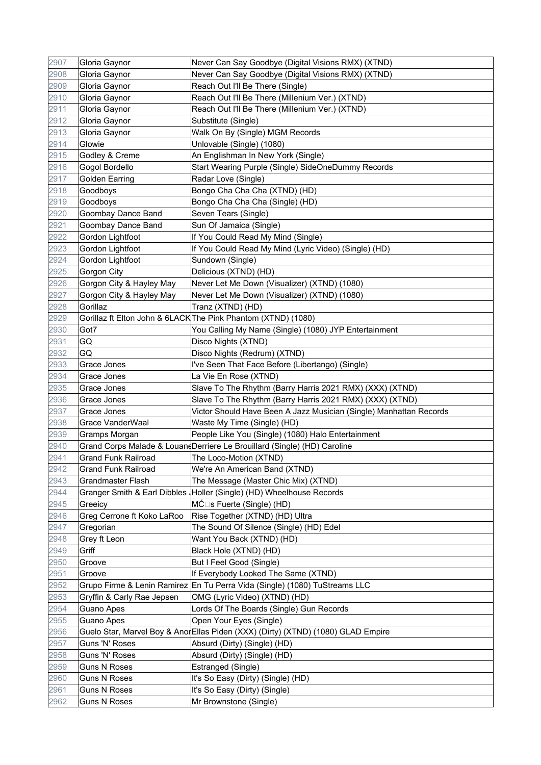| 2907 | Gloria Gaynor              | Never Can Say Goodbye (Digital Visions RMX) (XTND)                                |
|------|----------------------------|-----------------------------------------------------------------------------------|
| 2908 | Gloria Gaynor              | Never Can Say Goodbye (Digital Visions RMX) (XTND)                                |
| 2909 | Gloria Gaynor              | Reach Out I'll Be There (Single)                                                  |
| 2910 | Gloria Gaynor              | Reach Out I'll Be There (Millenium Ver.) (XTND)                                   |
| 2911 | Gloria Gaynor              | Reach Out I'll Be There (Millenium Ver.) (XTND)                                   |
| 2912 | Gloria Gaynor              | Substitute (Single)                                                               |
| 2913 | Gloria Gaynor              | Walk On By (Single) MGM Records                                                   |
| 2914 | Glowie                     | Unlovable (Single) (1080)                                                         |
| 2915 | Godley & Creme             | An Englishman In New York (Single)                                                |
| 2916 | Gogol Bordello             | Start Wearing Purple (Single) SideOneDummy Records                                |
| 2917 | <b>Golden Earring</b>      | Radar Love (Single)                                                               |
| 2918 | Goodboys                   | Bongo Cha Cha Cha (XTND) (HD)                                                     |
| 2919 | Goodboys                   | Bongo Cha Cha Cha (Single) (HD)                                                   |
| 2920 | Goombay Dance Band         | Seven Tears (Single)                                                              |
| 2921 | Goombay Dance Band         | Sun Of Jamaica (Single)                                                           |
| 2922 | Gordon Lightfoot           | If You Could Read My Mind (Single)                                                |
| 2923 | Gordon Lightfoot           | If You Could Read My Mind (Lyric Video) (Single) (HD)                             |
| 2924 | Gordon Lightfoot           | Sundown (Single)                                                                  |
| 2925 | Gorgon City                | Delicious (XTND) (HD)                                                             |
| 2926 | Gorgon City & Hayley May   | Never Let Me Down (Visualizer) (XTND) (1080)                                      |
| 2927 | Gorgon City & Hayley May   | Never Let Me Down (Visualizer) (XTND) (1080)                                      |
| 2928 | Gorillaz                   | Tranz (XTND) (HD)                                                                 |
| 2929 |                            | Gorillaz ft Elton John & 6LACK The Pink Phantom (XTND) (1080)                     |
| 2930 | Got7                       | You Calling My Name (Single) (1080) JYP Entertainment                             |
| 2931 | GQ                         | Disco Nights (XTND)                                                               |
| 2932 | GQ                         | Disco Nights (Redrum) (XTND)                                                      |
| 2933 | Grace Jones                | l've Seen That Face Before (Libertango) (Single)                                  |
| 2934 | Grace Jones                | La Vie En Rose (XTND)                                                             |
| 2935 | Grace Jones                | Slave To The Rhythm (Barry Harris 2021 RMX) (XXX) (XTND)                          |
| 2936 | Grace Jones                | Slave To The Rhythm (Barry Harris 2021 RMX) (XXX) (XTND)                          |
| 2937 | Grace Jones                | Victor Should Have Been A Jazz Musician (Single) Manhattan Records                |
| 2938 | Grace VanderWaal           | Waste My Time (Single) (HD)                                                       |
| 2939 | Gramps Morgan              | People Like You (Single) (1080) Halo Entertainment                                |
| 2940 |                            | Grand Corps Malade & Louand Derriere Le Brouillard (Single) (HD) Caroline         |
| 2941 | <b>Grand Funk Railroad</b> | The Loco-Motion (XTND)                                                            |
| 2942 | <b>Grand Funk Railroad</b> | We're An American Band (XTND)                                                     |
| 2943 | <b>Grandmaster Flash</b>   | The Message (Master Chic Mix) (XTND)                                              |
| 2944 |                            | Granger Smith & Earl Dibbles   Holler (Single) (HD) Wheelhouse Records            |
| 2945 | Greeicy                    | MĆ⊡s Fuerte (Single) (HD)                                                         |
| 2946 | Greg Cerrone ft Koko LaRoo | Rise Together (XTND) (HD) Ultra                                                   |
| 2947 | Gregorian                  | The Sound Of Silence (Single) (HD) Edel                                           |
| 2948 | Grey ft Leon               | Want You Back (XTND) (HD)                                                         |
| 2949 | Griff                      | Black Hole (XTND) (HD)                                                            |
| 2950 | Groove                     | But I Feel Good (Single)                                                          |
| 2951 | Groove                     | If Everybody Looked The Same (XTND)                                               |
| 2952 |                            | Grupo Firme & Lenin Ramirez En Tu Perra Vida (Single) (1080) TuStreams LLC        |
| 2953 | Gryffin & Carly Rae Jepsen | OMG (Lyric Video) (XTND) (HD)                                                     |
| 2954 | Guano Apes                 | Lords Of The Boards (Single) Gun Records                                          |
| 2955 | Guano Apes                 | Open Your Eyes (Single)                                                           |
| 2956 |                            | Guelo Star, Marvel Boy & Anor Ellas Piden (XXX) (Dirty) (XTND) (1080) GLAD Empire |
| 2957 | Guns 'N' Roses             | Absurd (Dirty) (Single) (HD)                                                      |
| 2958 | Guns 'N' Roses             | Absurd (Dirty) (Single) (HD)                                                      |
| 2959 | <b>Guns N Roses</b>        | Estranged (Single)                                                                |
| 2960 | <b>Guns N Roses</b>        | It's So Easy (Dirty) (Single) (HD)                                                |
| 2961 | <b>Guns N Roses</b>        | It's So Easy (Dirty) (Single)                                                     |
| 2962 | <b>Guns N Roses</b>        | Mr Brownstone (Single)                                                            |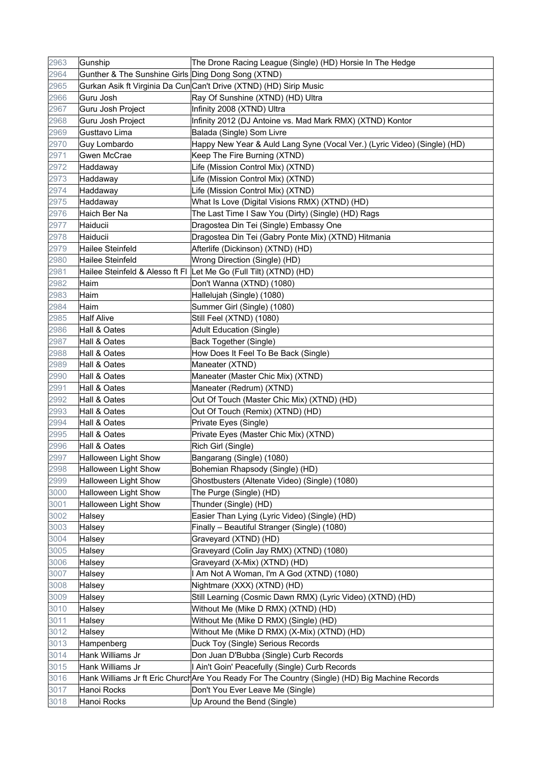| 2963 | Gunship                                            | The Drone Racing League (Single) (HD) Horsie In The Hedge                                       |
|------|----------------------------------------------------|-------------------------------------------------------------------------------------------------|
| 2964 | Gunther & The Sunshine Girls Ding Dong Song (XTND) |                                                                                                 |
| 2965 |                                                    | Gurkan Asik ft Virginia Da CunCan't Drive (XTND) (HD) Sirip Music                               |
| 2966 | Guru Josh                                          | Ray Of Sunshine (XTND) (HD) Ultra                                                               |
| 2967 | Guru Josh Project                                  | Infinity 2008 (XTND) Ultra                                                                      |
| 2968 | Guru Josh Project                                  | Infinity 2012 (DJ Antoine vs. Mad Mark RMX) (XTND) Kontor                                       |
| 2969 | Gusttavo Lima                                      | Balada (Single) Som Livre                                                                       |
| 2970 | Guy Lombardo                                       | Happy New Year & Auld Lang Syne (Vocal Ver.) (Lyric Video) (Single) (HD)                        |
| 2971 | Gwen McCrae                                        | Keep The Fire Burning (XTND)                                                                    |
| 2972 | Haddaway                                           | Life (Mission Control Mix) (XTND)                                                               |
| 2973 | Haddaway                                           | Life (Mission Control Mix) (XTND)                                                               |
| 2974 | Haddaway                                           | Life (Mission Control Mix) (XTND)                                                               |
| 2975 | Haddaway                                           | What Is Love (Digital Visions RMX) (XTND) (HD)                                                  |
| 2976 | Haich Ber Na                                       | The Last Time I Saw You (Dirty) (Single) (HD) Rags                                              |
| 2977 | Haiducii                                           | Dragostea Din Tei (Single) Embassy One                                                          |
| 2978 | Haiducii                                           | Dragostea Din Tei (Gabry Ponte Mix) (XTND) Hitmania                                             |
| 2979 | Hailee Steinfeld                                   | Afterlife (Dickinson) (XTND) (HD)                                                               |
| 2980 | Hailee Steinfeld                                   | Wrong Direction (Single) (HD)                                                                   |
| 2981 |                                                    | Hailee Steinfeld & Alesso ft FI Let Me Go (Full Tilt) (XTND) (HD)                               |
| 2982 | Haim                                               | Don't Wanna (XTND) (1080)                                                                       |
| 2983 | Haim                                               | Hallelujah (Single) (1080)                                                                      |
| 2984 | Haim                                               | Summer Girl (Single) (1080)                                                                     |
| 2985 | <b>Half Alive</b>                                  | Still Feel (XTND) (1080)                                                                        |
| 2986 | Hall & Oates                                       | <b>Adult Education (Single)</b>                                                                 |
| 2987 | Hall & Oates                                       | Back Together (Single)                                                                          |
| 2988 | Hall & Oates                                       | How Does It Feel To Be Back (Single)                                                            |
| 2989 | Hall & Oates                                       | Maneater (XTND)                                                                                 |
| 2990 | Hall & Oates                                       | Maneater (Master Chic Mix) (XTND)                                                               |
| 2991 | Hall & Oates                                       | Maneater (Redrum) (XTND)                                                                        |
| 2992 | Hall & Oates                                       | Out Of Touch (Master Chic Mix) (XTND) (HD)                                                      |
| 2993 | Hall & Oates                                       | Out Of Touch (Remix) (XTND) (HD)                                                                |
| 2994 | Hall & Oates                                       | Private Eyes (Single)                                                                           |
| 2995 | Hall & Oates                                       | Private Eyes (Master Chic Mix) (XTND)                                                           |
| 2996 | Hall & Oates                                       | Rich Girl (Single)                                                                              |
| 2997 | Halloween Light Show                               | Bangarang (Single) (1080)                                                                       |
| 2998 | <b>Halloween Light Show</b>                        | Bohemian Rhapsody (Single) (HD)                                                                 |
| 2999 | <b>Halloween Light Show</b>                        | Ghostbusters (Altenate Video) (Single) (1080)                                                   |
| 3000 | Halloween Light Show                               | The Purge (Single) (HD)                                                                         |
| 3001 | Halloween Light Show                               | Thunder (Single) (HD)                                                                           |
| 3002 | Halsey                                             | Easier Than Lying (Lyric Video) (Single) (HD)                                                   |
| 3003 | Halsey                                             | Finally - Beautiful Stranger (Single) (1080)                                                    |
| 3004 | Halsey                                             | Graveyard (XTND) (HD)                                                                           |
| 3005 | Halsey                                             | Graveyard (Colin Jay RMX) (XTND) (1080)                                                         |
| 3006 | Halsey                                             | Graveyard (X-Mix) (XTND) (HD)                                                                   |
| 3007 | Halsey                                             | I Am Not A Woman, I'm A God (XTND) (1080)                                                       |
| 3008 | Halsey                                             | Nightmare (XXX) (XTND) (HD)                                                                     |
| 3009 | Halsey                                             | Still Learning (Cosmic Dawn RMX) (Lyric Video) (XTND) (HD)                                      |
| 3010 | Halsey                                             | Without Me (Mike D RMX) (XTND) (HD)                                                             |
| 3011 | Halsey                                             | Without Me (Mike D RMX) (Single) (HD)                                                           |
| 3012 | Halsey                                             | Without Me (Mike D RMX) (X-Mix) (XTND) (HD)                                                     |
| 3013 | Hampenberg                                         | Duck Toy (Single) Serious Records                                                               |
| 3014 | Hank Williams Jr                                   | Don Juan D'Bubba (Single) Curb Records                                                          |
| 3015 | Hank Williams Jr                                   | I Ain't Goin' Peacefully (Single) Curb Records                                                  |
| 3016 |                                                    | Hank Williams Jr ft Eric Church Are You Ready For The Country (Single) (HD) Big Machine Records |
| 3017 | Hanoi Rocks                                        | Don't You Ever Leave Me (Single)                                                                |
| 3018 | Hanoi Rocks                                        | Up Around the Bend (Single)                                                                     |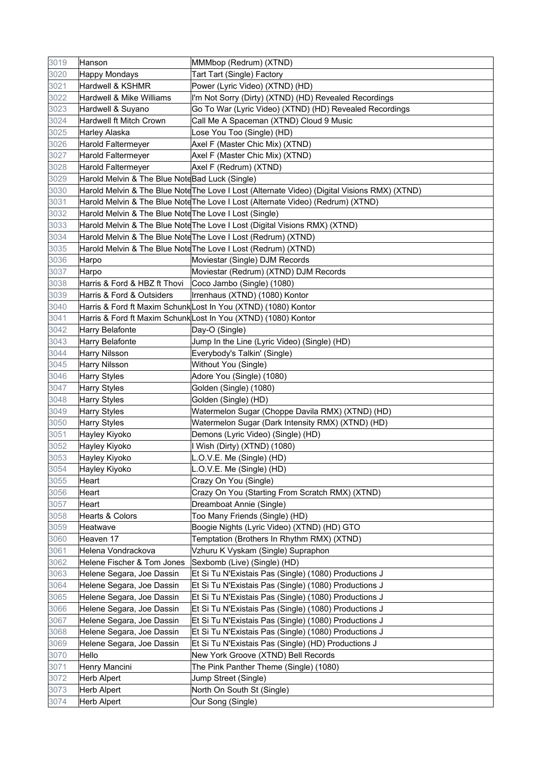| 3019 | Hanson                                                 | MMMbop (Redrum) (XTND)                                                                       |
|------|--------------------------------------------------------|----------------------------------------------------------------------------------------------|
| 3020 | <b>Happy Mondays</b>                                   | Tart Tart (Single) Factory                                                                   |
| 3021 | Hardwell & KSHMR                                       | Power (Lyric Video) (XTND) (HD)                                                              |
| 3022 | Hardwell & Mike Williams                               | I'm Not Sorry (Dirty) (XTND) (HD) Revealed Recordings                                        |
| 3023 | Hardwell & Suyano                                      | Go To War (Lyric Video) (XTND) (HD) Revealed Recordings                                      |
| 3024 | Hardwell ft Mitch Crown                                | Call Me A Spaceman (XTND) Cloud 9 Music                                                      |
| 3025 | Harley Alaska                                          | Lose You Too (Single) (HD)                                                                   |
| 3026 | Harold Faltermeyer                                     | Axel F (Master Chic Mix) (XTND)                                                              |
| 3027 | <b>Harold Faltermeyer</b>                              | Axel F (Master Chic Mix) (XTND)                                                              |
| 3028 | <b>Harold Faltermeyer</b>                              | Axel F (Redrum) (XTND)                                                                       |
| 3029 | Harold Melvin & The Blue NoteBad Luck (Single)         |                                                                                              |
| 3030 |                                                        | Harold Melvin & The Blue Note The Love I Lost (Alternate Video) (Digital Visions RMX) (XTND) |
| 3031 |                                                        | Harold Melvin & The Blue Note The Love I Lost (Alternate Video) (Redrum) (XTND)              |
| 3032 | Harold Melvin & The Blue Note The Love I Lost (Single) |                                                                                              |
| 3033 |                                                        | Harold Melvin & The Blue Note The Love I Lost (Digital Visions RMX) (XTND)                   |
| 3034 |                                                        | Harold Melvin & The Blue Note The Love I Lost (Redrum) (XTND)                                |
| 3035 |                                                        | Harold Melvin & The Blue Note The Love I Lost (Redrum) (XTND)                                |
| 3036 | Harpo                                                  | Moviestar (Single) DJM Records                                                               |
| 3037 | Harpo                                                  | Moviestar (Redrum) (XTND) DJM Records                                                        |
| 3038 | Harris & Ford & HBZ ft Thovi                           | Coco Jambo (Single) (1080)                                                                   |
| 3039 | Harris & Ford & Outsiders                              | Irrenhaus (XTND) (1080) Kontor                                                               |
| 3040 |                                                        | Harris & Ford ft Maxim SchunkLost In You (XTND) (1080) Kontor                                |
| 3041 |                                                        | Harris & Ford ft Maxim SchunkLost In You (XTND) (1080) Kontor                                |
| 3042 | Harry Belafonte                                        | Day-O (Single)                                                                               |
| 3043 | Harry Belafonte                                        | Jump In the Line (Lyric Video) (Single) (HD)                                                 |
| 3044 | <b>Harry Nilsson</b>                                   | Everybody's Talkin' (Single)                                                                 |
| 3045 | <b>Harry Nilsson</b>                                   | Without You (Single)                                                                         |
| 3046 | Harry Styles                                           | Adore You (Single) (1080)                                                                    |
| 3047 | <b>Harry Styles</b>                                    | Golden (Single) (1080)                                                                       |
| 3048 | Harry Styles                                           | Golden (Single) (HD)                                                                         |
| 3049 | <b>Harry Styles</b>                                    | Watermelon Sugar (Choppe Davila RMX) (XTND) (HD)                                             |
| 3050 | <b>Harry Styles</b>                                    | Watermelon Sugar (Dark Intensity RMX) (XTND) (HD)                                            |
| 3051 | Hayley Kiyoko                                          | Demons (Lyric Video) (Single) (HD)                                                           |
| 3052 | Hayley Kiyoko                                          | I Wish (Dirty) (XTND) (1080)                                                                 |
| 3053 | Hayley Kiyoko                                          | L.O.V.E. Me (Single) (HD)                                                                    |
| 3054 | Hayley Kiyoko                                          | L.O.V.E. Me (Single) (HD)                                                                    |
| 3055 | Heart                                                  | Crazy On You (Single)                                                                        |
| 3056 | Heart                                                  | Crazy On You (Starting From Scratch RMX) (XTND)                                              |
| 3057 | Heart                                                  | Dreamboat Annie (Single)                                                                     |
| 3058 | Hearts & Colors                                        | Too Many Friends (Single) (HD)                                                               |
| 3059 | Heatwave                                               | Boogie Nights (Lyric Video) (XTND) (HD) GTO                                                  |
| 3060 | Heaven 17                                              | Temptation (Brothers In Rhythm RMX) (XTND)                                                   |
| 3061 | Helena Vondrackova                                     | Vzhuru K Vyskam (Single) Supraphon                                                           |
| 3062 | Helene Fischer & Tom Jones                             | Sexbomb (Live) (Single) (HD)                                                                 |
| 3063 | Helene Segara, Joe Dassin                              | Et Si Tu N'Existais Pas (Single) (1080) Productions J                                        |
| 3064 | Helene Segara, Joe Dassin                              | Et Si Tu N'Existais Pas (Single) (1080) Productions J                                        |
| 3065 | Helene Segara, Joe Dassin                              | Et Si Tu N'Existais Pas (Single) (1080) Productions J                                        |
| 3066 | Helene Segara, Joe Dassin                              | Et Si Tu N'Existais Pas (Single) (1080) Productions J                                        |
| 3067 | Helene Segara, Joe Dassin                              | Et Si Tu N'Existais Pas (Single) (1080) Productions J                                        |
| 3068 | Helene Segara, Joe Dassin                              | Et Si Tu N'Existais Pas (Single) (1080) Productions J                                        |
| 3069 | Helene Segara, Joe Dassin                              | Et Si Tu N'Existais Pas (Single) (HD) Productions J                                          |
| 3070 | Hello                                                  | New York Groove (XTND) Bell Records                                                          |
| 3071 | Henry Mancini                                          | The Pink Panther Theme (Single) (1080)                                                       |
| 3072 | <b>Herb Alpert</b>                                     | Jump Street (Single)                                                                         |
| 3073 | <b>Herb Alpert</b>                                     | North On South St (Single)                                                                   |
| 3074 | <b>Herb Alpert</b>                                     | Our Song (Single)                                                                            |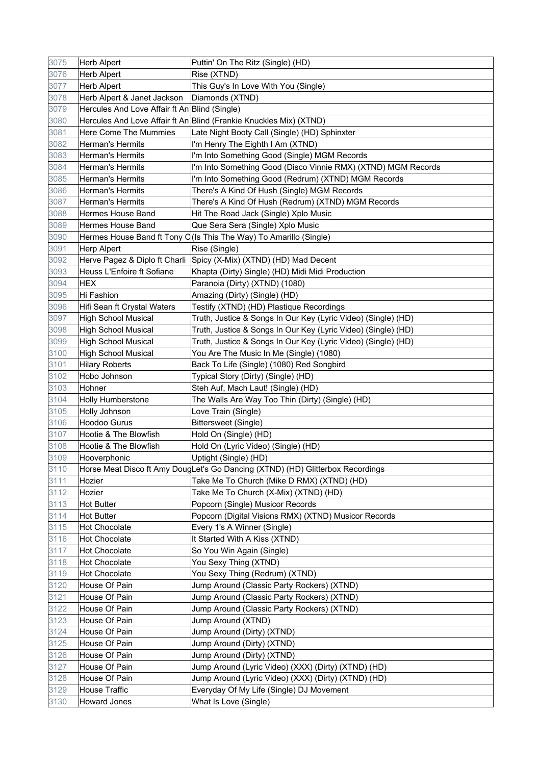| 3075 | <b>Herb Alpert</b>                            | Puttin' On The Ritz (Single) (HD)                                              |
|------|-----------------------------------------------|--------------------------------------------------------------------------------|
| 3076 | Herb Alpert                                   | Rise (XTND)                                                                    |
| 3077 | Herb Alpert                                   | This Guy's In Love With You (Single)                                           |
| 3078 | Herb Alpert & Janet Jackson                   | Diamonds (XTND)                                                                |
| 3079 | Hercules And Love Affair ft An Blind (Single) |                                                                                |
| 3080 |                                               | Hercules And Love Affair ft An Blind (Frankie Knuckles Mix) (XTND)             |
| 3081 | <b>Here Come The Mummies</b>                  | Late Night Booty Call (Single) (HD) Sphinxter                                  |
| 3082 | <b>Herman's Hermits</b>                       | I'm Henry The Eighth I Am (XTND)                                               |
| 3083 | Herman's Hermits                              | I'm Into Something Good (Single) MGM Records                                   |
| 3084 | Herman's Hermits                              | I'm Into Something Good (Disco Vinnie RMX) (XTND) MGM Records                  |
| 3085 | Herman's Hermits                              | I'm Into Something Good (Redrum) (XTND) MGM Records                            |
| 3086 | Herman's Hermits                              | There's A Kind Of Hush (Single) MGM Records                                    |
| 3087 | Herman's Hermits                              | There's A Kind Of Hush (Redrum) (XTND) MGM Records                             |
| 3088 | Hermes House Band                             | Hit The Road Jack (Single) Xplo Music                                          |
| 3089 | <b>Hermes House Band</b>                      | Que Sera Sera (Single) Xplo Music                                              |
| 3090 |                                               | Hermes House Band ft Tony C(Is This The Way) To Amarillo (Single)              |
| 3091 | Herp Alpert                                   | Rise (Single)                                                                  |
| 3092 |                                               | Herve Pagez & Diplo ft Charli Spicy (X-Mix) (XTND) (HD) Mad Decent             |
| 3093 | Heuss L'Enfoire ft Sofiane                    | Khapta (Dirty) Single) (HD) Midi Midi Production                               |
| 3094 | <b>HEX</b>                                    | Paranoia (Dirty) (XTND) (1080)                                                 |
| 3095 | Hi Fashion                                    | Amazing (Dirty) (Single) (HD)                                                  |
| 3096 | Hifi Sean ft Crystal Waters                   | Testify (XTND) (HD) Plastique Recordings                                       |
| 3097 | <b>High School Musical</b>                    | Truth, Justice & Songs In Our Key (Lyric Video) (Single) (HD)                  |
| 3098 | <b>High School Musical</b>                    | Truth, Justice & Songs In Our Key (Lyric Video) (Single) (HD)                  |
| 3099 | <b>High School Musical</b>                    | Truth, Justice & Songs In Our Key (Lyric Video) (Single) (HD)                  |
| 3100 | <b>High School Musical</b>                    | You Are The Music In Me (Single) (1080)                                        |
| 3101 | <b>Hilary Roberts</b>                         | Back To Life (Single) (1080) Red Songbird                                      |
| 3102 | Hobo Johnson                                  | Typical Story (Dirty) (Single) (HD)                                            |
| 3103 | Hohner                                        | Steh Auf, Mach Laut! (Single) (HD)                                             |
| 3104 | <b>Holly Humberstone</b>                      | The Walls Are Way Too Thin (Dirty) (Single) (HD)                               |
| 3105 | Holly Johnson                                 | Love Train (Single)                                                            |
| 3106 | Hoodoo Gurus                                  | Bittersweet (Single)                                                           |
| 3107 | Hootie & The Blowfish                         | Hold On (Single) (HD)                                                          |
| 3108 | Hootie & The Blowfish                         | Hold On (Lyric Video) (Single) (HD)                                            |
| 3109 | Hooverphonic                                  | Uptight (Single) (HD)                                                          |
| 3110 |                                               | Horse Meat Disco ft Amy DougLet's Go Dancing (XTND) (HD) Glitterbox Recordings |
| 3111 | Hozier                                        | Take Me To Church (Mike D RMX) (XTND) (HD)                                     |
| 3112 | Hozier                                        | Take Me To Church (X-Mix) (XTND) (HD)                                          |
| 3113 | <b>Hot Butter</b>                             | Popcorn (Single) Musicor Records                                               |
| 3114 | <b>Hot Butter</b>                             | Popcorn (Digital Visions RMX) (XTND) Musicor Records                           |
| 3115 | Hot Chocolate                                 | Every 1's A Winner (Single)                                                    |
| 3116 | Hot Chocolate                                 | It Started With A Kiss (XTND)                                                  |
| 3117 | Hot Chocolate                                 | So You Win Again (Single)                                                      |
| 3118 | Hot Chocolate                                 | You Sexy Thing (XTND)                                                          |
| 3119 | Hot Chocolate                                 | You Sexy Thing (Redrum) (XTND)                                                 |
| 3120 | House Of Pain                                 | Jump Around (Classic Party Rockers) (XTND)                                     |
| 3121 | House Of Pain                                 | Jump Around (Classic Party Rockers) (XTND)                                     |
| 3122 | House Of Pain                                 | Jump Around (Classic Party Rockers) (XTND)                                     |
| 3123 | House Of Pain                                 | Jump Around (XTND)                                                             |
| 3124 | House Of Pain                                 | Jump Around (Dirty) (XTND)                                                     |
| 3125 | House Of Pain                                 | Jump Around (Dirty) (XTND)                                                     |
| 3126 | House Of Pain                                 | Jump Around (Dirty) (XTND)                                                     |
| 3127 | House Of Pain                                 | Jump Around (Lyric Video) (XXX) (Dirty) (XTND) (HD)                            |
| 3128 | House Of Pain                                 | Jump Around (Lyric Video) (XXX) (Dirty) (XTND) (HD)                            |
| 3129 | House Traffic                                 | Everyday Of My Life (Single) DJ Movement                                       |
| 3130 | <b>Howard Jones</b>                           | What Is Love (Single)                                                          |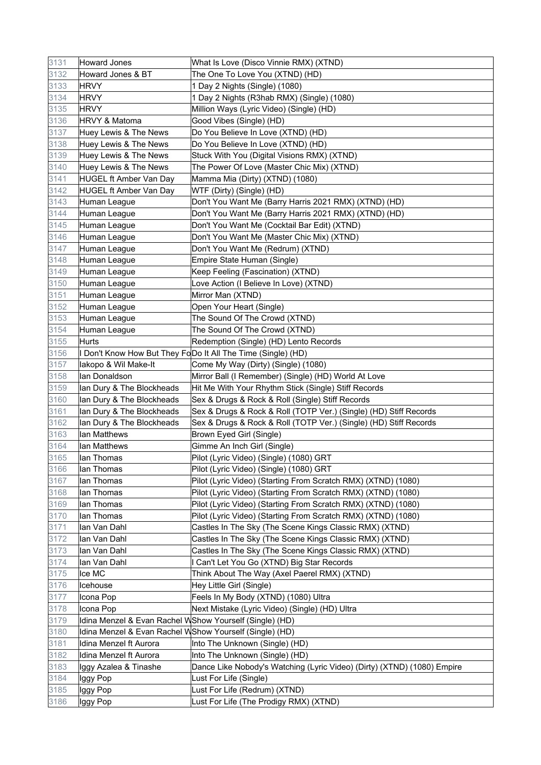| 3131 | <b>Howard Jones</b>                                     | What Is Love (Disco Vinnie RMX) (XTND)                                  |
|------|---------------------------------------------------------|-------------------------------------------------------------------------|
| 3132 | Howard Jones & BT                                       | The One To Love You (XTND) (HD)                                         |
| 3133 | <b>HRVY</b>                                             | 1 Day 2 Nights (Single) (1080)                                          |
| 3134 | <b>HRVY</b>                                             | 1 Day 2 Nights (R3hab RMX) (Single) (1080)                              |
| 3135 | <b>HRVY</b>                                             | Million Ways (Lyric Video) (Single) (HD)                                |
| 3136 | HRVY & Matoma                                           | Good Vibes (Single) (HD)                                                |
| 3137 | Huey Lewis & The News                                   | Do You Believe In Love (XTND) (HD)                                      |
| 3138 | Huey Lewis & The News                                   | Do You Believe In Love (XTND) (HD)                                      |
| 3139 | Huey Lewis & The News                                   | Stuck With You (Digital Visions RMX) (XTND)                             |
| 3140 | Huey Lewis & The News                                   | The Power Of Love (Master Chic Mix) (XTND)                              |
| 3141 | <b>HUGEL ft Amber Van Day</b>                           | Mamma Mia (Dirty) (XTND) (1080)                                         |
| 3142 | <b>HUGEL ft Amber Van Day</b>                           | WTF (Dirty) (Single) (HD)                                               |
| 3143 | Human League                                            | Don't You Want Me (Barry Harris 2021 RMX) (XTND) (HD)                   |
| 3144 | Human League                                            | Don't You Want Me (Barry Harris 2021 RMX) (XTND) (HD)                   |
| 3145 | Human League                                            | Don't You Want Me (Cocktail Bar Edit) (XTND)                            |
| 3146 | Human League                                            | Don't You Want Me (Master Chic Mix) (XTND)                              |
| 3147 | Human League                                            | Don't You Want Me (Redrum) (XTND)                                       |
| 3148 | Human League                                            | Empire State Human (Single)                                             |
| 3149 | Human League                                            | Keep Feeling (Fascination) (XTND)                                       |
| 3150 | Human League                                            | Love Action (I Believe In Love) (XTND)                                  |
| 3151 | Human League                                            | Mirror Man (XTND)                                                       |
| 3152 | Human League                                            | Open Your Heart (Single)                                                |
| 3153 | Human League                                            | The Sound Of The Crowd (XTND)                                           |
| 3154 | Human League                                            | The Sound Of The Crowd (XTND)                                           |
| 3155 | Hurts                                                   | Redemption (Single) (HD) Lento Records                                  |
| 3156 |                                                         | I Don't Know How But They FoDo It All The Time (Single) (HD)            |
| 3157 | lakopo & Wil Make-It                                    | Come My Way (Dirty) (Single) (1080)                                     |
| 3158 | lan Donaldson                                           | Mirror Ball (I Remember) (Single) (HD) World At Love                    |
| 3159 | Ian Dury & The Blockheads                               | Hit Me With Your Rhythm Stick (Single) Stiff Records                    |
| 3160 | Ian Dury & The Blockheads                               | Sex & Drugs & Rock & Roll (Single) Stiff Records                        |
| 3161 | Ian Dury & The Blockheads                               | Sex & Drugs & Rock & Roll (TOTP Ver.) (Single) (HD) Stiff Records       |
| 3162 | Ian Dury & The Blockheads                               | Sex & Drugs & Rock & Roll (TOTP Ver.) (Single) (HD) Stiff Records       |
| 3163 | lan Matthews                                            | Brown Eyed Girl (Single)                                                |
| 3164 | lan Matthews                                            | Gimme An Inch Girl (Single)                                             |
| 3165 | lan Thomas                                              | Pilot (Lyric Video) (Single) (1080) GRT                                 |
| 3166 | lan Thomas                                              | Pilot (Lyric Video) (Single) (1080) GRT                                 |
| 3167 | lan Thomas                                              | Pilot (Lyric Video) (Starting From Scratch RMX) (XTND) (1080)           |
| 3168 | lan Thomas                                              | Pilot (Lyric Video) (Starting From Scratch RMX) (XTND) (1080)           |
| 3169 | lan Thomas                                              | Pilot (Lyric Video) (Starting From Scratch RMX) (XTND) (1080)           |
| 3170 | lan Thomas                                              | Pilot (Lyric Video) (Starting From Scratch RMX) (XTND) (1080)           |
| 3171 | lan Van Dahl                                            | Castles In The Sky (The Scene Kings Classic RMX) (XTND)                 |
| 3172 | lan Van Dahl                                            | Castles In The Sky (The Scene Kings Classic RMX) (XTND)                 |
| 3173 | lan Van Dahl                                            | Castles In The Sky (The Scene Kings Classic RMX) (XTND)                 |
| 3174 | lan Van Dahl                                            | I Can't Let You Go (XTND) Big Star Records                              |
| 3175 | Ice MC                                                  | Think About The Way (Axel Paerel RMX) (XTND)                            |
| 3176 | Icehouse                                                | Hey Little Girl (Single)                                                |
| 3177 | Icona Pop                                               | Feels In My Body (XTND) (1080) Ultra                                    |
| 3178 | Icona Pop                                               | Next Mistake (Lyric Video) (Single) (HD) Ultra                          |
| 3179 | Idina Menzel & Evan Rachel WShow Yourself (Single) (HD) |                                                                         |
| 3180 | Idina Menzel & Evan Rachel WShow Yourself (Single) (HD) |                                                                         |
| 3181 | Idina Menzel ft Aurora                                  | Into The Unknown (Single) (HD)                                          |
| 3182 | Idina Menzel ft Aurora                                  | Into The Unknown (Single) (HD)                                          |
| 3183 | Iggy Azalea & Tinashe                                   | Dance Like Nobody's Watching (Lyric Video) (Dirty) (XTND) (1080) Empire |
| 3184 | Iggy Pop                                                | Lust For Life (Single)                                                  |
| 3185 | Iggy Pop                                                | Lust For Life (Redrum) (XTND)                                           |
| 3186 | Iggy Pop                                                | Lust For Life (The Prodigy RMX) (XTND)                                  |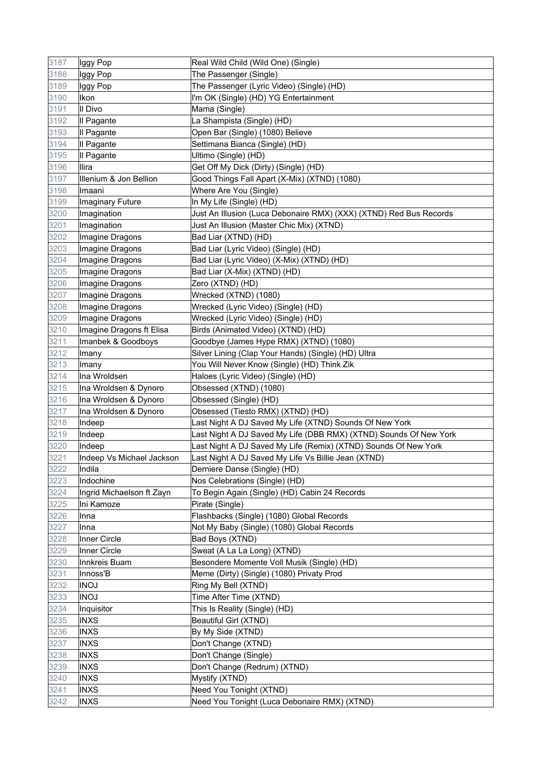| 3187 | Iggy Pop                  | Real Wild Child (Wild One) (Single)                                |
|------|---------------------------|--------------------------------------------------------------------|
| 3188 | Iggy Pop                  | The Passenger (Single)                                             |
| 3189 | Iggy Pop                  | The Passenger (Lyric Video) (Single) (HD)                          |
| 3190 | Ikon                      | I'm OK (Single) (HD) YG Entertainment                              |
| 3191 | Il Divo                   | Mama (Single)                                                      |
| 3192 | Il Pagante                | La Shampista (Single) (HD)                                         |
| 3193 | Il Pagante                | Open Bar (Single) (1080) Believe                                   |
| 3194 | Il Pagante                | Settimana Bianca (Single) (HD)                                     |
| 3195 | Il Pagante                | Ultimo (Single) (HD)                                               |
| 3196 | Ilira                     | Get Off My Dick (Dirty) (Single) (HD)                              |
| 3197 | Illenium & Jon Bellion    | Good Things Fall Apart (X-Mix) (XTND) (1080)                       |
| 3198 | Imaani                    | Where Are You (Single)                                             |
| 3199 | Imaginary Future          | In My Life (Single) (HD)                                           |
| 3200 | Imagination               | Just An Illusion (Luca Debonaire RMX) (XXX) (XTND) Red Bus Records |
| 3201 | Imagination               | Just An Illusion (Master Chic Mix) (XTND)                          |
| 3202 | Imagine Dragons           | Bad Liar (XTND) (HD)                                               |
| 3203 | Imagine Dragons           | Bad Liar (Lyric Video) (Single) (HD)                               |
| 3204 | Imagine Dragons           | Bad Liar (Lyric Video) (X-Mix) (XTND) (HD)                         |
| 3205 | Imagine Dragons           | Bad Liar (X-Mix) (XTND) (HD)                                       |
| 3206 | Imagine Dragons           | Zero (XTND) (HD)                                                   |
| 3207 | Imagine Dragons           | Wrecked (XTND) (1080)                                              |
| 3208 | Imagine Dragons           | Wrecked (Lyric Video) (Single) (HD)                                |
| 3209 | Imagine Dragons           | Wrecked (Lyric Video) (Single) (HD)                                |
| 3210 | Imagine Dragons ft Elisa  | Birds (Animated Video) (XTND) (HD)                                 |
| 3211 | Imanbek & Goodboys        | Goodbye (James Hype RMX) (XTND) (1080)                             |
| 3212 | Imany                     | Silver Lining (Clap Your Hands) (Single) (HD) Ultra                |
| 3213 | Imany                     | You Will Never Know (Single) (HD) Think Zik                        |
| 3214 | Ina Wroldsen              | Haloes (Lyric Video) (Single) (HD)                                 |
| 3215 | Ina Wroldsen & Dynoro     | Obsessed (XTND) (1080)                                             |
| 3216 | Ina Wroldsen & Dynoro     | Obsessed (Single) (HD)                                             |
| 3217 | Ina Wroldsen & Dynoro     | Obsessed (Tiesto RMX) (XTND) (HD)                                  |
| 3218 | Indeep                    | Last Night A DJ Saved My Life (XTND) Sounds Of New York            |
| 3219 | Indeep                    | Last Night A DJ Saved My Life (DBB RMX) (XTND) Sounds Of New York  |
| 3220 | Indeep                    | Last Night A DJ Saved My Life (Remix) (XTND) Sounds Of New York    |
| 3221 | Indeep Vs Michael Jackson | Last Night A DJ Saved My Life Vs Billie Jean (XTND)                |
| 3222 | Indila                    | Derniere Danse (Single) (HD)                                       |
| 3223 | Indochine                 | Nos Celebrations (Single) (HD)                                     |
| 3224 | Ingrid Michaelson ft Zayn | To Begin Again (Single) (HD) Cabin 24 Records                      |
| 3225 | Ini Kamoze                | Pirate (Single)                                                    |
| 3226 | Inna                      | Flashbacks (Single) (1080) Global Records                          |
| 3227 | Inna                      | Not My Baby (Single) (1080) Global Records                         |
| 3228 | Inner Circle              | Bad Boys (XTND)                                                    |
| 3229 | Inner Circle              | Sweat (A La La Long) (XTND)                                        |
| 3230 | Innkreis Buam             | Besondere Momente Voll Musik (Single) (HD)                         |
| 3231 | Innoss'B                  | Meme (Dirty) (Single) (1080) Privaty Prod                          |
| 3232 | <b>INOJ</b>               | Ring My Bell (XTND)                                                |
| 3233 | <b>INOJ</b>               | Time After Time (XTND)                                             |
| 3234 | Inquisitor                | This Is Reality (Single) (HD)                                      |
| 3235 | <b>INXS</b>               | Beautiful Girl (XTND)                                              |
| 3236 | <b>INXS</b>               | By My Side (XTND)                                                  |
| 3237 | <b>INXS</b>               | Don't Change (XTND)                                                |
| 3238 | <b>INXS</b>               | Don't Change (Single)                                              |
| 3239 | <b>INXS</b>               | Don't Change (Redrum) (XTND)                                       |
| 3240 | <b>INXS</b>               | Mystify (XTND)                                                     |
| 3241 | <b>INXS</b>               | Need You Tonight (XTND)                                            |
| 3242 | <b>INXS</b>               | Need You Tonight (Luca Debonaire RMX) (XTND)                       |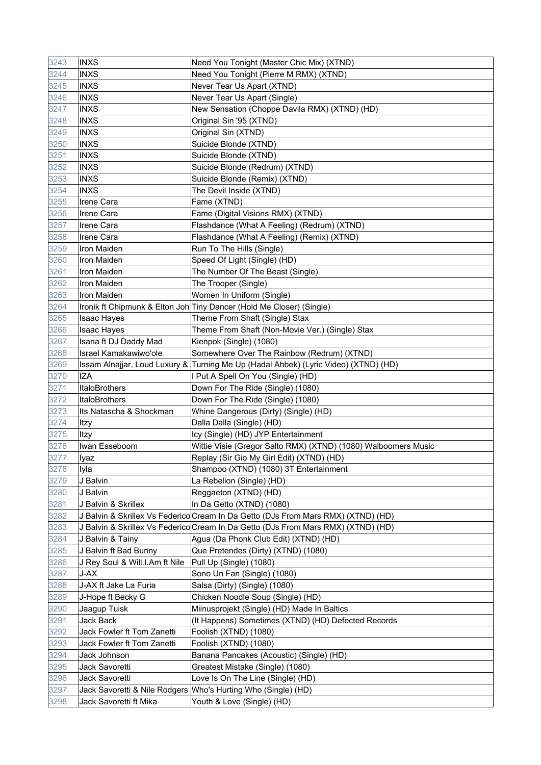| 3243 | <b>INXS</b>                    | Need You Tonight (Master Chic Mix) (XTND)                                           |
|------|--------------------------------|-------------------------------------------------------------------------------------|
| 3244 | <b>INXS</b>                    | Need You Tonight (Pierre M RMX) (XTND)                                              |
| 3245 | <b>INXS</b>                    | Never Tear Us Apart (XTND)                                                          |
| 3246 | <b>INXS</b>                    | Never Tear Us Apart (Single)                                                        |
| 3247 | <b>INXS</b>                    | New Sensation (Choppe Davila RMX) (XTND) (HD)                                       |
| 3248 | <b>INXS</b>                    | Original Sin '95 (XTND)                                                             |
| 3249 | <b>INXS</b>                    | Original Sin (XTND)                                                                 |
| 3250 | <b>INXS</b>                    | Suicide Blonde (XTND)                                                               |
| 3251 | <b>INXS</b>                    | Suicide Blonde (XTND)                                                               |
| 3252 | <b>INXS</b>                    | Suicide Blonde (Redrum) (XTND)                                                      |
| 3253 | <b>INXS</b>                    | Suicide Blonde (Remix) (XTND)                                                       |
| 3254 | <b>INXS</b>                    | The Devil Inside (XTND)                                                             |
| 3255 | Irene Cara                     | Fame (XTND)                                                                         |
| 3256 | <b>Irene Cara</b>              | Fame (Digital Visions RMX) (XTND)                                                   |
| 3257 | <b>Irene Cara</b>              | Flashdance (What A Feeling) (Redrum) (XTND)                                         |
| 3258 | <b>Irene Cara</b>              | Flashdance (What A Feeling) (Remix) (XTND)                                          |
| 3259 | Iron Maiden                    | Run To The Hills (Single)                                                           |
| 3260 | Iron Maiden                    | Speed Of Light (Single) (HD)                                                        |
| 3261 | Iron Maiden                    | The Number Of The Beast (Single)                                                    |
| 3262 | <b>Iron Maiden</b>             | The Trooper (Single)                                                                |
| 3263 | Iron Maiden                    | Women In Uniform (Single)                                                           |
| 3264 |                                | Ironik ft Chipmunk & Elton Joh Tiny Dancer (Hold Me Closer) (Single)                |
| 3265 | Isaac Hayes                    | Theme From Shaft (Single) Stax                                                      |
| 3266 | Isaac Hayes                    | Theme From Shaft (Non-Movie Ver.) (Single) Stax                                     |
| 3267 | Isana ft DJ Daddy Mad          | Kienpok (Single) (1080)                                                             |
| 3268 | Israel Kamakawiwo'ole          | Somewhere Over The Rainbow (Redrum) (XTND)                                          |
| 3269 |                                | Issam Alnajjar, Loud Luxury & Turning Me Up (Hadal Ahbek) (Lyric Video) (XTND) (HD) |
| 3270 | <b>IZA</b>                     | I Put A Spell On You (Single) (HD)                                                  |
| 3271 | ItaloBrothers                  | Down For The Ride (Single) (1080)                                                   |
| 3272 | ItaloBrothers                  | Down For The Ride (Single) (1080)                                                   |
| 3273 | Its Natascha & Shockman        | Whine Dangerous (Dirty) (Single) (HD)                                               |
| 3274 | Itzy                           | Dalla Dalla (Single) (HD)                                                           |
| 3275 | Itzy                           | Icy (Single) (HD) JYP Entertainment                                                 |
| 3276 | Iwan Esseboom                  | Wittie Visie (Gregor Salto RMX) (XTND) (1080) Walboomers Music                      |
| 3277 | Iyaz                           | Replay (Sir Gio My Girl Edit) (XTND) (HD)                                           |
| 3278 | Iyla                           | Shampoo (XTND) (1080) 3T Entertainment                                              |
| 3279 | J Balvin                       | La Rebelion (Single) (HD)                                                           |
| 3280 | J Balvin                       | Reggaeton (XTND) (HD)                                                               |
| 3281 | J Balvin & Skrillex            | In Da Getto (XTND) (1080)                                                           |
| 3282 |                                | J Balvin & Skrillex Vs Federico Cream In Da Getto (DJs From Mars RMX) (XTND) (HD)   |
| 3283 |                                | J Balvin & Skrillex Vs Federico Cream In Da Getto (DJs From Mars RMX) (XTND) (HD)   |
| 3284 | J Balvin & Tainy               | Agua (Da Phonk Club Edit) (XTND) (HD)                                               |
| 3285 | J Balvin ft Bad Bunny          | Que Pretendes (Dirty) (XTND) (1080)                                                 |
| 3286 | J Rey Soul & Will.I.Am ft Nile | Pull Up (Single) (1080)                                                             |
| 3287 | J-AX                           | Sono Un Fan (Single) (1080)                                                         |
| 3288 | J-AX ft Jake La Furia          | Salsa (Dirty) (Single) (1080)                                                       |
| 3289 | J-Hope ft Becky G              | Chicken Noodle Soup (Single) (HD)                                                   |
| 3290 | Jaagup Tuisk                   | Miinusprojekt (Single) (HD) Made In Baltics                                         |
| 3291 | Jack Back                      | (It Happens) Sometimes (XTND) (HD) Defected Records                                 |
| 3292 | Jack Fowler ft Tom Zanetti     | Foolish (XTND) (1080)                                                               |
| 3293 | Jack Fowler ft Tom Zanetti     | Foolish (XTND) (1080)                                                               |
| 3294 | Jack Johnson                   | Banana Pancakes (Acoustic) (Single) (HD)                                            |
| 3295 | Jack Savoretti                 | Greatest Mistake (Single) (1080)                                                    |
| 3296 | Jack Savoretti                 | Love Is On The Line (Single) (HD)                                                   |
| 3297 |                                | Jack Savoretti & Nile Rodgers   Who's Hurting Who (Single) (HD)                     |
| 3298 | Jack Savoretti ft Mika         | Youth & Love (Single) (HD)                                                          |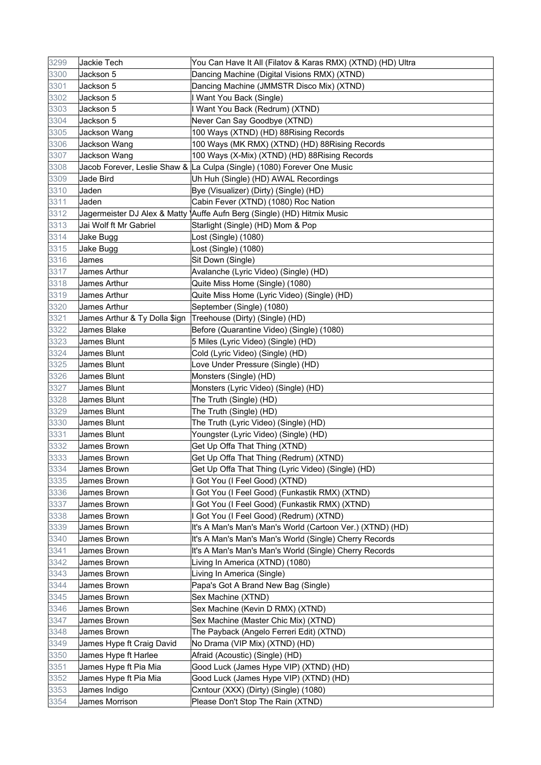| 3299 | Jackie Tech                    | You Can Have It All (Filatov & Karas RMX) (XTND) (HD) Ultra               |
|------|--------------------------------|---------------------------------------------------------------------------|
| 3300 | Jackson 5                      | Dancing Machine (Digital Visions RMX) (XTND)                              |
| 3301 | Jackson 5                      | Dancing Machine (JMMSTR Disco Mix) (XTND)                                 |
| 3302 | Jackson 5                      | I Want You Back (Single)                                                  |
| 3303 | Jackson 5                      | I Want You Back (Redrum) (XTND)                                           |
| 3304 | Jackson 5                      | Never Can Say Goodbye (XTND)                                              |
| 3305 | Jackson Wang                   | 100 Ways (XTND) (HD) 88Rising Records                                     |
| 3306 | Jackson Wang                   | 100 Ways (MK RMX) (XTND) (HD) 88Rising Records                            |
| 3307 | Jackson Wang                   | 100 Ways (X-Mix) (XTND) (HD) 88Rising Records                             |
| 3308 |                                | Jacob Forever, Leslie Shaw & La Culpa (Single) (1080) Forever One Music   |
| 3309 | Jade Bird                      | Uh Huh (Single) (HD) AWAL Recordings                                      |
| 3310 | Jaden                          | Bye (Visualizer) (Dirty) (Single) (HD)                                    |
| 3311 | Jaden                          | Cabin Fever (XTND) (1080) Roc Nation                                      |
| 3312 |                                | Jagermeister DJ Alex & Matty   Auffe Aufn Berg (Single) (HD) Hitmix Music |
| 3313 | Jai Wolf ft Mr Gabriel         | Starlight (Single) (HD) Mom & Pop                                         |
| 3314 | Jake Bugg                      | Lost (Single) (1080)                                                      |
| 3315 | Jake Bugg                      | Lost (Single) (1080)                                                      |
| 3316 | James                          | Sit Down (Single)                                                         |
| 3317 | James Arthur                   | Avalanche (Lyric Video) (Single) (HD)                                     |
| 3318 | James Arthur                   | Quite Miss Home (Single) (1080)                                           |
| 3319 | James Arthur                   | Quite Miss Home (Lyric Video) (Single) (HD)                               |
| 3320 | James Arthur                   | September (Single) (1080)                                                 |
| 3321 | James Arthur & Ty Dolla \$ign_ | Treehouse (Dirty) (Single) (HD)                                           |
| 3322 | James Blake                    | Before (Quarantine Video) (Single) (1080)                                 |
| 3323 | James Blunt                    | 5 Miles (Lyric Video) (Single) (HD)                                       |
| 3324 | James Blunt                    | Cold (Lyric Video) (Single) (HD)                                          |
| 3325 | James Blunt                    | Love Under Pressure (Single) (HD)                                         |
| 3326 | James Blunt                    | Monsters (Single) (HD)                                                    |
| 3327 | James Blunt                    | Monsters (Lyric Video) (Single) (HD)                                      |
| 3328 | James Blunt                    | The Truth (Single) (HD)                                                   |
| 3329 | James Blunt                    | The Truth (Single) (HD)                                                   |
| 3330 | James Blunt                    | The Truth (Lyric Video) (Single) (HD)                                     |
| 3331 | James Blunt                    | Youngster (Lyric Video) (Single) (HD)                                     |
| 3332 | James Brown                    | Get Up Offa That Thing (XTND)                                             |
| 3333 | James Brown                    | Get Up Offa That Thing (Redrum) (XTND)                                    |
| 3334 | James Brown                    | Get Up Offa That Thing (Lyric Video) (Single) (HD)                        |
| 3335 | James Brown                    | I Got You (I Feel Good) (XTND)                                            |
| 3336 | James Brown                    | I Got You (I Feel Good) (Funkastik RMX) (XTND)                            |
| 3337 | James Brown                    | I Got You (I Feel Good) (Funkastik RMX) (XTND)                            |
| 3338 | James Brown                    | I Got You (I Feel Good) (Redrum) (XTND)                                   |
| 3339 | James Brown                    | It's A Man's Man's Man's World (Cartoon Ver.) (XTND) (HD)                 |
| 3340 | James Brown                    | It's A Man's Man's Man's World (Single) Cherry Records                    |
| 3341 | James Brown                    | It's A Man's Man's Man's World (Single) Cherry Records                    |
| 3342 |                                |                                                                           |
| 3343 | James Brown                    | Living In America (XTND) (1080)                                           |
|      | James Brown                    | Living In America (Single)                                                |
| 3344 | James Brown                    | Papa's Got A Brand New Bag (Single)                                       |
| 3345 | James Brown                    | Sex Machine (XTND)                                                        |
| 3346 | James Brown                    | Sex Machine (Kevin D RMX) (XTND)                                          |
| 3347 | James Brown                    | Sex Machine (Master Chic Mix) (XTND)                                      |
| 3348 | James Brown                    | The Payback (Angelo Ferreri Edit) (XTND)                                  |
| 3349 | James Hype ft Craig David      | No Drama (VIP Mix) (XTND) (HD)                                            |
| 3350 | James Hype ft Harlee           | Afraid (Acoustic) (Single) (HD)                                           |
| 3351 | James Hype ft Pia Mia          | Good Luck (James Hype VIP) (XTND) (HD)                                    |
| 3352 | James Hype ft Pia Mia          | Good Luck (James Hype VIP) (XTND) (HD)                                    |
| 3353 | James Indigo                   | Cxntour (XXX) (Dirty) (Single) (1080)                                     |
| 3354 | James Morrison                 | Please Don't Stop The Rain (XTND)                                         |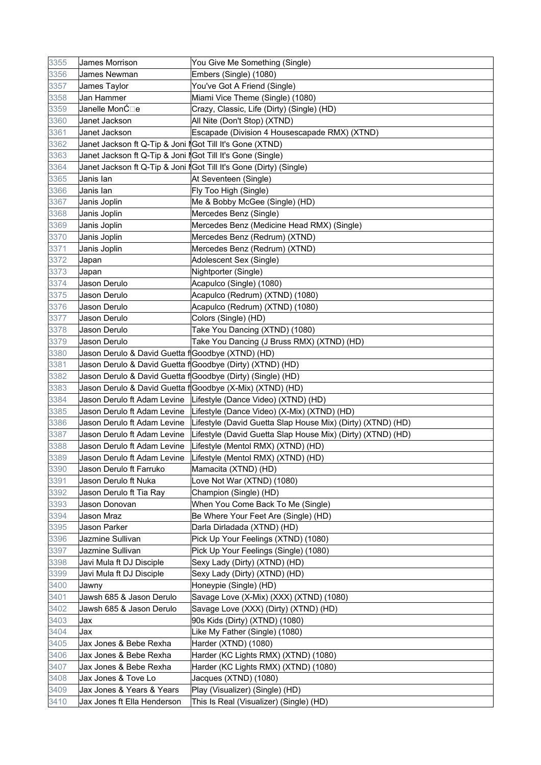| 3355 | James Morrison                                              | You Give Me Something (Single)                                     |
|------|-------------------------------------------------------------|--------------------------------------------------------------------|
| 3356 | James Newman                                                | Embers (Single) (1080)                                             |
| 3357 | James Taylor                                                | You've Got A Friend (Single)                                       |
| 3358 | Jan Hammer                                                  | Miami Vice Theme (Single) (1080)                                   |
| 3359 | Janelle MonĆ⊡e                                              | Crazy, Classic, Life (Dirty) (Single) (HD)                         |
| 3360 | Janet Jackson                                               | All Nite (Don't Stop) (XTND)                                       |
| 3361 | Janet Jackson                                               | Escapade (Division 4 Housescapade RMX) (XTND)                      |
| 3362 | Janet Jackson ft Q-Tip & Joni lGot Till It's Gone (XTND)    |                                                                    |
| 3363 | Janet Jackson ft Q-Tip & Joni  Got Till It's Gone (Single)  |                                                                    |
| 3364 |                                                             | Janet Jackson ft Q-Tip & Joni IGot Till It's Gone (Dirty) (Single) |
| 3365 | Janis lan                                                   | At Seventeen (Single)                                              |
| 3366 | Janis lan                                                   | Fly Too High (Single)                                              |
| 3367 | Janis Joplin                                                | Me & Bobby McGee (Single) (HD)                                     |
| 3368 | Janis Joplin                                                | Mercedes Benz (Single)                                             |
| 3369 | Janis Joplin                                                | Mercedes Benz (Medicine Head RMX) (Single)                         |
| 3370 | Janis Joplin                                                | Mercedes Benz (Redrum) (XTND)                                      |
| 3371 | Janis Joplin                                                | Mercedes Benz (Redrum) (XTND)                                      |
| 3372 | Japan                                                       | Adolescent Sex (Single)                                            |
| 3373 | Japan                                                       | Nightporter (Single)                                               |
| 3374 | Jason Derulo                                                | Acapulco (Single) (1080)                                           |
| 3375 | Jason Derulo                                                | Acapulco (Redrum) (XTND) (1080)                                    |
| 3376 | Jason Derulo                                                | Acapulco (Redrum) (XTND) (1080)                                    |
| 3377 | Jason Derulo                                                | Colors (Single) (HD)                                               |
| 3378 | Jason Derulo                                                | Take You Dancing (XTND) (1080)                                     |
| 3379 | Jason Derulo                                                | Take You Dancing (J Bruss RMX) (XTND) (HD)                         |
| 3380 | Jason Derulo & David Guetta f Goodbye (XTND) (HD)           |                                                                    |
| 3381 | Jason Derulo & David Guetta f Goodbye (Dirty) (XTND) (HD)   |                                                                    |
| 3382 | Jason Derulo & David Guetta f Goodbye (Dirty) (Single) (HD) |                                                                    |
| 3383 |                                                             | Jason Derulo & David Guetta f Goodbye (X-Mix) (XTND) (HD)          |
| 3384 | Jason Derulo ft Adam Levine                                 | Lifestyle (Dance Video) (XTND) (HD)                                |
| 3385 | Jason Derulo ft Adam Levine                                 | Lifestyle (Dance Video) (X-Mix) (XTND) (HD)                        |
| 3386 | Jason Derulo ft Adam Levine                                 | Lifestyle (David Guetta Slap House Mix) (Dirty) (XTND) (HD)        |
| 3387 | Jason Derulo ft Adam Levine                                 | Lifestyle (David Guetta Slap House Mix) (Dirty) (XTND) (HD)        |
| 3388 | Jason Derulo ft Adam Levine                                 | Lifestyle (Mentol RMX) (XTND) (HD)                                 |
| 3389 | Jason Derulo ft Adam Levine                                 | Lifestyle (Mentol RMX) (XTND) (HD)                                 |
| 3390 | Jason Derulo ft Farruko                                     | Mamacita (XTND) (HD)                                               |
| 3391 | Jason Derulo ft Nuka                                        | Love Not War (XTND) (1080)                                         |
| 3392 | Jason Derulo ft Tia Ray                                     | Champion (Single) (HD)                                             |
| 3393 | Jason Donovan                                               | When You Come Back To Me (Single)                                  |
| 3394 | Jason Mraz                                                  | Be Where Your Feet Are (Single) (HD)                               |
| 3395 | Jason Parker                                                | Darla Dirladada (XTND) (HD)                                        |
| 3396 | Jazmine Sullivan                                            | Pick Up Your Feelings (XTND) (1080)                                |
| 3397 | Jazmine Sullivan                                            | Pick Up Your Feelings (Single) (1080)                              |
| 3398 | Javi Mula ft DJ Disciple                                    | Sexy Lady (Dirty) (XTND) (HD)                                      |
| 3399 | Javi Mula ft DJ Disciple                                    | Sexy Lady (Dirty) (XTND) (HD)                                      |
| 3400 | Jawny                                                       | Honeypie (Single) (HD)                                             |
| 3401 | Jawsh 685 & Jason Derulo                                    | Savage Love (X-Mix) (XXX) (XTND) (1080)                            |
| 3402 | Jawsh 685 & Jason Derulo                                    | Savage Love (XXX) (Dirty) (XTND) (HD)                              |
| 3403 | Jax                                                         | 90s Kids (Dirty) (XTND) (1080)                                     |
| 3404 | Jax                                                         | Like My Father (Single) (1080)                                     |
| 3405 | Jax Jones & Bebe Rexha                                      | Harder (XTND) (1080)                                               |
| 3406 | Jax Jones & Bebe Rexha                                      | Harder (KC Lights RMX) (XTND) (1080)                               |
| 3407 | Jax Jones & Bebe Rexha                                      | Harder (KC Lights RMX) (XTND) (1080)                               |
| 3408 | Jax Jones & Tove Lo                                         | Jacques (XTND) (1080)                                              |
| 3409 | Jax Jones & Years & Years                                   | Play (Visualizer) (Single) (HD)                                    |
| 3410 | Jax Jones ft Ella Henderson                                 | This Is Real (Visualizer) (Single) (HD)                            |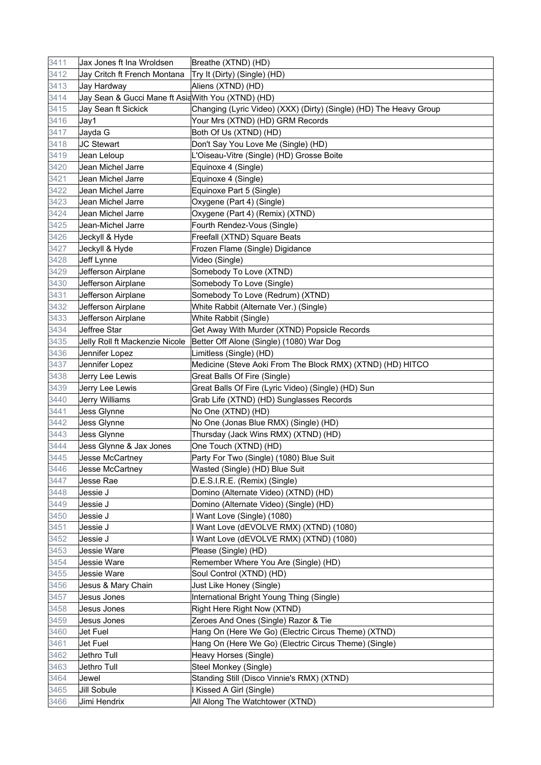| 3412<br>Jay Critch ft French Montana<br>Try It (Dirty) (Single) (HD)<br>3413<br>Jay Hardway<br>Aliens (XTND) (HD)<br>3414<br>Jay Sean & Gucci Mane ft AsiaWith You (XTND) (HD)<br>3415<br>Jay Sean ft Sickick<br>Changing (Lyric Video) (XXX) (Dirty) (Single) (HD) The Heavy Group<br>3416<br>Jay1<br>Your Mrs (XTND) (HD) GRM Records<br>3417<br>Both Of Us (XTND) (HD)<br>Jayda G<br>Don't Say You Love Me (Single) (HD)<br>3418<br>JC Stewart<br>3419<br>L'Oiseau-Vitre (Single) (HD) Grosse Boite<br>Jean Leloup<br>3420<br>Equinoxe 4 (Single)<br>Jean Michel Jarre<br>3421<br>Jean Michel Jarre<br>Equinoxe 4 (Single)<br>3422<br>Jean Michel Jarre<br>Equinoxe Part 5 (Single)<br>3423<br>Jean Michel Jarre<br>Oxygene (Part 4) (Single)<br>3424<br>Jean Michel Jarre<br>Oxygene (Part 4) (Remix) (XTND)<br>3425<br>Fourth Rendez-Vous (Single)<br>Jean-Michel Jarre<br>3426<br>Freefall (XTND) Square Beats<br>Jeckyll & Hyde<br>Frozen Flame (Single) Digidance<br>3427<br>Jeckyll & Hyde<br>3428<br>Video (Single)<br>Jeff Lynne<br>3429<br>Jefferson Airplane<br>Somebody To Love (XTND)<br>3430<br>Jefferson Airplane<br>Somebody To Love (Single)<br>3431<br>Somebody To Love (Redrum) (XTND)<br>Jefferson Airplane<br>3432<br>Jefferson Airplane<br>White Rabbit (Alternate Ver.) (Single)<br>3433<br>Jefferson Airplane<br>White Rabbit (Single)<br>3434<br>Jeffree Star<br>Get Away With Murder (XTND) Popsicle Records<br>3435<br>Jelly Roll ft Mackenzie Nicole<br>Better Off Alone (Single) (1080) War Dog<br>3436<br>Jennifer Lopez<br>Limitless (Single) (HD)<br>3437<br>Jennifer Lopez<br>Medicine (Steve Aoki From The Block RMX) (XTND) (HD) HITCO<br>3438<br>Jerry Lee Lewis<br>Great Balls Of Fire (Single)<br>3439<br>Great Balls Of Fire (Lyric Video) (Single) (HD) Sun<br>Jerry Lee Lewis<br>3440<br>Grab Life (XTND) (HD) Sunglasses Records<br>Jerry Williams<br>3441<br>Jess Glynne<br>No One (XTND) (HD)<br>No One (Jonas Blue RMX) (Single) (HD)<br>3442<br>Jess Glynne<br>3443<br>Jess Glynne<br>Thursday (Jack Wins RMX) (XTND) (HD)<br>3444<br>Jess Glynne & Jax Jones<br>One Touch (XTND) (HD)<br>3445<br>Jesse McCartney<br>Party For Two (Single) (1080) Blue Suit<br>3446<br>Wasted (Single) (HD) Blue Suit<br>Jesse McCartney<br>3447<br>Jesse Rae<br>D.E.S.I.R.E. (Remix) (Single)<br>3448<br>Jessie J<br>Domino (Alternate Video) (XTND) (HD)<br>3449<br>Domino (Alternate Video) (Single) (HD)<br>Jessie J<br>I Want Love (Single) (1080)<br>3450<br>Jessie J<br>3451<br>Jessie J<br>I Want Love (dEVOLVE RMX) (XTND) (1080)<br>3452<br>Jessie J<br>I Want Love (dEVOLVE RMX) (XTND) (1080)<br>3453<br>Please (Single) (HD)<br>Jessie Ware<br>3454<br>Remember Where You Are (Single) (HD)<br>Jessie Ware<br>3455<br>Jessie Ware<br>Soul Control (XTND) (HD)<br>3456<br>Just Like Honey (Single)<br>Jesus & Mary Chain<br>3457<br>International Bright Young Thing (Single)<br>Jesus Jones<br>3458<br>Right Here Right Now (XTND)<br>Jesus Jones<br>Zeroes And Ones (Single) Razor & Tie<br>3459<br>Jesus Jones<br>Hang On (Here We Go) (Electric Circus Theme) (XTND)<br>3460<br>Jet Fuel<br>3461<br>Hang On (Here We Go) (Electric Circus Theme) (Single)<br>Jet Fuel<br>3462<br>Jethro Tull<br>Heavy Horses (Single)<br>3463<br>Jethro Tull<br>Steel Monkey (Single)<br>3464<br>Standing Still (Disco Vinnie's RMX) (XTND)<br>Jewel<br>I Kissed A Girl (Single)<br>3465<br>Jill Sobule<br>All Along The Watchtower (XTND)<br>3466<br>Jimi Hendrix | 3411 | Jax Jones ft Ina Wroldsen | Breathe (XTND) (HD) |
|-----------------------------------------------------------------------------------------------------------------------------------------------------------------------------------------------------------------------------------------------------------------------------------------------------------------------------------------------------------------------------------------------------------------------------------------------------------------------------------------------------------------------------------------------------------------------------------------------------------------------------------------------------------------------------------------------------------------------------------------------------------------------------------------------------------------------------------------------------------------------------------------------------------------------------------------------------------------------------------------------------------------------------------------------------------------------------------------------------------------------------------------------------------------------------------------------------------------------------------------------------------------------------------------------------------------------------------------------------------------------------------------------------------------------------------------------------------------------------------------------------------------------------------------------------------------------------------------------------------------------------------------------------------------------------------------------------------------------------------------------------------------------------------------------------------------------------------------------------------------------------------------------------------------------------------------------------------------------------------------------------------------------------------------------------------------------------------------------------------------------------------------------------------------------------------------------------------------------------------------------------------------------------------------------------------------------------------------------------------------------------------------------------------------------------------------------------------------------------------------------------------------------------------------------------------------------------------------------------------------------------------------------------------------------------------------------------------------------------------------------------------------------------------------------------------------------------------------------------------------------------------------------------------------------------------------------------------------------------------------------------------------------------------------------------------------------------------------------------------------------------------------------------------------------------------------------------------------------------------------------------------------------------------------------------------------------------------------------------------------------------------------------------------------------------------------------------------------------------------------------------|------|---------------------------|---------------------|
|                                                                                                                                                                                                                                                                                                                                                                                                                                                                                                                                                                                                                                                                                                                                                                                                                                                                                                                                                                                                                                                                                                                                                                                                                                                                                                                                                                                                                                                                                                                                                                                                                                                                                                                                                                                                                                                                                                                                                                                                                                                                                                                                                                                                                                                                                                                                                                                                                                                                                                                                                                                                                                                                                                                                                                                                                                                                                                                                                                                                                                                                                                                                                                                                                                                                                                                                                                                                                                                                                                     |      |                           |                     |
|                                                                                                                                                                                                                                                                                                                                                                                                                                                                                                                                                                                                                                                                                                                                                                                                                                                                                                                                                                                                                                                                                                                                                                                                                                                                                                                                                                                                                                                                                                                                                                                                                                                                                                                                                                                                                                                                                                                                                                                                                                                                                                                                                                                                                                                                                                                                                                                                                                                                                                                                                                                                                                                                                                                                                                                                                                                                                                                                                                                                                                                                                                                                                                                                                                                                                                                                                                                                                                                                                                     |      |                           |                     |
|                                                                                                                                                                                                                                                                                                                                                                                                                                                                                                                                                                                                                                                                                                                                                                                                                                                                                                                                                                                                                                                                                                                                                                                                                                                                                                                                                                                                                                                                                                                                                                                                                                                                                                                                                                                                                                                                                                                                                                                                                                                                                                                                                                                                                                                                                                                                                                                                                                                                                                                                                                                                                                                                                                                                                                                                                                                                                                                                                                                                                                                                                                                                                                                                                                                                                                                                                                                                                                                                                                     |      |                           |                     |
|                                                                                                                                                                                                                                                                                                                                                                                                                                                                                                                                                                                                                                                                                                                                                                                                                                                                                                                                                                                                                                                                                                                                                                                                                                                                                                                                                                                                                                                                                                                                                                                                                                                                                                                                                                                                                                                                                                                                                                                                                                                                                                                                                                                                                                                                                                                                                                                                                                                                                                                                                                                                                                                                                                                                                                                                                                                                                                                                                                                                                                                                                                                                                                                                                                                                                                                                                                                                                                                                                                     |      |                           |                     |
|                                                                                                                                                                                                                                                                                                                                                                                                                                                                                                                                                                                                                                                                                                                                                                                                                                                                                                                                                                                                                                                                                                                                                                                                                                                                                                                                                                                                                                                                                                                                                                                                                                                                                                                                                                                                                                                                                                                                                                                                                                                                                                                                                                                                                                                                                                                                                                                                                                                                                                                                                                                                                                                                                                                                                                                                                                                                                                                                                                                                                                                                                                                                                                                                                                                                                                                                                                                                                                                                                                     |      |                           |                     |
|                                                                                                                                                                                                                                                                                                                                                                                                                                                                                                                                                                                                                                                                                                                                                                                                                                                                                                                                                                                                                                                                                                                                                                                                                                                                                                                                                                                                                                                                                                                                                                                                                                                                                                                                                                                                                                                                                                                                                                                                                                                                                                                                                                                                                                                                                                                                                                                                                                                                                                                                                                                                                                                                                                                                                                                                                                                                                                                                                                                                                                                                                                                                                                                                                                                                                                                                                                                                                                                                                                     |      |                           |                     |
|                                                                                                                                                                                                                                                                                                                                                                                                                                                                                                                                                                                                                                                                                                                                                                                                                                                                                                                                                                                                                                                                                                                                                                                                                                                                                                                                                                                                                                                                                                                                                                                                                                                                                                                                                                                                                                                                                                                                                                                                                                                                                                                                                                                                                                                                                                                                                                                                                                                                                                                                                                                                                                                                                                                                                                                                                                                                                                                                                                                                                                                                                                                                                                                                                                                                                                                                                                                                                                                                                                     |      |                           |                     |
|                                                                                                                                                                                                                                                                                                                                                                                                                                                                                                                                                                                                                                                                                                                                                                                                                                                                                                                                                                                                                                                                                                                                                                                                                                                                                                                                                                                                                                                                                                                                                                                                                                                                                                                                                                                                                                                                                                                                                                                                                                                                                                                                                                                                                                                                                                                                                                                                                                                                                                                                                                                                                                                                                                                                                                                                                                                                                                                                                                                                                                                                                                                                                                                                                                                                                                                                                                                                                                                                                                     |      |                           |                     |
|                                                                                                                                                                                                                                                                                                                                                                                                                                                                                                                                                                                                                                                                                                                                                                                                                                                                                                                                                                                                                                                                                                                                                                                                                                                                                                                                                                                                                                                                                                                                                                                                                                                                                                                                                                                                                                                                                                                                                                                                                                                                                                                                                                                                                                                                                                                                                                                                                                                                                                                                                                                                                                                                                                                                                                                                                                                                                                                                                                                                                                                                                                                                                                                                                                                                                                                                                                                                                                                                                                     |      |                           |                     |
|                                                                                                                                                                                                                                                                                                                                                                                                                                                                                                                                                                                                                                                                                                                                                                                                                                                                                                                                                                                                                                                                                                                                                                                                                                                                                                                                                                                                                                                                                                                                                                                                                                                                                                                                                                                                                                                                                                                                                                                                                                                                                                                                                                                                                                                                                                                                                                                                                                                                                                                                                                                                                                                                                                                                                                                                                                                                                                                                                                                                                                                                                                                                                                                                                                                                                                                                                                                                                                                                                                     |      |                           |                     |
|                                                                                                                                                                                                                                                                                                                                                                                                                                                                                                                                                                                                                                                                                                                                                                                                                                                                                                                                                                                                                                                                                                                                                                                                                                                                                                                                                                                                                                                                                                                                                                                                                                                                                                                                                                                                                                                                                                                                                                                                                                                                                                                                                                                                                                                                                                                                                                                                                                                                                                                                                                                                                                                                                                                                                                                                                                                                                                                                                                                                                                                                                                                                                                                                                                                                                                                                                                                                                                                                                                     |      |                           |                     |
|                                                                                                                                                                                                                                                                                                                                                                                                                                                                                                                                                                                                                                                                                                                                                                                                                                                                                                                                                                                                                                                                                                                                                                                                                                                                                                                                                                                                                                                                                                                                                                                                                                                                                                                                                                                                                                                                                                                                                                                                                                                                                                                                                                                                                                                                                                                                                                                                                                                                                                                                                                                                                                                                                                                                                                                                                                                                                                                                                                                                                                                                                                                                                                                                                                                                                                                                                                                                                                                                                                     |      |                           |                     |
|                                                                                                                                                                                                                                                                                                                                                                                                                                                                                                                                                                                                                                                                                                                                                                                                                                                                                                                                                                                                                                                                                                                                                                                                                                                                                                                                                                                                                                                                                                                                                                                                                                                                                                                                                                                                                                                                                                                                                                                                                                                                                                                                                                                                                                                                                                                                                                                                                                                                                                                                                                                                                                                                                                                                                                                                                                                                                                                                                                                                                                                                                                                                                                                                                                                                                                                                                                                                                                                                                                     |      |                           |                     |
|                                                                                                                                                                                                                                                                                                                                                                                                                                                                                                                                                                                                                                                                                                                                                                                                                                                                                                                                                                                                                                                                                                                                                                                                                                                                                                                                                                                                                                                                                                                                                                                                                                                                                                                                                                                                                                                                                                                                                                                                                                                                                                                                                                                                                                                                                                                                                                                                                                                                                                                                                                                                                                                                                                                                                                                                                                                                                                                                                                                                                                                                                                                                                                                                                                                                                                                                                                                                                                                                                                     |      |                           |                     |
|                                                                                                                                                                                                                                                                                                                                                                                                                                                                                                                                                                                                                                                                                                                                                                                                                                                                                                                                                                                                                                                                                                                                                                                                                                                                                                                                                                                                                                                                                                                                                                                                                                                                                                                                                                                                                                                                                                                                                                                                                                                                                                                                                                                                                                                                                                                                                                                                                                                                                                                                                                                                                                                                                                                                                                                                                                                                                                                                                                                                                                                                                                                                                                                                                                                                                                                                                                                                                                                                                                     |      |                           |                     |
|                                                                                                                                                                                                                                                                                                                                                                                                                                                                                                                                                                                                                                                                                                                                                                                                                                                                                                                                                                                                                                                                                                                                                                                                                                                                                                                                                                                                                                                                                                                                                                                                                                                                                                                                                                                                                                                                                                                                                                                                                                                                                                                                                                                                                                                                                                                                                                                                                                                                                                                                                                                                                                                                                                                                                                                                                                                                                                                                                                                                                                                                                                                                                                                                                                                                                                                                                                                                                                                                                                     |      |                           |                     |
|                                                                                                                                                                                                                                                                                                                                                                                                                                                                                                                                                                                                                                                                                                                                                                                                                                                                                                                                                                                                                                                                                                                                                                                                                                                                                                                                                                                                                                                                                                                                                                                                                                                                                                                                                                                                                                                                                                                                                                                                                                                                                                                                                                                                                                                                                                                                                                                                                                                                                                                                                                                                                                                                                                                                                                                                                                                                                                                                                                                                                                                                                                                                                                                                                                                                                                                                                                                                                                                                                                     |      |                           |                     |
|                                                                                                                                                                                                                                                                                                                                                                                                                                                                                                                                                                                                                                                                                                                                                                                                                                                                                                                                                                                                                                                                                                                                                                                                                                                                                                                                                                                                                                                                                                                                                                                                                                                                                                                                                                                                                                                                                                                                                                                                                                                                                                                                                                                                                                                                                                                                                                                                                                                                                                                                                                                                                                                                                                                                                                                                                                                                                                                                                                                                                                                                                                                                                                                                                                                                                                                                                                                                                                                                                                     |      |                           |                     |
|                                                                                                                                                                                                                                                                                                                                                                                                                                                                                                                                                                                                                                                                                                                                                                                                                                                                                                                                                                                                                                                                                                                                                                                                                                                                                                                                                                                                                                                                                                                                                                                                                                                                                                                                                                                                                                                                                                                                                                                                                                                                                                                                                                                                                                                                                                                                                                                                                                                                                                                                                                                                                                                                                                                                                                                                                                                                                                                                                                                                                                                                                                                                                                                                                                                                                                                                                                                                                                                                                                     |      |                           |                     |
|                                                                                                                                                                                                                                                                                                                                                                                                                                                                                                                                                                                                                                                                                                                                                                                                                                                                                                                                                                                                                                                                                                                                                                                                                                                                                                                                                                                                                                                                                                                                                                                                                                                                                                                                                                                                                                                                                                                                                                                                                                                                                                                                                                                                                                                                                                                                                                                                                                                                                                                                                                                                                                                                                                                                                                                                                                                                                                                                                                                                                                                                                                                                                                                                                                                                                                                                                                                                                                                                                                     |      |                           |                     |
|                                                                                                                                                                                                                                                                                                                                                                                                                                                                                                                                                                                                                                                                                                                                                                                                                                                                                                                                                                                                                                                                                                                                                                                                                                                                                                                                                                                                                                                                                                                                                                                                                                                                                                                                                                                                                                                                                                                                                                                                                                                                                                                                                                                                                                                                                                                                                                                                                                                                                                                                                                                                                                                                                                                                                                                                                                                                                                                                                                                                                                                                                                                                                                                                                                                                                                                                                                                                                                                                                                     |      |                           |                     |
|                                                                                                                                                                                                                                                                                                                                                                                                                                                                                                                                                                                                                                                                                                                                                                                                                                                                                                                                                                                                                                                                                                                                                                                                                                                                                                                                                                                                                                                                                                                                                                                                                                                                                                                                                                                                                                                                                                                                                                                                                                                                                                                                                                                                                                                                                                                                                                                                                                                                                                                                                                                                                                                                                                                                                                                                                                                                                                                                                                                                                                                                                                                                                                                                                                                                                                                                                                                                                                                                                                     |      |                           |                     |
|                                                                                                                                                                                                                                                                                                                                                                                                                                                                                                                                                                                                                                                                                                                                                                                                                                                                                                                                                                                                                                                                                                                                                                                                                                                                                                                                                                                                                                                                                                                                                                                                                                                                                                                                                                                                                                                                                                                                                                                                                                                                                                                                                                                                                                                                                                                                                                                                                                                                                                                                                                                                                                                                                                                                                                                                                                                                                                                                                                                                                                                                                                                                                                                                                                                                                                                                                                                                                                                                                                     |      |                           |                     |
|                                                                                                                                                                                                                                                                                                                                                                                                                                                                                                                                                                                                                                                                                                                                                                                                                                                                                                                                                                                                                                                                                                                                                                                                                                                                                                                                                                                                                                                                                                                                                                                                                                                                                                                                                                                                                                                                                                                                                                                                                                                                                                                                                                                                                                                                                                                                                                                                                                                                                                                                                                                                                                                                                                                                                                                                                                                                                                                                                                                                                                                                                                                                                                                                                                                                                                                                                                                                                                                                                                     |      |                           |                     |
|                                                                                                                                                                                                                                                                                                                                                                                                                                                                                                                                                                                                                                                                                                                                                                                                                                                                                                                                                                                                                                                                                                                                                                                                                                                                                                                                                                                                                                                                                                                                                                                                                                                                                                                                                                                                                                                                                                                                                                                                                                                                                                                                                                                                                                                                                                                                                                                                                                                                                                                                                                                                                                                                                                                                                                                                                                                                                                                                                                                                                                                                                                                                                                                                                                                                                                                                                                                                                                                                                                     |      |                           |                     |
|                                                                                                                                                                                                                                                                                                                                                                                                                                                                                                                                                                                                                                                                                                                                                                                                                                                                                                                                                                                                                                                                                                                                                                                                                                                                                                                                                                                                                                                                                                                                                                                                                                                                                                                                                                                                                                                                                                                                                                                                                                                                                                                                                                                                                                                                                                                                                                                                                                                                                                                                                                                                                                                                                                                                                                                                                                                                                                                                                                                                                                                                                                                                                                                                                                                                                                                                                                                                                                                                                                     |      |                           |                     |
|                                                                                                                                                                                                                                                                                                                                                                                                                                                                                                                                                                                                                                                                                                                                                                                                                                                                                                                                                                                                                                                                                                                                                                                                                                                                                                                                                                                                                                                                                                                                                                                                                                                                                                                                                                                                                                                                                                                                                                                                                                                                                                                                                                                                                                                                                                                                                                                                                                                                                                                                                                                                                                                                                                                                                                                                                                                                                                                                                                                                                                                                                                                                                                                                                                                                                                                                                                                                                                                                                                     |      |                           |                     |
|                                                                                                                                                                                                                                                                                                                                                                                                                                                                                                                                                                                                                                                                                                                                                                                                                                                                                                                                                                                                                                                                                                                                                                                                                                                                                                                                                                                                                                                                                                                                                                                                                                                                                                                                                                                                                                                                                                                                                                                                                                                                                                                                                                                                                                                                                                                                                                                                                                                                                                                                                                                                                                                                                                                                                                                                                                                                                                                                                                                                                                                                                                                                                                                                                                                                                                                                                                                                                                                                                                     |      |                           |                     |
|                                                                                                                                                                                                                                                                                                                                                                                                                                                                                                                                                                                                                                                                                                                                                                                                                                                                                                                                                                                                                                                                                                                                                                                                                                                                                                                                                                                                                                                                                                                                                                                                                                                                                                                                                                                                                                                                                                                                                                                                                                                                                                                                                                                                                                                                                                                                                                                                                                                                                                                                                                                                                                                                                                                                                                                                                                                                                                                                                                                                                                                                                                                                                                                                                                                                                                                                                                                                                                                                                                     |      |                           |                     |
|                                                                                                                                                                                                                                                                                                                                                                                                                                                                                                                                                                                                                                                                                                                                                                                                                                                                                                                                                                                                                                                                                                                                                                                                                                                                                                                                                                                                                                                                                                                                                                                                                                                                                                                                                                                                                                                                                                                                                                                                                                                                                                                                                                                                                                                                                                                                                                                                                                                                                                                                                                                                                                                                                                                                                                                                                                                                                                                                                                                                                                                                                                                                                                                                                                                                                                                                                                                                                                                                                                     |      |                           |                     |
|                                                                                                                                                                                                                                                                                                                                                                                                                                                                                                                                                                                                                                                                                                                                                                                                                                                                                                                                                                                                                                                                                                                                                                                                                                                                                                                                                                                                                                                                                                                                                                                                                                                                                                                                                                                                                                                                                                                                                                                                                                                                                                                                                                                                                                                                                                                                                                                                                                                                                                                                                                                                                                                                                                                                                                                                                                                                                                                                                                                                                                                                                                                                                                                                                                                                                                                                                                                                                                                                                                     |      |                           |                     |
|                                                                                                                                                                                                                                                                                                                                                                                                                                                                                                                                                                                                                                                                                                                                                                                                                                                                                                                                                                                                                                                                                                                                                                                                                                                                                                                                                                                                                                                                                                                                                                                                                                                                                                                                                                                                                                                                                                                                                                                                                                                                                                                                                                                                                                                                                                                                                                                                                                                                                                                                                                                                                                                                                                                                                                                                                                                                                                                                                                                                                                                                                                                                                                                                                                                                                                                                                                                                                                                                                                     |      |                           |                     |
|                                                                                                                                                                                                                                                                                                                                                                                                                                                                                                                                                                                                                                                                                                                                                                                                                                                                                                                                                                                                                                                                                                                                                                                                                                                                                                                                                                                                                                                                                                                                                                                                                                                                                                                                                                                                                                                                                                                                                                                                                                                                                                                                                                                                                                                                                                                                                                                                                                                                                                                                                                                                                                                                                                                                                                                                                                                                                                                                                                                                                                                                                                                                                                                                                                                                                                                                                                                                                                                                                                     |      |                           |                     |
|                                                                                                                                                                                                                                                                                                                                                                                                                                                                                                                                                                                                                                                                                                                                                                                                                                                                                                                                                                                                                                                                                                                                                                                                                                                                                                                                                                                                                                                                                                                                                                                                                                                                                                                                                                                                                                                                                                                                                                                                                                                                                                                                                                                                                                                                                                                                                                                                                                                                                                                                                                                                                                                                                                                                                                                                                                                                                                                                                                                                                                                                                                                                                                                                                                                                                                                                                                                                                                                                                                     |      |                           |                     |
|                                                                                                                                                                                                                                                                                                                                                                                                                                                                                                                                                                                                                                                                                                                                                                                                                                                                                                                                                                                                                                                                                                                                                                                                                                                                                                                                                                                                                                                                                                                                                                                                                                                                                                                                                                                                                                                                                                                                                                                                                                                                                                                                                                                                                                                                                                                                                                                                                                                                                                                                                                                                                                                                                                                                                                                                                                                                                                                                                                                                                                                                                                                                                                                                                                                                                                                                                                                                                                                                                                     |      |                           |                     |
|                                                                                                                                                                                                                                                                                                                                                                                                                                                                                                                                                                                                                                                                                                                                                                                                                                                                                                                                                                                                                                                                                                                                                                                                                                                                                                                                                                                                                                                                                                                                                                                                                                                                                                                                                                                                                                                                                                                                                                                                                                                                                                                                                                                                                                                                                                                                                                                                                                                                                                                                                                                                                                                                                                                                                                                                                                                                                                                                                                                                                                                                                                                                                                                                                                                                                                                                                                                                                                                                                                     |      |                           |                     |
|                                                                                                                                                                                                                                                                                                                                                                                                                                                                                                                                                                                                                                                                                                                                                                                                                                                                                                                                                                                                                                                                                                                                                                                                                                                                                                                                                                                                                                                                                                                                                                                                                                                                                                                                                                                                                                                                                                                                                                                                                                                                                                                                                                                                                                                                                                                                                                                                                                                                                                                                                                                                                                                                                                                                                                                                                                                                                                                                                                                                                                                                                                                                                                                                                                                                                                                                                                                                                                                                                                     |      |                           |                     |
|                                                                                                                                                                                                                                                                                                                                                                                                                                                                                                                                                                                                                                                                                                                                                                                                                                                                                                                                                                                                                                                                                                                                                                                                                                                                                                                                                                                                                                                                                                                                                                                                                                                                                                                                                                                                                                                                                                                                                                                                                                                                                                                                                                                                                                                                                                                                                                                                                                                                                                                                                                                                                                                                                                                                                                                                                                                                                                                                                                                                                                                                                                                                                                                                                                                                                                                                                                                                                                                                                                     |      |                           |                     |
|                                                                                                                                                                                                                                                                                                                                                                                                                                                                                                                                                                                                                                                                                                                                                                                                                                                                                                                                                                                                                                                                                                                                                                                                                                                                                                                                                                                                                                                                                                                                                                                                                                                                                                                                                                                                                                                                                                                                                                                                                                                                                                                                                                                                                                                                                                                                                                                                                                                                                                                                                                                                                                                                                                                                                                                                                                                                                                                                                                                                                                                                                                                                                                                                                                                                                                                                                                                                                                                                                                     |      |                           |                     |
|                                                                                                                                                                                                                                                                                                                                                                                                                                                                                                                                                                                                                                                                                                                                                                                                                                                                                                                                                                                                                                                                                                                                                                                                                                                                                                                                                                                                                                                                                                                                                                                                                                                                                                                                                                                                                                                                                                                                                                                                                                                                                                                                                                                                                                                                                                                                                                                                                                                                                                                                                                                                                                                                                                                                                                                                                                                                                                                                                                                                                                                                                                                                                                                                                                                                                                                                                                                                                                                                                                     |      |                           |                     |
|                                                                                                                                                                                                                                                                                                                                                                                                                                                                                                                                                                                                                                                                                                                                                                                                                                                                                                                                                                                                                                                                                                                                                                                                                                                                                                                                                                                                                                                                                                                                                                                                                                                                                                                                                                                                                                                                                                                                                                                                                                                                                                                                                                                                                                                                                                                                                                                                                                                                                                                                                                                                                                                                                                                                                                                                                                                                                                                                                                                                                                                                                                                                                                                                                                                                                                                                                                                                                                                                                                     |      |                           |                     |
|                                                                                                                                                                                                                                                                                                                                                                                                                                                                                                                                                                                                                                                                                                                                                                                                                                                                                                                                                                                                                                                                                                                                                                                                                                                                                                                                                                                                                                                                                                                                                                                                                                                                                                                                                                                                                                                                                                                                                                                                                                                                                                                                                                                                                                                                                                                                                                                                                                                                                                                                                                                                                                                                                                                                                                                                                                                                                                                                                                                                                                                                                                                                                                                                                                                                                                                                                                                                                                                                                                     |      |                           |                     |
|                                                                                                                                                                                                                                                                                                                                                                                                                                                                                                                                                                                                                                                                                                                                                                                                                                                                                                                                                                                                                                                                                                                                                                                                                                                                                                                                                                                                                                                                                                                                                                                                                                                                                                                                                                                                                                                                                                                                                                                                                                                                                                                                                                                                                                                                                                                                                                                                                                                                                                                                                                                                                                                                                                                                                                                                                                                                                                                                                                                                                                                                                                                                                                                                                                                                                                                                                                                                                                                                                                     |      |                           |                     |
|                                                                                                                                                                                                                                                                                                                                                                                                                                                                                                                                                                                                                                                                                                                                                                                                                                                                                                                                                                                                                                                                                                                                                                                                                                                                                                                                                                                                                                                                                                                                                                                                                                                                                                                                                                                                                                                                                                                                                                                                                                                                                                                                                                                                                                                                                                                                                                                                                                                                                                                                                                                                                                                                                                                                                                                                                                                                                                                                                                                                                                                                                                                                                                                                                                                                                                                                                                                                                                                                                                     |      |                           |                     |
|                                                                                                                                                                                                                                                                                                                                                                                                                                                                                                                                                                                                                                                                                                                                                                                                                                                                                                                                                                                                                                                                                                                                                                                                                                                                                                                                                                                                                                                                                                                                                                                                                                                                                                                                                                                                                                                                                                                                                                                                                                                                                                                                                                                                                                                                                                                                                                                                                                                                                                                                                                                                                                                                                                                                                                                                                                                                                                                                                                                                                                                                                                                                                                                                                                                                                                                                                                                                                                                                                                     |      |                           |                     |
|                                                                                                                                                                                                                                                                                                                                                                                                                                                                                                                                                                                                                                                                                                                                                                                                                                                                                                                                                                                                                                                                                                                                                                                                                                                                                                                                                                                                                                                                                                                                                                                                                                                                                                                                                                                                                                                                                                                                                                                                                                                                                                                                                                                                                                                                                                                                                                                                                                                                                                                                                                                                                                                                                                                                                                                                                                                                                                                                                                                                                                                                                                                                                                                                                                                                                                                                                                                                                                                                                                     |      |                           |                     |
|                                                                                                                                                                                                                                                                                                                                                                                                                                                                                                                                                                                                                                                                                                                                                                                                                                                                                                                                                                                                                                                                                                                                                                                                                                                                                                                                                                                                                                                                                                                                                                                                                                                                                                                                                                                                                                                                                                                                                                                                                                                                                                                                                                                                                                                                                                                                                                                                                                                                                                                                                                                                                                                                                                                                                                                                                                                                                                                                                                                                                                                                                                                                                                                                                                                                                                                                                                                                                                                                                                     |      |                           |                     |
|                                                                                                                                                                                                                                                                                                                                                                                                                                                                                                                                                                                                                                                                                                                                                                                                                                                                                                                                                                                                                                                                                                                                                                                                                                                                                                                                                                                                                                                                                                                                                                                                                                                                                                                                                                                                                                                                                                                                                                                                                                                                                                                                                                                                                                                                                                                                                                                                                                                                                                                                                                                                                                                                                                                                                                                                                                                                                                                                                                                                                                                                                                                                                                                                                                                                                                                                                                                                                                                                                                     |      |                           |                     |
|                                                                                                                                                                                                                                                                                                                                                                                                                                                                                                                                                                                                                                                                                                                                                                                                                                                                                                                                                                                                                                                                                                                                                                                                                                                                                                                                                                                                                                                                                                                                                                                                                                                                                                                                                                                                                                                                                                                                                                                                                                                                                                                                                                                                                                                                                                                                                                                                                                                                                                                                                                                                                                                                                                                                                                                                                                                                                                                                                                                                                                                                                                                                                                                                                                                                                                                                                                                                                                                                                                     |      |                           |                     |
|                                                                                                                                                                                                                                                                                                                                                                                                                                                                                                                                                                                                                                                                                                                                                                                                                                                                                                                                                                                                                                                                                                                                                                                                                                                                                                                                                                                                                                                                                                                                                                                                                                                                                                                                                                                                                                                                                                                                                                                                                                                                                                                                                                                                                                                                                                                                                                                                                                                                                                                                                                                                                                                                                                                                                                                                                                                                                                                                                                                                                                                                                                                                                                                                                                                                                                                                                                                                                                                                                                     |      |                           |                     |
|                                                                                                                                                                                                                                                                                                                                                                                                                                                                                                                                                                                                                                                                                                                                                                                                                                                                                                                                                                                                                                                                                                                                                                                                                                                                                                                                                                                                                                                                                                                                                                                                                                                                                                                                                                                                                                                                                                                                                                                                                                                                                                                                                                                                                                                                                                                                                                                                                                                                                                                                                                                                                                                                                                                                                                                                                                                                                                                                                                                                                                                                                                                                                                                                                                                                                                                                                                                                                                                                                                     |      |                           |                     |
|                                                                                                                                                                                                                                                                                                                                                                                                                                                                                                                                                                                                                                                                                                                                                                                                                                                                                                                                                                                                                                                                                                                                                                                                                                                                                                                                                                                                                                                                                                                                                                                                                                                                                                                                                                                                                                                                                                                                                                                                                                                                                                                                                                                                                                                                                                                                                                                                                                                                                                                                                                                                                                                                                                                                                                                                                                                                                                                                                                                                                                                                                                                                                                                                                                                                                                                                                                                                                                                                                                     |      |                           |                     |
|                                                                                                                                                                                                                                                                                                                                                                                                                                                                                                                                                                                                                                                                                                                                                                                                                                                                                                                                                                                                                                                                                                                                                                                                                                                                                                                                                                                                                                                                                                                                                                                                                                                                                                                                                                                                                                                                                                                                                                                                                                                                                                                                                                                                                                                                                                                                                                                                                                                                                                                                                                                                                                                                                                                                                                                                                                                                                                                                                                                                                                                                                                                                                                                                                                                                                                                                                                                                                                                                                                     |      |                           |                     |
|                                                                                                                                                                                                                                                                                                                                                                                                                                                                                                                                                                                                                                                                                                                                                                                                                                                                                                                                                                                                                                                                                                                                                                                                                                                                                                                                                                                                                                                                                                                                                                                                                                                                                                                                                                                                                                                                                                                                                                                                                                                                                                                                                                                                                                                                                                                                                                                                                                                                                                                                                                                                                                                                                                                                                                                                                                                                                                                                                                                                                                                                                                                                                                                                                                                                                                                                                                                                                                                                                                     |      |                           |                     |
|                                                                                                                                                                                                                                                                                                                                                                                                                                                                                                                                                                                                                                                                                                                                                                                                                                                                                                                                                                                                                                                                                                                                                                                                                                                                                                                                                                                                                                                                                                                                                                                                                                                                                                                                                                                                                                                                                                                                                                                                                                                                                                                                                                                                                                                                                                                                                                                                                                                                                                                                                                                                                                                                                                                                                                                                                                                                                                                                                                                                                                                                                                                                                                                                                                                                                                                                                                                                                                                                                                     |      |                           |                     |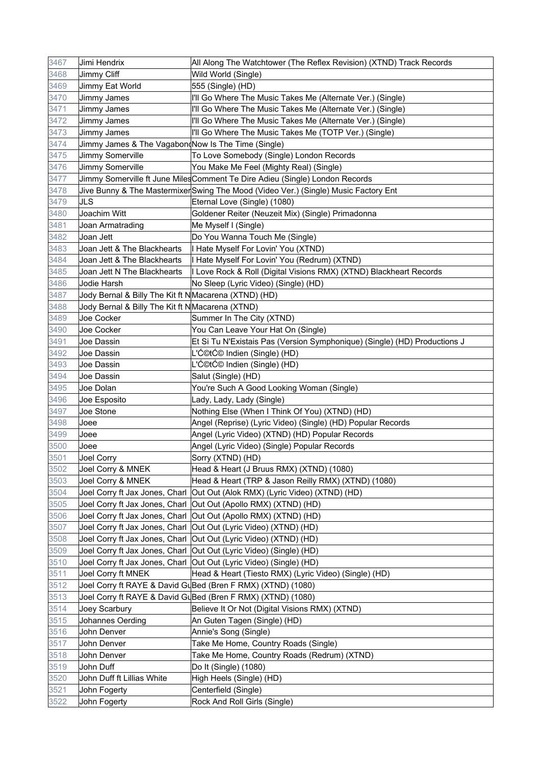| 3467 | Jimi Hendrix                                         | All Along The Watchtower (The Reflex Revision) (XTND) Track Records                |
|------|------------------------------------------------------|------------------------------------------------------------------------------------|
| 3468 | Jimmy Cliff                                          | Wild World (Single)                                                                |
| 3469 | Jimmy Eat World                                      | 555 (Single) (HD)                                                                  |
| 3470 | Jimmy James                                          | I'll Go Where The Music Takes Me (Alternate Ver.) (Single)                         |
| 3471 | Jimmy James                                          | I'll Go Where The Music Takes Me (Alternate Ver.) (Single)                         |
| 3472 | Jimmy James                                          | I'll Go Where The Music Takes Me (Alternate Ver.) (Single)                         |
| 3473 | Jimmy James                                          | I'll Go Where The Music Takes Me (TOTP Ver.) (Single)                              |
| 3474 | Jimmy James & The Vagabon(Now Is The Time (Single)   |                                                                                    |
| 3475 | Jimmy Somerville                                     | To Love Somebody (Single) London Records                                           |
| 3476 | Jimmy Somerville                                     | You Make Me Feel (Mighty Real) (Single)                                            |
| 3477 |                                                      | Jimmy Somerville ft June Miles Comment Te Dire Adieu (Single) London Records       |
| 3478 |                                                      | Jive Bunny & The MastermixerSwing The Mood (Video Ver.) (Single) Music Factory Ent |
| 3479 | <b>JLS</b>                                           | Eternal Love (Single) (1080)                                                       |
| 3480 | Joachim Witt                                         | Goldener Reiter (Neuzeit Mix) (Single) Primadonna                                  |
| 3481 | Joan Armatrading                                     | Me Myself I (Single)                                                               |
| 3482 | Joan Jett                                            | Do You Wanna Touch Me (Single)                                                     |
| 3483 | Joan Jett & The Blackhearts                          | I Hate Myself For Lovin' You (XTND)                                                |
| 3484 | Joan Jett & The Blackhearts                          | I Hate Myself For Lovin' You (Redrum) (XTND)                                       |
| 3485 | Joan Jett N The Blackhearts                          | I Love Rock & Roll (Digital Visions RMX) (XTND) Blackheart Records                 |
| 3486 | Jodie Harsh                                          | No Sleep (Lyric Video) (Single) (HD)                                               |
| 3487 | Jody Bernal & Billy The Kit ft NMacarena (XTND) (HD) |                                                                                    |
| 3488 | Jody Bernal & Billy The Kit ft NMacarena (XTND)      |                                                                                    |
| 3489 | Joe Cocker                                           | Summer In The City (XTND)                                                          |
| 3490 | Joe Cocker                                           | You Can Leave Your Hat On (Single)                                                 |
| 3491 | Joe Dassin                                           | Et Si Tu N'Existais Pas (Version Symphonique) (Single) (HD) Productions J          |
| 3492 | Joe Dassin                                           | L'ƩtƩ Indien (Single) (HD)                                                         |
| 3493 | Joe Dassin                                           | L'ƩtƩ Indien (Single) (HD)                                                         |
| 3494 | Joe Dassin                                           | Salut (Single) (HD)                                                                |
| 3495 | Joe Dolan                                            | You're Such A Good Looking Woman (Single)                                          |
| 3496 | Joe Esposito                                         | Lady, Lady, Lady (Single)                                                          |
| 3497 | Joe Stone                                            | Nothing Else (When I Think Of You) (XTND) (HD)                                     |
| 3498 | Joee                                                 | Angel (Reprise) (Lyric Video) (Single) (HD) Popular Records                        |
| 3499 | Joee                                                 | Angel (Lyric Video) (XTND) (HD) Popular Records                                    |
| 3500 | Joee                                                 | Angel (Lyric Video) (Single) Popular Records                                       |
| 3501 | Joel Corry                                           | Sorry (XTND) (HD)                                                                  |
| 3502 | Joel Corry & MNEK                                    | Head & Heart (J Bruus RMX) (XTND) (1080)                                           |
| 3503 | Joel Corry & MNEK                                    | Head & Heart (TRP & Jason Reilly RMX) (XTND) (1080)                                |
| 3504 |                                                      | Joel Corry ft Jax Jones, Charl  Out Out (Alok RMX) (Lyric Video) (XTND) (HD)       |
| 3505 |                                                      | Joel Corry ft Jax Jones, Charl  Out Out (Apollo RMX) (XTND) (HD)                   |
| 3506 |                                                      | Joel Corry ft Jax Jones, Charl  Out Out (Apollo RMX) (XTND) (HD)                   |
| 3507 |                                                      | Joel Corry ft Jax Jones, Charl   Out Out (Lyric Video) (XTND) (HD)                 |
| 3508 |                                                      | Joel Corry ft Jax Jones, Charl   Out Out (Lyric Video) (XTND) (HD)                 |
| 3509 |                                                      | Joel Corry ft Jax Jones, Charl  Out Out (Lyric Video) (Single) (HD)                |
| 3510 |                                                      | Joel Corry ft Jax Jones, Charl   Out Out (Lyric Video) (Single) (HD)               |
| 3511 | Joel Corry ft MNEK                                   | Head & Heart (Tiesto RMX) (Lyric Video) (Single) (HD)                              |
| 3512 |                                                      | Joel Corry ft RAYE & David GuBed (Bren F RMX) (XTND) (1080)                        |
| 3513 |                                                      | Joel Corry ft RAYE & David GuBed (Bren F RMX) (XTND) (1080)                        |
| 3514 | Joey Scarbury                                        | Believe It Or Not (Digital Visions RMX) (XTND)                                     |
| 3515 | Johannes Oerding                                     | An Guten Tagen (Single) (HD)                                                       |
| 3516 | John Denver                                          | Annie's Song (Single)                                                              |
| 3517 | John Denver                                          | Take Me Home, Country Roads (Single)                                               |
| 3518 | John Denver                                          | Take Me Home, Country Roads (Redrum) (XTND)                                        |
| 3519 | John Duff                                            | Do It (Single) (1080)                                                              |
| 3520 | John Duff ft Lillias White                           | High Heels (Single) (HD)                                                           |
| 3521 | John Fogerty                                         | Centerfield (Single)                                                               |
| 3522 | John Fogerty                                         | Rock And Roll Girls (Single)                                                       |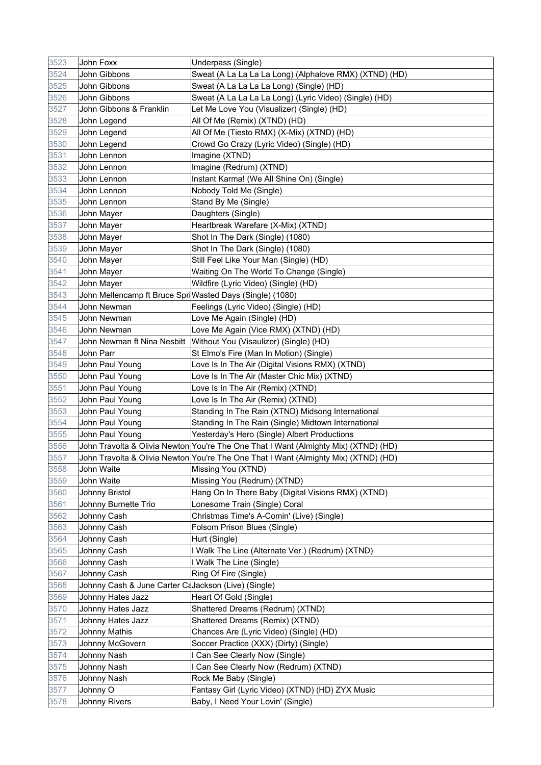| 3523 | John Foxx                                                | Underpass (Single)                                                                  |
|------|----------------------------------------------------------|-------------------------------------------------------------------------------------|
| 3524 | John Gibbons                                             | Sweat (A La La La La Long) (Alphalove RMX) (XTND) (HD)                              |
| 3525 | John Gibbons                                             | Sweat (A La La La La Long) (Single) (HD)                                            |
| 3526 | John Gibbons                                             | Sweat (A La La La La Long) (Lyric Video) (Single) (HD)                              |
| 3527 | John Gibbons & Franklin                                  | Let Me Love You (Visualizer) (Single) (HD)                                          |
| 3528 | John Legend                                              | All Of Me (Remix) (XTND) (HD)                                                       |
| 3529 | John Legend                                              | All Of Me (Tiesto RMX) (X-Mix) (XTND) (HD)                                          |
| 3530 | John Legend                                              | Crowd Go Crazy (Lyric Video) (Single) (HD)                                          |
| 3531 | John Lennon                                              | Imagine (XTND)                                                                      |
| 3532 | John Lennon                                              | Imagine (Redrum) (XTND)                                                             |
| 3533 | John Lennon                                              | Instant Karma! (We All Shine On) (Single)                                           |
| 3534 | John Lennon                                              | Nobody Told Me (Single)                                                             |
| 3535 | John Lennon                                              | Stand By Me (Single)                                                                |
| 3536 | John Mayer                                               | Daughters (Single)                                                                  |
| 3537 | John Mayer                                               | Heartbreak Warefare (X-Mix) (XTND)                                                  |
| 3538 | John Mayer                                               | Shot In The Dark (Single) (1080)                                                    |
| 3539 | John Mayer                                               | Shot In The Dark (Single) (1080)                                                    |
| 3540 | John Mayer                                               | Still Feel Like Your Man (Single) (HD)                                              |
| 3541 | John Mayer                                               | Waiting On The World To Change (Single)                                             |
| 3542 | John Mayer                                               | Wildfire (Lyric Video) (Single) (HD)                                                |
| 3543 | John Mellencamp ft Bruce SpriWasted Days (Single) (1080) |                                                                                     |
| 3544 | John Newman                                              | Feelings (Lyric Video) (Single) (HD)                                                |
| 3545 | John Newman                                              | Love Me Again (Single) (HD)                                                         |
| 3546 | John Newman                                              | Love Me Again (Vice RMX) (XTND) (HD)                                                |
| 3547 |                                                          | John Newman ft Nina Nesbitt  Without You (Visaulizer) (Single) (HD)                 |
| 3548 | John Parr                                                | St Elmo's Fire (Man In Motion) (Single)                                             |
| 3549 | John Paul Young                                          | Love Is In The Air (Digital Visions RMX) (XTND)                                     |
| 3550 | John Paul Young                                          | Love Is In The Air (Master Chic Mix) (XTND)                                         |
| 3551 | John Paul Young                                          | Love Is In The Air (Remix) (XTND)                                                   |
| 3552 | John Paul Young                                          | Love Is In The Air (Remix) (XTND)                                                   |
| 3553 | John Paul Young                                          | Standing In The Rain (XTND) Midsong International                                   |
| 3554 | John Paul Young                                          | Standing In The Rain (Single) Midtown International                                 |
| 3555 | John Paul Young                                          | Yesterday's Hero (Single) Albert Productions                                        |
| 3556 |                                                          | John Travolta & Olivia Newton You're The One That I Want (Almighty Mix) (XTND) (HD) |
| 3557 |                                                          | John Travolta & Olivia Newton You're The One That I Want (Almighty Mix) (XTND) (HD) |
| 3558 | John Waite                                               | Missing You (XTND)                                                                  |
| 3559 | John Waite                                               | Missing You (Redrum) (XTND)                                                         |
| 3560 | Johnny Bristol                                           | Hang On In There Baby (Digital Visions RMX) (XTND)                                  |
| 3561 | Johnny Burnette Trio                                     | Lonesome Train (Single) Coral                                                       |
| 3562 | Johnny Cash                                              | Christmas Time's A-Comin' (Live) (Single)                                           |
| 3563 | Johnny Cash                                              | Folsom Prison Blues (Single)                                                        |
| 3564 | Johnny Cash                                              | Hurt (Single)                                                                       |
| 3565 | Johnny Cash                                              | I Walk The Line (Alternate Ver.) (Redrum) (XTND)                                    |
| 3566 | Johnny Cash                                              | I Walk The Line (Single)                                                            |
| 3567 | Johnny Cash                                              | Ring Of Fire (Single)                                                               |
| 3568 | Johnny Cash & June Carter CaJackson (Live) (Single)      |                                                                                     |
| 3569 | Johnny Hates Jazz                                        | Heart Of Gold (Single)                                                              |
| 3570 | Johnny Hates Jazz                                        | Shattered Dreams (Redrum) (XTND)                                                    |
| 3571 | Johnny Hates Jazz                                        | Shattered Dreams (Remix) (XTND)                                                     |
| 3572 | <b>Johnny Mathis</b>                                     | Chances Are (Lyric Video) (Single) (HD)                                             |
| 3573 | Johnny McGovern                                          | Soccer Practice (XXX) (Dirty) (Single)                                              |
| 3574 | Johnny Nash                                              | I Can See Clearly Now (Single)                                                      |
| 3575 | Johnny Nash                                              | I Can See Clearly Now (Redrum) (XTND)                                               |
| 3576 | <b>Johnny Nash</b>                                       | Rock Me Baby (Single)                                                               |
| 3577 | Johnny O                                                 | Fantasy Girl (Lyric Video) (XTND) (HD) ZYX Music                                    |
| 3578 | <b>Johnny Rivers</b>                                     | Baby, I Need Your Lovin' (Single)                                                   |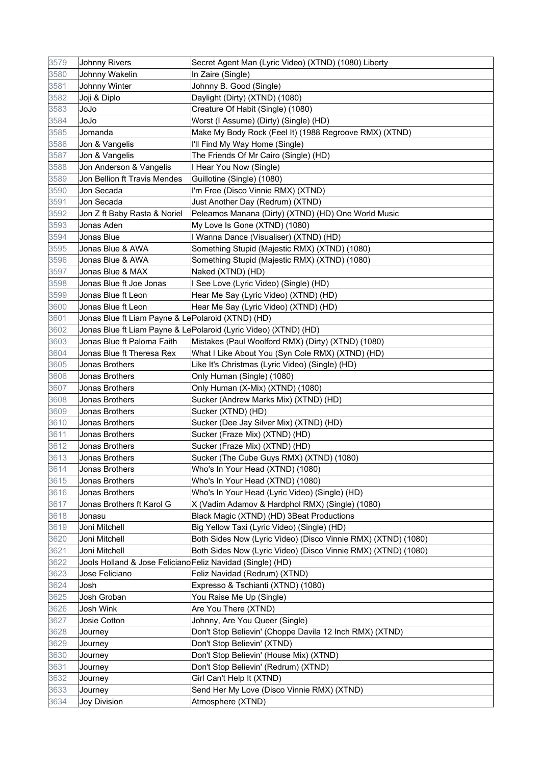| 3579 | <b>Johnny Rivers</b>                                       | Secret Agent Man (Lyric Video) (XTND) (1080) Liberty            |
|------|------------------------------------------------------------|-----------------------------------------------------------------|
| 3580 | Johnny Wakelin                                             | In Zaire (Single)                                               |
| 3581 | Johnny Winter                                              | Johnny B. Good (Single)                                         |
| 3582 | Joji & Diplo                                               | Daylight (Dirty) (XTND) (1080)                                  |
| 3583 | ეიეი                                                       | Creature Of Habit (Single) (1080)                               |
| 3584 | ეიეი                                                       | Worst (I Assume) (Dirty) (Single) (HD)                          |
| 3585 | Jomanda                                                    | Make My Body Rock (Feel It) (1988 Regroove RMX) (XTND)          |
| 3586 | Jon & Vangelis                                             | I'll Find My Way Home (Single)                                  |
| 3587 | Jon & Vangelis                                             | The Friends Of Mr Cairo (Single) (HD)                           |
| 3588 | Jon Anderson & Vangelis                                    | I Hear You Now (Single)                                         |
| 3589 | Jon Bellion ft Travis Mendes                               | Guillotine (Single) (1080)                                      |
| 3590 | Jon Secada                                                 | I'm Free (Disco Vinnie RMX) (XTND)                              |
| 3591 | Jon Secada                                                 | Just Another Day (Redrum) (XTND)                                |
| 3592 | Jon Z ft Baby Rasta & Noriel                               | Peleamos Manana (Dirty) (XTND) (HD) One World Music             |
| 3593 | Jonas Aden                                                 | My Love Is Gone (XTND) (1080)                                   |
| 3594 | Jonas Blue                                                 | I Wanna Dance (Visualiser) (XTND) (HD)                          |
| 3595 | Jonas Blue & AWA                                           | Something Stupid (Majestic RMX) (XTND) (1080)                   |
| 3596 | Jonas Blue & AWA                                           | Something Stupid (Majestic RMX) (XTND) (1080)                   |
| 3597 | Jonas Blue & MAX                                           | Naked (XTND) (HD)                                               |
| 3598 | Jonas Blue ft Joe Jonas                                    | I See Love (Lyric Video) (Single) (HD)                          |
| 3599 | Jonas Blue ft Leon                                         | Hear Me Say (Lyric Video) (XTND) (HD)                           |
| 3600 | Jonas Blue ft Leon                                         | Hear Me Say (Lyric Video) (XTND) (HD)                           |
| 3601 | Jonas Blue ft Liam Payne & Le Polaroid (XTND) (HD)         |                                                                 |
| 3602 |                                                            | Jonas Blue ft Liam Payne & LePolaroid (Lyric Video) (XTND) (HD) |
| 3603 | Jonas Blue ft Paloma Faith                                 | Mistakes (Paul Woolford RMX) (Dirty) (XTND) (1080)              |
| 3604 | Jonas Blue ft Theresa Rex                                  | What I Like About You (Syn Cole RMX) (XTND) (HD)                |
| 3605 | Jonas Brothers                                             | Like It's Christmas (Lyric Video) (Single) (HD)                 |
| 3606 | Jonas Brothers                                             | Only Human (Single) (1080)                                      |
| 3607 | Jonas Brothers                                             | Only Human (X-Mix) (XTND) (1080)                                |
| 3608 | Jonas Brothers                                             | Sucker (Andrew Marks Mix) (XTND) (HD)                           |
| 3609 | Jonas Brothers                                             | Sucker (XTND) (HD)                                              |
| 3610 | Jonas Brothers                                             | Sucker (Dee Jay Silver Mix) (XTND) (HD)                         |
| 3611 | Jonas Brothers                                             | Sucker (Fraze Mix) (XTND) (HD)                                  |
| 3612 | Jonas Brothers                                             | Sucker (Fraze Mix) (XTND) (HD)                                  |
| 3613 | Jonas Brothers                                             | Sucker (The Cube Guys RMX) (XTND) (1080)                        |
| 3614 | Jonas Brothers                                             | Who's In Your Head (XTND) (1080)                                |
| 3615 | Jonas Brothers                                             | Who's In Your Head (XTND) (1080)                                |
| 3616 | Jonas Brothers                                             | Who's In Your Head (Lyric Video) (Single) (HD)                  |
| 3617 | Jonas Brothers ft Karol G                                  | X (Vadim Adamov & Hardphol RMX) (Single) (1080)                 |
| 3618 | Jonasu                                                     | Black Magic (XTND) (HD) 3Beat Productions                       |
| 3619 | Joni Mitchell                                              | Big Yellow Taxi (Lyric Video) (Single) (HD)                     |
| 3620 | Joni Mitchell                                              | Both Sides Now (Lyric Video) (Disco Vinnie RMX) (XTND) (1080)   |
| 3621 | Joni Mitchell                                              | Both Sides Now (Lyric Video) (Disco Vinnie RMX) (XTND) (1080)   |
| 3622 | Jools Holland & Jose Feliciano Feliz Navidad (Single) (HD) |                                                                 |
| 3623 | Jose Feliciano                                             | Feliz Navidad (Redrum) (XTND)                                   |
| 3624 | Josh                                                       | Expresso & Tschianti (XTND) (1080)                              |
| 3625 | Josh Groban                                                | You Raise Me Up (Single)                                        |
| 3626 | Josh Wink                                                  | Are You There (XTND)                                            |
| 3627 | Josie Cotton                                               | Johnny, Are You Queer (Single)                                  |
| 3628 | Journey                                                    | Don't Stop Believin' (Choppe Davila 12 Inch RMX) (XTND)         |
| 3629 | Journey                                                    | Don't Stop Believin' (XTND)                                     |
| 3630 | Journey                                                    | Don't Stop Believin' (House Mix) (XTND)                         |
| 3631 | Journey                                                    | Don't Stop Believin' (Redrum) (XTND)                            |
| 3632 | Journey                                                    | Girl Can't Help It (XTND)                                       |
| 3633 | Journey                                                    | Send Her My Love (Disco Vinnie RMX) (XTND)                      |
| 3634 | <b>Joy Division</b>                                        | Atmosphere (XTND)                                               |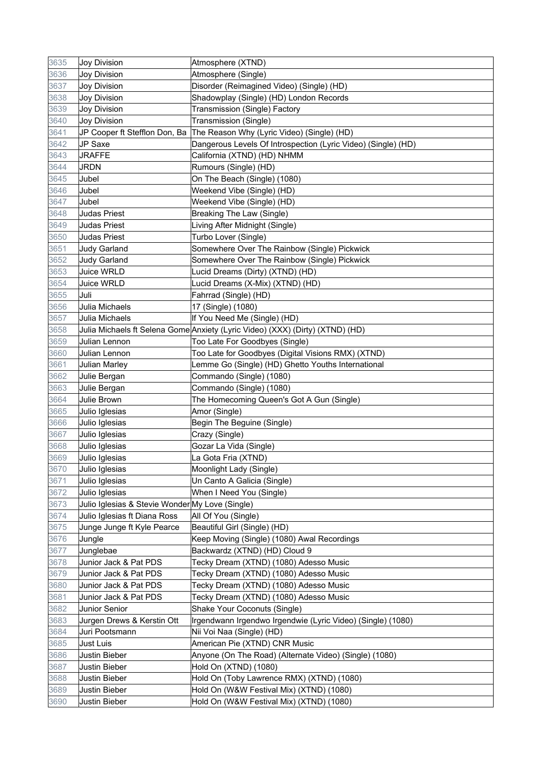| 3635 | Joy Division                                    | Atmosphere (XTND)                                                             |
|------|-------------------------------------------------|-------------------------------------------------------------------------------|
| 3636 | Joy Division                                    | Atmosphere (Single)                                                           |
| 3637 | Joy Division                                    | Disorder (Reimagined Video) (Single) (HD)                                     |
| 3638 | Joy Division                                    | Shadowplay (Single) (HD) London Records                                       |
| 3639 | Joy Division                                    | Transmission (Single) Factory                                                 |
| 3640 | Joy Division                                    | Transmission (Single)                                                         |
| 3641 |                                                 | JP Cooper ft Stefflon Don, Ba The Reason Why (Lyric Video) (Single) (HD)      |
| 3642 | JP Saxe                                         | Dangerous Levels Of Introspection (Lyric Video) (Single) (HD)                 |
| 3643 | <b>JRAFFE</b>                                   | California (XTND) (HD) NHMM                                                   |
| 3644 | JRDN                                            | Rumours (Single) (HD)                                                         |
| 3645 | Jubel                                           | On The Beach (Single) (1080)                                                  |
| 3646 | Jubel                                           | Weekend Vibe (Single) (HD)                                                    |
| 3647 | Jubel                                           | Weekend Vibe (Single) (HD)                                                    |
| 3648 | Judas Priest                                    | Breaking The Law (Single)                                                     |
| 3649 | Judas Priest                                    | Living After Midnight (Single)                                                |
| 3650 | Judas Priest                                    | Turbo Lover (Single)                                                          |
| 3651 | <b>Judy Garland</b>                             | Somewhere Over The Rainbow (Single) Pickwick                                  |
| 3652 | <b>Judy Garland</b>                             | Somewhere Over The Rainbow (Single) Pickwick                                  |
| 3653 | Juice WRLD                                      | Lucid Dreams (Dirty) (XTND) (HD)                                              |
| 3654 | Juice WRLD                                      | Lucid Dreams (X-Mix) (XTND) (HD)                                              |
| 3655 | Juli                                            | Fahrrad (Single) (HD)                                                         |
| 3656 | Julia Michaels                                  | 17 (Single) (1080)                                                            |
| 3657 | Julia Michaels                                  | If You Need Me (Single) (HD)                                                  |
| 3658 |                                                 | Julia Michaels ft Selena Gome Anxiety (Lyric Video) (XXX) (Dirty) (XTND) (HD) |
| 3659 | Julian Lennon                                   | Too Late For Goodbyes (Single)                                                |
| 3660 | Julian Lennon                                   | Too Late for Goodbyes (Digital Visions RMX) (XTND)                            |
| 3661 | <b>Julian Marley</b>                            | Lemme Go (Single) (HD) Ghetto Youths International                            |
| 3662 | Julie Bergan                                    | Commando (Single) (1080)                                                      |
| 3663 | Julie Bergan                                    | Commando (Single) (1080)                                                      |
| 3664 | Julie Brown                                     | The Homecoming Queen's Got A Gun (Single)                                     |
| 3665 | Julio Iglesias                                  | Amor (Single)                                                                 |
| 3666 | Julio Iglesias                                  | Begin The Beguine (Single)                                                    |
| 3667 | Julio Iglesias                                  | Crazy (Single)                                                                |
| 3668 | Julio Iglesias                                  | Gozar La Vida (Single)                                                        |
| 3669 | Julio Iglesias                                  | La Gota Fria (XTND)                                                           |
| 3670 | Julio Iglesias                                  | Moonlight Lady (Single)                                                       |
| 3671 | Julio Iglesias                                  | Un Canto A Galicia (Single)                                                   |
| 3672 | Julio Iglesias                                  | When I Need You (Single)                                                      |
| 3673 | Julio Iglesias & Stevie Wonder My Love (Single) |                                                                               |
| 3674 | Julio Iglesias ft Diana Ross                    | All Of You (Single)                                                           |
| 3675 | Junge Junge ft Kyle Pearce                      | Beautiful Girl (Single) (HD)                                                  |
| 3676 | Jungle                                          | Keep Moving (Single) (1080) Awal Recordings                                   |
| 3677 | Junglebae                                       | Backwardz (XTND) (HD) Cloud 9                                                 |
| 3678 | Junior Jack & Pat PDS                           | Tecky Dream (XTND) (1080) Adesso Music                                        |
| 3679 | Junior Jack & Pat PDS                           | Tecky Dream (XTND) (1080) Adesso Music                                        |
| 3680 | Junior Jack & Pat PDS                           | Tecky Dream (XTND) (1080) Adesso Music                                        |
| 3681 | Junior Jack & Pat PDS                           | Tecky Dream (XTND) (1080) Adesso Music                                        |
| 3682 | Junior Senior                                   | Shake Your Coconuts (Single)                                                  |
| 3683 | Jurgen Drews & Kerstin Ott                      | Irgendwann Irgendwo Irgendwie (Lyric Video) (Single) (1080)                   |
| 3684 | Juri Pootsmann                                  | Nii Voi Naa (Single) (HD)                                                     |
| 3685 | Just Luis                                       | American Pie (XTND) CNR Music                                                 |
| 3686 | Justin Bieber                                   | Anyone (On The Road) (Alternate Video) (Single) (1080)                        |
| 3687 | Justin Bieber                                   | Hold On (XTND) (1080)                                                         |
| 3688 | Justin Bieber                                   | Hold On (Toby Lawrence RMX) (XTND) (1080)                                     |
| 3689 | Justin Bieber                                   | Hold On (W&W Festival Mix) (XTND) (1080)                                      |
| 3690 | Justin Bieber                                   | Hold On (W&W Festival Mix) (XTND) (1080)                                      |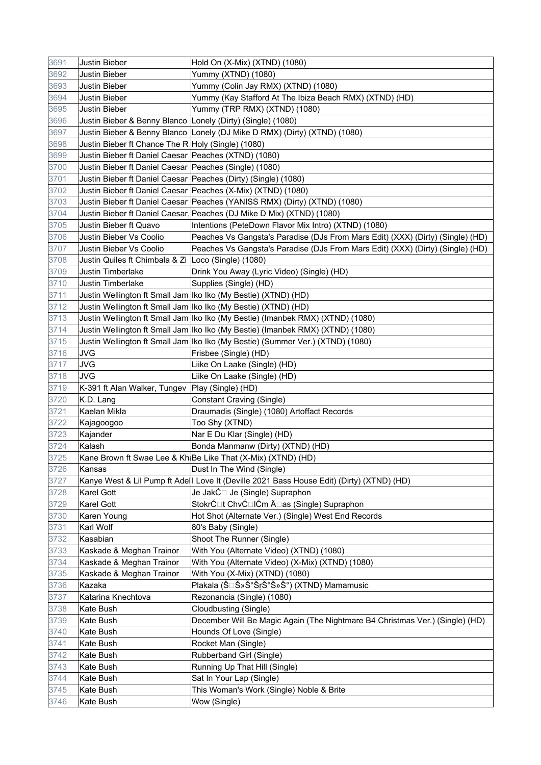| 3691 | Justin Bieber                                               | Hold On (X-Mix) (XTND) (1080)                                                             |
|------|-------------------------------------------------------------|-------------------------------------------------------------------------------------------|
| 3692 | Justin Bieber                                               | Yummy (XTND) (1080)                                                                       |
| 3693 | <b>Justin Bieber</b>                                        | Yummy (Colin Jay RMX) (XTND) (1080)                                                       |
| 3694 | <b>Justin Bieber</b>                                        | Yummy (Kay Stafford At The Ibiza Beach RMX) (XTND) (HD)                                   |
| 3695 | Justin Bieber                                               | Yummy (TRP RMX) (XTND) (1080)                                                             |
| 3696 | Justin Bieber & Benny Blanco Lonely (Dirty) (Single) (1080) |                                                                                           |
| 3697 |                                                             | Justin Bieber & Benny Blanco Lonely (DJ Mike D RMX) (Dirty) (XTND) (1080)                 |
| 3698 | Justin Bieber ft Chance The R Holy (Single) (1080)          |                                                                                           |
| 3699 | Justin Bieber ft Daniel Caesar Peaches (XTND) (1080)        |                                                                                           |
| 3700 | Justin Bieber ft Daniel Caesar Peaches (Single) (1080)      |                                                                                           |
| 3701 |                                                             | Justin Bieber ft Daniel Caesar Peaches (Dirty) (Single) (1080)                            |
| 3702 |                                                             | Justin Bieber ft Daniel Caesar Peaches (X-Mix) (XTND) (1080)                              |
| 3703 |                                                             | Justin Bieber ft Daniel Caesar Peaches (YANISS RMX) (Dirty) (XTND) (1080)                 |
| 3704 |                                                             | Justin Bieber ft Daniel Caesar, Peaches (DJ Mike D Mix) (XTND) (1080)                     |
| 3705 | Justin Bieber ft Quavo                                      | Intentions (PeteDown Flavor Mix Intro) (XTND) (1080)                                      |
| 3706 | Justin Bieber Vs Coolio                                     | Peaches Vs Gangsta's Paradise (DJs From Mars Edit) (XXX) (Dirty) (Single) (HD)            |
| 3707 | Justin Bieber Vs Coolio                                     | Peaches Vs Gangsta's Paradise (DJs From Mars Edit) (XXX) (Dirty) (Single) (HD)            |
| 3708 | Justin Quiles ft Chimbala & Zi Loco (Single) (1080)         |                                                                                           |
| 3709 | <b>Justin Timberlake</b>                                    | Drink You Away (Lyric Video) (Single) (HD)                                                |
| 3710 | <b>Justin Timberlake</b>                                    | Supplies (Single) (HD)                                                                    |
| 3711 |                                                             | Justin Wellington ft Small Jam Iko Iko (My Bestie) (XTND) (HD)                            |
| 3712 |                                                             | Justin Wellington ft Small Jam Iko Iko (My Bestie) (XTND) (HD)                            |
| 3713 |                                                             | Justin Wellington ft Small Jam Iko Iko (My Bestie) (Imanbek RMX) (XTND) (1080)            |
| 3714 |                                                             | Justin Wellington ft Small Jam Iko Iko (My Bestie) (Imanbek RMX) (XTND) (1080)            |
| 3715 |                                                             | Justin Wellington ft Small Jam Iko Iko (My Bestie) (Summer Ver.) (XTND) (1080)            |
| 3716 | <b>JVG</b>                                                  | Frisbee (Single) (HD)                                                                     |
| 3717 | JVG                                                         | Liike On Laake (Single) (HD)                                                              |
| 3718 | <b>JVG</b>                                                  | Liike On Laake (Single) (HD)                                                              |
| 3719 | K-391 ft Alan Walker, Tungev   Play (Single) (HD)           |                                                                                           |
| 3720 | K.D. Lang                                                   | Constant Craving (Single)                                                                 |
| 3721 | Kaelan Mikla                                                | Draumadis (Single) (1080) Artoffact Records                                               |
| 3722 | Kajagoogoo                                                  | Too Shy (XTND)                                                                            |
| 3723 | Kajander                                                    | Nar E Du Klar (Single) (HD)                                                               |
| 3724 | Kalash                                                      | Bonda Manmanw (Dirty) (XTND) (HD)                                                         |
| 3725 |                                                             | Kane Brown ft Swae Lee & Kh <sub>i</sub> Be Like That (X-Mix) (XTND) (HD)                 |
| 3726 | Kansas                                                      | Dust In The Wind (Single)                                                                 |
| 3727 |                                                             | Kanye West & Lil Pump ft Adell Love It (Deville 2021 Bass House Edit) (Dirty) (XTND) (HD) |
| 3728 | Karel Gott                                                  | Je JakĆ⊡ Je (Single) Supraphon                                                            |
| 3729 | Karel Gott                                                  | StokrĆ⊡t ChvĆ⊡lĆm Ä⊡as (Single) Supraphon                                                 |
| 3730 | Karen Young                                                 | Hot Shot (Alternate Ver.) (Single) West End Records                                       |
| 3731 | Karl Wolf                                                   | 80's Baby (Single)                                                                        |
| 3732 | Kasabian                                                    | Shoot The Runner (Single)                                                                 |
| 3733 | Kaskade & Meghan Trainor                                    | With You (Alternate Video) (XTND) (1080)                                                  |
| 3734 | Kaskade & Meghan Trainor                                    | With You (Alternate Video) (X-Mix) (XTND) (1080)                                          |
| 3735 | Kaskade & Meghan Trainor                                    | With You (X-Mix) (XTND) (1080)                                                            |
| 3736 | Kazaka                                                      | Plakala (Š⊡лакала) (XTND) Mamamusic                                                       |
| 3737 | Katarina Knechtova                                          | Rezonancia (Single) (1080)                                                                |
| 3738 | Kate Bush                                                   | Cloudbusting (Single)                                                                     |
| 3739 | Kate Bush                                                   | December Will Be Magic Again (The Nightmare B4 Christmas Ver.) (Single) (HD)              |
| 3740 | Kate Bush                                                   | Hounds Of Love (Single)                                                                   |
| 3741 | Kate Bush                                                   | Rocket Man (Single)                                                                       |
| 3742 | Kate Bush                                                   | Rubberband Girl (Single)                                                                  |
| 3743 | Kate Bush                                                   | Running Up That Hill (Single)                                                             |
| 3744 | Kate Bush                                                   | Sat In Your Lap (Single)                                                                  |
| 3745 | Kate Bush                                                   | This Woman's Work (Single) Noble & Brite                                                  |
| 3746 | Kate Bush                                                   | Wow (Single)                                                                              |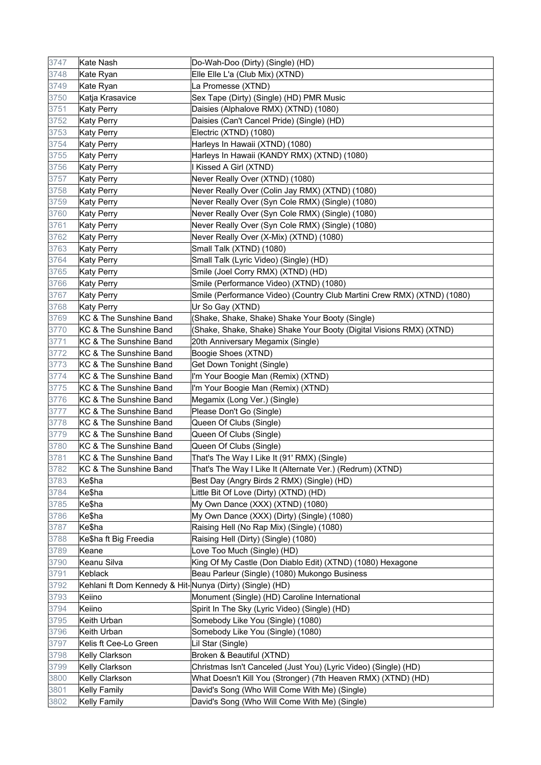| 3747 | Kate Nash                                                | Do-Wah-Doo (Dirty) (Single) (HD)                                        |
|------|----------------------------------------------------------|-------------------------------------------------------------------------|
| 3748 | Kate Ryan                                                | Elle Elle L'a (Club Mix) (XTND)                                         |
| 3749 | Kate Ryan                                                | La Promesse (XTND)                                                      |
| 3750 | Katja Krasavice                                          | Sex Tape (Dirty) (Single) (HD) PMR Music                                |
| 3751 | <b>Katy Perry</b>                                        | Daisies (Alphalove RMX) (XTND) (1080)                                   |
| 3752 | Katy Perry                                               | Daisies (Can't Cancel Pride) (Single) (HD)                              |
| 3753 | Katy Perry                                               | Electric (XTND) (1080)                                                  |
| 3754 | Katy Perry                                               | Harleys In Hawaii (XTND) (1080)                                         |
| 3755 | <b>Katy Perry</b>                                        | Harleys In Hawaii (KANDY RMX) (XTND) (1080)                             |
| 3756 | <b>Katy Perry</b>                                        | I Kissed A Girl (XTND)                                                  |
| 3757 | <b>Katy Perry</b>                                        | Never Really Over (XTND) (1080)                                         |
| 3758 | <b>Katy Perry</b>                                        | Never Really Over (Colin Jay RMX) (XTND) (1080)                         |
| 3759 | <b>Katy Perry</b>                                        | Never Really Over (Syn Cole RMX) (Single) (1080)                        |
| 3760 | <b>Katy Perry</b>                                        | Never Really Over (Syn Cole RMX) (Single) (1080)                        |
| 3761 | <b>Katy Perry</b>                                        | Never Really Over (Syn Cole RMX) (Single) (1080)                        |
| 3762 | <b>Katy Perry</b>                                        | Never Really Over (X-Mix) (XTND) (1080)                                 |
| 3763 | <b>Katy Perry</b>                                        | Small Talk (XTND) (1080)                                                |
| 3764 | <b>Katy Perry</b>                                        | Small Talk (Lyric Video) (Single) (HD)                                  |
| 3765 | <b>Katy Perry</b>                                        | Smile (Joel Corry RMX) (XTND) (HD)                                      |
| 3766 | <b>Katy Perry</b>                                        | Smile (Performance Video) (XTND) (1080)                                 |
| 3767 | <b>Katy Perry</b>                                        | Smile (Performance Video) (Country Club Martini Crew RMX) (XTND) (1080) |
| 3768 | <b>Katy Perry</b>                                        | Ur So Gay (XTND)                                                        |
| 3769 | KC & The Sunshine Band                                   | (Shake, Shake, Shake) Shake Your Booty (Single)                         |
| 3770 | KC & The Sunshine Band                                   | (Shake, Shake, Shake) Shake Your Booty (Digital Visions RMX) (XTND)     |
| 3771 | KC & The Sunshine Band                                   | 20th Anniversary Megamix (Single)                                       |
| 3772 | KC & The Sunshine Band                                   | Boogie Shoes (XTND)                                                     |
| 3773 | KC & The Sunshine Band                                   | Get Down Tonight (Single)                                               |
| 3774 | KC & The Sunshine Band                                   | I'm Your Boogie Man (Remix) (XTND)                                      |
| 3775 | KC & The Sunshine Band                                   | I'm Your Boogie Man (Remix) (XTND)                                      |
| 3776 | KC & The Sunshine Band                                   | Megamix (Long Ver.) (Single)                                            |
| 3777 | KC & The Sunshine Band                                   | Please Don't Go (Single)                                                |
| 3778 | KC & The Sunshine Band                                   | Queen Of Clubs (Single)                                                 |
| 3779 | KC & The Sunshine Band                                   | Queen Of Clubs (Single)                                                 |
| 3780 | KC & The Sunshine Band                                   | Queen Of Clubs (Single)                                                 |
| 3781 | KC & The Sunshine Band                                   | That's The Way I Like It (91' RMX) (Single)                             |
| 3782 | KC & The Sunshine Band                                   | That's The Way I Like It (Alternate Ver.) (Redrum) (XTND)               |
| 3783 | Ke\$ha                                                   | Best Day (Angry Birds 2 RMX) (Single) (HD)                              |
| 3784 | Ke\$ha                                                   | Little Bit Of Love (Dirty) (XTND) (HD)                                  |
| 3785 | Ke\$ha                                                   | My Own Dance (XXX) (XTND) (1080)                                        |
| 3786 | Ke\$ha                                                   | My Own Dance (XXX) (Dirty) (Single) (1080)                              |
| 3787 | Ke\$ha                                                   | Raising Hell (No Rap Mix) (Single) (1080)                               |
| 3788 | Ke\$ha ft Big Freedia                                    | Raising Hell (Dirty) (Single) (1080)                                    |
| 3789 | Keane                                                    | Love Too Much (Single) (HD)                                             |
| 3790 | Keanu Silva                                              | King Of My Castle (Don Diablo Edit) (XTND) (1080) Hexagone              |
| 3791 | Keblack                                                  | Beau Parleur (Single) (1080) Mukongo Business                           |
| 3792 | Kehlani ft Dom Kennedy & Hit-Nunya (Dirty) (Single) (HD) |                                                                         |
| 3793 | Keiino                                                   | Monument (Single) (HD) Caroline International                           |
| 3794 | Keiino                                                   | Spirit In The Sky (Lyric Video) (Single) (HD)                           |
| 3795 | Keith Urban                                              | Somebody Like You (Single) (1080)                                       |
| 3796 | Keith Urban                                              | Somebody Like You (Single) (1080)                                       |
| 3797 | Kelis ft Cee-Lo Green                                    | Lil Star (Single)                                                       |
| 3798 | Kelly Clarkson                                           | Broken & Beautiful (XTND)                                               |
| 3799 | Kelly Clarkson                                           | Christmas Isn't Canceled (Just You) (Lyric Video) (Single) (HD)         |
| 3800 | Kelly Clarkson                                           | What Doesn't Kill You (Stronger) (7th Heaven RMX) (XTND) (HD)           |
| 3801 | <b>Kelly Family</b>                                      | David's Song (Who Will Come With Me) (Single)                           |
| 3802 | <b>Kelly Family</b>                                      | David's Song (Who Will Come With Me) (Single)                           |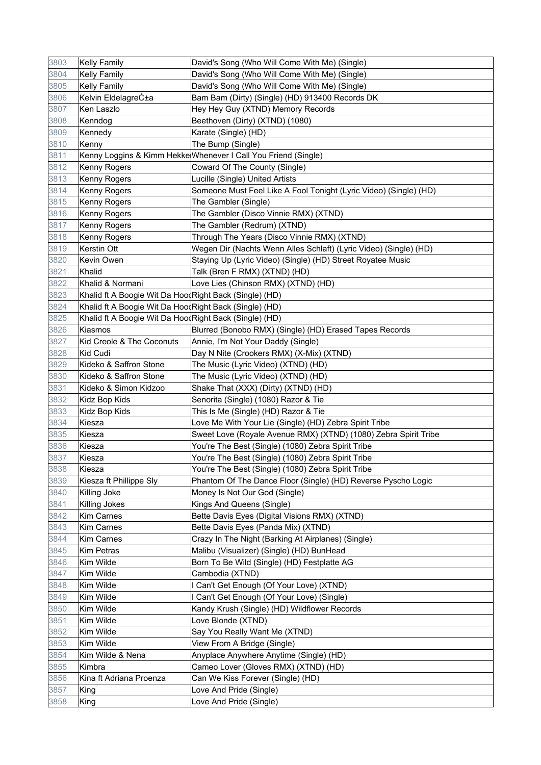| 3803 | <b>Kelly Family</b>                                    | David's Song (Who Will Come With Me) (Single)                     |
|------|--------------------------------------------------------|-------------------------------------------------------------------|
| 3804 | Kelly Family                                           | David's Song (Who Will Come With Me) (Single)                     |
| 3805 | <b>Kelly Family</b>                                    | David's Song (Who Will Come With Me) (Single)                     |
| 3806 | Kelvin EldelagreƱa                                     | Bam Bam (Dirty) (Single) (HD) 913400 Records DK                   |
| 3807 | Ken Laszlo                                             | Hey Hey Guy (XTND) Memory Records                                 |
| 3808 | Kenndog                                                | Beethoven (Dirty) (XTND) (1080)                                   |
| 3809 | Kennedy                                                | Karate (Single) (HD)                                              |
| 3810 | Kenny                                                  | The Bump (Single)                                                 |
| 3811 |                                                        | Kenny Loggins & Kimm Hekke Whenever I Call You Friend (Single)    |
| 3812 | Kenny Rogers                                           | Coward Of The County (Single)                                     |
| 3813 | Kenny Rogers                                           | Lucille (Single) United Artists                                   |
| 3814 | Kenny Rogers                                           | Someone Must Feel Like A Fool Tonight (Lyric Video) (Single) (HD) |
| 3815 | Kenny Rogers                                           | The Gambler (Single)                                              |
| 3816 | Kenny Rogers                                           | The Gambler (Disco Vinnie RMX) (XTND)                             |
| 3817 | Kenny Rogers                                           | The Gambler (Redrum) (XTND)                                       |
| 3818 | Kenny Rogers                                           | Through The Years (Disco Vinnie RMX) (XTND)                       |
| 3819 | Kerstin Ott                                            | Wegen Dir (Nachts Wenn Alles Schlaft) (Lyric Video) (Single) (HD) |
| 3820 | Kevin Owen                                             | Staying Up (Lyric Video) (Single) (HD) Street Royatee Music       |
| 3821 | Khalid                                                 | Talk (Bren F RMX) (XTND) (HD)                                     |
| 3822 | Khalid & Normani                                       | Love Lies (Chinson RMX) (XTND) (HD)                               |
| 3823 | Khalid ft A Boogie Wit Da HoodRight Back (Single) (HD) |                                                                   |
| 3824 | Khalid ft A Boogie Wit Da HoodRight Back (Single) (HD) |                                                                   |
| 3825 | Khalid ft A Boogie Wit Da HoodRight Back (Single) (HD) |                                                                   |
| 3826 | Kiasmos                                                | Blurred (Bonobo RMX) (Single) (HD) Erased Tapes Records           |
| 3827 | Kid Creole & The Coconuts                              | Annie, I'm Not Your Daddy (Single)                                |
| 3828 | Kid Cudi                                               | Day N Nite (Crookers RMX) (X-Mix) (XTND)                          |
| 3829 | Kideko & Saffron Stone                                 | The Music (Lyric Video) (XTND) (HD)                               |
| 3830 | Kideko & Saffron Stone                                 | The Music (Lyric Video) (XTND) (HD)                               |
| 3831 | Kideko & Simon Kidzoo                                  | Shake That (XXX) (Dirty) (XTND) (HD)                              |
| 3832 | Kidz Bop Kids                                          | Senorita (Single) (1080) Razor & Tie                              |
| 3833 | Kidz Bop Kids                                          | This Is Me (Single) (HD) Razor & Tie                              |
| 3834 | Kiesza                                                 | Love Me With Your Lie (Single) (HD) Zebra Spirit Tribe            |
| 3835 | Kiesza                                                 | Sweet Love (Royale Avenue RMX) (XTND) (1080) Zebra Spirit Tribe   |
| 3836 | Kiesza                                                 | You're The Best (Single) (1080) Zebra Spirit Tribe                |
| 3837 | Kiesza                                                 | You're The Best (Single) (1080) Zebra Spirit Tribe                |
| 3838 | Kiesza                                                 | You're The Best (Single) (1080) Zebra Spirit Tribe                |
| 3839 | Kiesza ft Phillippe Sly                                | Phantom Of The Dance Floor (Single) (HD) Reverse Pyscho Logic     |
| 3840 | Killing Joke                                           | Money Is Not Our God (Single)                                     |
| 3841 | Killing Jokes                                          | Kings And Queens (Single)                                         |
| 3842 | <b>Kim Carnes</b>                                      | Bette Davis Eyes (Digital Visions RMX) (XTND)                     |
| 3843 | <b>Kim Carnes</b>                                      | Bette Davis Eyes (Panda Mix) (XTND)                               |
| 3844 | <b>Kim Carnes</b>                                      | Crazy In The Night (Barking At Airplanes) (Single)                |
| 3845 | Kim Petras                                             | Malibu (Visualizer) (Single) (HD) BunHead                         |
| 3846 | Kim Wilde                                              | Born To Be Wild (Single) (HD) Festplatte AG                       |
| 3847 | Kim Wilde                                              | Cambodia (XTND)                                                   |
| 3848 | Kim Wilde                                              | I Can't Get Enough (Of Your Love) (XTND)                          |
| 3849 | Kim Wilde                                              | I Can't Get Enough (Of Your Love) (Single)                        |
| 3850 | Kim Wilde                                              | Kandy Krush (Single) (HD) Wildflower Records                      |
| 3851 | Kim Wilde                                              | Love Blonde (XTND)                                                |
| 3852 | Kim Wilde                                              | Say You Really Want Me (XTND)                                     |
| 3853 | Kim Wilde                                              | View From A Bridge (Single)                                       |
| 3854 | Kim Wilde & Nena                                       | Anyplace Anywhere Anytime (Single) (HD)                           |
| 3855 | Kimbra                                                 | Cameo Lover (Gloves RMX) (XTND) (HD)                              |
| 3856 | Kina ft Adriana Proenza                                | Can We Kiss Forever (Single) (HD)                                 |
| 3857 | King                                                   | Love And Pride (Single)                                           |
| 3858 | King                                                   | Love And Pride (Single)                                           |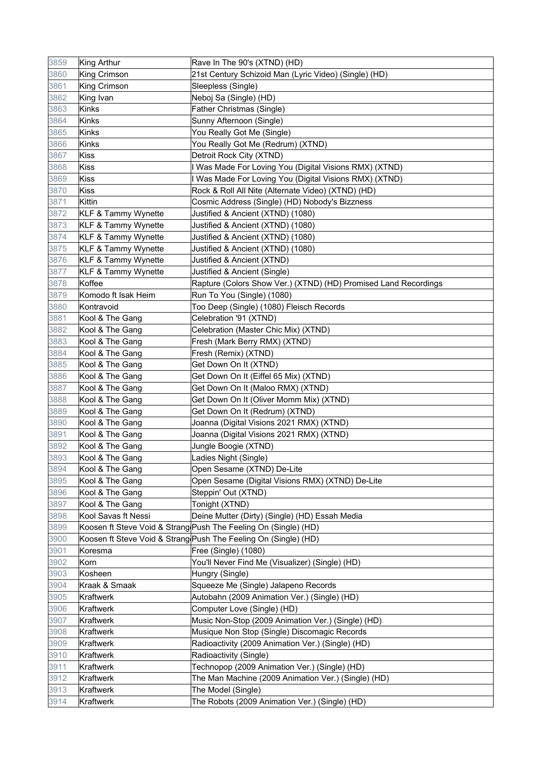| 3859 | King Arthur                    | Rave In The 90's (XTND) (HD)                                    |
|------|--------------------------------|-----------------------------------------------------------------|
| 3860 | King Crimson                   | 21st Century Schizoid Man (Lyric Video) (Single) (HD)           |
| 3861 | <b>King Crimson</b>            | Sleepless (Single)                                              |
| 3862 | King Ivan                      | Neboj Sa (Single) (HD)                                          |
| 3863 | <b>Kinks</b>                   | <b>Father Christmas (Single)</b>                                |
| 3864 | Kinks                          | Sunny Afternoon (Single)                                        |
| 3865 | Kinks                          | You Really Got Me (Single)                                      |
| 3866 | Kinks                          | You Really Got Me (Redrum) (XTND)                               |
| 3867 | Kiss                           | Detroit Rock City (XTND)                                        |
| 3868 | Kiss                           | I Was Made For Loving You (Digital Visions RMX) (XTND)          |
| 3869 | Kiss                           | I Was Made For Loving You (Digital Visions RMX) (XTND)          |
| 3870 | <b>Kiss</b>                    | Rock & Roll All Nite (Alternate Video) (XTND) (HD)              |
| 3871 | Kittin                         | Cosmic Address (Single) (HD) Nobody's Bizzness                  |
| 3872 | <b>KLF &amp; Tammy Wynette</b> | Justified & Ancient (XTND) (1080)                               |
| 3873 | <b>KLF &amp; Tammy Wynette</b> | Justified & Ancient (XTND) (1080)                               |
| 3874 | <b>KLF &amp; Tammy Wynette</b> | Justified & Ancient (XTND) (1080)                               |
| 3875 | <b>KLF &amp; Tammy Wynette</b> | Justified & Ancient (XTND) (1080)                               |
| 3876 | <b>KLF &amp; Tammy Wynette</b> | Justified & Ancient (XTND)                                      |
| 3877 | <b>KLF &amp; Tammy Wynette</b> | Justified & Ancient (Single)                                    |
| 3878 | Koffee                         | Rapture (Colors Show Ver.) (XTND) (HD) Promised Land Recordings |
| 3879 | Komodo ft Isak Heim            | Run To You (Single) (1080)                                      |
| 3880 | Kontravoid                     | Too Deep (Single) (1080) Fleisch Records                        |
| 3881 | Kool & The Gang                | Celebration '91 (XTND)                                          |
| 3882 | Kool & The Gang                | Celebration (Master Chic Mix) (XTND)                            |
| 3883 | Kool & The Gang                | Fresh (Mark Berry RMX) (XTND)                                   |
| 3884 | Kool & The Gang                | Fresh (Remix) (XTND)                                            |
| 3885 | Kool & The Gang                | Get Down On It (XTND)                                           |
| 3886 | Kool & The Gang                | Get Down On It (Eiffel 65 Mix) (XTND)                           |
| 3887 | Kool & The Gang                | Get Down On It (Maloo RMX) (XTND)                               |
| 3888 | Kool & The Gang                | Get Down On It (Oliver Momm Mix) (XTND)                         |
| 3889 | Kool & The Gang                | Get Down On It (Redrum) (XTND)                                  |
| 3890 | Kool & The Gang                | Joanna (Digital Visions 2021 RMX) (XTND)                        |
| 3891 | Kool & The Gang                | Joanna (Digital Visions 2021 RMX) (XTND)                        |
| 3892 | Kool & The Gang                | Jungle Boogie (XTND)                                            |
| 3893 | Kool & The Gang                | Ladies Night (Single)                                           |
| 3894 | Kool & The Gang                | Open Sesame (XTND) De-Lite                                      |
| 3895 | Kool & The Gang                | Open Sesame (Digital Visions RMX) (XTND) De-Lite                |
| 3896 | Kool & The Gang                | Steppin' Out (XTND)                                             |
| 3897 | Kool & The Gang                | Tonight (XTND)                                                  |
| 3898 | Kool Savas ft Nessi            | Deine Mutter (Dirty) (Single) (HD) Essah Media                  |
| 3899 |                                | Koosen ft Steve Void & Strang Push The Feeling On (Single) (HD) |
| 3900 |                                | Koosen ft Steve Void & Strang Push The Feeling On (Single) (HD) |
| 3901 | Koresma                        | Free (Single) (1080)                                            |
| 3902 | Korn                           | You'll Never Find Me (Visualizer) (Single) (HD)                 |
| 3903 | Kosheen                        | Hungry (Single)                                                 |
| 3904 | Kraak & Smaak                  | Squeeze Me (Single) Jalapeno Records                            |
| 3905 | Kraftwerk                      | Autobahn (2009 Animation Ver.) (Single) (HD)                    |
| 3906 | Kraftwerk                      | Computer Love (Single) (HD)                                     |
| 3907 | Kraftwerk                      | Music Non-Stop (2009 Animation Ver.) (Single) (HD)              |
| 3908 | <b>Kraftwerk</b>               | Musique Non Stop (Single) Discomagic Records                    |
| 3909 | Kraftwerk                      | Radioactivity (2009 Animation Ver.) (Single) (HD)               |
| 3910 | Kraftwerk                      | Radioactivity (Single)                                          |
| 3911 | Kraftwerk                      | Technopop (2009 Animation Ver.) (Single) (HD)                   |
| 3912 | Kraftwerk                      | The Man Machine (2009 Animation Ver.) (Single) (HD)             |
| 3913 | Kraftwerk                      | The Model (Single)                                              |
| 3914 | Kraftwerk                      | The Robots (2009 Animation Ver.) (Single) (HD)                  |
|      |                                |                                                                 |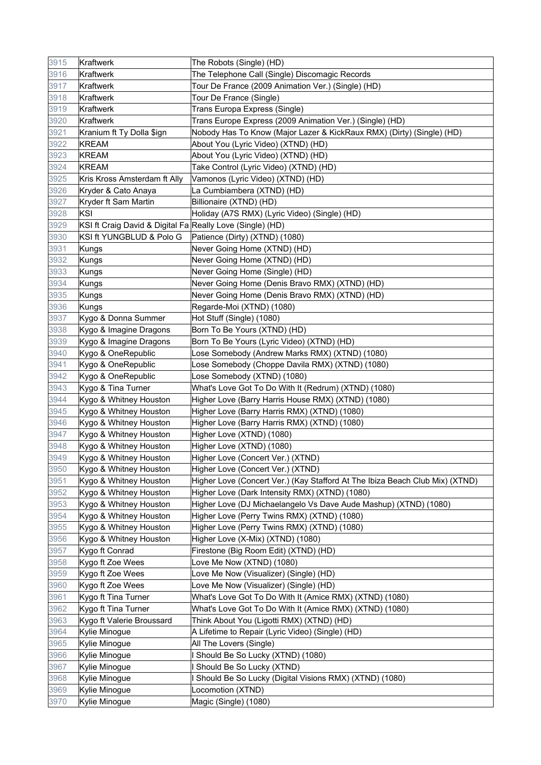| 3915 | Kraftwerk                                                 | The Robots (Single) (HD)                                                     |
|------|-----------------------------------------------------------|------------------------------------------------------------------------------|
| 3916 | Kraftwerk                                                 | The Telephone Call (Single) Discomagic Records                               |
| 3917 | Kraftwerk                                                 | Tour De France (2009 Animation Ver.) (Single) (HD)                           |
| 3918 | Kraftwerk                                                 | Tour De France (Single)                                                      |
| 3919 | Kraftwerk                                                 | Trans Europa Express (Single)                                                |
| 3920 | Kraftwerk                                                 | Trans Europe Express (2009 Animation Ver.) (Single) (HD)                     |
| 3921 | Kranium ft Ty Dolla \$ign                                 | Nobody Has To Know (Major Lazer & KickRaux RMX) (Dirty) (Single) (HD)        |
| 3922 | <b>KREAM</b>                                              | About You (Lyric Video) (XTND) (HD)                                          |
| 3923 | KREAM                                                     | About You (Lyric Video) (XTND) (HD)                                          |
| 3924 | <b>KREAM</b>                                              | Take Control (Lyric Video) (XTND) (HD)                                       |
| 3925 | Kris Kross Amsterdam ft Ally                              | Vamonos (Lyric Video) (XTND) (HD)                                            |
| 3926 | Kryder & Cato Anaya                                       | La Cumbiambera (XTND) (HD)                                                   |
| 3927 | Kryder ft Sam Martin                                      | Billionaire (XTND) (HD)                                                      |
| 3928 | <b>KSI</b>                                                | Holiday (A7S RMX) (Lyric Video) (Single) (HD)                                |
| 3929 | KSI ft Craig David & Digital Fa Really Love (Single) (HD) |                                                                              |
| 3930 | KSI ft YUNGBLUD & Polo G                                  | Patience (Dirty) (XTND) (1080)                                               |
| 3931 | Kungs                                                     | Never Going Home (XTND) (HD)                                                 |
| 3932 | Kungs                                                     | Never Going Home (XTND) (HD)                                                 |
| 3933 | Kungs                                                     | Never Going Home (Single) (HD)                                               |
| 3934 | Kungs                                                     | Never Going Home (Denis Bravo RMX) (XTND) (HD)                               |
| 3935 | Kungs                                                     | Never Going Home (Denis Bravo RMX) (XTND) (HD)                               |
| 3936 | Kungs                                                     | Regarde-Moi (XTND) (1080)                                                    |
| 3937 | Kygo & Donna Summer                                       | Hot Stuff (Single) (1080)                                                    |
| 3938 | Kygo & Imagine Dragons                                    | Born To Be Yours (XTND) (HD)                                                 |
| 3939 | Kygo & Imagine Dragons                                    | Born To Be Yours (Lyric Video) (XTND) (HD)                                   |
| 3940 | Kygo & OneRepublic                                        | Lose Somebody (Andrew Marks RMX) (XTND) (1080)                               |
| 3941 | Kygo & OneRepublic                                        | Lose Somebody (Choppe Davila RMX) (XTND) (1080)                              |
| 3942 | Kygo & OneRepublic                                        | Lose Somebody (XTND) (1080)                                                  |
| 3943 | Kygo & Tina Turner                                        | What's Love Got To Do With It (Redrum) (XTND) (1080)                         |
| 3944 | Kygo & Whitney Houston                                    | Higher Love (Barry Harris House RMX) (XTND) (1080)                           |
| 3945 | Kygo & Whitney Houston                                    | Higher Love (Barry Harris RMX) (XTND) (1080)                                 |
| 3946 | Kygo & Whitney Houston                                    | Higher Love (Barry Harris RMX) (XTND) (1080)                                 |
| 3947 | Kygo & Whitney Houston                                    | Higher Love (XTND) (1080)                                                    |
| 3948 | Kygo & Whitney Houston                                    | Higher Love (XTND) (1080)                                                    |
| 3949 | Kygo & Whitney Houston                                    | Higher Love (Concert Ver.) (XTND)                                            |
| 3950 | Kygo & Whitney Houston                                    | Higher Love (Concert Ver.) (XTND)                                            |
| 3951 | Kygo & Whitney Houston                                    | Higher Love (Concert Ver.) (Kay Stafford At The Ibiza Beach Club Mix) (XTND) |
| 3952 | Kygo & Whitney Houston                                    | Higher Love (Dark Intensity RMX) (XTND) (1080)                               |
| 3953 | Kygo & Whitney Houston                                    | Higher Love (DJ Michaelangelo Vs Dave Aude Mashup) (XTND) (1080)             |
| 3954 | Kygo & Whitney Houston                                    | Higher Love (Perry Twins RMX) (XTND) (1080)                                  |
| 3955 | Kygo & Whitney Houston                                    | Higher Love (Perry Twins RMX) (XTND) (1080)                                  |
| 3956 | Kygo & Whitney Houston                                    | Higher Love (X-Mix) (XTND) (1080)                                            |
| 3957 | Kygo ft Conrad                                            | Firestone (Big Room Edit) (XTND) (HD)                                        |
| 3958 | Kygo ft Zoe Wees                                          | Love Me Now (XTND) (1080)                                                    |
| 3959 | Kygo ft Zoe Wees                                          | Love Me Now (Visualizer) (Single) (HD)                                       |
| 3960 | Kygo ft Zoe Wees                                          | Love Me Now (Visualizer) (Single) (HD)                                       |
| 3961 | Kygo ft Tina Turner                                       | What's Love Got To Do With It (Amice RMX) (XTND) (1080)                      |
| 3962 | Kygo ft Tina Turner                                       | What's Love Got To Do With It (Amice RMX) (XTND) (1080)                      |
| 3963 | Kygo ft Valerie Broussard                                 | Think About You (Ligotti RMX) (XTND) (HD)                                    |
| 3964 | Kylie Minogue                                             | A Lifetime to Repair (Lyric Video) (Single) (HD)                             |
| 3965 | Kylie Minogue                                             | All The Lovers (Single)                                                      |
| 3966 | Kylie Minogue                                             | I Should Be So Lucky (XTND) (1080)                                           |
| 3967 | Kylie Minogue                                             | Should Be So Lucky (XTND)                                                    |
| 3968 | Kylie Minogue                                             | I Should Be So Lucky (Digital Visions RMX) (XTND) (1080)                     |
| 3969 | Kylie Minogue                                             | Locomotion (XTND)                                                            |
| 3970 | Kylie Minogue                                             | Magic (Single) (1080)                                                        |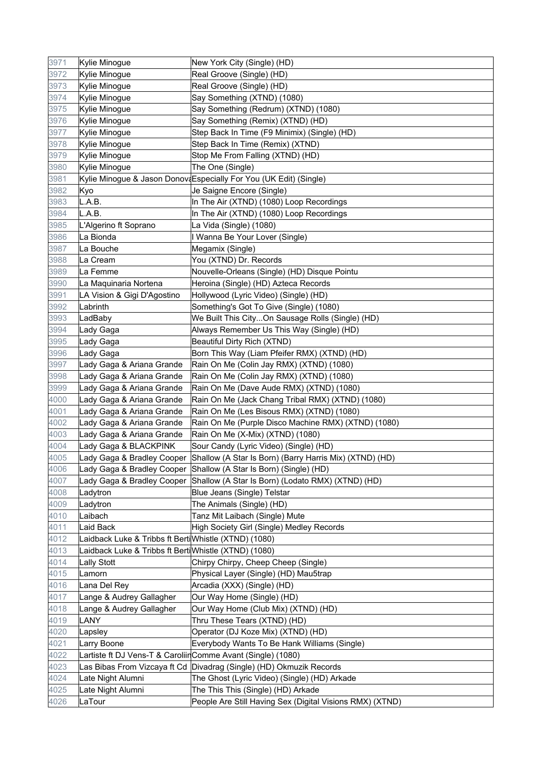| 3971 | Kylie Minogue                                                | New York City (Single) (HD)                                                  |
|------|--------------------------------------------------------------|------------------------------------------------------------------------------|
| 3972 | Kylie Minogue                                                | Real Groove (Single) (HD)                                                    |
| 3973 | Kylie Minogue                                                | Real Groove (Single) (HD)                                                    |
| 3974 | Kylie Minogue                                                | Say Something (XTND) (1080)                                                  |
| 3975 | Kylie Minogue                                                | Say Something (Redrum) (XTND) (1080)                                         |
| 3976 | Kylie Minogue                                                | Say Something (Remix) (XTND) (HD)                                            |
| 3977 | Kylie Minogue                                                | Step Back In Time (F9 Minimix) (Single) (HD)                                 |
| 3978 | Kylie Minogue                                                | Step Back In Time (Remix) (XTND)                                             |
| 3979 | Kylie Minogue                                                | Stop Me From Falling (XTND) (HD)                                             |
| 3980 | Kylie Minogue                                                | The One (Single)                                                             |
| 3981 |                                                              | Kylie Minogue & Jason Donov Especially For You (UK Edit) (Single)            |
| 3982 | Kyo                                                          | Je Saigne Encore (Single)                                                    |
| 3983 | L.A.B.                                                       | In The Air (XTND) (1080) Loop Recordings                                     |
| 3984 | L.A.B.                                                       | In The Air (XTND) (1080) Loop Recordings                                     |
| 3985 | L'Algerino ft Soprano                                        | La Vida (Single) (1080)                                                      |
| 3986 | La Bionda                                                    | I Wanna Be Your Lover (Single)                                               |
| 3987 | La Bouche                                                    | Megamix (Single)                                                             |
| 3988 | La Cream                                                     | You (XTND) Dr. Records                                                       |
| 3989 | La Femme                                                     | Nouvelle-Orleans (Single) (HD) Disque Pointu                                 |
| 3990 | La Maquinaria Nortena                                        | Heroina (Single) (HD) Azteca Records                                         |
| 3991 | LA Vision & Gigi D'Agostino                                  | Hollywood (Lyric Video) (Single) (HD)                                        |
| 3992 | Labrinth                                                     | Something's Got To Give (Single) (1080)                                      |
| 3993 | LadBaby                                                      | We Built This CityOn Sausage Rolls (Single) (HD)                             |
| 3994 | Lady Gaga                                                    | Always Remember Us This Way (Single) (HD)                                    |
| 3995 | Lady Gaga                                                    | Beautiful Dirty Rich (XTND)                                                  |
| 3996 | Lady Gaga                                                    | Born This Way (Liam Pfeifer RMX) (XTND) (HD)                                 |
| 3997 | Lady Gaga & Ariana Grande                                    | Rain On Me (Colin Jay RMX) (XTND) (1080)                                     |
| 3998 | Lady Gaga & Ariana Grande                                    | Rain On Me (Colin Jay RMX) (XTND) (1080)                                     |
| 3999 | Lady Gaga & Ariana Grande                                    | Rain On Me (Dave Aude RMX) (XTND) (1080)                                     |
| 4000 | Lady Gaga & Ariana Grande                                    | Rain On Me (Jack Chang Tribal RMX) (XTND) (1080)                             |
| 4001 | Lady Gaga & Ariana Grande                                    | Rain On Me (Les Bisous RMX) (XTND) (1080)                                    |
| 4002 | Lady Gaga & Ariana Grande                                    | Rain On Me (Purple Disco Machine RMX) (XTND) (1080)                          |
| 4003 | Lady Gaga & Ariana Grande                                    | Rain On Me (X-Mix) (XTND) (1080)                                             |
| 4004 | Lady Gaga & BLACKPINK                                        | Sour Candy (Lyric Video) (Single) (HD)                                       |
| 4005 | Lady Gaga & Bradley Cooper                                   | Shallow (A Star Is Born) (Barry Harris Mix) (XTND) (HD)                      |
| 4006 |                                                              | Lady Gaga & Bradley Cooper Shallow (A Star Is Born) (Single) (HD)            |
| 4007 |                                                              | Lady Gaga & Bradley Cooper Shallow (A Star Is Born) (Lodato RMX) (XTND) (HD) |
| 4008 | Ladytron                                                     | Blue Jeans (Single) Telstar                                                  |
| 4009 | Ladytron                                                     | The Animals (Single) (HD)                                                    |
| 4010 | Laibach                                                      | Tanz Mit Laibach (Single) Mute                                               |
| 4011 | Laid Back                                                    | High Society Girl (Single) Medley Records                                    |
| 4012 | Laidback Luke & Tribbs ft Berti Whistle (XTND) (1080)        |                                                                              |
| 4013 | Laidback Luke & Tribbs ft Berti Whistle (XTND) (1080)        |                                                                              |
| 4014 | <b>Lally Stott</b>                                           | Chirpy Chirpy, Cheep Cheep (Single)                                          |
| 4015 | Lamorn                                                       | Physical Layer (Single) (HD) Mau5trap                                        |
| 4016 | Lana Del Rey                                                 | Arcadia (XXX) (Single) (HD)                                                  |
| 4017 | Lange & Audrey Gallagher                                     | Our Way Home (Single) (HD)                                                   |
| 4018 | Lange & Audrey Gallagher                                     | Our Way Home (Club Mix) (XTND) (HD)                                          |
| 4019 | LANY                                                         | Thru These Tears (XTND) (HD)                                                 |
| 4020 | Lapsley                                                      | Operator (DJ Koze Mix) (XTND) (HD)                                           |
| 4021 | Larry Boone                                                  | Everybody Wants To Be Hank Williams (Single)                                 |
| 4022 | Lartiste ft DJ Vens-T & Caroliir Comme Avant (Single) (1080) |                                                                              |
| 4023 |                                                              | Las Bibas From Vizcaya ft Cd Divadrag (Single) (HD) Okmuzik Records          |
| 4024 | Late Night Alumni                                            | The Ghost (Lyric Video) (Single) (HD) Arkade                                 |
| 4025 | Late Night Alumni                                            | The This This (Single) (HD) Arkade                                           |
| 4026 | LaTour                                                       | People Are Still Having Sex (Digital Visions RMX) (XTND)                     |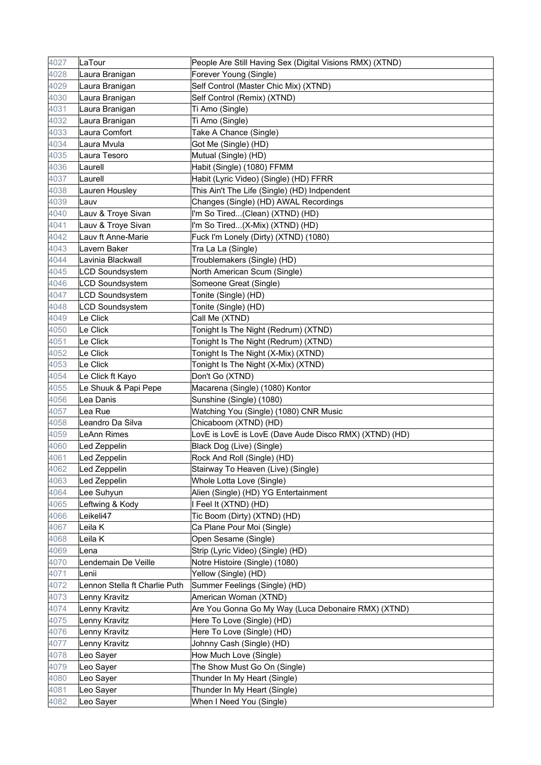| 4027 | LaTour                        | People Are Still Having Sex (Digital Visions RMX) (XTND) |
|------|-------------------------------|----------------------------------------------------------|
| 4028 | Laura Branigan                | Forever Young (Single)                                   |
| 4029 | Laura Branigan                | Self Control (Master Chic Mix) (XTND)                    |
| 4030 | Laura Branigan                | Self Control (Remix) (XTND)                              |
| 4031 | Laura Branigan                | Ti Amo (Single)                                          |
| 4032 | Laura Branigan                | Ti Amo (Single)                                          |
| 4033 | Laura Comfort                 | Take A Chance (Single)                                   |
| 4034 | Laura Mvula                   | Got Me (Single) (HD)                                     |
| 4035 | Laura Tesoro                  | Mutual (Single) (HD)                                     |
| 4036 | Laurell                       | Habit (Single) (1080) FFMM                               |
| 4037 | Laurell                       | Habit (Lyric Video) (Single) (HD) FFRR                   |
| 4038 | Lauren Housley                | This Ain't The Life (Single) (HD) Indpendent             |
| 4039 | Lauv                          | Changes (Single) (HD) AWAL Recordings                    |
| 4040 | Lauv & Troye Sivan            | I'm So Tired(Clean) (XTND) (HD)                          |
| 4041 | Lauv & Troye Sivan            | I'm So Tired(X-Mix) (XTND) (HD)                          |
| 4042 | Lauv ft Anne-Marie            | Fuck I'm Lonely (Dirty) (XTND) (1080)                    |
| 4043 | Lavern Baker                  | Tra La La (Single)                                       |
| 4044 | Lavinia Blackwall             | Troublemakers (Single) (HD)                              |
| 4045 | <b>LCD Soundsystem</b>        | North American Scum (Single)                             |
| 4046 | <b>LCD Soundsystem</b>        | Someone Great (Single)                                   |
| 4047 | <b>LCD Soundsystem</b>        | Tonite (Single) (HD)                                     |
| 4048 | <b>LCD Soundsystem</b>        | Tonite (Single) (HD)                                     |
| 4049 | Le Click                      | Call Me (XTND)                                           |
| 4050 | Le Click                      | Tonight Is The Night (Redrum) (XTND)                     |
| 4051 | Le Click                      | Tonight Is The Night (Redrum) (XTND)                     |
| 4052 | Le Click                      | Tonight Is The Night (X-Mix) (XTND)                      |
| 4053 | Le Click                      | Tonight Is The Night (X-Mix) (XTND)                      |
| 4054 | Le Click ft Kayo              | Don't Go (XTND)                                          |
| 4055 | Le Shuuk & Papi Pepe          | Macarena (Single) (1080) Kontor                          |
| 4056 | Lea Danis                     | Sunshine (Single) (1080)                                 |
| 4057 | Lea Rue                       | Watching You (Single) (1080) CNR Music                   |
| 4058 | Leandro Da Silva              | Chicaboom (XTND) (HD)                                    |
| 4059 | LeAnn Rimes                   | LovE is LovE is LovE (Dave Aude Disco RMX) (XTND) (HD)   |
| 4060 | Led Zeppelin                  | Black Dog (Live) (Single)                                |
| 4061 | Led Zeppelin                  | Rock And Roll (Single) (HD)                              |
| 4062 | Led Zeppelin                  | Stairway To Heaven (Live) (Single)                       |
| 4063 | Led Zeppelin                  | Whole Lotta Love (Single)                                |
| 4064 | Lee Suhyun                    | Alien (Single) (HD) YG Entertainment                     |
| 4065 | Leftwing & Kody               | I Feel It (XTND) (HD)                                    |
| 4066 | Leikeli47                     | Tic Boom (Dirty) (XTND) (HD)                             |
| 4067 | Leila K                       | Ca Plane Pour Moi (Single)                               |
| 4068 | Leila K                       | Open Sesame (Single)                                     |
| 4069 | Lena                          | Strip (Lyric Video) (Single) (HD)                        |
| 4070 | Lendemain De Veille           | Notre Histoire (Single) (1080)                           |
| 4071 | Lenii                         | Yellow (Single) (HD)                                     |
| 4072 | Lennon Stella ft Charlie Puth | Summer Feelings (Single) (HD)                            |
| 4073 | Lenny Kravitz                 | American Woman (XTND)                                    |
| 4074 | Lenny Kravitz                 | Are You Gonna Go My Way (Luca Debonaire RMX) (XTND)      |
| 4075 | Lenny Kravitz                 | Here To Love (Single) (HD)                               |
| 4076 | Lenny Kravitz                 | Here To Love (Single) (HD)                               |
| 4077 | Lenny Kravitz                 | Johnny Cash (Single) (HD)                                |
| 4078 | Leo Sayer                     | How Much Love (Single)                                   |
| 4079 | Leo Sayer                     | The Show Must Go On (Single)                             |
| 4080 | Leo Sayer                     | Thunder In My Heart (Single)                             |
| 4081 | Leo Sayer                     | Thunder In My Heart (Single)                             |
| 4082 | Leo Sayer                     | When I Need You (Single)                                 |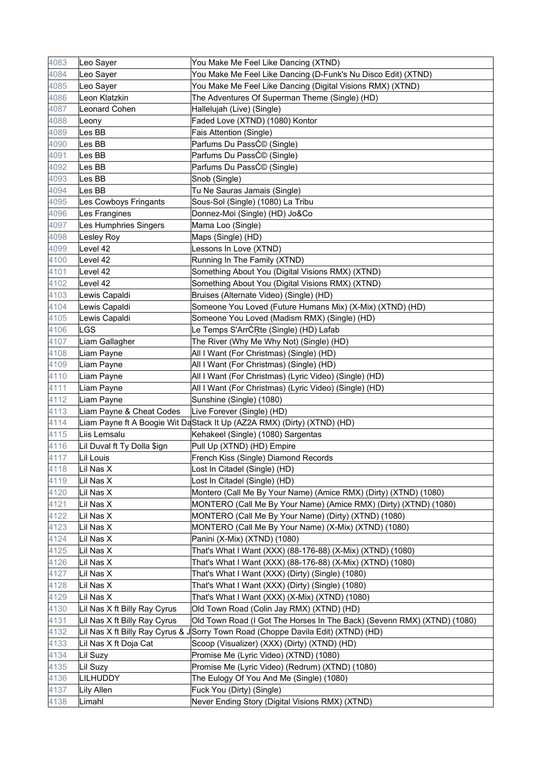| 4083 | Leo Sayer                    | You Make Me Feel Like Dancing (XTND)                                             |
|------|------------------------------|----------------------------------------------------------------------------------|
| 4084 | Leo Sayer                    | You Make Me Feel Like Dancing (D-Funk's Nu Disco Edit) (XTND)                    |
| 4085 | Leo Sayer                    | You Make Me Feel Like Dancing (Digital Visions RMX) (XTND)                       |
| 4086 | Leon Klatzkin                | The Adventures Of Superman Theme (Single) (HD)                                   |
| 4087 | Leonard Cohen                | Hallelujah (Live) (Single)                                                       |
| 4088 | Leony                        | Faded Love (XTND) (1080) Kontor                                                  |
| 4089 | Les BB                       | Fais Attention (Single)                                                          |
| 4090 | Les BB                       | Parfums Du PassƩ (Single)                                                        |
| 4091 | Les BB                       | Parfums Du PassƩ (Single)                                                        |
| 4092 | Les BB                       | Parfums Du PassƩ (Single)                                                        |
| 4093 | Les BB                       | Snob (Single)                                                                    |
| 4094 | Les BB                       | Tu Ne Sauras Jamais (Single)                                                     |
| 4095 | Les Cowboys Fringants        | Sous-Sol (Single) (1080) La Tribu                                                |
| 4096 | Les Frangines                | Donnez-Moi (Single) (HD) Jo&Co                                                   |
| 4097 | Les Humphries Singers        | Mama Loo (Single)                                                                |
| 4098 | Lesley Roy                   | Maps (Single) (HD)                                                               |
| 4099 | Level 42                     | Lessons In Love (XTND)                                                           |
| 4100 | Level 42                     | Running In The Family (XTND)                                                     |
| 4101 | Level 42                     | Something About You (Digital Visions RMX) (XTND)                                 |
| 4102 | Level 42                     | Something About You (Digital Visions RMX) (XTND)                                 |
| 4103 | Lewis Capaldi                | Bruises (Alternate Video) (Single) (HD)                                          |
| 4104 | Lewis Capaldi                | Someone You Loved (Future Humans Mix) (X-Mix) (XTND) (HD)                        |
| 4105 | Lewis Capaldi                | Someone You Loved (Madism RMX) (Single) (HD)                                     |
| 4106 | LGS                          | Le Temps S'ArrĆŖte (Single) (HD) Lafab                                           |
| 4107 | Liam Gallagher               | The River (Why Me Why Not) (Single) (HD)                                         |
| 4108 | Liam Payne                   | All I Want (For Christmas) (Single) (HD)                                         |
| 4109 | Liam Payne                   | All I Want (For Christmas) (Single) (HD)                                         |
| 4110 | Liam Payne                   | All I Want (For Christmas) (Lyric Video) (Single) (HD)                           |
| 4111 | Liam Payne                   | All I Want (For Christmas) (Lyric Video) (Single) (HD)                           |
| 4112 | Liam Payne                   | Sunshine (Single) (1080)                                                         |
| 4113 | Liam Payne & Cheat Codes     | Live Forever (Single) (HD)                                                       |
| 4114 |                              | Liam Payne ft A Boogie Wit DaStack It Up (AZ2A RMX) (Dirty) (XTND) (HD)          |
| 4115 | Liis Lemsalu                 | Kehakeel (Single) (1080) Sargentas                                               |
| 4116 | Lil Duval ft Ty Dolla \$ign  | Pull Up (XTND) (HD) Empire                                                       |
| 4117 | Lil Louis                    | French Kiss (Single) Diamond Records                                             |
| 4118 | Lil Nas X                    | Lost In Citadel (Single) (HD)                                                    |
| 4119 | Lil Nas X                    | Lost In Citadel (Single) (HD)                                                    |
| 4120 | Lil Nas X                    | Montero (Call Me By Your Name) (Amice RMX) (Dirty) (XTND) (1080)                 |
| 4121 | Lil Nas X                    | MONTERO (Call Me By Your Name) (Amice RMX) (Dirty) (XTND) (1080)                 |
| 4122 | Lil Nas X                    | MONTERO (Call Me By Your Name) (Dirty) (XTND) (1080)                             |
| 4123 | Lil Nas X                    | MONTERO (Call Me By Your Name) (X-Mix) (XTND) (1080)                             |
| 4124 | Lil Nas X                    | Panini (X-Mix) (XTND) (1080)                                                     |
| 4125 | Lil Nas X                    | That's What I Want (XXX) (88-176-88) (X-Mix) (XTND) (1080)                       |
| 4126 | Lil Nas X                    | That's What I Want (XXX) (88-176-88) (X-Mix) (XTND) (1080)                       |
| 4127 | Lil Nas X                    | That's What I Want (XXX) (Dirty) (Single) (1080)                                 |
| 4128 | Lil Nas X                    | That's What I Want (XXX) (Dirty) (Single) (1080)                                 |
| 4129 | Lil Nas X                    | That's What I Want (XXX) (X-Mix) (XTND) (1080)                                   |
| 4130 | Lil Nas X ft Billy Ray Cyrus | Old Town Road (Colin Jay RMX) (XTND) (HD)                                        |
| 4131 | Lil Nas X ft Billy Ray Cyrus | Old Town Road (I Got The Horses In The Back) (Sevenn RMX) (XTND) (1080)          |
| 4132 |                              | Lil Nas X ft Billy Ray Cyrus & JSorry Town Road (Choppe Davila Edit) (XTND) (HD) |
| 4133 | Lil Nas X ft Doja Cat        | Scoop (Visualizer) (XXX) (Dirty) (XTND) (HD)                                     |
| 4134 | Lil Suzy                     | Promise Me (Lyric Video) (XTND) (1080)                                           |
| 4135 | Lil Suzy                     | Promise Me (Lyric Video) (Redrum) (XTND) (1080)                                  |
| 4136 | LILHUDDY                     | The Eulogy Of You And Me (Single) (1080)                                         |
| 4137 | Lily Allen                   | Fuck You (Dirty) (Single)                                                        |
| 4138 | Limahl                       | Never Ending Story (Digital Visions RMX) (XTND)                                  |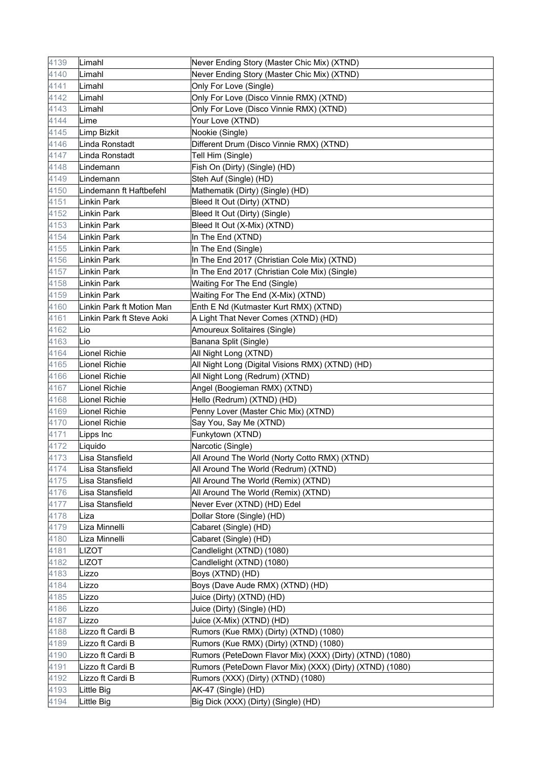| 4139 | Limahl                    | Never Ending Story (Master Chic Mix) (XTND)              |
|------|---------------------------|----------------------------------------------------------|
| 4140 | Limahl                    | Never Ending Story (Master Chic Mix) (XTND)              |
| 4141 | Limahl                    | Only For Love (Single)                                   |
| 4142 | Limahl                    | Only For Love (Disco Vinnie RMX) (XTND)                  |
| 4143 | Limahl                    | Only For Love (Disco Vinnie RMX) (XTND)                  |
| 4144 | Lime                      | Your Love (XTND)                                         |
| 4145 | Limp Bizkit               | Nookie (Single)                                          |
| 4146 | Linda Ronstadt            | Different Drum (Disco Vinnie RMX) (XTND)                 |
| 4147 | Linda Ronstadt            | Tell Him (Single)                                        |
| 4148 | Lindemann                 | Fish On (Dirty) (Single) (HD)                            |
| 4149 | Lindemann                 | Steh Auf (Single) (HD)                                   |
| 4150 | Lindemann ft Haftbefehl   | Mathematik (Dirty) (Single) (HD)                         |
| 4151 | Linkin Park               | Bleed It Out (Dirty) (XTND)                              |
| 4152 | Linkin Park               | Bleed It Out (Dirty) (Single)                            |
| 4153 | Linkin Park               | Bleed It Out (X-Mix) (XTND)                              |
| 4154 | Linkin Park               | In The End (XTND)                                        |
| 4155 | Linkin Park               | In The End (Single)                                      |
| 4156 | Linkin Park               | In The End 2017 (Christian Cole Mix) (XTND)              |
| 4157 | Linkin Park               | In The End 2017 (Christian Cole Mix) (Single)            |
| 4158 | Linkin Park               | Waiting For The End (Single)                             |
| 4159 | Linkin Park               | Waiting For The End (X-Mix) (XTND)                       |
| 4160 | Linkin Park ft Motion Man | Enth E Nd (Kutmaster Kurt RMX) (XTND)                    |
| 4161 | Linkin Park ft Steve Aoki | A Light That Never Comes (XTND) (HD)                     |
| 4162 | Lio                       | Amoureux Solitaires (Single)                             |
| 4163 | Lio                       | Banana Split (Single)                                    |
| 4164 | Lionel Richie             | All Night Long (XTND)                                    |
| 4165 | Lionel Richie             | All Night Long (Digital Visions RMX) (XTND) (HD)         |
| 4166 | Lionel Richie             | All Night Long (Redrum) (XTND)                           |
| 4167 | <b>Lionel Richie</b>      | Angel (Boogieman RMX) (XTND)                             |
| 4168 | Lionel Richie             | Hello (Redrum) (XTND) (HD)                               |
| 4169 | Lionel Richie             | Penny Lover (Master Chic Mix) (XTND)                     |
| 4170 | Lionel Richie             | Say You, Say Me (XTND)                                   |
| 4171 | Lipps Inc                 | Funkytown (XTND)                                         |
| 4172 | Liquido                   | Narcotic (Single)                                        |
| 4173 | Lisa Stansfield           | All Around The World (Norty Cotto RMX) (XTND)            |
| 4174 | Lisa Stansfield           | All Around The World (Redrum) (XTND)                     |
| 4175 | Lisa Stansfield           | All Around The World (Remix) (XTND)                      |
| 4176 | Lisa Stansfield           | All Around The World (Remix) (XTND)                      |
| 4177 | Lisa Stansfield           | Never Ever (XTND) (HD) Edel                              |
| 4178 | Liza                      | Dollar Store (Single) (HD)                               |
| 4179 | Liza Minnelli             | Cabaret (Single) (HD)                                    |
| 4180 | Liza Minnelli             | Cabaret (Single) (HD)                                    |
| 4181 | <b>LIZOT</b>              | Candlelight (XTND) (1080)                                |
| 4182 | LIZOT                     | Candlelight (XTND) (1080)                                |
| 4183 | Lizzo                     | Boys (XTND) (HD)                                         |
| 4184 | Lizzo                     | Boys (Dave Aude RMX) (XTND) (HD)                         |
| 4185 | Lizzo                     | Juice (Dirty) (XTND) (HD)                                |
| 4186 | Lizzo                     | Juice (Dirty) (Single) (HD)                              |
| 4187 | Lizzo                     | Juice (X-Mix) (XTND) (HD)                                |
| 4188 | Lizzo ft Cardi B          | Rumors (Kue RMX) (Dirty) (XTND) (1080)                   |
| 4189 | Lizzo ft Cardi B          | Rumors (Kue RMX) (Dirty) (XTND) (1080)                   |
| 4190 | Lizzo ft Cardi B          | Rumors (PeteDown Flavor Mix) (XXX) (Dirty) (XTND) (1080) |
| 4191 | Lizzo ft Cardi B          | Rumors (PeteDown Flavor Mix) (XXX) (Dirty) (XTND) (1080) |
| 4192 | Lizzo ft Cardi B          | Rumors (XXX) (Dirty) (XTND) (1080)                       |
| 4193 | Little Big                | AK-47 (Single) (HD)                                      |
| 4194 | Little Big                | Big Dick (XXX) (Dirty) (Single) (HD)                     |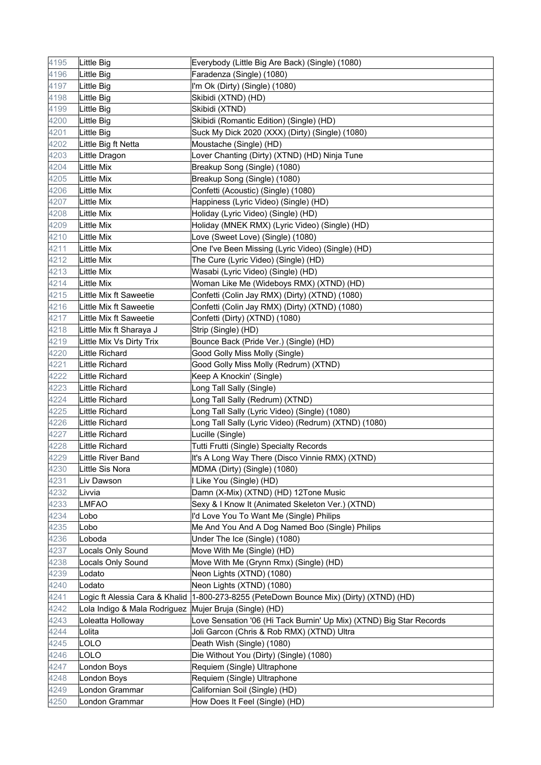| 4195 | Little Big                     | Everybody (Little Big Are Back) (Single) (1080)                     |
|------|--------------------------------|---------------------------------------------------------------------|
| 4196 | Little Big                     | Faradenza (Single) (1080)                                           |
| 4197 | Little Big                     | I'm Ok (Dirty) (Single) (1080)                                      |
| 4198 | Little Big                     | Skibidi (XTND) (HD)                                                 |
| 4199 | Little Big                     | Skibidi (XTND)                                                      |
| 4200 | Little Big                     | Skibidi (Romantic Edition) (Single) (HD)                            |
| 4201 | Little Big                     | Suck My Dick 2020 (XXX) (Dirty) (Single) (1080)                     |
| 4202 | Little Big ft Netta            | Moustache (Single) (HD)                                             |
| 4203 | Little Dragon                  | Lover Chanting (Dirty) (XTND) (HD) Ninja Tune                       |
| 4204 | Little Mix                     | Breakup Song (Single) (1080)                                        |
| 4205 | Little Mix                     | Breakup Song (Single) (1080)                                        |
| 4206 | Little Mix                     | Confetti (Acoustic) (Single) (1080)                                 |
| 4207 | Little Mix                     | Happiness (Lyric Video) (Single) (HD)                               |
| 4208 | Little Mix                     | Holiday (Lyric Video) (Single) (HD)                                 |
| 4209 | Little Mix                     | Holiday (MNEK RMX) (Lyric Video) (Single) (HD)                      |
| 4210 | Little Mix                     | Love (Sweet Love) (Single) (1080)                                   |
| 4211 | Little Mix                     | One I've Been Missing (Lyric Video) (Single) (HD)                   |
| 4212 | Little Mix                     | The Cure (Lyric Video) (Single) (HD)                                |
| 4213 | Little Mix                     | Wasabi (Lyric Video) (Single) (HD)                                  |
| 4214 | Little Mix                     | Woman Like Me (Wideboys RMX) (XTND) (HD)                            |
| 4215 | Little Mix ft Saweetie         | Confetti (Colin Jay RMX) (Dirty) (XTND) (1080)                      |
| 4216 | Little Mix ft Saweetie         | Confetti (Colin Jay RMX) (Dirty) (XTND) (1080)                      |
| 4217 | Little Mix ft Saweetie         | Confetti (Dirty) (XTND) (1080)                                      |
| 4218 | Little Mix ft Sharaya J        | Strip (Single) (HD)                                                 |
| 4219 | Little Mix Vs Dirty Trix       | Bounce Back (Pride Ver.) (Single) (HD)                              |
| 4220 | Little Richard                 | Good Golly Miss Molly (Single)                                      |
| 4221 | Little Richard                 | Good Golly Miss Molly (Redrum) (XTND)                               |
| 4222 | Little Richard                 | Keep A Knockin' (Single)                                            |
| 4223 | Little Richard                 | Long Tall Sally (Single)                                            |
| 4224 | Little Richard                 | Long Tall Sally (Redrum) (XTND)                                     |
| 4225 | <b>Little Richard</b>          | Long Tall Sally (Lyric Video) (Single) (1080)                       |
| 4226 | Little Richard                 | Long Tall Sally (Lyric Video) (Redrum) (XTND) (1080)                |
| 4227 | Little Richard                 | Lucille (Single)                                                    |
| 4228 | Little Richard                 | Tutti Frutti (Single) Specialty Records                             |
| 4229 | Little River Band              | It's A Long Way There (Disco Vinnie RMX) (XTND)                     |
| 4230 | Little Sis Nora                | MDMA (Dirty) (Single) (1080)                                        |
| 4231 | Liv Dawson                     | I Like You (Single) (HD)                                            |
| 4232 | Livvia                         | Damn (X-Mix) (XTND) (HD) 12Tone Music                               |
| 4233 | <b>LMFAO</b>                   | Sexy & I Know It (Animated Skeleton Ver.) (XTND)                    |
| 4234 | Lobo                           | I'd Love You To Want Me (Single) Philips                            |
| 4235 | Lobo                           | Me And You And A Dog Named Boo (Single) Philips                     |
| 4236 | Loboda                         | Under The Ice (Single) (1080)                                       |
| 4237 | Locals Only Sound              | Move With Me (Single) (HD)                                          |
| 4238 | Locals Only Sound              | Move With Me (Grynn Rmx) (Single) (HD)                              |
| 4239 | Lodato                         | Neon Lights (XTND) (1080)                                           |
| 4240 | Lodato                         | Neon Lights (XTND) (1080)                                           |
| 4241 | Logic ft Alessia Cara & Khalid | 1-800-273-8255 (PeteDown Bounce Mix) (Dirty) (XTND) (HD)            |
| 4242 | Lola Indigo & Mala Rodriguez   | Mujer Bruja (Single) (HD)                                           |
| 4243 | Loleatta Holloway              | Love Sensation '06 (Hi Tack Burnin' Up Mix) (XTND) Big Star Records |
| 4244 | Lolita                         | Joli Garcon (Chris & Rob RMX) (XTND) Ultra                          |
| 4245 | LOLO                           | Death Wish (Single) (1080)                                          |
| 4246 | LOLO                           | Die Without You (Dirty) (Single) (1080)                             |
| 4247 | London Boys                    | Requiem (Single) Ultraphone                                         |
| 4248 | London Boys                    | Requiem (Single) Ultraphone                                         |
| 4249 | London Grammar                 | Californian Soil (Single) (HD)                                      |
| 4250 | London Grammar                 | How Does It Feel (Single) (HD)                                      |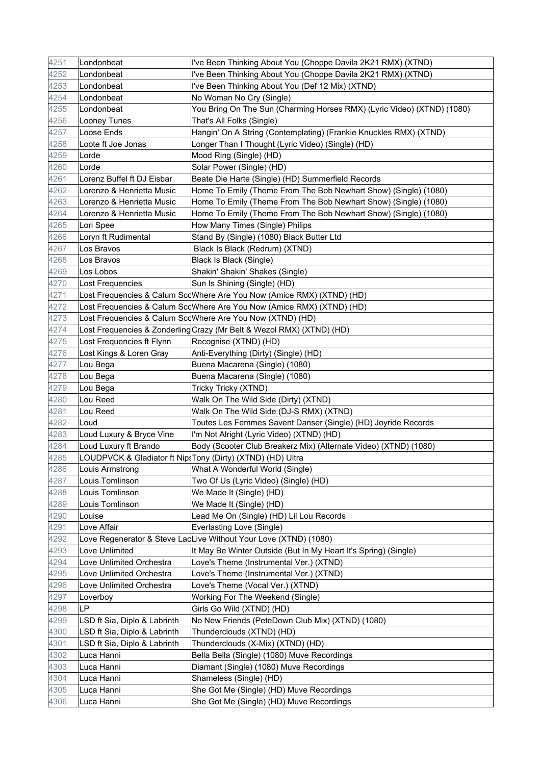| 4251 | Londonbeat                   | I've Been Thinking About You (Choppe Davila 2K21 RMX) (XTND)           |
|------|------------------------------|------------------------------------------------------------------------|
| 4252 | Londonbeat                   | I've Been Thinking About You (Choppe Davila 2K21 RMX) (XTND)           |
| 4253 | Londonbeat                   | I've Been Thinking About You (Def 12 Mix) (XTND)                       |
| 4254 | Londonbeat                   | No Woman No Cry (Single)                                               |
| 4255 | Londonbeat                   | You Bring On The Sun (Charming Horses RMX) (Lyric Video) (XTND) (1080) |
| 4256 | Looney Tunes                 | That's All Folks (Single)                                              |
| 4257 | Loose Ends                   | Hangin' On A String (Contemplating) (Frankie Knuckles RMX) (XTND)      |
| 4258 | Loote ft Joe Jonas           | Longer Than I Thought (Lyric Video) (Single) (HD)                      |
| 4259 | Lorde                        | Mood Ring (Single) (HD)                                                |
| 4260 | Lorde                        | Solar Power (Single) (HD)                                              |
| 4261 | Lorenz Buffel ft DJ Eisbar   | Beate Die Harte (Single) (HD) Summerfield Records                      |
| 4262 | Lorenzo & Henrietta Music    | Home To Emily (Theme From The Bob Newhart Show) (Single) (1080)        |
| 4263 | Lorenzo & Henrietta Music    | Home To Emily (Theme From The Bob Newhart Show) (Single) (1080)        |
| 4264 | Lorenzo & Henrietta Music    | Home To Emily (Theme From The Bob Newhart Show) (Single) (1080)        |
| 4265 | Lori Spee                    | How Many Times (Single) Philips                                        |
| 4266 | Loryn ft Rudimental          | Stand By (Single) (1080) Black Butter Ltd                              |
| 4267 | Los Bravos                   | Black Is Black (Redrum) (XTND)                                         |
| 4268 | Los Bravos                   | Black Is Black (Single)                                                |
| 4269 | Los Lobos                    | Shakin' Shakin' Shakes (Single)                                        |
| 4270 | Lost Frequencies             | Sun Is Shining (Single) (HD)                                           |
| 4271 |                              | Lost Frequencies & Calum ScoWhere Are You Now (Amice RMX) (XTND) (HD)  |
| 4272 |                              | Lost Frequencies & Calum ScqWhere Are You Now (Amice RMX) (XTND) (HD)  |
| 4273 |                              | Lost Frequencies & Calum ScdWhere Are You Now (XTND) (HD)              |
| 4274 |                              | Lost Frequencies & Zonderling Crazy (Mr Belt & Wezol RMX) (XTND) (HD)  |
| 4275 | Lost Frequencies ft Flynn    | Recognise (XTND) (HD)                                                  |
| 4276 | Lost Kings & Loren Gray      | Anti-Everything (Dirty) (Single) (HD)                                  |
| 4277 | Lou Bega                     | Buena Macarena (Single) (1080)                                         |
| 4278 | Lou Bega                     | Buena Macarena (Single) (1080)                                         |
| 4279 | Lou Bega                     | Tricky Tricky (XTND)                                                   |
| 4280 | Lou Reed                     | Walk On The Wild Side (Dirty) (XTND)                                   |
| 4281 | Lou Reed                     | Walk On The Wild Side (DJ-S RMX) (XTND)                                |
| 4282 | Loud                         | Toutes Les Femmes Savent Danser (Single) (HD) Joyride Records          |
| 4283 | Loud Luxury & Bryce Vine     | I'm Not Alright (Lyric Video) (XTND) (HD)                              |
| 4284 | Loud Luxury ft Brando        | Body (Scooter Club Breakerz Mix) (Alternate Video) (XTND) (1080)       |
| 4285 |                              | LOUDPVCK & Gladiator ft NipsTony (Dirty) (XTND) (HD) Ultra             |
| 4286 | Louis Armstrong              | What A Wonderful World (Single)                                        |
| 4287 | Louis Tomlinson              | Two Of Us (Lyric Video) (Single) (HD)                                  |
| 4288 | Louis Tomlinson              | We Made It (Single) (HD)                                               |
| 4289 | Louis Tomlinson              | We Made It (Single) (HD)                                               |
| 4290 | Louise                       | Lead Me On (Single) (HD) Lil Lou Records                               |
| 4291 | Love Affair                  | Everlasting Love (Single)                                              |
| 4292 |                              | Love Regenerator & Steve LacLive Without Your Love (XTND) (1080)       |
| 4293 | Love Unlimited               | It May Be Winter Outside (But In My Heart It's Spring) (Single)        |
| 4294 | Love Unlimited Orchestra     | Love's Theme (Instrumental Ver.) (XTND)                                |
| 4295 | Love Unlimited Orchestra     | Love's Theme (Instrumental Ver.) (XTND)                                |
| 4296 | Love Unlimited Orchestra     | Love's Theme (Vocal Ver.) (XTND)                                       |
| 4297 | Loverboy                     | Working For The Weekend (Single)                                       |
| 4298 | LP                           | Girls Go Wild (XTND) (HD)                                              |
| 4299 | LSD ft Sia, Diplo & Labrinth | No New Friends (PeteDown Club Mix) (XTND) (1080)                       |
| 4300 | LSD ft Sia, Diplo & Labrinth | Thunderclouds (XTND) (HD)                                              |
| 4301 | LSD ft Sia, Diplo & Labrinth | Thunderclouds (X-Mix) (XTND) (HD)                                      |
| 4302 | Luca Hanni                   | Bella Bella (Single) (1080) Muve Recordings                            |
| 4303 | Luca Hanni                   | Diamant (Single) (1080) Muve Recordings                                |
| 4304 | Luca Hanni                   | Shameless (Single) (HD)                                                |
| 4305 | Luca Hanni                   | She Got Me (Single) (HD) Muve Recordings                               |
| 4306 | Luca Hanni                   | She Got Me (Single) (HD) Muve Recordings                               |
|      |                              |                                                                        |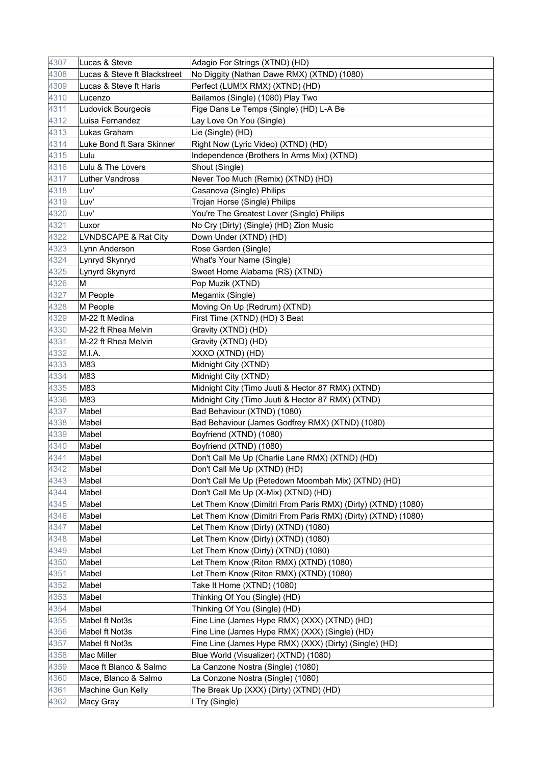| 4307 | Lucas & Steve                | Adagio For Strings (XTND) (HD)                               |
|------|------------------------------|--------------------------------------------------------------|
| 4308 | Lucas & Steve ft Blackstreet | No Diggity (Nathan Dawe RMX) (XTND) (1080)                   |
| 4309 | Lucas & Steve ft Haris       | Perfect (LUM!X RMX) (XTND) (HD)                              |
| 4310 | Lucenzo                      | Bailamos (Single) (1080) Play Two                            |
| 4311 | Ludovick Bourgeois           | Fige Dans Le Temps (Single) (HD) L-A Be                      |
| 4312 | Luisa Fernandez              | Lay Love On You (Single)                                     |
| 4313 | Lukas Graham                 | Lie (Single) (HD)                                            |
| 4314 | Luke Bond ft Sara Skinner    | Right Now (Lyric Video) (XTND) (HD)                          |
| 4315 | Lulu                         | Independence (Brothers In Arms Mix) (XTND)                   |
| 4316 | Lulu & The Lovers            | Shout (Single)                                               |
| 4317 | Luther Vandross              | Never Too Much (Remix) (XTND) (HD)                           |
| 4318 | Luv'                         | Casanova (Single) Philips                                    |
| 4319 | Luv'                         | Trojan Horse (Single) Philips                                |
| 4320 | Luv'                         | You're The Greatest Lover (Single) Philips                   |
| 4321 | Luxor                        | No Cry (Dirty) (Single) (HD) Zion Music                      |
| 4322 | LVNDSCAPE & Rat City         | Down Under (XTND) (HD)                                       |
| 4323 | Lynn Anderson                | Rose Garden (Single)                                         |
| 4324 | Lynryd Skynryd               | What's Your Name (Single)                                    |
| 4325 | Lynyrd Skynyrd               | Sweet Home Alabama (RS) (XTND)                               |
| 4326 | M                            | Pop Muzik (XTND)                                             |
| 4327 | M People                     | Megamix (Single)                                             |
| 4328 | M People                     | Moving On Up (Redrum) (XTND)                                 |
| 4329 | M-22 ft Medina               | First Time (XTND) (HD) 3 Beat                                |
| 4330 | M-22 ft Rhea Melvin          | Gravity (XTND) (HD)                                          |
| 4331 | M-22 ft Rhea Melvin          | Gravity (XTND) (HD)                                          |
| 4332 | M.I.A.                       | XXXO (XTND) (HD)                                             |
| 4333 | M83                          | Midnight City (XTND)                                         |
| 4334 | M83                          | Midnight City (XTND)                                         |
| 4335 | M83                          | Midnight City (Timo Juuti & Hector 87 RMX) (XTND)            |
| 4336 | M83                          | Midnight City (Timo Juuti & Hector 87 RMX) (XTND)            |
| 4337 | Mabel                        | Bad Behaviour (XTND) (1080)                                  |
| 4338 | Mabel                        | Bad Behaviour (James Godfrey RMX) (XTND) (1080)              |
| 4339 | Mabel                        | Boyfriend (XTND) (1080)                                      |
| 4340 | Mabel                        | Boyfriend (XTND) (1080)                                      |
| 4341 | Mabel                        | Don't Call Me Up (Charlie Lane RMX) (XTND) (HD)              |
| 4342 | Mabel                        | Don't Call Me Up (XTND) (HD)                                 |
| 4343 | Mabel                        | Don't Call Me Up (Petedown Moombah Mix) (XTND) (HD)          |
| 4344 | Mabel                        | Don't Call Me Up (X-Mix) (XTND) (HD)                         |
| 4345 | Mabel                        | Let Them Know (Dimitri From Paris RMX) (Dirty) (XTND) (1080) |
| 4346 | Mabel                        | Let Them Know (Dimitri From Paris RMX) (Dirty) (XTND) (1080) |
| 4347 | Mabel                        | Let Them Know (Dirty) (XTND) (1080)                          |
| 4348 | Mabel                        | Let Them Know (Dirty) (XTND) (1080)                          |
| 4349 | Mabel                        | Let Them Know (Dirty) (XTND) (1080)                          |
| 4350 | Mabel                        | Let Them Know (Riton RMX) (XTND) (1080)                      |
| 4351 | Mabel                        | Let Them Know (Riton RMX) (XTND) (1080)                      |
| 4352 | Mabel                        | Take It Home (XTND) (1080)                                   |
| 4353 | Mabel                        | Thinking Of You (Single) (HD)                                |
| 4354 | Mabel                        | Thinking Of You (Single) (HD)                                |
| 4355 | Mabel ft Not3s               | Fine Line (James Hype RMX) (XXX) (XTND) (HD)                 |
| 4356 | Mabel ft Not3s               | Fine Line (James Hype RMX) (XXX) (Single) (HD)               |
| 4357 | Mabel ft Not3s               | Fine Line (James Hype RMX) (XXX) (Dirty) (Single) (HD)       |
| 4358 | Mac Miller                   | Blue World (Visualizer) (XTND) (1080)                        |
| 4359 | Mace ft Blanco & Salmo       | La Canzone Nostra (Single) (1080)                            |
| 4360 | Mace, Blanco & Salmo         | La Conzone Nostra (Single) (1080)                            |
| 4361 | Machine Gun Kelly            | The Break Up (XXX) (Dirty) (XTND) (HD)                       |
| 4362 | Macy Gray                    | I Try (Single)                                               |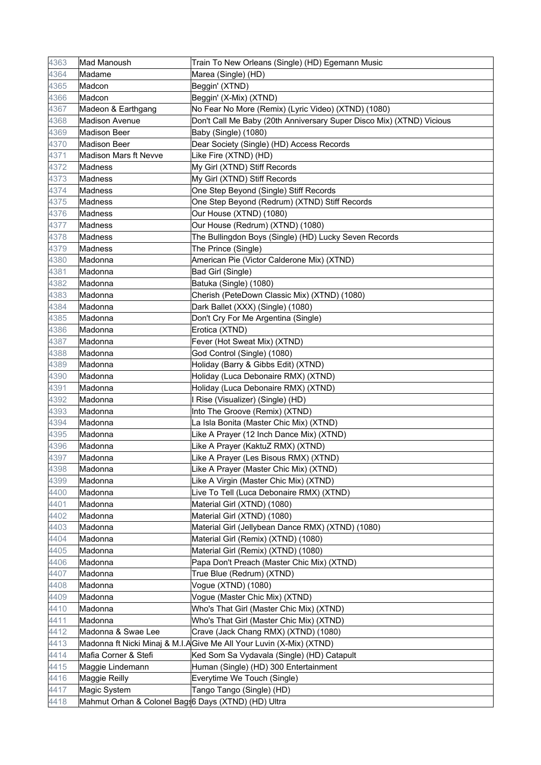| 4363 | Mad Manoush                                          | Train To New Orleans (Single) (HD) Egemann Music                     |
|------|------------------------------------------------------|----------------------------------------------------------------------|
| 4364 | Madame                                               | Marea (Single) (HD)                                                  |
| 4365 | Madcon                                               | Beggin' (XTND)                                                       |
| 4366 | Madcon                                               | Beggin' (X-Mix) (XTND)                                               |
| 4367 | Madeon & Earthgang                                   | No Fear No More (Remix) (Lyric Video) (XTND) (1080)                  |
| 4368 | Madison Avenue                                       | Don't Call Me Baby (20th Anniversary Super Disco Mix) (XTND) Vicious |
| 4369 | <b>Madison Beer</b>                                  | Baby (Single) (1080)                                                 |
| 4370 | <b>Madison Beer</b>                                  | Dear Society (Single) (HD) Access Records                            |
| 4371 | <b>Madison Mars ft Nevve</b>                         | Like Fire (XTND) (HD)                                                |
| 4372 | Madness                                              | My Girl (XTND) Stiff Records                                         |
| 4373 | Madness                                              | My Girl (XTND) Stiff Records                                         |
| 4374 | Madness                                              | One Step Beyond (Single) Stiff Records                               |
| 4375 | Madness                                              | One Step Beyond (Redrum) (XTND) Stiff Records                        |
| 4376 | <b>Madness</b>                                       | Our House (XTND) (1080)                                              |
| 4377 | Madness                                              | Our House (Redrum) (XTND) (1080)                                     |
| 4378 | <b>Madness</b>                                       | The Bullingdon Boys (Single) (HD) Lucky Seven Records                |
| 4379 | Madness                                              | The Prince (Single)                                                  |
| 4380 | Madonna                                              | American Pie (Victor Calderone Mix) (XTND)                           |
| 4381 | Madonna                                              | Bad Girl (Single)                                                    |
| 4382 | Madonna                                              | Batuka (Single) (1080)                                               |
| 4383 | Madonna                                              | Cherish (PeteDown Classic Mix) (XTND) (1080)                         |
| 4384 | Madonna                                              | Dark Ballet (XXX) (Single) (1080)                                    |
| 4385 | Madonna                                              | Don't Cry For Me Argentina (Single)                                  |
| 4386 | Madonna                                              | Erotica (XTND)                                                       |
| 4387 | Madonna                                              | Fever (Hot Sweat Mix) (XTND)                                         |
| 4388 | Madonna                                              | God Control (Single) (1080)                                          |
| 4389 | Madonna                                              | Holiday (Barry & Gibbs Edit) (XTND)                                  |
| 4390 | Madonna                                              | Holiday (Luca Debonaire RMX) (XTND)                                  |
| 4391 | Madonna                                              | Holiday (Luca Debonaire RMX) (XTND)                                  |
| 4392 | Madonna                                              | I Rise (Visualizer) (Single) (HD)                                    |
| 4393 | Madonna                                              | Into The Groove (Remix) (XTND)                                       |
| 4394 | Madonna                                              | La Isla Bonita (Master Chic Mix) (XTND)                              |
| 4395 | Madonna                                              | Like A Prayer (12 Inch Dance Mix) (XTND)                             |
| 4396 | Madonna                                              | Like A Prayer (KaktuZ RMX) (XTND)                                    |
| 4397 | Madonna                                              | Like A Prayer (Les Bisous RMX) (XTND)                                |
| 4398 | Madonna                                              | Like A Prayer (Master Chic Mix) (XTND)                               |
| 4399 | Madonna                                              | Like A Virgin (Master Chic Mix) (XTND)                               |
| 4400 | Madonna                                              | Live To Tell (Luca Debonaire RMX) (XTND)                             |
| 4401 | Madonna                                              | Material Girl (XTND) (1080)                                          |
| 4402 | Madonna                                              | Material Girl (XTND) (1080)                                          |
| 4403 | Madonna                                              | Material Girl (Jellybean Dance RMX) (XTND) (1080)                    |
| 4404 | Madonna                                              | Material Girl (Remix) (XTND) (1080)                                  |
| 4405 | Madonna                                              | Material Girl (Remix) (XTND) (1080)                                  |
| 4406 | Madonna                                              | Papa Don't Preach (Master Chic Mix) (XTND)                           |
| 4407 | Madonna                                              | True Blue (Redrum) (XTND)                                            |
| 4408 | Madonna                                              | Vogue (XTND) (1080)                                                  |
| 4409 | Madonna                                              | Vogue (Master Chic Mix) (XTND)                                       |
| 4410 | Madonna                                              | Who's That Girl (Master Chic Mix) (XTND)                             |
| 4411 | Madonna                                              | Who's That Girl (Master Chic Mix) (XTND)                             |
| 4412 | Madonna & Swae Lee                                   | Crave (Jack Chang RMX) (XTND) (1080)                                 |
| 4413 |                                                      | Madonna ft Nicki Minaj & M.I.A Give Me All Your Luvin (X-Mix) (XTND) |
| 4414 | Mafia Corner & Stefi                                 | Ked Som Sa Vydavala (Single) (HD) Catapult                           |
| 4415 | Maggie Lindemann                                     | Human (Single) (HD) 300 Entertainment                                |
| 4416 | Maggie Reilly                                        | Everytime We Touch (Single)                                          |
| 4417 | Magic System                                         | Tango Tango (Single) (HD)                                            |
| 4418 | Mahmut Orhan & Colonel Bags 6 Days (XTND) (HD) Ultra |                                                                      |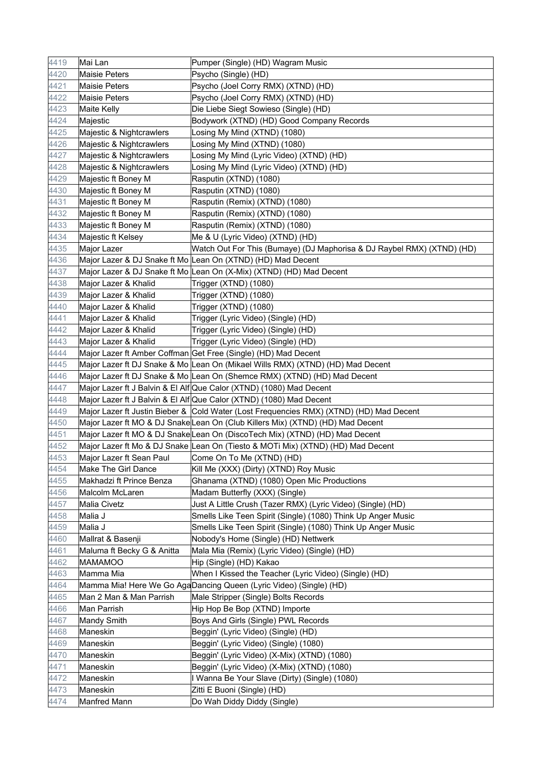| 4419 | Mai Lan                    | Pumper (Single) (HD) Wagram Music                                                       |
|------|----------------------------|-----------------------------------------------------------------------------------------|
| 4420 | Maisie Peters              | Psycho (Single) (HD)                                                                    |
| 4421 | Maisie Peters              | Psycho (Joel Corry RMX) (XTND) (HD)                                                     |
| 4422 | Maisie Peters              | Psycho (Joel Corry RMX) (XTND) (HD)                                                     |
| 4423 | <b>Maite Kelly</b>         | Die Liebe Siegt Sowieso (Single) (HD)                                                   |
| 4424 | Majestic                   | Bodywork (XTND) (HD) Good Company Records                                               |
| 4425 | Majestic & Nightcrawlers   | Losing My Mind (XTND) (1080)                                                            |
| 4426 | Majestic & Nightcrawlers   | Losing My Mind (XTND) (1080)                                                            |
| 4427 | Majestic & Nightcrawlers   | Losing My Mind (Lyric Video) (XTND) (HD)                                                |
| 4428 | Majestic & Nightcrawlers   | Losing My Mind (Lyric Video) (XTND) (HD)                                                |
| 4429 | Majestic ft Boney M        | Rasputin (XTND) (1080)                                                                  |
| 4430 | Majestic ft Boney M        | Rasputin (XTND) (1080)                                                                  |
| 4431 | Majestic ft Boney M        | Rasputin (Remix) (XTND) (1080)                                                          |
| 4432 | Majestic ft Boney M        | Rasputin (Remix) (XTND) (1080)                                                          |
| 4433 | Majestic ft Boney M        | Rasputin (Remix) (XTND) (1080)                                                          |
| 4434 | Majestic ft Kelsey         | Me & U (Lyric Video) (XTND) (HD)                                                        |
| 4435 | Major Lazer                | Watch Out For This (Bumaye) (DJ Maphorisa & DJ Raybel RMX) (XTND) (HD)                  |
| 4436 |                            | Major Lazer & DJ Snake ft Mo Lean On (XTND) (HD) Mad Decent                             |
| 4437 |                            | Major Lazer & DJ Snake ft Mo Lean On (X-Mix) (XTND) (HD) Mad Decent                     |
| 4438 | Major Lazer & Khalid       | Trigger (XTND) (1080)                                                                   |
| 4439 | Major Lazer & Khalid       | Trigger (XTND) (1080)                                                                   |
| 4440 | Major Lazer & Khalid       | Trigger (XTND) (1080)                                                                   |
| 4441 | Major Lazer & Khalid       | Trigger (Lyric Video) (Single) (HD)                                                     |
| 4442 | Major Lazer & Khalid       | Trigger (Lyric Video) (Single) (HD)                                                     |
| 4443 | Major Lazer & Khalid       | Trigger (Lyric Video) (Single) (HD)                                                     |
| 4444 |                            | Major Lazer ft Amber Coffman Get Free (Single) (HD) Mad Decent                          |
| 4445 |                            | Major Lazer ft DJ Snake & Mo Lean On (Mikael Wills RMX) (XTND) (HD) Mad Decent          |
| 4446 |                            | Major Lazer ft DJ Snake & Mo Lean On (Shemce RMX) (XTND) (HD) Mad Decent                |
| 4447 |                            | Major Lazer ft J Balvin & El Alf Que Calor (XTND) (1080) Mad Decent                     |
| 4448 |                            | Major Lazer ft J Balvin & El Alf Que Calor (XTND) (1080) Mad Decent                     |
| 4449 |                            | Major Lazer ft Justin Bieber & Cold Water (Lost Frequencies RMX) (XTND) (HD) Mad Decent |
| 4450 |                            | Major Lazer ft MO & DJ SnakeLean On (Club Killers Mix) (XTND) (HD) Mad Decent           |
| 4451 |                            | Major Lazer ft MO & DJ Snake Lean On (DiscoTech Mix) (XTND) (HD) Mad Decent             |
| 4452 |                            | Major Lazer ft Mo & DJ Snake Lean On (Tiesto & MOTi Mix) (XTND) (HD) Mad Decent         |
| 4453 | Major Lazer ft Sean Paul   | Come On To Me (XTND) (HD)                                                               |
| 4454 | Make The Girl Dance        | Kill Me (XXX) (Dirty) (XTND) Roy Music                                                  |
| 4455 | Makhadzi ft Prince Benza   | Ghanama (XTND) (1080) Open Mic Productions                                              |
| 4456 | Malcolm McLaren            | Madam Butterfly (XXX) (Single)                                                          |
| 4457 | Malia Civetz               | Just A Little Crush (Tazer RMX) (Lyric Video) (Single) (HD)                             |
| 4458 | Malia J                    | Smells Like Teen Spirit (Single) (1080) Think Up Anger Music                            |
| 4459 | Malia J                    | Smells Like Teen Spirit (Single) (1080) Think Up Anger Music                            |
| 4460 | Mallrat & Basenji          | Nobody's Home (Single) (HD) Nettwerk                                                    |
| 4461 | Maluma ft Becky G & Anitta | Mala Mia (Remix) (Lyric Video) (Single) (HD)                                            |
| 4462 | MAMAMOO                    | Hip (Single) (HD) Kakao                                                                 |
| 4463 | Mamma Mia                  | When I Kissed the Teacher (Lyric Video) (Single) (HD)                                   |
| 4464 |                            | Mamma Mia! Here We Go AgaDancing Queen (Lyric Video) (Single) (HD)                      |
| 4465 | Man 2 Man & Man Parrish    | Male Stripper (Single) Bolts Records                                                    |
| 4466 | Man Parrish                | Hip Hop Be Bop (XTND) Importe                                                           |
| 4467 | <b>Mandy Smith</b>         | Boys And Girls (Single) PWL Records                                                     |
| 4468 | Maneskin                   | Beggin' (Lyric Video) (Single) (HD)                                                     |
| 4469 | Maneskin                   | Beggin' (Lyric Video) (Single) (1080)                                                   |
| 4470 | Maneskin                   | Beggin' (Lyric Video) (X-Mix) (XTND) (1080)                                             |
| 4471 | Maneskin                   | Beggin' (Lyric Video) (X-Mix) (XTND) (1080)                                             |
| 4472 | Maneskin                   | I Wanna Be Your Slave (Dirty) (Single) (1080)                                           |
| 4473 | Maneskin                   | Zitti E Buoni (Single) (HD)                                                             |
| 4474 | Manfred Mann               | Do Wah Diddy Diddy (Single)                                                             |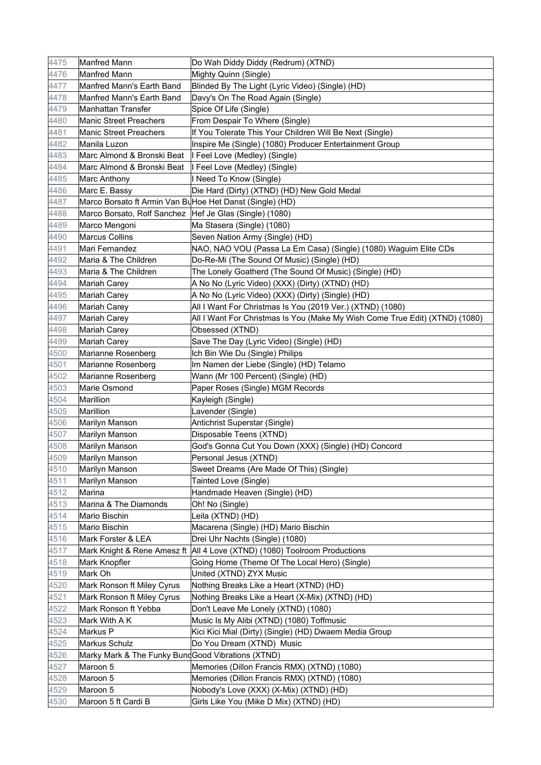| 4475         | <b>Manfred Mann</b>                                       | Do Wah Diddy Diddy (Redrum) (XTND)                                                 |
|--------------|-----------------------------------------------------------|------------------------------------------------------------------------------------|
| 4476         | <b>Manfred Mann</b>                                       | Mighty Quinn (Single)                                                              |
| 4477         | Manfred Mann's Earth Band                                 | Blinded By The Light (Lyric Video) (Single) (HD)                                   |
| 4478         | Manfred Mann's Earth Band                                 | Davy's On The Road Again (Single)                                                  |
| 4479         | Manhattan Transfer                                        | Spice Of Life (Single)                                                             |
| 4480         | <b>Manic Street Preachers</b>                             | From Despair To Where (Single)                                                     |
| 4481         | <b>Manic Street Preachers</b>                             | If You Tolerate This Your Children Will Be Next (Single)                           |
| 4482         | Manila Luzon                                              | Inspire Me (Single) (1080) Producer Entertainment Group                            |
| 4483         | Marc Almond & Bronski Beat                                | I Feel Love (Medley) (Single)                                                      |
| 4484         | Marc Almond & Bronski Beat                                | I Feel Love (Medley) (Single)                                                      |
| 4485         | <b>Marc Anthony</b>                                       | I Need To Know (Single)                                                            |
| 4486         | Marc E. Bassy                                             | Die Hard (Dirty) (XTND) (HD) New Gold Medal                                        |
| 4487         | Marco Borsato ft Armin Van BuHoe Het Danst (Single) (HD)  |                                                                                    |
| 4488         | Marco Borsato, Rolf Sanchez   Hef Je Glas (Single) (1080) |                                                                                    |
| 4489         | Marco Mengoni                                             | Ma Stasera (Single) (1080)                                                         |
| 4490         | <b>Marcus Collins</b>                                     | Seven Nation Army (Single) (HD)                                                    |
| 4491         | Mari Fernandez                                            | NAO, NAO VOU (Passa La Em Casa) (Single) (1080) Waguim Elite CDs                   |
| 4492         | Maria & The Children                                      | Do-Re-Mi (The Sound Of Music) (Single) (HD)                                        |
| 4493         | Maria & The Children                                      | The Lonely Goatherd (The Sound Of Music) (Single) (HD)                             |
| 4494         | Mariah Carey                                              | A No No (Lyric Video) (XXX) (Dirty) (XTND) (HD)                                    |
| 4495         | Mariah Carey                                              | A No No (Lyric Video) (XXX) (Dirty) (Single) (HD)                                  |
| 4496         | Mariah Carey                                              | All I Want For Christmas Is You (2019 Ver.) (XTND) (1080)                          |
| 4497         | Mariah Carey                                              | All I Want For Christmas Is You (Make My Wish Come True Edit) (XTND) (1080)        |
| 4498         | Mariah Carey                                              | Obsessed (XTND)                                                                    |
| 4499         | <b>Mariah Carey</b>                                       | Save The Day (Lyric Video) (Single) (HD)                                           |
| 4500         | Marianne Rosenberg                                        | Ich Bin Wie Du (Single) Philips                                                    |
| 4501         | Marianne Rosenberg                                        | Im Namen der Liebe (Single) (HD) Telamo                                            |
| 4502         | Marianne Rosenberg                                        | Wann (Mr 100 Percent) (Single) (HD)                                                |
| 4503         | Marie Osmond                                              | Paper Roses (Single) MGM Records                                                   |
| 4504         | Marillion                                                 | Kayleigh (Single)                                                                  |
| 4505         | Marillion                                                 | Lavender (Single)                                                                  |
| 4506         | Marilyn Manson                                            | Antichrist Superstar (Single)                                                      |
| 4507         | Marilyn Manson                                            | Disposable Teens (XTND)                                                            |
| 4508         | Marilyn Manson                                            | God's Gonna Cut You Down (XXX) (Single) (HD) Concord                               |
| 4509         | Marilyn Manson                                            | Personal Jesus (XTND)                                                              |
| 4510         | Marilyn Manson                                            | Sweet Dreams (Are Made Of This) (Single)                                           |
| 4511         | Marilyn Manson                                            | Tainted Love (Single)                                                              |
| 4512         | Marina                                                    | Handmade Heaven (Single) (HD)                                                      |
| 4513         | Marina & The Diamonds                                     | Oh! No (Single)                                                                    |
| 4514         | Mario Bischin                                             | Leila (XTND) (HD)                                                                  |
| 4515         | Mario Bischin                                             | Macarena (Single) (HD) Mario Bischin                                               |
| 4516         | Mark Forster & LEA                                        | Drei Uhr Nachts (Single) (1080)                                                    |
| 4517         |                                                           | Mark Knight & Rene Amesz ft   All 4 Love (XTND) (1080) Toolroom Productions        |
| 4518         | Mark Knopfler                                             | Going Home (Theme Of The Local Hero) (Single)                                      |
| 4519         | Mark Oh                                                   | United (XTND) ZYX Music                                                            |
| 4520         | Mark Ronson ft Miley Cyrus                                | Nothing Breaks Like a Heart (XTND) (HD)                                            |
| 4521         | Mark Ronson ft Miley Cyrus                                | Nothing Breaks Like a Heart (X-Mix) (XTND) (HD)                                    |
| 4522         | Mark Ronson ft Yebba                                      | Don't Leave Me Lonely (XTND) (1080)                                                |
| 4523         | Mark With A K                                             | Music Is My Alibi (XTND) (1080) Toffmusic                                          |
| 4524         | Markus P                                                  | Kici Kici Mial (Dirty) (Single) (HD) Dwaem Media Group                             |
| 4525         | Markus Schulz                                             | Do You Dream (XTND) Music                                                          |
| 4526         | Marky Mark & The Funky BundGood Vibrations (XTND)         |                                                                                    |
| 4527         | Maroon 5                                                  | Memories (Dillon Francis RMX) (XTND) (1080)                                        |
|              |                                                           |                                                                                    |
| 4528         | Maroon 5                                                  | Memories (Dillon Francis RMX) (XTND) (1080)                                        |
| 4529<br>4530 | Maroon 5<br>Maroon 5 ft Cardi B                           | Nobody's Love (XXX) (X-Mix) (XTND) (HD)<br>Girls Like You (Mike D Mix) (XTND) (HD) |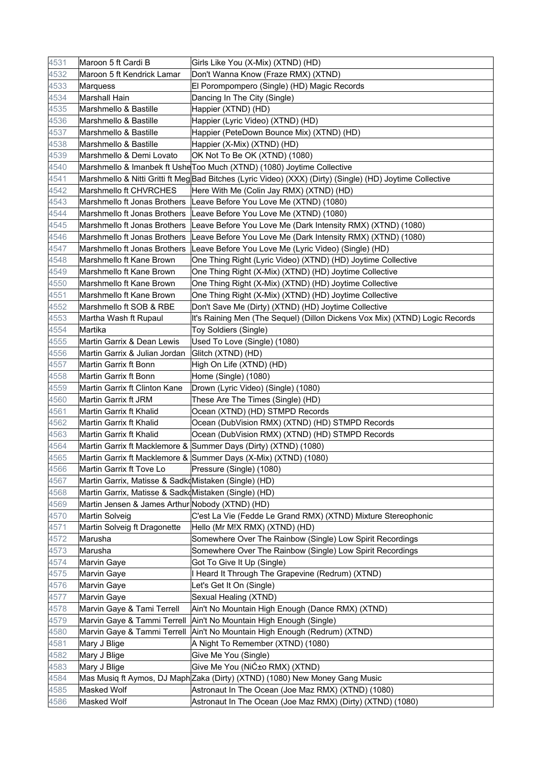| 4531 | Maroon 5 ft Cardi B                                  | Girls Like You (X-Mix) (XTND) (HD)                                                                        |
|------|------------------------------------------------------|-----------------------------------------------------------------------------------------------------------|
| 4532 | Maroon 5 ft Kendrick Lamar                           | Don't Wanna Know (Fraze RMX) (XTND)                                                                       |
| 4533 | Marquess                                             | El Porompompero (Single) (HD) Magic Records                                                               |
| 4534 | <b>Marshall Hain</b>                                 | Dancing In The City (Single)                                                                              |
| 4535 | Marshmello & Bastille                                | Happier (XTND) (HD)                                                                                       |
| 4536 | Marshmello & Bastille                                | Happier (Lyric Video) (XTND) (HD)                                                                         |
| 4537 | Marshmello & Bastille                                | Happier (PeteDown Bounce Mix) (XTND) (HD)                                                                 |
| 4538 | Marshmello & Bastille                                | Happier (X-Mix) (XTND) (HD)                                                                               |
| 4539 | Marshmello & Demi Lovato                             | OK Not To Be OK (XTND) (1080)                                                                             |
| 4540 |                                                      | Marshmello & Imanbek ft Ushe Too Much (XTND) (1080) Joytime Collective                                    |
| 4541 |                                                      | Marshmello & Nitti Gritti ft Meg Bad Bitches (Lyric Video) (XXX) (Dirty) (Single) (HD) Joytime Collective |
| 4542 | Marshmello ft CHVRCHES                               | Here With Me (Colin Jay RMX) (XTND) (HD)                                                                  |
| 4543 |                                                      | Marshmello ft Jonas Brothers Leave Before You Love Me (XTND) (1080)                                       |
| 4544 |                                                      | Marshmello ft Jonas Brothers Leave Before You Love Me (XTND) (1080)                                       |
| 4545 | Marshmello ft Jonas Brothers                         | Leave Before You Love Me (Dark Intensity RMX) (XTND) (1080)                                               |
| 4546 | Marshmello ft Jonas Brothers                         | Leave Before You Love Me (Dark Intensity RMX) (XTND) (1080)                                               |
| 4547 | Marshmello ft Jonas Brothers                         | Leave Before You Love Me (Lyric Video) (Single) (HD)                                                      |
| 4548 | Marshmello ft Kane Brown                             | One Thing Right (Lyric Video) (XTND) (HD) Joytime Collective                                              |
| 4549 | Marshmello ft Kane Brown                             | One Thing Right (X-Mix) (XTND) (HD) Joytime Collective                                                    |
| 4550 | Marshmello ft Kane Brown                             | One Thing Right (X-Mix) (XTND) (HD) Joytime Collective                                                    |
| 4551 | Marshmello ft Kane Brown                             | One Thing Right (X-Mix) (XTND) (HD) Joytime Collective                                                    |
| 4552 | Marshmello ft SOB & RBE                              | Don't Save Me (Dirty) (XTND) (HD) Joytime Collective                                                      |
| 4553 | Martha Wash ft Rupaul                                | It's Raining Men (The Sequel) (Dillon Dickens Vox Mix) (XTND) Logic Records                               |
| 4554 | Martika                                              | Toy Soldiers (Single)                                                                                     |
| 4555 | Martin Garrix & Dean Lewis                           | Used To Love (Single) (1080)                                                                              |
| 4556 | Martin Garrix & Julian Jordan                        | Glitch (XTND) (HD)                                                                                        |
| 4557 | Martin Garrix ft Bonn                                | High On Life (XTND) (HD)                                                                                  |
| 4558 | Martin Garrix ft Bonn                                | Home (Single) (1080)                                                                                      |
| 4559 | Martin Garrix ft Clinton Kane                        | Drown (Lyric Video) (Single) (1080)                                                                       |
| 4560 | Martin Garrix ft JRM                                 | These Are The Times (Single) (HD)                                                                         |
| 4561 | Martin Garrix ft Khalid                              | Ocean (XTND) (HD) STMPD Records                                                                           |
| 4562 | Martin Garrix ft Khalid                              | Ocean (DubVision RMX) (XTND) (HD) STMPD Records                                                           |
| 4563 | Martin Garrix ft Khalid                              | Ocean (DubVision RMX) (XTND) (HD) STMPD Records                                                           |
| 4564 |                                                      | Martin Garrix ft Macklemore & Summer Days (Dirty) (XTND) (1080)                                           |
| 4565 |                                                      | Martin Garrix ft Macklemore & Summer Days (X-Mix) (XTND) (1080)                                           |
| 4566 | Martin Garrix ft Tove Lo                             | Pressure (Single) (1080)                                                                                  |
| 4567 | Martin Garrix, Matisse & Sadk Mistaken (Single) (HD) |                                                                                                           |
| 4568 | Martin Garrix, Matisse & SadkdMistaken (Single) (HD) |                                                                                                           |
| 4569 | Martin Jensen & James Arthur Nobody (XTND) (HD)      |                                                                                                           |
| 4570 | Martin Solveig                                       | C'est La Vie (Fedde Le Grand RMX) (XTND) Mixture Stereophonic                                             |
| 4571 | Martin Solveig ft Dragonette                         | Hello (Mr M!X RMX) (XTND) (HD)                                                                            |
| 4572 | Marusha                                              | Somewhere Over The Rainbow (Single) Low Spirit Recordings                                                 |
| 4573 | Marusha                                              | Somewhere Over The Rainbow (Single) Low Spirit Recordings                                                 |
| 4574 | <b>Marvin Gaye</b>                                   | Got To Give It Up (Single)                                                                                |
| 4575 | Marvin Gaye                                          | I Heard It Through The Grapevine (Redrum) (XTND)                                                          |
| 4576 | Marvin Gaye                                          | Let's Get It On (Single)                                                                                  |
| 4577 | Marvin Gaye                                          | Sexual Healing (XTND)                                                                                     |
| 4578 | Marvin Gaye & Tami Terrell                           | Ain't No Mountain High Enough (Dance RMX) (XTND)                                                          |
| 4579 | Marvin Gaye & Tammi Terrell                          | Ain't No Mountain High Enough (Single)                                                                    |
| 4580 | Marvin Gaye & Tammi Terrell                          | Ain't No Mountain High Enough (Redrum) (XTND)                                                             |
| 4581 | Mary J Blige                                         | A Night To Remember (XTND) (1080)                                                                         |
| 4582 | Mary J Blige                                         | Give Me You (Single)                                                                                      |
| 4583 | Mary J Blige                                         | Give Me You (NiƱo RMX) (XTND)                                                                             |
| 4584 |                                                      | Mas Musiq ft Aymos, DJ Maph Zaka (Dirty) (XTND) (1080) New Money Gang Music                               |
| 4585 | Masked Wolf                                          | Astronaut In The Ocean (Joe Maz RMX) (XTND) (1080)                                                        |
| 4586 | Masked Wolf                                          | Astronaut In The Ocean (Joe Maz RMX) (Dirty) (XTND) (1080)                                                |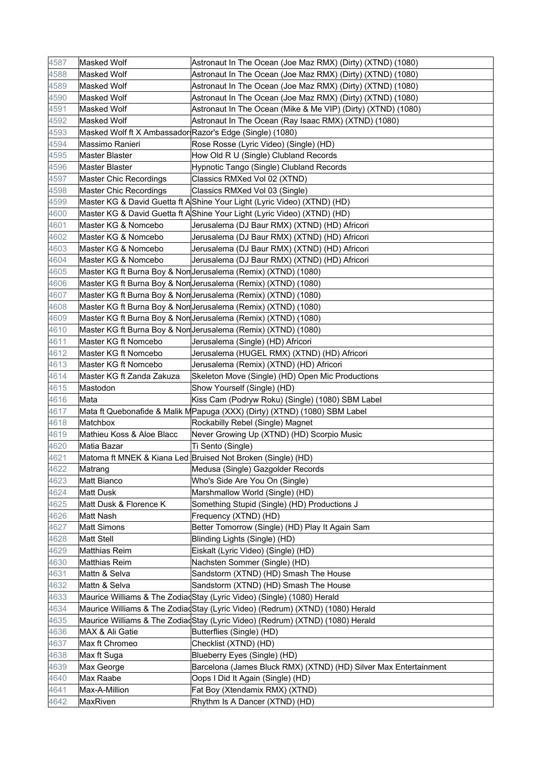| 4587         | Masked Wolf                                              | Astronaut In The Ocean (Joe Maz RMX) (Dirty) (XTND) (1080)                    |
|--------------|----------------------------------------------------------|-------------------------------------------------------------------------------|
| 4588         | Masked Wolf                                              | Astronaut In The Ocean (Joe Maz RMX) (Dirty) (XTND) (1080)                    |
| 4589         | Masked Wolf                                              | Astronaut In The Ocean (Joe Maz RMX) (Dirty) (XTND) (1080)                    |
| 4590         | Masked Wolf                                              | Astronaut In The Ocean (Joe Maz RMX) (Dirty) (XTND) (1080)                    |
| 4591         | Masked Wolf                                              | Astronaut In The Ocean (Mike & Me VIP) (Dirty) (XTND) (1080)                  |
| 4592         | Masked Wolf                                              | Astronaut In The Ocean (Ray Isaac RMX) (XTND) (1080)                          |
| 4593         | Masked Wolf ft X Ambassador Razor's Edge (Single) (1080) |                                                                               |
| 4594         | Massimo Ranieri                                          | Rose Rosse (Lyric Video) (Single) (HD)                                        |
| 4595         | <b>Master Blaster</b>                                    | How Old R U (Single) Clubland Records                                         |
| 4596         | <b>Master Blaster</b>                                    | Hypnotic Tango (Single) Clubland Records                                      |
| 4597         | Master Chic Recordings                                   | Classics RMXed Vol 02 (XTND)                                                  |
| 4598         | Master Chic Recordings                                   | Classics RMXed Vol 03 (Single)                                                |
| 4599         |                                                          | Master KG & David Guetta ft AShine Your Light (Lyric Video) (XTND) (HD)       |
| 4600         |                                                          | Master KG & David Guetta ft AShine Your Light (Lyric Video) (XTND) (HD)       |
| 4601         | Master KG & Nomcebo                                      | Jerusalema (DJ Baur RMX) (XTND) (HD) Africori                                 |
| 4602         | Master KG & Nomcebo                                      | Jerusalema (DJ Baur RMX) (XTND) (HD) Africori                                 |
| 4603         | Master KG & Nomcebo                                      | Jerusalema (DJ Baur RMX) (XTND) (HD) Africori                                 |
| 4604         | Master KG & Nomcebo                                      | Jerusalema (DJ Baur RMX) (XTND) (HD) Africori                                 |
| 4605         |                                                          | Master KG ft Burna Boy & Non Jerusalema (Remix) (XTND) (1080)                 |
| 4606         |                                                          | Master KG ft Burna Boy & Non Jerusalema (Remix) (XTND) (1080)                 |
| 4607         |                                                          | Master KG ft Burna Boy & Non Jerusalema (Remix) (XTND) (1080)                 |
| 4608         |                                                          | Master KG ft Burna Boy & Non Jerusalema (Remix) (XTND) (1080)                 |
| 4609         |                                                          | Master KG ft Burna Boy & Non Jerusalema (Remix) (XTND) (1080)                 |
| 4610         |                                                          | Master KG ft Burna Boy & Non Jerusalema (Remix) (XTND) (1080)                 |
| 4611         | Master KG ft Nomcebo                                     | Jerusalema (Single) (HD) Africori                                             |
| 4612         | Master KG ft Nomcebo                                     | Jerusalema (HUGEL RMX) (XTND) (HD) Africori                                   |
| 4613         | Master KG ft Nomcebo                                     | Jerusalema (Remix) (XTND) (HD) Africori                                       |
| 4614         | Master KG ft Zanda Zakuza                                | Skeleton Move (Single) (HD) Open Mic Productions                              |
|              |                                                          |                                                                               |
| 4615         | Mastodon                                                 | Show Yourself (Single) (HD)                                                   |
| 4616         | Mata                                                     | Kiss Cam (Podryw Roku) (Single) (1080) SBM Label                              |
| 4617         |                                                          | Mata ft Quebonafide & Malik MPapuga (XXX) (Dirty) (XTND) (1080) SBM Label     |
| 4618         | Matchbox                                                 | Rockabilly Rebel (Single) Magnet                                              |
| 4619         | Mathieu Koss & Aloe Blacc                                | Never Growing Up (XTND) (HD) Scorpio Music                                    |
| 4620         | Matia Bazar                                              | Ti Sento (Single)                                                             |
| 4621         |                                                          | Matoma ft MNEK & Kiana Led Bruised Not Broken (Single) (HD)                   |
| 4622         | Matrang                                                  | Medusa (Single) Gazgolder Records                                             |
| 4623         | Matt Bianco                                              | Who's Side Are You On (Single)                                                |
| 4624         | <b>Matt Dusk</b>                                         | Marshmallow World (Single) (HD)                                               |
| 4625         | Matt Dusk & Florence K                                   | Something Stupid (Single) (HD) Productions J                                  |
| 4626         | Matt Nash                                                | Frequency (XTND) (HD)                                                         |
| 4627         | <b>Matt Simons</b>                                       | Better Tomorrow (Single) (HD) Play It Again Sam                               |
| 4628         | <b>Matt Stell</b>                                        | Blinding Lights (Single) (HD)                                                 |
| 4629         | Matthias Reim                                            | Eiskalt (Lyric Video) (Single) (HD)                                           |
| 4630         | Matthias Reim                                            | Nachsten Sommer (Single) (HD)                                                 |
| 4631         | Mattn & Selva                                            | Sandstorm (XTND) (HD) Smash The House                                         |
| 4632         | Mattn & Selva                                            | Sandstorm (XTND) (HD) Smash The House                                         |
| 4633         |                                                          | Maurice Williams & The ZodiadStay (Lyric Video) (Single) (1080) Herald        |
| 4634         |                                                          | Maurice Williams & The ZodiadStay (Lyric Video) (Redrum) (XTND) (1080) Herald |
| 4635         |                                                          | Maurice Williams & The ZodiadStay (Lyric Video) (Redrum) (XTND) (1080) Herald |
| 4636         | MAX & Ali Gatie                                          | Butterflies (Single) (HD)                                                     |
| 4637         | Max ft Chromeo                                           | Checklist (XTND) (HD)                                                         |
| 4638         | Max ft Suga                                              | Blueberry Eyes (Single) (HD)                                                  |
| 4639         | Max George                                               | Barcelona (James Bluck RMX) (XTND) (HD) Silver Max Entertainment              |
| 4640         | Max Raabe                                                | Oops I Did It Again (Single) (HD)                                             |
| 4641<br>4642 | Max-A-Million<br>MaxRiven                                | Fat Boy (Xtendamix RMX) (XTND)<br>Rhythm Is A Dancer (XTND) (HD)              |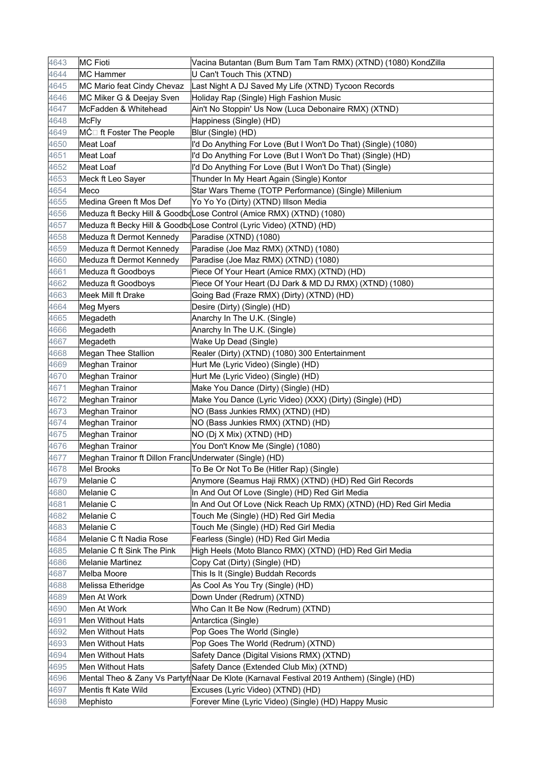| 4643 | <b>MC Fioti</b>                                         | Vacina Butantan (Bum Bum Tam Tam RMX) (XTND) (1080) KondZilla                             |
|------|---------------------------------------------------------|-------------------------------------------------------------------------------------------|
| 4644 | <b>MC Hammer</b>                                        | U Can't Touch This (XTND)                                                                 |
| 4645 | MC Mario feat Cindy Chevaz                              | Last Night A DJ Saved My Life (XTND) Tycoon Records                                       |
| 4646 | MC Miker G & Deejay Sven                                | Holiday Rap (Single) High Fashion Music                                                   |
| 4647 | McFadden & Whitehead                                    | Ain't No Stoppin' Us Now (Luca Debonaire RMX) (XTND)                                      |
| 4648 | <b>McFly</b>                                            | Happiness (Single) (HD)                                                                   |
| 4649 | MĆ□ ft Foster The People                                | Blur (Single) (HD)                                                                        |
| 4650 | Meat Loaf                                               | I'd Do Anything For Love (But I Won't Do That) (Single) (1080)                            |
| 4651 | Meat Loaf                                               | I'd Do Anything For Love (But I Won't Do That) (Single) (HD)                              |
| 4652 | <b>Meat Loaf</b>                                        | I'd Do Anything For Love (But I Won't Do That) (Single)                                   |
| 4653 | Meck ft Leo Sayer                                       | Thunder In My Heart Again (Single) Kontor                                                 |
| 4654 | Meco                                                    | Star Wars Theme (TOTP Performance) (Single) Millenium                                     |
| 4655 | Medina Green ft Mos Def                                 | Yo Yo Yo (Dirty) (XTND) Illson Media                                                      |
| 4656 |                                                         | Meduza ft Becky Hill & Goodb Lose Control (Amice RMX) (XTND) (1080)                       |
| 4657 |                                                         | Meduza ft Becky Hill & Goodb Lose Control (Lyric Video) (XTND) (HD)                       |
| 4658 | Meduza ft Dermot Kennedy                                | Paradise (XTND) (1080)                                                                    |
| 4659 | Meduza ft Dermot Kennedy                                | Paradise (Joe Maz RMX) (XTND) (1080)                                                      |
| 4660 | Meduza ft Dermot Kennedy                                | Paradise (Joe Maz RMX) (XTND) (1080)                                                      |
| 4661 | Meduza ft Goodboys                                      | Piece Of Your Heart (Amice RMX) (XTND) (HD)                                               |
| 4662 | Meduza ft Goodboys                                      | Piece Of Your Heart (DJ Dark & MD DJ RMX) (XTND) (1080)                                   |
| 4663 | Meek Mill ft Drake                                      | Going Bad (Fraze RMX) (Dirty) (XTND) (HD)                                                 |
| 4664 | Meg Myers                                               | Desire (Dirty) (Single) (HD)                                                              |
| 4665 | Megadeth                                                | Anarchy In The U.K. (Single)                                                              |
| 4666 | Megadeth                                                | Anarchy In The U.K. (Single)                                                              |
| 4667 | Megadeth                                                | Wake Up Dead (Single)                                                                     |
| 4668 | <b>Megan Thee Stallion</b>                              | Realer (Dirty) (XTND) (1080) 300 Entertainment                                            |
| 4669 | Meghan Trainor                                          | Hurt Me (Lyric Video) (Single) (HD)                                                       |
| 4670 | Meghan Trainor                                          | Hurt Me (Lyric Video) (Single) (HD)                                                       |
| 4671 | <b>Meghan Trainor</b>                                   | Make You Dance (Dirty) (Single) (HD)                                                      |
| 4672 | <b>Meghan Trainor</b>                                   | Make You Dance (Lyric Video) (XXX) (Dirty) (Single) (HD)                                  |
| 4673 | <b>Meghan Trainor</b>                                   | NO (Bass Junkies RMX) (XTND) (HD)                                                         |
| 4674 | Meghan Trainor                                          | NO (Bass Junkies RMX) (XTND) (HD)                                                         |
| 4675 | <b>Meghan Trainor</b>                                   | NO (Dj X Mix) (XTND) (HD)                                                                 |
| 4676 | Meghan Trainor                                          | You Don't Know Me (Single) (1080)                                                         |
| 4677 | Meghan Trainor ft Dillon Franc Underwater (Single) (HD) |                                                                                           |
| 4678 | Mel Brooks                                              | To Be Or Not To Be (Hitler Rap) (Single)                                                  |
| 4679 | Melanie C                                               | Anymore (Seamus Haji RMX) (XTND) (HD) Red Girl Records                                    |
| 4680 | Melanie C                                               | In And Out Of Love (Single) (HD) Red Girl Media                                           |
| 4681 | Melanie C                                               | In And Out Of Love (Nick Reach Up RMX) (XTND) (HD) Red Girl Media                         |
| 4682 | Melanie C                                               | Touch Me (Single) (HD) Red Girl Media                                                     |
| 4683 | Melanie C                                               | Touch Me (Single) (HD) Red Girl Media                                                     |
| 4684 | Melanie C ft Nadia Rose                                 | Fearless (Single) (HD) Red Girl Media                                                     |
| 4685 | Melanie C ft Sink The Pink                              | High Heels (Moto Blanco RMX) (XTND) (HD) Red Girl Media                                   |
| 4686 | <b>Melanie Martinez</b>                                 | Copy Cat (Dirty) (Single) (HD)                                                            |
| 4687 | Melba Moore                                             | This Is It (Single) Buddah Records                                                        |
| 4688 | Melissa Etheridge                                       | As Cool As You Try (Single) (HD)                                                          |
| 4689 | Men At Work                                             | Down Under (Redrum) (XTND)                                                                |
| 4690 | Men At Work                                             | Who Can It Be Now (Redrum) (XTND)                                                         |
| 4691 | Men Without Hats                                        | Antarctica (Single)                                                                       |
| 4692 | Men Without Hats                                        | Pop Goes The World (Single)                                                               |
| 4693 | Men Without Hats                                        | Pop Goes The World (Redrum) (XTND)                                                        |
| 4694 | Men Without Hats                                        | Safety Dance (Digital Visions RMX) (XTND)                                                 |
| 4695 | Men Without Hats                                        | Safety Dance (Extended Club Mix) (XTND)                                                   |
| 4696 |                                                         | Mental Theo & Zany Vs Partyfr Naar De Klote (Karnaval Festival 2019 Anthem) (Single) (HD) |
| 4697 | Mentis ft Kate Wild                                     | Excuses (Lyric Video) (XTND) (HD)                                                         |
| 4698 | Mephisto                                                | Forever Mine (Lyric Video) (Single) (HD) Happy Music                                      |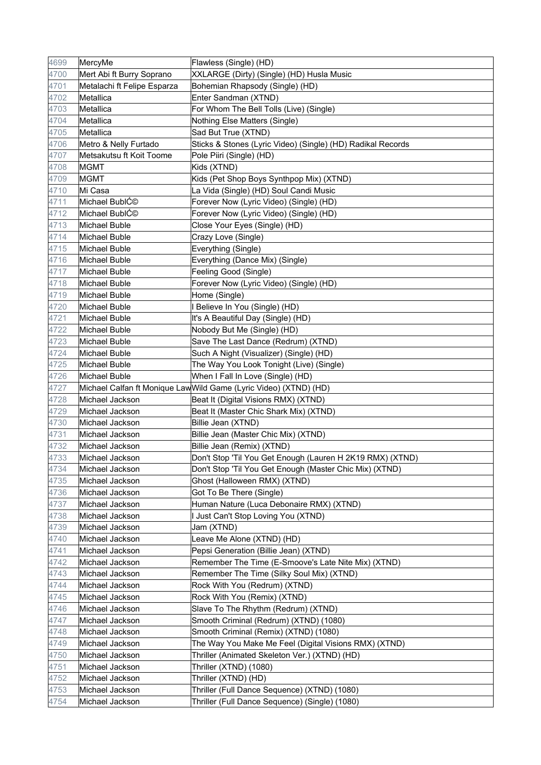| 4699         | MercyMe                            | Flawless (Single) (HD)                                                     |
|--------------|------------------------------------|----------------------------------------------------------------------------|
| 4700         | Mert Abi ft Burry Soprano          | XXLARGE (Dirty) (Single) (HD) Husla Music                                  |
| 4701         | Metalachi ft Felipe Esparza        | Bohemian Rhapsody (Single) (HD)                                            |
| 4702         | Metallica                          | Enter Sandman (XTND)                                                       |
| 4703         | Metallica                          | For Whom The Bell Tolls (Live) (Single)                                    |
| 4704         | Metallica                          | Nothing Else Matters (Single)                                              |
| 4705         | Metallica                          | Sad But True (XTND)                                                        |
| 4706         | Metro & Nelly Furtado              | Sticks & Stones (Lyric Video) (Single) (HD) Radikal Records                |
|              |                                    |                                                                            |
| 4707         | Metsakutsu ft Koit Toome           | Pole Piiri (Single) (HD)                                                   |
| 4708         | <b>MGMT</b>                        | Kids (XTND)                                                                |
| 4709         | <b>MGMT</b>                        | Kids (Pet Shop Boys Synthpop Mix) (XTND)                                   |
| 4710         | Mi Casa                            | La Vida (Single) (HD) Soul Candi Music                                     |
| 4711         | Michael BublC©                     | Forever Now (Lyric Video) (Single) (HD)                                    |
| 4712         | Michael BublC©                     | Forever Now (Lyric Video) (Single) (HD)                                    |
| 4713         | Michael Buble                      | Close Your Eyes (Single) (HD)                                              |
| 4714         | Michael Buble                      | Crazy Love (Single)                                                        |
| 4715         | Michael Buble                      | Everything (Single)                                                        |
| 4716         | Michael Buble                      | Everything (Dance Mix) (Single)                                            |
| 4717         | Michael Buble                      | Feeling Good (Single)                                                      |
| 4718         | Michael Buble                      | Forever Now (Lyric Video) (Single) (HD)                                    |
| 4719         | Michael Buble                      | Home (Single)                                                              |
| 4720         | Michael Buble                      | I Believe In You (Single) (HD)                                             |
| 4721         | <b>Michael Buble</b>               | It's A Beautiful Day (Single) (HD)                                         |
| 4722         | Michael Buble                      | Nobody But Me (Single) (HD)                                                |
| 4723         | Michael Buble                      | Save The Last Dance (Redrum) (XTND)                                        |
| 4724         | Michael Buble                      | Such A Night (Visualizer) (Single) (HD)                                    |
| 4725         | Michael Buble                      | The Way You Look Tonight (Live) (Single)                                   |
| 4726         | Michael Buble                      | When I Fall In Love (Single) (HD)                                          |
| 4727         |                                    | Michael Calfan ft Monique Law Wild Game (Lyric Video) (XTND) (HD)          |
| 4728         | Michael Jackson                    | Beat It (Digital Visions RMX) (XTND)                                       |
| 4729         | Michael Jackson                    | Beat It (Master Chic Shark Mix) (XTND)                                     |
| 4730         | Michael Jackson                    | Billie Jean (XTND)                                                         |
| 4731         | Michael Jackson                    | Billie Jean (Master Chic Mix) (XTND)                                       |
| 4732         | Michael Jackson                    | Billie Jean (Remix) (XTND)                                                 |
| 4733         | Michael Jackson                    | Don't Stop 'Til You Get Enough (Lauren H 2K19 RMX) (XTND)                  |
| 4734         | Michael Jackson                    | Don't Stop 'Til You Get Enough (Master Chic Mix) (XTND)                    |
| 4735<br>4736 | Michael Jackson<br>Michael Jackson | Ghost (Halloween RMX) (XTND)                                               |
|              |                                    | Got To Be There (Single)                                                   |
| 4737<br>4738 | Michael Jackson<br>Michael Jackson | Human Nature (Luca Debonaire RMX) (XTND)                                   |
| 4739         | Michael Jackson                    | I Just Can't Stop Loving You (XTND)                                        |
|              |                                    | Jam (XTND)<br>Leave Me Alone (XTND) (HD)                                   |
| 4740<br>4741 | Michael Jackson<br>Michael Jackson | Pepsi Generation (Billie Jean) (XTND)                                      |
| 4742         | Michael Jackson                    |                                                                            |
| 4743         | Michael Jackson                    | Remember The Time (E-Smoove's Late Nite Mix) (XTND)                        |
| 4744         | Michael Jackson                    | Remember The Time (Silky Soul Mix) (XTND)<br>Rock With You (Redrum) (XTND) |
| 4745         | Michael Jackson                    | Rock With You (Remix) (XTND)                                               |
|              |                                    |                                                                            |
| 4746         | Michael Jackson                    | Slave To The Rhythm (Redrum) (XTND)                                        |
| 4747         | Michael Jackson                    | Smooth Criminal (Redrum) (XTND) (1080)                                     |
| 4748         | Michael Jackson                    | Smooth Criminal (Remix) (XTND) (1080)                                      |
| 4749<br>4750 | Michael Jackson<br>Michael Jackson | The Way You Make Me Feel (Digital Visions RMX) (XTND)                      |
|              | Michael Jackson                    | Thriller (Animated Skeleton Ver.) (XTND) (HD)                              |
| 4751         |                                    | Thriller (XTND) (1080)                                                     |
| 4752<br>4753 | Michael Jackson<br>Michael Jackson | Thriller (XTND) (HD)<br>Thriller (Full Dance Sequence) (XTND) (1080)       |
|              | Michael Jackson                    |                                                                            |
| 4754         |                                    | Thriller (Full Dance Sequence) (Single) (1080)                             |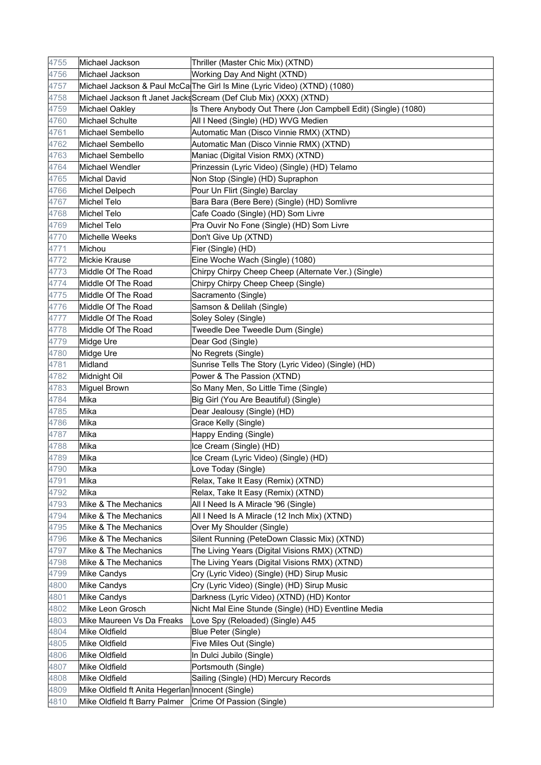| 4755 | Michael Jackson                                   | Thriller (Master Chic Mix) (XTND)                                        |
|------|---------------------------------------------------|--------------------------------------------------------------------------|
| 4756 | Michael Jackson                                   | Working Day And Night (XTND)                                             |
| 4757 |                                                   | Michael Jackson & Paul McCa The Girl Is Mine (Lyric Video) (XTND) (1080) |
| 4758 |                                                   | Michael Jackson ft Janet JacksScream (Def Club Mix) (XXX) (XTND)         |
| 4759 | Michael Oakley                                    | Is There Anybody Out There (Jon Campbell Edit) (Single) (1080)           |
| 4760 | Michael Schulte                                   | All I Need (Single) (HD) WVG Medien                                      |
| 4761 | Michael Sembello                                  | Automatic Man (Disco Vinnie RMX) (XTND)                                  |
| 4762 | Michael Sembello                                  | Automatic Man (Disco Vinnie RMX) (XTND)                                  |
| 4763 | Michael Sembello                                  | Maniac (Digital Vision RMX) (XTND)                                       |
| 4764 | Michael Wendler                                   | Prinzessin (Lyric Video) (Single) (HD) Telamo                            |
| 4765 | <b>Michal David</b>                               | Non Stop (Single) (HD) Supraphon                                         |
| 4766 | Michel Delpech                                    | Pour Un Flirt (Single) Barclay                                           |
| 4767 | Michel Telo                                       | Bara Bara (Bere Bere) (Single) (HD) Somlivre                             |
| 4768 | Michel Telo                                       | Cafe Coado (Single) (HD) Som Livre                                       |
| 4769 | Michel Telo                                       | Pra Ouvir No Fone (Single) (HD) Som Livre                                |
| 4770 | Michelle Weeks                                    | Don't Give Up (XTND)                                                     |
| 4771 | Michou                                            | Fier (Single) (HD)                                                       |
| 4772 | Mickie Krause                                     | Eine Woche Wach (Single) (1080)                                          |
| 4773 | Middle Of The Road                                | Chirpy Chirpy Cheep Cheep (Alternate Ver.) (Single)                      |
| 4774 | Middle Of The Road                                | Chirpy Chirpy Cheep Cheep (Single)                                       |
| 4775 | Middle Of The Road                                | Sacramento (Single)                                                      |
| 4776 | Middle Of The Road                                | Samson & Delilah (Single)                                                |
| 4777 | Middle Of The Road                                | Soley Soley (Single)                                                     |
| 4778 | Middle Of The Road                                | Tweedle Dee Tweedle Dum (Single)                                         |
| 4779 | Midge Ure                                         | Dear God (Single)                                                        |
| 4780 | Midge Ure                                         | No Regrets (Single)                                                      |
| 4781 | Midland                                           | Sunrise Tells The Story (Lyric Video) (Single) (HD)                      |
| 4782 | Midnight Oil                                      | Power & The Passion (XTND)                                               |
| 4783 | Miguel Brown                                      | So Many Men, So Little Time (Single)                                     |
| 4784 | Mika                                              | Big Girl (You Are Beautiful) (Single)                                    |
| 4785 | Mika                                              | Dear Jealousy (Single) (HD)                                              |
| 4786 | Mika                                              | Grace Kelly (Single)                                                     |
| 4787 | Mika                                              | Happy Ending (Single)                                                    |
| 4788 | Mika                                              | Ice Cream (Single) (HD)                                                  |
| 4789 | Mika                                              | Ice Cream (Lyric Video) (Single) (HD)                                    |
| 4790 | Mika                                              | Love Today (Single)                                                      |
| 4791 | Mika                                              | Relax, Take It Easy (Remix) (XTND)                                       |
| 4792 | Mika                                              | Relax, Take It Easy (Remix) (XTND)                                       |
| 4793 | Mike & The Mechanics                              | All I Need Is A Miracle '96 (Single)                                     |
| 4794 | Mike & The Mechanics                              | All I Need Is A Miracle (12 Inch Mix) (XTND)                             |
| 4795 | Mike & The Mechanics                              | Over My Shoulder (Single)                                                |
| 4796 | Mike & The Mechanics                              | Silent Running (PeteDown Classic Mix) (XTND)                             |
| 4797 | Mike & The Mechanics                              | The Living Years (Digital Visions RMX) (XTND)                            |
| 4798 | Mike & The Mechanics                              | The Living Years (Digital Visions RMX) (XTND)                            |
| 4799 | <b>Mike Candys</b>                                | Cry (Lyric Video) (Single) (HD) Sirup Music                              |
| 4800 | Mike Candys                                       | Cry (Lyric Video) (Single) (HD) Sirup Music                              |
| 4801 | Mike Candys                                       | Darkness (Lyric Video) (XTND) (HD) Kontor                                |
| 4802 | Mike Leon Grosch                                  | Nicht Mal Eine Stunde (Single) (HD) Eventline Media                      |
| 4803 | Mike Maureen Vs Da Freaks                         | Love Spy (Reloaded) (Single) A45                                         |
| 4804 | Mike Oldfield                                     | Blue Peter (Single)                                                      |
| 4805 | Mike Oldfield                                     | Five Miles Out (Single)                                                  |
| 4806 | Mike Oldfield                                     | In Dulci Jubilo (Single)                                                 |
| 4807 | Mike Oldfield                                     | Portsmouth (Single)                                                      |
| 4808 | Mike Oldfield                                     | Sailing (Single) (HD) Mercury Records                                    |
| 4809 | Mike Oldfield ft Anita Hegerlan Innocent (Single) |                                                                          |
| 4810 | Mike Oldfield ft Barry Palmer                     | Crime Of Passion (Single)                                                |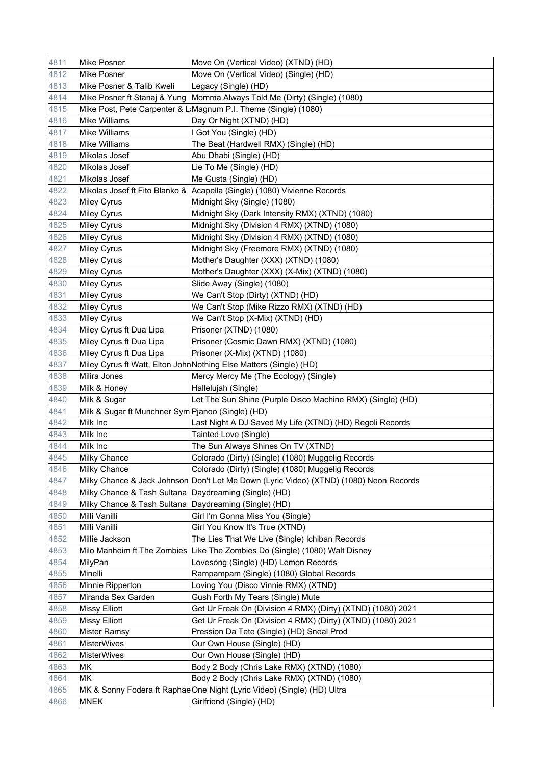| 4811 | Mike Posner                                           | Move On (Vertical Video) (XTND) (HD)                                                   |
|------|-------------------------------------------------------|----------------------------------------------------------------------------------------|
| 4812 | Mike Posner                                           | Move On (Vertical Video) (Single) (HD)                                                 |
| 4813 | Mike Posner & Talib Kweli                             | Legacy (Single) (HD)                                                                   |
| 4814 |                                                       | Mike Posner ft Stanaj & Yung Momma Always Told Me (Dirty) (Single) (1080)              |
| 4815 |                                                       | Mike Post, Pete Carpenter & L Magnum P.I. Theme (Single) (1080)                        |
| 4816 | Mike Williams                                         | Day Or Night (XTND) (HD)                                                               |
| 4817 | <b>Mike Williams</b>                                  | I Got You (Single) (HD)                                                                |
| 4818 | Mike Williams                                         | The Beat (Hardwell RMX) (Single) (HD)                                                  |
| 4819 | Mikolas Josef                                         | Abu Dhabi (Single) (HD)                                                                |
| 4820 | Mikolas Josef                                         | Lie To Me (Single) (HD)                                                                |
| 4821 | Mikolas Josef                                         | Me Gusta (Single) (HD)                                                                 |
| 4822 |                                                       | Mikolas Josef ft Fito Blanko & Acapella (Single) (1080) Vivienne Records               |
| 4823 | <b>Miley Cyrus</b>                                    | Midnight Sky (Single) (1080)                                                           |
| 4824 | <b>Miley Cyrus</b>                                    | Midnight Sky (Dark Intensity RMX) (XTND) (1080)                                        |
| 4825 | Miley Cyrus                                           | Midnight Sky (Division 4 RMX) (XTND) (1080)                                            |
| 4826 | <b>Miley Cyrus</b>                                    | Midnight Sky (Division 4 RMX) (XTND) (1080)                                            |
| 4827 | <b>Miley Cyrus</b>                                    | Midnight Sky (Freemore RMX) (XTND) (1080)                                              |
| 4828 | <b>Miley Cyrus</b>                                    | Mother's Daughter (XXX) (XTND) (1080)                                                  |
| 4829 | Miley Cyrus                                           | Mother's Daughter (XXX) (X-Mix) (XTND) (1080)                                          |
| 4830 | <b>Miley Cyrus</b>                                    | Slide Away (Single) (1080)                                                             |
| 4831 | Miley Cyrus                                           | We Can't Stop (Dirty) (XTND) (HD)                                                      |
| 4832 | <b>Miley Cyrus</b>                                    | We Can't Stop (Mike Rizzo RMX) (XTND) (HD)                                             |
| 4833 | <b>Miley Cyrus</b>                                    | We Can't Stop (X-Mix) (XTND) (HD)                                                      |
| 4834 | Miley Cyrus ft Dua Lipa                               | Prisoner (XTND) (1080)                                                                 |
| 4835 | Miley Cyrus ft Dua Lipa                               | Prisoner (Cosmic Dawn RMX) (XTND) (1080)                                               |
| 4836 | Miley Cyrus ft Dua Lipa                               | Prisoner (X-Mix) (XTND) (1080)                                                         |
| 4837 |                                                       | Miley Cyrus ft Watt, Elton John Nothing Else Matters (Single) (HD)                     |
| 4838 | Milira Jones                                          | Mercy Mercy Me (The Ecology) (Single)                                                  |
| 4839 | Milk & Honey                                          | Hallelujah (Single)                                                                    |
| 4840 | Milk & Sugar                                          | Let The Sun Shine (Purple Disco Machine RMX) (Single) (HD)                             |
| 4841 | Milk & Sugar ft Munchner Sym Pjanoo (Single) (HD)     |                                                                                        |
| 4842 | Milk Inc                                              | Last Night A DJ Saved My Life (XTND) (HD) Regoli Records                               |
| 4843 | Milk Inc                                              | Tainted Love (Single)                                                                  |
| 4844 | Milk Inc                                              | The Sun Always Shines On TV (XTND)                                                     |
| 4845 | Milky Chance                                          | Colorado (Dirty) (Single) (1080) Muggelig Records                                      |
| 4846 | <b>Milky Chance</b>                                   | Colorado (Dirty) (Single) (1080) Muggelig Records                                      |
| 4847 |                                                       | Milky Chance & Jack Johnson Don't Let Me Down (Lyric Video) (XTND) (1080) Neon Records |
| 4848 | Milky Chance & Tash Sultana Daydreaming (Single) (HD) |                                                                                        |
| 4849 | Milky Chance & Tash Sultana Daydreaming (Single) (HD) |                                                                                        |
| 4850 | Milli Vanilli                                         | Girl I'm Gonna Miss You (Single)                                                       |
| 4851 | Milli Vanilli                                         | Girl You Know It's True (XTND)                                                         |
| 4852 | Millie Jackson                                        | The Lies That We Live (Single) Ichiban Records                                         |
| 4853 |                                                       | Milo Manheim ft The Zombies Like The Zombies Do (Single) (1080) Walt Disney            |
| 4854 | MilyPan                                               | Lovesong (Single) (HD) Lemon Records                                                   |
| 4855 | Minelli                                               | Rampampam (Single) (1080) Global Records                                               |
| 4856 | Minnie Ripperton                                      | Loving You (Disco Vinnie RMX) (XTND)                                                   |
| 4857 | Miranda Sex Garden                                    | Gush Forth My Tears (Single) Mute                                                      |
| 4858 | <b>Missy Elliott</b>                                  | Get Ur Freak On (Division 4 RMX) (Dirty) (XTND) (1080) 2021                            |
| 4859 | <b>Missy Elliott</b>                                  | Get Ur Freak On (Division 4 RMX) (Dirty) (XTND) (1080) 2021                            |
| 4860 | <b>Mister Ramsy</b>                                   | Pression Da Tete (Single) (HD) Sneal Prod                                              |
| 4861 | <b>MisterWives</b>                                    | Our Own House (Single) (HD)                                                            |
| 4862 | <b>MisterWives</b>                                    | Our Own House (Single) (HD)                                                            |
| 4863 | МK                                                    | Body 2 Body (Chris Lake RMX) (XTND) (1080)                                             |
| 4864 | МK                                                    | Body 2 Body (Chris Lake RMX) (XTND) (1080)                                             |
| 4865 |                                                       | MK & Sonny Fodera ft RaphaeOne Night (Lyric Video) (Single) (HD) Ultra                 |
| 4866 | <b>MNEK</b>                                           | Girlfriend (Single) (HD)                                                               |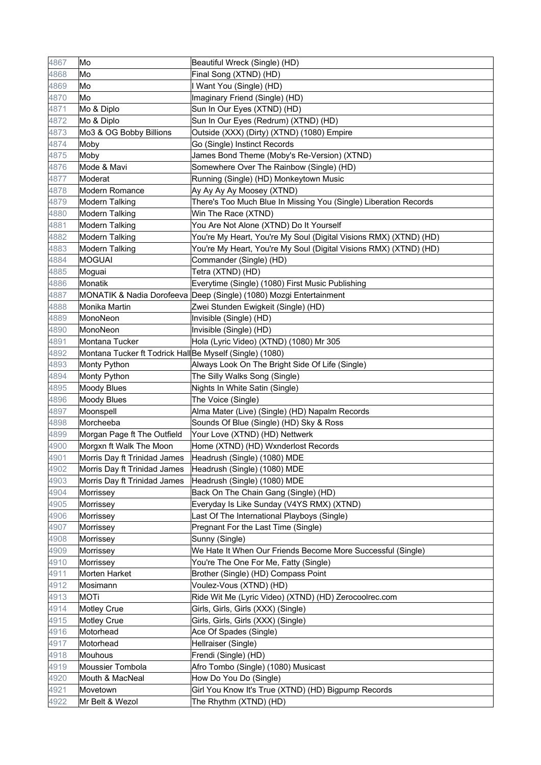| 4867 | Mo                                                      | Beautiful Wreck (Single) (HD)                                      |
|------|---------------------------------------------------------|--------------------------------------------------------------------|
| 4868 | Mo                                                      | Final Song (XTND) (HD)                                             |
| 4869 | Mo                                                      | I Want You (Single) (HD)                                           |
| 4870 | Mo                                                      | Imaginary Friend (Single) (HD)                                     |
| 4871 | Mo & Diplo                                              | Sun In Our Eyes (XTND) (HD)                                        |
| 4872 | Mo & Diplo                                              | Sun In Our Eyes (Redrum) (XTND) (HD)                               |
| 4873 | Mo3 & OG Bobby Billions                                 | Outside (XXX) (Dirty) (XTND) (1080) Empire                         |
| 4874 | Moby                                                    | Go (Single) Instinct Records                                       |
| 4875 | Moby                                                    | James Bond Theme (Moby's Re-Version) (XTND)                        |
| 4876 | Mode & Mavi                                             | Somewhere Over The Rainbow (Single) (HD)                           |
| 4877 | Moderat                                                 | Running (Single) (HD) Monkeytown Music                             |
| 4878 | Modern Romance                                          | Ay Ay Ay Ay Moosey (XTND)                                          |
| 4879 | <b>Modern Talking</b>                                   | There's Too Much Blue In Missing You (Single) Liberation Records   |
| 4880 | <b>Modern Talking</b>                                   | Win The Race (XTND)                                                |
| 4881 | <b>Modern Talking</b>                                   | You Are Not Alone (XTND) Do It Yourself                            |
| 4882 | <b>Modern Talking</b>                                   | You're My Heart, You're My Soul (Digital Visions RMX) (XTND) (HD)  |
| 4883 | <b>Modern Talking</b>                                   | You're My Heart, You're My Soul (Digital Visions RMX) (XTND) (HD)  |
| 4884 | <b>MOGUAI</b>                                           | Commander (Single) (HD)                                            |
| 4885 | Moguai                                                  | Tetra (XTND) (HD)                                                  |
| 4886 | Monatik                                                 | Everytime (Single) (1080) First Music Publishing                   |
| 4887 |                                                         | MONATIK & Nadia Dorofeeva Deep (Single) (1080) Mozgi Entertainment |
| 4888 | Monika Martin                                           | Zwei Stunden Ewigkeit (Single) (HD)                                |
| 4889 | MonoNeon                                                | Invisible (Single) (HD)                                            |
| 4890 | MonoNeon                                                | Invisible (Single) (HD)                                            |
| 4891 | <b>Montana Tucker</b>                                   | Hola (Lyric Video) (XTND) (1080) Mr 305                            |
| 4892 | Montana Tucker ft Todrick HallBe Myself (Single) (1080) |                                                                    |
| 4893 | Monty Python                                            | Always Look On The Bright Side Of Life (Single)                    |
| 4894 | Monty Python                                            | The Silly Walks Song (Single)                                      |
| 4895 | <b>Moody Blues</b>                                      | Nights In White Satin (Single)                                     |
| 4896 | Moody Blues                                             | The Voice (Single)                                                 |
| 4897 | Moonspell                                               | Alma Mater (Live) (Single) (HD) Napalm Records                     |
| 4898 | Morcheeba                                               | Sounds Of Blue (Single) (HD) Sky & Ross                            |
| 4899 | Morgan Page ft The Outfield                             | Your Love (XTND) (HD) Nettwerk                                     |
| 4900 | Morgxn ft Walk The Moon                                 | Home (XTND) (HD) Wxnderlost Records                                |
| 4901 | Morris Day ft Trinidad James                            | Headrush (Single) (1080) MDE                                       |
| 4902 | Morris Day ft Trinidad James                            | Headrush (Single) (1080) MDE                                       |
| 4903 | Morris Day ft Trinidad James                            | Headrush (Single) (1080) MDE                                       |
| 4904 | Morrissey                                               | Back On The Chain Gang (Single) (HD)                               |
| 4905 | Morrissey                                               | Everyday Is Like Sunday (V4YS RMX) (XTND)                          |
| 4906 | Morrissey                                               | Last Of The International Playboys (Single)                        |
| 4907 | Morrissey                                               | Pregnant For the Last Time (Single)                                |
| 4908 | Morrissey                                               | Sunny (Single)                                                     |
| 4909 | Morrissey                                               | We Hate It When Our Friends Become More Successful (Single)        |
| 4910 | Morrissey                                               | You're The One For Me, Fatty (Single)                              |
| 4911 | Morten Harket                                           | Brother (Single) (HD) Compass Point                                |
| 4912 | Mosimann                                                | Voulez-Vous (XTND) (HD)                                            |
| 4913 | <b>MOTi</b>                                             | Ride Wit Me (Lyric Video) (XTND) (HD) Zerocoolrec.com              |
| 4914 | <b>Motley Crue</b>                                      | Girls, Girls, Girls (XXX) (Single)                                 |
| 4915 | <b>Motley Crue</b>                                      | Girls, Girls, Girls (XXX) (Single)                                 |
| 4916 | Motorhead                                               | Ace Of Spades (Single)                                             |
| 4917 | Motorhead                                               | Hellraiser (Single)                                                |
| 4918 | Mouhous                                                 | Frendi (Single) (HD)                                               |
| 4919 | Moussier Tombola                                        | Afro Tombo (Single) (1080) Musicast                                |
| 4920 | Mouth & MacNeal                                         | How Do You Do (Single)                                             |
| 4921 | Movetown                                                | Girl You Know It's True (XTND) (HD) Bigpump Records                |
| 4922 | Mr Belt & Wezol                                         | The Rhythm (XTND) (HD)                                             |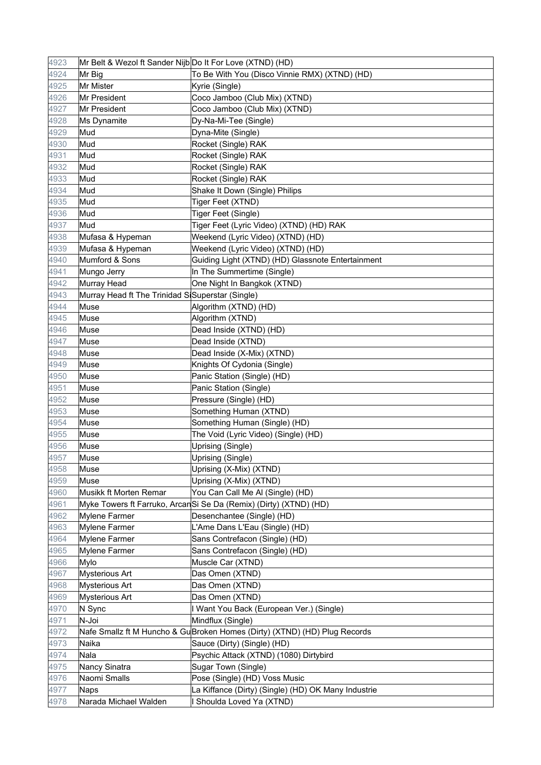| 4923         | Mr Belt & Wezol ft Sander Nijb Do It For Love (XTND) (HD) |                                                                            |
|--------------|-----------------------------------------------------------|----------------------------------------------------------------------------|
| 4924         | Mr Big                                                    | To Be With You (Disco Vinnie RMX) (XTND) (HD)                              |
| 4925         | Mr Mister                                                 | Kyrie (Single)                                                             |
| 4926         | Mr President                                              | Coco Jamboo (Club Mix) (XTND)                                              |
| 4927         | Mr President                                              | Coco Jamboo (Club Mix) (XTND)                                              |
| 4928         | <b>Ms Dynamite</b>                                        | Dy-Na-Mi-Tee (Single)                                                      |
| 4929         | Mud                                                       | Dyna-Mite (Single)                                                         |
| 4930         | Mud                                                       | Rocket (Single) RAK                                                        |
| 4931         | Mud                                                       | Rocket (Single) RAK                                                        |
| 4932         | Mud                                                       | Rocket (Single) RAK                                                        |
| 4933         | Mud                                                       | Rocket (Single) RAK                                                        |
| 4934         | Mud                                                       | Shake It Down (Single) Philips                                             |
| 4935         | Mud                                                       | Tiger Feet (XTND)                                                          |
| 4936         | Mud                                                       | Tiger Feet (Single)                                                        |
| 4937         | Mud                                                       | Tiger Feet (Lyric Video) (XTND) (HD) RAK                                   |
| 4938         | Mufasa & Hypeman                                          | Weekend (Lyric Video) (XTND) (HD)                                          |
| 4939         | Mufasa & Hypeman                                          | Weekend (Lyric Video) (XTND) (HD)                                          |
| 4940         | Mumford & Sons                                            | Guiding Light (XTND) (HD) Glassnote Entertainment                          |
| 4941         | Mungo Jerry                                               | In The Summertime (Single)                                                 |
| 4942         | Murray Head                                               | One Night In Bangkok (XTND)                                                |
| 4943         | Murray Head ft The Trinidad SiSuperstar (Single)          |                                                                            |
| 4944         | Muse                                                      | Algorithm (XTND) (HD)                                                      |
| 4945         | Muse                                                      | Algorithm (XTND)                                                           |
| 4946         | Muse                                                      | Dead Inside (XTND) (HD)                                                    |
| 4947         | Muse                                                      | Dead Inside (XTND)                                                         |
| 4948         | Muse                                                      | Dead Inside (X-Mix) (XTND)                                                 |
| 4949         | Muse                                                      | Knights Of Cydonia (Single)                                                |
| 4950         | Muse                                                      | Panic Station (Single) (HD)                                                |
| 4951         | Muse                                                      | Panic Station (Single)                                                     |
| 4952         | Muse                                                      | Pressure (Single) (HD)                                                     |
| 4953         | Muse                                                      | Something Human (XTND)                                                     |
| 4954         | Muse                                                      | Something Human (Single) (HD)                                              |
| 4955         | Muse                                                      | The Void (Lyric Video) (Single) (HD)                                       |
| 4956         | Muse                                                      | Uprising (Single)                                                          |
| 4957         | Muse                                                      | Uprising (Single)                                                          |
| 4958         | Muse                                                      | Uprising (X-Mix) (XTND)                                                    |
| 4959         | Muse                                                      | Uprising (X-Mix) (XTND)                                                    |
| 4960         | Musikk ft Morten Remar                                    | You Can Call Me Al (Single) (HD)                                           |
| 4961         |                                                           | Myke Towers ft Farruko, ArcanSi Se Da (Remix) (Dirty) (XTND) (HD)          |
| 4962         | <b>Mylene Farmer</b>                                      | Desenchantee (Single) (HD)                                                 |
| 4963         | <b>Mylene Farmer</b>                                      | L'Ame Dans L'Eau (Single) (HD)                                             |
| 4964         | Mylene Farmer                                             | Sans Contrefacon (Single) (HD)                                             |
| 4965         | <b>Mylene Farmer</b>                                      | Sans Contrefacon (Single) (HD)                                             |
| 4966         | Mylo                                                      | Muscle Car (XTND)                                                          |
| 4967         | <b>Mysterious Art</b>                                     | Das Omen (XTND)                                                            |
| 4968         | <b>Mysterious Art</b>                                     | Das Omen (XTND)                                                            |
|              |                                                           |                                                                            |
| 4969<br>4970 | <b>Mysterious Art</b>                                     | Das Omen (XTND)<br>I Want You Back (European Ver.) (Single)                |
|              | N Sync                                                    |                                                                            |
| 4971         | N-Joi                                                     | Mindflux (Single)                                                          |
| 4972         |                                                           | Nafe Smallz ft M Huncho & Gu Broken Homes (Dirty) (XTND) (HD) Plug Records |
| 4973         | Naika                                                     | Sauce (Dirty) (Single) (HD)                                                |
| 4974         | Nala                                                      | Psychic Attack (XTND) (1080) Dirtybird                                     |
| 4975         | Nancy Sinatra                                             | Sugar Town (Single)                                                        |
| 4976         | Naomi Smalls                                              | Pose (Single) (HD) Voss Music                                              |
| 4977         | <b>Naps</b>                                               | La Kiffance (Dirty) (Single) (HD) OK Many Industrie                        |
| 4978         | Narada Michael Walden                                     | Shoulda Loved Ya (XTND)                                                    |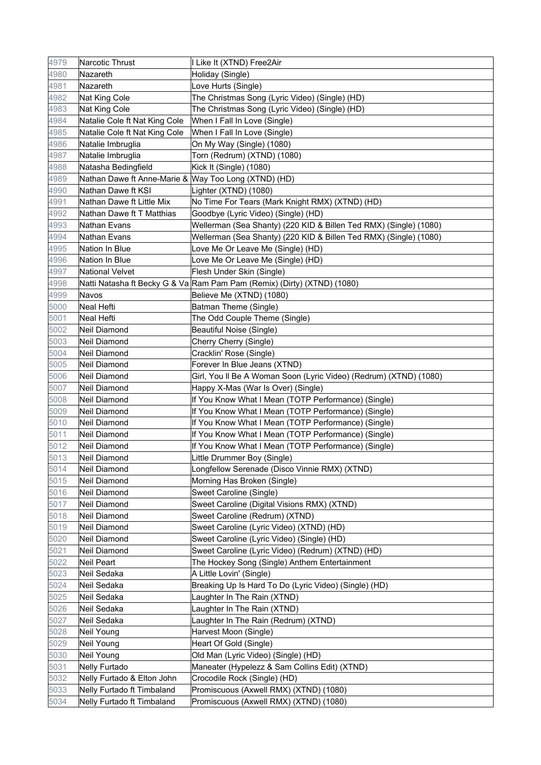| 4979 | Narcotic Thrust                                      | I Like It (XTND) Free2Air                                               |
|------|------------------------------------------------------|-------------------------------------------------------------------------|
| 4980 | Nazareth                                             | Holiday (Single)                                                        |
| 4981 | Nazareth                                             | Love Hurts (Single)                                                     |
| 4982 | Nat King Cole                                        | The Christmas Song (Lyric Video) (Single) (HD)                          |
| 4983 | Nat King Cole                                        | The Christmas Song (Lyric Video) (Single) (HD)                          |
| 4984 | Natalie Cole ft Nat King Cole                        | When I Fall In Love (Single)                                            |
| 4985 | Natalie Cole ft Nat King Cole                        | When I Fall In Love (Single)                                            |
| 4986 | Natalie Imbruglia                                    | On My Way (Single) (1080)                                               |
| 4987 | Natalie Imbruglia                                    | Torn (Redrum) (XTND) (1080)                                             |
| 4988 | Natasha Bedingfield                                  | Kick It (Single) (1080)                                                 |
| 4989 | Nathan Dawe ft Anne-Marie & Way Too Long (XTND) (HD) |                                                                         |
| 4990 | Nathan Dawe ft KSI                                   | Lighter (XTND) (1080)                                                   |
| 4991 | Nathan Dawe ft Little Mix                            | No Time For Tears (Mark Knight RMX) (XTND) (HD)                         |
| 4992 | Nathan Dawe ft T Matthias                            | Goodbye (Lyric Video) (Single) (HD)                                     |
| 4993 | Nathan Evans                                         | Wellerman (Sea Shanty) (220 KID & Billen Ted RMX) (Single) (1080)       |
| 4994 | <b>Nathan Evans</b>                                  | Wellerman (Sea Shanty) (220 KID & Billen Ted RMX) (Single) (1080)       |
| 4995 | <b>Nation In Blue</b>                                | Love Me Or Leave Me (Single) (HD)                                       |
| 4996 | Nation In Blue                                       | Love Me Or Leave Me (Single) (HD)                                       |
| 4997 | <b>National Velvet</b>                               | Flesh Under Skin (Single)                                               |
| 4998 |                                                      | Natti Natasha ft Becky G & Va Ram Pam Pam (Remix) (Dirty) (XTND) (1080) |
| 4999 | Navos                                                | Believe Me (XTND) (1080)                                                |
| 5000 | Neal Hefti                                           | Batman Theme (Single)                                                   |
| 5001 | Neal Hefti                                           | The Odd Couple Theme (Single)                                           |
| 5002 | Neil Diamond                                         | Beautiful Noise (Single)                                                |
| 5003 | Neil Diamond                                         | Cherry Cherry (Single)                                                  |
| 5004 | Neil Diamond                                         | Cracklin' Rose (Single)                                                 |
| 5005 | Neil Diamond                                         | Forever In Blue Jeans (XTND)                                            |
| 5006 | Neil Diamond                                         | Girl, You Il Be A Woman Soon (Lyric Video) (Redrum) (XTND) (1080)       |
| 5007 | Neil Diamond                                         | Happy X-Mas (War Is Over) (Single)                                      |
| 5008 | Neil Diamond                                         | If You Know What I Mean (TOTP Performance) (Single)                     |
| 5009 | <b>Neil Diamond</b>                                  | If You Know What I Mean (TOTP Performance) (Single)                     |
| 5010 | Neil Diamond                                         | If You Know What I Mean (TOTP Performance) (Single)                     |
| 5011 | Neil Diamond                                         | If You Know What I Mean (TOTP Performance) (Single)                     |
| 5012 | Neil Diamond                                         | If You Know What I Mean (TOTP Performance) (Single)                     |
| 5013 | <b>Neil Diamond</b>                                  | Little Drummer Boy (Single)                                             |
| 5014 | Neil Diamond                                         | Longfellow Serenade (Disco Vinnie RMX) (XTND)                           |
| 5015 | <b>Neil Diamond</b>                                  | Morning Has Broken (Single)                                             |
| 5016 | Neil Diamond                                         | Sweet Caroline (Single)                                                 |
| 5017 | Neil Diamond                                         | Sweet Caroline (Digital Visions RMX) (XTND)                             |
| 5018 | Neil Diamond                                         | Sweet Caroline (Redrum) (XTND)                                          |
| 5019 | Neil Diamond                                         | Sweet Caroline (Lyric Video) (XTND) (HD)                                |
| 5020 | Neil Diamond                                         | Sweet Caroline (Lyric Video) (Single) (HD)                              |
| 5021 | Neil Diamond                                         | Sweet Caroline (Lyric Video) (Redrum) (XTND) (HD)                       |
| 5022 | Neil Peart                                           | The Hockey Song (Single) Anthem Entertainment                           |
| 5023 | Neil Sedaka                                          | A Little Lovin' (Single)                                                |
| 5024 | Neil Sedaka                                          | Breaking Up Is Hard To Do (Lyric Video) (Single) (HD)                   |
| 5025 | Neil Sedaka                                          | Laughter In The Rain (XTND)                                             |
| 5026 | Neil Sedaka                                          | Laughter In The Rain (XTND)                                             |
| 5027 | Neil Sedaka                                          | Laughter In The Rain (Redrum) (XTND)                                    |
| 5028 | Neil Young                                           | Harvest Moon (Single)                                                   |
| 5029 | Neil Young                                           | Heart Of Gold (Single)                                                  |
| 5030 | Neil Young                                           | Old Man (Lyric Video) (Single) (HD)                                     |
| 5031 | Nelly Furtado                                        | Maneater (Hypelezz & Sam Collins Edit) (XTND)                           |
| 5032 | Nelly Furtado & Elton John                           | Crocodile Rock (Single) (HD)                                            |
| 5033 | Nelly Furtado ft Timbaland                           | Promiscuous (Axwell RMX) (XTND) (1080)                                  |
| 5034 | Nelly Furtado ft Timbaland                           | Promiscuous (Axwell RMX) (XTND) (1080)                                  |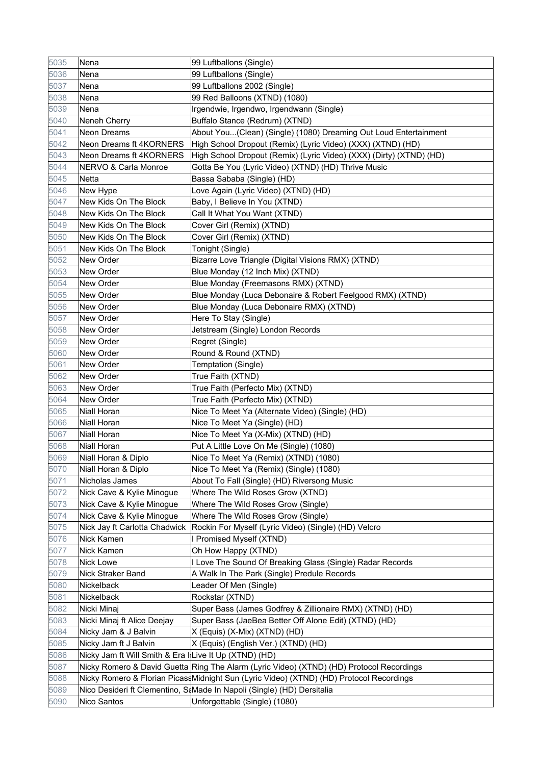| 5035 | Nena                                                   | 99 Luftballons (Single)                                                                  |
|------|--------------------------------------------------------|------------------------------------------------------------------------------------------|
| 5036 | Nena                                                   | 99 Luftballons (Single)                                                                  |
| 5037 | Nena                                                   | 99 Luftballons 2002 (Single)                                                             |
| 5038 | Nena                                                   | 99 Red Balloons (XTND) (1080)                                                            |
| 5039 | Nena                                                   | Irgendwie, Irgendwo, Irgendwann (Single)                                                 |
| 5040 | Neneh Cherry                                           | Buffalo Stance (Redrum) (XTND)                                                           |
| 5041 | Neon Dreams                                            | About You(Clean) (Single) (1080) Dreaming Out Loud Entertainment                         |
| 5042 | Neon Dreams ft 4KORNERS                                | High School Dropout (Remix) (Lyric Video) (XXX) (XTND) (HD)                              |
| 5043 | Neon Dreams ft 4KORNERS                                | High School Dropout (Remix) (Lyric Video) (XXX) (Dirty) (XTND) (HD)                      |
| 5044 | NERVO & Carla Monroe                                   | Gotta Be You (Lyric Video) (XTND) (HD) Thrive Music                                      |
| 5045 | Netta                                                  | Bassa Sababa (Single) (HD)                                                               |
| 5046 | New Hype                                               | Love Again (Lyric Video) (XTND) (HD)                                                     |
| 5047 | New Kids On The Block                                  | Baby, I Believe In You (XTND)                                                            |
| 5048 | New Kids On The Block                                  | Call It What You Want (XTND)                                                             |
| 5049 | New Kids On The Block                                  | Cover Girl (Remix) (XTND)                                                                |
| 5050 | New Kids On The Block                                  | Cover Girl (Remix) (XTND)                                                                |
| 5051 | New Kids On The Block                                  | Tonight (Single)                                                                         |
| 5052 | New Order                                              | Bizarre Love Triangle (Digital Visions RMX) (XTND)                                       |
| 5053 | New Order                                              | Blue Monday (12 Inch Mix) (XTND)                                                         |
| 5054 | New Order                                              | Blue Monday (Freemasons RMX) (XTND)                                                      |
| 5055 | New Order                                              | Blue Monday (Luca Debonaire & Robert Feelgood RMX) (XTND)                                |
| 5056 | <b>New Order</b>                                       | Blue Monday (Luca Debonaire RMX) (XTND)                                                  |
| 5057 | <b>New Order</b>                                       | Here To Stay (Single)                                                                    |
| 5058 | <b>New Order</b>                                       | Jetstream (Single) London Records                                                        |
| 5059 | New Order                                              | Regret (Single)                                                                          |
| 5060 | New Order                                              | Round & Round (XTND)                                                                     |
| 5061 | New Order                                              | Temptation (Single)                                                                      |
| 5062 | New Order                                              | True Faith (XTND)                                                                        |
| 5063 | <b>New Order</b>                                       | True Faith (Perfecto Mix) (XTND)                                                         |
| 5064 | <b>New Order</b>                                       | True Faith (Perfecto Mix) (XTND)                                                         |
| 5065 | <b>Niall Horan</b>                                     | Nice To Meet Ya (Alternate Video) (Single) (HD)                                          |
| 5066 | Niall Horan                                            | Nice To Meet Ya (Single) (HD)                                                            |
| 5067 | Niall Horan                                            | Nice To Meet Ya (X-Mix) (XTND) (HD)                                                      |
| 5068 | Niall Horan                                            | Put A Little Love On Me (Single) (1080)                                                  |
| 5069 | Niall Horan & Diplo                                    | Nice To Meet Ya (Remix) (XTND) (1080)                                                    |
| 5070 | Niall Horan & Diplo                                    | Nice To Meet Ya (Remix) (Single) (1080)                                                  |
| 5071 | Nicholas James                                         | About To Fall (Single) (HD) Riversong Music                                              |
| 5072 | Nick Cave & Kylie Minogue                              | Where The Wild Roses Grow (XTND)                                                         |
| 5073 | Nick Cave & Kylie Minogue                              | Where The Wild Roses Grow (Single)                                                       |
| 5074 | Nick Cave & Kylie Minogue                              | Where The Wild Roses Grow (Single)                                                       |
| 5075 | Nick Jay ft Carlotta Chadwick                          | Rockin For Myself (Lyric Video) (Single) (HD) Velcro                                     |
| 5076 | Nick Kamen                                             | I Promised Myself (XTND)                                                                 |
| 5077 | Nick Kamen                                             | Oh How Happy (XTND)                                                                      |
| 5078 | Nick Lowe                                              | I Love The Sound Of Breaking Glass (Single) Radar Records                                |
| 5079 | Nick Straker Band                                      | A Walk In The Park (Single) Predule Records                                              |
| 5080 | Nickelback                                             | Leader Of Men (Single)                                                                   |
| 5081 | Nickelback                                             | Rockstar (XTND)                                                                          |
| 5082 | Nicki Minaj                                            | Super Bass (James Godfrey & Zillionaire RMX) (XTND) (HD)                                 |
| 5083 | Nicki Minaj ft Alice Deejay                            | Super Bass (JaeBea Better Off Alone Edit) (XTND) (HD)                                    |
| 5084 | Nicky Jam & J Balvin                                   | X (Equis) (X-Mix) (XTND) (HD)                                                            |
| 5085 | Nicky Jam ft J Balvin                                  | X (Equis) (English Ver.) (XTND) (HD)                                                     |
| 5086 | Nicky Jam ft Will Smith & Era I Live It Up (XTND) (HD) |                                                                                          |
| 5087 |                                                        | Nicky Romero & David Guetta Ring The Alarm (Lyric Video) (XTND) (HD) Protocol Recordings |
| 5088 |                                                        | Nicky Romero & Florian PicassMidnight Sun (Lyric Video) (XTND) (HD) Protocol Recordings  |
| 5089 |                                                        | Nico Desideri ft Clementino, SaMade In Napoli (Single) (HD) Dersitalia                   |
| 5090 | Nico Santos                                            | Unforgettable (Single) (1080)                                                            |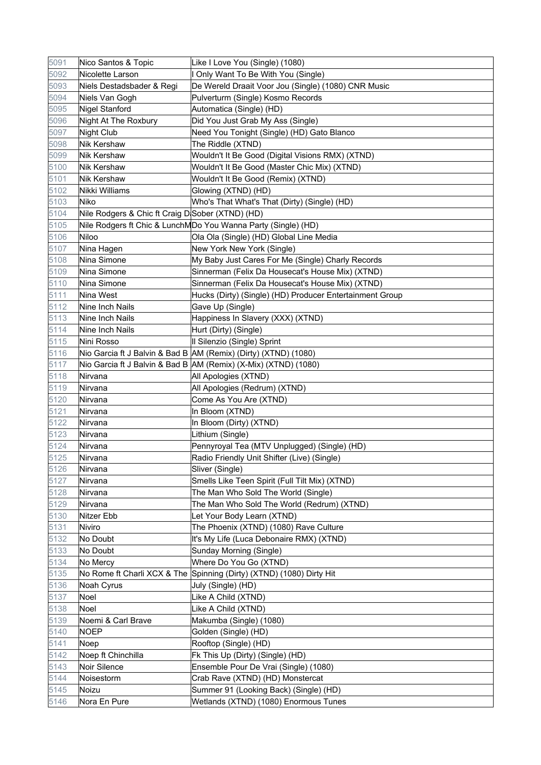| 5091 | Nico Santos & Topic                              | Like I Love You (Single) (1080)                                      |
|------|--------------------------------------------------|----------------------------------------------------------------------|
| 5092 | Nicolette Larson                                 | I Only Want To Be With You (Single)                                  |
| 5093 | Niels Destadsbader & Regi                        | De Wereld Draait Voor Jou (Single) (1080) CNR Music                  |
| 5094 | Niels Van Gogh                                   | Pulverturm (Single) Kosmo Records                                    |
| 5095 | Nigel Stanford                                   | Automatica (Single) (HD)                                             |
| 5096 | Night At The Roxbury                             | Did You Just Grab My Ass (Single)                                    |
| 5097 | Night Club                                       | Need You Tonight (Single) (HD) Gato Blanco                           |
| 5098 | <b>Nik Kershaw</b>                               | The Riddle (XTND)                                                    |
| 5099 | <b>Nik Kershaw</b>                               | Wouldn't It Be Good (Digital Visions RMX) (XTND)                     |
| 5100 | Nik Kershaw                                      | Wouldn't It Be Good (Master Chic Mix) (XTND)                         |
| 5101 | <b>Nik Kershaw</b>                               | Wouldn't It Be Good (Remix) (XTND)                                   |
| 5102 | Nikki Williams                                   | Glowing (XTND) (HD)                                                  |
| 5103 | Niko                                             | Who's That What's That (Dirty) (Single) (HD)                         |
| 5104 | Nile Rodgers & Chic ft Craig D Sober (XTND) (HD) |                                                                      |
| 5105 |                                                  | Nile Rodgers ft Chic & LunchMDo You Wanna Party (Single) (HD)        |
| 5106 | Niloo                                            | Ola Ola (Single) (HD) Global Line Media                              |
| 5107 | Nina Hagen                                       | New York New York (Single)                                           |
| 5108 | Nina Simone                                      | My Baby Just Cares For Me (Single) Charly Records                    |
| 5109 | Nina Simone                                      | Sinnerman (Felix Da Housecat's House Mix) (XTND)                     |
| 5110 | Nina Simone                                      | Sinnerman (Felix Da Housecat's House Mix) (XTND)                     |
| 5111 | Nina West                                        | Hucks (Dirty) (Single) (HD) Producer Entertainment Group             |
| 5112 | Nine Inch Nails                                  | Gave Up (Single)                                                     |
| 5113 | Nine Inch Nails                                  | Happiness In Slavery (XXX) (XTND)                                    |
| 5114 | Nine Inch Nails                                  | Hurt (Dirty) (Single)                                                |
| 5115 | Nini Rosso                                       | Il Silenzio (Single) Sprint                                          |
| 5116 |                                                  | Nio Garcia ft J Balvin & Bad B AM (Remix) (Dirty) (XTND) (1080)      |
| 5117 |                                                  | Nio Garcia ft J Balvin & Bad B AM (Remix) (X-Mix) (XTND) (1080)      |
| 5118 | Nirvana                                          | All Apologies (XTND)                                                 |
| 5119 | Nirvana                                          | All Apologies (Redrum) (XTND)                                        |
| 5120 | Nirvana                                          | Come As You Are (XTND)                                               |
| 5121 | Nirvana                                          | In Bloom (XTND)                                                      |
| 5122 | Nirvana                                          | In Bloom (Dirty) (XTND)                                              |
| 5123 | Nirvana                                          | Lithium (Single)                                                     |
| 5124 | Nirvana                                          | Pennyroyal Tea (MTV Unplugged) (Single) (HD)                         |
| 5125 | Nirvana                                          | Radio Friendly Unit Shifter (Live) (Single)                          |
| 5126 | Nirvana                                          | Sliver (Single)                                                      |
| 5127 | Nirvana                                          | Smells Like Teen Spirit (Full Tilt Mix) (XTND)                       |
| 5128 | Nirvana                                          | The Man Who Sold The World (Single)                                  |
| 5129 | Nirvana                                          | The Man Who Sold The World (Redrum) (XTND)                           |
| 5130 | Nitzer Ebb                                       | Let Your Body Learn (XTND)                                           |
| 5131 | Niviro                                           | The Phoenix (XTND) (1080) Rave Culture                               |
| 5132 | No Doubt                                         | It's My Life (Luca Debonaire RMX) (XTND)                             |
| 5133 | No Doubt                                         | Sunday Morning (Single)                                              |
| 5134 | No Mercy                                         | Where Do You Go (XTND)                                               |
| 5135 |                                                  | No Rome ft Charli XCX & The Spinning (Dirty) (XTND) (1080) Dirty Hit |
| 5136 | Noah Cyrus                                       | July (Single) (HD)                                                   |
| 5137 | Noel                                             | Like A Child (XTND)                                                  |
| 5138 | Noel                                             | Like A Child (XTND)                                                  |
| 5139 | Noemi & Carl Brave                               | Makumba (Single) (1080)                                              |
| 5140 | <b>NOEP</b>                                      | Golden (Single) (HD)                                                 |
| 5141 | Noep                                             | Rooftop (Single) (HD)                                                |
| 5142 | Noep ft Chinchilla                               | Fk This Up (Dirty) (Single) (HD)                                     |
| 5143 | Noir Silence                                     | Ensemble Pour De Vrai (Single) (1080)                                |
| 5144 | Noisestorm                                       | Crab Rave (XTND) (HD) Monstercat                                     |
| 5145 | Noizu                                            | Summer 91 (Looking Back) (Single) (HD)                               |
| 5146 | Nora En Pure                                     | Wetlands (XTND) (1080) Enormous Tunes                                |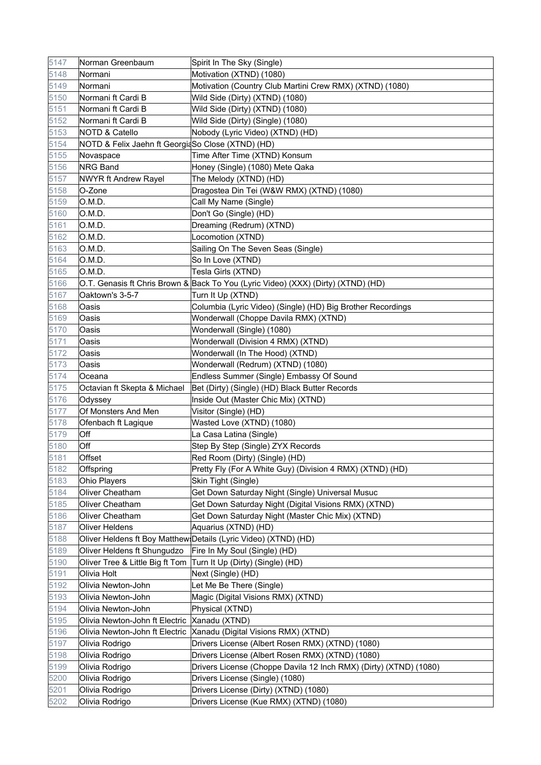| 5147 | Norman Greenbaum                                  | Spirit In The Sky (Single)                                                        |
|------|---------------------------------------------------|-----------------------------------------------------------------------------------|
| 5148 | Normani                                           | Motivation (XTND) (1080)                                                          |
| 5149 | Normani                                           | Motivation (Country Club Martini Crew RMX) (XTND) (1080)                          |
| 5150 | Normani ft Cardi B                                | Wild Side (Dirty) (XTND) (1080)                                                   |
| 5151 | Normani ft Cardi B                                | Wild Side (Dirty) (XTND) (1080)                                                   |
| 5152 | Normani ft Cardi B                                | Wild Side (Dirty) (Single) (1080)                                                 |
| 5153 | <b>NOTD &amp; Catello</b>                         | Nobody (Lyric Video) (XTND) (HD)                                                  |
| 5154 | NOTD & Felix Jaehn ft GeorgiaSo Close (XTND) (HD) |                                                                                   |
| 5155 | Novaspace                                         | Time After Time (XTND) Konsum                                                     |
| 5156 | <b>NRG Band</b>                                   | Honey (Single) (1080) Mete Qaka                                                   |
| 5157 | <b>NWYR ft Andrew Rayel</b>                       | The Melody (XTND) (HD)                                                            |
| 5158 | O-Zone                                            | Dragostea Din Tei (W&W RMX) (XTND) (1080)                                         |
| 5159 | O.M.D.                                            | Call My Name (Single)                                                             |
| 5160 | O.M.D.                                            | Don't Go (Single) (HD)                                                            |
| 5161 | O.M.D.                                            | Dreaming (Redrum) (XTND)                                                          |
| 5162 | O.M.D.                                            | Locomotion (XTND)                                                                 |
| 5163 | O.M.D.                                            | Sailing On The Seven Seas (Single)                                                |
| 5164 | O.M.D.                                            | So In Love (XTND)                                                                 |
| 5165 | O.M.D.                                            | Tesla Girls (XTND)                                                                |
| 5166 |                                                   | O.T. Genasis ft Chris Brown & Back To You (Lyric Video) (XXX) (Dirty) (XTND) (HD) |
| 5167 | Oaktown's 3-5-7                                   | Turn It Up (XTND)                                                                 |
| 5168 | Oasis                                             | Columbia (Lyric Video) (Single) (HD) Big Brother Recordings                       |
| 5169 | Oasis                                             | Wonderwall (Choppe Davila RMX) (XTND)                                             |
| 5170 | Oasis                                             | Wonderwall (Single) (1080)                                                        |
| 5171 | Oasis                                             | Wonderwall (Division 4 RMX) (XTND)                                                |
| 5172 | Oasis                                             | Wonderwall (In The Hood) (XTND)                                                   |
| 5173 | Oasis                                             | Wonderwall (Redrum) (XTND) (1080)                                                 |
| 5174 | Oceana                                            | Endless Summer (Single) Embassy Of Sound                                          |
| 5175 | Octavian ft Skepta & Michael                      | Bet (Dirty) (Single) (HD) Black Butter Records                                    |
| 5176 | Odyssey                                           | Inside Out (Master Chic Mix) (XTND)                                               |
| 5177 | Of Monsters And Men                               | Visitor (Single) (HD)                                                             |
| 5178 | Ofenbach ft Lagique                               | Wasted Love (XTND) (1080)                                                         |
| 5179 | Off                                               | La Casa Latina (Single)                                                           |
| 5180 | Off                                               | Step By Step (Single) ZYX Records                                                 |
| 5181 | Offset                                            | Red Room (Dirty) (Single) (HD)                                                    |
| 5182 | Offspring                                         | Pretty Fly (For A White Guy) (Division 4 RMX) (XTND) (HD)                         |
| 5183 | Ohio Players                                      | Skin Tight (Single)                                                               |
| 5184 | Oliver Cheatham                                   | Get Down Saturday Night (Single) Universal Musuc                                  |
| 5185 | Oliver Cheatham                                   | Get Down Saturday Night (Digital Visions RMX) (XTND)                              |
| 5186 | Oliver Cheatham                                   | Get Down Saturday Night (Master Chic Mix) (XTND)                                  |
| 5187 | <b>Oliver Heldens</b>                             | Aquarius (XTND) (HD)                                                              |
| 5188 |                                                   | Oliver Heldens ft Boy Matthew Details (Lyric Video) (XTND) (HD)                   |
| 5189 | Oliver Heldens ft Shungudzo                       | Fire In My Soul (Single) (HD)                                                     |
| 5190 | Oliver Tree & Little Big ft Tom                   | Turn It Up (Dirty) (Single) (HD)                                                  |
| 5191 | Olivia Holt                                       | Next (Single) (HD)                                                                |
| 5192 | Olivia Newton-John                                | Let Me Be There (Single)                                                          |
| 5193 | Olivia Newton-John                                | Magic (Digital Visions RMX) (XTND)                                                |
| 5194 | Olivia Newton-John                                | Physical (XTND)                                                                   |
| 5195 | Olivia Newton-John ft Electric                    | Xanadu (XTND)                                                                     |
| 5196 |                                                   | Olivia Newton-John ft Electric Xanadu (Digital Visions RMX) (XTND)                |
| 5197 | Olivia Rodrigo                                    | Drivers License (Albert Rosen RMX) (XTND) (1080)                                  |
| 5198 | Olivia Rodrigo                                    | Drivers License (Albert Rosen RMX) (XTND) (1080)                                  |
| 5199 | Olivia Rodrigo                                    | Drivers License (Choppe Davila 12 Inch RMX) (Dirty) (XTND) (1080)                 |
| 5200 | Olivia Rodrigo                                    | Drivers License (Single) (1080)                                                   |
| 5201 | Olivia Rodrigo                                    | Drivers License (Dirty) (XTND) (1080)                                             |
| 5202 | Olivia Rodrigo                                    | Drivers License (Kue RMX) (XTND) (1080)                                           |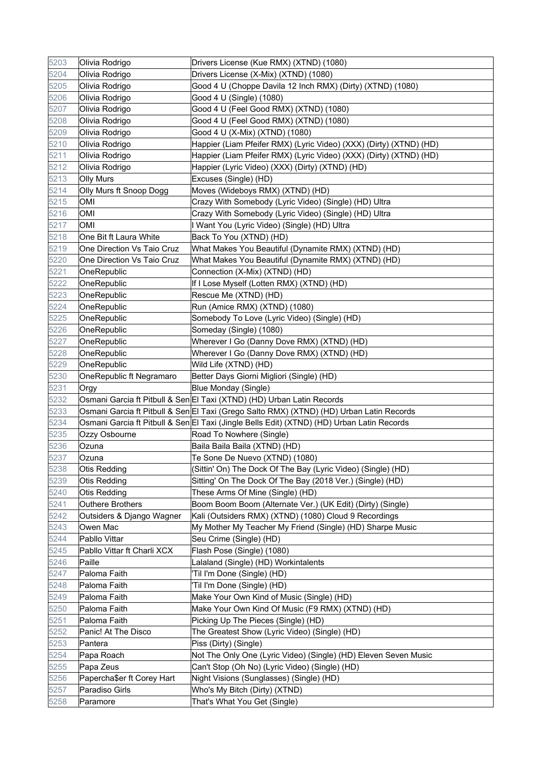| 5203 | Olivia Rodrigo              | Drivers License (Kue RMX) (XTND) (1080)                                                    |
|------|-----------------------------|--------------------------------------------------------------------------------------------|
| 5204 | Olivia Rodrigo              | Drivers License (X-Mix) (XTND) (1080)                                                      |
| 5205 | Olivia Rodrigo              | Good 4 U (Choppe Davila 12 Inch RMX) (Dirty) (XTND) (1080)                                 |
| 5206 | Olivia Rodrigo              | Good 4 U (Single) (1080)                                                                   |
| 5207 | Olivia Rodrigo              | Good 4 U (Feel Good RMX) (XTND) (1080)                                                     |
| 5208 | Olivia Rodrigo              | Good 4 U (Feel Good RMX) (XTND) (1080)                                                     |
| 5209 | Olivia Rodrigo              | Good 4 U (X-Mix) (XTND) (1080)                                                             |
| 5210 | Olivia Rodrigo              | Happier (Liam Pfeifer RMX) (Lyric Video) (XXX) (Dirty) (XTND) (HD)                         |
| 5211 | Olivia Rodrigo              | Happier (Liam Pfeifer RMX) (Lyric Video) (XXX) (Dirty) (XTND) (HD)                         |
| 5212 | Olivia Rodrigo              | Happier (Lyric Video) (XXX) (Dirty) (XTND) (HD)                                            |
| 5213 | <b>Olly Murs</b>            | Excuses (Single) (HD)                                                                      |
| 5214 | Olly Murs ft Snoop Dogg     | Moves (Wideboys RMX) (XTND) (HD)                                                           |
| 5215 | OMI                         | Crazy With Somebody (Lyric Video) (Single) (HD) Ultra                                      |
| 5216 | OMI                         | Crazy With Somebody (Lyric Video) (Single) (HD) Ultra                                      |
| 5217 | <b>OMI</b>                  | l Want You (Lyric Video) (Single) (HD) Ultra                                               |
| 5218 | One Bit ft Laura White      | Back To You (XTND) (HD)                                                                    |
| 5219 | One Direction Vs Taio Cruz  | What Makes You Beautiful (Dynamite RMX) (XTND) (HD)                                        |
| 5220 | One Direction Vs Taio Cruz  | What Makes You Beautiful (Dynamite RMX) (XTND) (HD)                                        |
| 5221 | OneRepublic                 | Connection (X-Mix) (XTND) (HD)                                                             |
| 5222 | OneRepublic                 | If I Lose Myself (Lotten RMX) (XTND) (HD)                                                  |
| 5223 | OneRepublic                 | Rescue Me (XTND) (HD)                                                                      |
| 5224 | OneRepublic                 | Run (Amice RMX) (XTND) (1080)                                                              |
| 5225 | OneRepublic                 | Somebody To Love (Lyric Video) (Single) (HD)                                               |
| 5226 | OneRepublic                 | Someday (Single) (1080)                                                                    |
| 5227 | OneRepublic                 | Wherever I Go (Danny Dove RMX) (XTND) (HD)                                                 |
| 5228 | OneRepublic                 | Wherever I Go (Danny Dove RMX) (XTND) (HD)                                                 |
| 5229 | OneRepublic                 | Wild Life (XTND) (HD)                                                                      |
| 5230 | OneRepublic ft Negramaro    | Better Days Giorni Migliori (Single) (HD)                                                  |
| 5231 | Orgy                        | Blue Monday (Single)                                                                       |
| 5232 |                             | Osmani Garcia ft Pitbull & Sen El Taxi (XTND) (HD) Urban Latin Records                     |
| 5233 |                             | Osmani Garcia ft Pitbull & Sen El Taxi (Grego Salto RMX) (XTND) (HD) Urban Latin Records   |
| 5234 |                             | Osmani Garcia ft Pitbull & Sen El Taxi (Jingle Bells Edit) (XTND) (HD) Urban Latin Records |
| 5235 | Ozzy Osbourne               | Road To Nowhere (Single)                                                                   |
| 5236 | Ozuna                       | Baila Baila Baila (XTND) (HD)                                                              |
| 5237 | Ozuna                       | Te Sone De Nuevo (XTND) (1080)                                                             |
| 5238 | <b>Otis Redding</b>         | (Sittin' On) The Dock Of The Bay (Lyric Video) (Single) (HD)                               |
| 5239 | <b>Otis Redding</b>         | Sitting' On The Dock Of The Bay (2018 Ver.) (Single) (HD)                                  |
| 5240 | <b>Otis Redding</b>         | These Arms Of Mine (Single) (HD)                                                           |
| 5241 | <b>Outhere Brothers</b>     | Boom Boom Boom (Alternate Ver.) (UK Edit) (Dirty) (Single)                                 |
| 5242 | Outsiders & Django Wagner   | Kali (Outsiders RMX) (XTND) (1080) Cloud 9 Recordings                                      |
| 5243 | Owen Mac                    | My Mother My Teacher My Friend (Single) (HD) Sharpe Music                                  |
| 5244 | Pabllo Vittar               | Seu Crime (Single) (HD)                                                                    |
| 5245 | Pabllo Vittar ft Charli XCX | Flash Pose (Single) (1080)                                                                 |
| 5246 | Paille                      | Lalaland (Single) (HD) Workintalents                                                       |
| 5247 | Paloma Faith                | 'Til I'm Done (Single) (HD)                                                                |
| 5248 | Paloma Faith                | 'Til I'm Done (Single) (HD)                                                                |
| 5249 | Paloma Faith                | Make Your Own Kind of Music (Single) (HD)                                                  |
| 5250 | Paloma Faith                | Make Your Own Kind Of Music (F9 RMX) (XTND) (HD)                                           |
| 5251 | Paloma Faith                | Picking Up The Pieces (Single) (HD)                                                        |
| 5252 | Panic! At The Disco         | The Greatest Show (Lyric Video) (Single) (HD)                                              |
| 5253 | Pantera                     | Piss (Dirty) (Single)                                                                      |
| 5254 | Papa Roach                  | Not The Only One (Lyric Video) (Single) (HD) Eleven Seven Music                            |
| 5255 | Papa Zeus                   | Can't Stop (Oh No) (Lyric Video) (Single) (HD)                                             |
|      |                             |                                                                                            |
| 5256 | Papercha\$er ft Corey Hart  | Night Visions (Sunglasses) (Single) (HD)                                                   |
| 5257 | Paradiso Girls              | Who's My Bitch (Dirty) (XTND)                                                              |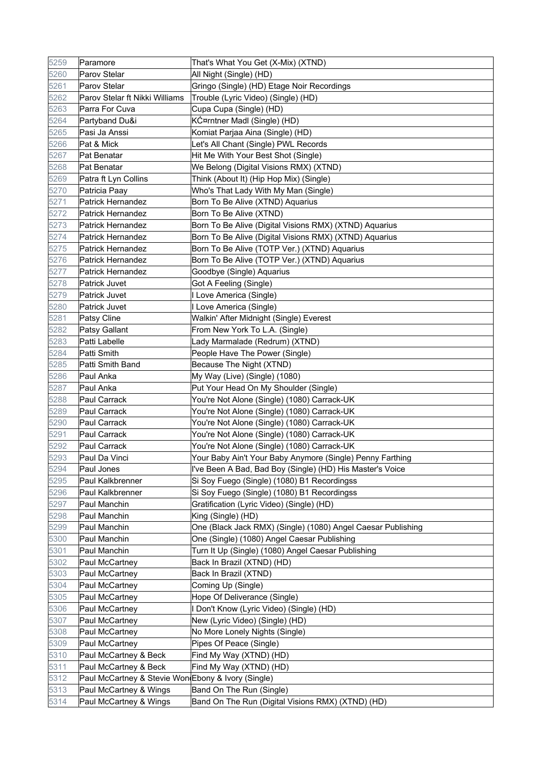| 5259 | Paramore                                           | That's What You Get (X-Mix) (XTND)                           |
|------|----------------------------------------------------|--------------------------------------------------------------|
| 5260 | Parov Stelar                                       | All Night (Single) (HD)                                      |
| 5261 | Parov Stelar                                       | Gringo (Single) (HD) Etage Noir Recordings                   |
| 5262 | Parov Stelar ft Nikki Williams                     | Trouble (Lyric Video) (Single) (HD)                          |
| 5263 | Parra For Cuva                                     | Cupa Cupa (Single) (HD)                                      |
| 5264 | Partyband Du&i                                     | KƤrntner Madl (Single) (HD)                                  |
| 5265 | Pasi Ja Anssi                                      | Komiat Parjaa Aina (Single) (HD)                             |
| 5266 | Pat & Mick                                         | Let's All Chant (Single) PWL Records                         |
| 5267 | Pat Benatar                                        | Hit Me With Your Best Shot (Single)                          |
| 5268 | Pat Benatar                                        | We Belong (Digital Visions RMX) (XTND)                       |
| 5269 | Patra ft Lyn Collins                               | Think (About It) (Hip Hop Mix) (Single)                      |
| 5270 | Patricia Paay                                      | Who's That Lady With My Man (Single)                         |
| 5271 | <b>Patrick Hernandez</b>                           | Born To Be Alive (XTND) Aquarius                             |
| 5272 | Patrick Hernandez                                  | Born To Be Alive (XTND)                                      |
| 5273 | <b>Patrick Hernandez</b>                           | Born To Be Alive (Digital Visions RMX) (XTND) Aquarius       |
| 5274 | <b>Patrick Hernandez</b>                           | Born To Be Alive (Digital Visions RMX) (XTND) Aquarius       |
| 5275 | <b>Patrick Hernandez</b>                           | Born To Be Alive (TOTP Ver.) (XTND) Aquarius                 |
| 5276 | <b>Patrick Hernandez</b>                           | Born To Be Alive (TOTP Ver.) (XTND) Aquarius                 |
| 5277 | <b>Patrick Hernandez</b>                           | Goodbye (Single) Aquarius                                    |
| 5278 | Patrick Juvet                                      | Got A Feeling (Single)                                       |
| 5279 | <b>Patrick Juvet</b>                               | I Love America (Single)                                      |
| 5280 | Patrick Juvet                                      | I Love America (Single)                                      |
| 5281 | Patsy Cline                                        | Walkin' After Midnight (Single) Everest                      |
| 5282 | Patsy Gallant                                      | From New York To L.A. (Single)                               |
| 5283 | Patti Labelle                                      | Lady Marmalade (Redrum) (XTND)                               |
| 5284 | Patti Smith                                        | People Have The Power (Single)                               |
| 5285 | Patti Smith Band                                   | Because The Night (XTND)                                     |
| 5286 | Paul Anka                                          | My Way (Live) (Single) (1080)                                |
| 5287 | Paul Anka                                          | Put Your Head On My Shoulder (Single)                        |
| 5288 | Paul Carrack                                       | You're Not Alone (Single) (1080) Carrack-UK                  |
| 5289 | <b>Paul Carrack</b>                                | You're Not Alone (Single) (1080) Carrack-UK                  |
| 5290 | Paul Carrack                                       | You're Not Alone (Single) (1080) Carrack-UK                  |
| 5291 | Paul Carrack                                       | You're Not Alone (Single) (1080) Carrack-UK                  |
| 5292 | Paul Carrack                                       | You're Not Alone (Single) (1080) Carrack-UK                  |
| 5293 | Paul Da Vinci                                      | Your Baby Ain't Your Baby Anymore (Single) Penny Farthing    |
| 5294 | Paul Jones                                         | I've Been A Bad, Bad Boy (Single) (HD) His Master's Voice    |
| 5295 | Paul Kalkbrenner                                   | Si Soy Fuego (Single) (1080) B1 Recordingss                  |
| 5296 | Paul Kalkbrenner                                   | Si Soy Fuego (Single) (1080) B1 Recordingss                  |
| 5297 | Paul Manchin                                       | Gratification (Lyric Video) (Single) (HD)                    |
| 5298 | Paul Manchin                                       | King (Single) (HD)                                           |
| 5299 | Paul Manchin                                       | One (Black Jack RMX) (Single) (1080) Angel Caesar Publishing |
| 5300 | Paul Manchin                                       | One (Single) (1080) Angel Caesar Publishing                  |
| 5301 | Paul Manchin                                       | Turn It Up (Single) (1080) Angel Caesar Publishing           |
| 5302 | Paul McCartney                                     | Back In Brazil (XTND) (HD)                                   |
| 5303 | Paul McCartney                                     | Back In Brazil (XTND)                                        |
| 5304 | Paul McCartney                                     | Coming Up (Single)                                           |
| 5305 | Paul McCartney                                     | Hope Of Deliverance (Single)                                 |
| 5306 | Paul McCartney                                     | I Don't Know (Lyric Video) (Single) (HD)                     |
| 5307 | Paul McCartney                                     | New (Lyric Video) (Single) (HD)                              |
| 5308 | Paul McCartney                                     | No More Lonely Nights (Single)                               |
| 5309 | Paul McCartney                                     | Pipes Of Peace (Single)                                      |
| 5310 | Paul McCartney & Beck                              | Find My Way (XTND) (HD)                                      |
| 5311 | Paul McCartney & Beck                              | Find My Way (XTND) (HD)                                      |
| 5312 | Paul McCartney & Stevie Won Ebony & Ivory (Single) |                                                              |
| 5313 | Paul McCartney & Wings                             | Band On The Run (Single)                                     |
| 5314 | Paul McCartney & Wings                             | Band On The Run (Digital Visions RMX) (XTND) (HD)            |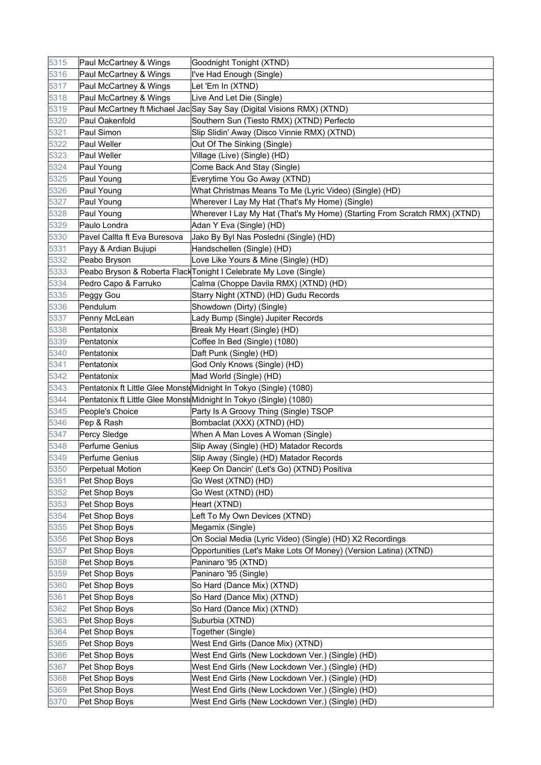| 5315 | Paul McCartney & Wings       | Goodnight Tonight (XTND)                                                  |
|------|------------------------------|---------------------------------------------------------------------------|
| 5316 | Paul McCartney & Wings       | I've Had Enough (Single)                                                  |
| 5317 | Paul McCartney & Wings       | Let 'Em In (XTND)                                                         |
| 5318 | Paul McCartney & Wings       | Live And Let Die (Single)                                                 |
| 5319 |                              | Paul McCartney ft Michael Jac Say Say Say (Digital Visions RMX) (XTND)    |
| 5320 | Paul Oakenfold               | Southern Sun (Tiesto RMX) (XTND) Perfecto                                 |
| 5321 | Paul Simon                   | Slip Slidin' Away (Disco Vinnie RMX) (XTND)                               |
| 5322 | Paul Weller                  | Out Of The Sinking (Single)                                               |
| 5323 | <b>Paul Weller</b>           | Village (Live) (Single) (HD)                                              |
| 5324 | Paul Young                   | Come Back And Stay (Single)                                               |
| 5325 | Paul Young                   | Everytime You Go Away (XTND)                                              |
| 5326 | Paul Young                   | What Christmas Means To Me (Lyric Video) (Single) (HD)                    |
| 5327 | Paul Young                   | Wherever I Lay My Hat (That's My Home) (Single)                           |
| 5328 | Paul Young                   | Wherever I Lay My Hat (That's My Home) (Starting From Scratch RMX) (XTND) |
| 5329 | Paulo Londra                 | Adan Y Eva (Single) (HD)                                                  |
| 5330 | Pavel Callta ft Eva Buresova | Jako By Byl Nas Posledni (Single) (HD)                                    |
| 5331 | Payy & Ardian Bujupi         | Handschellen (Single) (HD)                                                |
| 5332 | Peabo Bryson                 | Love Like Yours & Mine (Single) (HD)                                      |
| 5333 |                              | Peabo Bryson & Roberta Flack Tonight I Celebrate My Love (Single)         |
| 5334 | Pedro Capo & Farruko         | Calma (Choppe Davila RMX) (XTND) (HD)                                     |
| 5335 | Peggy Gou                    | Starry Night (XTND) (HD) Gudu Records                                     |
| 5336 | Pendulum                     | Showdown (Dirty) (Single)                                                 |
| 5337 | Penny McLean                 | Lady Bump (Single) Jupiter Records                                        |
| 5338 | Pentatonix                   | Break My Heart (Single) (HD)                                              |
| 5339 | Pentatonix                   | Coffee In Bed (Single) (1080)                                             |
| 5340 | Pentatonix                   | Daft Punk (Single) (HD)                                                   |
| 5341 | Pentatonix                   | God Only Knows (Single) (HD)                                              |
| 5342 | Pentatonix                   | Mad World (Single) (HD)                                                   |
| 5343 |                              | Pentatonix ft Little Glee MonsteMidnight In Tokyo (Single) (1080)         |
| 5344 |                              | Pentatonix ft Little Glee MonsteMidnight In Tokyo (Single) (1080)         |
| 5345 | People's Choice              | Party Is A Groovy Thing (Single) TSOP                                     |
| 5346 | Pep & Rash                   | Bombaclat (XXX) (XTND) (HD)                                               |
| 5347 | Percy Sledge                 | When A Man Loves A Woman (Single)                                         |
| 5348 | Perfume Genius               | Slip Away (Single) (HD) Matador Records                                   |
| 5349 | Perfume Genius               | Slip Away (Single) (HD) Matador Records                                   |
| 5350 | Perpetual Motion             | Keep On Dancin' (Let's Go) (XTND) Positiva                                |
| 5351 | Pet Shop Boys                | Go West (XTND) (HD)                                                       |
| 5352 | Pet Shop Boys                | Go West (XTND) (HD)                                                       |
| 5353 | Pet Shop Boys                | Heart (XTND)                                                              |
| 5354 | Pet Shop Boys                | Left To My Own Devices (XTND)                                             |
| 5355 | Pet Shop Boys                | Megamix (Single)                                                          |
| 5356 | Pet Shop Boys                | On Social Media (Lyric Video) (Single) (HD) X2 Recordings                 |
| 5357 | Pet Shop Boys                | Opportunities (Let's Make Lots Of Money) (Version Latina) (XTND)          |
| 5358 | Pet Shop Boys                | Paninaro '95 (XTND)                                                       |
| 5359 | Pet Shop Boys                | Paninaro '95 (Single)                                                     |
| 5360 | Pet Shop Boys                | So Hard (Dance Mix) (XTND)                                                |
| 5361 | Pet Shop Boys                | So Hard (Dance Mix) (XTND)                                                |
| 5362 | Pet Shop Boys                | So Hard (Dance Mix) (XTND)                                                |
| 5363 | Pet Shop Boys                | Suburbia (XTND)                                                           |
| 5364 | Pet Shop Boys                | Together (Single)                                                         |
| 5365 | Pet Shop Boys                | West End Girls (Dance Mix) (XTND)                                         |
| 5366 | Pet Shop Boys                | West End Girls (New Lockdown Ver.) (Single) (HD)                          |
| 5367 | Pet Shop Boys                | West End Girls (New Lockdown Ver.) (Single) (HD)                          |
| 5368 | Pet Shop Boys                | West End Girls (New Lockdown Ver.) (Single) (HD)                          |
| 5369 | Pet Shop Boys                | West End Girls (New Lockdown Ver.) (Single) (HD)                          |
| 5370 | Pet Shop Boys                | West End Girls (New Lockdown Ver.) (Single) (HD)                          |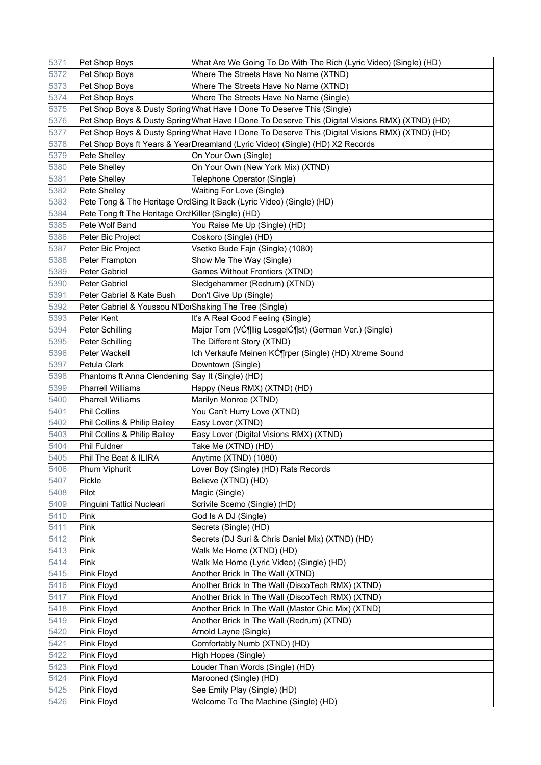| 5371 | Pet Shop Boys                                          | What Are We Going To Do With The Rich (Lyric Video) (Single) (HD)                               |
|------|--------------------------------------------------------|-------------------------------------------------------------------------------------------------|
| 5372 | Pet Shop Boys                                          | Where The Streets Have No Name (XTND)                                                           |
| 5373 | Pet Shop Boys                                          | Where The Streets Have No Name (XTND)                                                           |
| 5374 | Pet Shop Boys                                          | Where The Streets Have No Name (Single)                                                         |
| 5375 |                                                        | Pet Shop Boys & Dusty Spring What Have I Done To Deserve This (Single)                          |
| 5376 |                                                        | Pet Shop Boys & Dusty Spring What Have I Done To Deserve This (Digital Visions RMX) (XTND) (HD) |
| 5377 |                                                        | Pet Shop Boys & Dusty Spring What Have I Done To Deserve This (Digital Visions RMX) (XTND) (HD) |
| 5378 |                                                        | Pet Shop Boys ft Years & YearDreamland (Lyric Video) (Single) (HD) X2 Records                   |
| 5379 | Pete Shelley                                           | On Your Own (Single)                                                                            |
| 5380 | Pete Shelley                                           | On Your Own (New York Mix) (XTND)                                                               |
| 5381 | Pete Shelley                                           | Telephone Operator (Single)                                                                     |
| 5382 | Pete Shelley                                           | Waiting For Love (Single)                                                                       |
| 5383 |                                                        | Pete Tong & The Heritage Orc Sing It Back (Lyric Video) (Single) (HD)                           |
| 5384 | Pete Tong ft The Heritage Orc Killer (Single) (HD)     |                                                                                                 |
| 5385 | Pete Wolf Band                                         | You Raise Me Up (Single) (HD)                                                                   |
| 5386 | Peter Bic Project                                      | Coskoro (Single) (HD)                                                                           |
| 5387 | Peter Bic Project                                      | Vsetko Bude Fajn (Single) (1080)                                                                |
| 5388 | Peter Frampton                                         | Show Me The Way (Single)                                                                        |
| 5389 | Peter Gabriel                                          | Games Without Frontiers (XTND)                                                                  |
| 5390 | Peter Gabriel                                          | Sledgehammer (Redrum) (XTND)                                                                    |
| 5391 | Peter Gabriel & Kate Bush                              | Don't Give Up (Single)                                                                          |
| 5392 | Peter Gabriel & Youssou N'Do Shaking The Tree (Single) |                                                                                                 |
| 5393 | Peter Kent                                             | It's A Real Good Feeling (Single)                                                               |
| 5394 | Peter Schilling                                        | Major Tom (Vƶllig Losgelƶst) (German Ver.) (Single)                                             |
| 5395 | Peter Schilling                                        | The Different Story (XTND)                                                                      |
| 5396 | Peter Wackell                                          | Ich Verkaufe Meinen Kƶrper (Single) (HD) Xtreme Sound                                           |
| 5397 | Petula Clark                                           | Downtown (Single)                                                                               |
| 5398 | Phantoms ft Anna Clendening Say It (Single) (HD)       |                                                                                                 |
| 5399 | <b>Pharrell Williams</b>                               | Happy (Neus RMX) (XTND) (HD)                                                                    |
| 5400 | Pharrell Williams                                      | Marilyn Monroe (XTND)                                                                           |
| 5401 | <b>Phil Collins</b>                                    | You Can't Hurry Love (XTND)                                                                     |
| 5402 | Phil Collins & Philip Bailey                           | Easy Lover (XTND)                                                                               |
| 5403 | Phil Collins & Philip Bailey                           | Easy Lover (Digital Visions RMX) (XTND)                                                         |
| 5404 | Phil Fuldner                                           | Take Me (XTND) (HD)                                                                             |
| 5405 | Phil The Beat & ILIRA                                  | Anytime (XTND) (1080)                                                                           |
| 5406 | Phum Viphurit                                          | Lover Boy (Single) (HD) Rats Records                                                            |
| 5407 | Pickle                                                 | Believe (XTND) (HD)                                                                             |
| 5408 | Pilot                                                  | Magic (Single)                                                                                  |
| 5409 | Pinguini Tattici Nucleari                              | Scrivile Scemo (Single) (HD)                                                                    |
| 5410 | Pink                                                   | God Is A DJ (Single)                                                                            |
| 5411 | Pink                                                   | Secrets (Single) (HD)                                                                           |
| 5412 | Pink                                                   | Secrets (DJ Suri & Chris Daniel Mix) (XTND) (HD)                                                |
| 5413 | Pink                                                   | Walk Me Home (XTND) (HD)                                                                        |
| 5414 | Pink                                                   | Walk Me Home (Lyric Video) (Single) (HD)                                                        |
| 5415 | Pink Floyd                                             | Another Brick In The Wall (XTND)                                                                |
| 5416 |                                                        | Another Brick In The Wall (DiscoTech RMX) (XTND)                                                |
|      | Pink Floyd                                             |                                                                                                 |
| 5417 | Pink Floyd                                             | Another Brick In The Wall (DiscoTech RMX) (XTND)                                                |
| 5418 | Pink Floyd                                             | Another Brick In The Wall (Master Chic Mix) (XTND)                                              |
| 5419 | Pink Floyd                                             | Another Brick In The Wall (Redrum) (XTND)                                                       |
| 5420 | Pink Floyd                                             | Arnold Layne (Single)                                                                           |
| 5421 | Pink Floyd                                             | Comfortably Numb (XTND) (HD)                                                                    |
| 5422 | Pink Floyd                                             | High Hopes (Single)                                                                             |
| 5423 | Pink Floyd                                             | Louder Than Words (Single) (HD)                                                                 |
| 5424 | Pink Floyd                                             | Marooned (Single) (HD)                                                                          |
| 5425 | Pink Floyd                                             | See Emily Play (Single) (HD)                                                                    |
| 5426 | Pink Floyd                                             | Welcome To The Machine (Single) (HD)                                                            |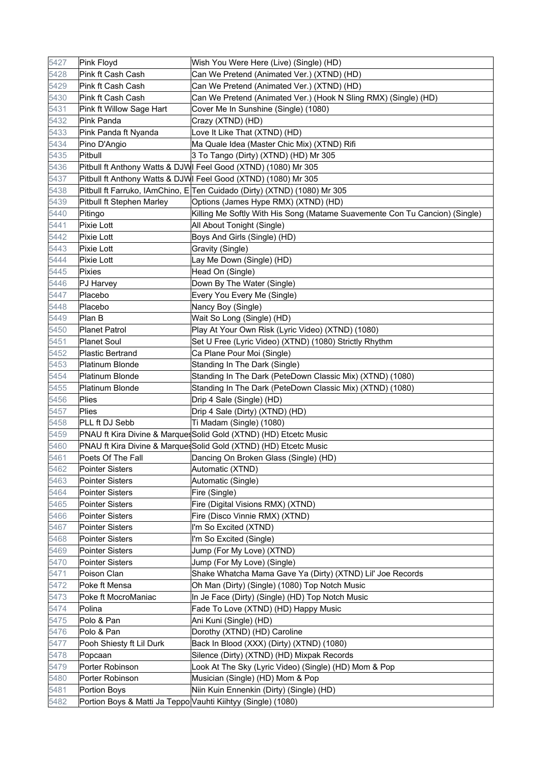| 5427 | Pink Floyd                                                   | Wish You Were Here (Live) (Single) (HD)                                     |
|------|--------------------------------------------------------------|-----------------------------------------------------------------------------|
| 5428 | Pink ft Cash Cash                                            | Can We Pretend (Animated Ver.) (XTND) (HD)                                  |
| 5429 | Pink ft Cash Cash                                            | Can We Pretend (Animated Ver.) (XTND) (HD)                                  |
| 5430 | Pink ft Cash Cash                                            | Can We Pretend (Animated Ver.) (Hook N Sling RMX) (Single) (HD)             |
| 5431 | Pink ft Willow Sage Hart                                     | Cover Me In Sunshine (Single) (1080)                                        |
| 5432 | Pink Panda                                                   | Crazy (XTND) (HD)                                                           |
| 5433 | Pink Panda ft Nyanda                                         | Love It Like That (XTND) (HD)                                               |
| 5434 | Pino D'Angio                                                 | Ma Quale Idea (Master Chic Mix) (XTND) Rifi                                 |
| 5435 | Pitbull                                                      | 3 To Tango (Dirty) (XTND) (HD) Mr 305                                       |
| 5436 |                                                              | Pitbull ft Anthony Watts & DJWI Feel Good (XTND) (1080) Mr 305              |
| 5437 |                                                              | Pitbull ft Anthony Watts & DJWI Feel Good (XTND) (1080) Mr 305              |
| 5438 |                                                              | Pitbull ft Farruko, IAmChino, E Ten Cuidado (Dirty) (XTND) (1080) Mr 305    |
| 5439 | Pitbull ft Stephen Marley                                    | Options (James Hype RMX) (XTND) (HD)                                        |
| 5440 | Pitingo                                                      | Killing Me Softly With His Song (Matame Suavemente Con Tu Cancion) (Single) |
| 5441 | Pixie Lott                                                   | All About Tonight (Single)                                                  |
| 5442 | Pixie Lott                                                   | Boys And Girls (Single) (HD)                                                |
| 5443 | Pixie Lott                                                   | Gravity (Single)                                                            |
| 5444 | Pixie Lott                                                   | Lay Me Down (Single) (HD)                                                   |
| 5445 | Pixies                                                       | Head On (Single)                                                            |
| 5446 | PJ Harvey                                                    | Down By The Water (Single)                                                  |
| 5447 | Placebo                                                      | Every You Every Me (Single)                                                 |
| 5448 | Placebo                                                      | Nancy Boy (Single)                                                          |
| 5449 | Plan B                                                       | Wait So Long (Single) (HD)                                                  |
| 5450 | <b>Planet Patrol</b>                                         | Play At Your Own Risk (Lyric Video) (XTND) (1080)                           |
| 5451 | <b>Planet Soul</b>                                           | Set U Free (Lyric Video) (XTND) (1080) Strictly Rhythm                      |
| 5452 | <b>Plastic Bertrand</b>                                      | Ca Plane Pour Moi (Single)                                                  |
| 5453 | Platinum Blonde                                              | Standing In The Dark (Single)                                               |
| 5454 | Platinum Blonde                                              | Standing In The Dark (PeteDown Classic Mix) (XTND) (1080)                   |
| 5455 | Platinum Blonde                                              | Standing In The Dark (PeteDown Classic Mix) (XTND) (1080)                   |
| 5456 | Plies                                                        | Drip 4 Sale (Single) (HD)                                                   |
| 5457 | Plies                                                        | Drip 4 Sale (Dirty) (XTND) (HD)                                             |
| 5458 | PLL ft DJ Sebb                                               | Ti Madam (Single) (1080)                                                    |
| 5459 |                                                              | PNAU ft Kira Divine & MarquesSolid Gold (XTND) (HD) Etcetc Music            |
| 5460 |                                                              | PNAU ft Kira Divine & MarquesSolid Gold (XTND) (HD) Etcetc Music            |
| 5461 | Poets Of The Fall                                            | Dancing On Broken Glass (Single) (HD)                                       |
| 5462 | Pointer Sisters                                              | Automatic (XTND)                                                            |
| 5463 | <b>Pointer Sisters</b>                                       | Automatic (Single)                                                          |
| 5464 | Pointer Sisters                                              | Fire (Single)                                                               |
| 5465 | <b>Pointer Sisters</b>                                       | Fire (Digital Visions RMX) (XTND)                                           |
| 5466 | Pointer Sisters                                              | Fire (Disco Vinnie RMX) (XTND)                                              |
| 5467 | Pointer Sisters                                              | I'm So Excited (XTND)                                                       |
| 5468 | <b>Pointer Sisters</b>                                       | I'm So Excited (Single)                                                     |
| 5469 | Pointer Sisters                                              | Jump (For My Love) (XTND)                                                   |
| 5470 | Pointer Sisters                                              | Jump (For My Love) (Single)                                                 |
| 5471 | Poison Clan                                                  | Shake Whatcha Mama Gave Ya (Dirty) (XTND) Lil' Joe Records                  |
| 5472 | Poke ft Mensa                                                | Oh Man (Dirty) (Single) (1080) Top Notch Music                              |
| 5473 | Poke ft MocroManiac                                          | In Je Face (Dirty) (Single) (HD) Top Notch Music                            |
| 5474 | Polina                                                       | Fade To Love (XTND) (HD) Happy Music                                        |
| 5475 | Polo & Pan                                                   | Ani Kuni (Single) (HD)                                                      |
| 5476 | Polo & Pan                                                   | Dorothy (XTND) (HD) Caroline                                                |
| 5477 | Pooh Shiesty ft Lil Durk                                     | Back In Blood (XXX) (Dirty) (XTND) (1080)                                   |
| 5478 | Popcaan                                                      | Silence (Dirty) (XTND) (HD) Mixpak Records                                  |
| 5479 | Porter Robinson                                              | Look At The Sky (Lyric Video) (Single) (HD) Mom & Pop                       |
| 5480 | Porter Robinson                                              | Musician (Single) (HD) Mom & Pop                                            |
| 5481 | Portion Boys                                                 | Niin Kuin Ennenkin (Dirty) (Single) (HD)                                    |
| 5482 | Portion Boys & Matti Ja Teppo Vauhti Kiihtyy (Single) (1080) |                                                                             |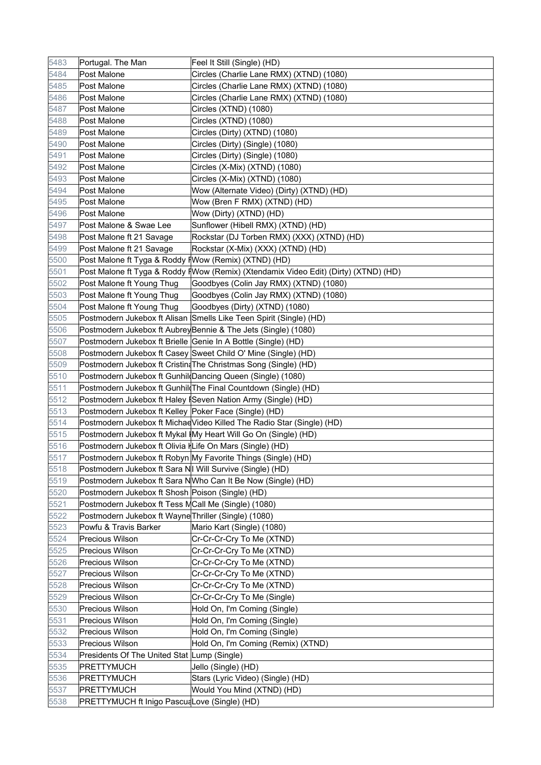| 5483 | Portugal. The Man                                                 | Feel It Still (Single) (HD)                                                          |
|------|-------------------------------------------------------------------|--------------------------------------------------------------------------------------|
| 5484 | Post Malone                                                       | Circles (Charlie Lane RMX) (XTND) (1080)                                             |
| 5485 | Post Malone                                                       | Circles (Charlie Lane RMX) (XTND) (1080)                                             |
| 5486 | Post Malone                                                       | Circles (Charlie Lane RMX) (XTND) (1080)                                             |
| 5487 | Post Malone                                                       | Circles (XTND) (1080)                                                                |
| 5488 | Post Malone                                                       | Circles (XTND) (1080)                                                                |
| 5489 | Post Malone                                                       | Circles (Dirty) (XTND) (1080)                                                        |
| 5490 | Post Malone                                                       | Circles (Dirty) (Single) (1080)                                                      |
| 5491 | Post Malone                                                       | Circles (Dirty) (Single) (1080)                                                      |
| 5492 | Post Malone                                                       | Circles (X-Mix) (XTND) (1080)                                                        |
| 5493 | Post Malone                                                       | Circles (X-Mix) (XTND) (1080)                                                        |
| 5494 | Post Malone                                                       | Wow (Alternate Video) (Dirty) (XTND) (HD)                                            |
| 5495 | Post Malone                                                       | Wow (Bren F RMX) (XTND) (HD)                                                         |
| 5496 | Post Malone                                                       | Wow (Dirty) (XTND) (HD)                                                              |
| 5497 | Post Malone & Swae Lee                                            | Sunflower (Hibell RMX) (XTND) (HD)                                                   |
| 5498 | Post Malone ft 21 Savage                                          | Rockstar (DJ Torben RMX) (XXX) (XTND) (HD)                                           |
| 5499 | Post Malone ft 21 Savage                                          | Rockstar (X-Mix) (XXX) (XTND) (HD)                                                   |
| 5500 | Post Malone ft Tyga & Roddy f Wow (Remix) (XTND) (HD)             |                                                                                      |
| 5501 |                                                                   | Post Malone ft Tyga & Roddy f Wow (Remix) (Xtendamix Video Edit) (Dirty) (XTND) (HD) |
| 5502 | Post Malone ft Young Thug                                         | Goodbyes (Colin Jay RMX) (XTND) (1080)                                               |
| 5503 | Post Malone ft Young Thug                                         | Goodbyes (Colin Jay RMX) (XTND) (1080)                                               |
| 5504 | Post Malone ft Young Thug                                         | Goodbyes (Dirty) (XTND) (1080)                                                       |
| 5505 |                                                                   | Postmodern Jukebox ft Alisan Smells Like Teen Spirit (Single) (HD)                   |
| 5506 |                                                                   | Postmodern Jukebox ft AubreyBennie & The Jets (Single) (1080)                        |
| 5507 |                                                                   | Postmodern Jukebox ft Brielle Genie In A Bottle (Single) (HD)                        |
| 5508 |                                                                   | Postmodern Jukebox ft Casey Sweet Child O' Mine (Single) (HD)                        |
| 5509 |                                                                   | Postmodern Jukebox ft Cristin The Christmas Song (Single) (HD)                       |
| 5510 |                                                                   | Postmodern Jukebox ft Gunhil Dancing Queen (Single) (1080)                           |
| 5511 |                                                                   | Postmodern Jukebox ft Gunhil The Final Countdown (Single) (HD)                       |
| 5512 |                                                                   | Postmodern Jukebox ft Haley <i>Seven Nation Army (Single)</i> (HD)                   |
| 5513 | Postmodern Jukebox ft Kelley Poker Face (Single) (HD)             |                                                                                      |
| 5514 |                                                                   | Postmodern Jukebox ft MichaeVideo Killed The Radio Star (Single) (HD)                |
| 5515 |                                                                   | Postmodern Jukebox ft Mykal (My Heart Will Go On (Single) (HD)                       |
| 5516 | Postmodern Jukebox ft Olivia <i>I</i>  Life On Mars (Single) (HD) |                                                                                      |
| 5517 |                                                                   | Postmodern Jukebox ft Robyn My Favorite Things (Single) (HD)                         |
| 5518 | Postmodern Jukebox ft Sara N  Will Survive (Single) (HD)          |                                                                                      |
| 5519 |                                                                   | Postmodern Jukebox ft Sara NWho Can It Be Now (Single) (HD)                          |
| 5520 | Postmodern Jukebox ft Shosh Poison (Single) (HD)                  |                                                                                      |
| 5521 | Postmodern Jukebox ft Tess MCall Me (Single) (1080)               |                                                                                      |
| 5522 | Postmodern Jukebox ft Wayne Thriller (Single) (1080)              |                                                                                      |
| 5523 | Powfu & Travis Barker                                             | Mario Kart (Single) (1080)                                                           |
| 5524 | <b>Precious Wilson</b>                                            | Cr-Cr-Cr-Cry To Me (XTND)                                                            |
| 5525 | <b>Precious Wilson</b>                                            | Cr-Cr-Cr-Cry To Me (XTND)                                                            |
| 5526 | <b>Precious Wilson</b>                                            | Cr-Cr-Cr-Cry To Me (XTND)                                                            |
| 5527 | <b>Precious Wilson</b>                                            | Cr-Cr-Cr-Cry To Me (XTND)                                                            |
| 5528 | Precious Wilson                                                   | Cr-Cr-Cr-Cry To Me (XTND)                                                            |
| 5529 | Precious Wilson                                                   | Cr-Cr-Cr-Cry To Me (Single)                                                          |
| 5530 | Precious Wilson                                                   | Hold On, I'm Coming (Single)                                                         |
| 5531 | <b>Precious Wilson</b>                                            | Hold On, I'm Coming (Single)                                                         |
| 5532 | <b>Precious Wilson</b>                                            | Hold On, I'm Coming (Single)                                                         |
| 5533 | <b>Precious Wilson</b>                                            | Hold On, I'm Coming (Remix) (XTND)                                                   |
| 5534 | Presidents Of The United Stat Lump (Single)                       |                                                                                      |
| 5535 | PRETTYMUCH                                                        | Jello (Single) (HD)                                                                  |
| 5536 | PRETTYMUCH                                                        | Stars (Lyric Video) (Single) (HD)                                                    |
| 5537 | <b>PRETTYMUCH</b>                                                 | Would You Mind (XTND) (HD)                                                           |
| 5538 | PRETTYMUCH ft Inigo PascuaLove (Single) (HD)                      |                                                                                      |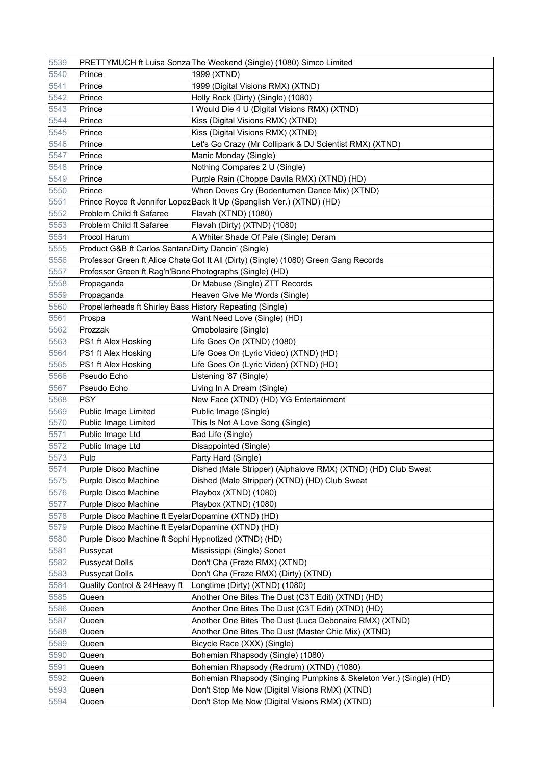| 5539 |                                                           | PRETTYMUCH ft Luisa Sonza The Weekend (Single) (1080) Simco Limited                  |
|------|-----------------------------------------------------------|--------------------------------------------------------------------------------------|
| 5540 | Prince                                                    | 1999 (XTND)                                                                          |
| 5541 | Prince                                                    | 1999 (Digital Visions RMX) (XTND)                                                    |
| 5542 | Prince                                                    | Holly Rock (Dirty) (Single) (1080)                                                   |
| 5543 | Prince                                                    | I Would Die 4 U (Digital Visions RMX) (XTND)                                         |
| 5544 | Prince                                                    | Kiss (Digital Visions RMX) (XTND)                                                    |
| 5545 | Prince                                                    | Kiss (Digital Visions RMX) (XTND)                                                    |
| 5546 | Prince                                                    | Let's Go Crazy (Mr Collipark & DJ Scientist RMX) (XTND)                              |
| 5547 | Prince                                                    | Manic Monday (Single)                                                                |
| 5548 | Prince                                                    | Nothing Compares 2 U (Single)                                                        |
| 5549 | Prince                                                    | Purple Rain (Choppe Davila RMX) (XTND) (HD)                                          |
| 5550 | Prince                                                    | When Doves Cry (Bodenturnen Dance Mix) (XTND)                                        |
| 5551 |                                                           | Prince Royce ft Jennifer Lopez Back It Up (Spanglish Ver.) (XTND) (HD)               |
| 5552 | Problem Child ft Safaree                                  | Flavah (XTND) (1080)                                                                 |
| 5553 | Problem Child ft Safaree                                  | Flavah (Dirty) (XTND) (1080)                                                         |
| 5554 | <b>Procol Harum</b>                                       | A Whiter Shade Of Pale (Single) Deram                                                |
| 5555 | Product G&B ft Carlos Santand Dirty Dancin' (Single)      |                                                                                      |
| 5556 |                                                           | Professor Green ft Alice Chate Got It All (Dirty) (Single) (1080) Green Gang Records |
| 5557 | Professor Green ft Rag'n'Bone Photographs (Single) (HD)   |                                                                                      |
| 5558 | Propaganda                                                | Dr Mabuse (Single) ZTT Records                                                       |
| 5559 | Propaganda                                                | Heaven Give Me Words (Single)                                                        |
| 5560 | Propellerheads ft Shirley Bass History Repeating (Single) |                                                                                      |
| 5561 | Prospa                                                    | Want Need Love (Single) (HD)                                                         |
| 5562 | Prozzak                                                   | Omobolasire (Single)                                                                 |
| 5563 | PS1 ft Alex Hosking                                       | Life Goes On (XTND) (1080)                                                           |
| 5564 | PS1 ft Alex Hosking                                       | Life Goes On (Lyric Video) (XTND) (HD)                                               |
| 5565 | PS1 ft Alex Hosking                                       | Life Goes On (Lyric Video) (XTND) (HD)                                               |
| 5566 | Pseudo Echo                                               | Listening '87 (Single)                                                               |
| 5567 | Pseudo Echo                                               | Living In A Dream (Single)                                                           |
| 5568 | PSY                                                       | New Face (XTND) (HD) YG Entertainment                                                |
| 5569 | Public Image Limited                                      | Public Image (Single)                                                                |
| 5570 | Public Image Limited                                      | This Is Not A Love Song (Single)                                                     |
| 5571 | Public Image Ltd                                          | Bad Life (Single)                                                                    |
| 5572 | Public Image Ltd                                          | Disappointed (Single)                                                                |
| 5573 | Pulp                                                      | Party Hard (Single)                                                                  |
| 5574 | Purple Disco Machine                                      | Dished (Male Stripper) (Alphalove RMX) (XTND) (HD) Club Sweat                        |
| 5575 | Purple Disco Machine                                      | Dished (Male Stripper) (XTND) (HD) Club Sweat                                        |
| 5576 | Purple Disco Machine                                      | Playbox (XTND) (1080)                                                                |
| 5577 | Purple Disco Machine                                      | Playbox (XTND) (1080)                                                                |
| 5578 | Purple Disco Machine ft Eyelar Dopamine (XTND) (HD)       |                                                                                      |
| 5579 | Purple Disco Machine ft Eyelar Dopamine (XTND) (HD)       |                                                                                      |
| 5580 | Purple Disco Machine ft Sophi Hypnotized (XTND) (HD)      |                                                                                      |
| 5581 | Pussycat                                                  | Mississippi (Single) Sonet                                                           |
| 5582 | Pussycat Dolls                                            | Don't Cha (Fraze RMX) (XTND)                                                         |
| 5583 | Pussycat Dolls                                            | Don't Cha (Fraze RMX) (Dirty) (XTND)                                                 |
| 5584 | Quality Control & 24 Heavy ft                             | Longtime (Dirty) (XTND) (1080)                                                       |
| 5585 | Queen                                                     | Another One Bites The Dust (C3T Edit) (XTND) (HD)                                    |
| 5586 | Queen                                                     | Another One Bites The Dust (C3T Edit) (XTND) (HD)                                    |
| 5587 | Queen                                                     | Another One Bites The Dust (Luca Debonaire RMX) (XTND)                               |
| 5588 | Queen                                                     | Another One Bites The Dust (Master Chic Mix) (XTND)                                  |
| 5589 | Queen                                                     | Bicycle Race (XXX) (Single)                                                          |
| 5590 | Queen                                                     | Bohemian Rhapsody (Single) (1080)                                                    |
| 5591 | Queen                                                     | Bohemian Rhapsody (Redrum) (XTND) (1080)                                             |
| 5592 | Queen                                                     | Bohemian Rhapsody (Singing Pumpkins & Skeleton Ver.) (Single) (HD)                   |
| 5593 | Queen                                                     | Don't Stop Me Now (Digital Visions RMX) (XTND)                                       |
| 5594 | Queen                                                     | Don't Stop Me Now (Digital Visions RMX) (XTND)                                       |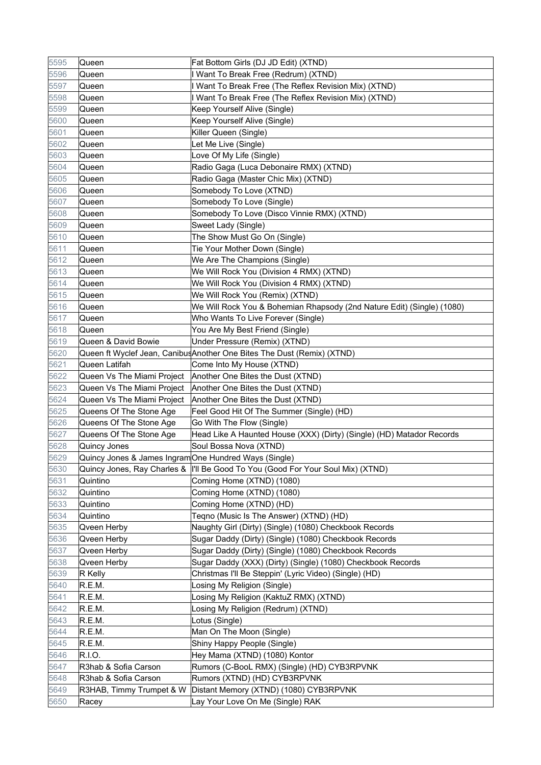| 5595 | Queen                                                 | Fat Bottom Girls (DJ JD Edit) (XTND)                                             |
|------|-------------------------------------------------------|----------------------------------------------------------------------------------|
| 5596 | Queen                                                 | I Want To Break Free (Redrum) (XTND)                                             |
| 5597 | Queen                                                 | I Want To Break Free (The Reflex Revision Mix) (XTND)                            |
| 5598 | Queen                                                 | I Want To Break Free (The Reflex Revision Mix) (XTND)                            |
| 5599 | Queen                                                 | Keep Yourself Alive (Single)                                                     |
| 5600 | Queen                                                 | Keep Yourself Alive (Single)                                                     |
| 5601 | Queen                                                 | Killer Queen (Single)                                                            |
| 5602 | Queen                                                 | Let Me Live (Single)                                                             |
| 5603 | Queen                                                 | Love Of My Life (Single)                                                         |
| 5604 | Queen                                                 | Radio Gaga (Luca Debonaire RMX) (XTND)                                           |
| 5605 | Queen                                                 | Radio Gaga (Master Chic Mix) (XTND)                                              |
| 5606 | Queen                                                 | Somebody To Love (XTND)                                                          |
| 5607 | Queen                                                 | Somebody To Love (Single)                                                        |
| 5608 | Queen                                                 | Somebody To Love (Disco Vinnie RMX) (XTND)                                       |
| 5609 | Queen                                                 | Sweet Lady (Single)                                                              |
| 5610 | Queen                                                 | The Show Must Go On (Single)                                                     |
| 5611 | Queen                                                 | Tie Your Mother Down (Single)                                                    |
| 5612 | Queen                                                 | We Are The Champions (Single)                                                    |
| 5613 | Queen                                                 | We Will Rock You (Division 4 RMX) (XTND)                                         |
| 5614 | Queen                                                 | We Will Rock You (Division 4 RMX) (XTND)                                         |
| 5615 | Queen                                                 | We Will Rock You (Remix) (XTND)                                                  |
| 5616 | Queen                                                 | We Will Rock You & Bohemian Rhapsody (2nd Nature Edit) (Single) (1080)           |
| 5617 | Queen                                                 | Who Wants To Live Forever (Single)                                               |
| 5618 | Queen                                                 | You Are My Best Friend (Single)                                                  |
| 5619 | Queen & David Bowie                                   | Under Pressure (Remix) (XTND)                                                    |
| 5620 |                                                       | Queen ft Wyclef Jean, Canibus Another One Bites The Dust (Remix) (XTND)          |
| 5621 | Queen Latifah                                         | Come Into My House (XTND)                                                        |
| 5622 | Queen Vs The Miami Project                            | Another One Bites the Dust (XTND)                                                |
| 5623 | Queen Vs The Miami Project                            | Another One Bites the Dust (XTND)                                                |
| 5624 | Queen Vs The Miami Project                            | Another One Bites the Dust (XTND)                                                |
| 5625 | Queens Of The Stone Age                               | Feel Good Hit Of The Summer (Single) (HD)                                        |
| 5626 | Queens Of The Stone Age                               | Go With The Flow (Single)                                                        |
| 5627 | Queens Of The Stone Age                               | Head Like A Haunted House (XXX) (Dirty) (Single) (HD) Matador Records            |
| 5628 | Quincy Jones                                          | Soul Bossa Nova (XTND)                                                           |
| 5629 | Quincy Jones & James Ingram One Hundred Ways (Single) |                                                                                  |
| 5630 |                                                       | Quincy Jones, Ray Charles &  I'll Be Good To You (Good For Your Soul Mix) (XTND) |
| 5631 | Quintino                                              | Coming Home (XTND) (1080)                                                        |
| 5632 | Quintino                                              | Coming Home (XTND) (1080)                                                        |
| 5633 | Quintino                                              | Coming Home (XTND) (HD)                                                          |
| 5634 | Quintino                                              | Teqno (Music Is The Answer) (XTND) (HD)                                          |
| 5635 | Qveen Herby                                           | Naughty Girl (Dirty) (Single) (1080) Checkbook Records                           |
| 5636 | Qveen Herby                                           | Sugar Daddy (Dirty) (Single) (1080) Checkbook Records                            |
| 5637 | Qveen Herby                                           | Sugar Daddy (Dirty) (Single) (1080) Checkbook Records                            |
| 5638 | Qveen Herby                                           | Sugar Daddy (XXX) (Dirty) (Single) (1080) Checkbook Records                      |
| 5639 | R Kelly                                               | Christmas I'll Be Steppin' (Lyric Video) (Single) (HD)                           |
| 5640 | R.E.M.                                                | Losing My Religion (Single)                                                      |
| 5641 | R.E.M.                                                | Losing My Religion (KaktuZ RMX) (XTND)                                           |
| 5642 | R.E.M.                                                | Losing My Religion (Redrum) (XTND)                                               |
| 5643 | R.E.M.                                                | Lotus (Single)                                                                   |
| 5644 | R.E.M.                                                | Man On The Moon (Single)                                                         |
| 5645 | R.E.M.                                                | Shiny Happy People (Single)                                                      |
| 5646 | R.I.O.                                                | Hey Mama (XTND) (1080) Kontor                                                    |
| 5647 | R3hab & Sofia Carson                                  | Rumors (C-BooL RMX) (Single) (HD) CYB3RPVNK                                      |
| 5648 | R3hab & Sofia Carson                                  | Rumors (XTND) (HD) CYB3RPVNK                                                     |
| 5649 | R3HAB, Timmy Trumpet & W                              | Distant Memory (XTND) (1080) CYB3RPVNK                                           |
| 5650 | Racey                                                 | Lay Your Love On Me (Single) RAK                                                 |
|      |                                                       |                                                                                  |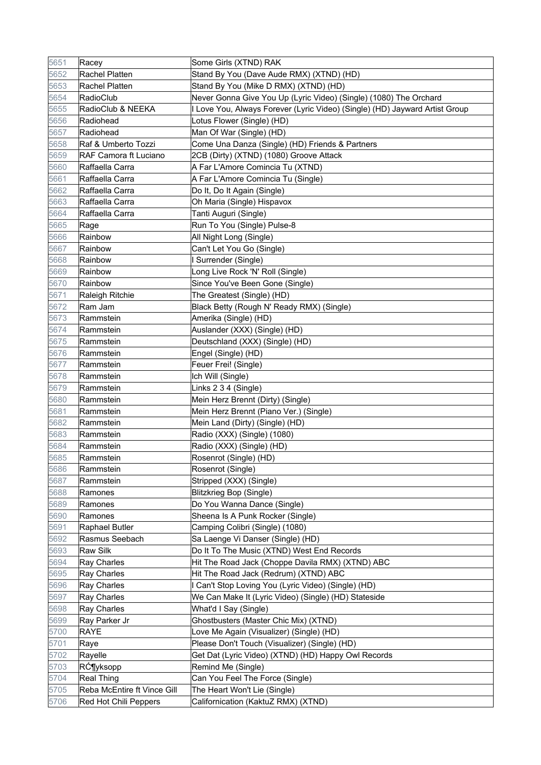| 5651 | Racey                       | Some Girls (XTND) RAK                                                       |
|------|-----------------------------|-----------------------------------------------------------------------------|
| 5652 | <b>Rachel Platten</b>       | Stand By You (Dave Aude RMX) (XTND) (HD)                                    |
| 5653 | Rachel Platten              | Stand By You (Mike D RMX) (XTND) (HD)                                       |
| 5654 | RadioClub                   | Never Gonna Give You Up (Lyric Video) (Single) (1080) The Orchard           |
| 5655 | RadioClub & NEEKA           | I Love You, Always Forever (Lyric Video) (Single) (HD) Jayward Artist Group |
| 5656 | Radiohead                   | Lotus Flower (Single) (HD)                                                  |
| 5657 | Radiohead                   | Man Of War (Single) (HD)                                                    |
| 5658 | Raf & Umberto Tozzi         | Come Una Danza (Single) (HD) Friends & Partners                             |
| 5659 | RAF Camora ft Luciano       | 2CB (Dirty) (XTND) (1080) Groove Attack                                     |
| 5660 | Raffaella Carra             | A Far L'Amore Comincia Tu (XTND)                                            |
| 5661 | Raffaella Carra             | A Far L'Amore Comincia Tu (Single)                                          |
| 5662 | Raffaella Carra             | Do It, Do It Again (Single)                                                 |
| 5663 | Raffaella Carra             | Oh Maria (Single) Hispavox                                                  |
| 5664 | Raffaella Carra             | Tanti Auguri (Single)                                                       |
| 5665 | Rage                        | Run To You (Single) Pulse-8                                                 |
| 5666 | Rainbow                     | All Night Long (Single)                                                     |
| 5667 | Rainbow                     | Can't Let You Go (Single)                                                   |
| 5668 | Rainbow                     | I Surrender (Single)                                                        |
| 5669 | Rainbow                     | Long Live Rock 'N' Roll (Single)                                            |
| 5670 | Rainbow                     | Since You've Been Gone (Single)                                             |
| 5671 | Raleigh Ritchie             | The Greatest (Single) (HD)                                                  |
| 5672 | Ram Jam                     | Black Betty (Rough N' Ready RMX) (Single)                                   |
| 5673 | Rammstein                   | Amerika (Single) (HD)                                                       |
| 5674 | Rammstein                   | Auslander (XXX) (Single) (HD)                                               |
| 5675 | Rammstein                   | Deutschland (XXX) (Single) (HD)                                             |
| 5676 | Rammstein                   | Engel (Single) (HD)                                                         |
| 5677 | Rammstein                   | Feuer Frei! (Single)                                                        |
| 5678 | Rammstein                   | Ich Will (Single)                                                           |
| 5679 | Rammstein                   | Links 2 3 4 (Single)                                                        |
| 5680 | Rammstein                   | Mein Herz Brennt (Dirty) (Single)                                           |
| 5681 | Rammstein                   | Mein Herz Brennt (Piano Ver.) (Single)                                      |
| 5682 | Rammstein                   | Mein Land (Dirty) (Single) (HD)                                             |
| 5683 | Rammstein                   | Radio (XXX) (Single) (1080)                                                 |
| 5684 | Rammstein                   | Radio (XXX) (Single) (HD)                                                   |
| 5685 | Rammstein                   | Rosenrot (Single) (HD)                                                      |
| 5686 | Rammstein                   | Rosenrot (Single)                                                           |
| 5687 | Rammstein                   | Stripped (XXX) (Single)                                                     |
| 5688 | Ramones                     | <b>Blitzkrieg Bop (Single)</b>                                              |
| 5689 | Ramones                     | Do You Wanna Dance (Single)                                                 |
| 5690 | Ramones                     | Sheena Is A Punk Rocker (Single)                                            |
| 5691 | <b>Raphael Butler</b>       | Camping Colibri (Single) (1080)                                             |
| 5692 | Rasmus Seebach              | Sa Laenge Vi Danser (Single) (HD)                                           |
| 5693 | <b>Raw Silk</b>             | Do It To The Music (XTND) West End Records                                  |
| 5694 | Ray Charles                 | Hit The Road Jack (Choppe Davila RMX) (XTND) ABC                            |
| 5695 | Ray Charles                 | Hit The Road Jack (Redrum) (XTND) ABC                                       |
| 5696 | Ray Charles                 | I Can't Stop Loving You (Lyric Video) (Single) (HD)                         |
| 5697 | Ray Charles                 | We Can Make It (Lyric Video) (Single) (HD) Stateside                        |
| 5698 | Ray Charles                 | What'd I Say (Single)                                                       |
| 5699 | Ray Parker Jr               | Ghostbusters (Master Chic Mix) (XTND)                                       |
| 5700 | RAYE                        | Love Me Again (Visualizer) (Single) (HD)                                    |
| 5701 | Raye                        | Please Don't Touch (Visualizer) (Single) (HD)                               |
| 5702 | Rayelle                     | Get Dat (Lyric Video) (XTND) (HD) Happy Owl Records                         |
| 5703 | Rƶyksopp                    | Remind Me (Single)                                                          |
| 5704 | <b>Real Thing</b>           | Can You Feel The Force (Single)                                             |
| 5705 | Reba McEntire ft Vince Gill | The Heart Won't Lie (Single)                                                |
| 5706 | Red Hot Chili Peppers       | Californication (KaktuZ RMX) (XTND)                                         |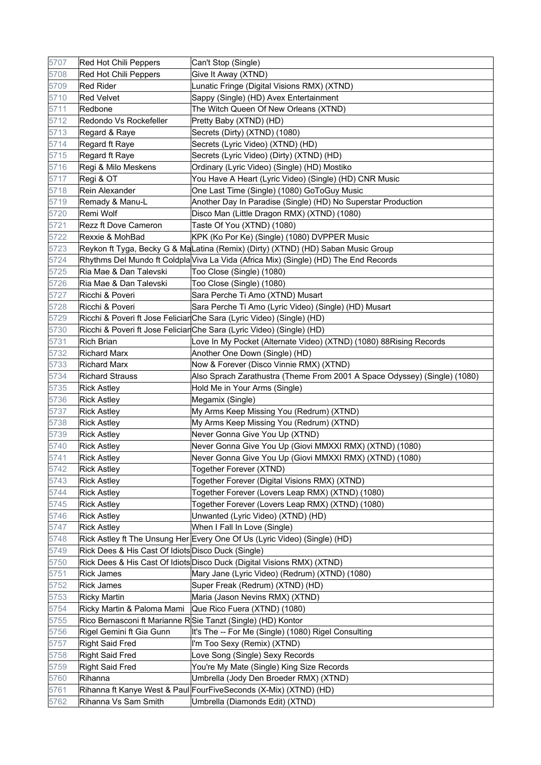| 5707 | Red Hot Chili Peppers                              | Can't Stop (Single)                                                                  |
|------|----------------------------------------------------|--------------------------------------------------------------------------------------|
| 5708 | <b>Red Hot Chili Peppers</b>                       | Give It Away (XTND)                                                                  |
| 5709 | <b>Red Rider</b>                                   | Lunatic Fringe (Digital Visions RMX) (XTND)                                          |
| 5710 | <b>Red Velvet</b>                                  | Sappy (Single) (HD) Avex Entertainment                                               |
| 5711 | Redbone                                            | The Witch Queen Of New Orleans (XTND)                                                |
| 5712 | Redondo Vs Rockefeller                             | Pretty Baby (XTND) (HD)                                                              |
| 5713 | Regard & Raye                                      | Secrets (Dirty) (XTND) (1080)                                                        |
| 5714 | Regard ft Raye                                     | Secrets (Lyric Video) (XTND) (HD)                                                    |
| 5715 | Regard ft Raye                                     | Secrets (Lyric Video) (Dirty) (XTND) (HD)                                            |
| 5716 | Regi & Milo Meskens                                | Ordinary (Lyric Video) (Single) (HD) Mostiko                                         |
| 5717 | Regi & OT                                          | You Have A Heart (Lyric Video) (Single) (HD) CNR Music                               |
| 5718 | Rein Alexander                                     | One Last Time (Single) (1080) GoToGuy Music                                          |
| 5719 | Remady & Manu-L                                    | Another Day In Paradise (Single) (HD) No Superstar Production                        |
| 5720 | Remi Wolf                                          | Disco Man (Little Dragon RMX) (XTND) (1080)                                          |
| 5721 | Rezz ft Dove Cameron                               | Taste Of You (XTND) (1080)                                                           |
| 5722 | Rexxie & MohBad                                    | KPK (Ko Por Ke) (Single) (1080) DVPPER Music                                         |
| 5723 |                                                    | Reykon ft Tyga, Becky G & MaLatina (Remix) (Dirty) (XTND) (HD) Saban Music Group     |
| 5724 |                                                    | Rhythms Del Mundo ft Coldpla Viva La Vida (Africa Mix) (Single) (HD) The End Records |
| 5725 | Ria Mae & Dan Talevski                             | Too Close (Single) (1080)                                                            |
| 5726 | Ria Mae & Dan Talevski                             | Too Close (Single) (1080)                                                            |
| 5727 | Ricchi & Poveri                                    | Sara Perche Ti Amo (XTND) Musart                                                     |
| 5728 | Ricchi & Poveri                                    | Sara Perche Ti Amo (Lyric Video) (Single) (HD) Musart                                |
| 5729 |                                                    | Ricchi & Poveri ft Jose Feliciar Che Sara (Lyric Video) (Single) (HD)                |
| 5730 |                                                    | Ricchi & Poveri ft Jose Feliciar Che Sara (Lyric Video) (Single) (HD)                |
| 5731 | <b>Rich Brian</b>                                  | Love In My Pocket (Alternate Video) (XTND) (1080) 88 Rising Records                  |
| 5732 | <b>Richard Marx</b>                                | Another One Down (Single) (HD)                                                       |
| 5733 | <b>Richard Marx</b>                                | Now & Forever (Disco Vinnie RMX) (XTND)                                              |
| 5734 | <b>Richard Strauss</b>                             | Also Sprach Zarathustra (Theme From 2001 A Space Odyssey) (Single) (1080)            |
| 5735 | <b>Rick Astley</b>                                 | Hold Me in Your Arms (Single)                                                        |
| 5736 | <b>Rick Astley</b>                                 | Megamix (Single)                                                                     |
| 5737 | <b>Rick Astley</b>                                 | My Arms Keep Missing You (Redrum) (XTND)                                             |
| 5738 | Rick Astley                                        | My Arms Keep Missing You (Redrum) (XTND)                                             |
| 5739 | <b>Rick Astley</b>                                 | Never Gonna Give You Up (XTND)                                                       |
| 5740 | <b>Rick Astley</b>                                 | Never Gonna Give You Up (Giovi MMXXI RMX) (XTND) (1080)                              |
| 5741 | <b>Rick Astley</b>                                 | Never Gonna Give You Up (Giovi MMXXI RMX) (XTND) (1080)                              |
| 5742 | <b>Rick Astley</b>                                 | Together Forever (XTND)                                                              |
| 5743 | <b>Rick Astley</b>                                 | Together Forever (Digital Visions RMX) (XTND)                                        |
| 5744 | <b>Rick Astley</b>                                 | Together Forever (Lovers Leap RMX) (XTND) (1080)                                     |
| 5745 | <b>Rick Astley</b>                                 | Together Forever (Lovers Leap RMX) (XTND) (1080)                                     |
| 5746 | <b>Rick Astley</b>                                 | Unwanted (Lyric Video) (XTND) (HD)                                                   |
| 5747 | <b>Rick Astley</b>                                 | When I Fall In Love (Single)                                                         |
| 5748 |                                                    | Rick Astley ft The Unsung Her Every One Of Us (Lyric Video) (Single) (HD)            |
| 5749 | Rick Dees & His Cast Of Idiots Disco Duck (Single) |                                                                                      |
| 5750 |                                                    | Rick Dees & His Cast Of Idiots Disco Duck (Digital Visions RMX) (XTND)               |
| 5751 | <b>Rick James</b>                                  | Mary Jane (Lyric Video) (Redrum) (XTND) (1080)                                       |
| 5752 | <b>Rick James</b>                                  | Super Freak (Redrum) (XTND) (HD)                                                     |
| 5753 | <b>Ricky Martin</b>                                | Maria (Jason Nevins RMX) (XTND)                                                      |
| 5754 | Ricky Martin & Paloma Mami                         | Que Rico Fuera (XTND) (1080)                                                         |
| 5755 |                                                    | Rico Bernasconi ft Marianne RSie Tanzt (Single) (HD) Kontor                          |
| 5756 | Rigel Gemini ft Gia Gunn                           | It's The -- For Me (Single) (1080) Rigel Consulting                                  |
| 5757 | <b>Right Said Fred</b>                             | I'm Too Sexy (Remix) (XTND)                                                          |
| 5758 | <b>Right Said Fred</b>                             | Love Song (Single) Sexy Records                                                      |
| 5759 | <b>Right Said Fred</b>                             | You're My Mate (Single) King Size Records                                            |
| 5760 | Rihanna                                            | Umbrella (Jody Den Broeder RMX) (XTND)                                               |
| 5761 |                                                    | Rihanna ft Kanye West & Paul FourFiveSeconds (X-Mix) (XTND) (HD)                     |
| 5762 | Rihanna Vs Sam Smith                               | Umbrella (Diamonds Edit) (XTND)                                                      |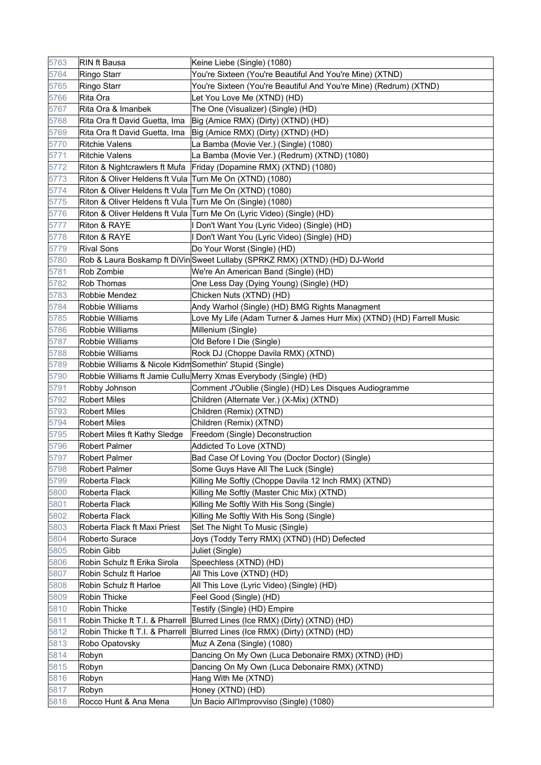| 5763 | RIN ft Bausa                                              | Keine Liebe (Single) (1080)                                                 |
|------|-----------------------------------------------------------|-----------------------------------------------------------------------------|
| 5764 | Ringo Starr                                               | You're Sixteen (You're Beautiful And You're Mine) (XTND)                    |
| 5765 | Ringo Starr                                               | You're Sixteen (You're Beautiful And You're Mine) (Redrum) (XTND)           |
| 5766 | Rita Ora                                                  | Let You Love Me (XTND) (HD)                                                 |
| 5767 | Rita Ora & Imanbek                                        | The One (Visualizer) (Single) (HD)                                          |
| 5768 | Rita Ora ft David Guetta, Ima                             | Big (Amice RMX) (Dirty) (XTND) (HD)                                         |
| 5769 | Rita Ora ft David Guetta, Ima                             | Big (Amice RMX) (Dirty) (XTND) (HD)                                         |
| 5770 | <b>Ritchie Valens</b>                                     | La Bamba (Movie Ver.) (Single) (1080)                                       |
| 5771 | <b>Ritchie Valens</b>                                     | La Bamba (Movie Ver.) (Redrum) (XTND) (1080)                                |
| 5772 | Riton & Nightcrawlers ft Mufa                             | Friday (Dopamine RMX) (XTND) (1080)                                         |
| 5773 | Riton & Oliver Heldens ft Vula                            | Turn Me On (XTND) (1080)                                                    |
| 5774 | Riton & Oliver Heldens ft Vula                            | Turn Me On (XTND) (1080)                                                    |
| 5775 | Riton & Oliver Heldens ft Vula Turn Me On (Single) (1080) |                                                                             |
| 5776 |                                                           | Riton & Oliver Heldens ft Vula Turn Me On (Lyric Video) (Single) (HD)       |
| 5777 | Riton & RAYE                                              | I Don't Want You (Lyric Video) (Single) (HD)                                |
| 5778 | Riton & RAYE                                              | Don't Want You (Lyric Video) (Single) (HD)                                  |
| 5779 | <b>Rival Sons</b>                                         | Do Your Worst (Single) (HD)                                                 |
| 5780 |                                                           | Rob & Laura Boskamp ft DiVin Sweet Lullaby (SPRKZ RMX) (XTND) (HD) DJ-World |
| 5781 | Rob Zombie                                                | We're An American Band (Single) (HD)                                        |
| 5782 | <b>Rob Thomas</b>                                         | One Less Day (Dying Young) (Single) (HD)                                    |
| 5783 | Robbie Mendez                                             | Chicken Nuts (XTND) (HD)                                                    |
| 5784 | Robbie Williams                                           | Andy Warhol (Single) (HD) BMG Rights Managment                              |
| 5785 | Robbie Williams                                           | Love My Life (Adam Turner & James Hurr Mix) (XTND) (HD) Farrell Music       |
| 5786 | Robbie Williams                                           | Millenium (Single)                                                          |
| 5787 | Robbie Williams                                           | Old Before I Die (Single)                                                   |
| 5788 | Robbie Williams                                           | Rock DJ (Choppe Davila RMX) (XTND)                                          |
| 5789 | Robbie Williams & Nicole Kidm Somethin' Stupid (Single)   |                                                                             |
| 5790 |                                                           | Robbie Williams ft Jamie Cullu Merry Xmas Everybody (Single) (HD)           |
| 5791 | Robby Johnson                                             | Comment J'Oublie (Single) (HD) Les Disques Audiogramme                      |
| 5792 | <b>Robert Miles</b>                                       | Children (Alternate Ver.) (X-Mix) (XTND)                                    |
| 5793 | <b>Robert Miles</b>                                       | Children (Remix) (XTND)                                                     |
| 5794 | <b>Robert Miles</b>                                       | Children (Remix) (XTND)                                                     |
| 5795 | Robert Miles ft Kathy Sledge                              | Freedom (Single) Deconstruction                                             |
| 5796 | Robert Palmer                                             | Addicted To Love (XTND)                                                     |
| 5797 | <b>Robert Palmer</b>                                      | Bad Case Of Loving You (Doctor Doctor) (Single)                             |
| 5798 | Robert Palmer                                             | Some Guys Have All The Luck (Single)                                        |
| 5799 | Roberta Flack                                             | Killing Me Softly (Choppe Davila 12 Inch RMX) (XTND)                        |
| 5800 | Roberta Flack                                             | Killing Me Softly (Master Chic Mix) (XTND)                                  |
| 5801 | Roberta Flack                                             | Killing Me Softly With His Song (Single)                                    |
| 5802 | Roberta Flack                                             | Killing Me Softly With His Song (Single)                                    |
| 5803 | Roberta Flack ft Maxi Priest                              | Set The Night To Music (Single)                                             |
| 5804 | Roberto Surace                                            | Joys (Toddy Terry RMX) (XTND) (HD) Defected                                 |
| 5805 | Robin Gibb                                                | Juliet (Single)                                                             |
| 5806 | Robin Schulz ft Erika Sirola                              | Speechless (XTND) (HD)                                                      |
| 5807 | Robin Schulz ft Harloe                                    | All This Love (XTND) (HD)                                                   |
| 5808 | Robin Schulz ft Harloe                                    | All This Love (Lyric Video) (Single) (HD)                                   |
| 5809 | Robin Thicke                                              | Feel Good (Single) (HD)                                                     |
| 5810 | Robin Thicke                                              | Testify (Single) (HD) Empire                                                |
| 5811 | Robin Thicke ft T.I. & Pharrell                           | Blurred Lines (Ice RMX) (Dirty) (XTND) (HD)                                 |
| 5812 | Robin Thicke ft T.I. & Pharrell                           | Blurred Lines (Ice RMX) (Dirty) (XTND) (HD)                                 |
| 5813 | Robo Opatovsky                                            | Muz A Zena (Single) (1080)                                                  |
| 5814 | Robyn                                                     | Dancing On My Own (Luca Debonaire RMX) (XTND) (HD)                          |
| 5815 | Robyn                                                     | Dancing On My Own (Luca Debonaire RMX) (XTND)                               |
| 5816 | Robyn                                                     | Hang With Me (XTND)                                                         |
| 5817 | Robyn                                                     | Honey (XTND) (HD)                                                           |
| 5818 | Rocco Hunt & Ana Mena                                     | Un Bacio All'Improvviso (Single) (1080)                                     |
|      |                                                           |                                                                             |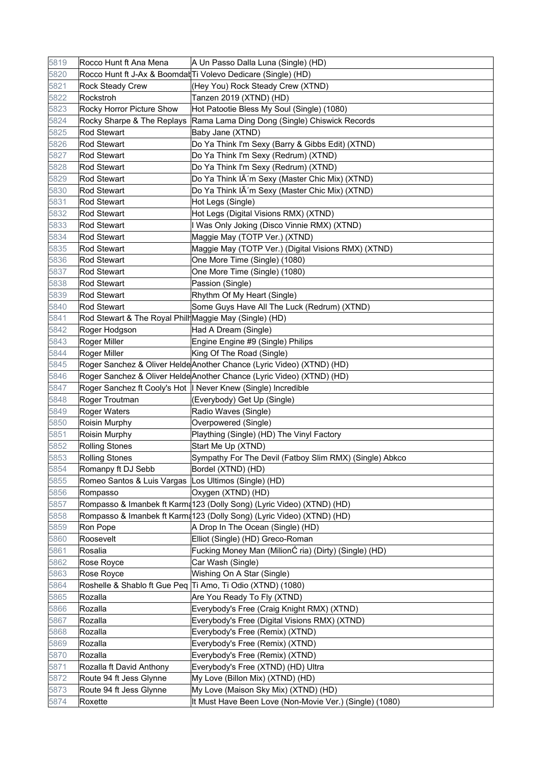| 5819 | Rocco Hunt ft Ana Mena                                 | A Un Passo Dalla Luna (Single) (HD)                                    |
|------|--------------------------------------------------------|------------------------------------------------------------------------|
| 5820 |                                                        | Rocco Hunt ft J-Ax & Boomdat Ti Volevo Dedicare (Single) (HD)          |
| 5821 | <b>Rock Steady Crew</b>                                | (Hey You) Rock Steady Crew (XTND)                                      |
| 5822 | Rockstroh                                              | Tanzen 2019 (XTND) (HD)                                                |
| 5823 | Rocky Horror Picture Show                              | Hot Patootie Bless My Soul (Single) (1080)                             |
| 5824 | Rocky Sharpe & The Replays                             | Rama Lama Ding Dong (Single) Chiswick Records                          |
| 5825 | <b>Rod Stewart</b>                                     | Baby Jane (XTND)                                                       |
| 5826 | Rod Stewart                                            | Do Ya Think I'm Sexy (Barry & Gibbs Edit) (XTND)                       |
| 5827 | <b>Rod Stewart</b>                                     | Do Ya Think I'm Sexy (Redrum) (XTND)                                   |
| 5828 | <b>Rod Stewart</b>                                     | Do Ya Think I'm Sexy (Redrum) (XTND)                                   |
| 5829 | Rod Stewart                                            | Do Ya Think IĀ'm Sexy (Master Chic Mix) (XTND)                         |
| 5830 | <b>Rod Stewart</b>                                     | Do Ya Think IĀ'm Sexy (Master Chic Mix) (XTND)                         |
| 5831 | <b>Rod Stewart</b>                                     | Hot Legs (Single)                                                      |
| 5832 | <b>Rod Stewart</b>                                     | Hot Legs (Digital Visions RMX) (XTND)                                  |
| 5833 | <b>Rod Stewart</b>                                     | I Was Only Joking (Disco Vinnie RMX) (XTND)                            |
| 5834 | <b>Rod Stewart</b>                                     | Maggie May (TOTP Ver.) (XTND)                                          |
| 5835 | <b>Rod Stewart</b>                                     | Maggie May (TOTP Ver.) (Digital Visions RMX) (XTND)                    |
| 5836 | <b>Rod Stewart</b>                                     | One More Time (Single) (1080)                                          |
| 5837 | <b>Rod Stewart</b>                                     | One More Time (Single) (1080)                                          |
| 5838 | <b>Rod Stewart</b>                                     | Passion (Single)                                                       |
| 5839 | <b>Rod Stewart</b>                                     | Rhythm Of My Heart (Single)                                            |
| 5840 | <b>Rod Stewart</b>                                     | Some Guys Have All The Luck (Redrum) (XTND)                            |
| 5841 | Rod Stewart & The Royal Phill Maggie May (Single) (HD) |                                                                        |
| 5842 | Roger Hodgson                                          | Had A Dream (Single)                                                   |
| 5843 | Roger Miller                                           | Engine Engine #9 (Single) Philips                                      |
| 5844 | Roger Miller                                           | King Of The Road (Single)                                              |
| 5845 |                                                        | Roger Sanchez & Oliver Helde Another Chance (Lyric Video) (XTND) (HD)  |
| 5846 |                                                        | Roger Sanchez & Oliver Helde Another Chance (Lyric Video) (XTND) (HD)  |
| 5847 |                                                        | Roger Sanchez ft Cooly's Hot   Never Knew (Single) Incredible          |
| 5848 | Roger Troutman                                         | (Everybody) Get Up (Single)                                            |
| 5849 | Roger Waters                                           | Radio Waves (Single)                                                   |
| 5850 | Roisin Murphy                                          | Overpowered (Single)                                                   |
| 5851 | Roisin Murphy                                          | Plaything (Single) (HD) The Vinyl Factory                              |
| 5852 | <b>Rolling Stones</b>                                  | Start Me Up (XTND)                                                     |
| 5853 | <b>Rolling Stones</b>                                  | Sympathy For The Devil (Fatboy Slim RMX) (Single) Abkco                |
| 5854 | Romanpy ft DJ Sebb                                     | Bordel (XTND) (HD)                                                     |
| 5855 | Romeo Santos & Luis Vargas Los Ultimos (Single) (HD)   |                                                                        |
| 5856 | Rompasso                                               | Oxygen (XTND) (HD)                                                     |
| 5857 |                                                        | Rompasso & Imanbek ft Karma 123 (Dolly Song) (Lyric Video) (XTND) (HD) |
| 5858 |                                                        | Rompasso & Imanbek ft Karma123 (Dolly Song) (Lyric Video) (XTND) (HD)  |
| 5859 | Ron Pope                                               | A Drop In The Ocean (Single) (HD)                                      |
| 5860 | Roosevelt                                              | Elliot (Single) (HD) Greco-Roman                                       |
| 5861 | Rosalia                                                | Fucking Money Man (MilionĆ ria) (Dirty) (Single) (HD)                  |
| 5862 | Rose Royce                                             | Car Wash (Single)                                                      |
| 5863 | Rose Royce                                             | Wishing On A Star (Single)                                             |
| 5864 |                                                        | Roshelle & Shablo ft Gue Peq Ti Amo, Ti Odio (XTND) (1080)             |
| 5865 | Rozalla                                                | Are You Ready To Fly (XTND)                                            |
| 5866 | Rozalla                                                | Everybody's Free (Craig Knight RMX) (XTND)                             |
| 5867 | Rozalla                                                | Everybody's Free (Digital Visions RMX) (XTND)                          |
| 5868 | Rozalla                                                | Everybody's Free (Remix) (XTND)                                        |
| 5869 | Rozalla                                                | Everybody's Free (Remix) (XTND)                                        |
| 5870 | Rozalla                                                | Everybody's Free (Remix) (XTND)                                        |
| 5871 | Rozalla ft David Anthony                               | Everybody's Free (XTND) (HD) Ultra                                     |
| 5872 | Route 94 ft Jess Glynne                                | My Love (Billon Mix) (XTND) (HD)                                       |
| 5873 | Route 94 ft Jess Glynne                                | My Love (Maison Sky Mix) (XTND) (HD)                                   |
| 5874 | Roxette                                                | It Must Have Been Love (Non-Movie Ver.) (Single) (1080)                |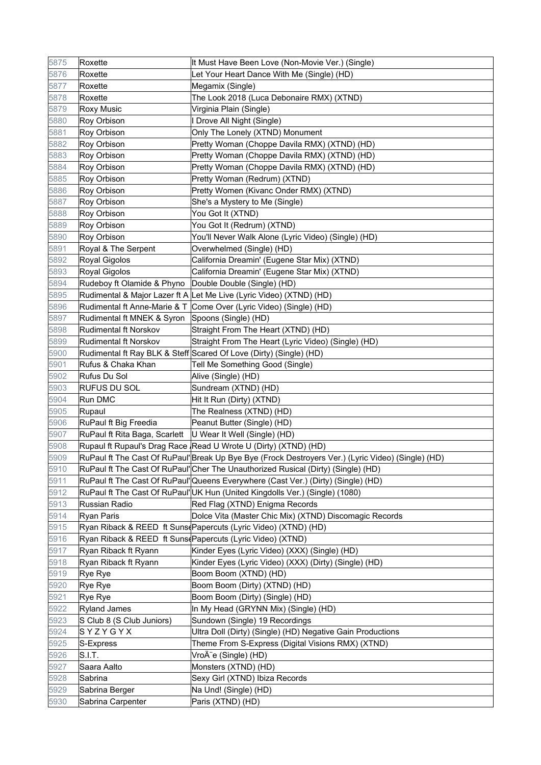| 5875 | Roxette                       | It Must Have Been Love (Non-Movie Ver.) (Single)                                                   |
|------|-------------------------------|----------------------------------------------------------------------------------------------------|
| 5876 | Roxette                       | Let Your Heart Dance With Me (Single) (HD)                                                         |
| 5877 | Roxette                       | Megamix (Single)                                                                                   |
| 5878 | Roxette                       | The Look 2018 (Luca Debonaire RMX) (XTND)                                                          |
| 5879 | <b>Roxy Music</b>             | Virginia Plain (Single)                                                                            |
| 5880 | Roy Orbison                   | I Drove All Night (Single)                                                                         |
| 5881 | Roy Orbison                   | Only The Lonely (XTND) Monument                                                                    |
| 5882 | Roy Orbison                   | Pretty Woman (Choppe Davila RMX) (XTND) (HD)                                                       |
| 5883 | Roy Orbison                   | Pretty Woman (Choppe Davila RMX) (XTND) (HD)                                                       |
| 5884 | Roy Orbison                   | Pretty Woman (Choppe Davila RMX) (XTND) (HD)                                                       |
| 5885 | Roy Orbison                   | Pretty Woman (Redrum) (XTND)                                                                       |
| 5886 | Roy Orbison                   | Pretty Women (Kivanc Onder RMX) (XTND)                                                             |
| 5887 | Roy Orbison                   | She's a Mystery to Me (Single)                                                                     |
| 5888 | Roy Orbison                   | You Got It (XTND)                                                                                  |
| 5889 | Roy Orbison                   | You Got It (Redrum) (XTND)                                                                         |
| 5890 | Roy Orbison                   | You'll Never Walk Alone (Lyric Video) (Single) (HD)                                                |
| 5891 | Royal & The Serpent           | Overwhelmed (Single) (HD)                                                                          |
| 5892 | Royal Gigolos                 | California Dreamin' (Eugene Star Mix) (XTND)                                                       |
| 5893 | Royal Gigolos                 | California Dreamin' (Eugene Star Mix) (XTND)                                                       |
| 5894 | Rudeboy ft Olamide & Phyno    | Double Double (Single) (HD)                                                                        |
| 5895 |                               | Rudimental & Major Lazer ft A Let Me Live (Lyric Video) (XTND) (HD)                                |
| 5896 |                               | Rudimental ft Anne-Marie & T Come Over (Lyric Video) (Single) (HD)                                 |
| 5897 | Rudimental ft MNEK & Syron    | Spoons (Single) (HD)                                                                               |
| 5898 | Rudimental ft Norskov         | Straight From The Heart (XTND) (HD)                                                                |
| 5899 | Rudimental ft Norskov         | Straight From The Heart (Lyric Video) (Single) (HD)                                                |
| 5900 |                               | Rudimental ft Ray BLK & Steff Scared Of Love (Dirty) (Single) (HD)                                 |
| 5901 | Rufus & Chaka Khan            | Tell Me Something Good (Single)                                                                    |
| 5902 | Rufus Du Sol                  | Alive (Single) (HD)                                                                                |
| 5903 | RUFUS DU SOL                  | Sundream (XTND) (HD)                                                                               |
| 5904 | Run DMC                       | Hit It Run (Dirty) (XTND)                                                                          |
| 5905 | Rupaul                        | The Realness (XTND) (HD)                                                                           |
| 5906 | RuPaul ft Big Freedia         | Peanut Butter (Single) (HD)                                                                        |
| 5907 | RuPaul ft Rita Baga, Scarlett | U Wear It Well (Single) (HD)                                                                       |
| 5908 |                               | Rupaul ft Rupaul's Drag Race Read U Wrote U (Dirty) (XTND) (HD)                                    |
| 5909 |                               | RuPaul ft The Cast Of RuPaul' Break Up Bye Bye (Frock Destroyers Ver.) (Lyric Video) (Single) (HD) |
| 5910 |                               | RuPaul ft The Cast Of RuPaul' Cher The Unauthorized Rusical (Dirty) (Single) (HD)                  |
| 5911 |                               | RuPaul ft The Cast Of RuPaul' Queens Everywhere (Cast Ver.) (Dirty) (Single) (HD)                  |
| 5912 |                               | RuPaul ft The Cast Of RuPaul'UK Hun (United Kingdolls Ver.) (Single) (1080)                        |
| 5913 | Russian Radio                 | Red Flag (XTND) Enigma Records                                                                     |
| 5914 | <b>Ryan Paris</b>             | Dolce Vita (Master Chic Mix) (XTND) Discomagic Records                                             |
| 5915 |                               | Ryan Riback & REED ft Suns Papercuts (Lyric Video) (XTND) (HD)                                     |
| 5916 |                               | Ryan Riback & REED ft Suns Papercuts (Lyric Video) (XTND)                                          |
| 5917 | Ryan Riback ft Ryann          | Kinder Eyes (Lyric Video) (XXX) (Single) (HD)                                                      |
| 5918 | Ryan Riback ft Ryann          | Kinder Eyes (Lyric Video) (XXX) (Dirty) (Single) (HD)                                              |
| 5919 | Rye Rye                       | Boom Boom (XTND) (HD)                                                                              |
| 5920 | Rye Rye                       | Boom Boom (Dirty) (XTND) (HD)                                                                      |
| 5921 | <b>Rye Rye</b>                | Boom Boom (Dirty) (Single) (HD)                                                                    |
| 5922 | <b>Ryland James</b>           | In My Head (GRYNN Mix) (Single) (HD)                                                               |
| 5923 | S Club 8 (S Club Juniors)     | Sundown (Single) 19 Recordings                                                                     |
| 5924 | SYZYGYX                       | Ultra Doll (Dirty) (Single) (HD) Negative Gain Productions                                         |
| 5925 | S-Express                     | Theme From S-Express (Digital Visions RMX) (XTND)                                                  |
| 5926 | S.I.T.                        | VroĨe (Single) (HD)                                                                                |
| 5927 | Saara Aalto                   | Monsters (XTND) (HD)                                                                               |
| 5928 | Sabrina                       | Sexy Girl (XTND) Ibiza Records                                                                     |
| 5929 | Sabrina Berger                | Na Und! (Single) (HD)                                                                              |
| 5930 | Sabrina Carpenter             | Paris (XTND) (HD)                                                                                  |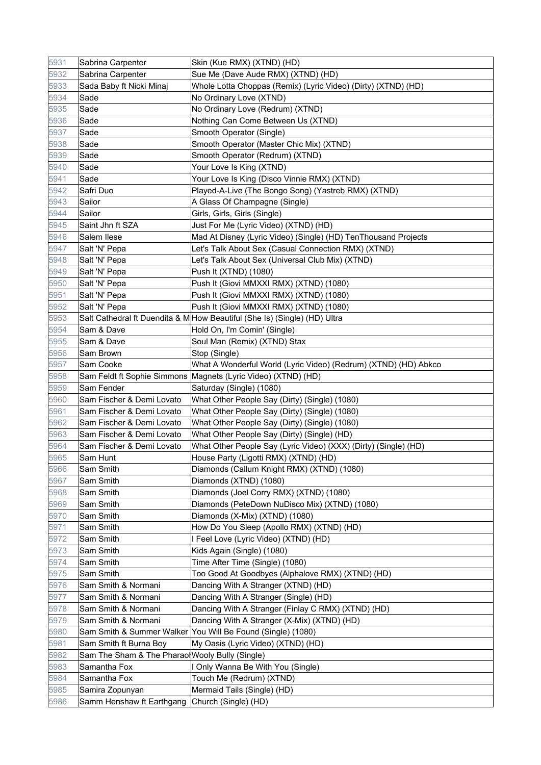| 5931 | Sabrina Carpenter                               | Skin (Kue RMX) (XTND) (HD)                                                |
|------|-------------------------------------------------|---------------------------------------------------------------------------|
| 5932 | Sabrina Carpenter                               | Sue Me (Dave Aude RMX) (XTND) (HD)                                        |
| 5933 | Sada Baby ft Nicki Minaj                        | Whole Lotta Choppas (Remix) (Lyric Video) (Dirty) (XTND) (HD)             |
| 5934 | Sade                                            | No Ordinary Love (XTND)                                                   |
| 5935 | Sade                                            | No Ordinary Love (Redrum) (XTND)                                          |
| 5936 | Sade                                            | Nothing Can Come Between Us (XTND)                                        |
| 5937 | Sade                                            | Smooth Operator (Single)                                                  |
| 5938 | Sade                                            | Smooth Operator (Master Chic Mix) (XTND)                                  |
| 5939 | Sade                                            | Smooth Operator (Redrum) (XTND)                                           |
| 5940 | Sade                                            | Your Love Is King (XTND)                                                  |
| 5941 | Sade                                            | Your Love Is King (Disco Vinnie RMX) (XTND)                               |
| 5942 | Safri Duo                                       | Played-A-Live (The Bongo Song) (Yastreb RMX) (XTND)                       |
| 5943 | Sailor                                          | A Glass Of Champagne (Single)                                             |
| 5944 | Sailor                                          | Girls, Girls, Girls (Single)                                              |
| 5945 | Saint Jhn ft SZA                                | Just For Me (Lyric Video) (XTND) (HD)                                     |
| 5946 | Salem Ilese                                     | Mad At Disney (Lyric Video) (Single) (HD) TenThousand Projects            |
| 5947 | Salt 'N' Pepa                                   | Let's Talk About Sex (Casual Connection RMX) (XTND)                       |
| 5948 | Salt 'N' Pepa                                   | Let's Talk About Sex (Universal Club Mix) (XTND)                          |
| 5949 | Salt 'N' Pepa                                   | Push It (XTND) (1080)                                                     |
| 5950 | Salt 'N' Pepa                                   | Push It (Giovi MMXXI RMX) (XTND) (1080)                                   |
| 5951 | Salt 'N' Pepa                                   | Push It (Giovi MMXXI RMX) (XTND) (1080)                                   |
| 5952 | Salt 'N' Pepa                                   | Push It (Giovi MMXXI RMX) (XTND) (1080)                                   |
| 5953 |                                                 | Salt Cathedral ft Duendita & M How Beautiful (She Is) (Single) (HD) Ultra |
| 5954 | Sam & Dave                                      | Hold On, I'm Comin' (Single)                                              |
| 5955 | Sam & Dave                                      | Soul Man (Remix) (XTND) Stax                                              |
| 5956 | Sam Brown                                       | Stop (Single)                                                             |
| 5957 | Sam Cooke                                       | What A Wonderful World (Lyric Video) (Redrum) (XTND) (HD) Abkco           |
| 5958 |                                                 | Sam Feldt ft Sophie Simmons Magnets (Lyric Video) (XTND) (HD)             |
| 5959 | Sam Fender                                      | Saturday (Single) (1080)                                                  |
| 5960 | Sam Fischer & Demi Lovato                       | What Other People Say (Dirty) (Single) (1080)                             |
| 5961 | Sam Fischer & Demi Lovato                       | What Other People Say (Dirty) (Single) (1080)                             |
| 5962 | Sam Fischer & Demi Lovato                       | What Other People Say (Dirty) (Single) (1080)                             |
| 5963 | Sam Fischer & Demi Lovato                       | What Other People Say (Dirty) (Single) (HD)                               |
| 5964 | Sam Fischer & Demi Lovato                       | What Other People Say (Lyric Video) (XXX) (Dirty) (Single) (HD)           |
| 5965 | Sam Hunt                                        | House Party (Ligotti RMX) (XTND) (HD)                                     |
| 5966 | Sam Smith                                       | Diamonds (Callum Knight RMX) (XTND) (1080)                                |
| 5967 | Sam Smith                                       | Diamonds (XTND) (1080)                                                    |
| 5968 | Sam Smith                                       | Diamonds (Joel Corry RMX) (XTND) (1080)                                   |
| 5969 | Sam Smith                                       | Diamonds (PeteDown NuDisco Mix) (XTND) (1080)                             |
| 5970 | Sam Smith                                       | Diamonds (X-Mix) (XTND) (1080)                                            |
| 5971 | Sam Smith                                       | How Do You Sleep (Apollo RMX) (XTND) (HD)                                 |
| 5972 | Sam Smith                                       | I Feel Love (Lyric Video) (XTND) (HD)                                     |
| 5973 | Sam Smith                                       | Kids Again (Single) (1080)                                                |
| 5974 | Sam Smith                                       | Time After Time (Single) (1080)                                           |
| 5975 | Sam Smith                                       | Too Good At Goodbyes (Alphalove RMX) (XTND) (HD)                          |
| 5976 | Sam Smith & Normani                             | Dancing With A Stranger (XTND) (HD)                                       |
| 5977 | Sam Smith & Normani                             | Dancing With A Stranger (Single) (HD)                                     |
| 5978 | Sam Smith & Normani                             | Dancing With A Stranger (Finlay C RMX) (XTND) (HD)                        |
| 5979 | Sam Smith & Normani                             | Dancing With A Stranger (X-Mix) (XTND) (HD)                               |
| 5980 |                                                 | Sam Smith & Summer Walker You Will Be Found (Single) (1080)               |
| 5981 | Sam Smith ft Burna Boy                          | My Oasis (Lyric Video) (XTND) (HD)                                        |
| 5982 | Sam The Sham & The Pharaol Wooly Bully (Single) |                                                                           |
| 5983 | Samantha Fox                                    | I Only Wanna Be With You (Single)                                         |
| 5984 | Samantha Fox                                    | Touch Me (Redrum) (XTND)                                                  |
| 5985 | Samira Zopunyan                                 | Mermaid Tails (Single) (HD)                                               |
| 5986 | Samm Henshaw ft Earthgang Church (Single) (HD)  |                                                                           |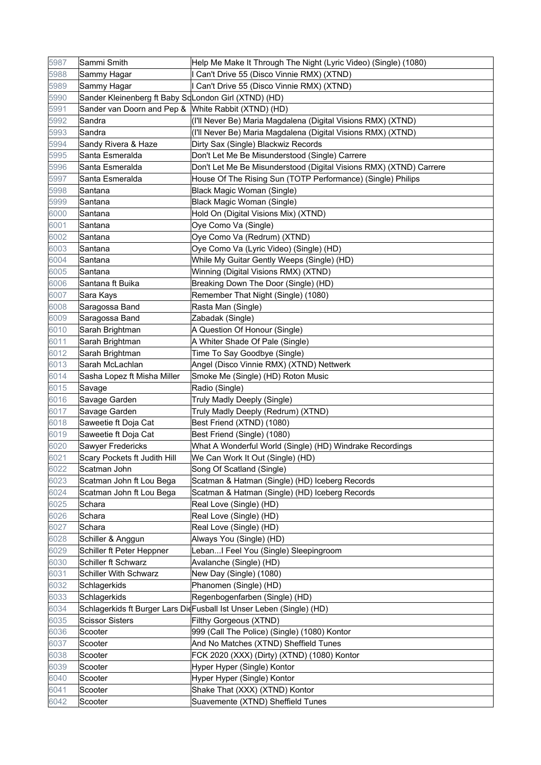| 5987 | Sammi Smith                                          | Help Me Make It Through The Night (Lyric Video) (Single) (1080)      |
|------|------------------------------------------------------|----------------------------------------------------------------------|
| 5988 | Sammy Hagar                                          | I Can't Drive 55 (Disco Vinnie RMX) (XTND)                           |
| 5989 | Sammy Hagar                                          | I Can't Drive 55 (Disco Vinnie RMX) (XTND)                           |
| 5990 | Sander Kleinenberg ft Baby ScLondon Girl (XTND) (HD) |                                                                      |
| 5991 | Sander van Doorn and Pep & White Rabbit (XTND) (HD)  |                                                                      |
| 5992 | Sandra                                               | (I'll Never Be) Maria Magdalena (Digital Visions RMX) (XTND)         |
| 5993 | Sandra                                               | (I'll Never Be) Maria Magdalena (Digital Visions RMX) (XTND)         |
| 5994 | Sandy Rivera & Haze                                  | Dirty Sax (Single) Blackwiz Records                                  |
| 5995 | Santa Esmeralda                                      | Don't Let Me Be Misunderstood (Single) Carrere                       |
| 5996 | Santa Esmeralda                                      | Don't Let Me Be Misunderstood (Digital Visions RMX) (XTND) Carrere   |
| 5997 | Santa Esmeralda                                      | House Of The Rising Sun (TOTP Performance) (Single) Philips          |
| 5998 | Santana                                              | Black Magic Woman (Single)                                           |
| 5999 | Santana                                              | Black Magic Woman (Single)                                           |
| 6000 | Santana                                              | Hold On (Digital Visions Mix) (XTND)                                 |
| 6001 | Santana                                              | Oye Como Va (Single)                                                 |
| 6002 | Santana                                              | Oye Como Va (Redrum) (XTND)                                          |
| 6003 | Santana                                              | Oye Como Va (Lyric Video) (Single) (HD)                              |
| 6004 | Santana                                              | While My Guitar Gently Weeps (Single) (HD)                           |
| 6005 | Santana                                              | Winning (Digital Visions RMX) (XTND)                                 |
| 6006 | Santana ft Buika                                     | Breaking Down The Door (Single) (HD)                                 |
| 6007 | Sara Kays                                            | Remember That Night (Single) (1080)                                  |
| 6008 | Saragossa Band                                       | Rasta Man (Single)                                                   |
| 6009 | Saragossa Band                                       | Zabadak (Single)                                                     |
| 6010 | Sarah Brightman                                      | A Question Of Honour (Single)                                        |
| 6011 | Sarah Brightman                                      | A Whiter Shade Of Pale (Single)                                      |
| 6012 | Sarah Brightman                                      | Time To Say Goodbye (Single)                                         |
| 6013 | Sarah McLachlan                                      | Angel (Disco Vinnie RMX) (XTND) Nettwerk                             |
| 6014 | Sasha Lopez ft Misha Miller                          | Smoke Me (Single) (HD) Roton Music                                   |
| 6015 | Savage                                               | Radio (Single)                                                       |
| 6016 | Savage Garden                                        | Truly Madly Deeply (Single)                                          |
| 6017 | Savage Garden                                        | Truly Madly Deeply (Redrum) (XTND)                                   |
| 6018 | Saweetie ft Doja Cat                                 | Best Friend (XTND) (1080)                                            |
| 6019 | Saweetie ft Doja Cat                                 | Best Friend (Single) (1080)                                          |
| 6020 | Sawyer Fredericks                                    | What A Wonderful World (Single) (HD) Windrake Recordings             |
| 6021 | Scary Pockets ft Judith Hill                         | We Can Work It Out (Single) (HD)                                     |
| 6022 | Scatman John                                         | Song Of Scatland (Single)                                            |
| 6023 | Scatman John ft Lou Bega                             | Scatman & Hatman (Single) (HD) Iceberg Records                       |
| 6024 | Scatman John ft Lou Bega                             | Scatman & Hatman (Single) (HD) Iceberg Records                       |
| 6025 | Schara                                               | Real Love (Single) (HD)                                              |
| 6026 | Schara                                               | Real Love (Single) (HD)                                              |
| 6027 | Schara                                               | Real Love (Single) (HD)                                              |
| 6028 | Schiller & Anggun                                    | Always You (Single) (HD)                                             |
| 6029 | Schiller ft Peter Heppner                            | LebanI Feel You (Single) Sleepingroom                                |
| 6030 | Schiller ft Schwarz                                  | Avalanche (Single) (HD)                                              |
| 6031 | <b>Schiller With Schwarz</b>                         | New Day (Single) (1080)                                              |
| 6032 | Schlagerkids                                         | Phanomen (Single) (HD)                                               |
| 6033 | Schlagerkids                                         | Regenbogenfarben (Single) (HD)                                       |
| 6034 |                                                      | Schlagerkids ft Burger Lars DidFusball Ist Unser Leben (Single) (HD) |
| 6035 | <b>Scissor Sisters</b>                               | Filthy Gorgeous (XTND)                                               |
| 6036 | Scooter                                              | 999 (Call The Police) (Single) (1080) Kontor                         |
| 6037 | Scooter                                              | And No Matches (XTND) Sheffield Tunes                                |
| 6038 | Scooter                                              | FCK 2020 (XXX) (Dirty) (XTND) (1080) Kontor                          |
| 6039 | Scooter                                              | Hyper Hyper (Single) Kontor                                          |
| 6040 | Scooter                                              | Hyper Hyper (Single) Kontor                                          |
| 6041 | Scooter                                              | Shake That (XXX) (XTND) Kontor                                       |
| 6042 | Scooter                                              | Suavemente (XTND) Sheffield Tunes                                    |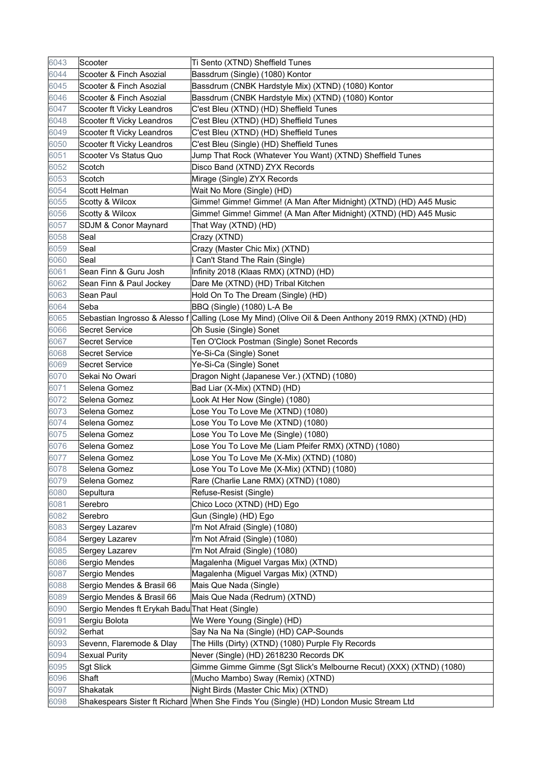| 6043 | Scooter                                         | Ti Sento (XTND) Sheffield Tunes                                                                      |
|------|-------------------------------------------------|------------------------------------------------------------------------------------------------------|
| 6044 | Scooter & Finch Asozial                         | Bassdrum (Single) (1080) Kontor                                                                      |
| 6045 | Scooter & Finch Asozial                         | Bassdrum (CNBK Hardstyle Mix) (XTND) (1080) Kontor                                                   |
| 6046 | Scooter & Finch Asozial                         | Bassdrum (CNBK Hardstyle Mix) (XTND) (1080) Kontor                                                   |
| 6047 | Scooter ft Vicky Leandros                       | C'est Bleu (XTND) (HD) Sheffield Tunes                                                               |
| 6048 | Scooter ft Vicky Leandros                       | C'est Bleu (XTND) (HD) Sheffield Tunes                                                               |
| 6049 | Scooter ft Vicky Leandros                       | C'est Bleu (XTND) (HD) Sheffield Tunes                                                               |
| 6050 | Scooter ft Vicky Leandros                       | C'est Bleu (Single) (HD) Sheffield Tunes                                                             |
| 6051 | Scooter Vs Status Quo                           | Jump That Rock (Whatever You Want) (XTND) Sheffield Tunes                                            |
| 6052 | Scotch                                          | Disco Band (XTND) ZYX Records                                                                        |
| 6053 | Scotch                                          | Mirage (Single) ZYX Records                                                                          |
| 6054 | Scott Helman                                    | Wait No More (Single) (HD)                                                                           |
| 6055 | Scotty & Wilcox                                 | Gimme! Gimme! Gimme! (A Man After Midnight) (XTND) (HD) A45 Music                                    |
| 6056 | Scotty & Wilcox                                 | Gimme! Gimme! Gimme! (A Man After Midnight) (XTND) (HD) A45 Music                                    |
| 6057 | SDJM & Conor Maynard                            | That Way (XTND) (HD)                                                                                 |
| 6058 | Seal                                            | Crazy (XTND)                                                                                         |
| 6059 | Seal                                            | Crazy (Master Chic Mix) (XTND)                                                                       |
| 6060 | Seal                                            | I Can't Stand The Rain (Single)                                                                      |
| 6061 | Sean Finn & Guru Josh                           | Infinity 2018 (Klaas RMX) (XTND) (HD)                                                                |
| 6062 | Sean Finn & Paul Jockey                         | Dare Me (XTND) (HD) Tribal Kitchen                                                                   |
| 6063 | Sean Paul                                       | Hold On To The Dream (Single) (HD)                                                                   |
| 6064 | Seba                                            | BBQ (Single) (1080) L-A Be                                                                           |
| 6065 |                                                 | Sebastian Ingrosso & Alesso f Calling (Lose My Mind) (Olive Oil & Deen Anthony 2019 RMX) (XTND) (HD) |
| 6066 | <b>Secret Service</b>                           | Oh Susie (Single) Sonet                                                                              |
| 6067 | <b>Secret Service</b>                           | Ten O'Clock Postman (Single) Sonet Records                                                           |
| 6068 | <b>Secret Service</b>                           | Ye-Si-Ca (Single) Sonet                                                                              |
| 6069 | <b>Secret Service</b>                           | Ye-Si-Ca (Single) Sonet                                                                              |
| 6070 | Sekai No Owari                                  | Dragon Night (Japanese Ver.) (XTND) (1080)                                                           |
| 6071 | Selena Gomez                                    | Bad Liar (X-Mix) (XTND) (HD)                                                                         |
| 6072 | Selena Gomez                                    | Look At Her Now (Single) (1080)                                                                      |
| 6073 | Selena Gomez                                    | Lose You To Love Me (XTND) (1080)                                                                    |
| 6074 | Selena Gomez                                    | Lose You To Love Me (XTND) (1080)                                                                    |
| 6075 | Selena Gomez                                    | Lose You To Love Me (Single) (1080)                                                                  |
| 6076 | Selena Gomez                                    | Lose You To Love Me (Liam Pfeifer RMX) (XTND) (1080)                                                 |
| 6077 | Selena Gomez                                    | Lose You To Love Me (X-Mix) (XTND) (1080)                                                            |
| 6078 | Selena Gomez                                    | Lose You To Love Me (X-Mix) (XTND) (1080)                                                            |
| 6079 | Selena Gomez                                    | Rare (Charlie Lane RMX) (XTND) (1080)                                                                |
| 6080 | Sepultura                                       | Refuse-Resist (Single)                                                                               |
| 6081 | Serebro                                         | Chico Loco (XTND) (HD) Ego                                                                           |
| 6082 | Serebro                                         | Gun (Single) (HD) Ego                                                                                |
| 6083 | Sergey Lazarev                                  | I'm Not Afraid (Single) (1080)                                                                       |
| 6084 | Sergey Lazarev                                  | I'm Not Afraid (Single) (1080)                                                                       |
| 6085 | Sergey Lazarev                                  | I'm Not Afraid (Single) (1080)                                                                       |
| 6086 | Sergio Mendes                                   | Magalenha (Miguel Vargas Mix) (XTND)                                                                 |
| 6087 | Sergio Mendes                                   | Magalenha (Miguel Vargas Mix) (XTND)                                                                 |
| 6088 | Sergio Mendes & Brasil 66                       | Mais Que Nada (Single)                                                                               |
| 6089 | Sergio Mendes & Brasil 66                       | Mais Que Nada (Redrum) (XTND)                                                                        |
| 6090 | Sergio Mendes ft Erykah Badu That Heat (Single) |                                                                                                      |
| 6091 | Sergiu Bolota                                   | We Were Young (Single) (HD)                                                                          |
| 6092 | Serhat                                          | Say Na Na Na (Single) (HD) CAP-Sounds                                                                |
| 6093 | Sevenn, Flaremode & Dlay                        | The Hills (Dirty) (XTND) (1080) Purple Fly Records                                                   |
| 6094 | <b>Sexual Purity</b>                            | Never (Single) (HD) 2618230 Records DK                                                               |
| 6095 | <b>Sgt Slick</b>                                | Gimme Gimme Gimme (Sgt Slick's Melbourne Recut) (XXX) (XTND) (1080)                                  |
| 6096 | Shaft                                           | (Mucho Mambo) Sway (Remix) (XTND)                                                                    |
| 6097 | Shakatak                                        | Night Birds (Master Chic Mix) (XTND)                                                                 |
| 6098 |                                                 | Shakespears Sister ft Richard When She Finds You (Single) (HD) London Music Stream Ltd               |
|      |                                                 |                                                                                                      |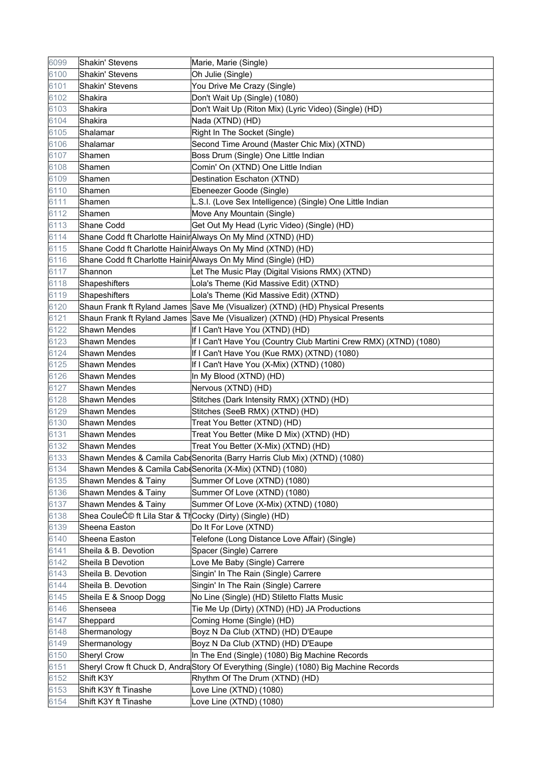| 6099 | Shakin' Stevens                                          | Marie, Marie (Single)                                                                 |
|------|----------------------------------------------------------|---------------------------------------------------------------------------------------|
| 6100 | Shakin' Stevens                                          | Oh Julie (Single)                                                                     |
| 6101 | Shakin' Stevens                                          | You Drive Me Crazy (Single)                                                           |
| 6102 | Shakira                                                  | Don't Wait Up (Single) (1080)                                                         |
| 6103 | Shakira                                                  | Don't Wait Up (Riton Mix) (Lyric Video) (Single) (HD)                                 |
| 6104 | Shakira                                                  | Nada (XTND) (HD)                                                                      |
| 6105 | Shalamar                                                 | Right In The Socket (Single)                                                          |
| 6106 | Shalamar                                                 | Second Time Around (Master Chic Mix) (XTND)                                           |
| 6107 | Shamen                                                   | Boss Drum (Single) One Little Indian                                                  |
| 6108 | Shamen                                                   | Comin' On (XTND) One Little Indian                                                    |
| 6109 | Shamen                                                   | Destination Eschaton (XTND)                                                           |
| 6110 | Shamen                                                   | Ebeneezer Goode (Single)                                                              |
| 6111 | Shamen                                                   | L.S.I. (Love Sex Intelligence) (Single) One Little Indian                             |
| 6112 | Shamen                                                   | Move Any Mountain (Single)                                                            |
| 6113 | Shane Codd                                               | Get Out My Head (Lyric Video) (Single) (HD)                                           |
| 6114 |                                                          | Shane Codd ft Charlotte Hainir Always On My Mind (XTND) (HD)                          |
| 6115 |                                                          | Shane Codd ft Charlotte Hainir Always On My Mind (XTND) (HD)                          |
| 6116 |                                                          | Shane Codd ft Charlotte HainirAlways On My Mind (Single) (HD)                         |
| 6117 | Shannon                                                  | Let The Music Play (Digital Visions RMX) (XTND)                                       |
| 6118 | Shapeshifters                                            | Lola's Theme (Kid Massive Edit) (XTND)                                                |
| 6119 | Shapeshifters                                            | Lola's Theme (Kid Massive Edit) (XTND)                                                |
| 6120 |                                                          | Shaun Frank ft Ryland James Save Me (Visualizer) (XTND) (HD) Physical Presents        |
| 6121 |                                                          | Shaun Frank ft Ryland James Save Me (Visualizer) (XTND) (HD) Physical Presents        |
| 6122 | <b>Shawn Mendes</b>                                      | If I Can't Have You (XTND) (HD)                                                       |
| 6123 | <b>Shawn Mendes</b>                                      | If I Can't Have You (Country Club Martini Crew RMX) (XTND) (1080)                     |
| 6124 | <b>Shawn Mendes</b>                                      | If I Can't Have You (Kue RMX) (XTND) (1080)                                           |
| 6125 | Shawn Mendes                                             | If I Can't Have You (X-Mix) (XTND) (1080)                                             |
| 6126 | Shawn Mendes                                             | In My Blood (XTND) (HD)                                                               |
| 6127 | <b>Shawn Mendes</b>                                      | Nervous (XTND) (HD)                                                                   |
| 6128 | <b>Shawn Mendes</b>                                      | Stitches (Dark Intensity RMX) (XTND) (HD)                                             |
| 6129 | Shawn Mendes                                             | Stitches (SeeB RMX) (XTND) (HD)                                                       |
| 6130 | <b>Shawn Mendes</b>                                      | Treat You Better (XTND) (HD)                                                          |
| 6131 | Shawn Mendes                                             | Treat You Better (Mike D Mix) (XTND) (HD)                                             |
| 6132 | Shawn Mendes                                             | Treat You Better (X-Mix) (XTND) (HD)                                                  |
| 6133 |                                                          | Shawn Mendes & Camila Cab(Senorita (Barry Harris Club Mix) (XTND) (1080)              |
| 6134 |                                                          | Shawn Mendes & Camila Cab Senorita (X-Mix) (XTND) (1080)                              |
| 6135 | Shawn Mendes & Tainy                                     | Summer Of Love (XTND) (1080)                                                          |
| 6136 | Shawn Mendes & Tainy                                     | Summer Of Love (XTND) (1080)                                                          |
| 6137 | Shawn Mendes & Tainy                                     | Summer Of Love (X-Mix) (XTND) (1080)                                                  |
| 6138 | Shea CouleƩ ft Lila Star & ThCocky (Dirty) (Single) (HD) |                                                                                       |
| 6139 | Sheena Easton                                            | Do It For Love (XTND)                                                                 |
| 6140 | Sheena Easton                                            | Telefone (Long Distance Love Affair) (Single)                                         |
| 6141 | Sheila & B. Devotion                                     | Spacer (Single) Carrere                                                               |
| 6142 | Sheila B Devotion                                        | Love Me Baby (Single) Carrere                                                         |
| 6143 | Sheila B. Devotion                                       | Singin' In The Rain (Single) Carrere                                                  |
| 6144 | Sheila B. Devotion                                       | Singin' In The Rain (Single) Carrere                                                  |
| 6145 | Sheila E & Snoop Dogg                                    | No Line (Single) (HD) Stiletto Flatts Music                                           |
| 6146 | Shenseea                                                 | Tie Me Up (Dirty) (XTND) (HD) JA Productions                                          |
| 6147 | Sheppard                                                 | Coming Home (Single) (HD)                                                             |
| 6148 | Shermanology                                             | Boyz N Da Club (XTND) (HD) D'Eaupe                                                    |
| 6149 | Shermanology                                             | Boyz N Da Club (XTND) (HD) D'Eaupe                                                    |
| 6150 | <b>Sheryl Crow</b>                                       | In The End (Single) (1080) Big Machine Records                                        |
| 6151 |                                                          | Sheryl Crow ft Chuck D, Andra Story Of Everything (Single) (1080) Big Machine Records |
| 6152 | Shift K3Y                                                | Rhythm Of The Drum (XTND) (HD)                                                        |
| 6153 | Shift K3Y ft Tinashe                                     | Love Line (XTND) (1080)                                                               |
| 6154 | Shift K3Y ft Tinashe                                     | Love Line (XTND) (1080)                                                               |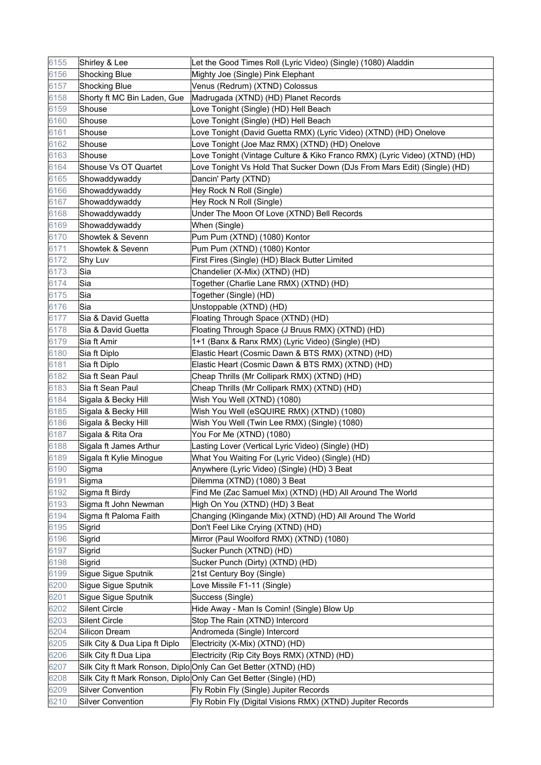| 6155         | Shirley & Lee                 | Let the Good Times Roll (Lyric Video) (Single) (1080) Aladdin                                        |
|--------------|-------------------------------|------------------------------------------------------------------------------------------------------|
| 6156         | <b>Shocking Blue</b>          | Mighty Joe (Single) Pink Elephant                                                                    |
| 6157         | <b>Shocking Blue</b>          | Venus (Redrum) (XTND) Colossus                                                                       |
| 6158         | Shorty ft MC Bin Laden, Gue   | Madrugada (XTND) (HD) Planet Records                                                                 |
| 6159         | Shouse                        | Love Tonight (Single) (HD) Hell Beach                                                                |
| 6160         | Shouse                        | Love Tonight (Single) (HD) Hell Beach                                                                |
| 6161         | Shouse                        | Love Tonight (David Guetta RMX) (Lyric Video) (XTND) (HD) Onelove                                    |
| 6162         | Shouse                        | Love Tonight (Joe Maz RMX) (XTND) (HD) Onelove                                                       |
| 6163         | Shouse                        | Love Tonight (Vintage Culture & Kiko Franco RMX) (Lyric Video) (XTND) (HD)                           |
| 6164         | Shouse Vs OT Quartet          | Love Tonight Vs Hold That Sucker Down (DJs From Mars Edit) (Single) (HD)                             |
| 6165         | Showaddywaddy                 | Dancin' Party (XTND)                                                                                 |
| 6166         | Showaddywaddy                 | Hey Rock N Roll (Single)                                                                             |
| 6167         | Showaddywaddy                 | Hey Rock N Roll (Single)                                                                             |
| 6168         | Showaddywaddy                 | Under The Moon Of Love (XTND) Bell Records                                                           |
| 6169         | Showaddywaddy                 | When (Single)                                                                                        |
| 6170         | Showtek & Sevenn              | Pum Pum (XTND) (1080) Kontor                                                                         |
| 6171         | Showtek & Sevenn              | Pum Pum (XTND) (1080) Kontor                                                                         |
| 6172         | Shy Luv                       | First Fires (Single) (HD) Black Butter Limited                                                       |
| 6173         | Sia                           | Chandelier (X-Mix) (XTND) (HD)                                                                       |
| 6174         | Sia                           | Together (Charlie Lane RMX) (XTND) (HD)                                                              |
| 6175         | Sia                           | Together (Single) (HD)                                                                               |
| 6176         | Sia                           | Unstoppable (XTND) (HD)                                                                              |
| 6177         | Sia & David Guetta            | Floating Through Space (XTND) (HD)                                                                   |
| 6178         | Sia & David Guetta            | Floating Through Space (J Bruus RMX) (XTND) (HD)                                                     |
| 6179         | Sia ft Amir                   | 1+1 (Banx & Ranx RMX) (Lyric Video) (Single) (HD)                                                    |
| 6180         | Sia ft Diplo                  | Elastic Heart (Cosmic Dawn & BTS RMX) (XTND) (HD)                                                    |
| 6181         | Sia ft Diplo                  | Elastic Heart (Cosmic Dawn & BTS RMX) (XTND) (HD)                                                    |
| 6182         | Sia ft Sean Paul              | Cheap Thrills (Mr Collipark RMX) (XTND) (HD)                                                         |
| 6183         | Sia ft Sean Paul              | Cheap Thrills (Mr Collipark RMX) (XTND) (HD)                                                         |
| 6184         | Sigala & Becky Hill           | Wish You Well (XTND) (1080)                                                                          |
| 6185         | Sigala & Becky Hill           | Wish You Well (eSQUIRE RMX) (XTND) (1080)                                                            |
| 6186         | Sigala & Becky Hill           | Wish You Well (Twin Lee RMX) (Single) (1080)                                                         |
| 6187         | Sigala & Rita Ora             | You For Me (XTND) (1080)                                                                             |
| 6188         | Sigala ft James Arthur        | Lasting Lover (Vertical Lyric Video) (Single) (HD)                                                   |
| 6189         | Sigala ft Kylie Minogue       | What You Waiting For (Lyric Video) (Single) (HD)                                                     |
| 6190         | Sigma                         | Anywhere (Lyric Video) (Single) (HD) 3 Beat                                                          |
| 6191         | Sigma                         | Dilemma (XTND) (1080) 3 Beat                                                                         |
| 6192         | Sigma ft Birdy                | Find Me (Zac Samuel Mix) (XTND) (HD) All Around The World                                            |
| 6193         | Sigma ft John Newman          | High On You (XTND) (HD) 3 Beat                                                                       |
| 6194         | Sigma ft Paloma Faith         | Changing (Klingande Mix) (XTND) (HD) All Around The World                                            |
| 6195         | Sigrid                        | Don't Feel Like Crying (XTND) (HD)                                                                   |
| 6196         | Sigrid                        | Mirror (Paul Woolford RMX) (XTND) (1080)                                                             |
| 6197         | Sigrid                        | Sucker Punch (XTND) (HD)                                                                             |
| 6198         | Sigrid                        | Sucker Punch (Dirty) (XTND) (HD)                                                                     |
| 6199         | Sigue Sigue Sputnik           | 21st Century Boy (Single)                                                                            |
| 6200         | Sigue Sigue Sputnik           | Love Missile F1-11 (Single)                                                                          |
| 6201         | Sigue Sigue Sputnik           | Success (Single)                                                                                     |
| 6202         | Silent Circle                 | Hide Away - Man Is Comin! (Single) Blow Up                                                           |
| 6203         | <b>Silent Circle</b>          | Stop The Rain (XTND) Intercord                                                                       |
| 6204         | Silicon Dream                 | Andromeda (Single) Intercord                                                                         |
| 6205         | Silk City & Dua Lipa ft Diplo | Electricity (X-Mix) (XTND) (HD)                                                                      |
| 6206         | Silk City ft Dua Lipa         | Electricity (Rip City Boys RMX) (XTND) (HD)                                                          |
| 6207         |                               | Silk City ft Mark Ronson, Diplo Only Can Get Better (XTND) (HD)                                      |
| 6208<br>6209 | <b>Silver Convention</b>      | Silk City ft Mark Ronson, Diplo Only Can Get Better (Single) (HD)                                    |
| 6210         | <b>Silver Convention</b>      | Fly Robin Fly (Single) Jupiter Records<br>Fly Robin Fly (Digital Visions RMX) (XTND) Jupiter Records |
|              |                               |                                                                                                      |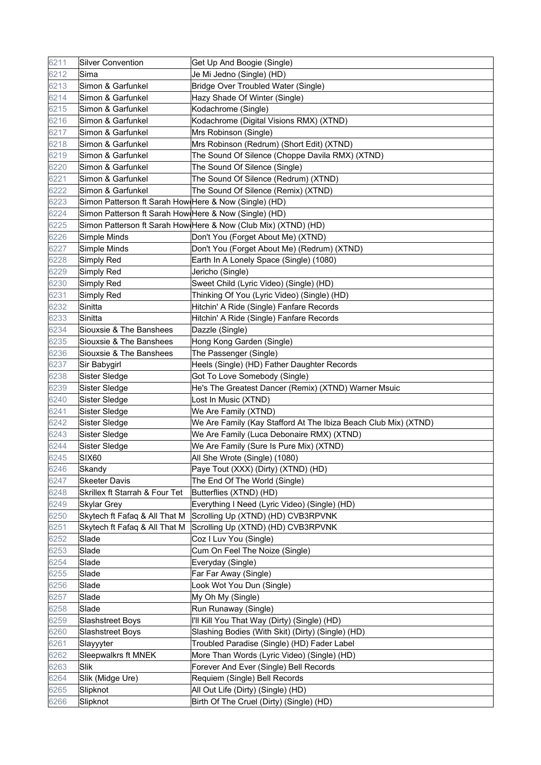| 6211 | <b>Silver Convention</b>                              | Get Up And Boogie (Single)                                      |
|------|-------------------------------------------------------|-----------------------------------------------------------------|
| 6212 | Sima                                                  | Je Mi Jedno (Single) (HD)                                       |
| 6213 | Simon & Garfunkel                                     | <b>Bridge Over Troubled Water (Single)</b>                      |
| 6214 | Simon & Garfunkel                                     | Hazy Shade Of Winter (Single)                                   |
| 6215 | Simon & Garfunkel                                     | Kodachrome (Single)                                             |
| 6216 | Simon & Garfunkel                                     | Kodachrome (Digital Visions RMX) (XTND)                         |
| 6217 | Simon & Garfunkel                                     | Mrs Robinson (Single)                                           |
| 6218 | Simon & Garfunkel                                     | Mrs Robinson (Redrum) (Short Edit) (XTND)                       |
| 6219 | Simon & Garfunkel                                     | The Sound Of Silence (Choppe Davila RMX) (XTND)                 |
| 6220 | Simon & Garfunkel                                     | The Sound Of Silence (Single)                                   |
| 6221 | Simon & Garfunkel                                     | The Sound Of Silence (Redrum) (XTND)                            |
| 6222 | Simon & Garfunkel                                     | The Sound Of Silence (Remix) (XTND)                             |
| 6223 | Simon Patterson ft Sarah How Here & Now (Single) (HD) |                                                                 |
| 6224 | Simon Patterson ft Sarah How Here & Now (Single) (HD) |                                                                 |
| 6225 |                                                       | Simon Patterson ft Sarah How Here & Now (Club Mix) (XTND) (HD)  |
| 6226 | Simple Minds                                          | Don't You (Forget About Me) (XTND)                              |
| 6227 | Simple Minds                                          | Don't You (Forget About Me) (Redrum) (XTND)                     |
| 6228 | Simply Red                                            | Earth In A Lonely Space (Single) (1080)                         |
| 6229 | Simply Red                                            | Jericho (Single)                                                |
| 6230 | Simply Red                                            | Sweet Child (Lyric Video) (Single) (HD)                         |
| 6231 | Simply Red                                            | Thinking Of You (Lyric Video) (Single) (HD)                     |
| 6232 | Sinitta                                               | Hitchin' A Ride (Single) Fanfare Records                        |
| 6233 | Sinitta                                               | Hitchin' A Ride (Single) Fanfare Records                        |
| 6234 | Siouxsie & The Banshees                               | Dazzle (Single)                                                 |
| 6235 | Siouxsie & The Banshees                               | Hong Kong Garden (Single)                                       |
| 6236 | Siouxsie & The Banshees                               | The Passenger (Single)                                          |
| 6237 | Sir Babygirl                                          | Heels (Single) (HD) Father Daughter Records                     |
| 6238 | Sister Sledge                                         | Got To Love Somebody (Single)                                   |
| 6239 | Sister Sledge                                         | He's The Greatest Dancer (Remix) (XTND) Warner Msuic            |
| 6240 | Sister Sledge                                         | Lost In Music (XTND)                                            |
| 6241 | Sister Sledge                                         | We Are Family (XTND)                                            |
| 6242 | Sister Sledge                                         | We Are Family (Kay Stafford At The Ibiza Beach Club Mix) (XTND) |
| 6243 | Sister Sledge                                         | We Are Family (Luca Debonaire RMX) (XTND)                       |
| 6244 | Sister Sledge                                         | We Are Family (Sure Is Pure Mix) (XTND)                         |
| 6245 | <b>SIX60</b>                                          | All She Wrote (Single) (1080)                                   |
| 6246 | Skandy                                                | Paye Tout (XXX) (Dirty) (XTND) (HD)                             |
| 6247 | <b>Skeeter Davis</b>                                  | The End Of The World (Single)                                   |
| 6248 | Skrillex ft Starrah & Four Tet                        | Butterflies (XTND) (HD)                                         |
| 6249 | <b>Skylar Grey</b>                                    | Everything I Need (Lyric Video) (Single) (HD)                   |
| 6250 | Skytech ft Fafaq & All That M                         | Scrolling Up (XTND) (HD) CVB3RPVNK                              |
| 6251 | Skytech ft Fafaq & All That M                         | Scrolling Up (XTND) (HD) CVB3RPVNK                              |
| 6252 | Slade                                                 | Coz I Luv You (Single)                                          |
| 6253 | Slade                                                 | Cum On Feel The Noize (Single)                                  |
| 6254 | Slade                                                 | Everyday (Single)                                               |
| 6255 | Slade                                                 | Far Far Away (Single)                                           |
| 6256 | Slade                                                 | Look Wot You Dun (Single)                                       |
| 6257 | Slade                                                 | My Oh My (Single)                                               |
| 6258 | Slade                                                 | Run Runaway (Single)                                            |
| 6259 | Slashstreet Boys                                      | I'll Kill You That Way (Dirty) (Single) (HD)                    |
| 6260 | Slashstreet Boys                                      | Slashing Bodies (With Skit) (Dirty) (Single) (HD)               |
| 6261 | Slayyyter                                             | Troubled Paradise (Single) (HD) Fader Label                     |
| 6262 | Sleepwalkrs ft MNEK                                   | More Than Words (Lyric Video) (Single) (HD)                     |
| 6263 | Slik                                                  | Forever And Ever (Single) Bell Records                          |
| 6264 | Slik (Midge Ure)                                      | Requiem (Single) Bell Records                                   |
| 6265 | Slipknot                                              | All Out Life (Dirty) (Single) (HD)                              |
| 6266 | Slipknot                                              | Birth Of The Cruel (Dirty) (Single) (HD)                        |
|      |                                                       |                                                                 |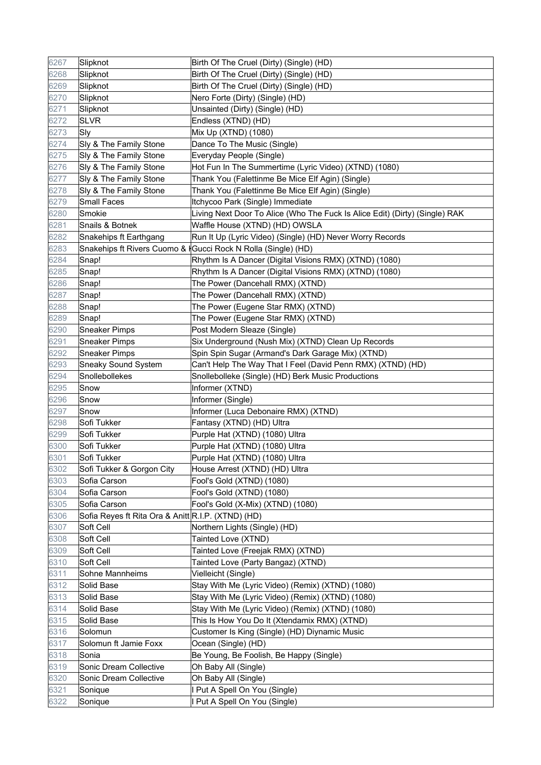| 6267 | Slipknot                                           | Birth Of The Cruel (Dirty) (Single) (HD)                                    |
|------|----------------------------------------------------|-----------------------------------------------------------------------------|
| 6268 | Slipknot                                           | Birth Of The Cruel (Dirty) (Single) (HD)                                    |
| 6269 | Slipknot                                           | Birth Of The Cruel (Dirty) (Single) (HD)                                    |
| 6270 | Slipknot                                           | Nero Forte (Dirty) (Single) (HD)                                            |
| 6271 | Slipknot                                           | Unsainted (Dirty) (Single) (HD)                                             |
| 6272 | <b>SLVR</b>                                        | Endless (XTND) (HD)                                                         |
| 6273 | Sly                                                | Mix Up (XTND) (1080)                                                        |
| 6274 | Sly & The Family Stone                             | Dance To The Music (Single)                                                 |
| 6275 | Sly & The Family Stone                             | Everyday People (Single)                                                    |
| 6276 | Sly & The Family Stone                             | Hot Fun In The Summertime (Lyric Video) (XTND) (1080)                       |
| 6277 | Sly & The Family Stone                             | Thank You (Falettinme Be Mice Elf Agin) (Single)                            |
| 6278 | Sly & The Family Stone                             | Thank You (Falettinme Be Mice Elf Agin) (Single)                            |
| 6279 | Small Faces                                        | Itchycoo Park (Single) Immediate                                            |
| 6280 | Smokie                                             | Living Next Door To Alice (Who The Fuck Is Alice Edit) (Dirty) (Single) RAK |
| 6281 | Snails & Botnek                                    | Waffle House (XTND) (HD) OWSLA                                              |
| 6282 | Snakehips ft Earthgang                             | Run It Up (Lyric Video) (Single) (HD) Never Worry Records                   |
| 6283 |                                                    | Snakehips ft Rivers Cuomo &  Gucci Rock N Rolla (Single) (HD)               |
| 6284 | Snap!                                              | Rhythm Is A Dancer (Digital Visions RMX) (XTND) (1080)                      |
| 6285 | Snap!                                              | Rhythm Is A Dancer (Digital Visions RMX) (XTND) (1080)                      |
| 6286 | Snap!                                              | The Power (Dancehall RMX) (XTND)                                            |
| 6287 | Snap!                                              | The Power (Dancehall RMX) (XTND)                                            |
| 6288 | Snap!                                              | The Power (Eugene Star RMX) (XTND)                                          |
| 6289 | Snap!                                              | The Power (Eugene Star RMX) (XTND)                                          |
| 6290 | <b>Sneaker Pimps</b>                               | Post Modern Sleaze (Single)                                                 |
| 6291 | <b>Sneaker Pimps</b>                               | Six Underground (Nush Mix) (XTND) Clean Up Records                          |
| 6292 | Sneaker Pimps                                      | Spin Spin Sugar (Armand's Dark Garage Mix) (XTND)                           |
| 6293 | <b>Sneaky Sound System</b>                         | Can't Help The Way That I Feel (David Penn RMX) (XTND) (HD)                 |
| 6294 | Snollebollekes                                     | Snollebolleke (Single) (HD) Berk Music Productions                          |
| 6295 | Snow                                               | Informer (XTND)                                                             |
| 6296 | Snow                                               | Informer (Single)                                                           |
| 6297 | Snow                                               | Informer (Luca Debonaire RMX) (XTND)                                        |
| 6298 | Sofi Tukker                                        | Fantasy (XTND) (HD) Ultra                                                   |
| 6299 | Sofi Tukker                                        | Purple Hat (XTND) (1080) Ultra                                              |
| 6300 | Sofi Tukker                                        | Purple Hat (XTND) (1080) Ultra                                              |
| 6301 | Sofi Tukker                                        | Purple Hat (XTND) (1080) Ultra                                              |
| 6302 | Sofi Tukker & Gorgon City                          | House Arrest (XTND) (HD) Ultra                                              |
| 6303 | Sofia Carson                                       | Fool's Gold (XTND) (1080)                                                   |
| 6304 | Sofia Carson                                       | Fool's Gold (XTND) (1080)                                                   |
| 6305 | Sofia Carson                                       | Fool's Gold (X-Mix) (XTND) (1080)                                           |
| 6306 | Sofia Reyes ft Rita Ora & Anitt R.I.P. (XTND) (HD) |                                                                             |
| 6307 | Soft Cell                                          | Northern Lights (Single) (HD)                                               |
| 6308 | Soft Cell                                          | Tainted Love (XTND)                                                         |
| 6309 | Soft Cell                                          | Tainted Love (Freejak RMX) (XTND)                                           |
| 6310 | Soft Cell                                          | Tainted Love (Party Bangaz) (XTND)                                          |
| 6311 | Sohne Mannheims                                    | Vielleicht (Single)                                                         |
| 6312 | Solid Base                                         | Stay With Me (Lyric Video) (Remix) (XTND) (1080)                            |
| 6313 | Solid Base                                         | Stay With Me (Lyric Video) (Remix) (XTND) (1080)                            |
| 6314 | Solid Base                                         | Stay With Me (Lyric Video) (Remix) (XTND) (1080)                            |
| 6315 | Solid Base                                         | This Is How You Do It (Xtendamix RMX) (XTND)                                |
| 6316 | Solomun                                            | Customer Is King (Single) (HD) Diynamic Music                               |
| 6317 | Solomun ft Jamie Foxx                              | Ocean (Single) (HD)                                                         |
| 6318 | Sonia                                              | Be Young, Be Foolish, Be Happy (Single)                                     |
| 6319 | Sonic Dream Collective                             | Oh Baby All (Single)                                                        |
| 6320 | Sonic Dream Collective                             | Oh Baby All (Single)                                                        |
| 6321 | Sonique                                            | I Put A Spell On You (Single)                                               |
| 6322 | Sonique                                            | I Put A Spell On You (Single)                                               |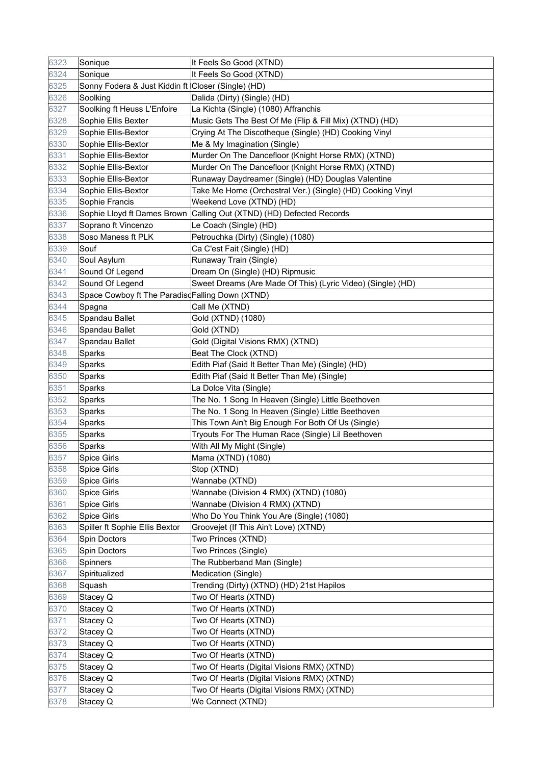| 6323 | Sonique                                            | It Feels So Good (XTND)                                              |
|------|----------------------------------------------------|----------------------------------------------------------------------|
| 6324 | Sonique                                            | It Feels So Good (XTND)                                              |
| 6325 | Sonny Fodera & Just Kiddin ft Closer (Single) (HD) |                                                                      |
| 6326 | Soolking                                           | Dalida (Dirty) (Single) (HD)                                         |
| 6327 | Soolking ft Heuss L'Enfoire                        | La Kichta (Single) (1080) Affranchis                                 |
| 6328 | Sophie Ellis Bexter                                | Music Gets The Best Of Me (Flip & Fill Mix) (XTND) (HD)              |
| 6329 | Sophie Ellis-Bextor                                | Crying At The Discotheque (Single) (HD) Cooking Vinyl                |
| 6330 | Sophie Ellis-Bextor                                | Me & My Imagination (Single)                                         |
| 6331 | Sophie Ellis-Bextor                                | Murder On The Dancefloor (Knight Horse RMX) (XTND)                   |
| 6332 | Sophie Ellis-Bextor                                | Murder On The Dancefloor (Knight Horse RMX) (XTND)                   |
| 6333 | Sophie Ellis-Bextor                                | Runaway Daydreamer (Single) (HD) Douglas Valentine                   |
| 6334 | Sophie Ellis-Bextor                                | Take Me Home (Orchestral Ver.) (Single) (HD) Cooking Vinyl           |
| 6335 | Sophie Francis                                     | Weekend Love (XTND) (HD)                                             |
| 6336 |                                                    | Sophie Lloyd ft Dames Brown Calling Out (XTND) (HD) Defected Records |
| 6337 | Soprano ft Vincenzo                                | Le Coach (Single) (HD)                                               |
| 6338 | Soso Maness ft PLK                                 | Petrouchka (Dirty) (Single) (1080)                                   |
| 6339 | Souf                                               | Ca C'est Fait (Single) (HD)                                          |
| 6340 | Soul Asylum                                        | Runaway Train (Single)                                               |
| 6341 | Sound Of Legend                                    | Dream On (Single) (HD) Ripmusic                                      |
| 6342 | Sound Of Legend                                    | Sweet Dreams (Are Made Of This) (Lyric Video) (Single) (HD)          |
| 6343 | Space Cowboy ft The ParadisdFalling Down (XTND)    |                                                                      |
| 6344 | Spagna                                             | Call Me (XTND)                                                       |
| 6345 | Spandau Ballet                                     | Gold (XTND) (1080)                                                   |
| 6346 | Spandau Ballet                                     | Gold (XTND)                                                          |
| 6347 | Spandau Ballet                                     | Gold (Digital Visions RMX) (XTND)                                    |
| 6348 | Sparks                                             | Beat The Clock (XTND)                                                |
| 6349 | Sparks                                             | Edith Piaf (Said It Better Than Me) (Single) (HD)                    |
| 6350 | Sparks                                             | Edith Piaf (Said It Better Than Me) (Single)                         |
| 6351 | Sparks                                             | La Dolce Vita (Single)                                               |
| 6352 | Sparks                                             | The No. 1 Song In Heaven (Single) Little Beethoven                   |
| 6353 | Sparks                                             | The No. 1 Song In Heaven (Single) Little Beethoven                   |
| 6354 | Sparks                                             | This Town Ain't Big Enough For Both Of Us (Single)                   |
| 6355 | Sparks                                             | Tryouts For The Human Race (Single) Lil Beethoven                    |
| 6356 | Sparks                                             | With All My Might (Single)                                           |
| 6357 | <b>Spice Girls</b>                                 | Mama (XTND) (1080)                                                   |
| 6358 | <b>Spice Girls</b>                                 | Stop (XTND)                                                          |
| 6359 | <b>Spice Girls</b>                                 | Wannabe (XTND)                                                       |
| 6360 | Spice Girls                                        | Wannabe (Division 4 RMX) (XTND) (1080)                               |
| 6361 | <b>Spice Girls</b>                                 | Wannabe (Division 4 RMX) (XTND)                                      |
| 6362 | <b>Spice Girls</b>                                 | Who Do You Think You Are (Single) (1080)                             |
| 6363 | Spiller ft Sophie Ellis Bextor                     | Groovejet (If This Ain't Love) (XTND)                                |
| 6364 | Spin Doctors                                       | Two Princes (XTND)                                                   |
| 6365 | Spin Doctors                                       | Two Princes (Single)                                                 |
| 6366 | <b>Spinners</b>                                    | The Rubberband Man (Single)                                          |
| 6367 | Spiritualized                                      | Medication (Single)                                                  |
| 6368 | Squash                                             | Trending (Dirty) (XTND) (HD) 21st Hapilos                            |
| 6369 | Stacey Q                                           | Two Of Hearts (XTND)                                                 |
| 6370 | Stacey Q                                           | Two Of Hearts (XTND)                                                 |
| 6371 | Stacey Q                                           | Two Of Hearts (XTND)                                                 |
| 6372 | Stacey Q                                           | Two Of Hearts (XTND)                                                 |
| 6373 | Stacey Q                                           | Two Of Hearts (XTND)                                                 |
| 6374 | Stacey Q                                           | Two Of Hearts (XTND)                                                 |
| 6375 | Stacey Q                                           | Two Of Hearts (Digital Visions RMX) (XTND)                           |
| 6376 | Stacey Q                                           | Two Of Hearts (Digital Visions RMX) (XTND)                           |
| 6377 | Stacey Q                                           | Two Of Hearts (Digital Visions RMX) (XTND)                           |
| 6378 | Stacey Q                                           | We Connect (XTND)                                                    |
|      |                                                    |                                                                      |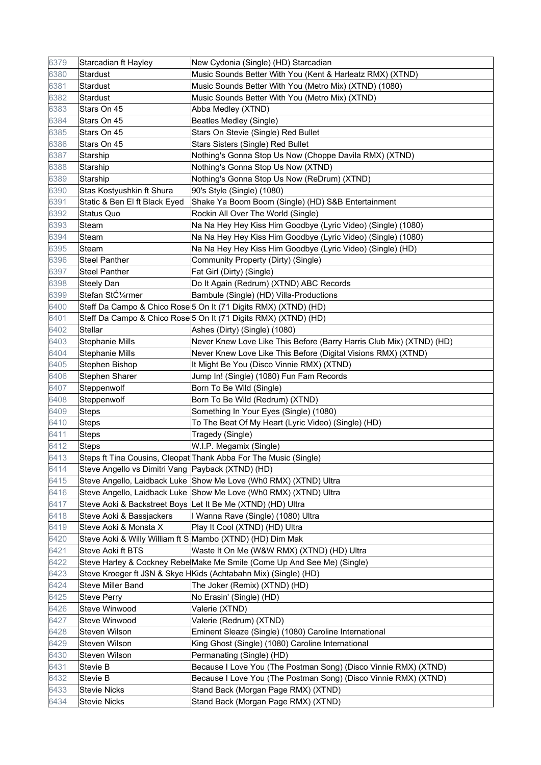| 6379 | Starcadian ft Hayley                              | New Cydonia (Single) (HD) Starcadian                                    |
|------|---------------------------------------------------|-------------------------------------------------------------------------|
| 6380 | Stardust                                          | Music Sounds Better With You (Kent & Harleatz RMX) (XTND)               |
| 6381 | Stardust                                          | Music Sounds Better With You (Metro Mix) (XTND) (1080)                  |
| 6382 | Stardust                                          | Music Sounds Better With You (Metro Mix) (XTND)                         |
| 6383 | Stars On 45                                       | Abba Medley (XTND)                                                      |
| 6384 | Stars On 45                                       | Beatles Medley (Single)                                                 |
| 6385 | Stars On 45                                       | Stars On Stevie (Single) Red Bullet                                     |
| 6386 | Stars On 45                                       | Stars Sisters (Single) Red Bullet                                       |
| 6387 | Starship                                          | Nothing's Gonna Stop Us Now (Choppe Davila RMX) (XTND)                  |
| 6388 | Starship                                          | Nothing's Gonna Stop Us Now (XTND)                                      |
| 6389 | Starship                                          | Nothing's Gonna Stop Us Now (ReDrum) (XTND)                             |
| 6390 | Stas Kostyushkin ft Shura                         | 90's Style (Single) (1080)                                              |
| 6391 | Static & Ben El ft Black Eyed                     | Shake Ya Boom Boom (Single) (HD) S&B Entertainment                      |
| 6392 | <b>Status Quo</b>                                 | Rockin All Over The World (Single)                                      |
| 6393 | Steam                                             | Na Na Hey Hey Kiss Him Goodbye (Lyric Video) (Single) (1080)            |
| 6394 | Steam                                             | Na Na Hey Hey Kiss Him Goodbye (Lyric Video) (Single) (1080)            |
| 6395 | Steam                                             | Na Na Hey Hey Kiss Him Goodbye (Lyric Video) (Single) (HD)              |
| 6396 | <b>Steel Panther</b>                              | Community Property (Dirty) (Single)                                     |
| 6397 | <b>Steel Panther</b>                              | Fat Girl (Dirty) (Single)                                               |
| 6398 | <b>Steely Dan</b>                                 | Do It Again (Redrum) (XTND) ABC Records                                 |
| 6399 | Stefan Stürmer                                    | Bambule (Single) (HD) Villa-Productions                                 |
| 6400 |                                                   | Steff Da Campo & Chico Rose 5 On It (71 Digits RMX) (XTND) (HD)         |
| 6401 |                                                   | Steff Da Campo & Chico Rose 5 On It (71 Digits RMX) (XTND) (HD)         |
| 6402 | <b>Stellar</b>                                    | Ashes (Dirty) (Single) (1080)                                           |
| 6403 | Stephanie Mills                                   | Never Knew Love Like This Before (Barry Harris Club Mix) (XTND) (HD)    |
| 6404 | <b>Stephanie Mills</b>                            | Never Knew Love Like This Before (Digital Visions RMX) (XTND)           |
| 6405 | Stephen Bishop                                    | It Might Be You (Disco Vinnie RMX) (XTND)                               |
| 6406 | Stephen Sharer                                    | Jump In! (Single) (1080) Fun Fam Records                                |
| 6407 | Steppenwolf                                       | Born To Be Wild (Single)                                                |
| 6408 | Steppenwolf                                       | Born To Be Wild (Redrum) (XTND)                                         |
| 6409 | Steps                                             | Something In Your Eyes (Single) (1080)                                  |
| 6410 | <b>Steps</b>                                      | To The Beat Of My Heart (Lyric Video) (Single) (HD)                     |
| 6411 | <b>Steps</b>                                      | Tragedy (Single)                                                        |
| 6412 | Steps                                             | W.I.P. Megamix (Single)                                                 |
| 6413 |                                                   | Steps ft Tina Cousins, Cleopat Thank Abba For The Music (Single)        |
| 6414 | Steve Angello vs Dimitri Vang Payback (XTND) (HD) |                                                                         |
| 6415 |                                                   | Steve Angello, Laidback Luke Show Me Love (Wh0 RMX) (XTND) Ultra        |
| 6416 |                                                   | Steve Angello, Laidback Luke Show Me Love (Wh0 RMX) (XTND) Ultra        |
| 6417 |                                                   | Steve Aoki & Backstreet Boys Let It Be Me (XTND) (HD) Ultra             |
| 6418 | Steve Aoki & Bassjackers                          | I Wanna Rave (Single) (1080) Ultra                                      |
| 6419 | Steve Aoki & Monsta X                             | Play It Cool (XTND) (HD) Ultra                                          |
| 6420 |                                                   | Steve Aoki & Willy William ft S Mambo (XTND) (HD) Dim Mak               |
| 6421 | Steve Aoki ft BTS                                 | Waste It On Me (W&W RMX) (XTND) (HD) Ultra                              |
| 6422 |                                                   | Steve Harley & Cockney Rebe Make Me Smile (Come Up And See Me) (Single) |
| 6423 |                                                   | Steve Kroeger ft J\$N & Skye HKids (Achtabahn Mix) (Single) (HD)        |
| 6424 | Steve Miller Band                                 | The Joker (Remix) (XTND) (HD)                                           |
| 6425 | <b>Steve Perry</b>                                | No Erasin' (Single) (HD)                                                |
| 6426 | Steve Winwood                                     | Valerie (XTND)                                                          |
| 6427 | Steve Winwood                                     | Valerie (Redrum) (XTND)                                                 |
| 6428 | Steven Wilson                                     | Eminent Sleaze (Single) (1080) Caroline International                   |
| 6429 | Steven Wilson                                     | King Ghost (Single) (1080) Caroline International                       |
| 6430 | Steven Wilson                                     | Permanating (Single) (HD)                                               |
| 6431 | Stevie B                                          | Because I Love You (The Postman Song) (Disco Vinnie RMX) (XTND)         |
| 6432 | Stevie B                                          | Because I Love You (The Postman Song) (Disco Vinnie RMX) (XTND)         |
| 6433 | <b>Stevie Nicks</b>                               | Stand Back (Morgan Page RMX) (XTND)                                     |
| 6434 | <b>Stevie Nicks</b>                               | Stand Back (Morgan Page RMX) (XTND)                                     |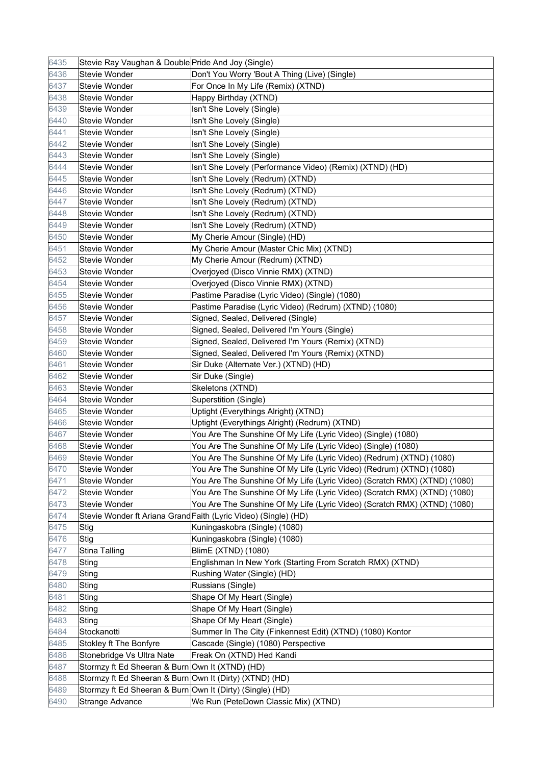| 6435 | Stevie Ray Vaughan & Double Pride And Joy (Single)        |                                                                           |
|------|-----------------------------------------------------------|---------------------------------------------------------------------------|
| 6436 | <b>Stevie Wonder</b>                                      | Don't You Worry 'Bout A Thing (Live) (Single)                             |
| 6437 | <b>Stevie Wonder</b>                                      | For Once In My Life (Remix) (XTND)                                        |
| 6438 | Stevie Wonder                                             | Happy Birthday (XTND)                                                     |
| 6439 | <b>Stevie Wonder</b>                                      | Isn't She Lovely (Single)                                                 |
| 6440 | <b>Stevie Wonder</b>                                      | Isn't She Lovely (Single)                                                 |
| 6441 | <b>Stevie Wonder</b>                                      | Isn't She Lovely (Single)                                                 |
| 6442 | <b>Stevie Wonder</b>                                      | Isn't She Lovely (Single)                                                 |
| 6443 | <b>Stevie Wonder</b>                                      | Isn't She Lovely (Single)                                                 |
| 6444 | <b>Stevie Wonder</b>                                      | Isn't She Lovely (Performance Video) (Remix) (XTND) (HD)                  |
| 6445 | <b>Stevie Wonder</b>                                      | Isn't She Lovely (Redrum) (XTND)                                          |
| 6446 | <b>Stevie Wonder</b>                                      | Isn't She Lovely (Redrum) (XTND)                                          |
| 6447 | <b>Stevie Wonder</b>                                      | Isn't She Lovely (Redrum) (XTND)                                          |
| 6448 | <b>Stevie Wonder</b>                                      | Isn't She Lovely (Redrum) (XTND)                                          |
| 6449 | <b>Stevie Wonder</b>                                      | Isn't She Lovely (Redrum) (XTND)                                          |
| 6450 | <b>Stevie Wonder</b>                                      | My Cherie Amour (Single) (HD)                                             |
| 6451 | <b>Stevie Wonder</b>                                      | My Cherie Amour (Master Chic Mix) (XTND)                                  |
| 6452 | Stevie Wonder                                             | My Cherie Amour (Redrum) (XTND)                                           |
| 6453 | <b>Stevie Wonder</b>                                      | Overjoyed (Disco Vinnie RMX) (XTND)                                       |
| 6454 | <b>Stevie Wonder</b>                                      | Overjoyed (Disco Vinnie RMX) (XTND)                                       |
| 6455 | <b>Stevie Wonder</b>                                      | Pastime Paradise (Lyric Video) (Single) (1080)                            |
| 6456 | <b>Stevie Wonder</b>                                      | Pastime Paradise (Lyric Video) (Redrum) (XTND) (1080)                     |
| 6457 | <b>Stevie Wonder</b>                                      | Signed, Sealed, Delivered (Single)                                        |
| 6458 | <b>Stevie Wonder</b>                                      | Signed, Sealed, Delivered I'm Yours (Single)                              |
| 6459 | <b>Stevie Wonder</b>                                      | Signed, Sealed, Delivered I'm Yours (Remix) (XTND)                        |
| 6460 | <b>Stevie Wonder</b>                                      | Signed, Sealed, Delivered I'm Yours (Remix) (XTND)                        |
| 6461 | <b>Stevie Wonder</b>                                      | Sir Duke (Alternate Ver.) (XTND) (HD)                                     |
| 6462 | <b>Stevie Wonder</b>                                      | Sir Duke (Single)                                                         |
| 6463 | <b>Stevie Wonder</b>                                      | Skeletons (XTND)                                                          |
| 6464 | <b>Stevie Wonder</b>                                      | Superstition (Single)                                                     |
| 6465 | <b>Stevie Wonder</b>                                      | Uptight (Everythings Alright) (XTND)                                      |
| 6466 | <b>Stevie Wonder</b>                                      | Uptight (Everythings Alright) (Redrum) (XTND)                             |
| 6467 | Stevie Wonder                                             | You Are The Sunshine Of My Life (Lyric Video) (Single) (1080)             |
| 6468 | <b>Stevie Wonder</b>                                      | You Are The Sunshine Of My Life (Lyric Video) (Single) (1080)             |
| 6469 | Stevie Wonder                                             | You Are The Sunshine Of My Life (Lyric Video) (Redrum) (XTND) (1080)      |
| 6470 | Stevie Wonder                                             | You Are The Sunshine Of My Life (Lyric Video) (Redrum) (XTND) (1080)      |
| 6471 | Stevie Wonder                                             | You Are The Sunshine Of My Life (Lyric Video) (Scratch RMX) (XTND) (1080) |
| 6472 | Stevie Wonder                                             | You Are The Sunshine Of My Life (Lyric Video) (Scratch RMX) (XTND) (1080) |
| 6473 | Stevie Wonder                                             | You Are The Sunshine Of My Life (Lyric Video) (Scratch RMX) (XTND) (1080) |
| 6474 |                                                           | Stevie Wonder ft Ariana Grand Faith (Lyric Video) (Single) (HD)           |
| 6475 | Stig                                                      | Kuningaskobra (Single) (1080)                                             |
| 6476 | Stig                                                      | Kuningaskobra (Single) (1080)                                             |
| 6477 | <b>Stina Talling</b>                                      | BlimE (XTND) (1080)                                                       |
| 6478 | Sting                                                     | Englishman In New York (Starting From Scratch RMX) (XTND)                 |
| 6479 | Sting                                                     | Rushing Water (Single) (HD)                                               |
| 6480 | Sting                                                     | Russians (Single)                                                         |
| 6481 | Sting                                                     | Shape Of My Heart (Single)                                                |
| 6482 | Sting                                                     | Shape Of My Heart (Single)                                                |
| 6483 | Sting                                                     | Shape Of My Heart (Single)                                                |
| 6484 | Stockanotti                                               | Summer In The City (Finkennest Edit) (XTND) (1080) Kontor                 |
| 6485 | Stokley ft The Bonfyre                                    | Cascade (Single) (1080) Perspective                                       |
| 6486 | Stonebridge Vs Ultra Nate                                 | Freak On (XTND) Hed Kandi                                                 |
| 6487 | Stormzy ft Ed Sheeran & Burn Own It (XTND) (HD)           |                                                                           |
| 6488 | Stormzy ft Ed Sheeran & Burn Own It (Dirty) (XTND) (HD)   |                                                                           |
| 6489 | Stormzy ft Ed Sheeran & Burn Own It (Dirty) (Single) (HD) |                                                                           |
| 6490 | Strange Advance                                           | We Run (PeteDown Classic Mix) (XTND)                                      |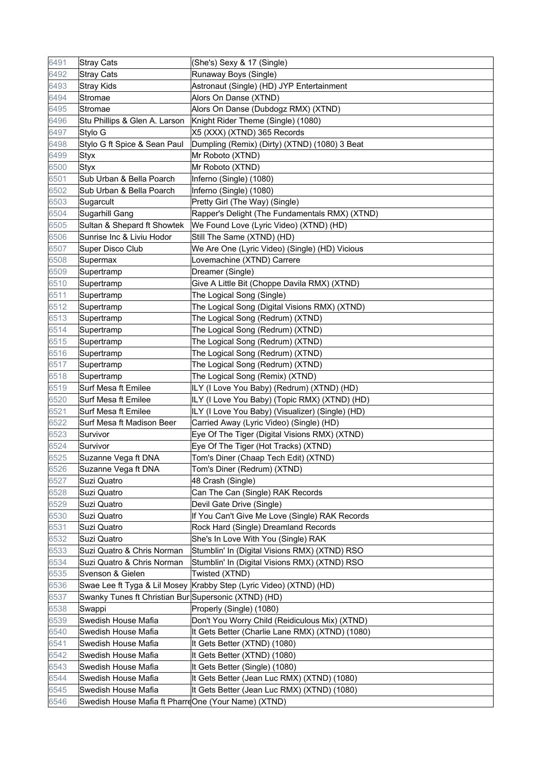| 6491 | <b>Stray Cats</b>                                    | (She's) Sexy & 17 (Single)                                         |
|------|------------------------------------------------------|--------------------------------------------------------------------|
| 6492 | <b>Stray Cats</b>                                    | Runaway Boys (Single)                                              |
| 6493 | <b>Stray Kids</b>                                    | Astronaut (Single) (HD) JYP Entertainment                          |
| 6494 | Stromae                                              | Alors On Danse (XTND)                                              |
| 6495 | Stromae                                              | Alors On Danse (Dubdogz RMX) (XTND)                                |
| 6496 | Stu Phillips & Glen A. Larson                        | Knight Rider Theme (Single) (1080)                                 |
| 6497 | Stylo G                                              | X5 (XXX) (XTND) 365 Records                                        |
| 6498 | Stylo G ft Spice & Sean Paul                         | Dumpling (Remix) (Dirty) (XTND) (1080) 3 Beat                      |
| 6499 | <b>Styx</b>                                          | Mr Roboto (XTND)                                                   |
| 6500 | <b>Styx</b>                                          | Mr Roboto (XTND)                                                   |
| 6501 | Sub Urban & Bella Poarch                             | Inferno (Single) (1080)                                            |
| 6502 | Sub Urban & Bella Poarch                             | Inferno (Single) (1080)                                            |
| 6503 | Sugarcult                                            | Pretty Girl (The Way) (Single)                                     |
| 6504 | Sugarhill Gang                                       | Rapper's Delight (The Fundamentals RMX) (XTND)                     |
| 6505 | Sultan & Shepard ft Showtek                          | We Found Love (Lyric Video) (XTND) (HD)                            |
| 6506 | Sunrise Inc & Liviu Hodor                            | Still The Same (XTND) (HD)                                         |
| 6507 | Super Disco Club                                     | We Are One (Lyric Video) (Single) (HD) Vicious                     |
| 6508 | Supermax                                             | Lovemachine (XTND) Carrere                                         |
| 6509 | Supertramp                                           | Dreamer (Single)                                                   |
| 6510 | Supertramp                                           | Give A Little Bit (Choppe Davila RMX) (XTND)                       |
| 6511 | Supertramp                                           | The Logical Song (Single)                                          |
| 6512 | Supertramp                                           | The Logical Song (Digital Visions RMX) (XTND)                      |
| 6513 | Supertramp                                           | The Logical Song (Redrum) (XTND)                                   |
| 6514 | Supertramp                                           | The Logical Song (Redrum) (XTND)                                   |
| 6515 | Supertramp                                           | The Logical Song (Redrum) (XTND)                                   |
| 6516 | Supertramp                                           | The Logical Song (Redrum) (XTND)                                   |
| 6517 | Supertramp                                           | The Logical Song (Redrum) (XTND)                                   |
| 6518 | Supertramp                                           | The Logical Song (Remix) (XTND)                                    |
| 6519 | Surf Mesa ft Emilee                                  | ILY (I Love You Baby) (Redrum) (XTND) (HD)                         |
| 6520 | Surf Mesa ft Emilee                                  | ILY (I Love You Baby) (Topic RMX) (XTND) (HD)                      |
| 6521 | Surf Mesa ft Emilee                                  | ILY (I Love You Baby) (Visualizer) (Single) (HD)                   |
| 6522 | Surf Mesa ft Madison Beer                            | Carried Away (Lyric Video) (Single) (HD)                           |
| 6523 | Survivor                                             | Eye Of The Tiger (Digital Visions RMX) (XTND)                      |
| 6524 | Survivor                                             | Eye Of The Tiger (Hot Tracks) (XTND)                               |
| 6525 | Suzanne Vega ft DNA                                  | Tom's Diner (Chaap Tech Edit) (XTND)                               |
| 6526 | Suzanne Vega ft DNA                                  | Tom's Diner (Redrum) (XTND)                                        |
| 6527 | Suzi Quatro                                          | 48 Crash (Single)                                                  |
| 6528 | Suzi Quatro                                          | Can The Can (Single) RAK Records                                   |
| 6529 | Suzi Quatro                                          | Devil Gate Drive (Single)                                          |
| 6530 | Suzi Quatro                                          | If You Can't Give Me Love (Single) RAK Records                     |
| 6531 | Suzi Quatro                                          | Rock Hard (Single) Dreamland Records                               |
| 6532 | Suzi Quatro                                          | She's In Love With You (Single) RAK                                |
| 6533 | Suzi Quatro & Chris Norman                           | Stumblin' In (Digital Visions RMX) (XTND) RSO                      |
| 6534 | Suzi Quatro & Chris Norman                           | Stumblin' In (Digital Visions RMX) (XTND) RSO                      |
| 6535 | Svenson & Gielen                                     | Twisted (XTND)                                                     |
| 6536 |                                                      | Swae Lee ft Tyga & Lil Mosey Krabby Step (Lyric Video) (XTND) (HD) |
| 6537 | Swanky Tunes ft Christian Bur Supersonic (XTND) (HD) |                                                                    |
| 6538 | Swappi                                               | Properly (Single) (1080)                                           |
| 6539 | Swedish House Mafia                                  | Don't You Worry Child (Reidiculous Mix) (XTND)                     |
| 6540 | Swedish House Mafia                                  | It Gets Better (Charlie Lane RMX) (XTND) (1080)                    |
| 6541 | Swedish House Mafia                                  | It Gets Better (XTND) (1080)                                       |
| 6542 | Swedish House Mafia                                  | It Gets Better (XTND) (1080)                                       |
| 6543 | Swedish House Mafia                                  | It Gets Better (Single) (1080)                                     |
| 6544 | Swedish House Mafia                                  | It Gets Better (Jean Luc RMX) (XTND) (1080)                        |
| 6545 | Swedish House Mafia                                  | It Gets Better (Jean Luc RMX) (XTND) (1080)                        |
| 6546 | Swedish House Mafia ft PharreOne (Your Name) (XTND)  |                                                                    |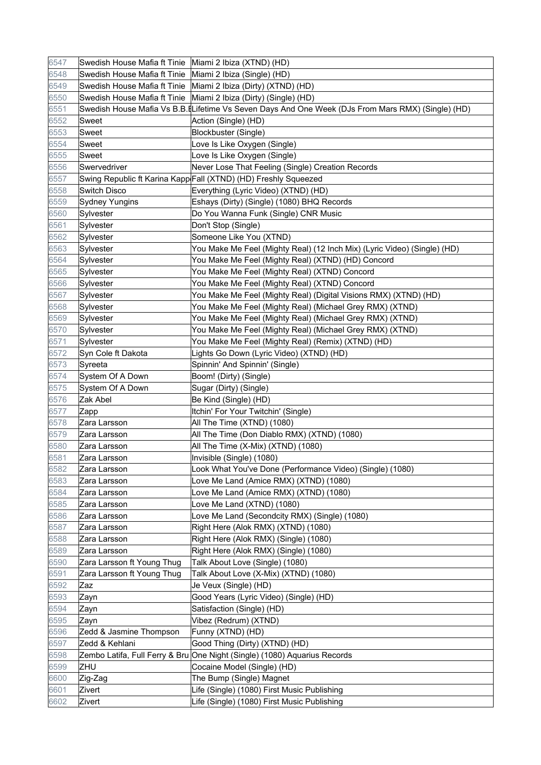| 6547 | Swedish House Mafia ft Tinie   Miami 2 Ibiza (XTND) (HD)   |                                                                                                    |
|------|------------------------------------------------------------|----------------------------------------------------------------------------------------------------|
| 6548 | Swedish House Mafia ft Tinie   Miami 2 Ibiza (Single) (HD) |                                                                                                    |
| 6549 |                                                            | Swedish House Mafia ft Tinie Miami 2 Ibiza (Dirty) (XTND) (HD)                                     |
| 6550 |                                                            | Swedish House Mafia ft Tinie   Miami 2 Ibiza (Dirty) (Single) (HD)                                 |
| 6551 |                                                            | Swedish House Mafia Vs B.B. [Lifetime Vs Seven Days And One Week (DJs From Mars RMX) (Single) (HD) |
| 6552 | Sweet                                                      | Action (Single) (HD)                                                                               |
| 6553 | Sweet                                                      | Blockbuster (Single)                                                                               |
| 6554 | Sweet                                                      | Love Is Like Oxygen (Single)                                                                       |
| 6555 | Sweet                                                      | Love Is Like Oxygen (Single)                                                                       |
| 6556 | Swervedriver                                               | Never Lose That Feeling (Single) Creation Records                                                  |
| 6557 |                                                            | Swing Republic ft Karina Kapp Fall (XTND) (HD) Freshly Squeezed                                    |
| 6558 | <b>Switch Disco</b>                                        | Everything (Lyric Video) (XTND) (HD)                                                               |
| 6559 | <b>Sydney Yungins</b>                                      | Eshays (Dirty) (Single) (1080) BHQ Records                                                         |
| 6560 | Sylvester                                                  | Do You Wanna Funk (Single) CNR Music                                                               |
| 6561 | Sylvester                                                  | Don't Stop (Single)                                                                                |
| 6562 | Sylvester                                                  | Someone Like You (XTND)                                                                            |
| 6563 | Sylvester                                                  | You Make Me Feel (Mighty Real) (12 Inch Mix) (Lyric Video) (Single) (HD)                           |
| 6564 | Sylvester                                                  | You Make Me Feel (Mighty Real) (XTND) (HD) Concord                                                 |
| 6565 | Sylvester                                                  | You Make Me Feel (Mighty Real) (XTND) Concord                                                      |
| 6566 | Sylvester                                                  | You Make Me Feel (Mighty Real) (XTND) Concord                                                      |
| 6567 | Sylvester                                                  | You Make Me Feel (Mighty Real) (Digital Visions RMX) (XTND) (HD)                                   |
| 6568 | Sylvester                                                  | You Make Me Feel (Mighty Real) (Michael Grey RMX) (XTND)                                           |
| 6569 | Sylvester                                                  | You Make Me Feel (Mighty Real) (Michael Grey RMX) (XTND)                                           |
| 6570 | Sylvester                                                  | You Make Me Feel (Mighty Real) (Michael Grey RMX) (XTND)                                           |
| 6571 | Sylvester                                                  | You Make Me Feel (Mighty Real) (Remix) (XTND) (HD)                                                 |
| 6572 | Syn Cole ft Dakota                                         | Lights Go Down (Lyric Video) (XTND) (HD)                                                           |
| 6573 | Syreeta                                                    | Spinnin' And Spinnin' (Single)                                                                     |
| 6574 | System Of A Down                                           | Boom! (Dirty) (Single)                                                                             |
| 6575 | System Of A Down                                           | Sugar (Dirty) (Single)                                                                             |
| 6576 | Zak Abel                                                   | Be Kind (Single) (HD)                                                                              |
| 6577 | Zapp                                                       | Itchin' For Your Twitchin' (Single)                                                                |
| 6578 | Zara Larsson                                               | All The Time (XTND) (1080)                                                                         |
| 6579 | Zara Larsson                                               | All The Time (Don Diablo RMX) (XTND) (1080)                                                        |
| 6580 | Zara Larsson                                               | All The Time (X-Mix) (XTND) (1080)                                                                 |
| 6581 | Zara Larsson                                               | Invisible (Single) (1080)                                                                          |
| 6582 | Zara Larsson                                               | Look What You've Done (Performance Video) (Single) (1080)                                          |
| 6583 | Zara Larsson                                               | Love Me Land (Amice RMX) (XTND) (1080)                                                             |
| 6584 | Zara Larsson                                               | Love Me Land (Amice RMX) (XTND) (1080)                                                             |
| 6585 | Zara Larsson                                               | Love Me Land (XTND) (1080)                                                                         |
| 6586 | Zara Larsson                                               | Love Me Land (Secondcity RMX) (Single) (1080)                                                      |
| 6587 | Zara Larsson                                               | Right Here (Alok RMX) (XTND) (1080)                                                                |
| 6588 | Zara Larsson                                               | Right Here (Alok RMX) (Single) (1080)                                                              |
| 6589 | Zara Larsson                                               | Right Here (Alok RMX) (Single) (1080)                                                              |
| 6590 | Zara Larsson ft Young Thug                                 | Talk About Love (Single) (1080)                                                                    |
| 6591 | Zara Larsson ft Young Thug                                 | Talk About Love (X-Mix) (XTND) (1080)                                                              |
| 6592 | Zaz                                                        | Je Veux (Single) (HD)                                                                              |
| 6593 | Zayn                                                       | Good Years (Lyric Video) (Single) (HD)                                                             |
| 6594 | Zayn                                                       | Satisfaction (Single) (HD)                                                                         |
| 6595 | Zayn                                                       | Vibez (Redrum) (XTND)                                                                              |
| 6596 | Zedd & Jasmine Thompson                                    | Funny (XTND) (HD)                                                                                  |
| 6597 | Zedd & Kehlani                                             | Good Thing (Dirty) (XTND) (HD)                                                                     |
| 6598 |                                                            | Zembo Latifa, Full Ferry & Bru One Night (Single) (1080) Aquarius Records                          |
| 6599 | ZHU                                                        | Cocaine Model (Single) (HD)                                                                        |
| 6600 | Zig-Zag                                                    | The Bump (Single) Magnet                                                                           |
| 6601 | Zivert                                                     | Life (Single) (1080) First Music Publishing                                                        |
| 6602 | Zivert                                                     | Life (Single) (1080) First Music Publishing                                                        |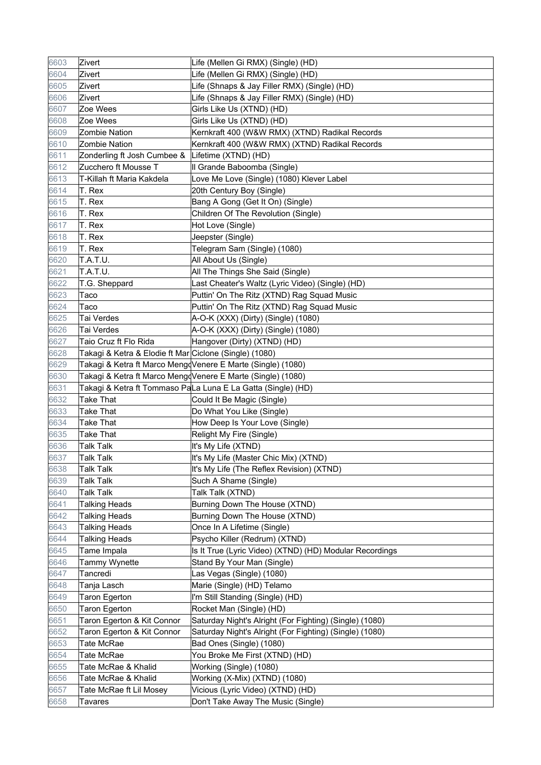| 6603 | Zivert                                                 | Life (Mellen Gi RMX) (Single) (HD)                           |
|------|--------------------------------------------------------|--------------------------------------------------------------|
| 6604 | Zivert                                                 | Life (Mellen Gi RMX) (Single) (HD)                           |
| 6605 | Zivert                                                 | Life (Shnaps & Jay Filler RMX) (Single) (HD)                 |
| 6606 | Zivert                                                 | Life (Shnaps & Jay Filler RMX) (Single) (HD)                 |
| 6607 | Zoe Wees                                               | Girls Like Us (XTND) (HD)                                    |
| 6608 | Zoe Wees                                               | Girls Like Us (XTND) (HD)                                    |
| 6609 | <b>Zombie Nation</b>                                   | Kernkraft 400 (W&W RMX) (XTND) Radikal Records               |
| 6610 | <b>Zombie Nation</b>                                   | Kernkraft 400 (W&W RMX) (XTND) Radikal Records               |
| 6611 |                                                        | Lifetime (XTND) (HD)                                         |
|      | Zonderling ft Josh Cumbee &<br>Zucchero ft Mousse T    |                                                              |
| 6612 | T-Killah ft Maria Kakdela                              | Il Grande Baboomba (Single)                                  |
| 6613 |                                                        | Love Me Love (Single) (1080) Klever Label                    |
| 6614 | T. Rex                                                 | 20th Century Boy (Single)                                    |
| 6615 | T. Rex                                                 | Bang A Gong (Get It On) (Single)                             |
| 6616 | T. Rex                                                 | Children Of The Revolution (Single)                          |
| 6617 | T. Rex                                                 | Hot Love (Single)                                            |
| 6618 | T. Rex                                                 | Jeepster (Single)                                            |
| 6619 | T. Rex                                                 | Telegram Sam (Single) (1080)                                 |
| 6620 | T.A.T.U.                                               | All About Us (Single)                                        |
| 6621 | T.A.T.U.                                               | All The Things She Said (Single)                             |
| 6622 | T.G. Sheppard                                          | Last Cheater's Waltz (Lyric Video) (Single) (HD)             |
| 6623 | Taco                                                   | Puttin' On The Ritz (XTND) Rag Squad Music                   |
| 6624 | Taco                                                   | Puttin' On The Ritz (XTND) Rag Squad Music                   |
| 6625 | Tai Verdes                                             | A-O-K (XXX) (Dirty) (Single) (1080)                          |
| 6626 | Tai Verdes                                             | A-O-K (XXX) (Dirty) (Single) (1080)                          |
| 6627 | Taio Cruz ft Flo Rida                                  | Hangover (Dirty) (XTND) (HD)                                 |
| 6628 | Takagi & Ketra & Elodie ft Mar Ciclone (Single) (1080) |                                                              |
| 6629 |                                                        | Takagi & Ketra ft Marco MengoVenere E Marte (Single) (1080)  |
| 6630 |                                                        | Takagi & Ketra ft Marco MengdVenere E Marte (Single) (1080)  |
| 6631 |                                                        | Takagi & Ketra ft Tommaso PaLa Luna E La Gatta (Single) (HD) |
| 6632 | <b>Take That</b>                                       | Could It Be Magic (Single)                                   |
| 6633 | <b>Take That</b>                                       | Do What You Like (Single)                                    |
| 6634 | <b>Take That</b>                                       | How Deep Is Your Love (Single)                               |
| 6635 | Take That                                              | Relight My Fire (Single)                                     |
| 6636 | <b>Talk Talk</b>                                       | It's My Life (XTND)                                          |
| 6637 | <b>Talk Talk</b>                                       | It's My Life (Master Chic Mix) (XTND)                        |
| 6638 | <b>Talk Talk</b>                                       | It's My Life (The Reflex Revision) (XTND)                    |
| 6639 | <b>Talk Talk</b>                                       | Such A Shame (Single)                                        |
| 6640 | <b>Talk Talk</b>                                       | Talk Talk (XTND)                                             |
| 6641 | <b>Talking Heads</b>                                   | Burning Down The House (XTND)                                |
| 6642 | <b>Talking Heads</b>                                   | Burning Down The House (XTND)                                |
| 6643 | <b>Talking Heads</b>                                   | Once In A Lifetime (Single)                                  |
| 6644 | <b>Talking Heads</b>                                   | Psycho Killer (Redrum) (XTND)                                |
| 6645 | Tame Impala                                            | Is It True (Lyric Video) (XTND) (HD) Modular Recordings      |
| 6646 | Tammy Wynette                                          | Stand By Your Man (Single)                                   |
| 6647 | Tancredi                                               | Las Vegas (Single) (1080)                                    |
| 6648 | Tanja Lasch                                            | Marie (Single) (HD) Telamo                                   |
| 6649 | Taron Egerton                                          | I'm Still Standing (Single) (HD)                             |
| 6650 | <b>Taron Egerton</b>                                   | Rocket Man (Single) (HD)                                     |
| 6651 | Taron Egerton & Kit Connor                             | Saturday Night's Alright (For Fighting) (Single) (1080)      |
| 6652 | Taron Egerton & Kit Connor                             | Saturday Night's Alright (For Fighting) (Single) (1080)      |
| 6653 | Tate McRae                                             | Bad Ones (Single) (1080)                                     |
| 6654 | Tate McRae                                             | You Broke Me First (XTND) (HD)                               |
| 6655 | Tate McRae & Khalid                                    | Working (Single) (1080)                                      |
| 6656 | Tate McRae & Khalid                                    | Working (X-Mix) (XTND) (1080)                                |
| 6657 | Tate McRae ft Lil Mosey                                | Vicious (Lyric Video) (XTND) (HD)                            |
| 6658 | Tavares                                                | Don't Take Away The Music (Single)                           |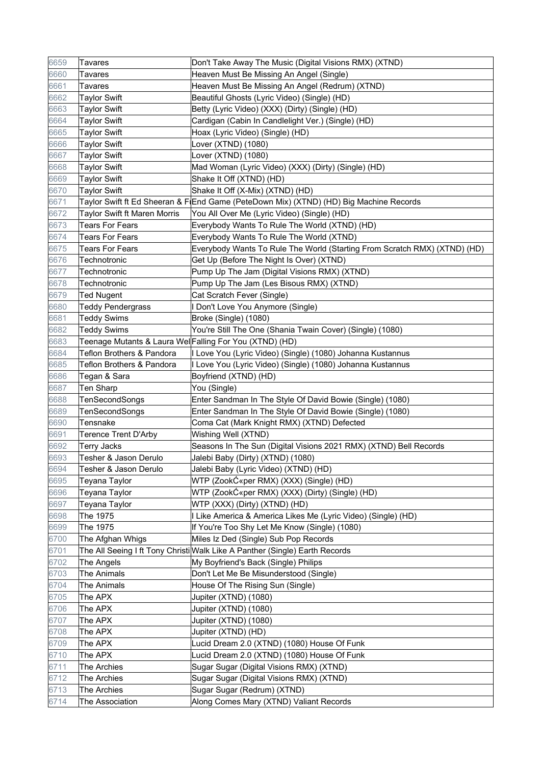| 6659 | <b>Tavares</b>                                          | Don't Take Away The Music (Digital Visions RMX) (XTND)                                  |
|------|---------------------------------------------------------|-----------------------------------------------------------------------------------------|
| 6660 | <b>Tavares</b>                                          | Heaven Must Be Missing An Angel (Single)                                                |
| 6661 | <b>Tavares</b>                                          | Heaven Must Be Missing An Angel (Redrum) (XTND)                                         |
| 6662 | <b>Taylor Swift</b>                                     | Beautiful Ghosts (Lyric Video) (Single) (HD)                                            |
| 6663 | <b>Taylor Swift</b>                                     | Betty (Lyric Video) (XXX) (Dirty) (Single) (HD)                                         |
| 6664 | <b>Taylor Swift</b>                                     | Cardigan (Cabin In Candlelight Ver.) (Single) (HD)                                      |
| 6665 | <b>Taylor Swift</b>                                     | Hoax (Lyric Video) (Single) (HD)                                                        |
| 6666 | <b>Taylor Swift</b>                                     | Lover (XTND) (1080)                                                                     |
| 6667 | <b>Taylor Swift</b>                                     | Lover (XTND) (1080)                                                                     |
| 6668 | <b>Taylor Swift</b>                                     | Mad Woman (Lyric Video) (XXX) (Dirty) (Single) (HD)                                     |
| 6669 | <b>Taylor Swift</b>                                     | Shake It Off (XTND) (HD)                                                                |
| 6670 | <b>Taylor Swift</b>                                     | Shake It Off (X-Mix) (XTND) (HD)                                                        |
| 6671 |                                                         | ∣Taylor Swift ft Ed Sheeran & F(End Game (PeteDown Mix) (XTND) (HD) Big Machine Records |
| 6672 | <b>Taylor Swift ft Maren Morris</b>                     | You All Over Me (Lyric Video) (Single) (HD)                                             |
| 6673 | <b>Tears For Fears</b>                                  | Everybody Wants To Rule The World (XTND) (HD)                                           |
| 6674 | <b>Tears For Fears</b>                                  | Everybody Wants To Rule The World (XTND)                                                |
| 6675 | <b>Tears For Fears</b>                                  | Everybody Wants To Rule The World (Starting From Scratch RMX) (XTND) (HD)               |
| 6676 | Technotronic                                            | Get Up (Before The Night Is Over) (XTND)                                                |
| 6677 | Technotronic                                            | Pump Up The Jam (Digital Visions RMX) (XTND)                                            |
| 6678 | Technotronic                                            | Pump Up The Jam (Les Bisous RMX) (XTND)                                                 |
| 6679 | <b>Ted Nugent</b>                                       | Cat Scratch Fever (Single)                                                              |
| 6680 | <b>Teddy Pendergrass</b>                                | Don't Love You Anymore (Single)                                                         |
| 6681 | <b>Teddy Swims</b>                                      | Broke (Single) (1080)                                                                   |
| 6682 | <b>Teddy Swims</b>                                      | You're Still The One (Shania Twain Cover) (Single) (1080)                               |
| 6683 | Teenage Mutants & Laura Wel Falling For You (XTND) (HD) |                                                                                         |
| 6684 | Teflon Brothers & Pandora                               | I Love You (Lyric Video) (Single) (1080) Johanna Kustannus                              |
| 6685 | Teflon Brothers & Pandora                               | I Love You (Lyric Video) (Single) (1080) Johanna Kustannus                              |
| 6686 | Tegan & Sara                                            | Boyfriend (XTND) (HD)                                                                   |
| 6687 | <b>Ten Sharp</b>                                        | You (Single)                                                                            |
| 6688 | TenSecondSongs                                          | Enter Sandman In The Style Of David Bowie (Single) (1080)                               |
| 6689 | TenSecondSongs                                          | Enter Sandman In The Style Of David Bowie (Single) (1080)                               |
| 6690 | Tensnake                                                | Coma Cat (Mark Knight RMX) (XTND) Defected                                              |
| 6691 | <b>Terence Trent D'Arby</b>                             | Wishing Well (XTND)                                                                     |
| 6692 | <b>Terry Jacks</b>                                      | Seasons In The Sun (Digital Visions 2021 RMX) (XTND) Bell Records                       |
| 6693 | Tesher & Jason Derulo                                   | Jalebi Baby (Dirty) (XTND) (1080)                                                       |
| 6694 | Tesher & Jason Derulo                                   | Jalebi Baby (Lyric Video) (XTND) (HD)                                                   |
| 6695 | Teyana Taylor                                           | WTP (Zookƫper RMX) (XXX) (Single) (HD)                                                  |
| 6696 | Teyana Taylor                                           | WTP (Zookƫper RMX) (XXX) (Dirty) (Single) (HD)                                          |
| 6697 | Teyana Taylor                                           | WTP (XXX) (Dirty) (XTND) (HD)                                                           |
| 6698 | The 1975                                                | I Like America & America Likes Me (Lyric Video) (Single) (HD)                           |
| 6699 | The 1975                                                | If You're Too Shy Let Me Know (Single) (1080)                                           |
| 6700 | The Afghan Whigs                                        | Miles Iz Ded (Single) Sub Pop Records                                                   |
| 6701 |                                                         | The All Seeing I ft Tony Christi Walk Like A Panther (Single) Earth Records             |
| 6702 | The Angels                                              | My Boyfriend's Back (Single) Philips                                                    |
| 6703 | The Animals                                             | Don't Let Me Be Misunderstood (Single)                                                  |
| 6704 | The Animals                                             | House Of The Rising Sun (Single)                                                        |
| 6705 | The APX                                                 | Jupiter (XTND) (1080)                                                                   |
| 6706 | The APX                                                 | Jupiter (XTND) (1080)                                                                   |
| 6707 | The APX                                                 | Jupiter (XTND) (1080)                                                                   |
| 6708 | The APX                                                 | Jupiter (XTND) (HD)                                                                     |
| 6709 | The APX                                                 | Lucid Dream 2.0 (XTND) (1080) House Of Funk                                             |
| 6710 | The APX                                                 | Lucid Dream 2.0 (XTND) (1080) House Of Funk                                             |
| 6711 | The Archies                                             | Sugar Sugar (Digital Visions RMX) (XTND)                                                |
| 6712 | The Archies                                             | Sugar Sugar (Digital Visions RMX) (XTND)                                                |
| 6713 | The Archies                                             | Sugar Sugar (Redrum) (XTND)                                                             |
| 6714 | The Association                                         | Along Comes Mary (XTND) Valiant Records                                                 |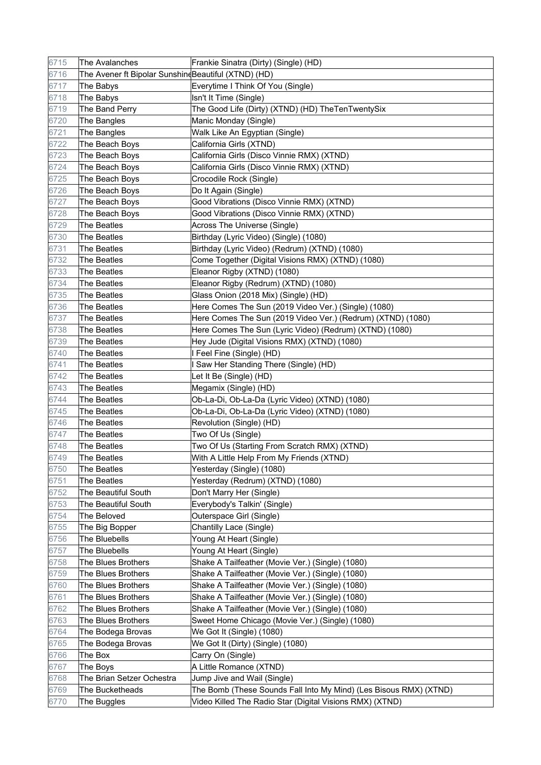| 6715 | The Avalanches                                      | Frankie Sinatra (Dirty) (Single) (HD)                             |
|------|-----------------------------------------------------|-------------------------------------------------------------------|
| 6716 | The Avener ft Bipolar SunshindBeautiful (XTND) (HD) |                                                                   |
| 6717 | The Babys                                           | Everytime I Think Of You (Single)                                 |
| 6718 | The Babys                                           | Isn't It Time (Single)                                            |
| 6719 | The Band Perry                                      | The Good Life (Dirty) (XTND) (HD) TheTenTwentySix                 |
| 6720 | The Bangles                                         | Manic Monday (Single)                                             |
| 6721 | The Bangles                                         | Walk Like An Egyptian (Single)                                    |
| 6722 | The Beach Boys                                      | California Girls (XTND)                                           |
| 6723 | The Beach Boys                                      | California Girls (Disco Vinnie RMX) (XTND)                        |
| 6724 | The Beach Boys                                      | California Girls (Disco Vinnie RMX) (XTND)                        |
| 6725 | The Beach Boys                                      | Crocodile Rock (Single)                                           |
| 6726 | The Beach Boys                                      | Do It Again (Single)                                              |
| 6727 | The Beach Boys                                      | Good Vibrations (Disco Vinnie RMX) (XTND)                         |
| 6728 | The Beach Boys                                      | Good Vibrations (Disco Vinnie RMX) (XTND)                         |
| 6729 | The Beatles                                         | Across The Universe (Single)                                      |
| 6730 | <b>The Beatles</b>                                  | Birthday (Lyric Video) (Single) (1080)                            |
| 6731 | The Beatles                                         | Birthday (Lyric Video) (Redrum) (XTND) (1080)                     |
| 6732 | <b>The Beatles</b>                                  | Come Together (Digital Visions RMX) (XTND) (1080)                 |
| 6733 | The Beatles                                         | Eleanor Rigby (XTND) (1080)                                       |
| 6734 | <b>The Beatles</b>                                  | Eleanor Rigby (Redrum) (XTND) (1080)                              |
| 6735 | The Beatles                                         | Glass Onion (2018 Mix) (Single) (HD)                              |
| 6736 | The Beatles                                         | Here Comes The Sun (2019 Video Ver.) (Single) (1080)              |
| 6737 | The Beatles                                         | Here Comes The Sun (2019 Video Ver.) (Redrum) (XTND) (1080)       |
| 6738 | <b>The Beatles</b>                                  | Here Comes The Sun (Lyric Video) (Redrum) (XTND) (1080)           |
| 6739 | The Beatles                                         | Hey Jude (Digital Visions RMX) (XTND) (1080)                      |
| 6740 | <b>The Beatles</b>                                  | I Feel Fine (Single) (HD)                                         |
| 6741 | The Beatles                                         | I Saw Her Standing There (Single) (HD)                            |
| 6742 | The Beatles                                         | Let It Be (Single) (HD)                                           |
| 6743 | The Beatles                                         | Megamix (Single) (HD)                                             |
| 6744 | The Beatles                                         | Ob-La-Di, Ob-La-Da (Lyric Video) (XTND) (1080)                    |
| 6745 | The Beatles                                         | Ob-La-Di, Ob-La-Da (Lyric Video) (XTND) (1080)                    |
| 6746 | The Beatles                                         | Revolution (Single) (HD)                                          |
| 6747 | The Beatles                                         | Two Of Us (Single)                                                |
| 6748 | The Beatles                                         | Two Of Us (Starting From Scratch RMX) (XTND)                      |
| 6749 | The Beatles                                         | With A Little Help From My Friends (XTND)                         |
| 6750 | The Beatles                                         | Yesterday (Single) (1080)                                         |
| 6751 | The Beatles                                         | Yesterday (Redrum) (XTND) (1080)                                  |
| 6752 | The Beautiful South                                 | Don't Marry Her (Single)                                          |
| 6753 | The Beautiful South                                 | Everybody's Talkin' (Single)                                      |
| 6754 | The Beloved                                         | Outerspace Girl (Single)                                          |
| 6755 | The Big Bopper                                      | Chantilly Lace (Single)                                           |
| 6756 | The Bluebells                                       | Young At Heart (Single)                                           |
| 6757 | The Bluebells                                       | Young At Heart (Single)                                           |
| 6758 | The Blues Brothers                                  | Shake A Tailfeather (Movie Ver.) (Single) (1080)                  |
| 6759 | The Blues Brothers                                  | Shake A Tailfeather (Movie Ver.) (Single) (1080)                  |
| 6760 | The Blues Brothers                                  | Shake A Tailfeather (Movie Ver.) (Single) (1080)                  |
| 6761 | The Blues Brothers                                  | Shake A Tailfeather (Movie Ver.) (Single) (1080)                  |
| 6762 | The Blues Brothers                                  | Shake A Tailfeather (Movie Ver.) (Single) (1080)                  |
| 6763 | The Blues Brothers                                  | Sweet Home Chicago (Movie Ver.) (Single) (1080)                   |
| 6764 | The Bodega Brovas                                   | We Got It (Single) (1080)                                         |
| 6765 | The Bodega Brovas                                   | We Got It (Dirty) (Single) (1080)                                 |
| 6766 | The Box                                             | Carry On (Single)                                                 |
| 6767 | The Boys                                            | A Little Romance (XTND)                                           |
| 6768 | The Brian Setzer Ochestra                           | Jump Jive and Wail (Single)                                       |
| 6769 | The Bucketheads                                     | The Bomb (These Sounds Fall Into My Mind) (Les Bisous RMX) (XTND) |
| 6770 | The Buggles                                         | Video Killed The Radio Star (Digital Visions RMX) (XTND)          |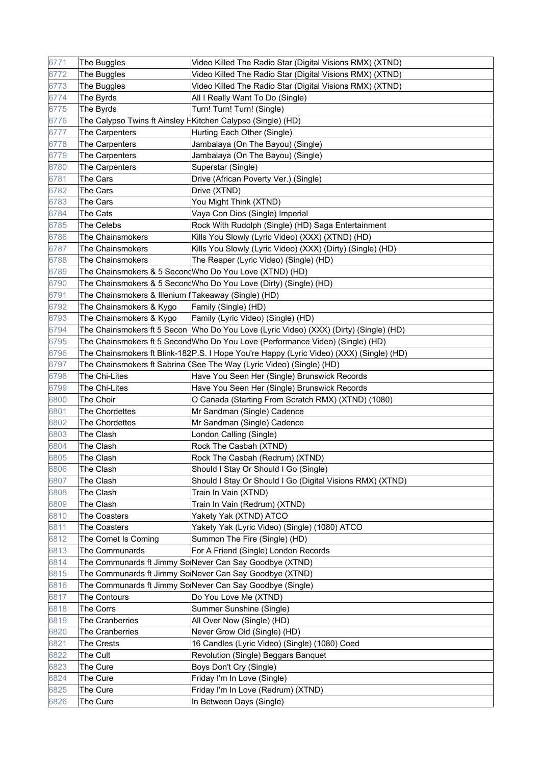| 6771 | The Buggles                                                 | Video Killed The Radio Star (Digital Visions RMX) (XTND)                                |
|------|-------------------------------------------------------------|-----------------------------------------------------------------------------------------|
| 6772 | The Buggles                                                 | Video Killed The Radio Star (Digital Visions RMX) (XTND)                                |
| 6773 | The Buggles                                                 | Video Killed The Radio Star (Digital Visions RMX) (XTND)                                |
| 6774 | The Byrds                                                   | All I Really Want To Do (Single)                                                        |
| 6775 | The Byrds                                                   | Turn! Turn! Turn! (Single)                                                              |
| 6776 | The Calypso Twins ft Ainsley HKitchen Calypso (Single) (HD) |                                                                                         |
| 6777 | The Carpenters                                              | Hurting Each Other (Single)                                                             |
| 6778 | The Carpenters                                              | Jambalaya (On The Bayou) (Single)                                                       |
| 6779 | The Carpenters                                              | Jambalaya (On The Bayou) (Single)                                                       |
| 6780 | The Carpenters                                              | Superstar (Single)                                                                      |
| 6781 | The Cars                                                    | Drive (African Poverty Ver.) (Single)                                                   |
| 6782 | The Cars                                                    | Drive (XTND)                                                                            |
| 6783 | The Cars                                                    | You Might Think (XTND)                                                                  |
| 6784 | The Cats                                                    | Vaya Con Dios (Single) Imperial                                                         |
| 6785 | The Celebs                                                  | Rock With Rudolph (Single) (HD) Saga Entertainment                                      |
| 6786 | The Chainsmokers                                            | Kills You Slowly (Lyric Video) (XXX) (XTND) (HD)                                        |
| 6787 | The Chainsmokers                                            | Kills You Slowly (Lyric Video) (XXX) (Dirty) (Single) (HD)                              |
| 6788 | The Chainsmokers                                            | The Reaper (Lyric Video) (Single) (HD)                                                  |
| 6789 |                                                             | The Chainsmokers & 5 Second Who Do You Love (XTND) (HD)                                 |
| 6790 |                                                             | The Chainsmokers & 5 Second Who Do You Love (Dirty) (Single) (HD)                       |
| 6791 | The Chainsmokers & Illenium fTakeaway (Single) (HD)         |                                                                                         |
| 6792 | The Chainsmokers & Kygo                                     | Family (Single) (HD)                                                                    |
| 6793 | The Chainsmokers & Kygo                                     | Family (Lyric Video) (Single) (HD)                                                      |
| 6794 |                                                             | The Chainsmokers ft 5 Secon   Who Do You Love (Lyric Video) (XXX) (Dirty) (Single) (HD) |
| 6795 |                                                             | The Chainsmokers ft 5 SecondWho Do You Love (Performance Video) (Single) (HD)           |
| 6796 |                                                             | The Chainsmokers ft Blink-182P.S. I Hope You're Happy (Lyric Video) (XXX) (Single) (HD) |
| 6797 |                                                             | The Chainsmokers ft Sabrina (See The Way (Lyric Video) (Single) (HD)                    |
| 6798 | The Chi-Lites                                               | Have You Seen Her (Single) Brunswick Records                                            |
| 6799 | The Chi-Lites                                               | Have You Seen Her (Single) Brunswick Records                                            |
| 6800 | The Choir                                                   | O Canada (Starting From Scratch RMX) (XTND) (1080)                                      |
| 6801 | The Chordettes                                              | Mr Sandman (Single) Cadence                                                             |
| 6802 | The Chordettes                                              | Mr Sandman (Single) Cadence                                                             |
| 6803 | The Clash                                                   | London Calling (Single)                                                                 |
| 6804 | The Clash                                                   | Rock The Casbah (XTND)                                                                  |
| 6805 | The Clash                                                   | Rock The Casbah (Redrum) (XTND)                                                         |
| 6806 | The Clash                                                   | Should I Stay Or Should I Go (Single)                                                   |
| 6807 | The Clash                                                   | Should I Stay Or Should I Go (Digital Visions RMX) (XTND)                               |
| 6808 | The Clash                                                   | Train In Vain (XTND)                                                                    |
| 6809 | The Clash                                                   | Train In Vain (Redrum) (XTND)                                                           |
| 6810 | The Coasters                                                | Yakety Yak (XTND) ATCO                                                                  |
| 6811 | The Coasters                                                | Yakety Yak (Lyric Video) (Single) (1080) ATCO                                           |
| 6812 | The Comet Is Coming                                         | Summon The Fire (Single) (HD)                                                           |
| 6813 | The Communards                                              | For A Friend (Single) London Records                                                    |
| 6814 |                                                             | The Communards ft Jimmy So Never Can Say Goodbye (XTND)                                 |
| 6815 |                                                             | The Communards ft Jimmy So Never Can Say Goodbye (XTND)                                 |
| 6816 |                                                             | The Communards ft Jimmy So Never Can Say Goodbye (Single)                               |
| 6817 | The Contours                                                | Do You Love Me (XTND)                                                                   |
| 6818 | The Corrs                                                   | Summer Sunshine (Single)                                                                |
| 6819 | The Cranberries                                             | All Over Now (Single) (HD)                                                              |
| 6820 | The Cranberries                                             | Never Grow Old (Single) (HD)                                                            |
| 6821 | The Crests                                                  | 16 Candles (Lyric Video) (Single) (1080) Coed                                           |
| 6822 | The Cult                                                    | Revolution (Single) Beggars Banquet                                                     |
| 6823 | The Cure                                                    | Boys Don't Cry (Single)                                                                 |
| 6824 | The Cure                                                    | Friday I'm In Love (Single)                                                             |
| 6825 | The Cure                                                    | Friday I'm In Love (Redrum) (XTND)                                                      |
| 6826 | The Cure                                                    | In Between Days (Single)                                                                |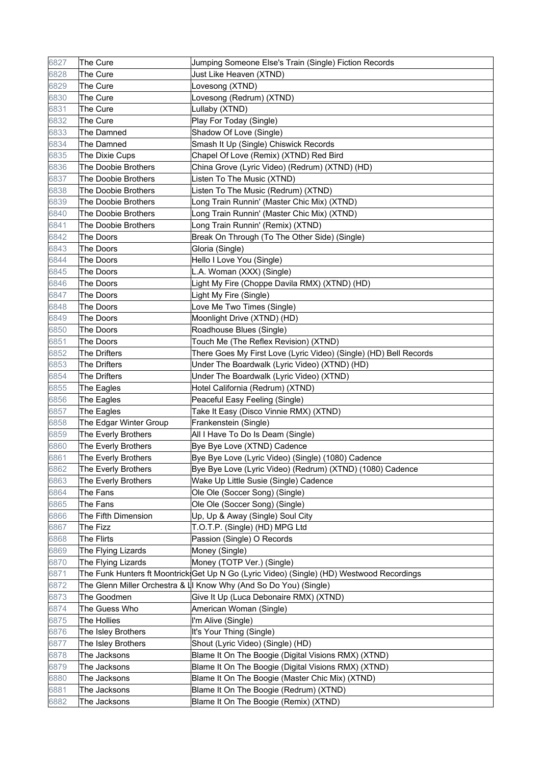| 6827 | The Cure               | Jumping Someone Else's Train (Single) Fiction Records                                     |
|------|------------------------|-------------------------------------------------------------------------------------------|
| 6828 | The Cure               | Just Like Heaven (XTND)                                                                   |
| 6829 | The Cure               | Lovesong (XTND)                                                                           |
| 6830 | The Cure               | Lovesong (Redrum) (XTND)                                                                  |
| 6831 | The Cure               | Lullaby (XTND)                                                                            |
| 6832 | The Cure               | Play For Today (Single)                                                                   |
| 6833 | The Damned             | Shadow Of Love (Single)                                                                   |
| 6834 | The Damned             | Smash It Up (Single) Chiswick Records                                                     |
| 6835 | The Dixie Cups         | Chapel Of Love (Remix) (XTND) Red Bird                                                    |
| 6836 | The Doobie Brothers    | China Grove (Lyric Video) (Redrum) (XTND) (HD)                                            |
| 6837 | The Doobie Brothers    | Listen To The Music (XTND)                                                                |
| 6838 | The Doobie Brothers    | Listen To The Music (Redrum) (XTND)                                                       |
| 6839 | The Doobie Brothers    | Long Train Runnin' (Master Chic Mix) (XTND)                                               |
| 6840 | The Doobie Brothers    | Long Train Runnin' (Master Chic Mix) (XTND)                                               |
| 6841 | The Doobie Brothers    | Long Train Runnin' (Remix) (XTND)                                                         |
| 6842 | The Doors              | Break On Through (To The Other Side) (Single)                                             |
| 6843 | The Doors              | Gloria (Single)                                                                           |
| 6844 | The Doors              | Hello I Love You (Single)                                                                 |
| 6845 | <b>The Doors</b>       | L.A. Woman (XXX) (Single)                                                                 |
| 6846 | The Doors              | Light My Fire (Choppe Davila RMX) (XTND) (HD)                                             |
| 6847 | The Doors              | Light My Fire (Single)                                                                    |
| 6848 | The Doors              | Love Me Two Times (Single)                                                                |
| 6849 | The Doors              | Moonlight Drive (XTND) (HD)                                                               |
| 6850 | The Doors              | Roadhouse Blues (Single)                                                                  |
| 6851 | The Doors              | Touch Me (The Reflex Revision) (XTND)                                                     |
| 6852 | The Drifters           | There Goes My First Love (Lyric Video) (Single) (HD) Bell Records                         |
| 6853 | The Drifters           | Under The Boardwalk (Lyric Video) (XTND) (HD)                                             |
| 6854 | The Drifters           | Under The Boardwalk (Lyric Video) (XTND)                                                  |
| 6855 | The Eagles             | Hotel California (Redrum) (XTND)                                                          |
| 6856 | The Eagles             | Peaceful Easy Feeling (Single)                                                            |
| 6857 | The Eagles             | Take It Easy (Disco Vinnie RMX) (XTND)                                                    |
| 6858 | The Edgar Winter Group | Frankenstein (Single)                                                                     |
| 6859 | The Everly Brothers    | All I Have To Do Is Deam (Single)                                                         |
| 6860 | The Everly Brothers    | Bye Bye Love (XTND) Cadence                                                               |
| 6861 | The Everly Brothers    | Bye Bye Love (Lyric Video) (Single) (1080) Cadence                                        |
| 6862 | The Everly Brothers    | Bye Bye Love (Lyric Video) (Redrum) (XTND) (1080) Cadence                                 |
| 6863 | The Everly Brothers    | Wake Up Little Susie (Single) Cadence                                                     |
| 6864 | The Fans               | Ole Ole (Soccer Song) (Single)                                                            |
| 6865 | The Fans               | Ole Ole (Soccer Song) (Single)                                                            |
| 6866 | The Fifth Dimension    | Up, Up & Away (Single) Soul City                                                          |
| 6867 | The Fizz               | T.O.T.P. (Single) (HD) MPG Ltd                                                            |
| 6868 | The Flirts             | Passion (Single) O Records                                                                |
| 6869 | The Flying Lizards     | Money (Single)                                                                            |
| 6870 | The Flying Lizards     | Money (TOTP Ver.) (Single)                                                                |
| 6871 |                        | The Funk Hunters ft Moontrick(Get Up N Go (Lyric Video) (Single) (HD) Westwood Recordings |
| 6872 |                        | The Glenn Miller Orchestra & L I Know Why (And So Do You) (Single)                        |
| 6873 | The Goodmen            | Give It Up (Luca Debonaire RMX) (XTND)                                                    |
| 6874 | The Guess Who          | American Woman (Single)                                                                   |
| 6875 | The Hollies            | I'm Alive (Single)                                                                        |
| 6876 | The Isley Brothers     | It's Your Thing (Single)                                                                  |
| 6877 | The Isley Brothers     | Shout (Lyric Video) (Single) (HD)                                                         |
| 6878 | The Jacksons           | Blame It On The Boogie (Digital Visions RMX) (XTND)                                       |
| 6879 | The Jacksons           | Blame It On The Boogie (Digital Visions RMX) (XTND)                                       |
| 6880 | The Jacksons           | Blame It On The Boogie (Master Chic Mix) (XTND)                                           |
| 6881 | The Jacksons           | Blame It On The Boogie (Redrum) (XTND)                                                    |
| 6882 | The Jacksons           | Blame It On The Boogie (Remix) (XTND)                                                     |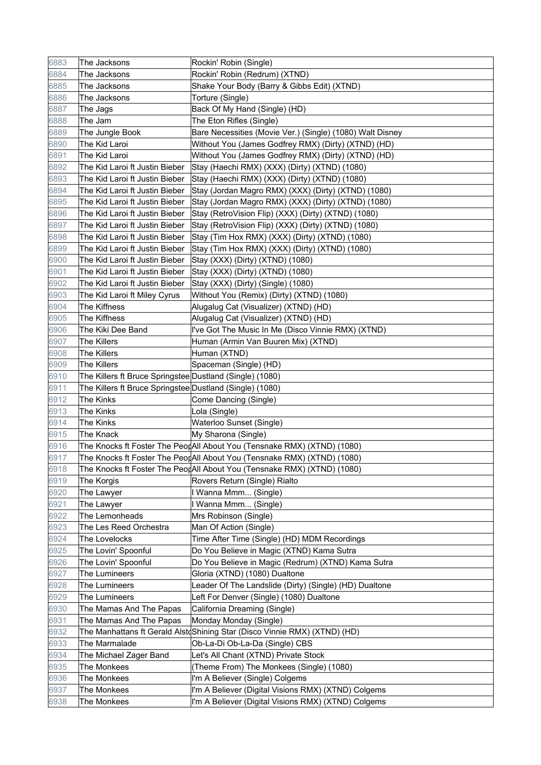| 6883 | The Jacksons                                             | Rockin' Robin (Single)                                                    |
|------|----------------------------------------------------------|---------------------------------------------------------------------------|
| 6884 | The Jacksons                                             | Rockin' Robin (Redrum) (XTND)                                             |
| 6885 | The Jacksons                                             | Shake Your Body (Barry & Gibbs Edit) (XTND)                               |
| 6886 | The Jacksons                                             | Torture (Single)                                                          |
| 6887 | The Jags                                                 | Back Of My Hand (Single) (HD)                                             |
| 6888 | The Jam                                                  | The Eton Rifles (Single)                                                  |
| 6889 | The Jungle Book                                          | Bare Necessities (Movie Ver.) (Single) (1080) Walt Disney                 |
| 6890 | The Kid Laroi                                            | Without You (James Godfrey RMX) (Dirty) (XTND) (HD)                       |
| 6891 | The Kid Laroi                                            | Without You (James Godfrey RMX) (Dirty) (XTND) (HD)                       |
| 6892 | The Kid Laroi ft Justin Bieber                           | Stay (Haechi RMX) (XXX) (Dirty) (XTND) (1080)                             |
| 6893 | The Kid Laroi ft Justin Bieber                           | Stay (Haechi RMX) (XXX) (Dirty) (XTND) (1080)                             |
| 6894 | The Kid Laroi ft Justin Bieber                           | Stay (Jordan Magro RMX) (XXX) (Dirty) (XTND) (1080)                       |
| 6895 | The Kid Laroi ft Justin Bieber                           | Stay (Jordan Magro RMX) (XXX) (Dirty) (XTND) (1080)                       |
| 6896 | The Kid Laroi ft Justin Bieber                           | Stay (RetroVision Flip) (XXX) (Dirty) (XTND) (1080)                       |
| 6897 | The Kid Laroi ft Justin Bieber                           | Stay (RetroVision Flip) (XXX) (Dirty) (XTND) (1080)                       |
| 6898 | The Kid Laroi ft Justin Bieber                           | Stay (Tim Hox RMX) (XXX) (Dirty) (XTND) (1080)                            |
| 6899 | The Kid Laroi ft Justin Bieber                           | Stay (Tim Hox RMX) (XXX) (Dirty) (XTND) (1080)                            |
| 6900 | The Kid Laroi ft Justin Bieber                           | Stay (XXX) (Dirty) (XTND) (1080)                                          |
| 6901 | The Kid Laroi ft Justin Bieber                           | Stay (XXX) (Dirty) (XTND) (1080)                                          |
| 6902 | The Kid Laroi ft Justin Bieber                           | Stay (XXX) (Dirty) (Single) (1080)                                        |
| 6903 | The Kid Laroi ft Miley Cyrus                             | Without You (Remix) (Dirty) (XTND) (1080)                                 |
| 6904 | The Kiffness                                             | Alugalug Cat (Visualizer) (XTND) (HD)                                     |
| 6905 | The Kiffness                                             | Alugalug Cat (Visualizer) (XTND) (HD)                                     |
| 6906 | The Kiki Dee Band                                        | I've Got The Music In Me (Disco Vinnie RMX) (XTND)                        |
| 6907 | The Killers                                              | Human (Armin Van Buuren Mix) (XTND)                                       |
| 6908 | <b>The Killers</b>                                       | Human (XTND)                                                              |
| 6909 | The Killers                                              | Spaceman (Single) (HD)                                                    |
| 6910 | The Killers ft Bruce Springstee Dustland (Single) (1080) |                                                                           |
| 6911 | The Killers ft Bruce Springstee Dustland (Single) (1080) |                                                                           |
| 6912 | <b>The Kinks</b>                                         | Come Dancing (Single)                                                     |
| 6913 | <b>The Kinks</b>                                         | Lola (Single)                                                             |
| 6914 | <b>The Kinks</b>                                         | Waterloo Sunset (Single)                                                  |
| 6915 | The Knack                                                | My Sharona (Single)                                                       |
| 6916 |                                                          | The Knocks ft Foster The PeorAll About You (Tensnake RMX) (XTND) (1080)   |
| 6917 |                                                          | The Knocks ft Foster The PeorAll About You (Tensnake RMX) (XTND) (1080)   |
| 6918 |                                                          | The Knocks ft Foster The PeorAll About You (Tensnake RMX) (XTND) (1080)   |
| 6919 | The Korgis                                               | Rovers Return (Single) Rialto                                             |
| 6920 | The Lawyer                                               | I Wanna Mmm (Single)                                                      |
| 6921 | The Lawyer                                               | I Wanna Mmm (Single)                                                      |
| 6922 | The Lemonheads                                           | Mrs Robinson (Single)                                                     |
| 6923 | The Les Reed Orchestra                                   | Man Of Action (Single)                                                    |
| 6924 | The Lovelocks                                            | Time After Time (Single) (HD) MDM Recordings                              |
| 6925 | The Lovin' Spoonful                                      | Do You Believe in Magic (XTND) Kama Sutra                                 |
| 6926 | The Lovin' Spoonful                                      | Do You Believe in Magic (Redrum) (XTND) Kama Sutra                        |
| 6927 | The Lumineers                                            | Gloria (XTND) (1080) Dualtone                                             |
| 6928 | The Lumineers                                            | Leader Of The Landslide (Dirty) (Single) (HD) Dualtone                    |
| 6929 | The Lumineers                                            | Left For Denver (Single) (1080) Dualtone                                  |
| 6930 | The Mamas And The Papas                                  | California Dreaming (Single)                                              |
| 6931 | The Mamas And The Papas                                  | Monday Monday (Single)                                                    |
| 6932 |                                                          | The Manhattans ft Gerald Alst Shining Star (Disco Vinnie RMX) (XTND) (HD) |
| 6933 | The Marmalade                                            | Ob-La-Di Ob-La-Da (Single) CBS                                            |
| 6934 | The Michael Zager Band                                   | Let's All Chant (XTND) Private Stock                                      |
| 6935 | The Monkees                                              | (Theme From) The Monkees (Single) (1080)                                  |
| 6936 | The Monkees                                              | I'm A Believer (Single) Colgems                                           |
| 6937 | The Monkees                                              | I'm A Believer (Digital Visions RMX) (XTND) Colgems                       |
| 6938 | The Monkees                                              | I'm A Believer (Digital Visions RMX) (XTND) Colgems                       |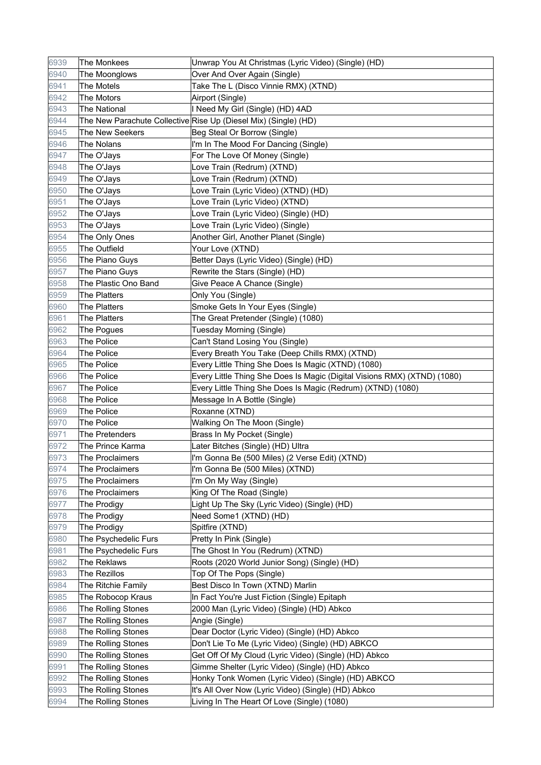| 6939 | The Monkees          | Unwrap You At Christmas (Lyric Video) (Single) (HD)                      |
|------|----------------------|--------------------------------------------------------------------------|
| 6940 | The Moonglows        | Over And Over Again (Single)                                             |
| 6941 | The Motels           | Take The L (Disco Vinnie RMX) (XTND)                                     |
| 6942 | The Motors           | Airport (Single)                                                         |
| 6943 | <b>The National</b>  | I Need My Girl (Single) (HD) 4AD                                         |
| 6944 |                      | The New Parachute Collective Rise Up (Diesel Mix) (Single) (HD)          |
| 6945 | The New Seekers      | Beg Steal Or Borrow (Single)                                             |
| 6946 | The Nolans           | I'm In The Mood For Dancing (Single)                                     |
| 6947 | The O'Jays           | For The Love Of Money (Single)                                           |
| 6948 | The O'Jays           | Love Train (Redrum) (XTND)                                               |
| 6949 | The O'Jays           | Love Train (Redrum) (XTND)                                               |
| 6950 | The O'Jays           | Love Train (Lyric Video) (XTND) (HD)                                     |
| 6951 | The O'Jays           | Love Train (Lyric Video) (XTND)                                          |
| 6952 | The O'Jays           | Love Train (Lyric Video) (Single) (HD)                                   |
| 6953 | The O'Jays           | Love Train (Lyric Video) (Single)                                        |
| 6954 | The Only Ones        | Another Girl, Another Planet (Single)                                    |
| 6955 | The Outfield         | Your Love (XTND)                                                         |
| 6956 | The Piano Guys       | Better Days (Lyric Video) (Single) (HD)                                  |
| 6957 | The Piano Guys       | Rewrite the Stars (Single) (HD)                                          |
| 6958 | The Plastic Ono Band | Give Peace A Chance (Single)                                             |
| 6959 | The Platters         | Only You (Single)                                                        |
| 6960 | <b>The Platters</b>  | Smoke Gets In Your Eyes (Single)                                         |
| 6961 | <b>The Platters</b>  | The Great Pretender (Single) (1080)                                      |
| 6962 | The Pogues           | Tuesday Morning (Single)                                                 |
| 6963 | The Police           | Can't Stand Losing You (Single)                                          |
| 6964 | The Police           | Every Breath You Take (Deep Chills RMX) (XTND)                           |
| 6965 | The Police           | Every Little Thing She Does Is Magic (XTND) (1080)                       |
| 6966 | The Police           | Every Little Thing She Does Is Magic (Digital Visions RMX) (XTND) (1080) |
| 6967 | The Police           | Every Little Thing She Does Is Magic (Redrum) (XTND) (1080)              |
| 6968 | The Police           | Message In A Bottle (Single)                                             |
| 6969 | The Police           | Roxanne (XTND)                                                           |
| 6970 | The Police           | Walking On The Moon (Single)                                             |
| 6971 | The Pretenders       | Brass In My Pocket (Single)                                              |
| 6972 | The Prince Karma     | Later Bitches (Single) (HD) Ultra                                        |
| 6973 | The Proclaimers      | I'm Gonna Be (500 Miles) (2 Verse Edit) (XTND)                           |
| 6974 | The Proclaimers      | I'm Gonna Be (500 Miles) (XTND)                                          |
| 6975 | The Proclaimers      | I'm On My Way (Single)                                                   |
| 6976 | The Proclaimers      | King Of The Road (Single)                                                |
| 6977 | The Prodigy          | Light Up The Sky (Lyric Video) (Single) (HD)                             |
| 6978 | The Prodigy          | Need Some1 (XTND) (HD)                                                   |
| 6979 | The Prodigy          | Spitfire (XTND)                                                          |
| 6980 | The Psychedelic Furs | Pretty In Pink (Single)                                                  |
| 6981 | The Psychedelic Furs | The Ghost In You (Redrum) (XTND)                                         |
| 6982 | The Reklaws          | Roots (2020 World Junior Song) (Single) (HD)                             |
| 6983 | The Rezillos         | Top Of The Pops (Single)                                                 |
| 6984 | The Ritchie Family   | Best Disco In Town (XTND) Marlin                                         |
| 6985 | The Robocop Kraus    | In Fact You're Just Fiction (Single) Epitaph                             |
| 6986 | The Rolling Stones   | 2000 Man (Lyric Video) (Single) (HD) Abkco                               |
| 6987 | The Rolling Stones   | Angie (Single)                                                           |
| 6988 | The Rolling Stones   | Dear Doctor (Lyric Video) (Single) (HD) Abkco                            |
| 6989 | The Rolling Stones   | Don't Lie To Me (Lyric Video) (Single) (HD) ABKCO                        |
| 6990 | The Rolling Stones   | Get Off Of My Cloud (Lyric Video) (Single) (HD) Abkco                    |
| 6991 | The Rolling Stones   | Gimme Shelter (Lyric Video) (Single) (HD) Abkco                          |
| 6992 | The Rolling Stones   | Honky Tonk Women (Lyric Video) (Single) (HD) ABKCO                       |
| 6993 | The Rolling Stones   | It's All Over Now (Lyric Video) (Single) (HD) Abkco                      |
| 6994 | The Rolling Stones   | Living In The Heart Of Love (Single) (1080)                              |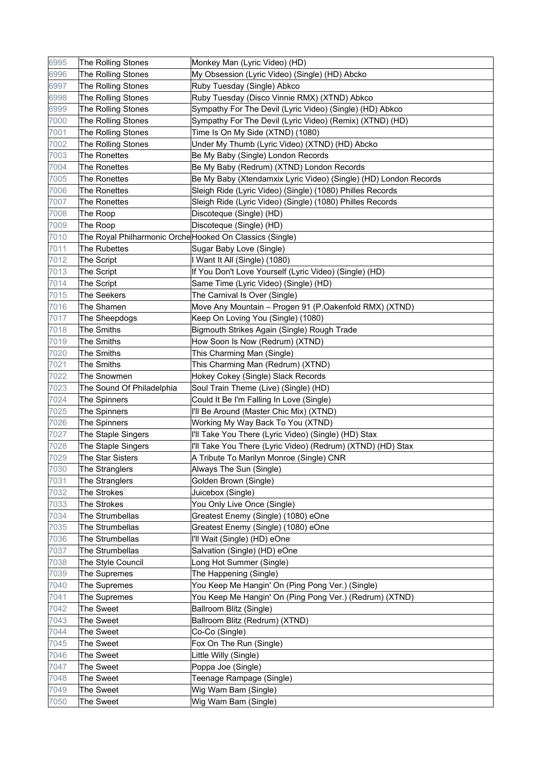| 6995 | The Rolling Stones                                       | Monkey Man (Lyric Video) (HD)                                    |
|------|----------------------------------------------------------|------------------------------------------------------------------|
| 6996 | The Rolling Stones                                       | My Obsession (Lyric Video) (Single) (HD) Abcko                   |
| 6997 | The Rolling Stones                                       | Ruby Tuesday (Single) Abkco                                      |
| 6998 | The Rolling Stones                                       | Ruby Tuesday (Disco Vinnie RMX) (XTND) Abkco                     |
| 6999 | The Rolling Stones                                       | Sympathy For The Devil (Lyric Video) (Single) (HD) Abkco         |
| 7000 | The Rolling Stones                                       | Sympathy For The Devil (Lyric Video) (Remix) (XTND) (HD)         |
| 7001 | The Rolling Stones                                       | Time Is On My Side (XTND) (1080)                                 |
| 7002 | The Rolling Stones                                       | Under My Thumb (Lyric Video) (XTND) (HD) Abcko                   |
| 7003 | The Ronettes                                             | Be My Baby (Single) London Records                               |
| 7004 | The Ronettes                                             | Be My Baby (Redrum) (XTND) London Records                        |
| 7005 | <b>The Ronettes</b>                                      | Be My Baby (Xtendamxix Lyric Video) (Single) (HD) London Records |
| 7006 | <b>The Ronettes</b>                                      | Sleigh Ride (Lyric Video) (Single) (1080) Philles Records        |
| 7007 | The Ronettes                                             | Sleigh Ride (Lyric Video) (Single) (1080) Philles Records        |
| 7008 | The Roop                                                 | Discoteque (Single) (HD)                                         |
| 7009 | The Roop                                                 | Discoteque (Single) (HD)                                         |
| 7010 | The Royal Philharmonic Orche Hooked On Classics (Single) |                                                                  |
| 7011 | The Rubettes                                             | Sugar Baby Love (Single)                                         |
| 7012 | The Script                                               | I Want It All (Single) (1080)                                    |
| 7013 | The Script                                               | If You Don't Love Yourself (Lyric Video) (Single) (HD)           |
| 7014 | The Script                                               | Same Time (Lyric Video) (Single) (HD)                            |
| 7015 | <b>The Seekers</b>                                       | The Carnival Is Over (Single)                                    |
| 7016 | The Shamen                                               | Move Any Mountain - Progen 91 (P.Oakenfold RMX) (XTND)           |
| 7017 | The Sheepdogs                                            | Keep On Loving You (Single) (1080)                               |
| 7018 | The Smiths                                               | Bigmouth Strikes Again (Single) Rough Trade                      |
| 7019 | The Smiths                                               | How Soon Is Now (Redrum) (XTND)                                  |
| 7020 | The Smiths                                               | This Charming Man (Single)                                       |
| 7021 | The Smiths                                               | This Charming Man (Redrum) (XTND)                                |
| 7022 | The Snowmen                                              | Hokey Cokey (Single) Slack Records                               |
| 7023 | The Sound Of Philadelphia                                | Soul Train Theme (Live) (Single) (HD)                            |
| 7024 | The Spinners                                             | Could It Be I'm Falling In Love (Single)                         |
| 7025 | The Spinners                                             | I'll Be Around (Master Chic Mix) (XTND)                          |
| 7026 | The Spinners                                             | Working My Way Back To You (XTND)                                |
| 7027 | The Staple Singers                                       | I'll Take You There (Lyric Video) (Single) (HD) Stax             |
| 7028 | The Staple Singers                                       | I'll Take You There (Lyric Video) (Redrum) (XTND) (HD) Stax      |
| 7029 | The Star Sisters                                         | A Tribute To Marilyn Monroe (Single) CNR                         |
| 7030 | The Stranglers                                           | Always The Sun (Single)                                          |
| 7031 | The Stranglers                                           | Golden Brown (Single)                                            |
| 7032 | The Strokes                                              | Juicebox (Single)                                                |
| 7033 | The Strokes                                              | You Only Live Once (Single)                                      |
| 7034 | The Strumbellas                                          | Greatest Enemy (Single) (1080) eOne                              |
| 7035 | The Strumbellas                                          | Greatest Enemy (Single) (1080) eOne                              |
| 7036 | The Strumbellas                                          | I'll Wait (Single) (HD) eOne                                     |
| 7037 | The Strumbellas                                          | Salvation (Single) (HD) eOne                                     |
| 7038 | The Style Council                                        | Long Hot Summer (Single)                                         |
| 7039 | The Supremes                                             | The Happening (Single)                                           |
| 7040 | The Supremes                                             | You Keep Me Hangin' On (Ping Pong Ver.) (Single)                 |
| 7041 | The Supremes                                             | You Keep Me Hangin' On (Ping Pong Ver.) (Redrum) (XTND)          |
| 7042 | The Sweet                                                | Ballroom Blitz (Single)                                          |
| 7043 | The Sweet                                                | Ballroom Blitz (Redrum) (XTND)                                   |
| 7044 | The Sweet                                                | Co-Co (Single)                                                   |
| 7045 | The Sweet                                                | Fox On The Run (Single)                                          |
| 7046 | The Sweet                                                | Little Willy (Single)                                            |
| 7047 | The Sweet                                                | Poppa Joe (Single)                                               |
| 7048 | The Sweet                                                | Teenage Rampage (Single)                                         |
| 7049 | The Sweet                                                | Wig Wam Bam (Single)                                             |
| 7050 | The Sweet                                                | Wig Wam Bam (Single)                                             |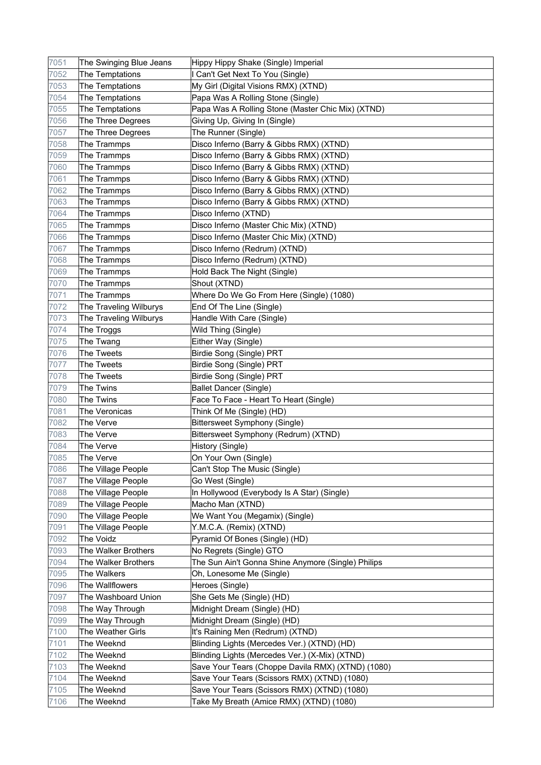| 7051 | The Swinging Blue Jeans | Hippy Hippy Shake (Single) Imperial                |
|------|-------------------------|----------------------------------------------------|
| 7052 | The Temptations         | Can't Get Next To You (Single)                     |
| 7053 | The Temptations         | My Girl (Digital Visions RMX) (XTND)               |
| 7054 | The Temptations         | Papa Was A Rolling Stone (Single)                  |
| 7055 | The Temptations         | Papa Was A Rolling Stone (Master Chic Mix) (XTND)  |
| 7056 | The Three Degrees       | Giving Up, Giving In (Single)                      |
| 7057 | The Three Degrees       | The Runner (Single)                                |
| 7058 | The Trammps             | Disco Inferno (Barry & Gibbs RMX) (XTND)           |
| 7059 | The Trammps             | Disco Inferno (Barry & Gibbs RMX) (XTND)           |
| 7060 | The Trammps             | Disco Inferno (Barry & Gibbs RMX) (XTND)           |
| 7061 | The Trammps             | Disco Inferno (Barry & Gibbs RMX) (XTND)           |
| 7062 | The Trammps             | Disco Inferno (Barry & Gibbs RMX) (XTND)           |
| 7063 | The Trammps             | Disco Inferno (Barry & Gibbs RMX) (XTND)           |
| 7064 | The Trammps             | Disco Inferno (XTND)                               |
| 7065 | The Trammps             | Disco Inferno (Master Chic Mix) (XTND)             |
| 7066 | The Trammps             | Disco Inferno (Master Chic Mix) (XTND)             |
| 7067 | The Trammps             | Disco Inferno (Redrum) (XTND)                      |
| 7068 | The Trammps             | Disco Inferno (Redrum) (XTND)                      |
| 7069 | The Trammps             | Hold Back The Night (Single)                       |
| 7070 | The Trammps             | Shout (XTND)                                       |
| 7071 | The Trammps             | Where Do We Go From Here (Single) (1080)           |
| 7072 | The Traveling Wilburys  | End Of The Line (Single)                           |
| 7073 | The Traveling Wilburys  | Handle With Care (Single)                          |
| 7074 | The Troggs              | Wild Thing (Single)                                |
| 7075 | The Twang               | Either Way (Single)                                |
| 7076 | The Tweets              | Birdie Song (Single) PRT                           |
| 7077 | The Tweets              | Birdie Song (Single) PRT                           |
| 7078 | The Tweets              | Birdie Song (Single) PRT                           |
| 7079 | The Twins               | <b>Ballet Dancer (Single)</b>                      |
| 7080 | The Twins               | Face To Face - Heart To Heart (Single)             |
| 7081 | The Veronicas           | Think Of Me (Single) (HD)                          |
| 7082 | The Verve               | <b>Bittersweet Symphony (Single)</b>               |
| 7083 | The Verve               | Bittersweet Symphony (Redrum) (XTND)               |
| 7084 | The Verve               | History (Single)                                   |
| 7085 | The Verve               | On Your Own (Single)                               |
| 7086 | The Village People      | Can't Stop The Music (Single)                      |
| 7087 | The Village People      | Go West (Single)                                   |
| 7088 | The Village People      | In Hollywood (Everybody Is A Star) (Single)        |
| 7089 | The Village People      | Macho Man (XTND)                                   |
| 7090 | The Village People      | We Want You (Megamix) (Single)                     |
| 7091 | The Village People      | Y.M.C.A. (Remix) (XTND)                            |
| 7092 | The Voidz               | Pyramid Of Bones (Single) (HD)                     |
| 7093 | The Walker Brothers     | No Regrets (Single) GTO                            |
| 7094 | The Walker Brothers     | The Sun Ain't Gonna Shine Anymore (Single) Philips |
| 7095 | The Walkers             | Oh, Lonesome Me (Single)                           |
| 7096 | The Wallflowers         | Heroes (Single)                                    |
| 7097 | The Washboard Union     | She Gets Me (Single) (HD)                          |
| 7098 | The Way Through         | Midnight Dream (Single) (HD)                       |
| 7099 | The Way Through         | Midnight Dream (Single) (HD)                       |
| 7100 | The Weather Girls       | It's Raining Men (Redrum) (XTND)                   |
| 7101 | The Weeknd              | Blinding Lights (Mercedes Ver.) (XTND) (HD)        |
| 7102 | The Weeknd              | Blinding Lights (Mercedes Ver.) (X-Mix) (XTND)     |
| 7103 | The Weeknd              | Save Your Tears (Choppe Davila RMX) (XTND) (1080)  |
| 7104 | The Weeknd              | Save Your Tears (Scissors RMX) (XTND) (1080)       |
| 7105 | The Weeknd              | Save Your Tears (Scissors RMX) (XTND) (1080)       |
| 7106 | The Weeknd              | Take My Breath (Amice RMX) (XTND) (1080)           |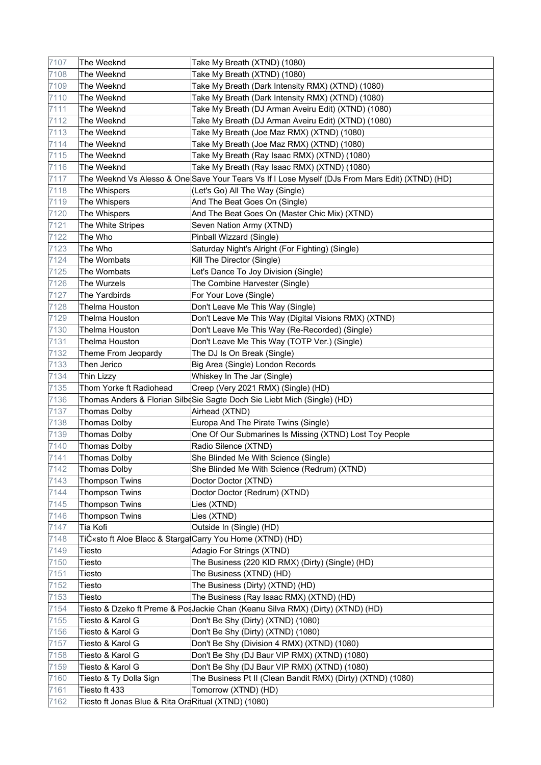| 7107 | The Weeknd                                          | Take My Breath (XTND) (1080)                                                                    |
|------|-----------------------------------------------------|-------------------------------------------------------------------------------------------------|
| 7108 | The Weeknd                                          | Take My Breath (XTND) (1080)                                                                    |
| 7109 | The Weeknd                                          | Take My Breath (Dark Intensity RMX) (XTND) (1080)                                               |
| 7110 | The Weeknd                                          | Take My Breath (Dark Intensity RMX) (XTND) (1080)                                               |
| 7111 | The Weeknd                                          | Take My Breath (DJ Arman Aveiru Edit) (XTND) (1080)                                             |
| 7112 | The Weeknd                                          | Take My Breath (DJ Arman Aveiru Edit) (XTND) (1080)                                             |
| 7113 | The Weeknd                                          | Take My Breath (Joe Maz RMX) (XTND) (1080)                                                      |
| 7114 | The Weeknd                                          | Take My Breath (Joe Maz RMX) (XTND) (1080)                                                      |
| 7115 | The Weeknd                                          | Take My Breath (Ray Isaac RMX) (XTND) (1080)                                                    |
| 7116 | The Weeknd                                          | Take My Breath (Ray Isaac RMX) (XTND) (1080)                                                    |
| 7117 |                                                     | The Weeknd Vs Alesso & One Save Your Tears Vs If I Lose Myself (DJs From Mars Edit) (XTND) (HD) |
| 7118 | The Whispers                                        | (Let's Go) All The Way (Single)                                                                 |
| 7119 | The Whispers                                        | And The Beat Goes On (Single)                                                                   |
| 7120 | The Whispers                                        | And The Beat Goes On (Master Chic Mix) (XTND)                                                   |
| 7121 | The White Stripes                                   | Seven Nation Army (XTND)                                                                        |
| 7122 | The Who                                             | Pinball Wizzard (Single)                                                                        |
| 7123 | The Who                                             | Saturday Night's Alright (For Fighting) (Single)                                                |
| 7124 | The Wombats                                         | Kill The Director (Single)                                                                      |
| 7125 | The Wombats                                         | Let's Dance To Joy Division (Single)                                                            |
| 7126 | <b>The Wurzels</b>                                  | The Combine Harvester (Single)                                                                  |
| 7127 | The Yardbirds                                       | For Your Love (Single)                                                                          |
| 7128 | Thelma Houston                                      | Don't Leave Me This Way (Single)                                                                |
| 7129 | Thelma Houston                                      | Don't Leave Me This Way (Digital Visions RMX) (XTND)                                            |
| 7130 | Thelma Houston                                      | Don't Leave Me This Way (Re-Recorded) (Single)                                                  |
| 7131 | Thelma Houston                                      | Don't Leave Me This Way (TOTP Ver.) (Single)                                                    |
| 7132 | Theme From Jeopardy                                 | The DJ Is On Break (Single)                                                                     |
| 7133 | Then Jerico                                         | Big Area (Single) London Records                                                                |
| 7134 | <b>Thin Lizzy</b>                                   | Whiskey In The Jar (Single)                                                                     |
| 7135 | Thom Yorke ft Radiohead                             | Creep (Very 2021 RMX) (Single) (HD)                                                             |
| 7136 |                                                     | Thomas Anders & Florian SilbeSie Sagte Doch Sie Liebt Mich (Single) (HD)                        |
| 7137 | <b>Thomas Dolby</b>                                 | Airhead (XTND)                                                                                  |
| 7138 | <b>Thomas Dolby</b>                                 | Europa And The Pirate Twins (Single)                                                            |
| 7139 | <b>Thomas Dolby</b>                                 | One Of Our Submarines Is Missing (XTND) Lost Toy People                                         |
| 7140 | Thomas Dolby                                        | Radio Silence (XTND)                                                                            |
| 7141 | <b>Thomas Dolby</b>                                 | She Blinded Me With Science (Single)                                                            |
| 7142 | <b>Thomas Dolby</b>                                 | She Blinded Me With Science (Redrum) (XTND)                                                     |
| 7143 | <b>Thompson Twins</b>                               | Doctor Doctor (XTND)                                                                            |
| 7144 | <b>Thompson Twins</b>                               | Doctor Doctor (Redrum) (XTND)                                                                   |
| 7145 | <b>Thompson Twins</b>                               | Lies (XTND)                                                                                     |
| 7146 | <b>Thompson Twins</b>                               | Lies (XTND)                                                                                     |
| 7147 | Tia Kofi                                            | Outside In (Single) (HD)                                                                        |
| 7148 |                                                     | Tiƫsto ft Aloe Blacc & Starga(Carry You Home (XTND) (HD)                                        |
| 7149 | Tiesto                                              | Adagio For Strings (XTND)                                                                       |
| 7150 | Tiesto                                              | The Business (220 KID RMX) (Dirty) (Single) (HD)                                                |
| 7151 | Tiesto                                              | The Business (XTND) (HD)                                                                        |
| 7152 | Tiesto                                              | The Business (Dirty) (XTND) (HD)                                                                |
| 7153 | Tiesto                                              | The Business (Ray Isaac RMX) (XTND) (HD)                                                        |
| 7154 |                                                     | Tiesto & Dzeko ft Preme & PosJackie Chan (Keanu Silva RMX) (Dirty) (XTND) (HD)                  |
| 7155 | Tiesto & Karol G                                    | Don't Be Shy (Dirty) (XTND) (1080)                                                              |
| 7156 | Tiesto & Karol G                                    | Don't Be Shy (Dirty) (XTND) (1080)                                                              |
| 7157 | Tiesto & Karol G                                    | Don't Be Shy (Division 4 RMX) (XTND) (1080)                                                     |
| 7158 | Tiesto & Karol G                                    | Don't Be Shy (DJ Baur VIP RMX) (XTND) (1080)                                                    |
| 7159 | Tiesto & Karol G                                    | Don't Be Shy (DJ Baur VIP RMX) (XTND) (1080)                                                    |
| 7160 | Tiesto & Ty Dolla \$ign                             | The Business Pt II (Clean Bandit RMX) (Dirty) (XTND) (1080)                                     |
| 7161 | Tiesto ft 433                                       | Tomorrow (XTND) (HD)                                                                            |
| 7162 | Tiesto ft Jonas Blue & Rita OraRitual (XTND) (1080) |                                                                                                 |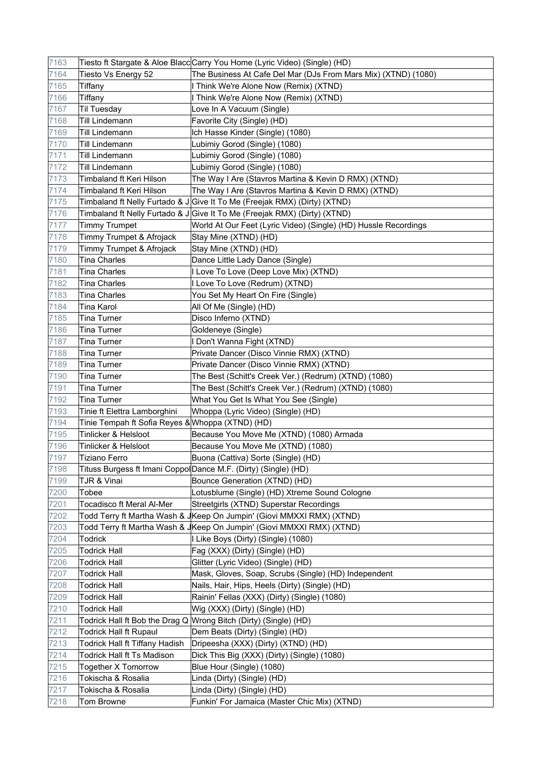| 7163 |                                                  | Tiesto ft Stargate & Aloe Blacc Carry You Home (Lyric Video) (Single) (HD) |
|------|--------------------------------------------------|----------------------------------------------------------------------------|
| 7164 | Tiesto Vs Energy 52                              | The Business At Cafe Del Mar (DJs From Mars Mix) (XTND) (1080)             |
| 7165 | Tiffany                                          | I Think We're Alone Now (Remix) (XTND)                                     |
| 7166 | Tiffany                                          | I Think We're Alone Now (Remix) (XTND)                                     |
| 7167 | <b>Til Tuesday</b>                               | Love In A Vacuum (Single)                                                  |
| 7168 | <b>Till Lindemann</b>                            | Favorite City (Single) (HD)                                                |
| 7169 | <b>Till Lindemann</b>                            | Ich Hasse Kinder (Single) (1080)                                           |
| 7170 | <b>Till Lindemann</b>                            | Lubimiy Gorod (Single) (1080)                                              |
| 7171 | <b>Till Lindemann</b>                            | Lubimiy Gorod (Single) (1080)                                              |
| 7172 | Till Lindemann                                   | Lubimiy Gorod (Single) (1080)                                              |
| 7173 | Timbaland ft Keri Hilson                         | The Way I Are (Stavros Martina & Kevin D RMX) (XTND)                       |
| 7174 | Timbaland ft Keri Hilson                         | The Way I Are (Stavros Martina & Kevin D RMX) (XTND)                       |
| 7175 |                                                  | Timbaland ft Nelly Furtado & J Give It To Me (Freejak RMX) (Dirty) (XTND)  |
| 7176 |                                                  | Timbaland ft Nelly Furtado & J Give It To Me (Freejak RMX) (Dirty) (XTND)  |
| 7177 | <b>Timmy Trumpet</b>                             | World At Our Feet (Lyric Video) (Single) (HD) Hussle Recordings            |
| 7178 | Timmy Trumpet & Afrojack                         | Stay Mine (XTND) (HD)                                                      |
| 7179 | Timmy Trumpet & Afrojack                         | Stay Mine (XTND) (HD)                                                      |
| 7180 | <b>Tina Charles</b>                              | Dance Little Lady Dance (Single)                                           |
| 7181 | <b>Tina Charles</b>                              | I Love To Love (Deep Love Mix) (XTND)                                      |
| 7182 | <b>Tina Charles</b>                              | I Love To Love (Redrum) (XTND)                                             |
| 7183 | <b>Tina Charles</b>                              | You Set My Heart On Fire (Single)                                          |
| 7184 | Tina Karol                                       | All Of Me (Single) (HD)                                                    |
| 7185 | <b>Tina Turner</b>                               | Disco Inferno (XTND)                                                       |
| 7186 | <b>Tina Turner</b>                               | Goldeneye (Single)                                                         |
| 7187 | <b>Tina Turner</b>                               | I Don't Wanna Fight (XTND)                                                 |
| 7188 | <b>Tina Turner</b>                               | Private Dancer (Disco Vinnie RMX) (XTND)                                   |
| 7189 | <b>Tina Turner</b>                               | Private Dancer (Disco Vinnie RMX) (XTND)                                   |
| 7190 | <b>Tina Turner</b>                               | The Best (Schitt's Creek Ver.) (Redrum) (XTND) (1080)                      |
| 7191 | <b>Tina Turner</b>                               | The Best (Schitt's Creek Ver.) (Redrum) (XTND) (1080)                      |
| 7192 | <b>Tina Turner</b>                               | What You Get Is What You See (Single)                                      |
| 7193 | Tinie ft Elettra Lamborghini                     | Whoppa (Lyric Video) (Single) (HD)                                         |
| 7194 | Tinie Tempah ft Sofia Reyes & Whoppa (XTND) (HD) |                                                                            |
| 7195 | Tinlicker & Helsloot                             | Because You Move Me (XTND) (1080) Armada                                   |
| 7196 | Tinlicker & Helsloot                             | Because You Move Me (XTND) (1080)                                          |
| 7197 | <b>Tiziano Ferro</b>                             | Buona (Cattiva) Sorte (Single) (HD)                                        |
| 7198 |                                                  | Tituss Burgess ft Imani CoppolDance M.F. (Dirty) (Single) (HD)             |
| 7199 | TJR & Vinai                                      | Bounce Generation (XTND) (HD)                                              |
| 7200 | Tobee                                            | Lotusblume (Single) (HD) Xtreme Sound Cologne                              |
| 7201 | Tocadisco ft Meral Al-Mer                        | Streetgirls (XTND) Superstar Recordings                                    |
| 7202 |                                                  | Todd Terry ft Martha Wash & JKeep On Jumpin' (Giovi MMXXI RMX) (XTND)      |
| 7203 |                                                  | Todd Terry ft Martha Wash & JKeep On Jumpin' (Giovi MMXXI RMX) (XTND)      |
| 7204 | Todrick                                          | I Like Boys (Dirty) (Single) (1080)                                        |
| 7205 | <b>Todrick Hall</b>                              | Fag (XXX) (Dirty) (Single) (HD)                                            |
| 7206 | <b>Todrick Hall</b>                              | Glitter (Lyric Video) (Single) (HD)                                        |
| 7207 | <b>Todrick Hall</b>                              | Mask, Gloves, Soap, Scrubs (Single) (HD) Independent                       |
| 7208 | <b>Todrick Hall</b>                              | Nails, Hair, Hips, Heels (Dirty) (Single) (HD)                             |
| 7209 | <b>Todrick Hall</b>                              | Rainin' Fellas (XXX) (Dirty) (Single) (1080)                               |
| 7210 | <b>Todrick Hall</b>                              | Wig (XXX) (Dirty) (Single) (HD)                                            |
| 7211 |                                                  | Todrick Hall ft Bob the Drag Q Wrong Bitch (Dirty) (Single) (HD)           |
| 7212 | <b>Todrick Hall ft Rupaul</b>                    | Dem Beats (Dirty) (Single) (HD)                                            |
| 7213 | Todrick Hall ft Tiffany Hadish                   | Dripeesha (XXX) (Dirty) (XTND) (HD)                                        |
| 7214 | <b>Todrick Hall ft Ts Madison</b>                | Dick This Big (XXX) (Dirty) (Single) (1080)                                |
| 7215 | <b>Together X Tomorrow</b>                       | Blue Hour (Single) (1080)                                                  |
| 7216 | Tokischa & Rosalia                               | Linda (Dirty) (Single) (HD)                                                |
| 7217 | Tokischa & Rosalia                               | Linda (Dirty) (Single) (HD)                                                |
| 7218 | Tom Browne                                       | Funkin' For Jamaica (Master Chic Mix) (XTND)                               |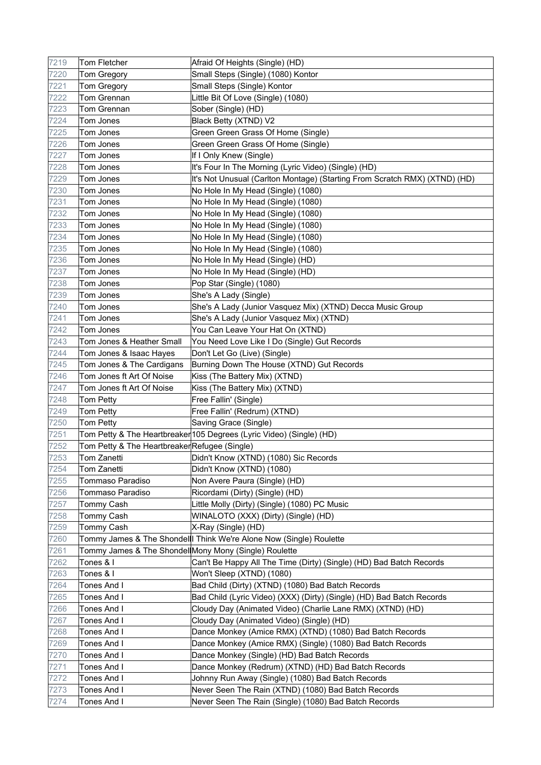| 7219 | Tom Fletcher                                          | Afraid Of Heights (Single) (HD)                                            |
|------|-------------------------------------------------------|----------------------------------------------------------------------------|
| 7220 | Tom Gregory                                           | Small Steps (Single) (1080) Kontor                                         |
| 7221 | Tom Gregory                                           | Small Steps (Single) Kontor                                                |
| 7222 | <b>Tom Grennan</b>                                    | Little Bit Of Love (Single) (1080)                                         |
| 7223 | Tom Grennan                                           | Sober (Single) (HD)                                                        |
| 7224 | Tom Jones                                             | Black Betty (XTND) V2                                                      |
| 7225 | Tom Jones                                             | Green Green Grass Of Home (Single)                                         |
| 7226 | Tom Jones                                             | Green Green Grass Of Home (Single)                                         |
| 7227 | Tom Jones                                             | If I Only Knew (Single)                                                    |
| 7228 | Tom Jones                                             | It's Four In The Morning (Lyric Video) (Single) (HD)                       |
| 7229 | Tom Jones                                             | It's Not Unusual (Carlton Montage) (Starting From Scratch RMX) (XTND) (HD) |
| 7230 | Tom Jones                                             | No Hole In My Head (Single) (1080)                                         |
| 7231 | Tom Jones                                             | No Hole In My Head (Single) (1080)                                         |
| 7232 | Tom Jones                                             | No Hole In My Head (Single) (1080)                                         |
| 7233 | Tom Jones                                             | No Hole In My Head (Single) (1080)                                         |
| 7234 | Tom Jones                                             | No Hole In My Head (Single) (1080)                                         |
| 7235 | Tom Jones                                             | No Hole In My Head (Single) (1080)                                         |
| 7236 | Tom Jones                                             | No Hole In My Head (Single) (HD)                                           |
| 7237 | Tom Jones                                             | No Hole In My Head (Single) (HD)                                           |
| 7238 | Tom Jones                                             | Pop Star (Single) (1080)                                                   |
| 7239 | Tom Jones                                             | She's A Lady (Single)                                                      |
| 7240 | Tom Jones                                             | She's A Lady (Junior Vasquez Mix) (XTND) Decca Music Group                 |
| 7241 | Tom Jones                                             | She's A Lady (Junior Vasquez Mix) (XTND)                                   |
| 7242 | Tom Jones                                             | You Can Leave Your Hat On (XTND)                                           |
| 7243 | Tom Jones & Heather Small                             | You Need Love Like I Do (Single) Gut Records                               |
| 7244 | Tom Jones & Isaac Hayes                               | Don't Let Go (Live) (Single)                                               |
| 7245 | Tom Jones & The Cardigans                             | Burning Down The House (XTND) Gut Records                                  |
| 7246 | Tom Jones ft Art Of Noise                             | Kiss (The Battery Mix) (XTND)                                              |
| 7247 | Tom Jones ft Art Of Noise                             | Kiss (The Battery Mix) (XTND)                                              |
| 7248 | <b>Tom Petty</b>                                      | Free Fallin' (Single)                                                      |
| 7249 | Tom Petty                                             | Free Fallin' (Redrum) (XTND)                                               |
| 7250 | Tom Petty                                             | Saving Grace (Single)                                                      |
| 7251 |                                                       | Tom Petty & The Heartbreaker 105 Degrees (Lyric Video) (Single) (HD)       |
| 7252 | Tom Petty & The HeartbreakerRefugee (Single)          |                                                                            |
| 7253 | Tom Zanetti                                           | Didn't Know (XTND) (1080) Sic Records                                      |
| 7254 | Tom Zanetti                                           | Didn't Know (XTND) (1080)                                                  |
| 7255 | Tommaso Paradiso                                      | Non Avere Paura (Single) (HD)                                              |
| 7256 | Tommaso Paradiso                                      | Ricordami (Dirty) (Single) (HD)                                            |
| 7257 | Tommy Cash                                            | Little Molly (Dirty) (Single) (1080) PC Music                              |
| 7258 | Tommy Cash                                            | WINALOTO (XXX) (Dirty) (Single) (HD)                                       |
| 7259 | Tommy Cash                                            | X-Ray (Single) (HD)                                                        |
| 7260 |                                                       | Tommy James & The Shondel I Think We're Alone Now (Single) Roulette        |
| 7261 | Tommy James & The ShondellMony Mony (Single) Roulette |                                                                            |
| 7262 | Tones & I                                             | Can't Be Happy All The Time (Dirty) (Single) (HD) Bad Batch Records        |
| 7263 | Tones & I                                             | Won't Sleep (XTND) (1080)                                                  |
| 7264 | Tones And I                                           | Bad Child (Dirty) (XTND) (1080) Bad Batch Records                          |
| 7265 | Tones And I                                           | Bad Child (Lyric Video) (XXX) (Dirty) (Single) (HD) Bad Batch Records      |
| 7266 | Tones And I                                           | Cloudy Day (Animated Video) (Charlie Lane RMX) (XTND) (HD)                 |
| 7267 | Tones And I                                           | Cloudy Day (Animated Video) (Single) (HD)                                  |
| 7268 | Tones And I                                           | Dance Monkey (Amice RMX) (XTND) (1080) Bad Batch Records                   |
| 7269 | Tones And I                                           | Dance Monkey (Amice RMX) (Single) (1080) Bad Batch Records                 |
| 7270 | Tones And I                                           | Dance Monkey (Single) (HD) Bad Batch Records                               |
| 7271 | Tones And I                                           | Dance Monkey (Redrum) (XTND) (HD) Bad Batch Records                        |
| 7272 | Tones And I                                           | Johnny Run Away (Single) (1080) Bad Batch Records                          |
| 7273 | Tones And I                                           | Never Seen The Rain (XTND) (1080) Bad Batch Records                        |
| 7274 | Tones And I                                           | Never Seen The Rain (Single) (1080) Bad Batch Records                      |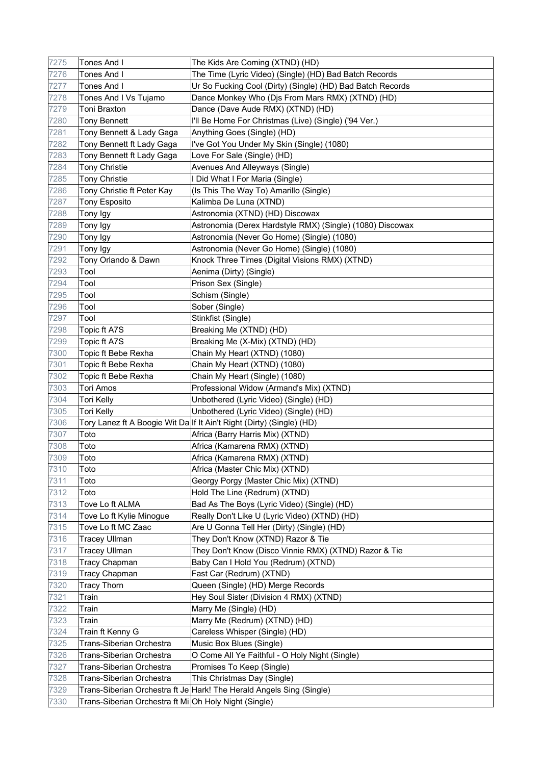| 7275 | Tones And I                                           | The Kids Are Coming (XTND) (HD)                                       |
|------|-------------------------------------------------------|-----------------------------------------------------------------------|
| 7276 | Tones And I                                           | The Time (Lyric Video) (Single) (HD) Bad Batch Records                |
| 7277 | Tones And I                                           | Ur So Fucking Cool (Dirty) (Single) (HD) Bad Batch Records            |
| 7278 | Tones And I Vs Tujamo                                 | Dance Monkey Who (Djs From Mars RMX) (XTND) (HD)                      |
| 7279 | Toni Braxton                                          | Dance (Dave Aude RMX) (XTND) (HD)                                     |
| 7280 | <b>Tony Bennett</b>                                   | I'll Be Home For Christmas (Live) (Single) ('94 Ver.)                 |
| 7281 | Tony Bennett & Lady Gaga                              | Anything Goes (Single) (HD)                                           |
| 7282 | Tony Bennett ft Lady Gaga                             | I've Got You Under My Skin (Single) (1080)                            |
| 7283 | Tony Bennett ft Lady Gaga                             | Love For Sale (Single) (HD)                                           |
| 7284 | <b>Tony Christie</b>                                  | Avenues And Alleyways (Single)                                        |
| 7285 | <b>Tony Christie</b>                                  | I Did What I For Maria (Single)                                       |
| 7286 | Tony Christie ft Peter Kay                            | (Is This The Way To) Amarillo (Single)                                |
| 7287 | <b>Tony Esposito</b>                                  | Kalimba De Luna (XTND)                                                |
| 7288 | Tony Igy                                              | Astronomia (XTND) (HD) Discowax                                       |
| 7289 | Tony Igy                                              | Astronomia (Derex Hardstyle RMX) (Single) (1080) Discowax             |
| 7290 | Tony Igy                                              | Astronomia (Never Go Home) (Single) (1080)                            |
| 7291 | Tony Igy                                              | Astronomia (Never Go Home) (Single) (1080)                            |
| 7292 | Tony Orlando & Dawn                                   | Knock Three Times (Digital Visions RMX) (XTND)                        |
| 7293 | Tool                                                  | Aenima (Dirty) (Single)                                               |
| 7294 | Tool                                                  | Prison Sex (Single)                                                   |
| 7295 | Tool                                                  | Schism (Single)                                                       |
| 7296 | Tool                                                  | Sober (Single)                                                        |
| 7297 | Tool                                                  | Stinkfist (Single)                                                    |
| 7298 | Topic ft A7S                                          | Breaking Me (XTND) (HD)                                               |
| 7299 | Topic ft A7S                                          | Breaking Me (X-Mix) (XTND) (HD)                                       |
| 7300 | Topic ft Bebe Rexha                                   | Chain My Heart (XTND) (1080)                                          |
| 7301 | Topic ft Bebe Rexha                                   | Chain My Heart (XTND) (1080)                                          |
| 7302 | Topic ft Bebe Rexha                                   | Chain My Heart (Single) (1080)                                        |
| 7303 | Tori Amos                                             | Professional Widow (Armand's Mix) (XTND)                              |
| 7304 | Tori Kelly                                            | Unbothered (Lyric Video) (Single) (HD)                                |
| 7305 | Tori Kelly                                            | Unbothered (Lyric Video) (Single) (HD)                                |
| 7306 |                                                       | Tory Lanez ft A Boogie Wit Da If It Ain't Right (Dirty) (Single) (HD) |
| 7307 | Toto                                                  | Africa (Barry Harris Mix) (XTND)                                      |
| 7308 | Toto                                                  | Africa (Kamarena RMX) (XTND)                                          |
| 7309 | Toto                                                  | Africa (Kamarena RMX) (XTND)                                          |
| 7310 | Toto                                                  | Africa (Master Chic Mix) (XTND)                                       |
| 7311 | Toto                                                  | Georgy Porgy (Master Chic Mix) (XTND)                                 |
| 7312 | Toto                                                  | Hold The Line (Redrum) (XTND)                                         |
| 7313 | Tove Lo ft ALMA                                       | Bad As The Boys (Lyric Video) (Single) (HD)                           |
| 7314 | Tove Lo ft Kylie Minogue                              | Really Don't Like U (Lyric Video) (XTND) (HD)                         |
| 7315 | Tove Lo ft MC Zaac                                    | Are U Gonna Tell Her (Dirty) (Single) (HD)                            |
| 7316 | <b>Tracey Ullman</b>                                  | They Don't Know (XTND) Razor & Tie                                    |
| 7317 | <b>Tracey Ullman</b>                                  | They Don't Know (Disco Vinnie RMX) (XTND) Razor & Tie                 |
| 7318 | <b>Tracy Chapman</b>                                  | Baby Can I Hold You (Redrum) (XTND)                                   |
| 7319 | <b>Tracy Chapman</b>                                  | Fast Car (Redrum) (XTND)                                              |
| 7320 | <b>Tracy Thorn</b>                                    | Queen (Single) (HD) Merge Records                                     |
| 7321 | Train                                                 | Hey Soul Sister (Division 4 RMX) (XTND)                               |
| 7322 | Train                                                 | Marry Me (Single) (HD)                                                |
| 7323 | Train                                                 | Marry Me (Redrum) (XTND) (HD)                                         |
| 7324 | Train ft Kenny G                                      | Careless Whisper (Single) (HD)                                        |
| 7325 | Trans-Siberian Orchestra                              | Music Box Blues (Single)                                              |
| 7326 | Trans-Siberian Orchestra                              | O Come All Ye Faithful - O Holy Night (Single)                        |
| 7327 | Trans-Siberian Orchestra                              | Promises To Keep (Single)                                             |
| 7328 | Trans-Siberian Orchestra                              | This Christmas Day (Single)                                           |
| 7329 |                                                       | Trans-Siberian Orchestra ft Je Hark! The Herald Angels Sing (Single)  |
| 7330 | Trans-Siberian Orchestra ft Mi Oh Holy Night (Single) |                                                                       |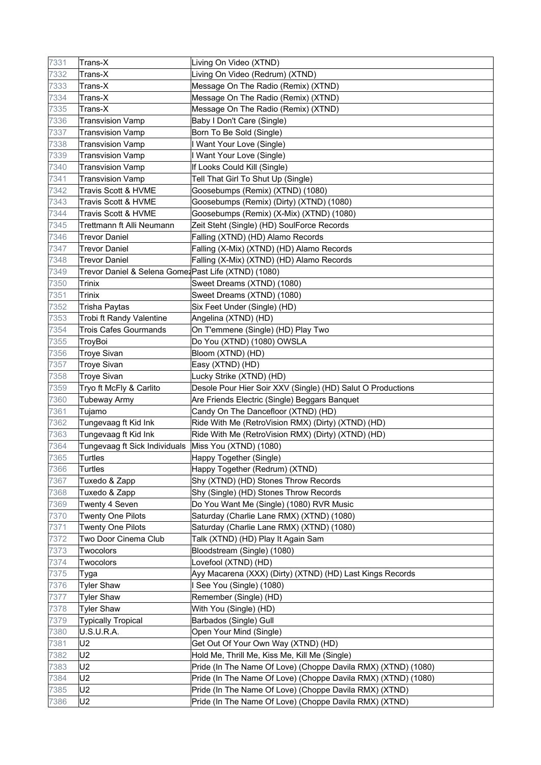| 7331 | Trans-X                                              | Living On Video (XTND)                                        |
|------|------------------------------------------------------|---------------------------------------------------------------|
| 7332 | Trans-X                                              | Living On Video (Redrum) (XTND)                               |
| 7333 | Trans-X                                              | Message On The Radio (Remix) (XTND)                           |
| 7334 | Trans-X                                              | Message On The Radio (Remix) (XTND)                           |
| 7335 | Trans-X                                              | Message On The Radio (Remix) (XTND)                           |
| 7336 | <b>Transvision Vamp</b>                              | Baby I Don't Care (Single)                                    |
| 7337 | <b>Transvision Vamp</b>                              | Born To Be Sold (Single)                                      |
| 7338 | <b>Transvision Vamp</b>                              | I Want Your Love (Single)                                     |
| 7339 | <b>Transvision Vamp</b>                              | I Want Your Love (Single)                                     |
| 7340 | <b>Transvision Vamp</b>                              | If Looks Could Kill (Single)                                  |
| 7341 | <b>Transvision Vamp</b>                              | Tell That Girl To Shut Up (Single)                            |
| 7342 | Travis Scott & HVME                                  | Goosebumps (Remix) (XTND) (1080)                              |
| 7343 | Travis Scott & HVME                                  | Goosebumps (Remix) (Dirty) (XTND) (1080)                      |
| 7344 | Travis Scott & HVME                                  | Goosebumps (Remix) (X-Mix) (XTND) (1080)                      |
| 7345 | Trettmann ft Alli Neumann                            | Zeit Steht (Single) (HD) SoulForce Records                    |
| 7346 | <b>Trevor Daniel</b>                                 | Falling (XTND) (HD) Alamo Records                             |
| 7347 | Trevor Daniel                                        | Falling (X-Mix) (XTND) (HD) Alamo Records                     |
| 7348 | <b>Trevor Daniel</b>                                 | Falling (X-Mix) (XTND) (HD) Alamo Records                     |
| 7349 | Trevor Daniel & Selena Gomez Past Life (XTND) (1080) |                                                               |
| 7350 | <b>Trinix</b>                                        | Sweet Dreams (XTND) (1080)                                    |
| 7351 | <b>Trinix</b>                                        | Sweet Dreams (XTND) (1080)                                    |
| 7352 | Trisha Paytas                                        | Six Feet Under (Single) (HD)                                  |
| 7353 | Trobi ft Randy Valentine                             | Angelina (XTND) (HD)                                          |
| 7354 | <b>Trois Cafes Gourmands</b>                         | On T'emmene (Single) (HD) Play Two                            |
| 7355 | TroyBoi                                              | Do You (XTND) (1080) OWSLA                                    |
| 7356 | <b>Troye Sivan</b>                                   | Bloom (XTND) (HD)                                             |
| 7357 | <b>Troye Sivan</b>                                   | Easy (XTND) (HD)                                              |
| 7358 | <b>Troye Sivan</b>                                   | Lucky Strike (XTND) (HD)                                      |
| 7359 | Tryo ft McFly & Carlito                              | Desole Pour Hier Soir XXV (Single) (HD) Salut O Productions   |
| 7360 | <b>Tubeway Army</b>                                  | Are Friends Electric (Single) Beggars Banquet                 |
| 7361 | Tujamo                                               | Candy On The Dancefloor (XTND) (HD)                           |
| 7362 | Tungevaag ft Kid Ink                                 | Ride With Me (RetroVision RMX) (Dirty) (XTND) (HD)            |
| 7363 | Tungevaag ft Kid Ink                                 | Ride With Me (RetroVision RMX) (Dirty) (XTND) (HD)            |
| 7364 | Tungevaag ft Sick Individuals                        | Miss You (XTND) (1080)                                        |
| 7365 | <b>Turtles</b>                                       | Happy Together (Single)                                       |
| 7366 | Turtles                                              | Happy Together (Redrum) (XTND)                                |
| 7367 | Tuxedo & Zapp                                        | Shy (XTND) (HD) Stones Throw Records                          |
| 7368 | Tuxedo & Zapp                                        | Shy (Single) (HD) Stones Throw Records                        |
| 7369 | Twenty 4 Seven                                       | Do You Want Me (Single) (1080) RVR Music                      |
| 7370 | <b>Twenty One Pilots</b>                             | Saturday (Charlie Lane RMX) (XTND) (1080)                     |
| 7371 | <b>Twenty One Pilots</b>                             | Saturday (Charlie Lane RMX) (XTND) (1080)                     |
| 7372 | Two Door Cinema Club                                 | Talk (XTND) (HD) Play It Again Sam                            |
| 7373 | Twocolors                                            | Bloodstream (Single) (1080)                                   |
| 7374 | Twocolors                                            | Lovefool (XTND) (HD)                                          |
| 7375 | Tyga                                                 | Ayy Macarena (XXX) (Dirty) (XTND) (HD) Last Kings Records     |
| 7376 | <b>Tyler Shaw</b>                                    | I See You (Single) (1080)                                     |
| 7377 | <b>Tyler Shaw</b>                                    | Remember (Single) (HD)                                        |
| 7378 | <b>Tyler Shaw</b>                                    | With You (Single) (HD)                                        |
| 7379 | <b>Typically Tropical</b>                            | Barbados (Single) Gull                                        |
| 7380 | U.S.U.R.A.                                           | Open Your Mind (Single)                                       |
| 7381 | U <sub>2</sub>                                       | Get Out Of Your Own Way (XTND) (HD)                           |
| 7382 | U <sub>2</sub>                                       | Hold Me, Thrill Me, Kiss Me, Kill Me (Single)                 |
| 7383 | U <sub>2</sub>                                       | Pride (In The Name Of Love) (Choppe Davila RMX) (XTND) (1080) |
| 7384 | U <sub>2</sub>                                       | Pride (In The Name Of Love) (Choppe Davila RMX) (XTND) (1080) |
| 7385 | U <sub>2</sub>                                       | Pride (In The Name Of Love) (Choppe Davila RMX) (XTND)        |
|      |                                                      |                                                               |
| 7386 | U2                                                   | Pride (In The Name Of Love) (Choppe Davila RMX) (XTND)        |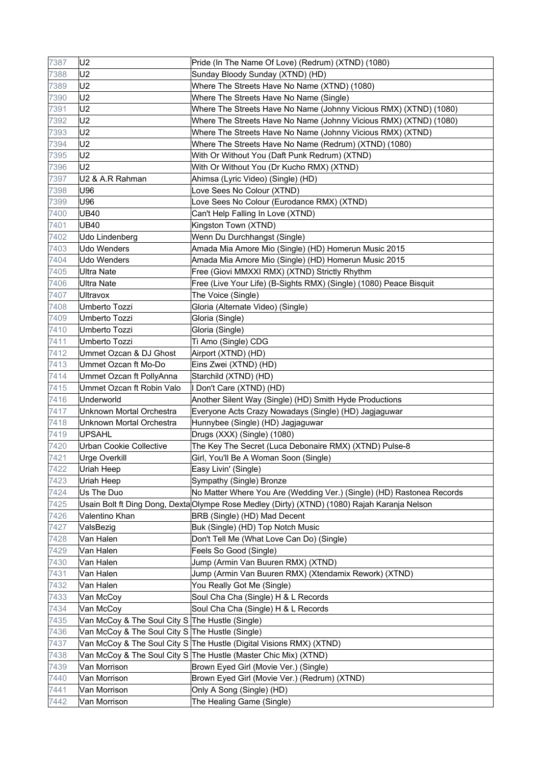| 7387 | U <sub>2</sub>                                  | Pride (In The Name Of Love) (Redrum) (XTND) (1080)                                           |
|------|-------------------------------------------------|----------------------------------------------------------------------------------------------|
| 7388 | U <sub>2</sub>                                  | Sunday Bloody Sunday (XTND) (HD)                                                             |
| 7389 | U <sub>2</sub>                                  | Where The Streets Have No Name (XTND) (1080)                                                 |
| 7390 | U <sub>2</sub>                                  | Where The Streets Have No Name (Single)                                                      |
| 7391 | U <sub>2</sub>                                  | Where The Streets Have No Name (Johnny Vicious RMX) (XTND) (1080)                            |
| 7392 | U <sub>2</sub>                                  | Where The Streets Have No Name (Johnny Vicious RMX) (XTND) (1080)                            |
| 7393 | U <sub>2</sub>                                  | Where The Streets Have No Name (Johnny Vicious RMX) (XTND)                                   |
| 7394 | U <sub>2</sub>                                  | Where The Streets Have No Name (Redrum) (XTND) (1080)                                        |
| 7395 | U <sub>2</sub>                                  | With Or Without You (Daft Punk Redrum) (XTND)                                                |
| 7396 | U <sub>2</sub>                                  | With Or Without You (Dr Kucho RMX) (XTND)                                                    |
| 7397 | U2 & A.R Rahman                                 | Ahimsa (Lyric Video) (Single) (HD)                                                           |
| 7398 | U96                                             | Love Sees No Colour (XTND)                                                                   |
| 7399 | U96                                             | Love Sees No Colour (Eurodance RMX) (XTND)                                                   |
| 7400 | <b>UB40</b>                                     | Can't Help Falling In Love (XTND)                                                            |
| 7401 | <b>UB40</b>                                     | Kingston Town (XTND)                                                                         |
| 7402 | Udo Lindenberg                                  | Wenn Du Durchhangst (Single)                                                                 |
| 7403 | Udo Wenders                                     | Amada Mia Amore Mio (Single) (HD) Homerun Music 2015                                         |
| 7404 | <b>Udo Wenders</b>                              | Amada Mia Amore Mio (Single) (HD) Homerun Music 2015                                         |
| 7405 | <b>Ultra Nate</b>                               | Free (Giovi MMXXI RMX) (XTND) Strictly Rhythm                                                |
| 7406 | Ultra Nate                                      | Free (Live Your Life) (B-Sights RMX) (Single) (1080) Peace Bisquit                           |
| 7407 | Ultravox                                        | The Voice (Single)                                                                           |
| 7408 | Umberto Tozzi                                   | Gloria (Alternate Video) (Single)                                                            |
| 7409 | Umberto Tozzi                                   | Gloria (Single)                                                                              |
| 7410 | Umberto Tozzi                                   | Gloria (Single)                                                                              |
| 7411 | Umberto Tozzi                                   | Ti Amo (Single) CDG                                                                          |
| 7412 | Ummet Ozcan & DJ Ghost                          | Airport (XTND) (HD)                                                                          |
| 7413 | Ummet Ozcan ft Mo-Do                            | Eins Zwei (XTND) (HD)                                                                        |
| 7414 | Ummet Ozcan ft PollyAnna                        | Starchild (XTND) (HD)                                                                        |
| 7415 | Ummet Ozcan ft Robin Valo                       | I Don't Care (XTND) (HD)                                                                     |
| 7416 | Underworld                                      | Another Silent Way (Single) (HD) Smith Hyde Productions                                      |
| 7417 | Unknown Mortal Orchestra                        | Everyone Acts Crazy Nowadays (Single) (HD) Jagjaguwar                                        |
| 7418 | Unknown Mortal Orchestra                        | Hunnybee (Single) (HD) Jagjaguwar                                                            |
| 7419 | <b>UPSAHL</b>                                   | Drugs (XXX) (Single) (1080)                                                                  |
| 7420 | <b>Urban Cookie Collective</b>                  | The Key The Secret (Luca Debonaire RMX) (XTND) Pulse-8                                       |
| 7421 | <b>Urge Overkill</b>                            | Girl, You'll Be A Woman Soon (Single)                                                        |
| 7422 | Uriah Heep                                      | Easy Livin' (Single)                                                                         |
| 7423 | Uriah Heep                                      | Sympathy (Single) Bronze                                                                     |
| 7424 | Us The Duo                                      | No Matter Where You Are (Wedding Ver.) (Single) (HD) Rastonea Records                        |
| 7425 |                                                 | Usain Bolt ft Ding Dong, Dexta Olympe Rose Medley (Dirty) (XTND) (1080) Rajah Karanja Nelson |
| 7426 | Valentino Khan                                  | BRB (Single) (HD) Mad Decent                                                                 |
| 7427 | ValsBezig                                       | Buk (Single) (HD) Top Notch Music                                                            |
| 7428 | Van Halen                                       | Don't Tell Me (What Love Can Do) (Single)                                                    |
| 7429 | Van Halen                                       | Feels So Good (Single)                                                                       |
| 7430 | Van Halen                                       | Jump (Armin Van Buuren RMX) (XTND)                                                           |
| 7431 | Van Halen                                       | Jump (Armin Van Buuren RMX) (Xtendamix Rework) (XTND)                                        |
| 7432 | Van Halen                                       | You Really Got Me (Single)                                                                   |
| 7433 | Van McCoy                                       | Soul Cha Cha (Single) H & L Records                                                          |
| 7434 | Van McCoy                                       | Soul Cha Cha (Single) H & L Records                                                          |
| 7435 | Van McCoy & The Soul City S The Hustle (Single) |                                                                                              |
| 7436 | Van McCoy & The Soul City S The Hustle (Single) |                                                                                              |
| 7437 |                                                 | Van McCoy & The Soul City S The Hustle (Digital Visions RMX) (XTND)                          |
| 7438 |                                                 | Van McCoy & The Soul City S The Hustle (Master Chic Mix) (XTND)                              |
| 7439 | Van Morrison                                    | Brown Eyed Girl (Movie Ver.) (Single)                                                        |
| 7440 | Van Morrison                                    | Brown Eyed Girl (Movie Ver.) (Redrum) (XTND)                                                 |
| 7441 | Van Morrison                                    | Only A Song (Single) (HD)                                                                    |
| 7442 | Van Morrison                                    | The Healing Game (Single)                                                                    |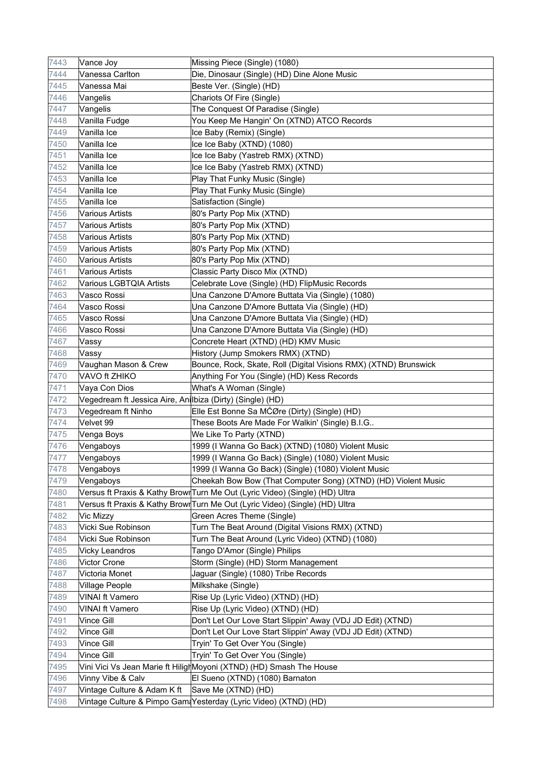| 7444<br>Vanessa Carlton<br>Die, Dinosaur (Single) (HD) Dine Alone Music<br>7445<br>Vanessa Mai<br>Beste Ver. (Single) (HD)<br>7446<br>Vangelis<br>Chariots Of Fire (Single)<br>7447<br>The Conquest Of Paradise (Single)<br>Vangelis<br>7448<br>You Keep Me Hangin' On (XTND) ATCO Records<br>Vanilla Fudge<br>7449<br>Vanilla Ice<br>Ice Baby (Remix) (Single)<br>7450<br>Vanilla Ice<br>Ice Ice Baby (XTND) (1080)<br>7451<br>Vanilla Ice<br>Ice Ice Baby (Yastreb RMX) (XTND)<br>7452<br>Vanilla Ice<br>Ice Ice Baby (Yastreb RMX) (XTND)<br>7453<br>Vanilla Ice<br>Play That Funky Music (Single)<br>7454<br>Vanilla Ice<br>Play That Funky Music (Single)<br>7455<br>Vanilla Ice<br>Satisfaction (Single)<br>7456<br><b>Various Artists</b><br>80's Party Pop Mix (XTND)<br>7457<br><b>Various Artists</b><br>80's Party Pop Mix (XTND)<br>7458<br><b>Various Artists</b><br>80's Party Pop Mix (XTND)<br>7459<br><b>Various Artists</b><br>80's Party Pop Mix (XTND)<br>7460<br><b>Various Artists</b><br>80's Party Pop Mix (XTND)<br>7461<br><b>Various Artists</b><br>Classic Party Disco Mix (XTND)<br>7462<br><b>Various LGBTQIA Artists</b><br>Celebrate Love (Single) (HD) FlipMusic Records<br>7463<br>Vasco Rossi<br>Una Canzone D'Amore Buttata Via (Single) (1080)<br>7464<br>Vasco Rossi<br>Una Canzone D'Amore Buttata Via (Single) (HD)<br>7465<br>Vasco Rossi<br>Una Canzone D'Amore Buttata Via (Single) (HD)<br>7466<br>Vasco Rossi<br>Una Canzone D'Amore Buttata Via (Single) (HD)<br>7467<br>Concrete Heart (XTND) (HD) KMV Music<br>Vassy<br>7468<br>Vassy<br>History (Jump Smokers RMX) (XTND)<br>7469<br>Vaughan Mason & Crew<br>Bounce, Rock, Skate, Roll (Digital Visions RMX) (XTND) Brunswick<br>7470<br>VAVO ft ZHIKO<br>Anything For You (Single) (HD) Kess Records<br>Vaya Con Dios<br>What's A Woman (Single)<br>7471<br>7472<br>Vegedream ft Jessica Aire, Anilbiza (Dirty) (Single) (HD)<br>Elle Est Bonne Sa MĆØre (Dirty) (Single) (HD)<br>Vegedream ft Ninho<br>7473<br>7474<br>Velvet 99<br>These Boots Are Made For Walkin' (Single) B.I.G<br>7475<br>We Like To Party (XTND)<br>Venga Boys<br>7476<br>Vengaboys<br>1999 (I Wanna Go Back) (XTND) (1080) Violent Music<br>7477<br>1999 (I Wanna Go Back) (Single) (1080) Violent Music<br>Vengaboys<br>1999 (I Wanna Go Back) (Single) (1080) Violent Music<br>7478<br>Vengaboys<br>Vengaboys<br>Cheekah Bow Bow (That Computer Song) (XTND) (HD) Violent Music<br>7479<br>7480<br>Versus ft Praxis & Kathy Browr Turn Me Out (Lyric Video) (Single) (HD) Ultra<br>7481<br>Versus ft Praxis & Kathy Browr Turn Me Out (Lyric Video) (Single) (HD) Ultra<br>7482<br>Green Acres Theme (Single)<br>Vic Mizzy<br>7483<br>Vicki Sue Robinson<br>Turn The Beat Around (Digital Visions RMX) (XTND)<br>7484<br>Turn The Beat Around (Lyric Video) (XTND) (1080)<br>Vicki Sue Robinson<br>7485<br>Tango D'Amor (Single) Philips<br>Vicky Leandros<br>7486<br><b>Victor Crone</b><br>Storm (Single) (HD) Storm Management<br>7487<br>Victoria Monet<br>Jaguar (Single) (1080) Tribe Records<br>7488<br>Village People<br>Milkshake (Single)<br>7489<br>Rise Up (Lyric Video) (XTND) (HD)<br><b>VINAI ft Vamero</b><br>7490<br><b>VINAI ft Vamero</b><br>Rise Up (Lyric Video) (XTND) (HD) | 7443 | Vance Joy  | Missing Piece (Single) (1080)                               |
|-------------------------------------------------------------------------------------------------------------------------------------------------------------------------------------------------------------------------------------------------------------------------------------------------------------------------------------------------------------------------------------------------------------------------------------------------------------------------------------------------------------------------------------------------------------------------------------------------------------------------------------------------------------------------------------------------------------------------------------------------------------------------------------------------------------------------------------------------------------------------------------------------------------------------------------------------------------------------------------------------------------------------------------------------------------------------------------------------------------------------------------------------------------------------------------------------------------------------------------------------------------------------------------------------------------------------------------------------------------------------------------------------------------------------------------------------------------------------------------------------------------------------------------------------------------------------------------------------------------------------------------------------------------------------------------------------------------------------------------------------------------------------------------------------------------------------------------------------------------------------------------------------------------------------------------------------------------------------------------------------------------------------------------------------------------------------------------------------------------------------------------------------------------------------------------------------------------------------------------------------------------------------------------------------------------------------------------------------------------------------------------------------------------------------------------------------------------------------------------------------------------------------------------------------------------------------------------------------------------------------------------------------------------------------------------------------------------------------------------------------------------------------------------------------------------------------------------------------------------------------------------------------------------------------------------------------------------------------------------------------------------------------------------------------------------------------------------------------------------------------------------------------------------------------------------------------------------------------------------------------------------------------------|------|------------|-------------------------------------------------------------|
|                                                                                                                                                                                                                                                                                                                                                                                                                                                                                                                                                                                                                                                                                                                                                                                                                                                                                                                                                                                                                                                                                                                                                                                                                                                                                                                                                                                                                                                                                                                                                                                                                                                                                                                                                                                                                                                                                                                                                                                                                                                                                                                                                                                                                                                                                                                                                                                                                                                                                                                                                                                                                                                                                                                                                                                                                                                                                                                                                                                                                                                                                                                                                                                                                                                                               |      |            |                                                             |
|                                                                                                                                                                                                                                                                                                                                                                                                                                                                                                                                                                                                                                                                                                                                                                                                                                                                                                                                                                                                                                                                                                                                                                                                                                                                                                                                                                                                                                                                                                                                                                                                                                                                                                                                                                                                                                                                                                                                                                                                                                                                                                                                                                                                                                                                                                                                                                                                                                                                                                                                                                                                                                                                                                                                                                                                                                                                                                                                                                                                                                                                                                                                                                                                                                                                               |      |            |                                                             |
|                                                                                                                                                                                                                                                                                                                                                                                                                                                                                                                                                                                                                                                                                                                                                                                                                                                                                                                                                                                                                                                                                                                                                                                                                                                                                                                                                                                                                                                                                                                                                                                                                                                                                                                                                                                                                                                                                                                                                                                                                                                                                                                                                                                                                                                                                                                                                                                                                                                                                                                                                                                                                                                                                                                                                                                                                                                                                                                                                                                                                                                                                                                                                                                                                                                                               |      |            |                                                             |
|                                                                                                                                                                                                                                                                                                                                                                                                                                                                                                                                                                                                                                                                                                                                                                                                                                                                                                                                                                                                                                                                                                                                                                                                                                                                                                                                                                                                                                                                                                                                                                                                                                                                                                                                                                                                                                                                                                                                                                                                                                                                                                                                                                                                                                                                                                                                                                                                                                                                                                                                                                                                                                                                                                                                                                                                                                                                                                                                                                                                                                                                                                                                                                                                                                                                               |      |            |                                                             |
|                                                                                                                                                                                                                                                                                                                                                                                                                                                                                                                                                                                                                                                                                                                                                                                                                                                                                                                                                                                                                                                                                                                                                                                                                                                                                                                                                                                                                                                                                                                                                                                                                                                                                                                                                                                                                                                                                                                                                                                                                                                                                                                                                                                                                                                                                                                                                                                                                                                                                                                                                                                                                                                                                                                                                                                                                                                                                                                                                                                                                                                                                                                                                                                                                                                                               |      |            |                                                             |
|                                                                                                                                                                                                                                                                                                                                                                                                                                                                                                                                                                                                                                                                                                                                                                                                                                                                                                                                                                                                                                                                                                                                                                                                                                                                                                                                                                                                                                                                                                                                                                                                                                                                                                                                                                                                                                                                                                                                                                                                                                                                                                                                                                                                                                                                                                                                                                                                                                                                                                                                                                                                                                                                                                                                                                                                                                                                                                                                                                                                                                                                                                                                                                                                                                                                               |      |            |                                                             |
|                                                                                                                                                                                                                                                                                                                                                                                                                                                                                                                                                                                                                                                                                                                                                                                                                                                                                                                                                                                                                                                                                                                                                                                                                                                                                                                                                                                                                                                                                                                                                                                                                                                                                                                                                                                                                                                                                                                                                                                                                                                                                                                                                                                                                                                                                                                                                                                                                                                                                                                                                                                                                                                                                                                                                                                                                                                                                                                                                                                                                                                                                                                                                                                                                                                                               |      |            |                                                             |
|                                                                                                                                                                                                                                                                                                                                                                                                                                                                                                                                                                                                                                                                                                                                                                                                                                                                                                                                                                                                                                                                                                                                                                                                                                                                                                                                                                                                                                                                                                                                                                                                                                                                                                                                                                                                                                                                                                                                                                                                                                                                                                                                                                                                                                                                                                                                                                                                                                                                                                                                                                                                                                                                                                                                                                                                                                                                                                                                                                                                                                                                                                                                                                                                                                                                               |      |            |                                                             |
|                                                                                                                                                                                                                                                                                                                                                                                                                                                                                                                                                                                                                                                                                                                                                                                                                                                                                                                                                                                                                                                                                                                                                                                                                                                                                                                                                                                                                                                                                                                                                                                                                                                                                                                                                                                                                                                                                                                                                                                                                                                                                                                                                                                                                                                                                                                                                                                                                                                                                                                                                                                                                                                                                                                                                                                                                                                                                                                                                                                                                                                                                                                                                                                                                                                                               |      |            |                                                             |
|                                                                                                                                                                                                                                                                                                                                                                                                                                                                                                                                                                                                                                                                                                                                                                                                                                                                                                                                                                                                                                                                                                                                                                                                                                                                                                                                                                                                                                                                                                                                                                                                                                                                                                                                                                                                                                                                                                                                                                                                                                                                                                                                                                                                                                                                                                                                                                                                                                                                                                                                                                                                                                                                                                                                                                                                                                                                                                                                                                                                                                                                                                                                                                                                                                                                               |      |            |                                                             |
|                                                                                                                                                                                                                                                                                                                                                                                                                                                                                                                                                                                                                                                                                                                                                                                                                                                                                                                                                                                                                                                                                                                                                                                                                                                                                                                                                                                                                                                                                                                                                                                                                                                                                                                                                                                                                                                                                                                                                                                                                                                                                                                                                                                                                                                                                                                                                                                                                                                                                                                                                                                                                                                                                                                                                                                                                                                                                                                                                                                                                                                                                                                                                                                                                                                                               |      |            |                                                             |
|                                                                                                                                                                                                                                                                                                                                                                                                                                                                                                                                                                                                                                                                                                                                                                                                                                                                                                                                                                                                                                                                                                                                                                                                                                                                                                                                                                                                                                                                                                                                                                                                                                                                                                                                                                                                                                                                                                                                                                                                                                                                                                                                                                                                                                                                                                                                                                                                                                                                                                                                                                                                                                                                                                                                                                                                                                                                                                                                                                                                                                                                                                                                                                                                                                                                               |      |            |                                                             |
|                                                                                                                                                                                                                                                                                                                                                                                                                                                                                                                                                                                                                                                                                                                                                                                                                                                                                                                                                                                                                                                                                                                                                                                                                                                                                                                                                                                                                                                                                                                                                                                                                                                                                                                                                                                                                                                                                                                                                                                                                                                                                                                                                                                                                                                                                                                                                                                                                                                                                                                                                                                                                                                                                                                                                                                                                                                                                                                                                                                                                                                                                                                                                                                                                                                                               |      |            |                                                             |
|                                                                                                                                                                                                                                                                                                                                                                                                                                                                                                                                                                                                                                                                                                                                                                                                                                                                                                                                                                                                                                                                                                                                                                                                                                                                                                                                                                                                                                                                                                                                                                                                                                                                                                                                                                                                                                                                                                                                                                                                                                                                                                                                                                                                                                                                                                                                                                                                                                                                                                                                                                                                                                                                                                                                                                                                                                                                                                                                                                                                                                                                                                                                                                                                                                                                               |      |            |                                                             |
|                                                                                                                                                                                                                                                                                                                                                                                                                                                                                                                                                                                                                                                                                                                                                                                                                                                                                                                                                                                                                                                                                                                                                                                                                                                                                                                                                                                                                                                                                                                                                                                                                                                                                                                                                                                                                                                                                                                                                                                                                                                                                                                                                                                                                                                                                                                                                                                                                                                                                                                                                                                                                                                                                                                                                                                                                                                                                                                                                                                                                                                                                                                                                                                                                                                                               |      |            |                                                             |
|                                                                                                                                                                                                                                                                                                                                                                                                                                                                                                                                                                                                                                                                                                                                                                                                                                                                                                                                                                                                                                                                                                                                                                                                                                                                                                                                                                                                                                                                                                                                                                                                                                                                                                                                                                                                                                                                                                                                                                                                                                                                                                                                                                                                                                                                                                                                                                                                                                                                                                                                                                                                                                                                                                                                                                                                                                                                                                                                                                                                                                                                                                                                                                                                                                                                               |      |            |                                                             |
|                                                                                                                                                                                                                                                                                                                                                                                                                                                                                                                                                                                                                                                                                                                                                                                                                                                                                                                                                                                                                                                                                                                                                                                                                                                                                                                                                                                                                                                                                                                                                                                                                                                                                                                                                                                                                                                                                                                                                                                                                                                                                                                                                                                                                                                                                                                                                                                                                                                                                                                                                                                                                                                                                                                                                                                                                                                                                                                                                                                                                                                                                                                                                                                                                                                                               |      |            |                                                             |
|                                                                                                                                                                                                                                                                                                                                                                                                                                                                                                                                                                                                                                                                                                                                                                                                                                                                                                                                                                                                                                                                                                                                                                                                                                                                                                                                                                                                                                                                                                                                                                                                                                                                                                                                                                                                                                                                                                                                                                                                                                                                                                                                                                                                                                                                                                                                                                                                                                                                                                                                                                                                                                                                                                                                                                                                                                                                                                                                                                                                                                                                                                                                                                                                                                                                               |      |            |                                                             |
|                                                                                                                                                                                                                                                                                                                                                                                                                                                                                                                                                                                                                                                                                                                                                                                                                                                                                                                                                                                                                                                                                                                                                                                                                                                                                                                                                                                                                                                                                                                                                                                                                                                                                                                                                                                                                                                                                                                                                                                                                                                                                                                                                                                                                                                                                                                                                                                                                                                                                                                                                                                                                                                                                                                                                                                                                                                                                                                                                                                                                                                                                                                                                                                                                                                                               |      |            |                                                             |
|                                                                                                                                                                                                                                                                                                                                                                                                                                                                                                                                                                                                                                                                                                                                                                                                                                                                                                                                                                                                                                                                                                                                                                                                                                                                                                                                                                                                                                                                                                                                                                                                                                                                                                                                                                                                                                                                                                                                                                                                                                                                                                                                                                                                                                                                                                                                                                                                                                                                                                                                                                                                                                                                                                                                                                                                                                                                                                                                                                                                                                                                                                                                                                                                                                                                               |      |            |                                                             |
|                                                                                                                                                                                                                                                                                                                                                                                                                                                                                                                                                                                                                                                                                                                                                                                                                                                                                                                                                                                                                                                                                                                                                                                                                                                                                                                                                                                                                                                                                                                                                                                                                                                                                                                                                                                                                                                                                                                                                                                                                                                                                                                                                                                                                                                                                                                                                                                                                                                                                                                                                                                                                                                                                                                                                                                                                                                                                                                                                                                                                                                                                                                                                                                                                                                                               |      |            |                                                             |
|                                                                                                                                                                                                                                                                                                                                                                                                                                                                                                                                                                                                                                                                                                                                                                                                                                                                                                                                                                                                                                                                                                                                                                                                                                                                                                                                                                                                                                                                                                                                                                                                                                                                                                                                                                                                                                                                                                                                                                                                                                                                                                                                                                                                                                                                                                                                                                                                                                                                                                                                                                                                                                                                                                                                                                                                                                                                                                                                                                                                                                                                                                                                                                                                                                                                               |      |            |                                                             |
|                                                                                                                                                                                                                                                                                                                                                                                                                                                                                                                                                                                                                                                                                                                                                                                                                                                                                                                                                                                                                                                                                                                                                                                                                                                                                                                                                                                                                                                                                                                                                                                                                                                                                                                                                                                                                                                                                                                                                                                                                                                                                                                                                                                                                                                                                                                                                                                                                                                                                                                                                                                                                                                                                                                                                                                                                                                                                                                                                                                                                                                                                                                                                                                                                                                                               |      |            |                                                             |
|                                                                                                                                                                                                                                                                                                                                                                                                                                                                                                                                                                                                                                                                                                                                                                                                                                                                                                                                                                                                                                                                                                                                                                                                                                                                                                                                                                                                                                                                                                                                                                                                                                                                                                                                                                                                                                                                                                                                                                                                                                                                                                                                                                                                                                                                                                                                                                                                                                                                                                                                                                                                                                                                                                                                                                                                                                                                                                                                                                                                                                                                                                                                                                                                                                                                               |      |            |                                                             |
|                                                                                                                                                                                                                                                                                                                                                                                                                                                                                                                                                                                                                                                                                                                                                                                                                                                                                                                                                                                                                                                                                                                                                                                                                                                                                                                                                                                                                                                                                                                                                                                                                                                                                                                                                                                                                                                                                                                                                                                                                                                                                                                                                                                                                                                                                                                                                                                                                                                                                                                                                                                                                                                                                                                                                                                                                                                                                                                                                                                                                                                                                                                                                                                                                                                                               |      |            |                                                             |
|                                                                                                                                                                                                                                                                                                                                                                                                                                                                                                                                                                                                                                                                                                                                                                                                                                                                                                                                                                                                                                                                                                                                                                                                                                                                                                                                                                                                                                                                                                                                                                                                                                                                                                                                                                                                                                                                                                                                                                                                                                                                                                                                                                                                                                                                                                                                                                                                                                                                                                                                                                                                                                                                                                                                                                                                                                                                                                                                                                                                                                                                                                                                                                                                                                                                               |      |            |                                                             |
|                                                                                                                                                                                                                                                                                                                                                                                                                                                                                                                                                                                                                                                                                                                                                                                                                                                                                                                                                                                                                                                                                                                                                                                                                                                                                                                                                                                                                                                                                                                                                                                                                                                                                                                                                                                                                                                                                                                                                                                                                                                                                                                                                                                                                                                                                                                                                                                                                                                                                                                                                                                                                                                                                                                                                                                                                                                                                                                                                                                                                                                                                                                                                                                                                                                                               |      |            |                                                             |
|                                                                                                                                                                                                                                                                                                                                                                                                                                                                                                                                                                                                                                                                                                                                                                                                                                                                                                                                                                                                                                                                                                                                                                                                                                                                                                                                                                                                                                                                                                                                                                                                                                                                                                                                                                                                                                                                                                                                                                                                                                                                                                                                                                                                                                                                                                                                                                                                                                                                                                                                                                                                                                                                                                                                                                                                                                                                                                                                                                                                                                                                                                                                                                                                                                                                               |      |            |                                                             |
|                                                                                                                                                                                                                                                                                                                                                                                                                                                                                                                                                                                                                                                                                                                                                                                                                                                                                                                                                                                                                                                                                                                                                                                                                                                                                                                                                                                                                                                                                                                                                                                                                                                                                                                                                                                                                                                                                                                                                                                                                                                                                                                                                                                                                                                                                                                                                                                                                                                                                                                                                                                                                                                                                                                                                                                                                                                                                                                                                                                                                                                                                                                                                                                                                                                                               |      |            |                                                             |
|                                                                                                                                                                                                                                                                                                                                                                                                                                                                                                                                                                                                                                                                                                                                                                                                                                                                                                                                                                                                                                                                                                                                                                                                                                                                                                                                                                                                                                                                                                                                                                                                                                                                                                                                                                                                                                                                                                                                                                                                                                                                                                                                                                                                                                                                                                                                                                                                                                                                                                                                                                                                                                                                                                                                                                                                                                                                                                                                                                                                                                                                                                                                                                                                                                                                               |      |            |                                                             |
|                                                                                                                                                                                                                                                                                                                                                                                                                                                                                                                                                                                                                                                                                                                                                                                                                                                                                                                                                                                                                                                                                                                                                                                                                                                                                                                                                                                                                                                                                                                                                                                                                                                                                                                                                                                                                                                                                                                                                                                                                                                                                                                                                                                                                                                                                                                                                                                                                                                                                                                                                                                                                                                                                                                                                                                                                                                                                                                                                                                                                                                                                                                                                                                                                                                                               |      |            |                                                             |
|                                                                                                                                                                                                                                                                                                                                                                                                                                                                                                                                                                                                                                                                                                                                                                                                                                                                                                                                                                                                                                                                                                                                                                                                                                                                                                                                                                                                                                                                                                                                                                                                                                                                                                                                                                                                                                                                                                                                                                                                                                                                                                                                                                                                                                                                                                                                                                                                                                                                                                                                                                                                                                                                                                                                                                                                                                                                                                                                                                                                                                                                                                                                                                                                                                                                               |      |            |                                                             |
|                                                                                                                                                                                                                                                                                                                                                                                                                                                                                                                                                                                                                                                                                                                                                                                                                                                                                                                                                                                                                                                                                                                                                                                                                                                                                                                                                                                                                                                                                                                                                                                                                                                                                                                                                                                                                                                                                                                                                                                                                                                                                                                                                                                                                                                                                                                                                                                                                                                                                                                                                                                                                                                                                                                                                                                                                                                                                                                                                                                                                                                                                                                                                                                                                                                                               |      |            |                                                             |
|                                                                                                                                                                                                                                                                                                                                                                                                                                                                                                                                                                                                                                                                                                                                                                                                                                                                                                                                                                                                                                                                                                                                                                                                                                                                                                                                                                                                                                                                                                                                                                                                                                                                                                                                                                                                                                                                                                                                                                                                                                                                                                                                                                                                                                                                                                                                                                                                                                                                                                                                                                                                                                                                                                                                                                                                                                                                                                                                                                                                                                                                                                                                                                                                                                                                               |      |            |                                                             |
|                                                                                                                                                                                                                                                                                                                                                                                                                                                                                                                                                                                                                                                                                                                                                                                                                                                                                                                                                                                                                                                                                                                                                                                                                                                                                                                                                                                                                                                                                                                                                                                                                                                                                                                                                                                                                                                                                                                                                                                                                                                                                                                                                                                                                                                                                                                                                                                                                                                                                                                                                                                                                                                                                                                                                                                                                                                                                                                                                                                                                                                                                                                                                                                                                                                                               |      |            |                                                             |
|                                                                                                                                                                                                                                                                                                                                                                                                                                                                                                                                                                                                                                                                                                                                                                                                                                                                                                                                                                                                                                                                                                                                                                                                                                                                                                                                                                                                                                                                                                                                                                                                                                                                                                                                                                                                                                                                                                                                                                                                                                                                                                                                                                                                                                                                                                                                                                                                                                                                                                                                                                                                                                                                                                                                                                                                                                                                                                                                                                                                                                                                                                                                                                                                                                                                               |      |            |                                                             |
|                                                                                                                                                                                                                                                                                                                                                                                                                                                                                                                                                                                                                                                                                                                                                                                                                                                                                                                                                                                                                                                                                                                                                                                                                                                                                                                                                                                                                                                                                                                                                                                                                                                                                                                                                                                                                                                                                                                                                                                                                                                                                                                                                                                                                                                                                                                                                                                                                                                                                                                                                                                                                                                                                                                                                                                                                                                                                                                                                                                                                                                                                                                                                                                                                                                                               |      |            |                                                             |
|                                                                                                                                                                                                                                                                                                                                                                                                                                                                                                                                                                                                                                                                                                                                                                                                                                                                                                                                                                                                                                                                                                                                                                                                                                                                                                                                                                                                                                                                                                                                                                                                                                                                                                                                                                                                                                                                                                                                                                                                                                                                                                                                                                                                                                                                                                                                                                                                                                                                                                                                                                                                                                                                                                                                                                                                                                                                                                                                                                                                                                                                                                                                                                                                                                                                               |      |            |                                                             |
|                                                                                                                                                                                                                                                                                                                                                                                                                                                                                                                                                                                                                                                                                                                                                                                                                                                                                                                                                                                                                                                                                                                                                                                                                                                                                                                                                                                                                                                                                                                                                                                                                                                                                                                                                                                                                                                                                                                                                                                                                                                                                                                                                                                                                                                                                                                                                                                                                                                                                                                                                                                                                                                                                                                                                                                                                                                                                                                                                                                                                                                                                                                                                                                                                                                                               |      |            |                                                             |
|                                                                                                                                                                                                                                                                                                                                                                                                                                                                                                                                                                                                                                                                                                                                                                                                                                                                                                                                                                                                                                                                                                                                                                                                                                                                                                                                                                                                                                                                                                                                                                                                                                                                                                                                                                                                                                                                                                                                                                                                                                                                                                                                                                                                                                                                                                                                                                                                                                                                                                                                                                                                                                                                                                                                                                                                                                                                                                                                                                                                                                                                                                                                                                                                                                                                               |      |            |                                                             |
|                                                                                                                                                                                                                                                                                                                                                                                                                                                                                                                                                                                                                                                                                                                                                                                                                                                                                                                                                                                                                                                                                                                                                                                                                                                                                                                                                                                                                                                                                                                                                                                                                                                                                                                                                                                                                                                                                                                                                                                                                                                                                                                                                                                                                                                                                                                                                                                                                                                                                                                                                                                                                                                                                                                                                                                                                                                                                                                                                                                                                                                                                                                                                                                                                                                                               |      |            |                                                             |
|                                                                                                                                                                                                                                                                                                                                                                                                                                                                                                                                                                                                                                                                                                                                                                                                                                                                                                                                                                                                                                                                                                                                                                                                                                                                                                                                                                                                                                                                                                                                                                                                                                                                                                                                                                                                                                                                                                                                                                                                                                                                                                                                                                                                                                                                                                                                                                                                                                                                                                                                                                                                                                                                                                                                                                                                                                                                                                                                                                                                                                                                                                                                                                                                                                                                               |      |            |                                                             |
|                                                                                                                                                                                                                                                                                                                                                                                                                                                                                                                                                                                                                                                                                                                                                                                                                                                                                                                                                                                                                                                                                                                                                                                                                                                                                                                                                                                                                                                                                                                                                                                                                                                                                                                                                                                                                                                                                                                                                                                                                                                                                                                                                                                                                                                                                                                                                                                                                                                                                                                                                                                                                                                                                                                                                                                                                                                                                                                                                                                                                                                                                                                                                                                                                                                                               |      |            |                                                             |
|                                                                                                                                                                                                                                                                                                                                                                                                                                                                                                                                                                                                                                                                                                                                                                                                                                                                                                                                                                                                                                                                                                                                                                                                                                                                                                                                                                                                                                                                                                                                                                                                                                                                                                                                                                                                                                                                                                                                                                                                                                                                                                                                                                                                                                                                                                                                                                                                                                                                                                                                                                                                                                                                                                                                                                                                                                                                                                                                                                                                                                                                                                                                                                                                                                                                               |      |            |                                                             |
|                                                                                                                                                                                                                                                                                                                                                                                                                                                                                                                                                                                                                                                                                                                                                                                                                                                                                                                                                                                                                                                                                                                                                                                                                                                                                                                                                                                                                                                                                                                                                                                                                                                                                                                                                                                                                                                                                                                                                                                                                                                                                                                                                                                                                                                                                                                                                                                                                                                                                                                                                                                                                                                                                                                                                                                                                                                                                                                                                                                                                                                                                                                                                                                                                                                                               |      |            |                                                             |
|                                                                                                                                                                                                                                                                                                                                                                                                                                                                                                                                                                                                                                                                                                                                                                                                                                                                                                                                                                                                                                                                                                                                                                                                                                                                                                                                                                                                                                                                                                                                                                                                                                                                                                                                                                                                                                                                                                                                                                                                                                                                                                                                                                                                                                                                                                                                                                                                                                                                                                                                                                                                                                                                                                                                                                                                                                                                                                                                                                                                                                                                                                                                                                                                                                                                               |      |            |                                                             |
|                                                                                                                                                                                                                                                                                                                                                                                                                                                                                                                                                                                                                                                                                                                                                                                                                                                                                                                                                                                                                                                                                                                                                                                                                                                                                                                                                                                                                                                                                                                                                                                                                                                                                                                                                                                                                                                                                                                                                                                                                                                                                                                                                                                                                                                                                                                                                                                                                                                                                                                                                                                                                                                                                                                                                                                                                                                                                                                                                                                                                                                                                                                                                                                                                                                                               |      |            |                                                             |
|                                                                                                                                                                                                                                                                                                                                                                                                                                                                                                                                                                                                                                                                                                                                                                                                                                                                                                                                                                                                                                                                                                                                                                                                                                                                                                                                                                                                                                                                                                                                                                                                                                                                                                                                                                                                                                                                                                                                                                                                                                                                                                                                                                                                                                                                                                                                                                                                                                                                                                                                                                                                                                                                                                                                                                                                                                                                                                                                                                                                                                                                                                                                                                                                                                                                               | 7491 | Vince Gill | Don't Let Our Love Start Slippin' Away (VDJ JD Edit) (XTND) |
| 7492<br>Vince Gill<br>Don't Let Our Love Start Slippin' Away (VDJ JD Edit) (XTND)                                                                                                                                                                                                                                                                                                                                                                                                                                                                                                                                                                                                                                                                                                                                                                                                                                                                                                                                                                                                                                                                                                                                                                                                                                                                                                                                                                                                                                                                                                                                                                                                                                                                                                                                                                                                                                                                                                                                                                                                                                                                                                                                                                                                                                                                                                                                                                                                                                                                                                                                                                                                                                                                                                                                                                                                                                                                                                                                                                                                                                                                                                                                                                                             |      |            |                                                             |
| 7493<br>Vince Gill<br>Tryin' To Get Over You (Single)                                                                                                                                                                                                                                                                                                                                                                                                                                                                                                                                                                                                                                                                                                                                                                                                                                                                                                                                                                                                                                                                                                                                                                                                                                                                                                                                                                                                                                                                                                                                                                                                                                                                                                                                                                                                                                                                                                                                                                                                                                                                                                                                                                                                                                                                                                                                                                                                                                                                                                                                                                                                                                                                                                                                                                                                                                                                                                                                                                                                                                                                                                                                                                                                                         |      |            |                                                             |
| 7494<br>Vince Gill<br>Tryin' To Get Over You (Single)                                                                                                                                                                                                                                                                                                                                                                                                                                                                                                                                                                                                                                                                                                                                                                                                                                                                                                                                                                                                                                                                                                                                                                                                                                                                                                                                                                                                                                                                                                                                                                                                                                                                                                                                                                                                                                                                                                                                                                                                                                                                                                                                                                                                                                                                                                                                                                                                                                                                                                                                                                                                                                                                                                                                                                                                                                                                                                                                                                                                                                                                                                                                                                                                                         |      |            |                                                             |
| 7495<br>Vini Vici Vs Jean Marie ft HilighMoyoni (XTND) (HD) Smash The House                                                                                                                                                                                                                                                                                                                                                                                                                                                                                                                                                                                                                                                                                                                                                                                                                                                                                                                                                                                                                                                                                                                                                                                                                                                                                                                                                                                                                                                                                                                                                                                                                                                                                                                                                                                                                                                                                                                                                                                                                                                                                                                                                                                                                                                                                                                                                                                                                                                                                                                                                                                                                                                                                                                                                                                                                                                                                                                                                                                                                                                                                                                                                                                                   |      |            |                                                             |
| Vinny Vibe & Calv<br>El Sueno (XTND) (1080) Barnaton<br>7496                                                                                                                                                                                                                                                                                                                                                                                                                                                                                                                                                                                                                                                                                                                                                                                                                                                                                                                                                                                                                                                                                                                                                                                                                                                                                                                                                                                                                                                                                                                                                                                                                                                                                                                                                                                                                                                                                                                                                                                                                                                                                                                                                                                                                                                                                                                                                                                                                                                                                                                                                                                                                                                                                                                                                                                                                                                                                                                                                                                                                                                                                                                                                                                                                  |      |            |                                                             |
| 7497<br>Vintage Culture & Adam K ft<br>Save Me (XTND) (HD)                                                                                                                                                                                                                                                                                                                                                                                                                                                                                                                                                                                                                                                                                                                                                                                                                                                                                                                                                                                                                                                                                                                                                                                                                                                                                                                                                                                                                                                                                                                                                                                                                                                                                                                                                                                                                                                                                                                                                                                                                                                                                                                                                                                                                                                                                                                                                                                                                                                                                                                                                                                                                                                                                                                                                                                                                                                                                                                                                                                                                                                                                                                                                                                                                    |      |            |                                                             |
| 7498<br>Vintage Culture & Pimpo Gam Yesterday (Lyric Video) (XTND) (HD)                                                                                                                                                                                                                                                                                                                                                                                                                                                                                                                                                                                                                                                                                                                                                                                                                                                                                                                                                                                                                                                                                                                                                                                                                                                                                                                                                                                                                                                                                                                                                                                                                                                                                                                                                                                                                                                                                                                                                                                                                                                                                                                                                                                                                                                                                                                                                                                                                                                                                                                                                                                                                                                                                                                                                                                                                                                                                                                                                                                                                                                                                                                                                                                                       |      |            |                                                             |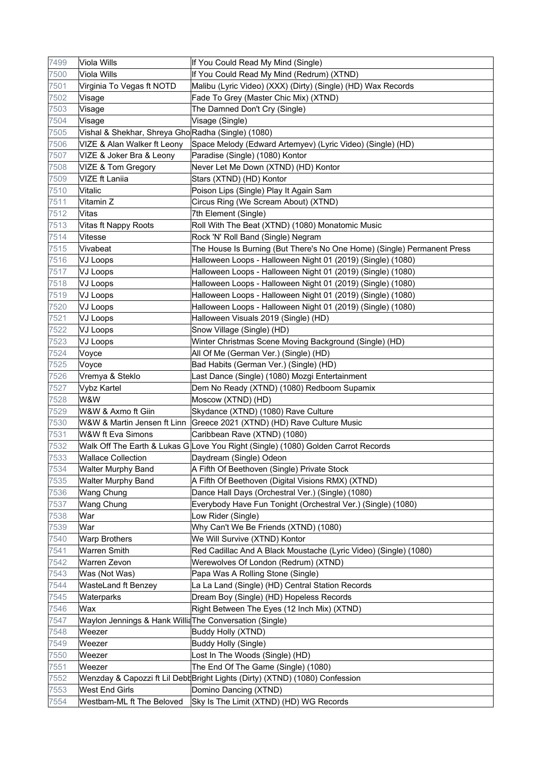| 7499 | Viola Wills                                             | If You Could Read My Mind (Single)                                                |
|------|---------------------------------------------------------|-----------------------------------------------------------------------------------|
| 7500 | Viola Wills                                             | If You Could Read My Mind (Redrum) (XTND)                                         |
| 7501 | Virginia To Vegas ft NOTD                               | Malibu (Lyric Video) (XXX) (Dirty) (Single) (HD) Wax Records                      |
| 7502 | Visage                                                  | Fade To Grey (Master Chic Mix) (XTND)                                             |
| 7503 | Visage                                                  | The Damned Don't Cry (Single)                                                     |
| 7504 | Visage                                                  | Visage (Single)                                                                   |
| 7505 | Vishal & Shekhar, Shreya Gho Radha (Single) (1080)      |                                                                                   |
| 7506 | VIZE & Alan Walker ft Leony                             | Space Melody (Edward Artemyev) (Lyric Video) (Single) (HD)                        |
| 7507 | VIZE & Joker Bra & Leony                                | Paradise (Single) (1080) Kontor                                                   |
| 7508 | VIZE & Tom Gregory                                      | Never Let Me Down (XTND) (HD) Kontor                                              |
| 7509 | <b>VIZE ft Laniia</b>                                   | Stars (XTND) (HD) Kontor                                                          |
| 7510 | Vitalic                                                 | Poison Lips (Single) Play It Again Sam                                            |
| 7511 | Vitamin Z                                               | Circus Ring (We Scream About) (XTND)                                              |
| 7512 | Vitas                                                   | 7th Element (Single)                                                              |
| 7513 | Vitas ft Nappy Roots                                    | Roll With The Beat (XTND) (1080) Monatomic Music                                  |
| 7514 | Vitesse                                                 | Rock 'N' Roll Band (Single) Negram                                                |
| 7515 | Vivabeat                                                | The House Is Burning (But There's No One Home) (Single) Permanent Press           |
| 7516 | <b>VJ Loops</b>                                         | Halloween Loops - Halloween Night 01 (2019) (Single) (1080)                       |
| 7517 | VJ Loops                                                | Halloween Loops - Halloween Night 01 (2019) (Single) (1080)                       |
| 7518 | VJ Loops                                                | Halloween Loops - Halloween Night 01 (2019) (Single) (1080)                       |
| 7519 | VJ Loops                                                | Halloween Loops - Halloween Night 01 (2019) (Single) (1080)                       |
| 7520 | VJ Loops                                                | Halloween Loops - Halloween Night 01 (2019) (Single) (1080)                       |
| 7521 | VJ Loops                                                | Halloween Visuals 2019 (Single) (HD)                                              |
| 7522 | VJ Loops                                                | Snow Village (Single) (HD)                                                        |
| 7523 | VJ Loops                                                | Winter Christmas Scene Moving Background (Single) (HD)                            |
| 7524 | Voyce                                                   | All Of Me (German Ver.) (Single) (HD)                                             |
| 7525 | Voyce                                                   | Bad Habits (German Ver.) (Single) (HD)                                            |
| 7526 | Vremya & Steklo                                         | Last Dance (Single) (1080) Mozgi Entertainment                                    |
| 7527 | <b>Vybz Kartel</b>                                      | Dem No Ready (XTND) (1080) Redboom Supamix                                        |
| 7528 | W&W                                                     | Moscow (XTND) (HD)                                                                |
| 7529 | W&W & Axmo ft Giin                                      | Skydance (XTND) (1080) Rave Culture                                               |
| 7530 |                                                         | W&W & Martin Jensen ft Linn   Greece 2021 (XTND) (HD) Rave Culture Music          |
| 7531 | W&W ft Eva Simons                                       | Caribbean Rave (XTND) (1080)                                                      |
| 7532 |                                                         | Walk Off The Earth & Lukas G Love You Right (Single) (1080) Golden Carrot Records |
| 7533 | <b>Wallace Collection</b>                               | Daydream (Single) Odeon                                                           |
| 7534 | <b>Walter Murphy Band</b>                               | A Fifth Of Beethoven (Single) Private Stock                                       |
| 7535 | Walter Murphy Band                                      | A Fifth Of Beethoven (Digital Visions RMX) (XTND)                                 |
| 7536 | Wang Chung                                              | Dance Hall Days (Orchestral Ver.) (Single) (1080)                                 |
| 7537 | Wang Chung                                              | Everybody Have Fun Tonight (Orchestral Ver.) (Single) (1080)                      |
| 7538 | War                                                     | Low Rider (Single)                                                                |
| 7539 | War                                                     | Why Can't We Be Friends (XTND) (1080)                                             |
| 7540 | <b>Warp Brothers</b>                                    | We Will Survive (XTND) Kontor                                                     |
| 7541 | <b>Warren Smith</b>                                     | Red Cadillac And A Black Moustache (Lyric Video) (Single) (1080)                  |
| 7542 | <b>Warren Zevon</b>                                     | Werewolves Of London (Redrum) (XTND)                                              |
| 7543 | Was (Not Was)                                           | Papa Was A Rolling Stone (Single)                                                 |
| 7544 | WasteLand ft Benzey                                     | La La Land (Single) (HD) Central Station Records                                  |
| 7545 | Waterparks                                              | Dream Boy (Single) (HD) Hopeless Records                                          |
| 7546 | Wax                                                     | Right Between The Eyes (12 Inch Mix) (XTND)                                       |
| 7547 | Waylon Jennings & Hank Willia The Conversation (Single) |                                                                                   |
| 7548 | Weezer                                                  | Buddy Holly (XTND)                                                                |
| 7549 | Weezer                                                  | Buddy Holly (Single)                                                              |
| 7550 | Weezer                                                  | Lost In The Woods (Single) (HD)                                                   |
| 7551 | Weezer                                                  | The End Of The Game (Single) (1080)                                               |
| 7552 |                                                         | Wenzday & Capozzi ft Lil Debt Bright Lights (Dirty) (XTND) (1080) Confession      |
| 7553 | West End Girls                                          | Domino Dancing (XTND)                                                             |
| 7554 | Westbam-ML ft The Beloved                               | Sky Is The Limit (XTND) (HD) WG Records                                           |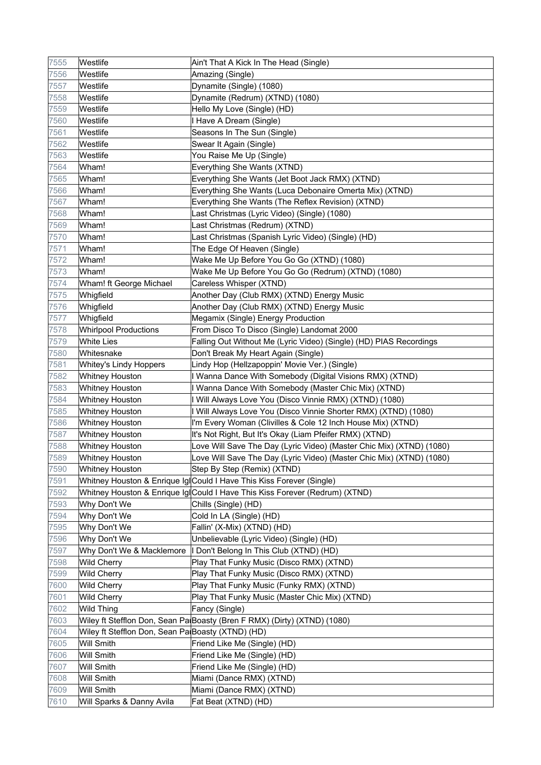| 7555 | Westlife                                          | Ain't That A Kick In The Head (Single)                                      |
|------|---------------------------------------------------|-----------------------------------------------------------------------------|
| 7556 | Westlife                                          | Amazing (Single)                                                            |
| 7557 | Westlife                                          | Dynamite (Single) (1080)                                                    |
| 7558 | Westlife                                          | Dynamite (Redrum) (XTND) (1080)                                             |
| 7559 | Westlife                                          | Hello My Love (Single) (HD)                                                 |
| 7560 | Westlife                                          | I Have A Dream (Single)                                                     |
| 7561 | Westlife                                          | Seasons In The Sun (Single)                                                 |
| 7562 | Westlife                                          | Swear It Again (Single)                                                     |
| 7563 | Westlife                                          | You Raise Me Up (Single)                                                    |
| 7564 | Wham!                                             | Everything She Wants (XTND)                                                 |
| 7565 | Wham!                                             | Everything She Wants (Jet Boot Jack RMX) (XTND)                             |
| 7566 | Wham!                                             | Everything She Wants (Luca Debonaire Omerta Mix) (XTND)                     |
| 7567 | Wham!                                             | Everything She Wants (The Reflex Revision) (XTND)                           |
| 7568 | Wham!                                             | Last Christmas (Lyric Video) (Single) (1080)                                |
| 7569 | Wham!                                             | Last Christmas (Redrum) (XTND)                                              |
| 7570 | Wham!                                             | Last Christmas (Spanish Lyric Video) (Single) (HD)                          |
| 7571 | Wham!                                             | The Edge Of Heaven (Single)                                                 |
| 7572 | Wham!                                             | Wake Me Up Before You Go Go (XTND) (1080)                                   |
| 7573 | Wham!                                             | Wake Me Up Before You Go Go (Redrum) (XTND) (1080)                          |
| 7574 | Wham! ft George Michael                           | Careless Whisper (XTND)                                                     |
| 7575 | Whigfield                                         | Another Day (Club RMX) (XTND) Energy Music                                  |
| 7576 | Whigfield                                         | Another Day (Club RMX) (XTND) Energy Music                                  |
| 7577 | Whigfield                                         | Megamix (Single) Energy Production                                          |
| 7578 | <b>Whirlpool Productions</b>                      | From Disco To Disco (Single) Landomat 2000                                  |
| 7579 | <b>White Lies</b>                                 | Falling Out Without Me (Lyric Video) (Single) (HD) PIAS Recordings          |
| 7580 | Whitesnake                                        | Don't Break My Heart Again (Single)                                         |
| 7581 | Whitey's Lindy Hoppers                            | Lindy Hop (Hellzapoppin' Movie Ver.) (Single)                               |
| 7582 | <b>Whitney Houston</b>                            | I Wanna Dance With Somebody (Digital Visions RMX) (XTND)                    |
| 7583 | <b>Whitney Houston</b>                            | I Wanna Dance With Somebody (Master Chic Mix) (XTND)                        |
| 7584 | <b>Whitney Houston</b>                            | I Will Always Love You (Disco Vinnie RMX) (XTND) (1080)                     |
| 7585 | <b>Whitney Houston</b>                            | I Will Always Love You (Disco Vinnie Shorter RMX) (XTND) (1080)             |
| 7586 | Whitney Houston                                   | I'm Every Woman (Clivilles & Cole 12 Inch House Mix) (XTND)                 |
| 7587 | <b>Whitney Houston</b>                            | It's Not Right, But It's Okay (Liam Pfeifer RMX) (XTND)                     |
| 7588 | <b>Whitney Houston</b>                            | Love Will Save The Day (Lyric Video) (Master Chic Mix) (XTND) (1080)        |
| 7589 | <b>Whitney Houston</b>                            | Love Will Save The Day (Lyric Video) (Master Chic Mix) (XTND) (1080)        |
| 7590 | <b>Whitney Houston</b>                            | Step By Step (Remix) (XTND)                                                 |
| 7591 |                                                   | Whitney Houston & Enrique Ig Could I Have This Kiss Forever (Single)        |
| 7592 |                                                   | Whitney Houston & Enrique Ig Could I Have This Kiss Forever (Redrum) (XTND) |
| 7593 | Why Don't We                                      | Chills (Single) (HD)                                                        |
| 7594 | Why Don't We                                      | Cold In LA (Single) (HD)                                                    |
| 7595 | Why Don't We                                      | Fallin' (X-Mix) (XTND) (HD)                                                 |
| 7596 | Why Don't We                                      | Unbelievable (Lyric Video) (Single) (HD)                                    |
| 7597 |                                                   | Why Don't We & Macklemore   Don't Belong In This Club (XTND) (HD)           |
| 7598 | <b>Wild Cherry</b>                                | Play That Funky Music (Disco RMX) (XTND)                                    |
| 7599 | <b>Wild Cherry</b>                                | Play That Funky Music (Disco RMX) (XTND)                                    |
| 7600 | Wild Cherry                                       | Play That Funky Music (Funky RMX) (XTND)                                    |
| 7601 | Wild Cherry                                       | Play That Funky Music (Master Chic Mix) (XTND)                              |
| 7602 | <b>Wild Thing</b>                                 | Fancy (Single)                                                              |
| 7603 |                                                   | Wiley ft Stefflon Don, Sean Pa Boasty (Bren F RMX) (Dirty) (XTND) (1080)    |
| 7604 | Wiley ft Stefflon Don, Sean Pa Boasty (XTND) (HD) |                                                                             |
| 7605 | Will Smith                                        | Friend Like Me (Single) (HD)                                                |
| 7606 | Will Smith                                        | Friend Like Me (Single) (HD)                                                |
| 7607 | <b>Will Smith</b>                                 | Friend Like Me (Single) (HD)                                                |
| 7608 | Will Smith                                        | Miami (Dance RMX) (XTND)                                                    |
| 7609 | <b>Will Smith</b>                                 | Miami (Dance RMX) (XTND)                                                    |
| 7610 | Will Sparks & Danny Avila                         | Fat Beat (XTND) (HD)                                                        |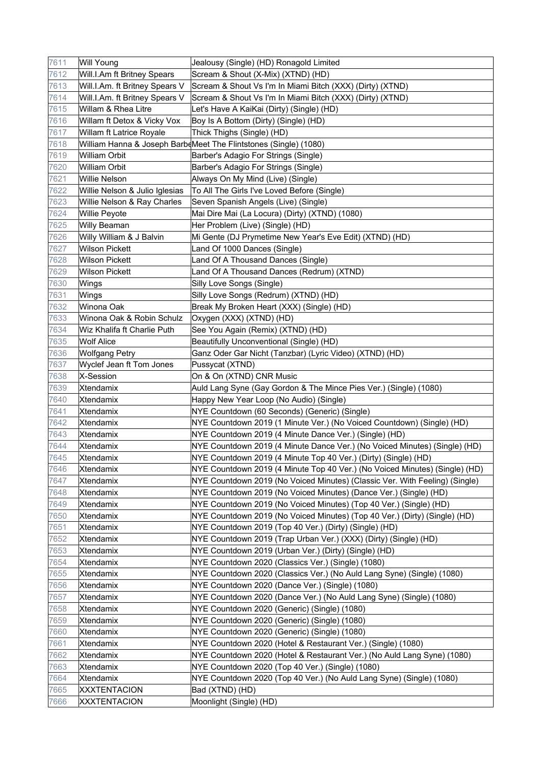| 7611 | <b>Will Young</b>              | Jealousy (Single) (HD) Ronagold Limited                                     |
|------|--------------------------------|-----------------------------------------------------------------------------|
| 7612 | Will.I.Am ft Britney Spears    | Scream & Shout (X-Mix) (XTND) (HD)                                          |
| 7613 | Will.I.Am. ft Britney Spears V | Scream & Shout Vs I'm In Miami Bitch (XXX) (Dirty) (XTND)                   |
| 7614 | Will.I.Am. ft Britney Spears V | Scream & Shout Vs I'm In Miami Bitch (XXX) (Dirty) (XTND)                   |
| 7615 | Willam & Rhea Litre            | Let's Have A KaiKai (Dirty) (Single) (HD)                                   |
| 7616 | Willam ft Detox & Vicky Vox    | Boy Is A Bottom (Dirty) (Single) (HD)                                       |
| 7617 | Willam ft Latrice Royale       | Thick Thighs (Single) (HD)                                                  |
| 7618 |                                | William Hanna & Joseph BarbeMeet The Flintstones (Single) (1080)            |
| 7619 | <b>William Orbit</b>           | Barber's Adagio For Strings (Single)                                        |
| 7620 | <b>William Orbit</b>           | Barber's Adagio For Strings (Single)                                        |
| 7621 | Willie Nelson                  | Always On My Mind (Live) (Single)                                           |
| 7622 | Willie Nelson & Julio Iglesias | To All The Girls I've Loved Before (Single)                                 |
| 7623 | Willie Nelson & Ray Charles    | Seven Spanish Angels (Live) (Single)                                        |
| 7624 | Willie Peyote                  | Mai Dire Mai (La Locura) (Dirty) (XTND) (1080)                              |
| 7625 | Willy Beaman                   | Her Problem (Live) (Single) (HD)                                            |
| 7626 | Willy William & J Balvin       | Mi Gente (DJ Prymetime New Year's Eve Edit) (XTND) (HD)                     |
| 7627 | <b>Wilson Pickett</b>          | Land Of 1000 Dances (Single)                                                |
| 7628 | <b>Wilson Pickett</b>          | Land Of A Thousand Dances (Single)                                          |
| 7629 | <b>Wilson Pickett</b>          | Land Of A Thousand Dances (Redrum) (XTND)                                   |
| 7630 | Wings                          | Silly Love Songs (Single)                                                   |
| 7631 | Wings                          | Silly Love Songs (Redrum) (XTND) (HD)                                       |
| 7632 | Winona Oak                     | Break My Broken Heart (XXX) (Single) (HD)                                   |
| 7633 | Winona Oak & Robin Schulz      | Oxygen (XXX) (XTND) (HD)                                                    |
| 7634 | Wiz Khalifa ft Charlie Puth    | See You Again (Remix) (XTND) (HD)                                           |
| 7635 | <b>Wolf Alice</b>              | Beautifully Unconventional (Single) (HD)                                    |
| 7636 | <b>Wolfgang Petry</b>          | Ganz Oder Gar Nicht (Tanzbar) (Lyric Video) (XTND) (HD)                     |
| 7637 | Wyclef Jean ft Tom Jones       | Pussycat (XTND)                                                             |
| 7638 | X-Session                      | On & On (XTND) CNR Music                                                    |
| 7639 | Xtendamix                      | Auld Lang Syne (Gay Gordon & The Mince Pies Ver.) (Single) (1080)           |
| 7640 | Xtendamix                      | Happy New Year Loop (No Audio) (Single)                                     |
| 7641 | Xtendamix                      | NYE Countdown (60 Seconds) (Generic) (Single)                               |
| 7642 | Xtendamix                      | NYE Countdown 2019 (1 Minute Ver.) (No Voiced Countdown) (Single) (HD)      |
| 7643 | Xtendamix                      | NYE Countdown 2019 (4 Minute Dance Ver.) (Single) (HD)                      |
| 7644 | Xtendamix                      | NYE Countdown 2019 (4 Minute Dance Ver.) (No Voiced Minutes) (Single) (HD)  |
| 7645 | Xtendamix                      | NYE Countdown 2019 (4 Minute Top 40 Ver.) (Dirty) (Single) (HD)             |
| 7646 | Xtendamix                      | NYE Countdown 2019 (4 Minute Top 40 Ver.) (No Voiced Minutes) (Single) (HD) |
| 7647 | Xtendamix                      | NYE Countdown 2019 (No Voiced Minutes) (Classic Ver. With Feeling) (Single) |
| 7648 | Xtendamix                      | NYE Countdown 2019 (No Voiced Minutes) (Dance Ver.) (Single) (HD)           |
| 7649 | Xtendamix                      | NYE Countdown 2019 (No Voiced Minutes) (Top 40 Ver.) (Single) (HD)          |
| 7650 | Xtendamix                      | NYE Countdown 2019 (No Voiced Minutes) (Top 40 Ver.) (Dirty) (Single) (HD)  |
| 7651 | Xtendamix                      | NYE Countdown 2019 (Top 40 Ver.) (Dirty) (Single) (HD)                      |
| 7652 | Xtendamix                      | NYE Countdown 2019 (Trap Urban Ver.) (XXX) (Dirty) (Single) (HD)            |
| 7653 | Xtendamix                      | NYE Countdown 2019 (Urban Ver.) (Dirty) (Single) (HD)                       |
| 7654 | Xtendamix                      | NYE Countdown 2020 (Classics Ver.) (Single) (1080)                          |
| 7655 | Xtendamix                      | NYE Countdown 2020 (Classics Ver.) (No Auld Lang Syne) (Single) (1080)      |
| 7656 | Xtendamix                      | NYE Countdown 2020 (Dance Ver.) (Single) (1080)                             |
| 7657 | Xtendamix                      | NYE Countdown 2020 (Dance Ver.) (No Auld Lang Syne) (Single) (1080)         |
| 7658 | Xtendamix                      | NYE Countdown 2020 (Generic) (Single) (1080)                                |
| 7659 | Xtendamix                      | NYE Countdown 2020 (Generic) (Single) (1080)                                |
| 7660 | Xtendamix                      | NYE Countdown 2020 (Generic) (Single) (1080)                                |
| 7661 | Xtendamix                      | NYE Countdown 2020 (Hotel & Restaurant Ver.) (Single) (1080)                |
| 7662 | Xtendamix                      | NYE Countdown 2020 (Hotel & Restaurant Ver.) (No Auld Lang Syne) (1080)     |
| 7663 | Xtendamix                      | NYE Countdown 2020 (Top 40 Ver.) (Single) (1080)                            |
| 7664 | Xtendamix                      | NYE Countdown 2020 (Top 40 Ver.) (No Auld Lang Syne) (Single) (1080)        |
| 7665 | <b>XXXTENTACION</b>            | Bad (XTND) (HD)                                                             |
| 7666 | <b>XXXTENTACION</b>            | Moonlight (Single) (HD)                                                     |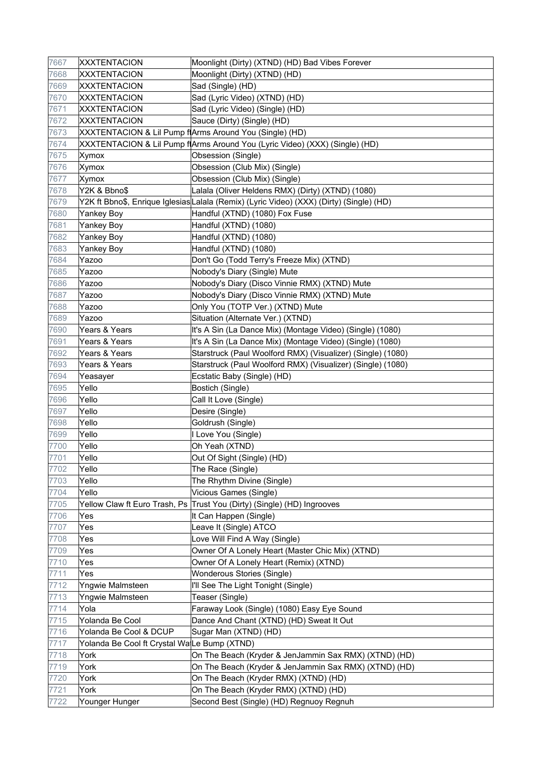| 7667 | <b>XXXTENTACION</b>                         | Moonlight (Dirty) (XTND) (HD) Bad Vibes Forever                                          |
|------|---------------------------------------------|------------------------------------------------------------------------------------------|
| 7668 | <b>XXXTENTACION</b>                         | Moonlight (Dirty) (XTND) (HD)                                                            |
| 7669 | <b>XXXTENTACION</b>                         | Sad (Single) (HD)                                                                        |
| 7670 | <b>XXXTENTACION</b>                         | Sad (Lyric Video) (XTND) (HD)                                                            |
| 7671 | <b>XXXTENTACION</b>                         | Sad (Lyric Video) (Single) (HD)                                                          |
| 7672 | <b>XXXTENTACION</b>                         | Sauce (Dirty) (Single) (HD)                                                              |
| 7673 |                                             | XXXTENTACION & Lil Pump f(Arms Around You (Single) (HD)                                  |
| 7674 |                                             | XXXTENTACION & Lil Pump f Arms Around You (Lyric Video) (XXX) (Single) (HD)              |
| 7675 | Xymox                                       | Obsession (Single)                                                                       |
| 7676 | Xymox                                       | Obsession (Club Mix) (Single)                                                            |
| 7677 | Xymox                                       | Obsession (Club Mix) (Single)                                                            |
| 7678 | Y2K & Bbno\$                                | Lalala (Oliver Heldens RMX) (Dirty) (XTND) (1080)                                        |
| 7679 |                                             | Y2K ft Bbno\$, Enrique Iglesias∣Lalala (Remix) (Lyric Video) (XXX) (Dirty) (Single) (HD) |
| 7680 | Yankey Boy                                  | Handful (XTND) (1080) Fox Fuse                                                           |
| 7681 | Yankey Boy                                  | Handful (XTND) (1080)                                                                    |
| 7682 | Yankey Boy                                  | Handful (XTND) (1080)                                                                    |
| 7683 | <b>Yankey Boy</b>                           | Handful (XTND) (1080)                                                                    |
| 7684 | Yazoo                                       | Don't Go (Todd Terry's Freeze Mix) (XTND)                                                |
| 7685 | Yazoo                                       | Nobody's Diary (Single) Mute                                                             |
| 7686 | Yazoo                                       | Nobody's Diary (Disco Vinnie RMX) (XTND) Mute                                            |
| 7687 | Yazoo                                       | Nobody's Diary (Disco Vinnie RMX) (XTND) Mute                                            |
| 7688 | Yazoo                                       | Only You (TOTP Ver.) (XTND) Mute                                                         |
| 7689 | Yazoo                                       | Situation (Alternate Ver.) (XTND)                                                        |
| 7690 | Years & Years                               | It's A Sin (La Dance Mix) (Montage Video) (Single) (1080)                                |
| 7691 | Years & Years                               | It's A Sin (La Dance Mix) (Montage Video) (Single) (1080)                                |
| 7692 | Years & Years                               | Starstruck (Paul Woolford RMX) (Visualizer) (Single) (1080)                              |
| 7693 | Years & Years                               | Starstruck (Paul Woolford RMX) (Visualizer) (Single) (1080)                              |
| 7694 | Yeasayer                                    | Ecstatic Baby (Single) (HD)                                                              |
| 7695 | Yello                                       | Bostich (Single)                                                                         |
| 7696 | Yello                                       | Call It Love (Single)                                                                    |
| 7697 | Yello                                       | Desire (Single)                                                                          |
| 7698 | Yello                                       | Goldrush (Single)                                                                        |
| 7699 | Yello                                       | I Love You (Single)                                                                      |
| 7700 | Yello                                       | Oh Yeah (XTND)                                                                           |
| 7701 | Yello                                       | Out Of Sight (Single) (HD)                                                               |
| 7702 | Yello                                       | The Race (Single)                                                                        |
| 7703 | Yello                                       | The Rhythm Divine (Single)                                                               |
| 7704 | Yello                                       | Vicious Games (Single)                                                                   |
| 7705 | Yellow Claw ft Euro Trash, Ps               | Trust You (Dirty) (Single) (HD) Ingrooves                                                |
| 7706 | Yes                                         | It Can Happen (Single)                                                                   |
| 7707 | Yes                                         | Leave It (Single) ATCO                                                                   |
| 7708 | Yes                                         | Love Will Find A Way (Single)                                                            |
| 7709 | Yes                                         | Owner Of A Lonely Heart (Master Chic Mix) (XTND)                                         |
| 7710 | Yes                                         | Owner Of A Lonely Heart (Remix) (XTND)                                                   |
| 7711 | Yes                                         | Wonderous Stories (Single)                                                               |
| 7712 | Yngwie Malmsteen                            | I'll See The Light Tonight (Single)                                                      |
| 7713 | Yngwie Malmsteen                            | Teaser (Single)                                                                          |
| 7714 | Yola                                        | Faraway Look (Single) (1080) Easy Eye Sound                                              |
| 7715 | Yolanda Be Cool                             | Dance And Chant (XTND) (HD) Sweat It Out                                                 |
| 7716 | Yolanda Be Cool & DCUP                      | Sugar Man (XTND) (HD)                                                                    |
| 7717 | Yolanda Be Cool ft Crystal WaLe Bump (XTND) |                                                                                          |
| 7718 | York                                        | On The Beach (Kryder & JenJammin Sax RMX) (XTND) (HD)                                    |
| 7719 | York                                        | On The Beach (Kryder & JenJammin Sax RMX) (XTND) (HD)                                    |
| 7720 | York                                        | On The Beach (Kryder RMX) (XTND) (HD)                                                    |
| 7721 | York                                        | On The Beach (Kryder RMX) (XTND) (HD)                                                    |
| 7722 | Younger Hunger                              | Second Best (Single) (HD) Regnuoy Regnuh                                                 |
|      |                                             |                                                                                          |